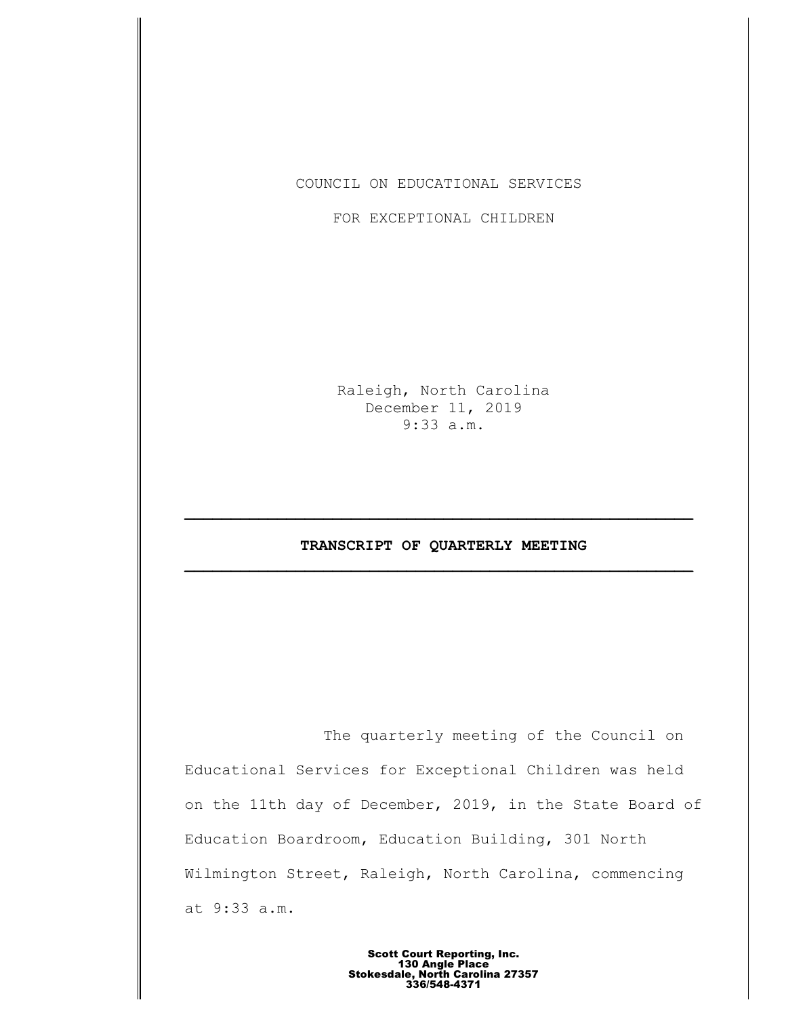COUNCIL ON EDUCATIONAL SERVICES

FOR EXCEPTIONAL CHILDREN

Raleigh, North Carolina December 11, 2019 9:33 a.m.

# **TRANSCRIPT OF QUARTERLY MEETING \_\_\_\_\_\_\_\_\_\_\_\_\_\_\_\_\_\_\_\_\_\_\_\_\_\_\_\_\_\_\_\_\_\_\_\_\_\_\_\_\_\_\_\_\_\_\_\_\_\_\_\_\_\_\_**

**\_\_\_\_\_\_\_\_\_\_\_\_\_\_\_\_\_\_\_\_\_\_\_\_\_\_\_\_\_\_\_\_\_\_\_\_\_\_\_\_\_\_\_\_\_\_\_\_\_\_\_\_\_\_\_**

The quarterly meeting of the Council on Educational Services for Exceptional Children was held on the 11th day of December, 2019, in the State Board of Education Boardroom, Education Building, 301 North Wilmington Street, Raleigh, North Carolina, commencing at 9:33 a.m.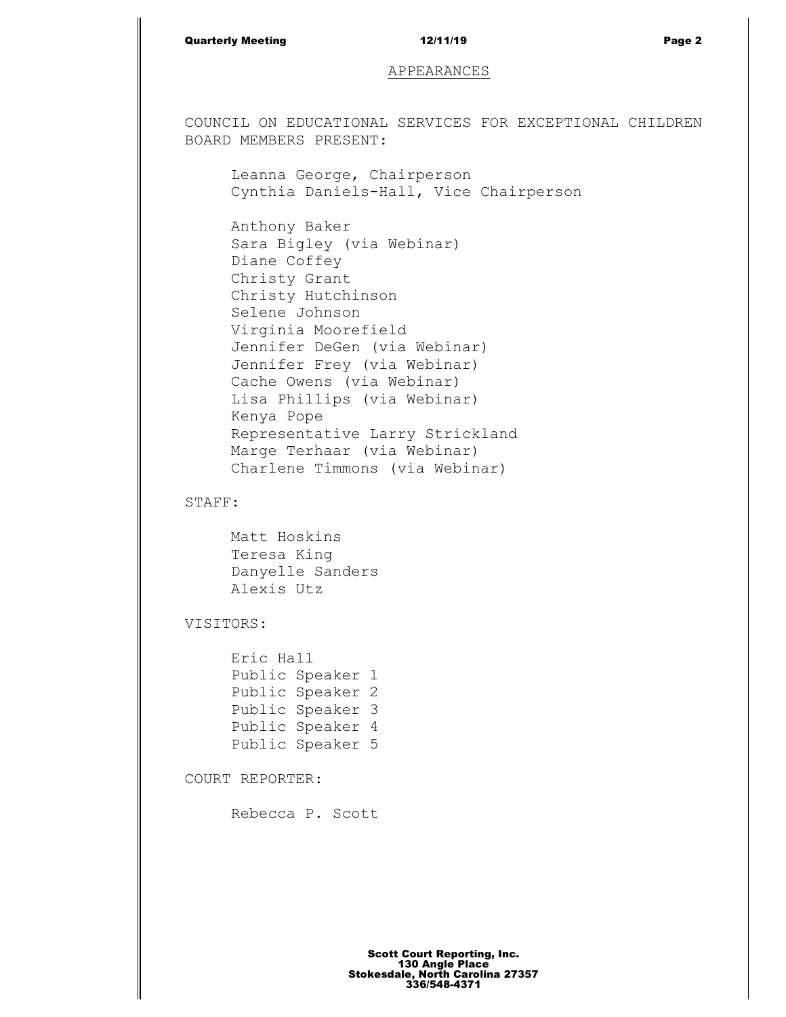## Quarterly Meeting and the control of the 12/11/19 and the control of the Page 2

## APPEARANCES

COUNCIL ON EDUCATIONAL SERVICES FOR EXCEPTIONAL CHILDREN BOARD MEMBERS PRESENT:

Leanna George, Chairperson Cynthia Daniels-Hall, Vice Chairperson

Anthony Baker Sara Bigley (via Webinar) Diane Coffey Christy Grant Christy Hutchinson Selene Johnson Virginia Moorefield Jennifer DeGen (via Webinar) Jennifer Frey (via Webinar) Cache Owens (via Webinar) Lisa Phillips (via Webinar) Kenya Pope Representative Larry Strickland Marge Terhaar (via Webinar) Charlene Timmons (via Webinar)

STAFF:

Matt Hoskins Teresa King Danyelle Sanders Alexis Utz

VISITORS:

Eric Hall Public Speaker 1 Public Speaker 2 Public Speaker 3 Public Speaker 4 Public Speaker 5

COURT REPORTER:

Rebecca P. Scott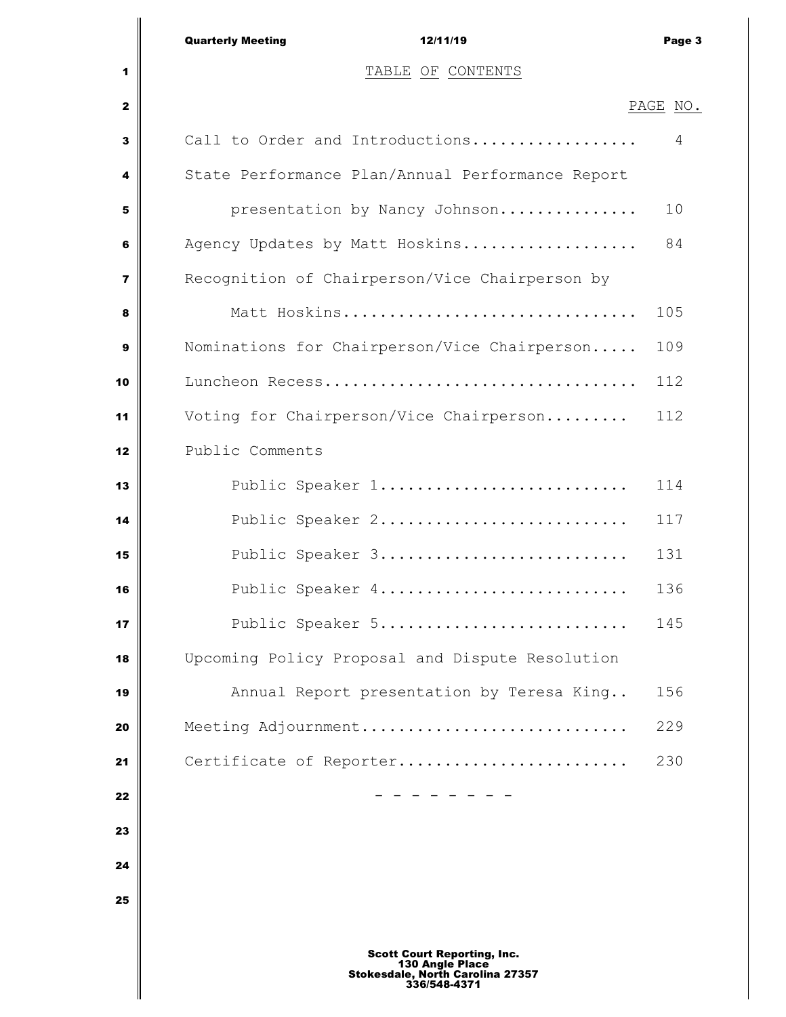|                         | <b>Quarterly Meeting</b><br>12/11/19                                                                      | Page 3   |
|-------------------------|-----------------------------------------------------------------------------------------------------------|----------|
| 1                       | TABLE OF CONTENTS                                                                                         |          |
| $\mathbf{z}$            |                                                                                                           | PAGE NO. |
| 3                       | Call to Order and Introductions                                                                           | 4        |
| 4                       | State Performance Plan/Annual Performance Report                                                          |          |
| 5                       | presentation by Nancy Johnson                                                                             | 10       |
| 6                       | Agency Updates by Matt Hoskins                                                                            | 84       |
| $\overline{\mathbf{z}}$ | Recognition of Chairperson/Vice Chairperson by                                                            |          |
| 8                       | Matt Hoskins                                                                                              | 105      |
| 9                       | Nominations for Chairperson/Vice Chairperson                                                              | 109      |
| 10                      | Luncheon Recess                                                                                           | 112      |
| 11                      | Voting for Chairperson/Vice Chairperson                                                                   | 112      |
| 12                      | Public Comments                                                                                           |          |
| 13                      | Public Speaker 1                                                                                          | 114      |
| 14                      | Public Speaker 2                                                                                          | 117      |
| 15                      | Public Speaker 3                                                                                          | 131      |
| 16                      | Public Speaker 4                                                                                          | 136      |
| 17                      | Public Speaker 5                                                                                          | 145      |
| 18                      | Upcoming Policy Proposal and Dispute Resolution                                                           |          |
| 19                      | Annual Report presentation by Teresa King                                                                 | 156      |
| 20                      | Meeting Adjournment                                                                                       | 229      |
| 21                      | Certificate of Reporter                                                                                   | 230      |
| 22                      |                                                                                                           |          |
| 23                      |                                                                                                           |          |
| 24                      |                                                                                                           |          |
| 25                      |                                                                                                           |          |
|                         | <b>Scott Court Reporting, Inc.</b><br>130 Angle Place<br>Stokesdale, North Carolina 27357<br>336/548-4371 |          |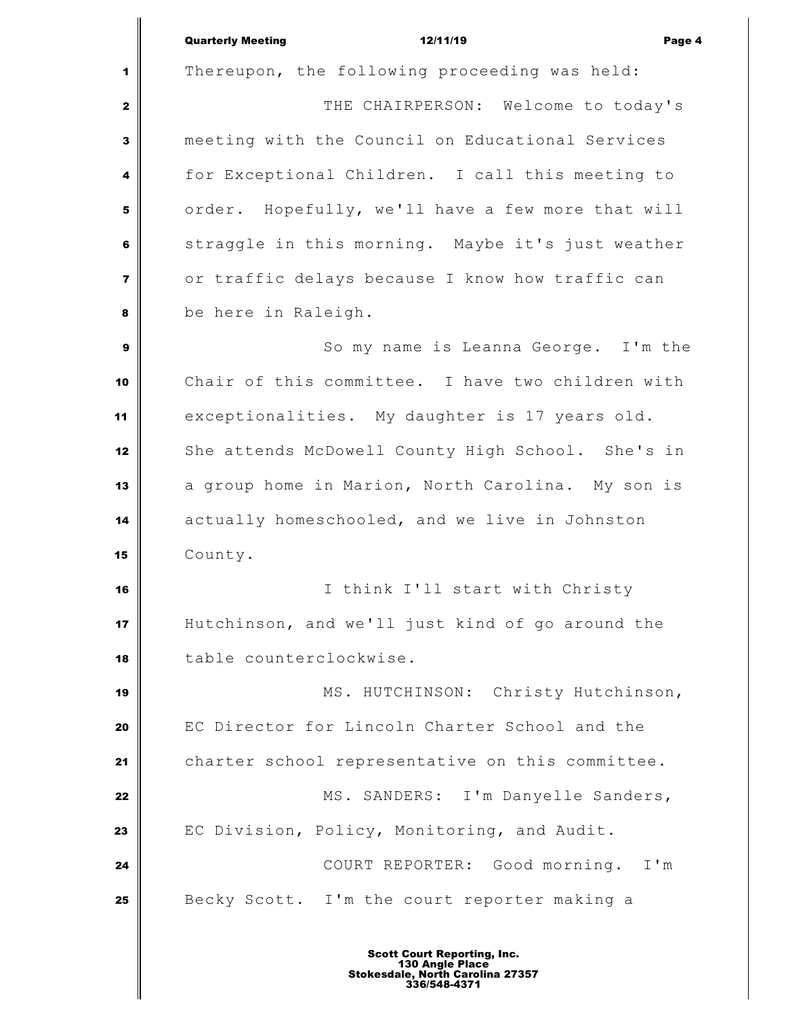Quarterly Meeting **12/11/19** Page 4 Thereupon, the following proceeding was held: THE CHAIRPERSON: Welcome to today's meeting with the Council on Educational Services for Exceptional Children. I call this meeting to order. Hopefully, we'll have a few more that will straggle in this morning. Maybe it's just weather or traffic delays because I know how traffic can be here in Raleigh. So my name is Leanna George. I'm the Chair of this committee. I have two children with exceptionalities. My daughter is 17 years old. 12 She attends McDowell County High School. She's in a group home in Marion, North Carolina. My son is actually homeschooled, and we live in Johnston County. I think I'll start with Christy Hutchinson, and we'll just kind of go around the table counterclockwise. MS. HUTCHINSON: Christy Hutchinson, EC Director for Lincoln Charter School and the charter school representative on this committee. MS. SANDERS: I'm Danyelle Sanders, EC Division, Policy, Monitoring, and Audit.  $\parallel$  **COURT REPORTER:** Good morning. I'm Becky Scott. I'm the court reporter making a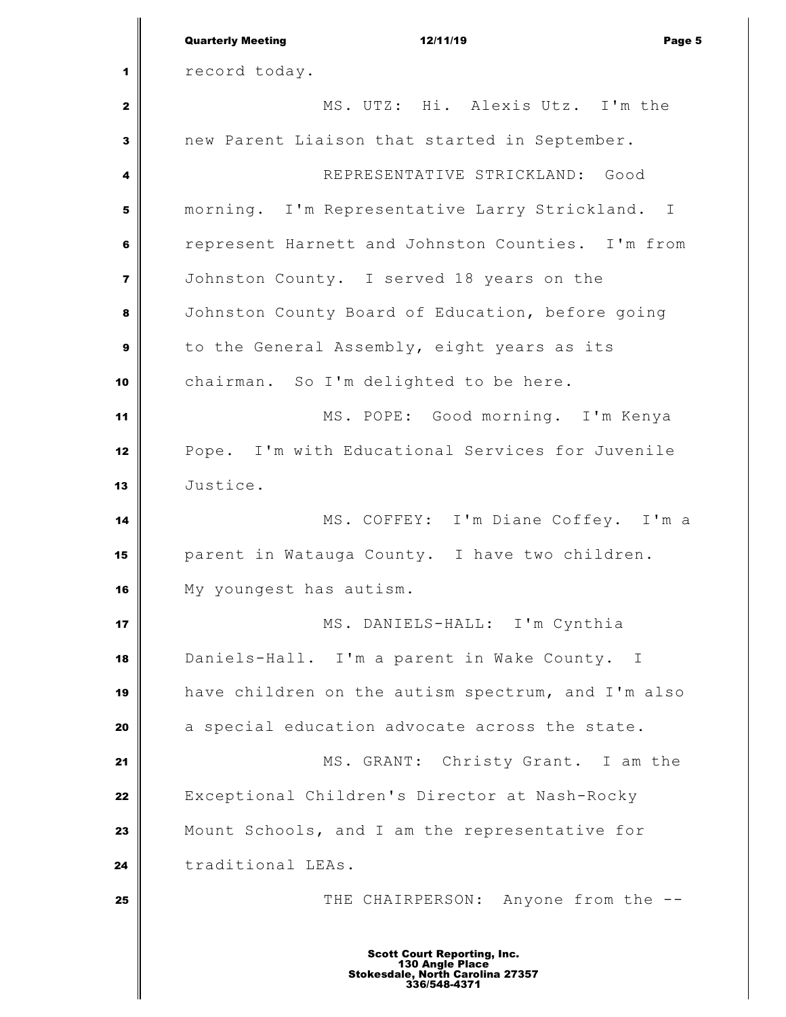|                | <b>Quarterly Meeting</b><br>12/11/19<br>Page 5                                                            |  |  |
|----------------|-----------------------------------------------------------------------------------------------------------|--|--|
| 1              | record today.                                                                                             |  |  |
| $\mathbf{z}$   | MS. UTZ: Hi. Alexis Utz. I'm the                                                                          |  |  |
| $\mathbf{3}$   | new Parent Liaison that started in September.                                                             |  |  |
| 4              | REPRESENTATIVE STRICKLAND: Good                                                                           |  |  |
| 5              | morning. I'm Representative Larry Strickland. I                                                           |  |  |
| $\bf 6$        | represent Harnett and Johnston Counties. I'm from                                                         |  |  |
| $\overline{7}$ | Johnston County. I served 18 years on the                                                                 |  |  |
| 8              | Johnston County Board of Education, before going                                                          |  |  |
| 9              | to the General Assembly, eight years as its                                                               |  |  |
| 10             | chairman. So I'm delighted to be here.                                                                    |  |  |
| 11             | MS. POPE: Good morning. I'm Kenya                                                                         |  |  |
| 12             | Pope. I'm with Educational Services for Juvenile                                                          |  |  |
| 13             | Justice.                                                                                                  |  |  |
| 14             | MS. COFFEY: I'm Diane Coffey. I'm a                                                                       |  |  |
| 15             | parent in Watauga County. I have two children.                                                            |  |  |
| 16             | My youngest has autism.                                                                                   |  |  |
| 17             | MS. DANIELS-HALL: I'm Cynthia                                                                             |  |  |
| 18             | Daniels-Hall. I'm a parent in Wake County. I                                                              |  |  |
| 19             | have children on the autism spectrum, and I'm also                                                        |  |  |
| 20             | a special education advocate across the state.                                                            |  |  |
| 21             | MS. GRANT: Christy Grant. I am the                                                                        |  |  |
| 22             | Exceptional Children's Director at Nash-Rocky                                                             |  |  |
| 23             | Mount Schools, and I am the representative for                                                            |  |  |
| 24             | traditional LEAs.                                                                                         |  |  |
| 25             | THE CHAIRPERSON: Anyone from the --                                                                       |  |  |
|                | <b>Scott Court Reporting, Inc.</b><br>130 Angle Place<br>Stokesdale, North Carolina 27357<br>336/548-4371 |  |  |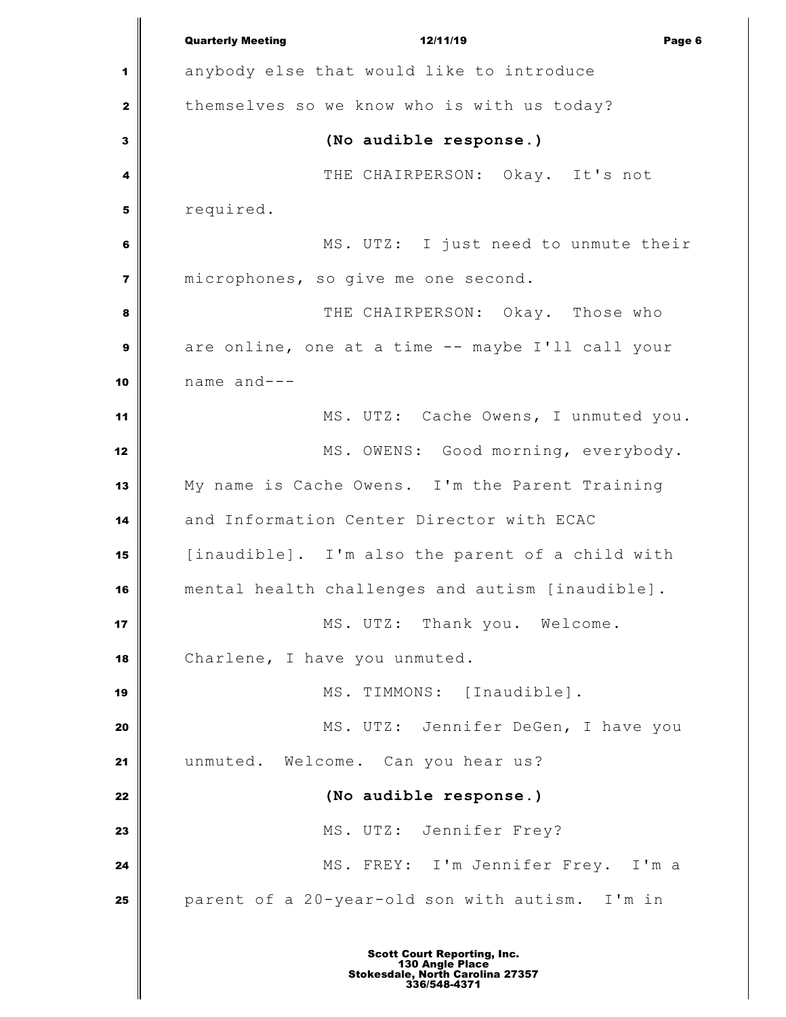Quarterly Meeting **12/11/19** Page 6 **Page 6**  anybody else that would like to introduce themselves so we know who is with us today? **(No audible response.)**   $\parallel$  THE CHAIRPERSON: Okay. It's not required. MS. UTZ: I just need to unmute their microphones, so give me one second. IN THE CHAIRPERSON: Okay. Those who are online, one at a time -- maybe I'll call your name and--- 11 MS. UTZ: Cache Owens, I unmuted you. MS. OWENS: Good morning, everybody. My name is Cache Owens. I'm the Parent Training and Information Center Director with ECAC [inaudible]. I'm also the parent of a child with mental health challenges and autism [inaudible]. **MS. UTZ:** Thank you. Welcome. Charlene, I have you unmuted. | MS. TIMMONS: [Inaudible]. MS. UTZ: Jennifer DeGen, I have you unmuted. Welcome. Can you hear us? **(No audible response.)** MS. UTZ: Jennifer Frey? MS. FREY: I'm Jennifer Frey. I'm a parent of a 20-year-old son with autism. I'm in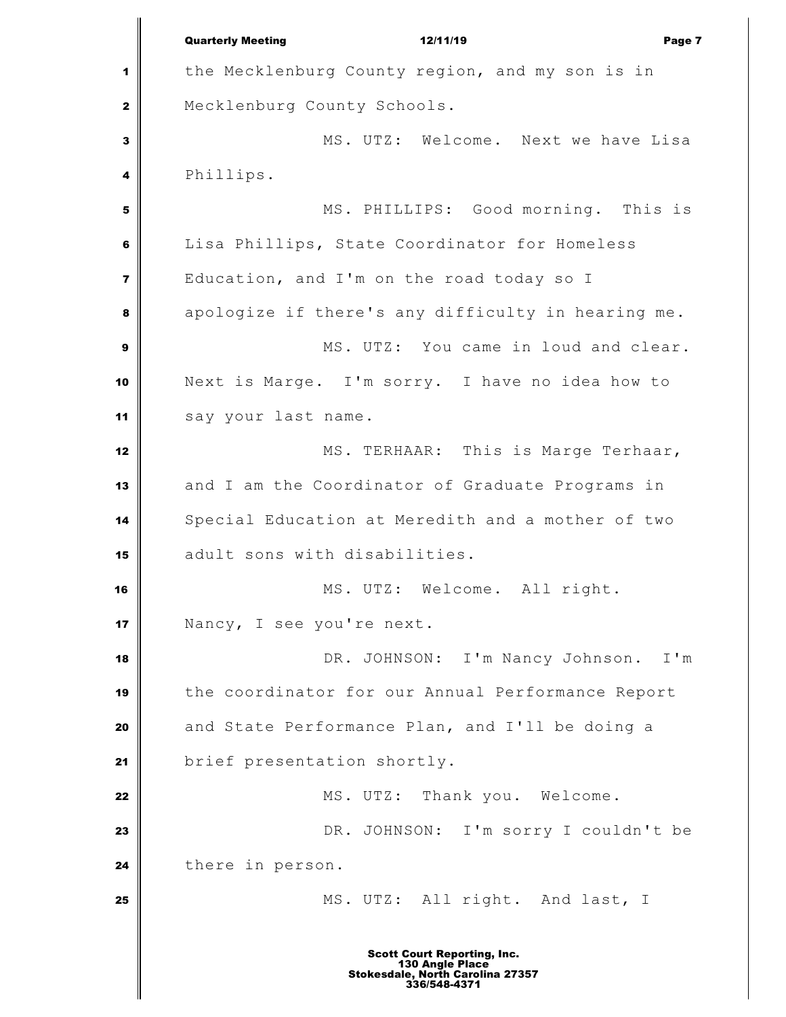Quarterly Meeting **12/11/19** Page 7 the Mecklenburg County region, and my son is in Mecklenburg County Schools. MS. UTZ: Welcome. Next we have Lisa Phillips. MS. PHILLIPS: Good morning. This is Lisa Phillips, State Coordinator for Homeless Education, and I'm on the road today so I apologize if there's any difficulty in hearing me. MS. UTZ: You came in loud and clear. Next is Marge. I'm sorry. I have no idea how to say your last name. MS. TERHAAR: This is Marge Terhaar, and I am the Coordinator of Graduate Programs in Special Education at Meredith and a mother of two adult sons with disabilities. **MS. UTZ:** Welcome. All right. Nancy, I see you're next. | DR. JOHNSON: I'm Nancy Johnson. I'm the coordinator for our Annual Performance Report and State Performance Plan, and I'll be doing a **brief** presentation shortly. MS. UTZ: Thank you. Welcome. DR. JOHNSON: I'm sorry I couldn't be there in person. MS. UTZ: All right. And last, I Scott Court Reporting, Inc. 130 Angle Place Stokesdale, North Carolina 27357 336/548-4371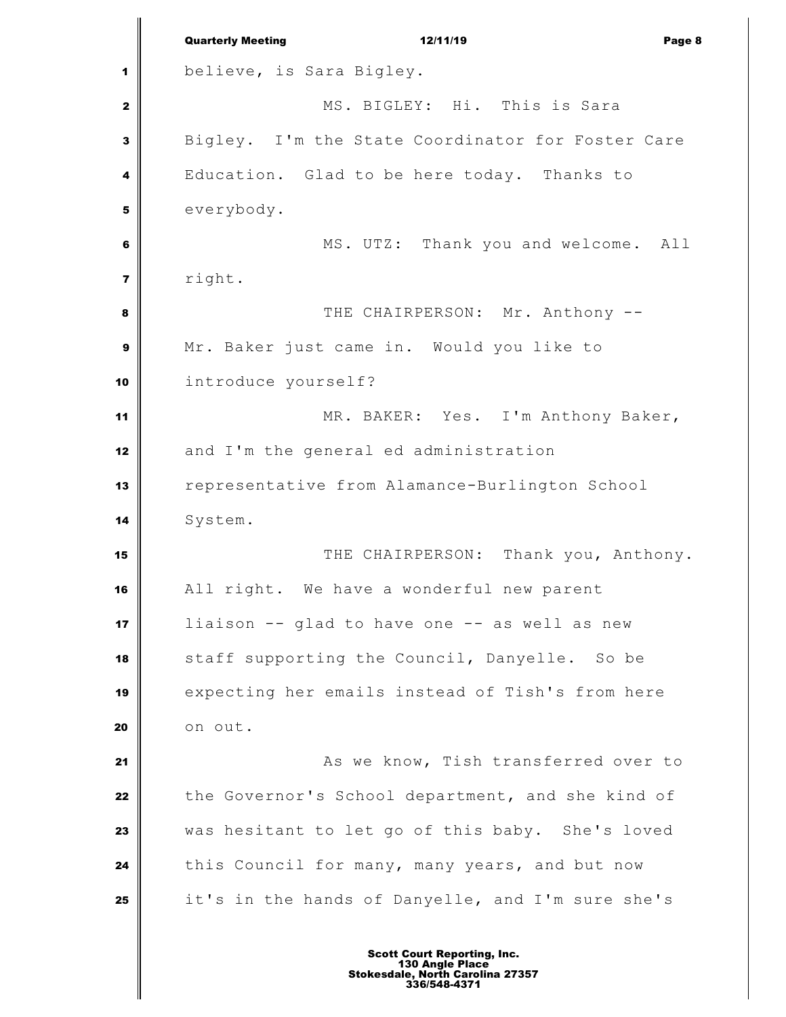|                  | <b>Quarterly Meeting</b><br>12/11/19<br>Page 8    |  |  |
|------------------|---------------------------------------------------|--|--|
| 1                | believe, is Sara Bigley.                          |  |  |
| $\mathbf{z}$     | MS. BIGLEY: Hi. This is Sara                      |  |  |
| $\mathbf{3}$     | Bigley. I'm the State Coordinator for Foster Care |  |  |
| 4                | Education. Glad to be here today. Thanks to       |  |  |
| 5                | everybody.                                        |  |  |
| 6                | MS. UTZ: Thank you and welcome. All               |  |  |
| $\overline{7}$   | right.                                            |  |  |
| 8                | THE CHAIRPERSON: Mr. Anthony --                   |  |  |
| $\boldsymbol{9}$ | Mr. Baker just came in. Would you like to         |  |  |
| 10               | introduce yourself?                               |  |  |
| 11               | MR. BAKER: Yes. I'm Anthony Baker,                |  |  |
| 12               | and I'm the general ed administration             |  |  |
| 13               | representative from Alamance-Burlington School    |  |  |
| 14               | System.                                           |  |  |
| 15               | THE CHAIRPERSON: Thank you, Anthony.              |  |  |
| 16               | All right. We have a wonderful new parent         |  |  |
| 17               | liaison -- glad to have one -- as well as new     |  |  |
| 18               | staff supporting the Council, Danyelle. So be     |  |  |
| 19               | expecting her emails instead of Tish's from here  |  |  |
| 20               | on out.                                           |  |  |
| 21               | As we know, Tish transferred over to              |  |  |
| 22               | the Governor's School department, and she kind of |  |  |
| 23               | was hesitant to let go of this baby. She's loved  |  |  |
| 24               | this Council for many, many years, and but now    |  |  |
| 25               | it's in the hands of Danyelle, and I'm sure she's |  |  |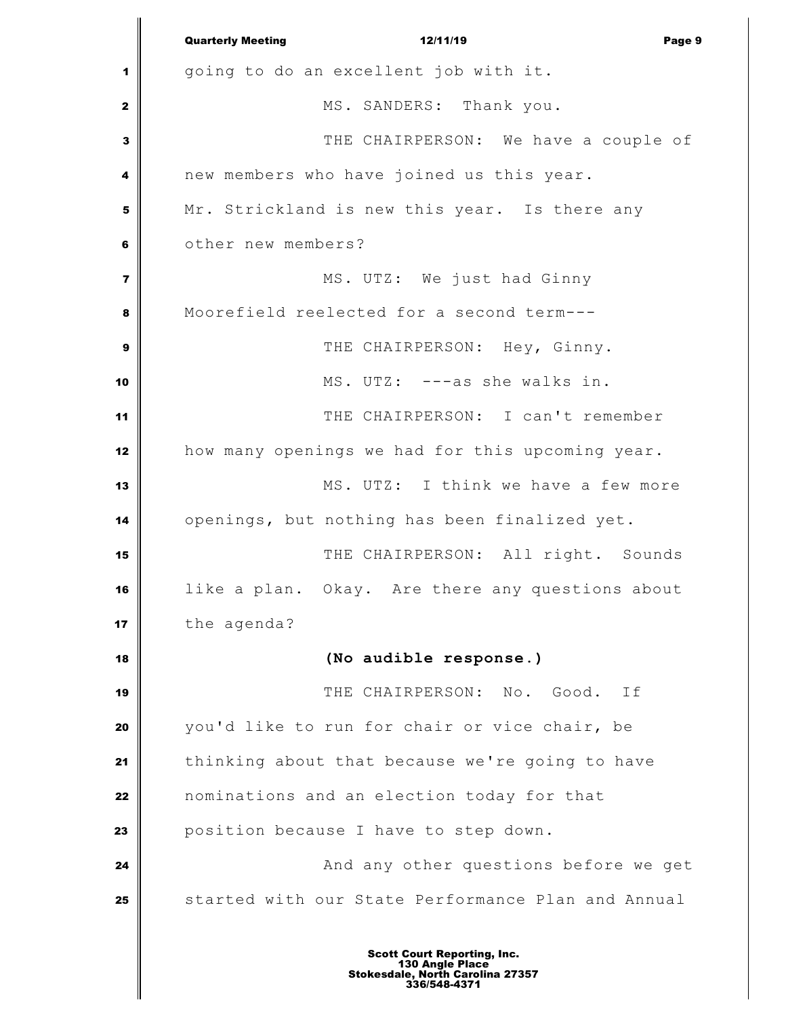Quarterly Meeting **12/11/19** Page 9 going to do an excellent job with it. MS. SANDERS: Thank you. THE CHAIRPERSON: We have a couple of new members who have joined us this year. Mr. Strickland is new this year. Is there any **b** other new members? MS. UTZ: We just had Ginny Moorefield reelected for a second term--- THE CHAIRPERSON: Hey, Ginny. MS. UTZ: --as she walks in. THE CHAIRPERSON: I can't remember how many openings we had for this upcoming year. **MS.** UTZ: I think we have a few more openings, but nothing has been finalized yet. THE CHAIRPERSON: All right. Sounds like a plan. Okay. Are there any questions about the agenda? **(No audible response.)** THE CHAIRPERSON: No. Good. If you'd like to run for chair or vice chair, be thinking about that because we're going to have nominations and an election today for that position because I have to step down. **And any other questions before we get 24 And any other questions before we get** Started with our State Performance Plan and Annual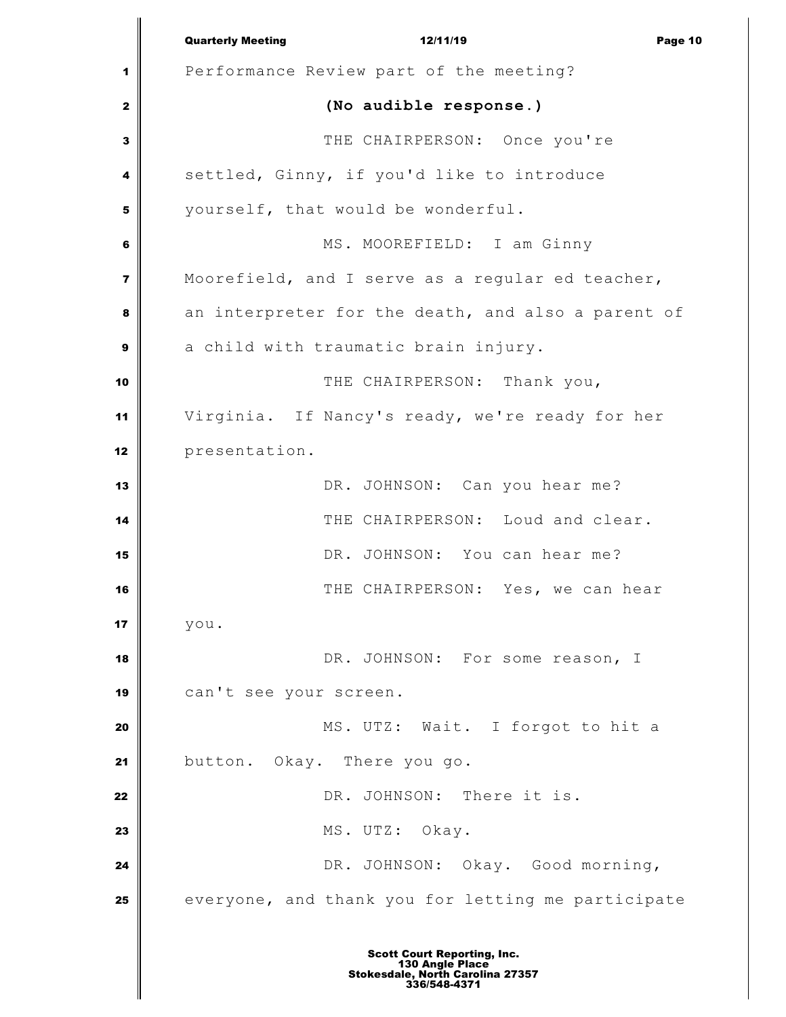|                         | <b>Quarterly Meeting</b><br>12/11/19<br>Page 10                                                           |  |  |
|-------------------------|-----------------------------------------------------------------------------------------------------------|--|--|
| 1                       | Performance Review part of the meeting?                                                                   |  |  |
| $\mathbf{z}$            | (No audible response.)                                                                                    |  |  |
| $\mathbf{3}$            | THE CHAIRPERSON: Once you're                                                                              |  |  |
| 4                       | settled, Ginny, if you'd like to introduce                                                                |  |  |
| 5                       | yourself, that would be wonderful.                                                                        |  |  |
| 6                       | MS. MOOREFIELD: I am Ginny                                                                                |  |  |
| $\overline{\mathbf{z}}$ | Moorefield, and I serve as a regular ed teacher,                                                          |  |  |
| 8                       | an interpreter for the death, and also a parent of                                                        |  |  |
| 9                       | a child with traumatic brain injury.                                                                      |  |  |
| 10                      | THE CHAIRPERSON: Thank you,                                                                               |  |  |
| 11                      | Virginia. If Nancy's ready, we're ready for her                                                           |  |  |
| 12                      | presentation.                                                                                             |  |  |
| 13                      | DR. JOHNSON: Can you hear me?                                                                             |  |  |
| 14                      | THE CHAIRPERSON: Loud and clear.                                                                          |  |  |
| 15                      | DR. JOHNSON: You can hear me?                                                                             |  |  |
| 16                      | THE CHAIRPERSON: Yes, we can hear                                                                         |  |  |
| 17                      | you.                                                                                                      |  |  |
| 18                      | DR. JOHNSON: For some reason, I                                                                           |  |  |
| 19                      | can't see your screen.                                                                                    |  |  |
| 20                      | MS. UTZ: Wait. I forgot to hit a                                                                          |  |  |
| 21                      | button. Okay. There you go.                                                                               |  |  |
| 22                      | DR. JOHNSON: There it is.                                                                                 |  |  |
| 23                      | MS. UTZ: Okay.                                                                                            |  |  |
| 24                      | DR. JOHNSON: Okay. Good morning,                                                                          |  |  |
| 25                      | everyone, and thank you for letting me participate                                                        |  |  |
|                         | <b>Scott Court Reporting, Inc.</b><br>130 Angle Place<br>Stokesdale, North Carolina 27357<br>336/548-4371 |  |  |

I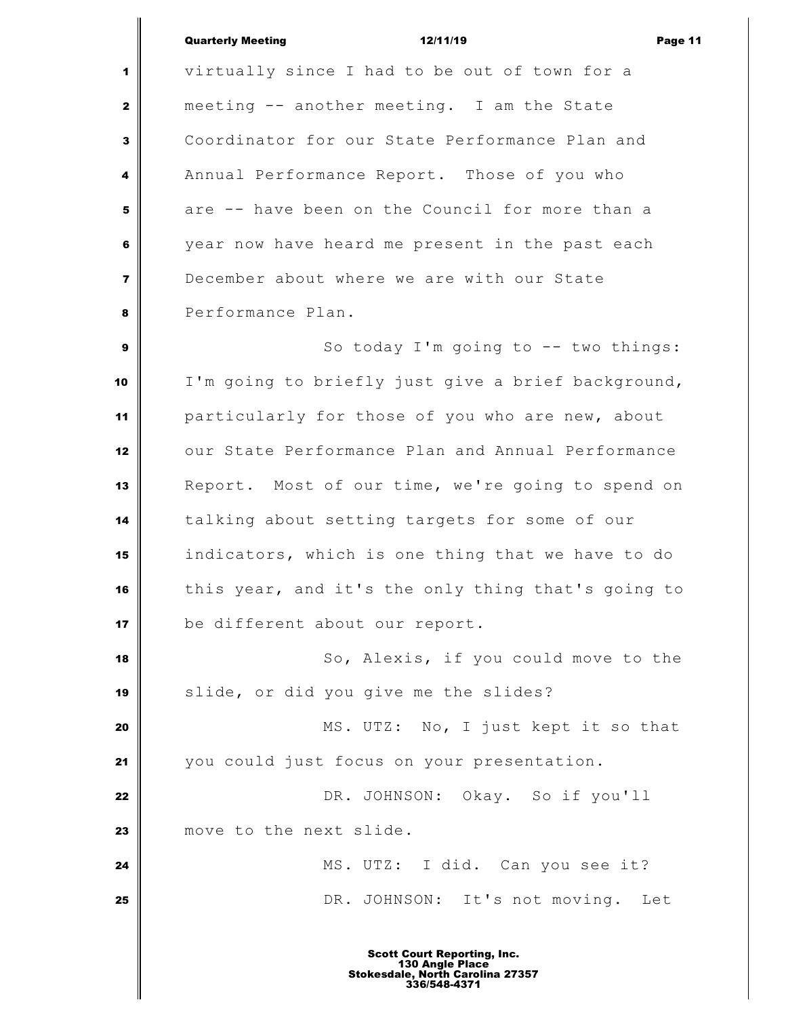### Quarterly Meeting 12/11/19 Page 11

 virtually since I had to be out of town for a meeting -- another meeting. I am the State Coordinator for our State Performance Plan and Annual Performance Report. Those of you who are -- have been on the Council for more than a year now have heard me present in the past each December about where we are with our State Performance Plan. So today I'm going to -- two things:

 I'm going to briefly just give a brief background, particularly for those of you who are new, about our State Performance Plan and Annual Performance Report. Most of our time, we're going to spend on talking about setting targets for some of our indicators, which is one thing that we have to do this year, and it's the only thing that's going to be different about our report.

 So, Alexis, if you could move to the slide, or did you give me the slides?

 MS. UTZ: No, I just kept it so that you could just focus on your presentation.

 **DR.** JOHNSON: Okay. So if you'll move to the next slide.

 MS. UTZ: I did. Can you see it? **DR.** JOHNSON: It's not moving. Let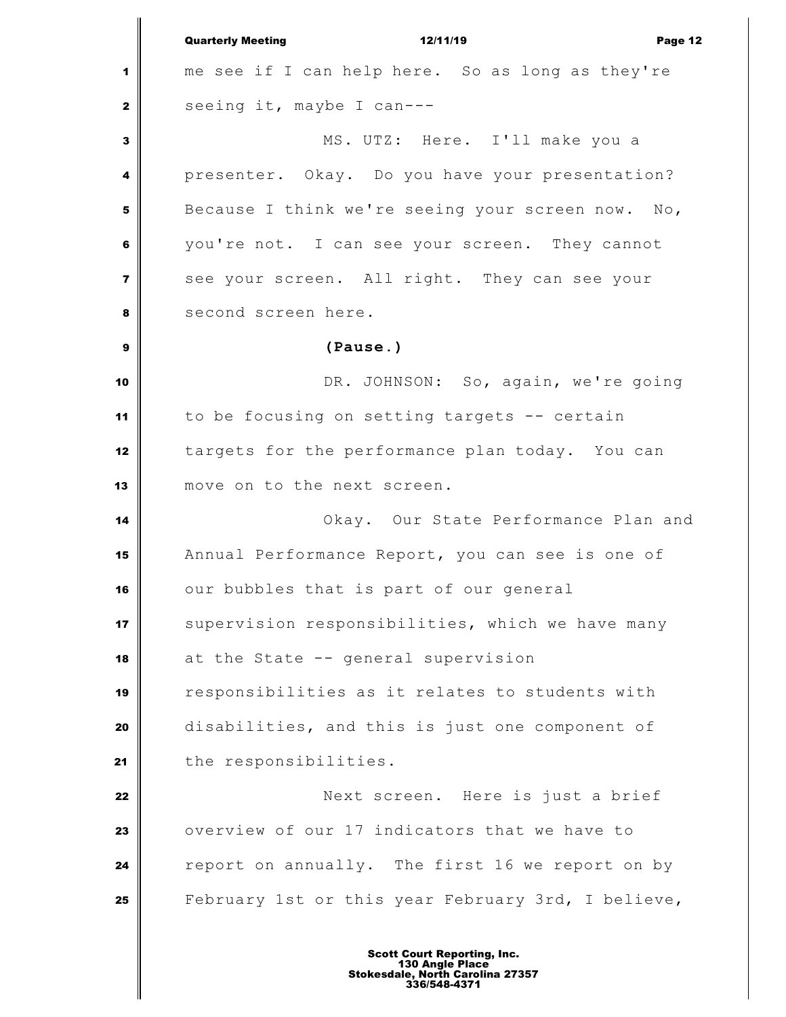Quarterly Meeting 12/11/19 Page 12 me see if I can help here. So as long as they're seeing it, maybe I can--- MS. UTZ: Here. I'll make you a presenter. Okay. Do you have your presentation? Because I think we're seeing your screen now. No, you're not. I can see your screen. They cannot see your screen. All right. They can see your second screen here. **(Pause.)** DR. JOHNSON: So, again, we're going to be focusing on setting targets -- certain targets for the performance plan today. You can move on to the next screen. **Okay.** Our State Performance Plan and Annual Performance Report, you can see is one of our bubbles that is part of our general Supervision responsibilities, which we have many at the State -- general supervision responsibilities as it relates to students with disabilities, and this is just one component of 21 the responsibilities. Next screen. Here is just a brief overview of our 17 indicators that we have to report on annually. The first 16 we report on by February 1st or this year February 3rd, I believe,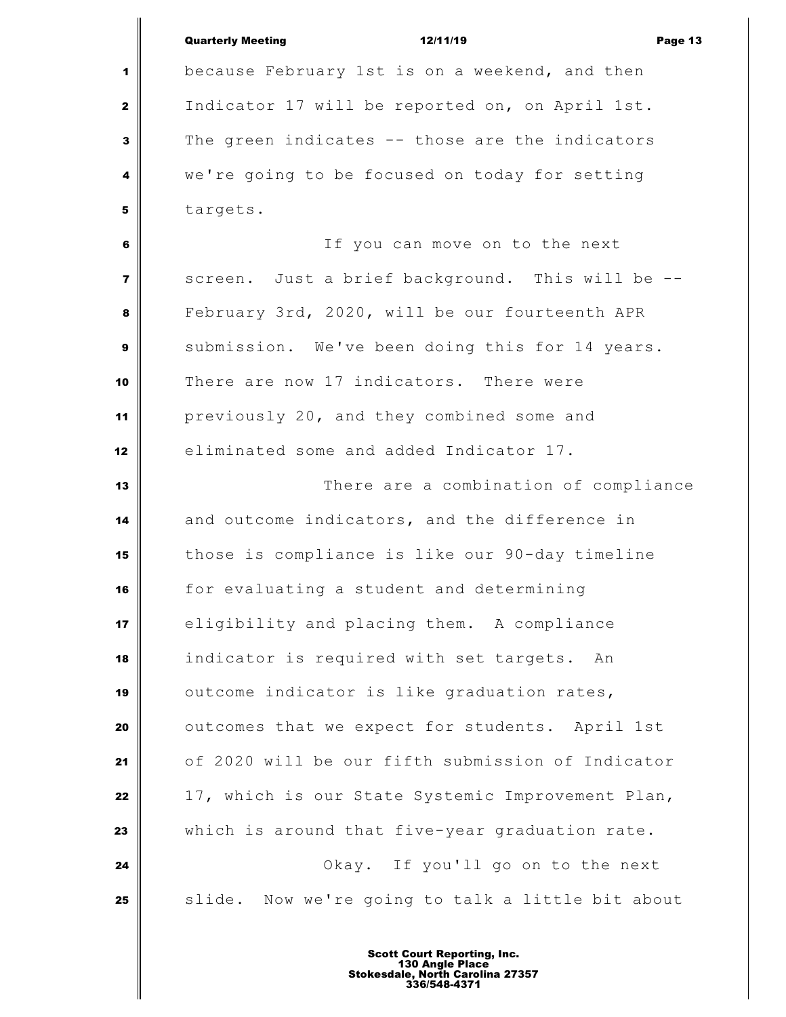|                | <b>Quarterly Meeting</b><br>12/11/19<br>Page 13   |
|----------------|---------------------------------------------------|
| 1              | because February 1st is on a weekend, and then    |
| $\mathbf{2}$   | Indicator 17 will be reported on, on April 1st.   |
| 3              | The green indicates -- those are the indicators   |
| 4              | we're going to be focused on today for setting    |
| 5              | targets.                                          |
| 6              | If you can move on to the next                    |
| $\overline{7}$ | screen. Just a brief background. This will be -   |
| 8              | February 3rd, 2020, will be our fourteenth APR    |
| 9              | submission. We've been doing this for 14 years.   |
| 10             | There are now 17 indicators. There were           |
| 11             | previously 20, and they combined some and         |
| 12             | eliminated some and added Indicator 17.           |
| 13             | There are a combination of compliance             |
| 14             | and outcome indicators, and the difference in     |
| 15             | those is compliance is like our 90-day timeline   |
| 16             | for evaluating a student and determining          |
| 17             | eligibility and placing them. A compliance        |
| 18             | indicator is required with set targets. An        |
| 19             | outcome indicator is like graduation rates,       |
| 20             | outcomes that we expect for students. April 1st   |
| 21             | of 2020 will be our fifth submission of Indicator |
| 22             | 17, which is our State Systemic Improvement Plan, |
| 23             | which is around that five-year graduation rate.   |
| 24             | Okay. If you'll go on to the next                 |
| 25             | slide. Now we're going to talk a little bit about |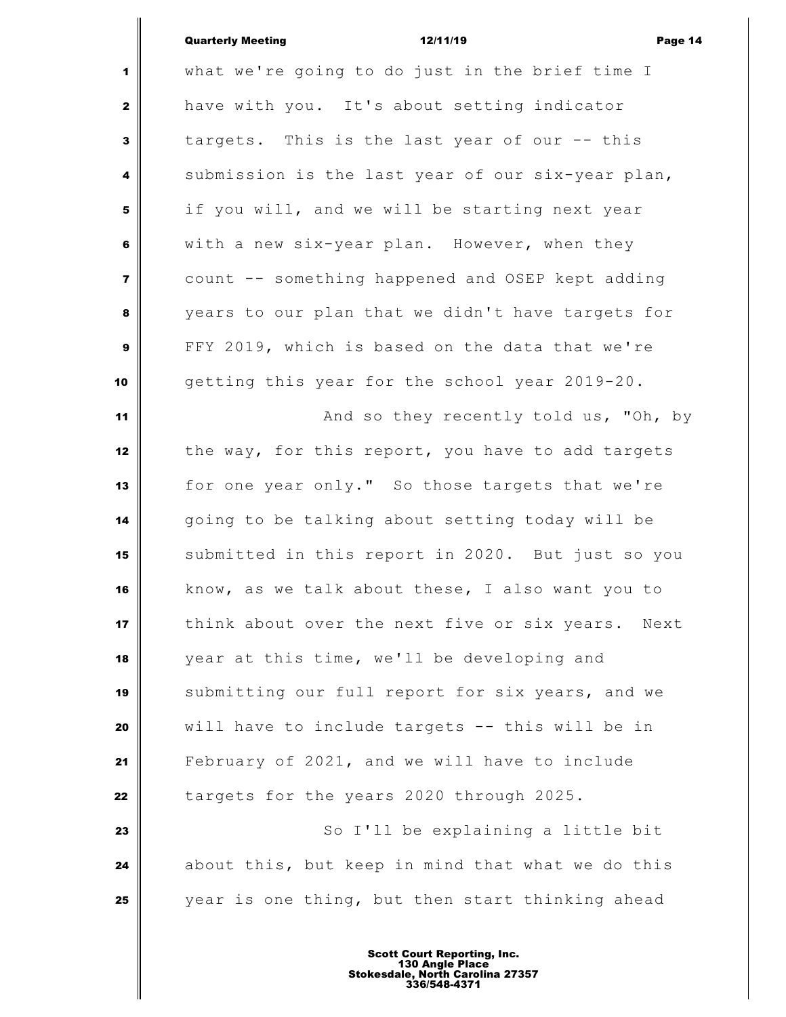| <b>Quarterly Meeting</b> | 12/11/19 | Page 14 |
|--------------------------|----------|---------|
|                          |          |         |

|                         | <b>Quarterly Meeting</b><br>12/11/19<br>Page 1       |
|-------------------------|------------------------------------------------------|
| 1                       | what we're going to do just in the brief time I      |
| $\mathbf{z}$            | have with you. It's about setting indicator          |
| $\mathbf{3}$            | targets. This is the last year of our -- this        |
| 4                       | submission is the last year of our six-year plan,    |
| 5                       | if you will, and we will be starting next year       |
| 6                       | with a new six-year plan. However, when they         |
| $\overline{\mathbf{z}}$ | count -- something happened and OSEP kept adding     |
| 8                       | years to our plan that we didn't have targets for    |
| $\mathbf{9}$            | FFY 2019, which is based on the data that we're      |
| 10                      | getting this year for the school year 2019-20.       |
| 11                      | And so they recently told us, "Oh, by                |
| 12                      | the way, for this report, you have to add targets    |
| 13                      | for one year only." So those targets that we're      |
| 14                      | going to be talking about setting today will be      |
| 15                      | submitted in this report in 2020. But just so you    |
| 16                      | know, as we talk about these, I also want you to     |
| 17                      | think about over the next five or six years.<br>Next |
| 18                      | year at this time, we'll be developing and           |
| 19                      | submitting our full report for six years, and we     |
| 20                      | will have to include targets -- this will be in      |
| 21                      | February of 2021, and we will have to include        |
| 22                      | targets for the years 2020 through 2025.             |
| 23                      | So I'll be explaining a little bit                   |
| 24                      | about this, but keep in mind that what we do this    |
| 25                      | year is one thing, but then start thinking ahead     |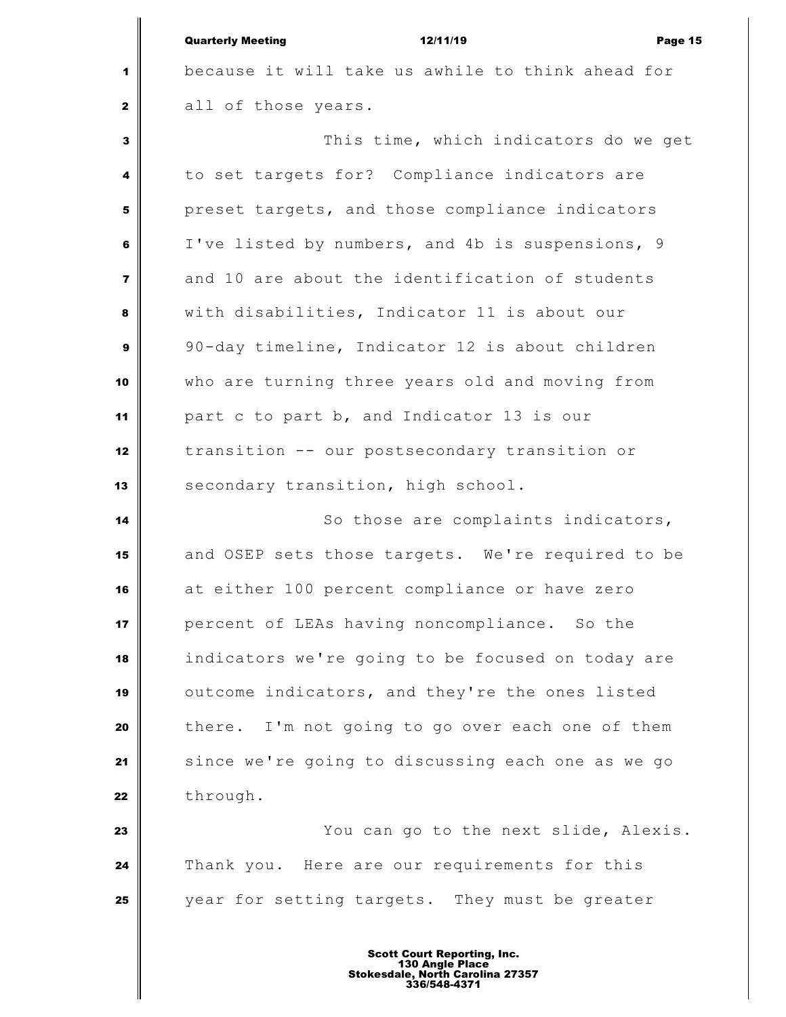|                         | <b>Quarterly Meeting</b><br>12/11/19<br>Page 15   |
|-------------------------|---------------------------------------------------|
| 1                       | because it will take us awhile to think ahead for |
| $\mathbf{2}$            | all of those years.                               |
| 3                       | This time, which indicators do we get             |
| 4                       | to set targets for? Compliance indicators are     |
| 5                       | preset targets, and those compliance indicators   |
| 6                       | I've listed by numbers, and 4b is suspensions, 9  |
| $\overline{\mathbf{z}}$ | and 10 are about the identification of students   |
| 8                       | with disabilities, Indicator 11 is about our      |
| 9                       | 90-day timeline, Indicator 12 is about children   |
| 10                      | who are turning three years old and moving from   |
| 11                      | part c to part b, and Indicator 13 is our         |
| 12                      | transition -- our postsecondary transition or     |
| 13                      | secondary transition, high school.                |
| 14                      | So those are complaints indicators,               |
| 15                      | and OSEP sets those targets. We're required to be |
| 16                      | at either 100 percent compliance or have zero     |
| 17                      | percent of LEAs having noncompliance. So the      |
| 18                      | indicators we're going to be focused on today are |
| 19                      | outcome indicators, and they're the ones listed   |
| 20                      | there. I'm not going to go over each one of them  |
| 21                      | since we're going to discussing each one as we go |
| 22                      | through.                                          |
| 23                      | You can go to the next slide, Alexis.             |
| 24                      | Thank you. Here are our requirements for this     |
| 25                      | year for setting targets. They must be greater    |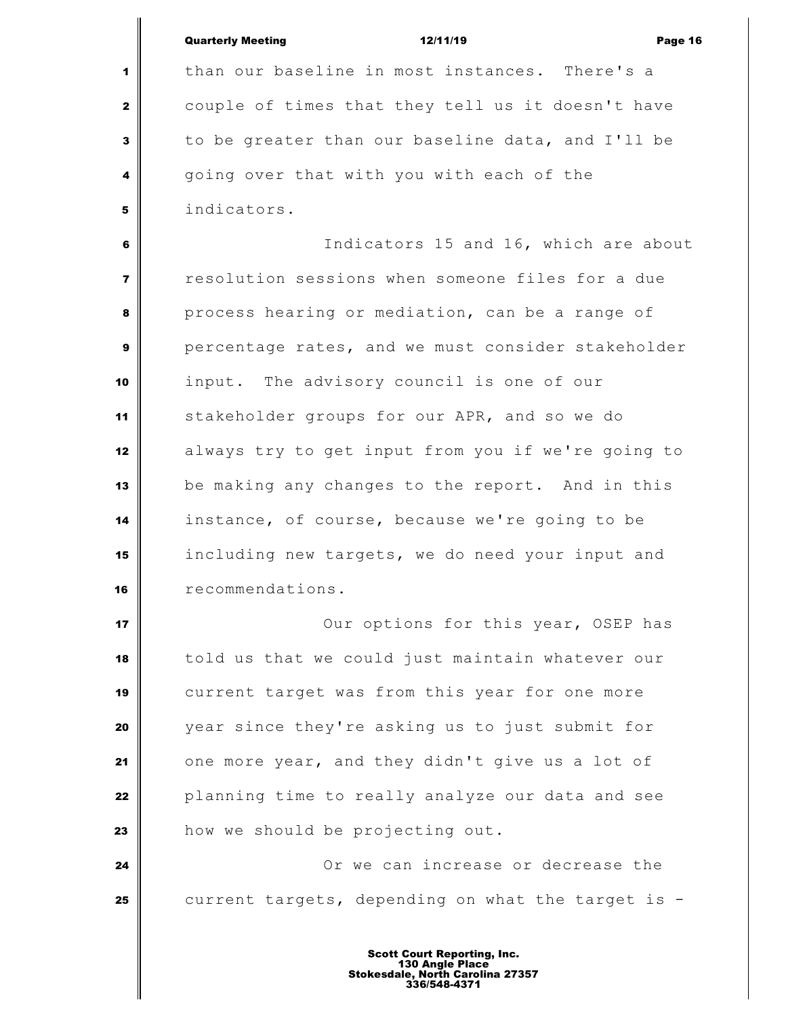|                         | <b>Quarterly Meeting</b><br>12/11/19<br>Page 16    |
|-------------------------|----------------------------------------------------|
| 1                       | than our baseline in most instances. There's a     |
| $\mathbf{2}$            | couple of times that they tell us it doesn't have  |
| $\mathbf{3}$            | to be greater than our baseline data, and I'll be  |
| 4                       | going over that with you with each of the          |
| 5                       | indicators.                                        |
| 6                       | Indicators 15 and 16, which are about              |
| $\overline{\mathbf{z}}$ | resolution sessions when someone files for a due   |
| 8                       | process hearing or mediation, can be a range of    |
| $\boldsymbol{9}$        | percentage rates, and we must consider stakeholder |
| 10                      | input. The advisory council is one of our          |
| 11                      | stakeholder groups for our APR, and so we do       |
| 12                      | always try to get input from you if we're going to |
| 13                      | be making any changes to the report. And in this   |
| 14                      | instance, of course, because we're going to be     |
| 15                      | including new targets, we do need your input and   |
| 16                      | recommendations.                                   |
| 17                      | Our options for this year, OSEP has                |
| 18                      | told us that we could just maintain whatever our   |
| 19                      | current target was from this year for one more     |
| 20                      | year since they're asking us to just submit for    |
| 21                      | one more year, and they didn't give us a lot of    |
| 22                      | planning time to really analyze our data and see   |
| 23                      | how we should be projecting out.                   |
| 24                      | Or we can increase or decrease the                 |
| 25                      | current targets, depending on what the target is - |
|                         |                                                    |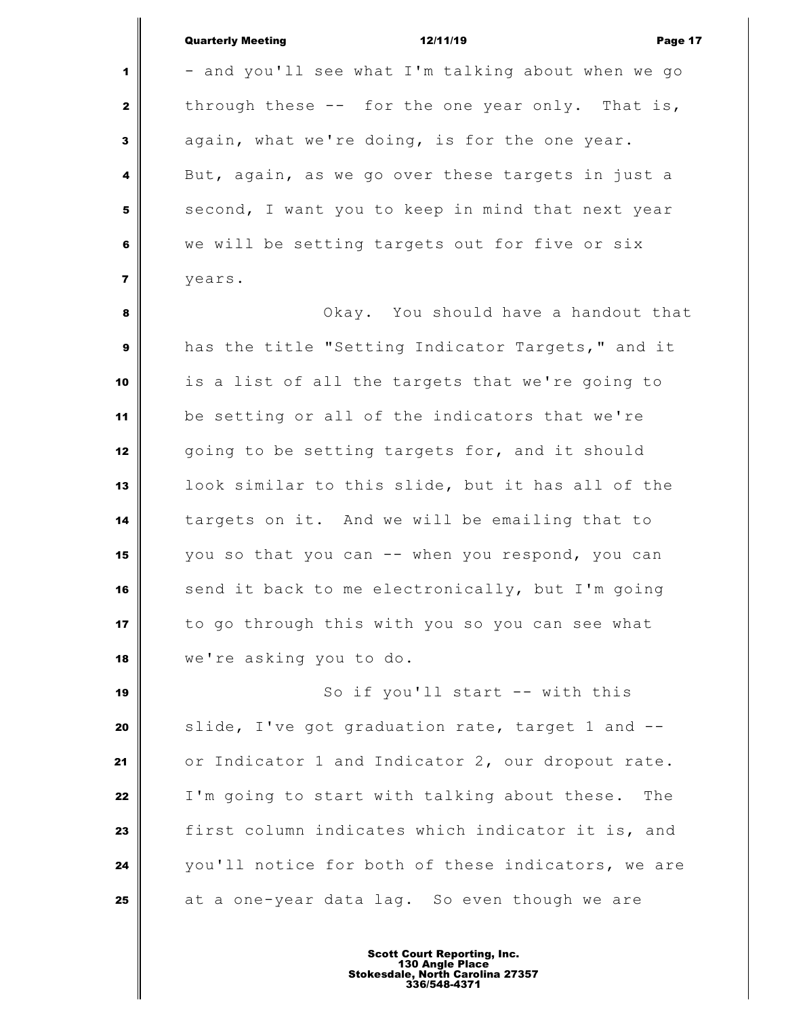| <b>Quarterly Meeting</b> |  |
|--------------------------|--|
|                          |  |

Quarterly Meeting 12/11/19 Page 17 - and you'll see what I'm talking about when we go through these -- for the one year only. That is, again, what we're doing, is for the one year. But, again, as we go over these targets in just a second, I want you to keep in mind that next year we will be setting targets out for five or six years. Okay. You should have a handout that has the title "Setting Indicator Targets," and it is a list of all the targets that we're going to be setting or all of the indicators that we're 12 going to be setting targets for, and it should look similar to this slide, but it has all of the targets on it. And we will be emailing that to you so that you can -- when you respond, you can send it back to me electronically, but I'm going to go through this with you so you can see what we're asking you to do. So if you'll start -- with this Slide, I've got graduation rate, target 1 and --or Indicator 1 and Indicator 2, our dropout rate.

 I'm going to start with talking about these. The first column indicates which indicator it is, and you'll notice for both of these indicators, we are at a one-year data lag. So even though we are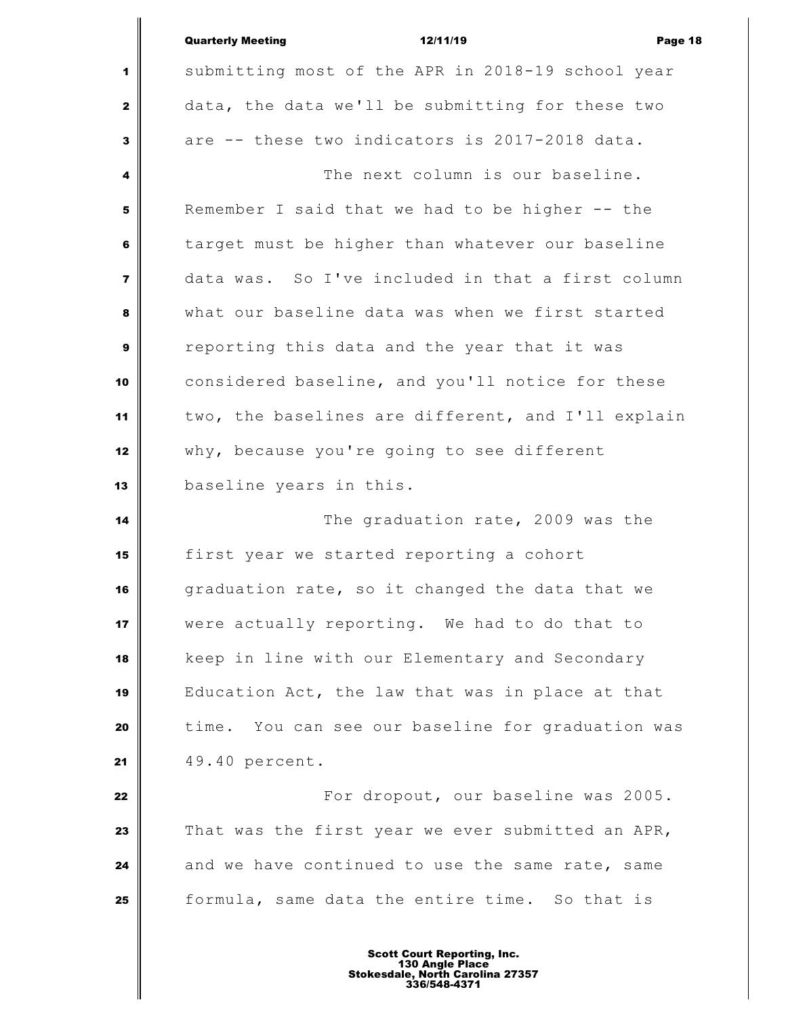|                         | <b>Quarterly Meeting</b><br>12/11/19<br>Page 18    |  |
|-------------------------|----------------------------------------------------|--|
| 1                       | submitting most of the APR in 2018-19 school year  |  |
| $\mathbf{2}$            | data, the data we'll be submitting for these two   |  |
| $\mathbf{3}$            | are -- these two indicators is 2017-2018 data.     |  |
| 4                       | The next column is our baseline.                   |  |
| 5                       | Remember I said that we had to be higher -- the    |  |
| 6                       | target must be higher than whatever our baseline   |  |
| $\overline{\mathbf{z}}$ | data was. So I've included in that a first column  |  |
| 8                       | what our baseline data was when we first started   |  |
| $\boldsymbol{9}$        | reporting this data and the year that it was       |  |
| 10                      | considered baseline, and you'll notice for these   |  |
| 11                      | two, the baselines are different, and I'll explain |  |
| 12                      | why, because you're going to see different         |  |
| 13                      | baseline years in this.                            |  |
| 14                      | The graduation rate, 2009 was the                  |  |
| 15                      | first year we started reporting a cohort           |  |
| 16                      | graduation rate, so it changed the data that we    |  |
| 17                      | were actually reporting. We had to do that to      |  |
| 18                      | keep in line with our Elementary and Secondary     |  |
| 19                      | Education Act, the law that was in place at that   |  |
| 20                      | time. You can see our baseline for graduation was  |  |
| 21                      | 49.40 percent.                                     |  |
| 22                      | For dropout, our baseline was 2005.                |  |
| 23                      | That was the first year we ever submitted an APR,  |  |
| 24                      | and we have continued to use the same rate, same   |  |
| 25                      | formula, same data the entire time. So that is     |  |
|                         |                                                    |  |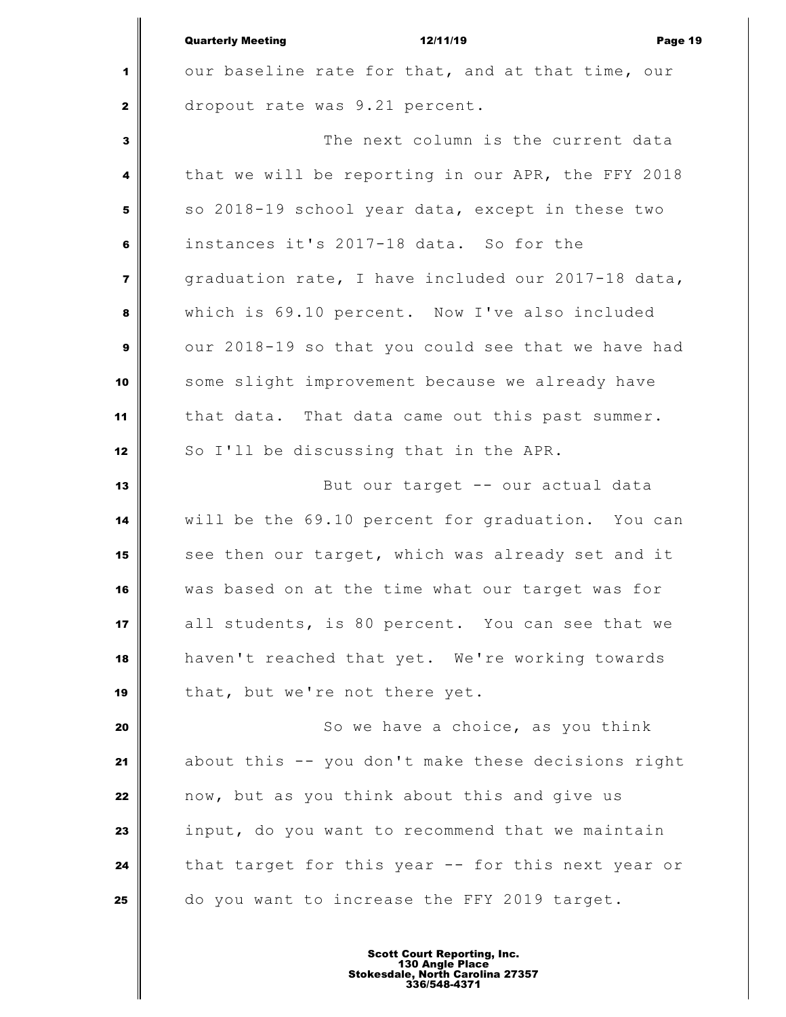| <b>Quarterly Meeting</b> | 12/11/19 | Page 19 |
|--------------------------|----------|---------|
|                          |          |         |

| $1 \parallel$ |  |  |  | our baseline rate for that, and at that time, our |  |  |  |
|---------------|--|--|--|---------------------------------------------------|--|--|--|
| 2             |  |  |  | dropout rate was 9.21 percent.                    |  |  |  |

 The next column is the current data that we will be reporting in our APR, the FFY 2018 so 2018-19 school year data, except in these two instances it's 2017-18 data. So for the graduation rate, I have included our 2017-18 data, which is 69.10 percent. Now I've also included our 2018-19 so that you could see that we have had some slight improvement because we already have that data. That data came out this past summer. 12 So I'll be discussing that in the APR.

 But our target -- our actual data will be the 69.10 percent for graduation. You can see then our target, which was already set and it was based on at the time what our target was for all students, is 80 percent. You can see that we haven't reached that yet. We're working towards 19 | that, but we're not there yet.

 So we have a choice, as you think about this -- you don't make these decisions right now, but as you think about this and give us input, do you want to recommend that we maintain that target for this year -- for this next year or do you want to increase the FFY 2019 target.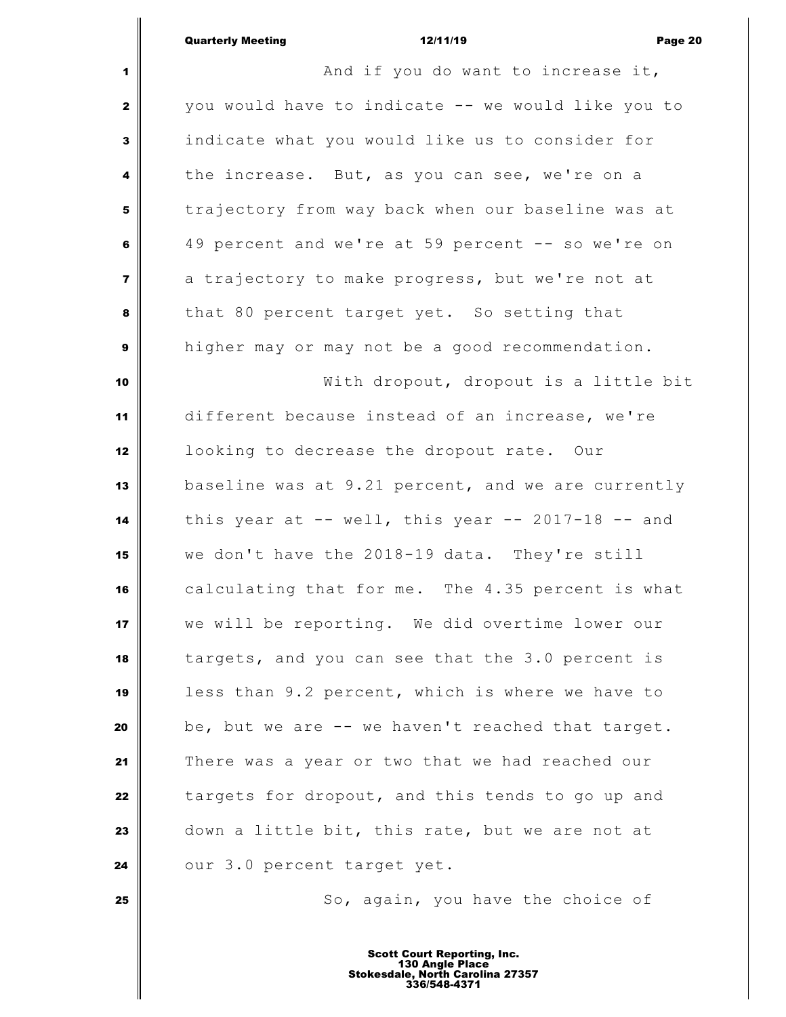| Quarterly Meeting |  |
|-------------------|--|

|                         | 12/11/19<br><b>Quarterly Meeting</b><br>Page 20         |
|-------------------------|---------------------------------------------------------|
| 1                       | And if you do want to increase it,                      |
| $\mathbf{z}$            | you would have to indicate -- we would like you to      |
| 3                       | indicate what you would like us to consider for         |
| 4                       | the increase. But, as you can see, we're on a           |
| 5                       | trajectory from way back when our baseline was at       |
| 6                       | 49 percent and we're at 59 percent -- so we're on       |
| $\overline{\mathbf{z}}$ | a trajectory to make progress, but we're not at         |
| 8                       | that 80 percent target yet. So setting that             |
| 9                       | higher may or may not be a good recommendation.         |
| 10                      | With dropout, dropout is a little bit                   |
| 11                      | different because instead of an increase, we're         |
| 12                      | looking to decrease the dropout rate. Our               |
| 13                      | baseline was at 9.21 percent, and we are currently      |
| 14                      | this year at $--$ well, this year $--$ 2017-18 $--$ and |
| 15                      | we don't have the 2018-19 data. They're still           |
| 16                      | calculating that for me. The 4.35 percent is what       |
| 17                      | we will be reporting. We did overtime lower our         |
| 18                      | targets, and you can see that the 3.0 percent is        |
| 19                      | less than 9.2 percent, which is where we have to        |
| 20                      | be, but we are -- we haven't reached that target.       |
| 21                      | There was a year or two that we had reached our         |
| 22                      | targets for dropout, and this tends to go up and        |
| 23                      | down a little bit, this rate, but we are not at         |
| 24                      | our 3.0 percent target yet.                             |
| 25                      | So, again, you have the choice of                       |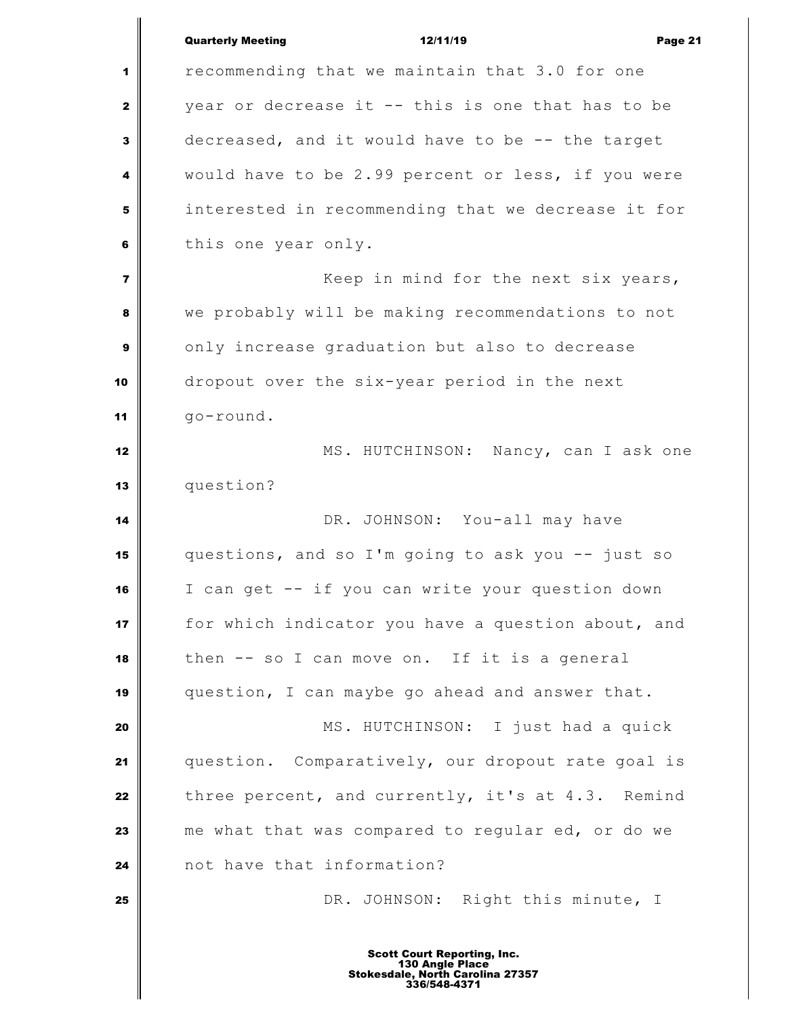|                | <b>Quarterly Meeting</b><br>12/11/19<br>Page 21    |
|----------------|----------------------------------------------------|
| 1              | recommending that we maintain that 3.0 for one     |
|                |                                                    |
| $\mathbf{2}$   | year or decrease it -- this is one that has to be  |
| 3              | decreased, and it would have to be -- the target   |
| 4              | would have to be 2.99 percent or less, if you were |
| 5              | interested in recommending that we decrease it for |
| 6              | this one year only.                                |
| $\overline{7}$ | Keep in mind for the next six years,               |
| 8              | we probably will be making recommendations to not  |
| $\mathbf{9}$   | only increase graduation but also to decrease      |
| 10             | dropout over the six-year period in the next       |
| 11             | go-round.                                          |
| 12             | MS. HUTCHINSON: Nancy, can I ask one               |
| 13             | question?                                          |
| 14             | DR. JOHNSON: You-all may have                      |
| 15             | questions, and so I'm going to ask you -- just so  |
| 16             | I can get -- if you can write your question down   |
| 17             | for which indicator you have a question about, and |
| 18             | then -- so I can move on. If it is a general       |
| 19             | question, I can maybe go ahead and answer that.    |
| 20             | MS. HUTCHINSON: I just had a quick                 |
| 21             | question. Comparatively, our dropout rate goal is  |
| 22             | three percent, and currently, it's at 4.3. Remind  |
| 23             | me what that was compared to regular ed, or do we  |
| 24             | not have that information?                         |
| 25             | DR. JOHNSON: Right this minute, I                  |
|                |                                                    |
|                | <b>Scott Court Reporting, Inc.</b>                 |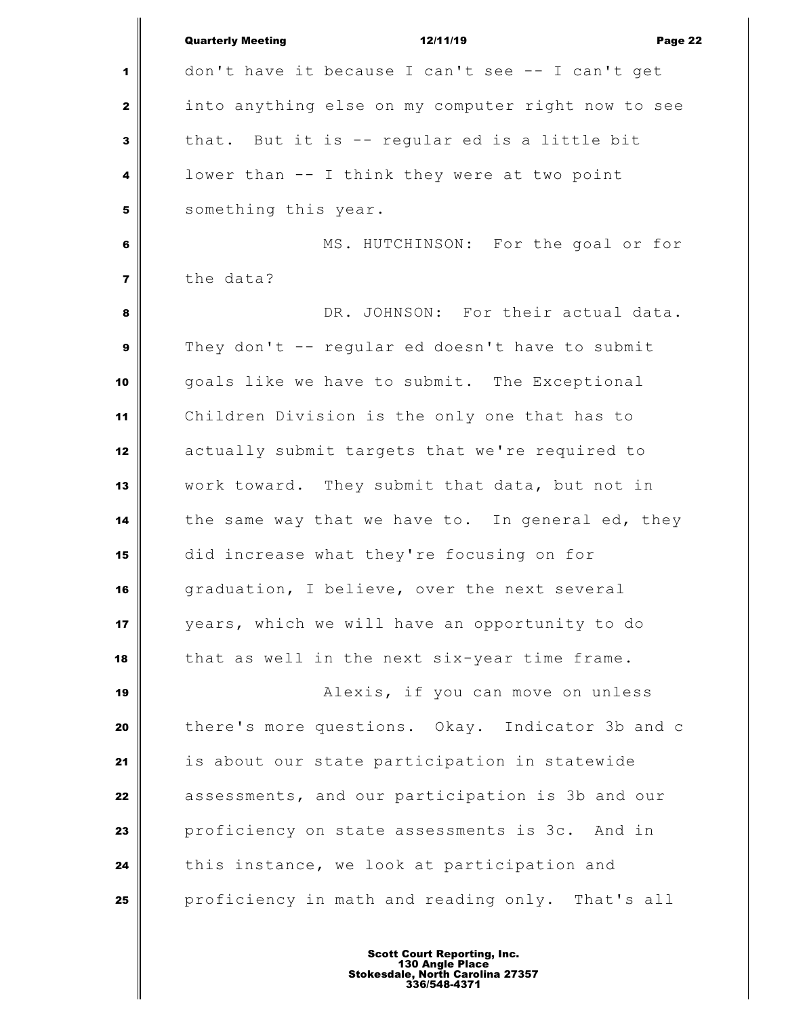|                         | <b>Quarterly Meeting</b><br>12/11/19<br>Page 22    |
|-------------------------|----------------------------------------------------|
| 1                       | don't have it because I can't see -- I can't get   |
| $\mathbf{2}$            | into anything else on my computer right now to see |
| 3                       | that. But it is -- regular ed is a little bit      |
| 4                       | lower than -- I think they were at two point       |
| 5                       | something this year.                               |
| 6                       | MS. HUTCHINSON: For the goal or for                |
| $\overline{\mathbf{z}}$ | the data?                                          |
| 8                       | DR. JOHNSON: For their actual data.                |
| 9                       | They don't -- regular ed doesn't have to submit    |
| 10                      | goals like we have to submit. The Exceptional      |
| 11                      | Children Division is the only one that has to      |
| 12                      | actually submit targets that we're required to     |
| 13                      | work toward. They submit that data, but not in     |
| 14                      | the same way that we have to. In general ed, they  |
| 15                      | did increase what they're focusing on for          |
| 16                      | graduation, I believe, over the next several       |
| 17                      | years, which we will have an opportunity to do     |
| 18                      | that as well in the next six-year time frame.      |
| 19                      | Alexis, if you can move on unless                  |
| 20                      | there's more questions. Okay. Indicator 3b and c   |
| 21                      | is about our state participation in statewide      |
| 22                      | assessments, and our participation is 3b and our   |
| 23                      | proficiency on state assessments is 3c. And in     |
| 24                      | this instance, we look at participation and        |
| 25                      | proficiency in math and reading only. That's all   |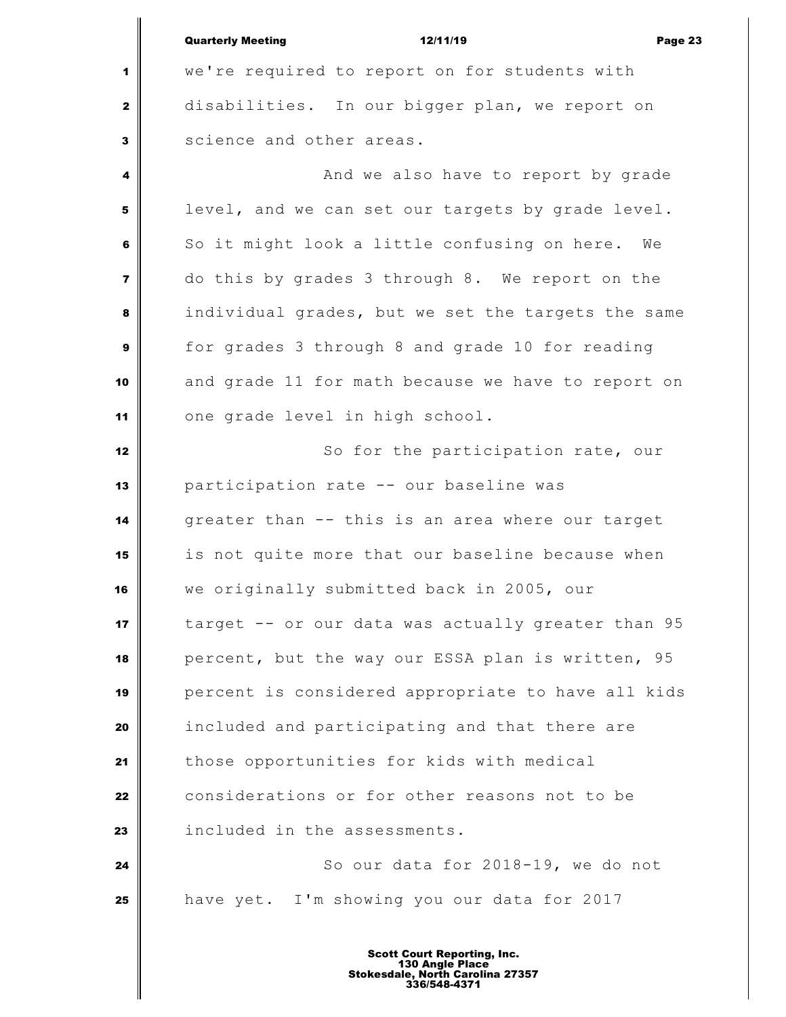Quarterly Meeting 12/11/19 Page 23 we're required to report on for students with disabilities. In our bigger plan, we report on science and other areas. **And we also have to report by grade**  level, and we can set our targets by grade level. So it might look a little confusing on here. We do this by grades 3 through 8. We report on the individual grades, but we set the targets the same for grades 3 through 8 and grade 10 for reading and grade 11 for math because we have to report on one grade level in high school. So for the participation rate, our participation rate -- our baseline was greater than -- this is an area where our target is not quite more that our baseline because when we originally submitted back in 2005, our target -- or our data was actually greater than 95 percent, but the way our ESSA plan is written, 95 percent is considered appropriate to have all kids included and participating and that there are those opportunities for kids with medical considerations or for other reasons not to be **included in the assessments.**   $\parallel$  So our data for 2018-19, we do not have yet. I'm showing you our data for 2017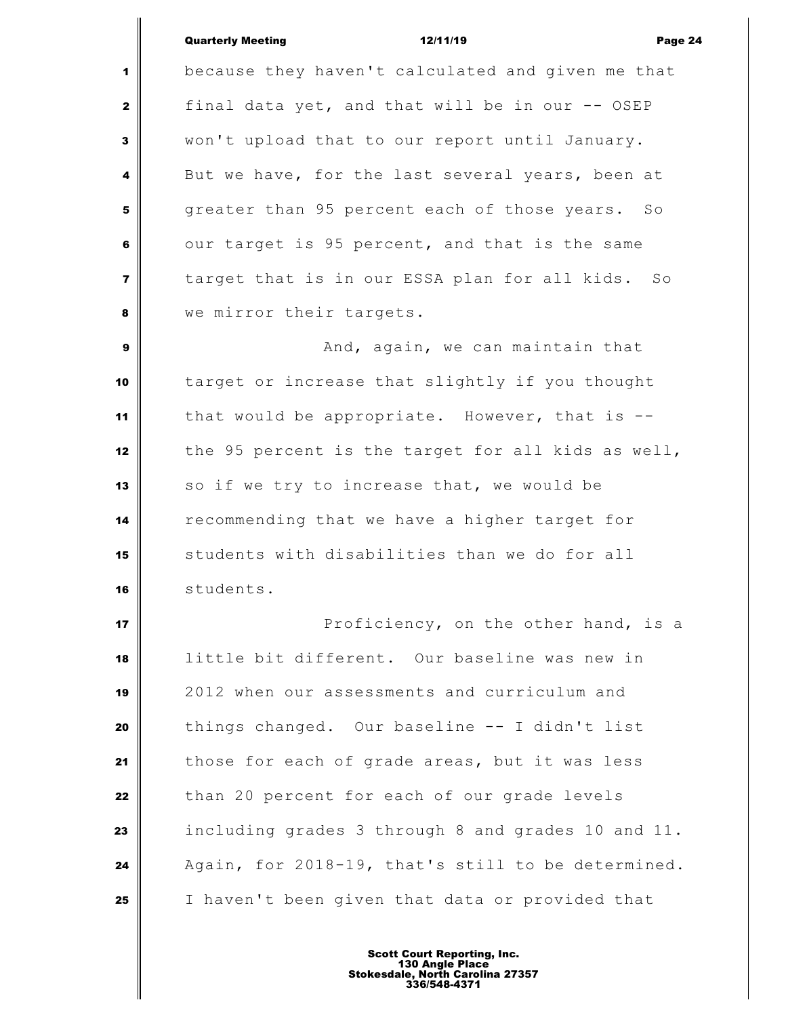## Quarterly Meeting 12/11/19 Page 24

 because they haven't calculated and given me that final data yet, and that will be in our -- OSEP won't upload that to our report until January. But we have, for the last several years, been at greater than 95 percent each of those years. So our target is 95 percent, and that is the same target that is in our ESSA plan for all kids. So we mirror their targets.

 **And, again, we can maintain that**  target or increase that slightly if you thought that would be appropriate. However, that is -- the 95 percent is the target for all kids as well, 13 | so if we try to increase that, we would be recommending that we have a higher target for students with disabilities than we do for all students.

 **Proficiency, on the other hand, is a**  little bit different. Our baseline was new in 2012 when our assessments and curriculum and things changed. Our baseline -- I didn't list those for each of grade areas, but it was less than 20 percent for each of our grade levels including grades 3 through 8 and grades 10 and 11. Again, for 2018-19, that's still to be determined. I haven't been given that data or provided that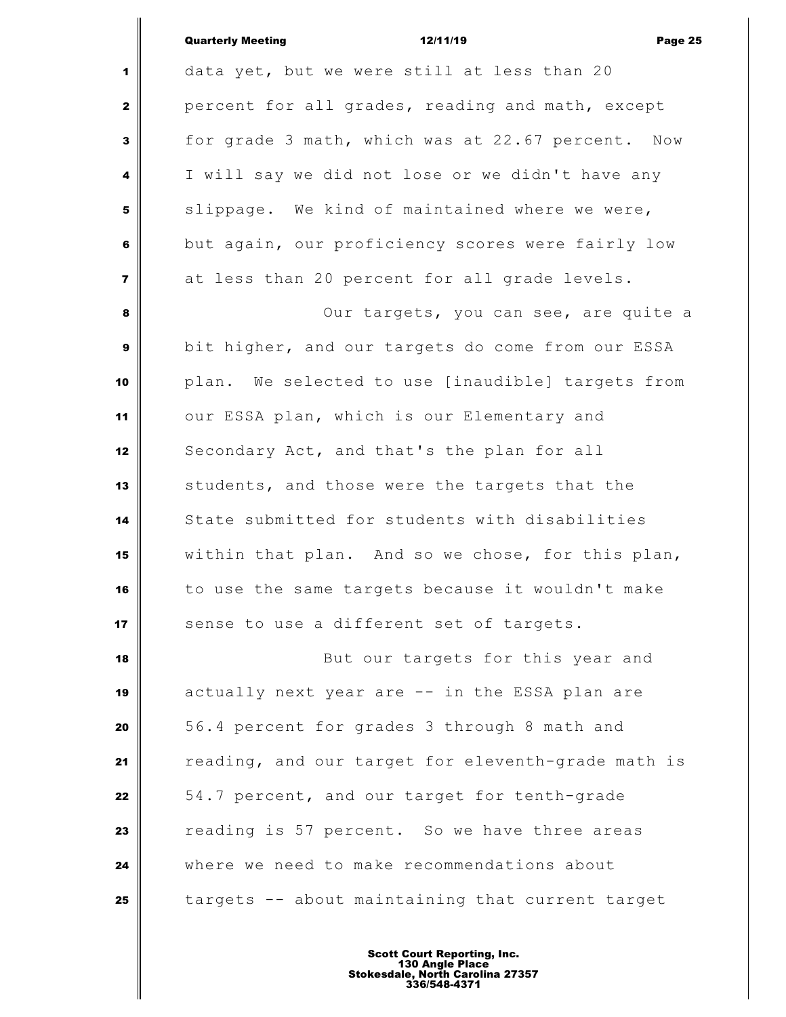| <b>Quarterly Meeting</b> | 12/11/19 | Page 25 |
|--------------------------|----------|---------|
|                          |          |         |

 data yet, but we were still at less than 20 percent for all grades, reading and math, except for grade 3 math, which was at 22.67 percent. Now I will say we did not lose or we didn't have any slippage. We kind of maintained where we were, but again, our proficiency scores were fairly low at less than 20 percent for all grade levels. Our targets, you can see, are quite a bit higher, and our targets do come from our ESSA plan. We selected to use [inaudible] targets from our ESSA plan, which is our Elementary and 12 Secondary Act, and that's the plan for all students, and those were the targets that the State submitted for students with disabilities within that plan. And so we chose, for this plan, to use the same targets because it wouldn't make sense to use a different set of targets. But our targets for this year and actually next year are -- in the ESSA plan are 56.4 percent for grades 3 through 8 math and reading, and our target for eleventh-grade math is 54.7 percent, and our target for tenth-grade reading is 57 percent. So we have three areas where we need to make recommendations about targets -- about maintaining that current target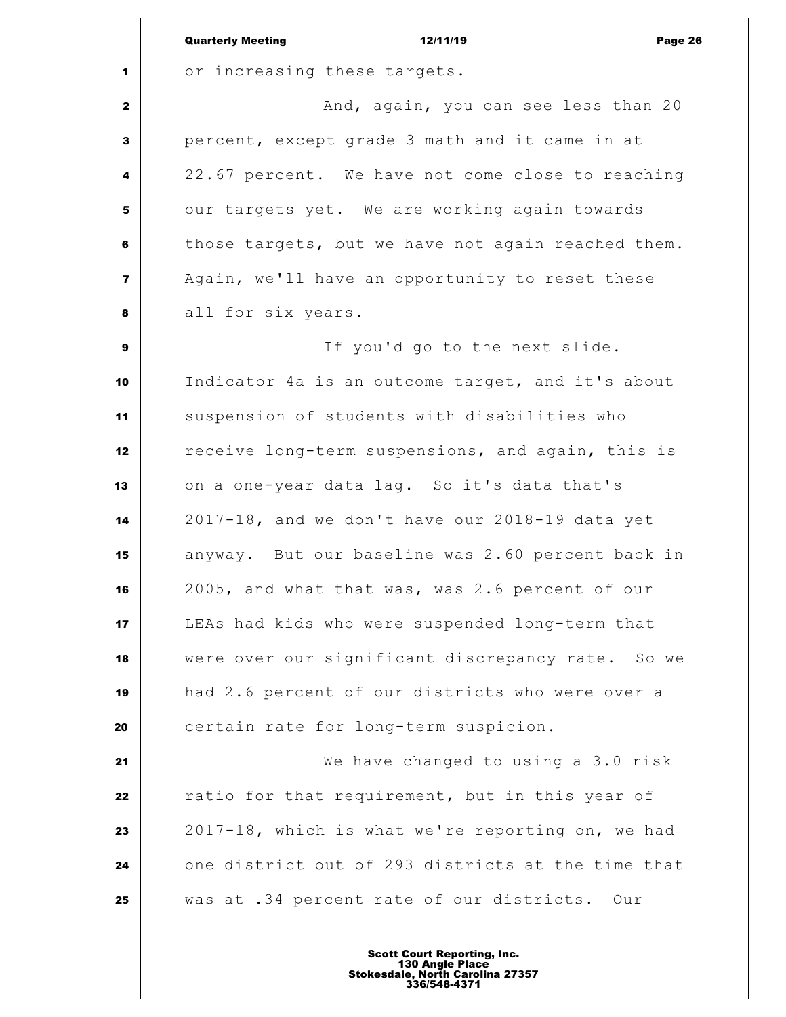|                         | <b>Quarterly Meeting</b><br>12/11/19<br>Page 26    |
|-------------------------|----------------------------------------------------|
| 1                       | or increasing these targets.                       |
| $\mathbf{z}$            | And, again, you can see less than 20               |
| 3                       | percent, except grade 3 math and it came in at     |
| 4                       | 22.67 percent. We have not come close to reaching  |
| 5                       | our targets yet. We are working again towards      |
| 6                       | those targets, but we have not again reached them. |
| $\overline{\mathbf{z}}$ | Again, we'll have an opportunity to reset these    |
| 8                       | all for six years.                                 |
| 9                       | If you'd go to the next slide.                     |
| 10                      | Indicator 4a is an outcome target, and it's about  |
| 11                      | suspension of students with disabilities who       |
| 12                      | receive long-term suspensions, and again, this is  |
| 13                      | on a one-year data lag. So it's data that's        |
| 14                      | 2017-18, and we don't have our 2018-19 data yet    |
| 15                      | anyway. But our baseline was 2.60 percent back in  |
| 16                      | 2005, and what that was, was 2.6 percent of our    |
| 17                      | LEAs had kids who were suspended long-term that    |
| 18                      | were over our significant discrepancy rate. So we  |
| 19                      | had 2.6 percent of our districts who were over a   |
| 20                      | certain rate for long-term suspicion.              |
| 21                      | We have changed to using a 3.0 risk                |
| 22                      | ratio for that requirement, but in this year of    |
| 23                      | 2017-18, which is what we're reporting on, we had  |
| 24                      | one district out of 293 districts at the time that |
| 25                      | was at .34 percent rate of our districts. Our      |
|                         |                                                    |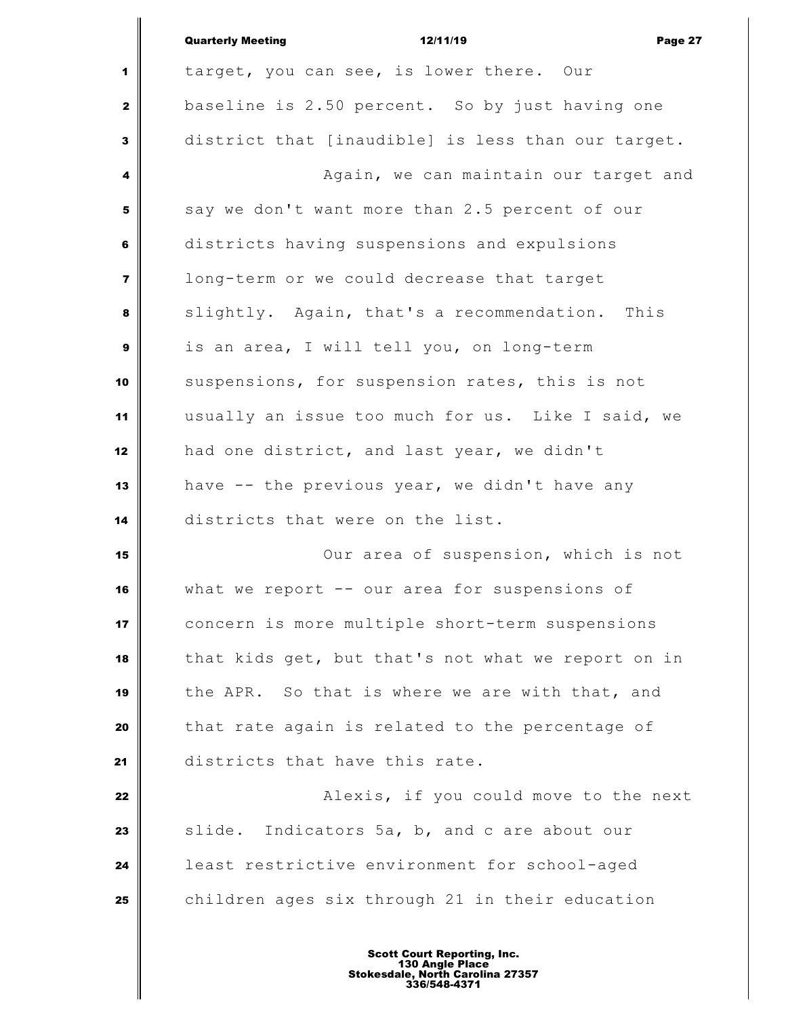|                | <b>Quarterly Meeting</b><br>12/11/19<br>Page 27    |
|----------------|----------------------------------------------------|
| 1              | target, you can see, is lower there. Our           |
| $\mathbf{2}$   | baseline is 2.50 percent. So by just having one    |
| 3              | district that [inaudible] is less than our target. |
| 4              | Again, we can maintain our target and              |
| 5              | say we don't want more than 2.5 percent of our     |
| 6              | districts having suspensions and expulsions        |
| $\overline{7}$ | long-term or we could decrease that target         |
| 8              | slightly. Again, that's a recommendation. This     |
| $\mathbf{9}$   | is an area, I will tell you, on long-term          |
| 10             | suspensions, for suspension rates, this is not     |
| 11             | usually an issue too much for us. Like I said, we  |
| 12             | had one district, and last year, we didn't         |
| 13             | have -- the previous year, we didn't have any      |
| 14             | districts that were on the list.                   |
| 15             | Our area of suspension, which is not               |
| 16             | what we report $--$ our area for suspensions of    |
| 17             | concern is more multiple short-term suspensions    |
| 18             | that kids get, but that's not what we report on in |
| 19             | the APR. So that is where we are with that, and    |
| 20             | that rate again is related to the percentage of    |
| 21             | districts that have this rate.                     |
| 22             | Alexis, if you could move to the next              |
| 23             | slide. Indicators 5a, b, and c are about our       |
| 24             | least restrictive environment for school-aged      |
| 25             | children ages six through 21 in their education    |
|                |                                                    |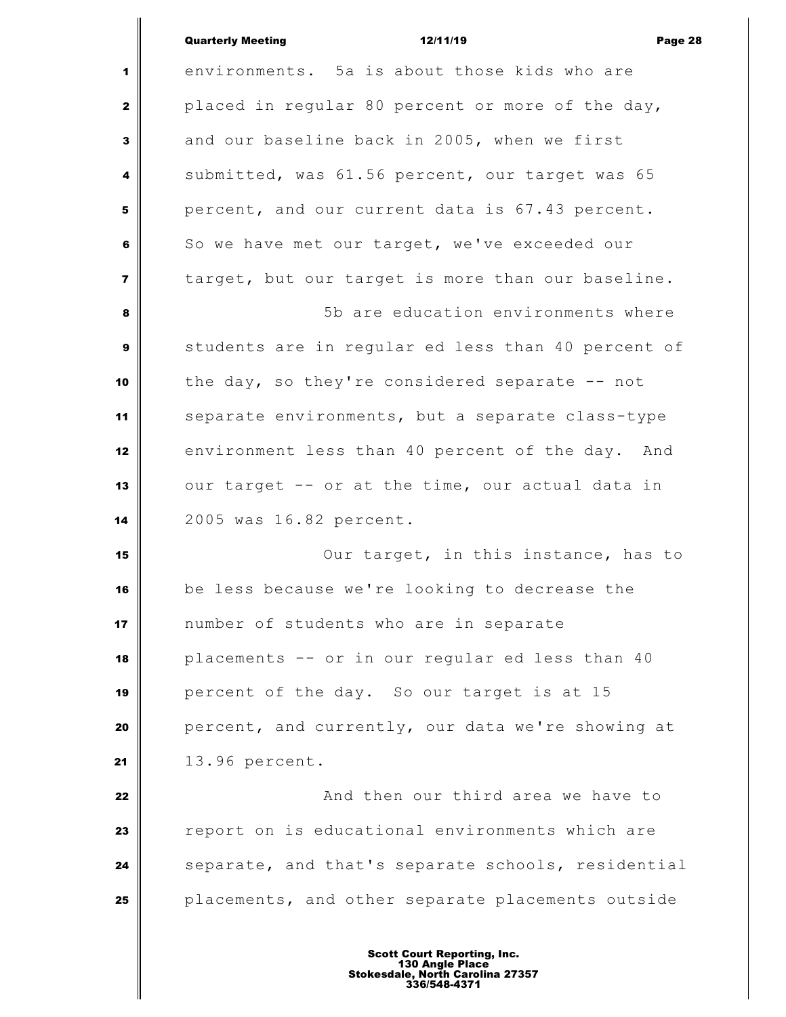|                         | <b>Quarterly Meeting</b><br>12/11/19<br>Page 28    |
|-------------------------|----------------------------------------------------|
| 1                       | environments. 5a is about those kids who are       |
| $\mathbf{2}$            | placed in regular 80 percent or more of the day,   |
| $\mathbf{3}$            | and our baseline back in 2005, when we first       |
| 4                       | submitted, was 61.56 percent, our target was 65    |
| 5                       | percent, and our current data is 67.43 percent.    |
| 6                       | So we have met our target, we've exceeded our      |
| $\overline{\mathbf{z}}$ | target, but our target is more than our baseline.  |
| 8                       | 5b are education environments where                |
| $\boldsymbol{9}$        | students are in regular ed less than 40 percent of |
| 10                      | the day, so they're considered separate $-$ not    |
| 11                      | separate environments, but a separate class-type   |
| 12                      | environment less than 40 percent of the day. And   |
| 13                      | our target -- or at the time, our actual data in   |
| 14                      | 2005 was 16.82 percent.                            |
| 15                      | Our target, in this instance, has to               |
| 16                      | be less because we're looking to decrease the      |
| 17                      | number of students who are in separate             |
| 18                      | placements -- or in our regular ed less than 40    |
| 19                      | percent of the day. So our target is at 15         |
| 20                      | percent, and currently, our data we're showing at  |
| 21                      | 13.96 percent.                                     |
| 22                      | And then our third area we have to                 |
| 23                      | report on is educational environments which are    |
| 24                      | separate, and that's separate schools, residential |

**placements, and other separate placements outside**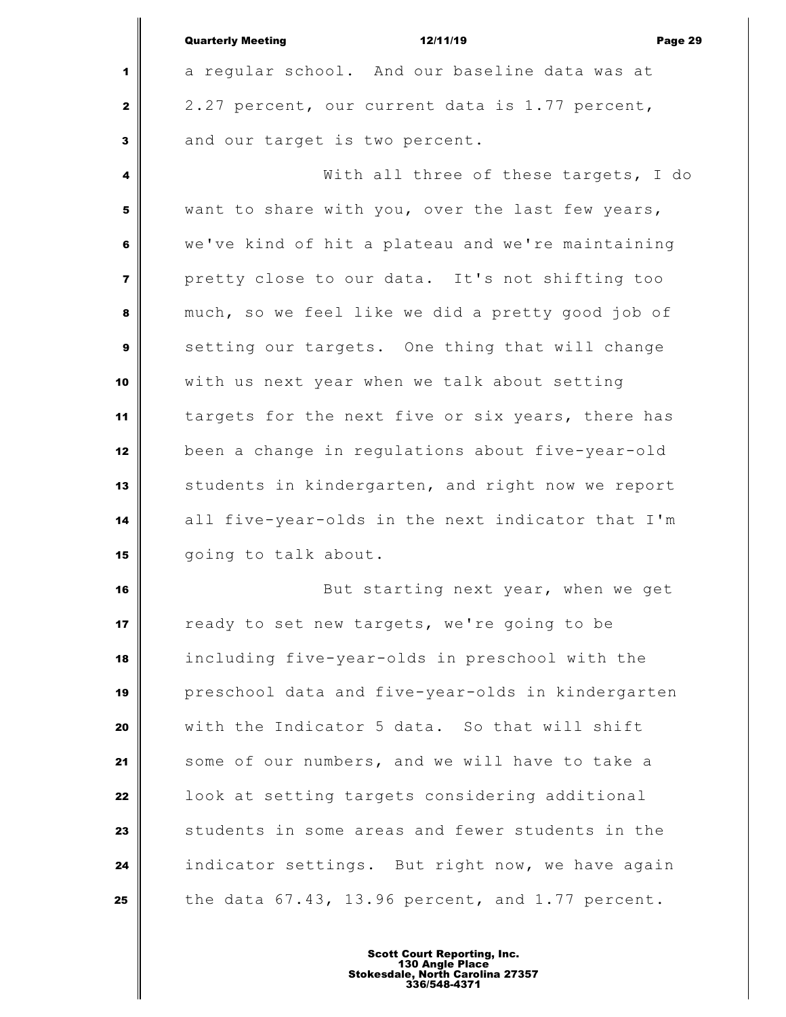|                         | 12/11/19<br><b>Quarterly Meeting</b><br>Page 29   |
|-------------------------|---------------------------------------------------|
| 1                       | a regular school. And our baseline data was at    |
| $\mathbf{z}$            | 2.27 percent, our current data is 1.77 percent,   |
| 3                       | and our target is two percent.                    |
| $\overline{\mathbf{4}}$ | With all three of these targets, I do             |
| 5                       | want to share with you, over the last few years,  |
| 6                       | we've kind of hit a plateau and we're maintaining |
| $\overline{7}$          | pretty close to our data. It's not shifting too   |
| 8                       | much, so we feel like we did a pretty good job of |
| $\mathbf{9}$            | setting our targets. One thing that will change   |
| 10                      | with us next year when we talk about setting      |
| 11                      | targets for the next five or six years, there has |
| 12                      | been a change in regulations about five-year-old  |
| 13                      | students in kindergarten, and right now we report |
| 14                      | all five-year-olds in the next indicator that I'm |
| 15                      | going to talk about.                              |

 $\mathbf{u}$ 

 But starting next year, when we get **T** ready to set new targets, we're going to be including five-year-olds in preschool with the preschool data and five-year-olds in kindergarten with the Indicator 5 data. So that will shift some of our numbers, and we will have to take a **l** look at setting targets considering additional students in some areas and fewer students in the indicator settings. But right now, we have again the data  $67.43$ , 13.96 percent, and 1.77 percent.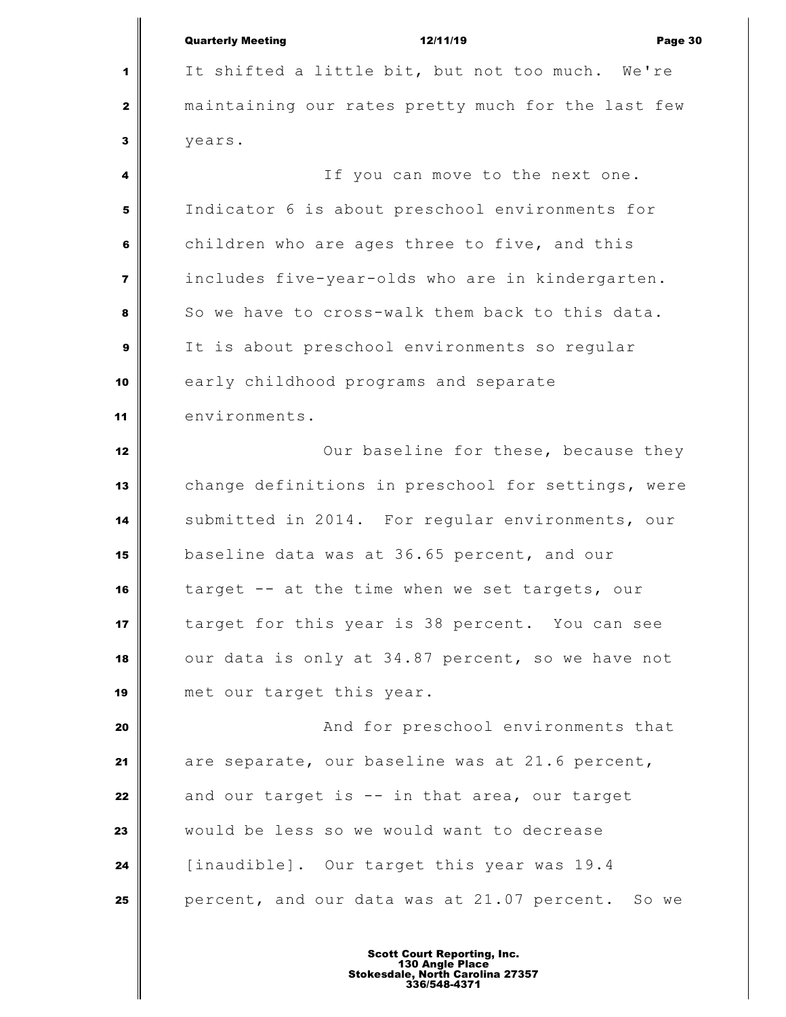|                         | <b>Quarterly Meeting</b><br>12/11/19<br>Page 30    |
|-------------------------|----------------------------------------------------|
| 1                       | It shifted a little bit, but not too much. We're   |
| $\mathbf{2}$            | maintaining our rates pretty much for the last few |
| 3                       | years.                                             |
| 4                       | If you can move to the next one.                   |
| 5                       | Indicator 6 is about preschool environments for    |
| 6                       | children who are ages three to five, and this      |
| $\overline{\mathbf{z}}$ | includes five-year-olds who are in kindergarten.   |
| 8                       | So we have to cross-walk them back to this data.   |
| 9                       | It is about preschool environments so regular      |
| 10                      | early childhood programs and separate              |
| 11                      | environments.                                      |
| 12                      | Our baseline for these, because they               |
| 13                      | change definitions in preschool for settings, were |
| 14                      | submitted in 2014. For regular environments, our   |
| 15                      | baseline data was at 36.65 percent, and our        |
| 16                      | target -- at the time when we set targets, our     |
| 17                      | target for this year is 38 percent. You can see    |
| 18                      | our data is only at 34.87 percent, so we have not  |
| 19                      | met our target this year.                          |
| 20                      | And for preschool environments that                |
| 21                      | are separate, our baseline was at 21.6 percent,    |
| 22                      | and our target is -- in that area, our target      |
| 23                      | would be less so we would want to decrease         |
| 24                      | [inaudible]. Our target this year was 19.4         |
| 25                      | percent, and our data was at 21.07 percent. So we  |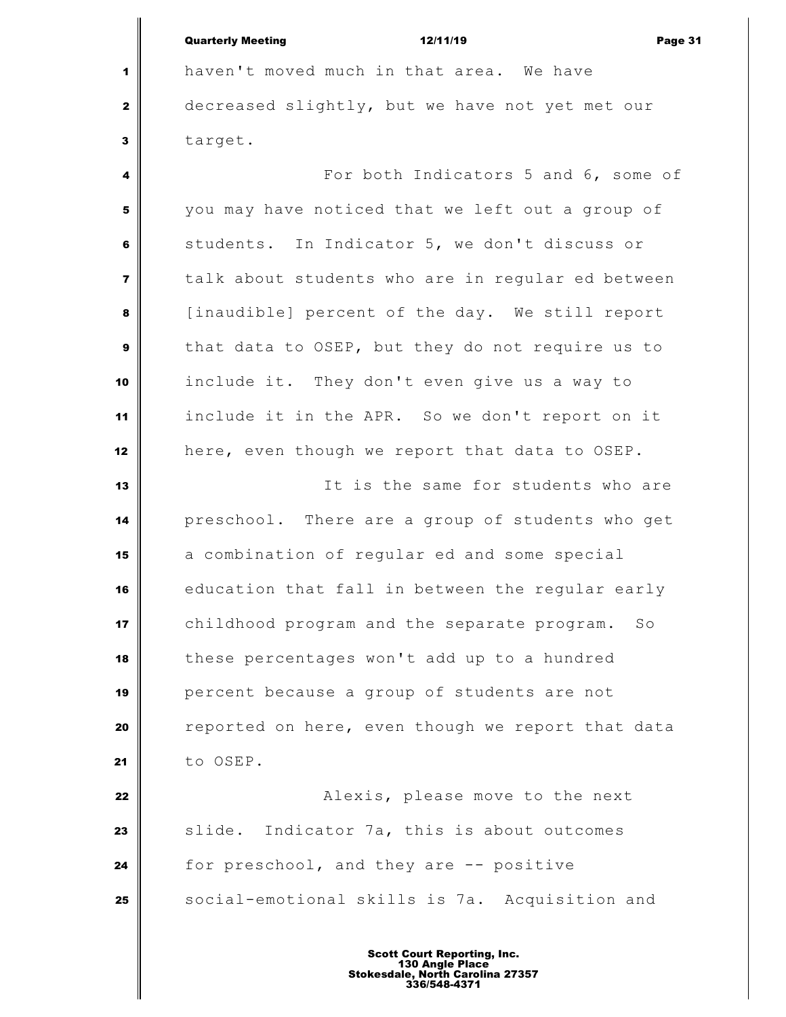Quarterly Meeting 12/11/19 Page 31

 haven't moved much in that area. We have decreased slightly, but we have not yet met our target.

 **For both Indicators 5 and 6, some of**  you may have noticed that we left out a group of students. In Indicator 5, we don't discuss or talk about students who are in regular ed between [inaudible] percent of the day. We still report that data to OSEP, but they do not require us to include it. They don't even give us a way to include it in the APR. So we don't report on it here, even though we report that data to OSEP.

 It is the same for students who are preschool. There are a group of students who get a combination of regular ed and some special education that fall in between the regular early childhood program and the separate program. So these percentages won't add up to a hundred percent because a group of students are not reported on here, even though we report that data to OSEP.

 **Alexis, please move to the next**  Slide. Indicator 7a, this is about outcomes for preschool, and they are -- positive Social-emotional skills is 7a. Acquisition and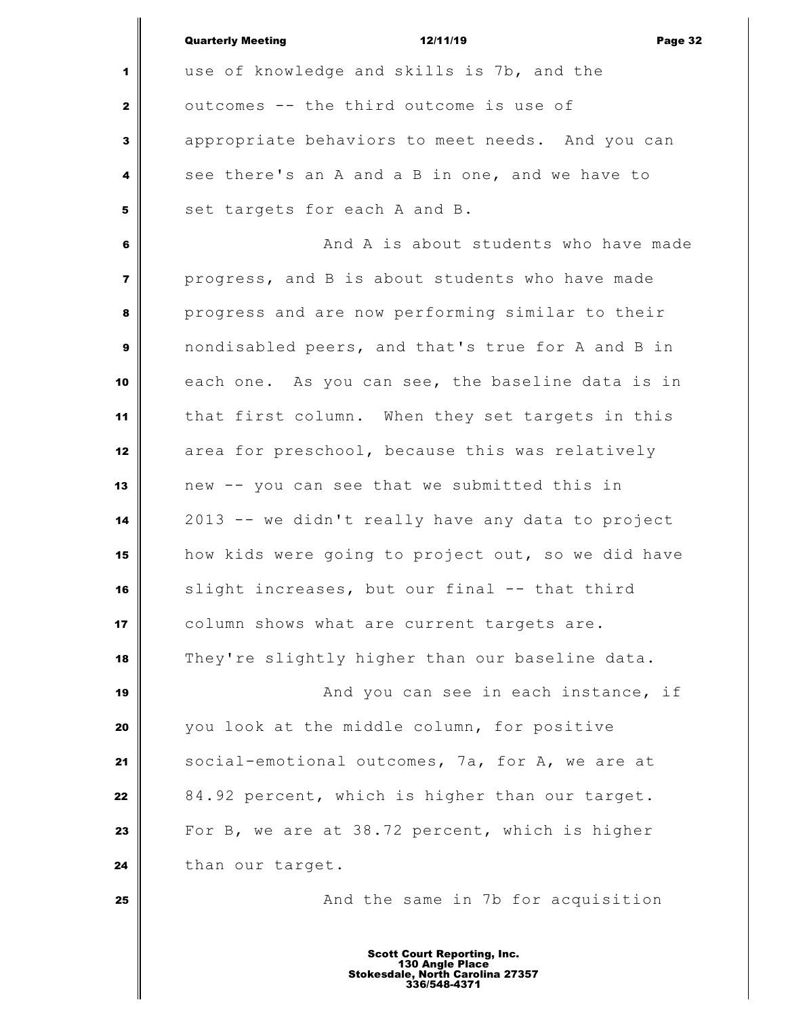|                         | <b>Quarterly Meeting</b><br>12/11/19<br>Page 32                                                           |
|-------------------------|-----------------------------------------------------------------------------------------------------------|
| 1                       | use of knowledge and skills is 7b, and the                                                                |
| $\mathbf{z}$            | outcomes -- the third outcome is use of                                                                   |
| 3                       | appropriate behaviors to meet needs. And you can                                                          |
| 4                       | see there's an A and a B in one, and we have to                                                           |
| 5                       | set targets for each A and B.                                                                             |
| 6                       | And A is about students who have made                                                                     |
| $\overline{\mathbf{z}}$ | progress, and B is about students who have made                                                           |
| 8                       | progress and are now performing similar to their                                                          |
| 9                       | nondisabled peers, and that's true for A and B in                                                         |
| 10                      | each one. As you can see, the baseline data is in                                                         |
| 11                      | that first column. When they set targets in this                                                          |
| 12                      | area for preschool, because this was relatively                                                           |
| 13                      | new -- you can see that we submitted this in                                                              |
| 14                      | 2013 -- we didn't really have any data to project                                                         |
| 15                      | how kids were going to project out, so we did have                                                        |
| 16                      | slight increases, but our final -- that third                                                             |
| 17                      | column shows what are current targets are.                                                                |
| 18                      | They're slightly higher than our baseline data.                                                           |
| 19                      | And you can see in each instance, if                                                                      |
| 20                      | you look at the middle column, for positive                                                               |
| 21                      | social-emotional outcomes, 7a, for A, we are at                                                           |
| 22                      | 84.92 percent, which is higher than our target.                                                           |
| 23                      | For B, we are at 38.72 percent, which is higher                                                           |
| 24                      | than our target.                                                                                          |
| 25                      | And the same in 7b for acquisition                                                                        |
|                         |                                                                                                           |
|                         | <b>Scott Court Reporting, Inc.</b><br>130 Angle Place<br>Stokesdale, North Carolina 27357<br>336/548-4371 |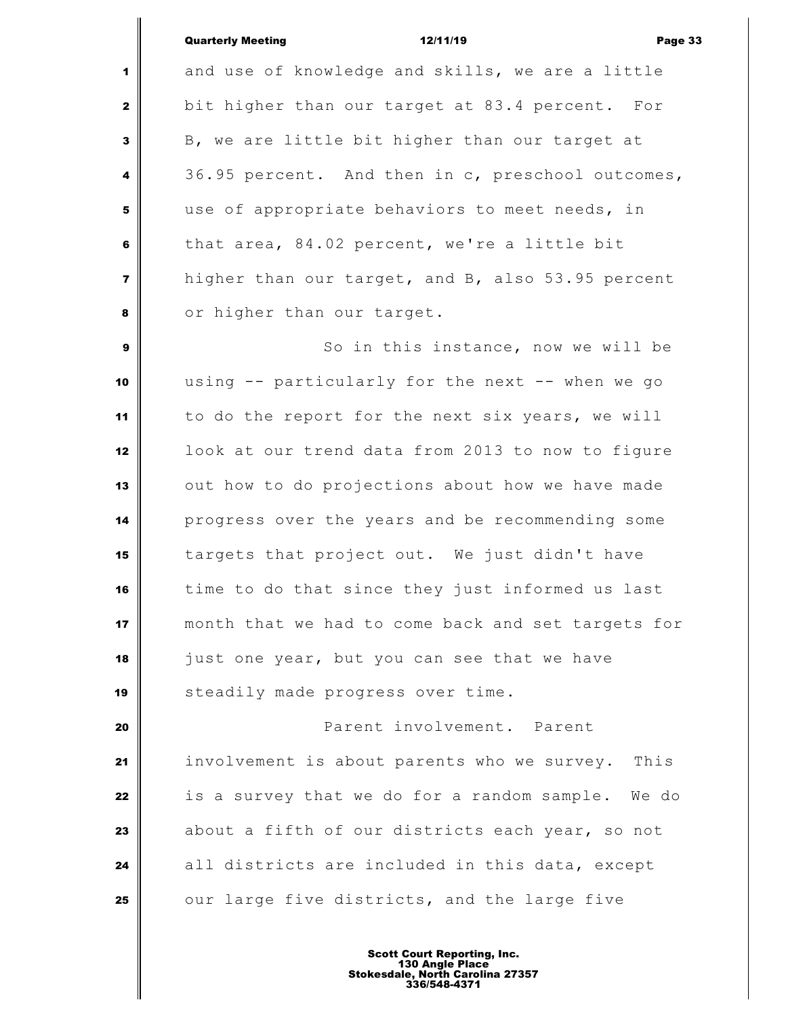| <b>Quarterly Meeting</b> |  |
|--------------------------|--|
|                          |  |

Quarterly Meeting 12/11/19 Page 33 and use of knowledge and skills, we are a little bit higher than our target at 83.4 percent. For B, we are little bit higher than our target at 36.95 percent. And then in c, preschool outcomes, use of appropriate behaviors to meet needs, in that area, 84.02 percent, we're a little bit higher than our target, and B, also 53.95 percent or higher than our target. So in this instance, now we will be using -- particularly for the next -- when we go to do the report for the next six years, we will look at our trend data from 2013 to now to figure out how to do projections about how we have made progress over the years and be recommending some targets that project out. We just didn't have time to do that since they just informed us last month that we had to come back and set targets for just one year, but you can see that we have Steadily made progress over time. **Parent involvement.** Parent involvement is about parents who we survey. This is a survey that we do for a random sample. We do about a fifth of our districts each year, so not

 all districts are included in this data, except our large five districts, and the large five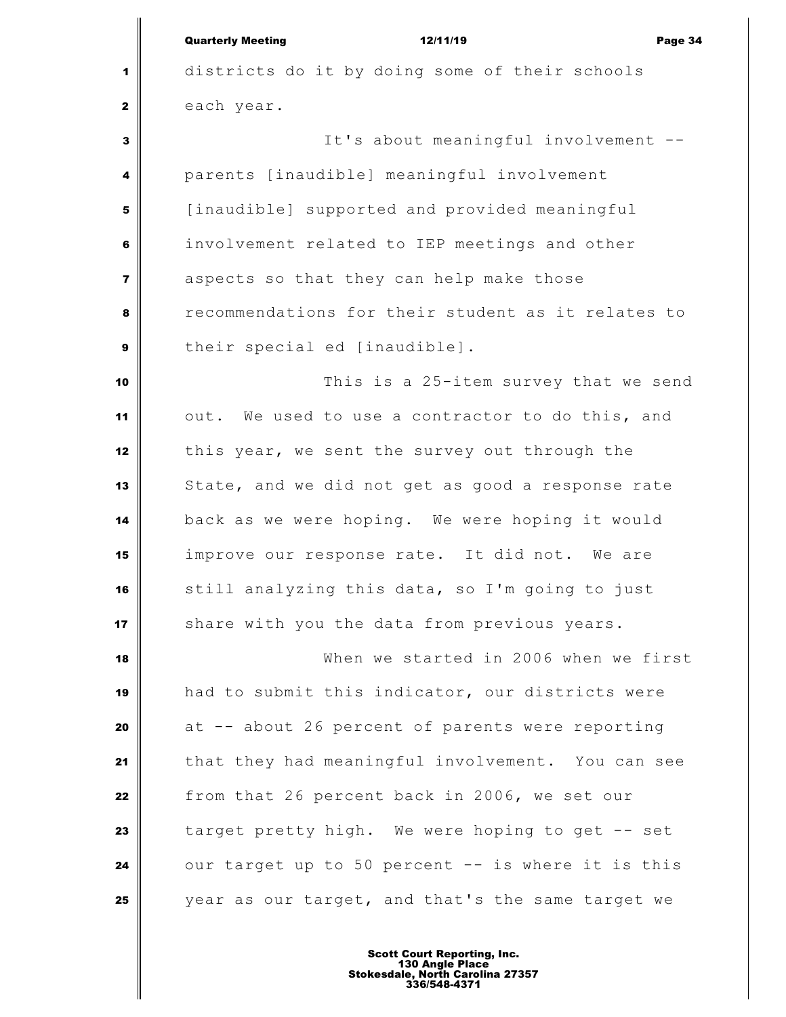|                | <b>Quarterly Meeting</b><br>12/11/19<br>Page 34    |
|----------------|----------------------------------------------------|
| 1              | districts do it by doing some of their schools     |
| $\mathbf{2}$   | each year.                                         |
| 3              | It's about meaningful involvement --               |
| 4              | parents [inaudible] meaningful involvement         |
| 5              | [inaudible] supported and provided meaningful      |
| 6              | involvement related to IEP meetings and other      |
| $\overline{7}$ | aspects so that they can help make those           |
| 8              | recommendations for their student as it relates to |
| 9              | their special ed [inaudible].                      |
| 10             | This is a 25-item survey that we send              |
| 11             | out. We used to use a contractor to do this, and   |
| 12             | this year, we sent the survey out through the      |
| 13             | State, and we did not get as good a response rate  |
| 14             | back as we were hoping. We were hoping it would    |
| 15             | improve our response rate. It did not. We are      |
| 16             | still analyzing this data, so I'm going to just    |
| 17             | share with you the data from previous years.       |
| 18             | When we started in 2006 when we first              |
| 19             | had to submit this indicator, our districts were   |
| 20             | at -- about 26 percent of parents were reporting   |
| 21             | that they had meaningful involvement. You can see  |
| 22             | from that 26 percent back in 2006, we set our      |
| 23             | target pretty high. We were hoping to get -- set   |
| 24             | our target up to 50 percent -- is where it is this |
| 25             | year as our target, and that's the same target we  |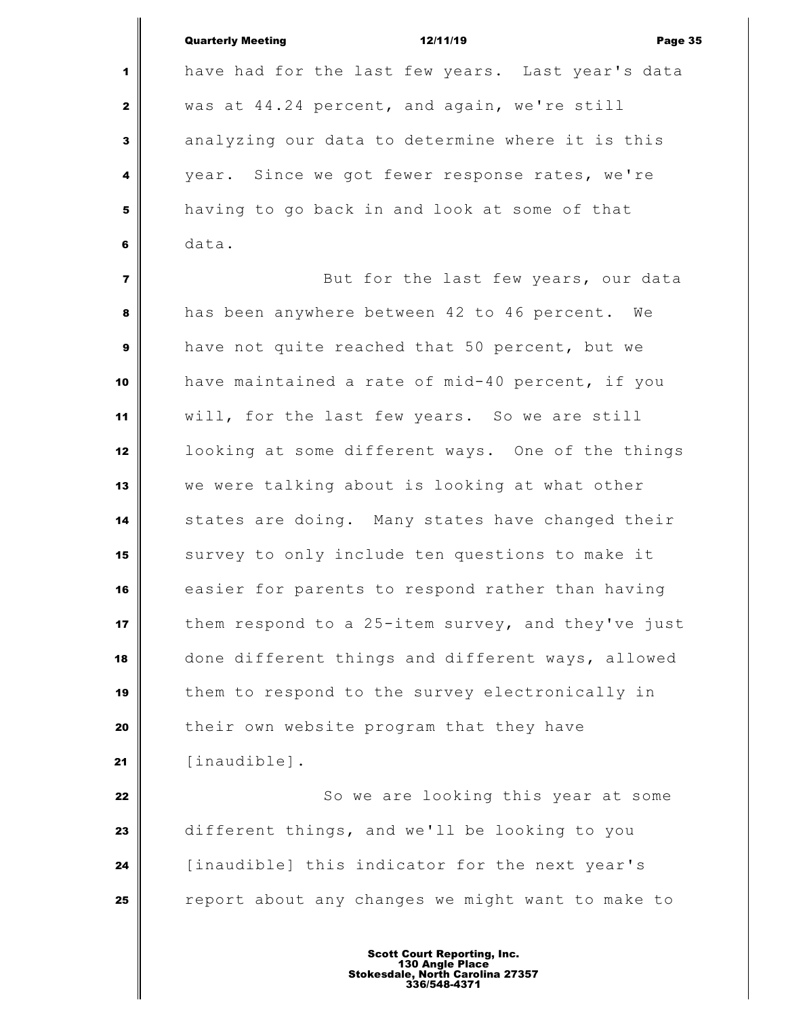|                | <b>Quarterly Meeting</b><br>12/11/19<br>Page 35    |
|----------------|----------------------------------------------------|
| 1              | have had for the last few years. Last year's data  |
| $\mathbf{2}$   | was at 44.24 percent, and again, we're still       |
| 3              | analyzing our data to determine where it is this   |
| 4              | year. Since we got fewer response rates, we're     |
| 5              | having to go back in and look at some of that      |
| 6              | data.                                              |
| $\overline{7}$ | But for the last few years, our data               |
| 8              | has been anywhere between 42 to 46 percent. We     |
| $\mathbf{9}$   | have not quite reached that 50 percent, but we     |
| 10             | have maintained a rate of mid-40 percent, if you   |
| 11             | will, for the last few years. So we are still      |
| 12             | looking at some different ways. One of the things  |
| 13             | we were talking about is looking at what other     |
| 14             | states are doing. Many states have changed their   |
| 15             | survey to only include ten questions to make it    |
| 16             | easier for parents to respond rather than having   |
| 17             | them respond to a 25-item survey, and they've just |
| 18             | done different things and different ways, allowed  |
| 19             | them to respond to the survey electronically in    |
| 20             | their own website program that they have           |
| 21             | [inaudible].                                       |
| 22             | So we are looking this year at some                |
| 23             | different things, and we'll be looking to you      |
| 24             | [inaudible] this indicator for the next year's     |
| 25             | report about any changes we might want to make to  |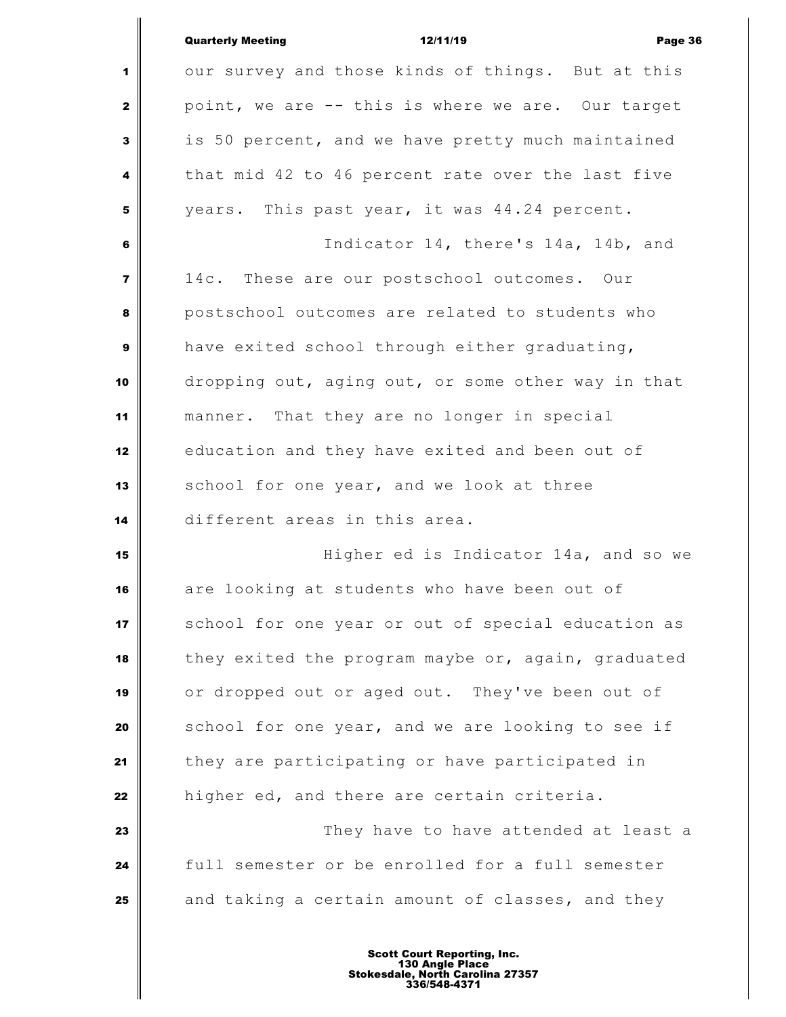|                         | <b>Quarterly Meeting</b><br>Page 36<br>12/11/19    |
|-------------------------|----------------------------------------------------|
| 1                       | our survey and those kinds of things. But at this  |
| $\mathbf{2}$            | point, we are -- this is where we are. Our target  |
| 3                       | is 50 percent, and we have pretty much maintained  |
| 4                       | that mid 42 to 46 percent rate over the last five  |
| 5                       | years. This past year, it was 44.24 percent.       |
| 6                       | Indicator 14, there's 14a, 14b, and                |
| $\overline{\mathbf{z}}$ | 14c. These are our postschool outcomes. Our        |
| 8                       | postschool outcomes are related to students who    |
| $\mathbf{9}$            | have exited school through either graduating,      |
| 10                      | dropping out, aging out, or some other way in that |
| 11                      | manner. That they are no longer in special         |
| 12                      | education and they have exited and been out of     |
| 13                      | school for one year, and we look at three          |
| 14                      | different areas in this area.                      |
| 15                      | Higher ed is Indicator 14a, and so we              |
| 16                      | are looking at students who have been out of       |
| 17                      | school for one year or out of special education as |
| 18                      | they exited the program maybe or, again, graduated |
| 19                      | or dropped out or aged out. They've been out of    |
| 20                      | school for one year, and we are looking to see if  |
| 21                      | they are participating or have participated in     |
| 22                      | higher ed, and there are certain criteria.         |
| 23                      | They have to have attended at least a              |
| 24                      | full semester or be enrolled for a full semester   |
| 25                      | and taking a certain amount of classes, and they   |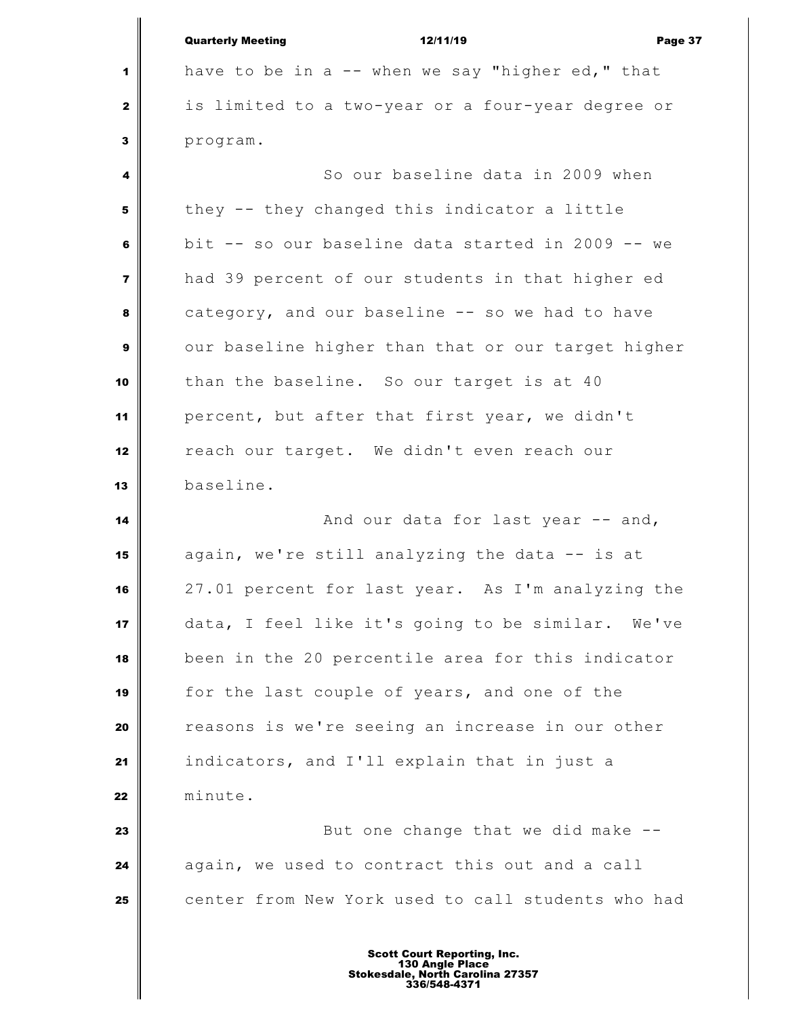|                | <b>Quarterly Meeting</b><br>12/11/19<br>Page 37    |
|----------------|----------------------------------------------------|
| 1              | have to be in a -- when we say "higher ed," that   |
| $\mathbf{2}$   | is limited to a two-year or a four-year degree or  |
| 3              | program.                                           |
| 4              | So our baseline data in 2009 when                  |
| 5              | they -- they changed this indicator a little       |
| 6              | bit -- so our baseline data started in 2009 -- we  |
| $\overline{7}$ | had 39 percent of our students in that higher ed   |
| 8              | category, and our baseline -- so we had to have    |
| 9              | our baseline higher than that or our target higher |
| 10             | than the baseline. So our target is at 40          |
| 11             | percent, but after that first year, we didn't      |
| 12             | reach our target. We didn't even reach our         |
| 13             | baseline.                                          |
| 14             | And our data for last year -- and,                 |
| 15             | again, we're still analyzing the data -- is at     |
| 16             | 27.01 percent for last year. As I'm analyzing the  |
| 17             | data, I feel like it's going to be similar. We've  |
| 18             | been in the 20 percentile area for this indicator  |
| 19             | for the last couple of years, and one of the       |
| 20             | reasons is we're seeing an increase in our other   |
| 21             | indicators, and I'll explain that in just a        |
| 22             | minute.                                            |
| 23             | But one change that we did make --                 |
| 24             | again, we used to contract this out and a call     |
| 25             | center from New York used to call students who had |
|                |                                                    |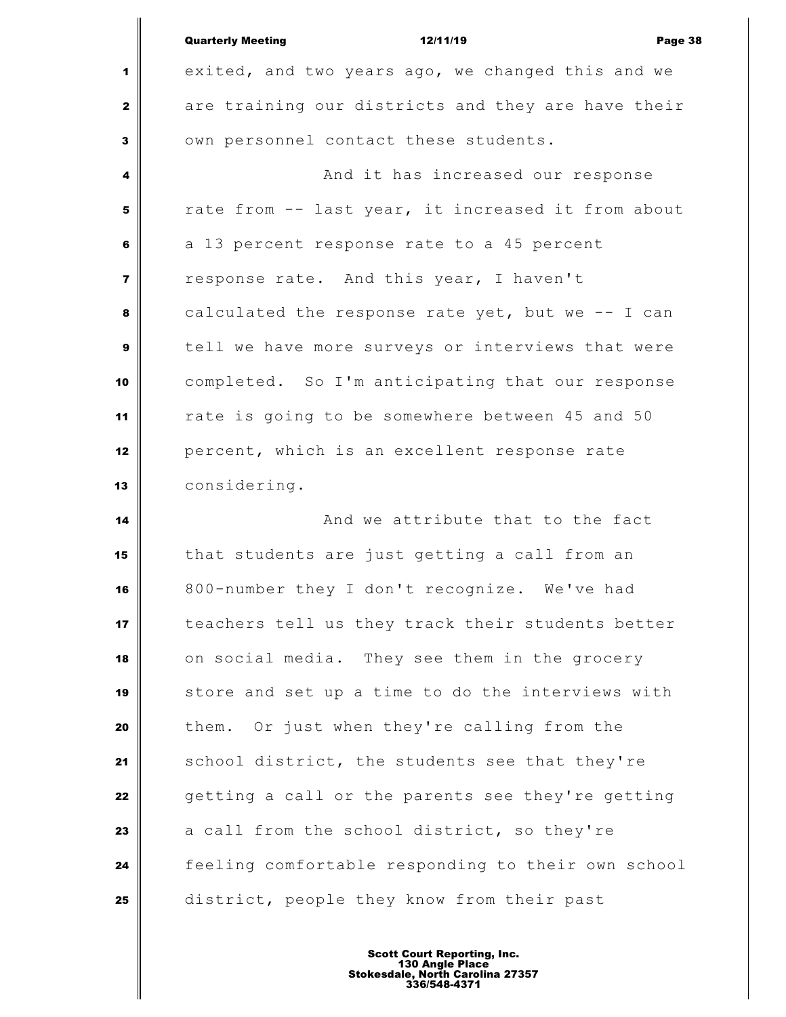|                | <b>Quarterly Meeting</b><br>12/11/19<br>Page 38    |
|----------------|----------------------------------------------------|
| 1              | exited, and two years ago, we changed this and we  |
| 2              | are training our districts and they are have their |
| 3              | own personnel contact these students.              |
| 4              | And it has increased our response                  |
| 5              | rate from -- last year, it increased it from about |
| 6              | a 13 percent response rate to a 45 percent         |
| $\overline{7}$ | response rate. And this year, I haven't            |
| 8              | calculated the response rate yet, but we -- I can  |
| 9              | tell we have more surveys or interviews that were  |
| 10             | completed. So I'm anticipating that our response   |
| 11             | rate is going to be somewhere between 45 and 50    |
| 12             | percent, which is an excellent response rate       |
| 13             | considering.                                       |
| 14             | And we attribute that to the fact                  |
| 15             | that students are just getting a call from an      |
| 16             | 800-number they I don't recognize. We've had       |
| 17             | teachers tell us they track their students better  |
| 18             | on social media. They see them in the grocery      |
| 19             | store and set up a time to do the interviews with  |
| 20             | Or just when they're calling from the<br>them.     |
| 21             | school district, the students see that they're     |
| 22             | getting a call or the parents see they're getting  |
| 23             | a call from the school district, so they're        |
| 24             | feeling comfortable responding to their own school |
| 25             | district, people they know from their past         |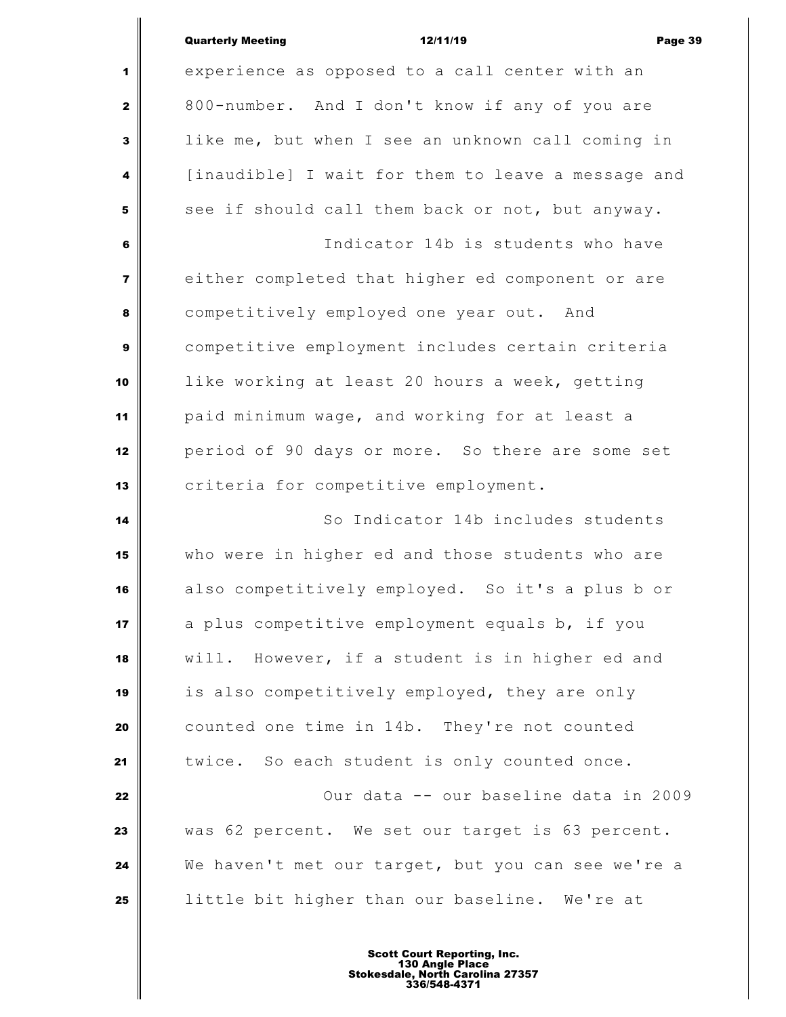| <b>Quarterly Meeting</b> |  |
|--------------------------|--|

Quarterly Meeting 12/11/19 Page 39 experience as opposed to a call center with an 800-number. And I don't know if any of you are like me, but when I see an unknown call coming in [inaudible] I wait for them to leave a message and see if should call them back or not, but anyway. Indicator 14b is students who have either completed that higher ed component or are competitively employed one year out. And competitive employment includes certain criteria like working at least 20 hours a week, getting paid minimum wage, and working for at least a period of 90 days or more. So there are some set **C**riteria for competitive employment. So Indicator 14b includes students who were in higher ed and those students who are also competitively employed. So it's a plus b or a plus competitive employment equals b, if you will. However, if a student is in higher ed and is also competitively employed, they are only counted one time in 14b. They're not counted 21 twice. So each student is only counted once. | **22** | **22** | **22** | **22** | **22 |**  $\sqrt{2}$  **22 |**  $\sqrt{2}$  **22 |**  $\sqrt{2}$  **22 |**  $\sqrt{2}$  **22 |**  $\sqrt{2}$  **22 |**  $\sqrt{2}$  **22 |**  $\sqrt{2}$  **22 |**  $\sqrt{2}$  **22 |**  $\sqrt{2}$  **22 |**  $\sqrt{2}$  **22 |**  $\sqrt{2}$  was 62 percent. We set our target is 63 percent. We haven't met our target, but you can see we're a little bit higher than our baseline. We're at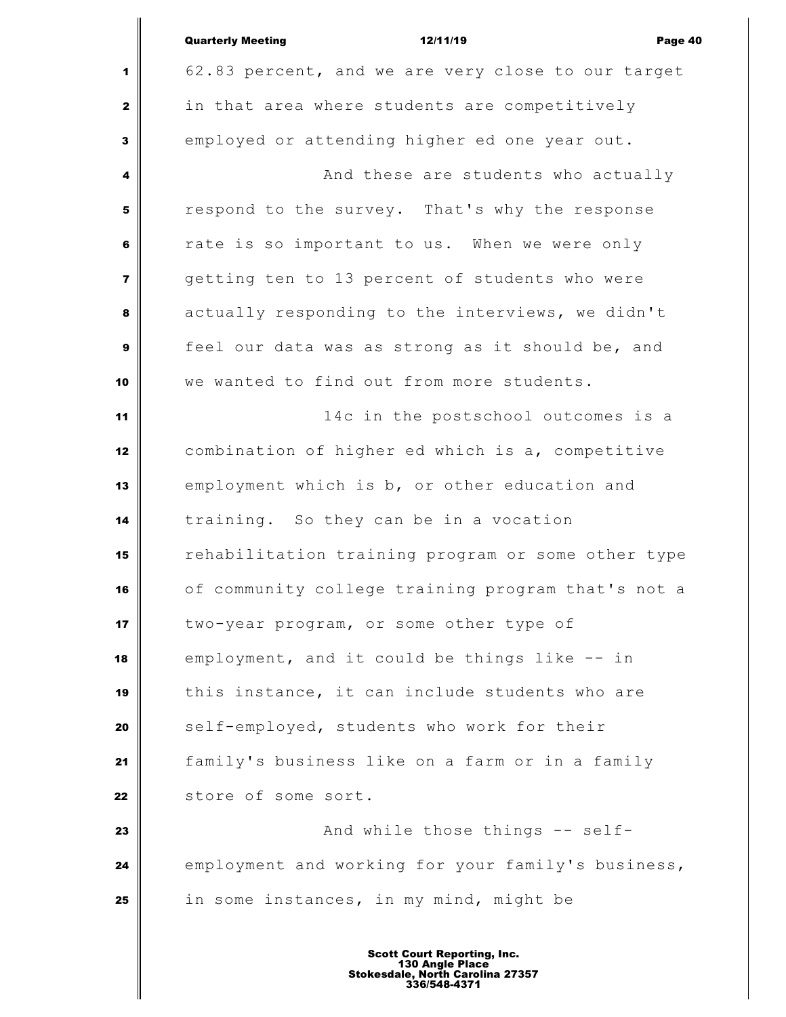|                         | <b>Quarterly Meeting</b><br>12/11/19<br>Page 40    |
|-------------------------|----------------------------------------------------|
| 1                       | 62.83 percent, and we are very close to our target |
| $\mathbf{2}$            | in that area where students are competitively      |
| 3                       | employed or attending higher ed one year out.      |
| 4                       | And these are students who actually                |
| 5                       | respond to the survey. That's why the response     |
| 6                       | rate is so important to us. When we were only      |
| $\overline{\mathbf{z}}$ | getting ten to 13 percent of students who were     |
| 8                       | actually responding to the interviews, we didn't   |
| 9                       | feel our data was as strong as it should be, and   |
| 10                      | we wanted to find out from more students.          |
| 11                      | 14c in the postschool outcomes is a                |
| 12                      | combination of higher ed which is a, competitive   |
| 13                      | employment which is b, or other education and      |
| 14                      | training. So they can be in a vocation             |
| 15                      | rehabilitation training program or some other type |
| 16                      | of community college training program that's not a |
| 17                      | two-year program, or some other type of            |
| 18                      | employment, and it could be things like -- in      |
| 19                      | this instance, it can include students who are     |
| 20                      | self-employed, students who work for their         |
| 21                      | family's business like on a farm or in a family    |
| 22                      | store of some sort.                                |
| 23                      | And while those things -- self-                    |
| 24                      | employment and working for your family's business, |
| 25                      | in some instances, in my mind, might be            |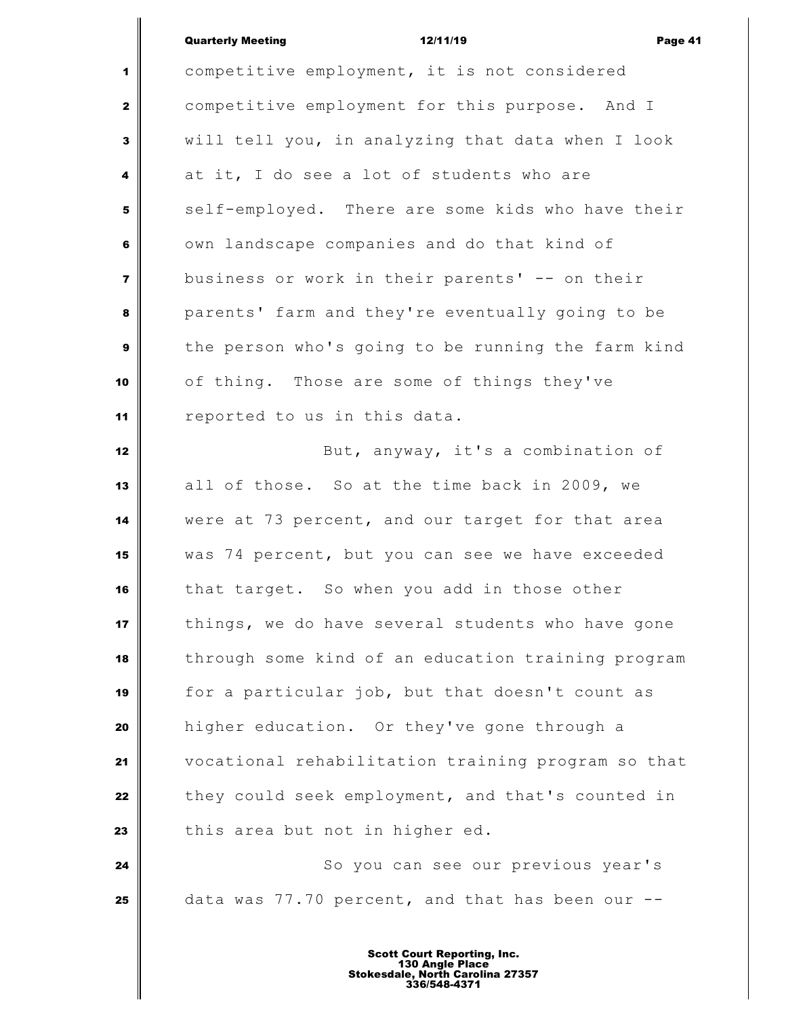| <b>Quarterly Meeting</b> |  |
|--------------------------|--|
|                          |  |

|                | <b>Quarterly Meeting</b><br>12/11/19<br>Page 41    |
|----------------|----------------------------------------------------|
| 1              | competitive employment, it is not considered       |
| $\mathbf{z}$   | competitive employment for this purpose. And I     |
| 3              | will tell you, in analyzing that data when I look  |
| 4              | at it, I do see a lot of students who are          |
| 5              | self-employed. There are some kids who have their  |
| 6              | own landscape companies and do that kind of        |
| $\overline{7}$ | business or work in their parents' -- on their     |
| 8              | parents' farm and they're eventually going to be   |
| 9              | the person who's going to be running the farm kind |
| 10             | of thing. Those are some of things they've         |
| 11             | reported to us in this data.                       |
| 12             | But, anyway, it's a combination of                 |
| 13             | all of those. So at the time back in 2009, we      |
| 14             | were at 73 percent, and our target for that area   |
| 15             | was 74 percent, but you can see we have exceeded   |
| 16             | that target. So when you add in those other        |
| 17             | things, we do have several students who have gone  |
| 18             | through some kind of an education training program |
| 19             | for a particular job, but that doesn't count as    |
| 20             | higher education. Or they've gone through a        |
| 21             | vocational rehabilitation training program so that |
| 22             | they could seek employment, and that's counted in  |
| 23             | this area but not in higher ed.                    |
| 24             | So you can see our previous year's                 |
| 25             | data was 77.70 percent, and that has been our --   |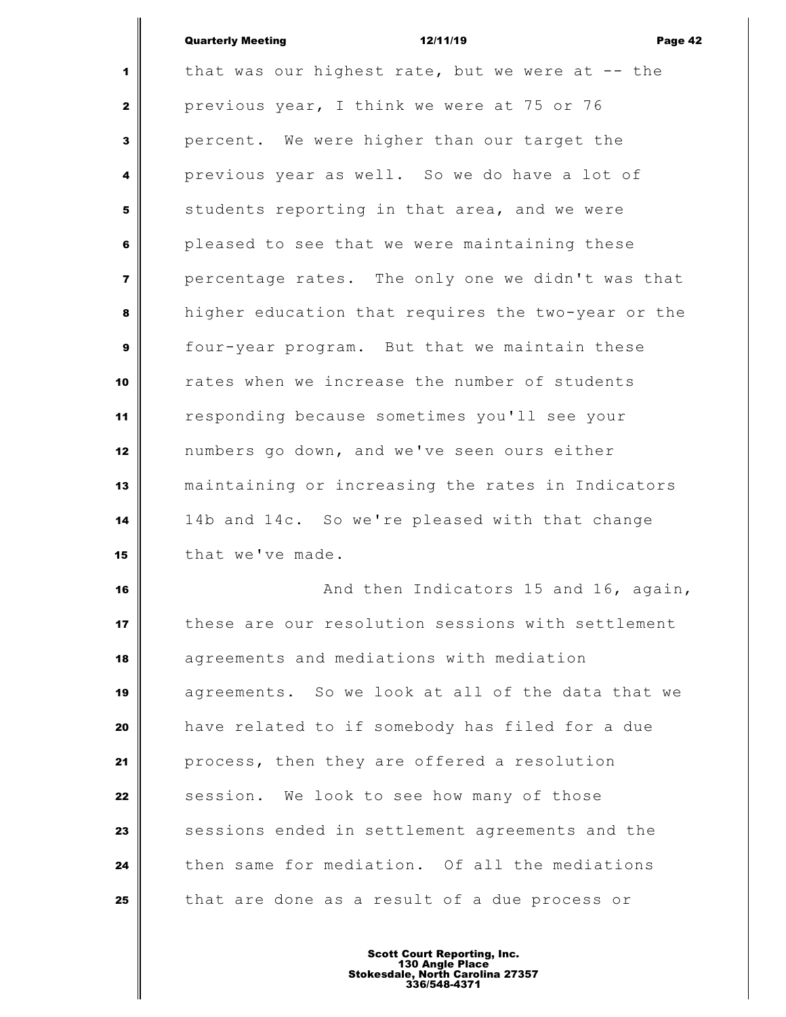## Quarterly Meeting 12/11/19 Page 42

 that was our highest rate, but we were at -- the previous year, I think we were at 75 or 76 percent. We were higher than our target the **previous year as well.** So we do have a lot of students reporting in that area, and we were pleased to see that we were maintaining these percentage rates. The only one we didn't was that higher education that requires the two-year or the four-year program. But that we maintain these rates when we increase the number of students responding because sometimes you'll see your numbers go down, and we've seen ours either maintaining or increasing the rates in Indicators 14b and 14c. So we're pleased with that change that we've made. **And then Indicators 15 and 16, again,** these are our resolution sessions with settlement

 agreements and mediations with mediation agreements. So we look at all of the data that we have related to if somebody has filed for a due process, then they are offered a resolution session. We look to see how many of those sessions ended in settlement agreements and the then same for mediation. Of all the mediations that are done as a result of a due process or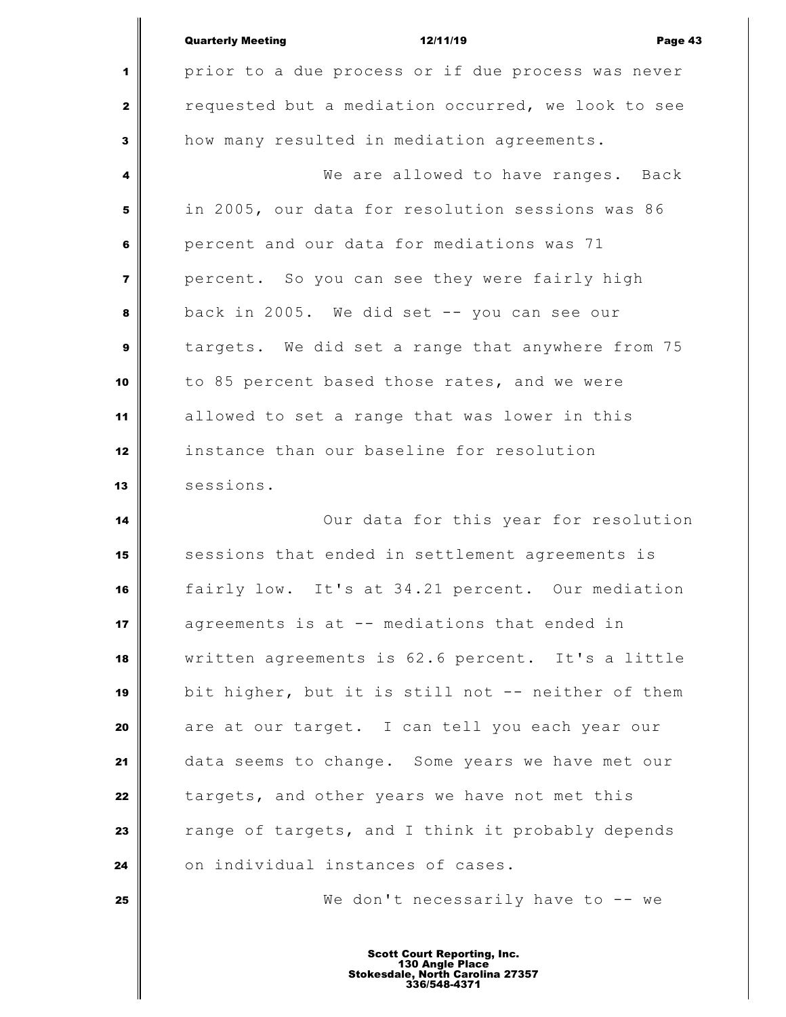|                         | <b>Quarterly Meeting</b><br>Page 43<br>12/11/19    |
|-------------------------|----------------------------------------------------|
| 1                       | prior to a due process or if due process was never |
| $\mathbf{z}$            | requested but a mediation occurred, we look to see |
| $\mathbf{3}$            | how many resulted in mediation agreements.         |
| 4                       | We are allowed to have ranges. Back                |
| 5                       | in 2005, our data for resolution sessions was 86   |
| 6                       | percent and our data for mediations was 71         |
| $\overline{\mathbf{z}}$ | percent. So you can see they were fairly high      |
| 8                       | back in 2005. We did set -- you can see our        |
| 9                       | targets. We did set a range that anywhere from 75  |
| 10                      | to 85 percent based those rates, and we were       |
| 11                      | allowed to set a range that was lower in this      |
| 12                      | instance than our baseline for resolution          |
| 13                      | sessions.                                          |
| 14                      | Our data for this year for resolution              |
| 15                      | sessions that ended in settlement agreements is    |
| 16                      | fairly low. It's at 34.21 percent. Our mediation   |
| 17                      | agreements is at -- mediations that ended in       |
| 18                      | written agreements is 62.6 percent. It's a little  |
| 19                      | bit higher, but it is still not -- neither of them |
| 20                      | are at our target. I can tell you each year our    |
| 21                      | data seems to change. Some years we have met our   |
| 22                      | targets, and other years we have not met this      |
| 23                      | range of targets, and I think it probably depends  |
| 24                      | on individual instances of cases.                  |
| 25                      | We don't necessarily have to $-$ we                |
|                         |                                                    |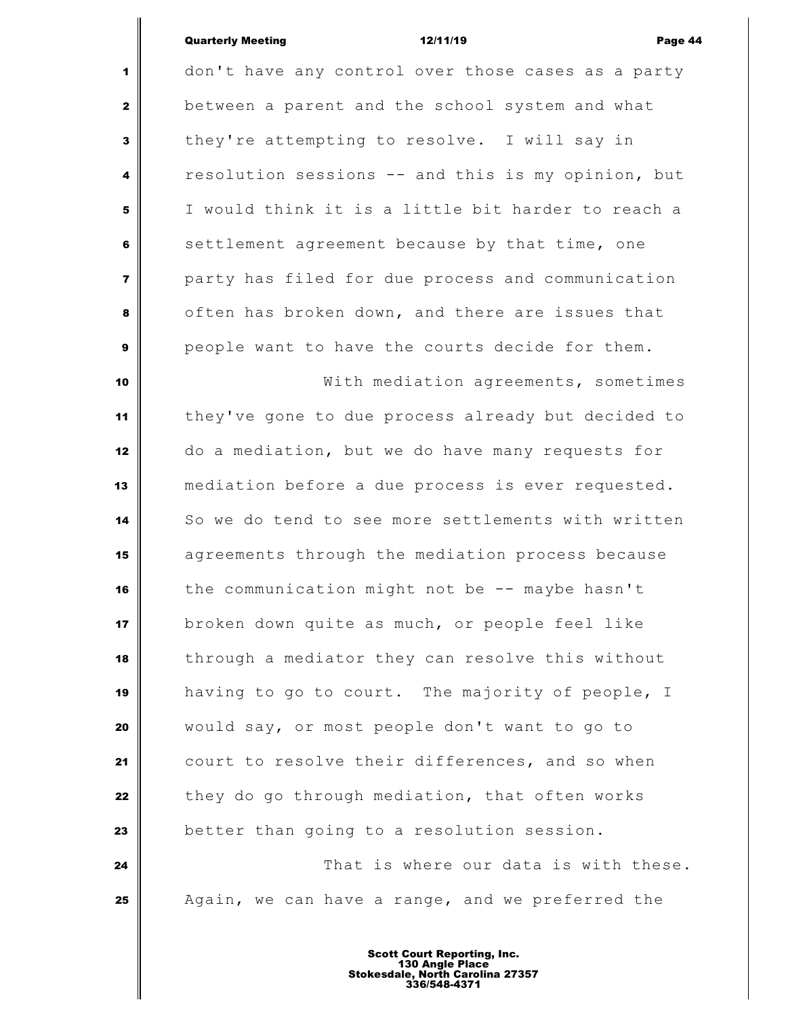## Quarterly Meeting 12/11/19 Page 44

 don't have any control over those cases as a party between a parent and the school system and what they're attempting to resolve. I will say in resolution sessions -- and this is my opinion, but I would think it is a little bit harder to reach a settlement agreement because by that time, one party has filed for due process and communication often has broken down, and there are issues that people want to have the courts decide for them. **With mediation agreements, sometimes**  they've gone to due process already but decided to do a mediation, but we do have many requests for mediation before a due process is ever requested. So we do tend to see more settlements with written agreements through the mediation process because the communication might not be -- maybe hasn't broken down quite as much, or people feel like through a mediator they can resolve this without having to go to court. The majority of people, I would say, or most people don't want to go to court to resolve their differences, and so when they do go through mediation, that often works better than going to a resolution session. **That is where our data is with these.** Again, we can have a range, and we preferred the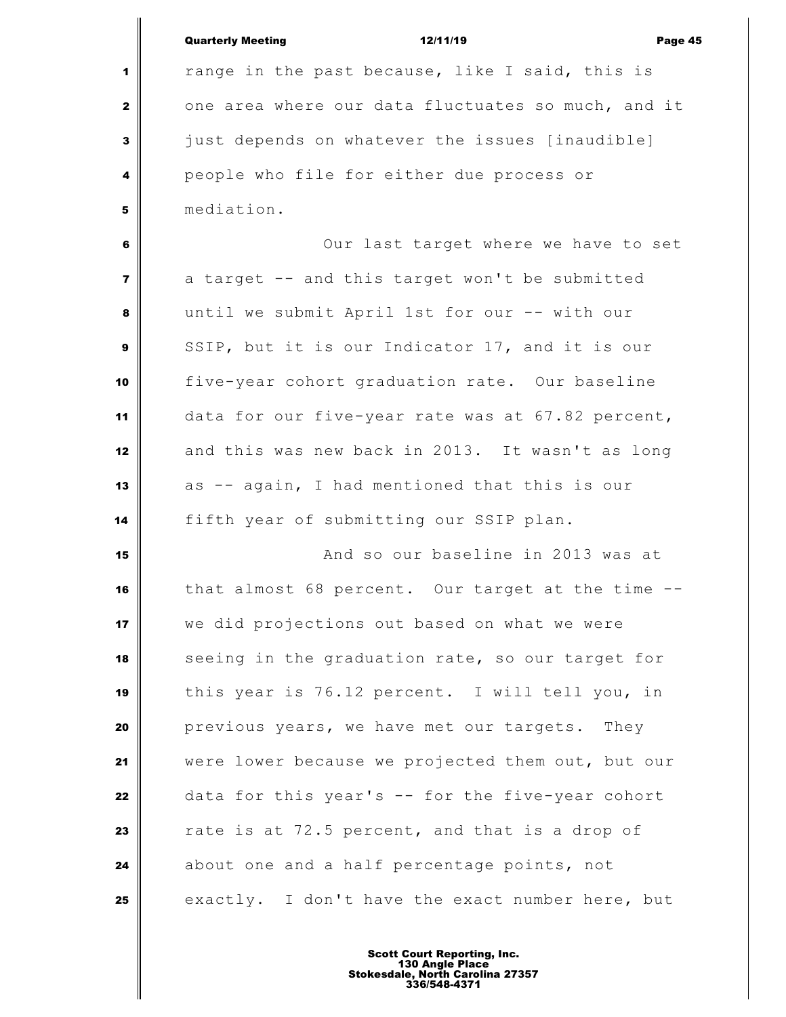|                         | <b>Quarterly Meeting</b><br>12/11/19<br>Page 45    |
|-------------------------|----------------------------------------------------|
| 1                       | range in the past because, like I said, this is    |
| $\mathbf{2}$            | one area where our data fluctuates so much, and it |
| 3                       | just depends on whatever the issues [inaudible]    |
| 4                       | people who file for either due process or          |
| 5                       | mediation.                                         |
| 6                       | Our last target where we have to set               |
| $\overline{\mathbf{z}}$ | a target -- and this target won't be submitted     |
| 8                       | until we submit April 1st for our -- with our      |
| $\mathbf{9}$            | SSIP, but it is our Indicator 17, and it is our    |
| 10                      | five-year cohort graduation rate. Our baseline     |
| 11                      | data for our five-year rate was at 67.82 percent,  |
| 12                      | and this was new back in 2013. It wasn't as long   |
| 13                      | as -- again, I had mentioned that this is our      |
| 14                      | fifth year of submitting our SSIP plan.            |
| 15                      | And so our baseline in 2013 was at                 |
| 16                      | that almost 68 percent. Our target at the time     |
| 17                      | we did projections out based on what we were       |
| 18                      | seeing in the graduation rate, so our target for   |
| 19                      | this year is 76.12 percent. I will tell you, in    |
| 20                      | previous years, we have met our targets. They      |
| 21                      | were lower because we projected them out, but our  |
| 22                      | data for this year's -- for the five-year cohort   |
| 23                      | rate is at 72.5 percent, and that is a drop of     |
| 24                      | about one and a half percentage points, not        |
| 25                      | exactly. I don't have the exact number here, but   |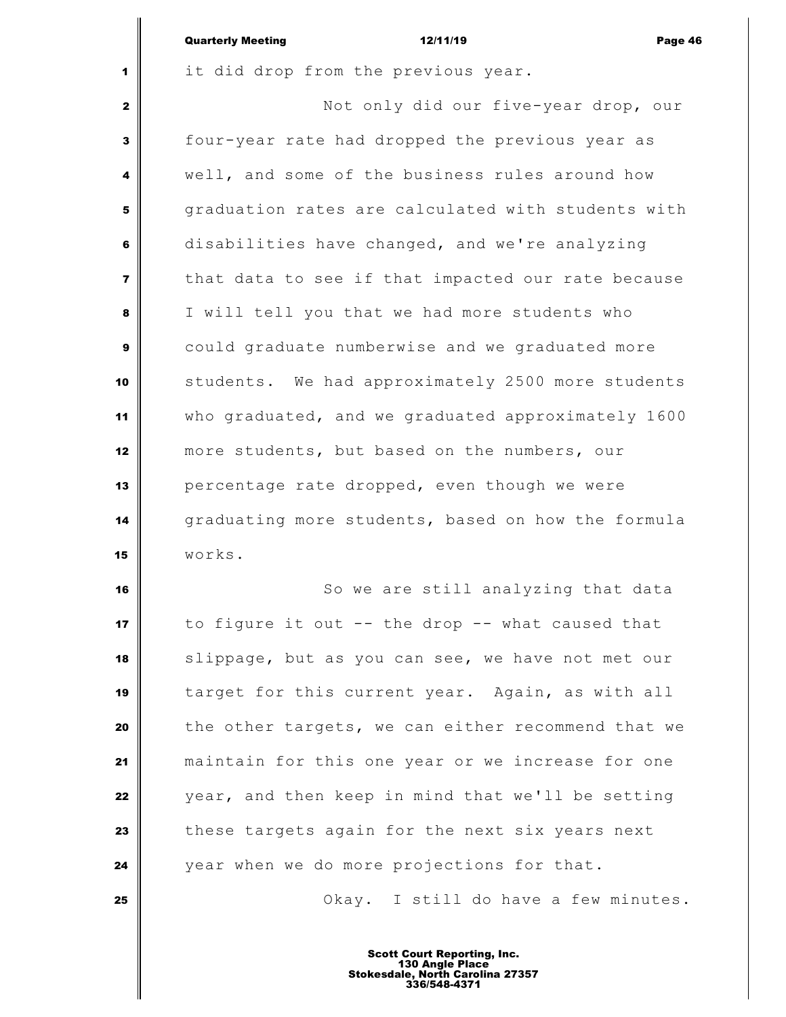|                         | <b>Quarterly Meeting</b><br>Page 46<br>12/11/19    |
|-------------------------|----------------------------------------------------|
| 1                       | it did drop from the previous year.                |
| $\mathbf{2}$            | Not only did our five-year drop, our               |
| 3                       | four-year rate had dropped the previous year as    |
| 4                       | well, and some of the business rules around how    |
| 5                       | graduation rates are calculated with students with |
| 6                       | disabilities have changed, and we're analyzing     |
| $\overline{\mathbf{z}}$ | that data to see if that impacted our rate because |
| 8                       | I will tell you that we had more students who      |
| 9                       | could graduate numberwise and we graduated more    |
| 10                      | students. We had approximately 2500 more students  |
| 11                      | who graduated, and we graduated approximately 1600 |
| 12                      | more students, but based on the numbers, our       |
| 13                      | percentage rate dropped, even though we were       |
| 14                      | graduating more students, based on how the formula |
| 15                      | works.                                             |
| 16                      | So we are still analyzing that data                |
| 17                      | to figure it out -- the drop -- what caused that   |
| 18                      | slippage, but as you can see, we have not met our  |
| 19                      | target for this current year. Again, as with all   |
| 20                      | the other targets, we can either recommend that we |
| 21                      | maintain for this one year or we increase for one  |
| 22                      | year, and then keep in mind that we'll be setting  |
| 23                      | these targets again for the next six years next    |
| 24                      | year when we do more projections for that.         |
| 25                      | Okay. I still do have a few minutes.               |
|                         |                                                    |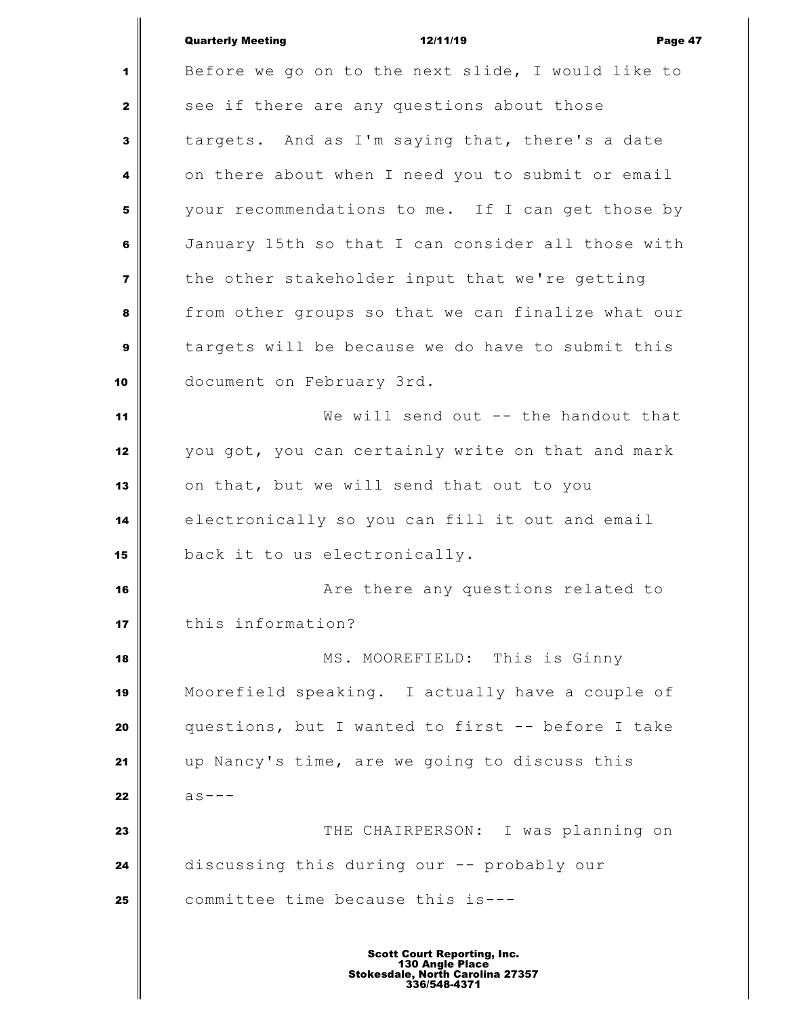|                | <b>Quarterly Meeting</b><br>12/11/19<br>Page 47    |
|----------------|----------------------------------------------------|
| 1              | Before we go on to the next slide, I would like to |
| $\mathbf{z}$   | see if there are any questions about those         |
| 3              | targets. And as I'm saying that, there's a date    |
| 4              | on there about when I need you to submit or email  |
| 5              | your recommendations to me. If I can get those by  |
| 6              | January 15th so that I can consider all those with |
| $\overline{7}$ | the other stakeholder input that we're getting     |
| 8              | from other groups so that we can finalize what our |
| 9              | targets will be because we do have to submit this  |
| 10             | document on February 3rd.                          |
| 11             | We will send out -- the handout that               |
| 12             | you got, you can certainly write on that and mark  |
| 13             | on that, but we will send that out to you          |
| 14             | electronically so you can fill it out and email    |
| 15             | back it to us electronically.                      |
| 16             | Are there any questions related to                 |
| 17             | this information?                                  |
| 18             | MS. MOOREFIELD: This is Ginny                      |
| 19             | Moorefield speaking. I actually have a couple of   |
| 20             | questions, but I wanted to first -- before I take  |
| 21             | up Nancy's time, are we going to discuss this      |
| 22             | $as ---$                                           |
| 23             | THE CHAIRPERSON: I was planning on                 |
| 24             | discussing this during our -- probably our         |
| 25             | committee time because this is---                  |
|                |                                                    |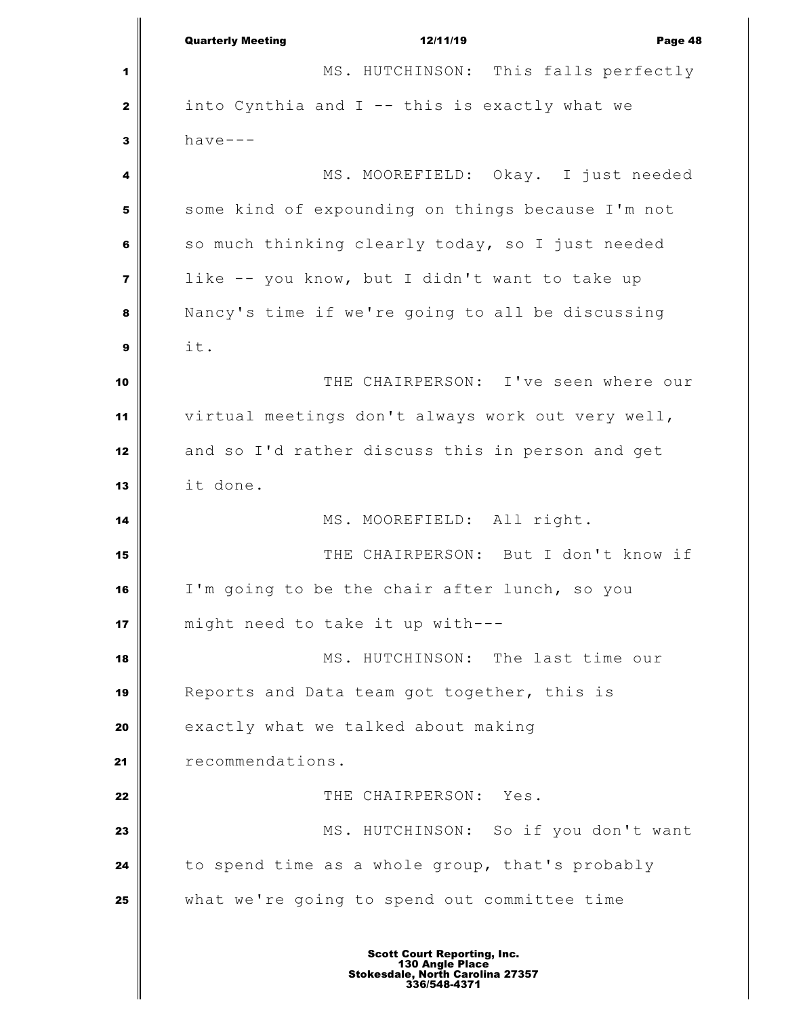Quarterly Meeting 12/11/19 Page 48 MS. HUTCHINSON: This falls perfectly into Cynthia and I -- this is exactly what we  $\mathbf{3}$  have--- MS. MOOREFIELD: Okay. I just needed some kind of expounding on things because I'm not so much thinking clearly today, so I just needed like -- you know, but I didn't want to take up Nancy's time if we're going to all be discussing it. THE CHAIRPERSON: I've seen where our virtual meetings don't always work out very well, and so I'd rather discuss this in person and get it done. MS. MOOREFIELD: All right. THE CHAIRPERSON: But I don't know if I'm going to be the chair after lunch, so you might need to take it up with--- MS. HUTCHINSON: The last time our Reports and Data team got together, this is exactly what we talked about making **Paramendations.**  THE CHAIRPERSON: Yes. MS. HUTCHINSON: So if you don't want to spend time as a whole group, that's probably what we're going to spend out committee time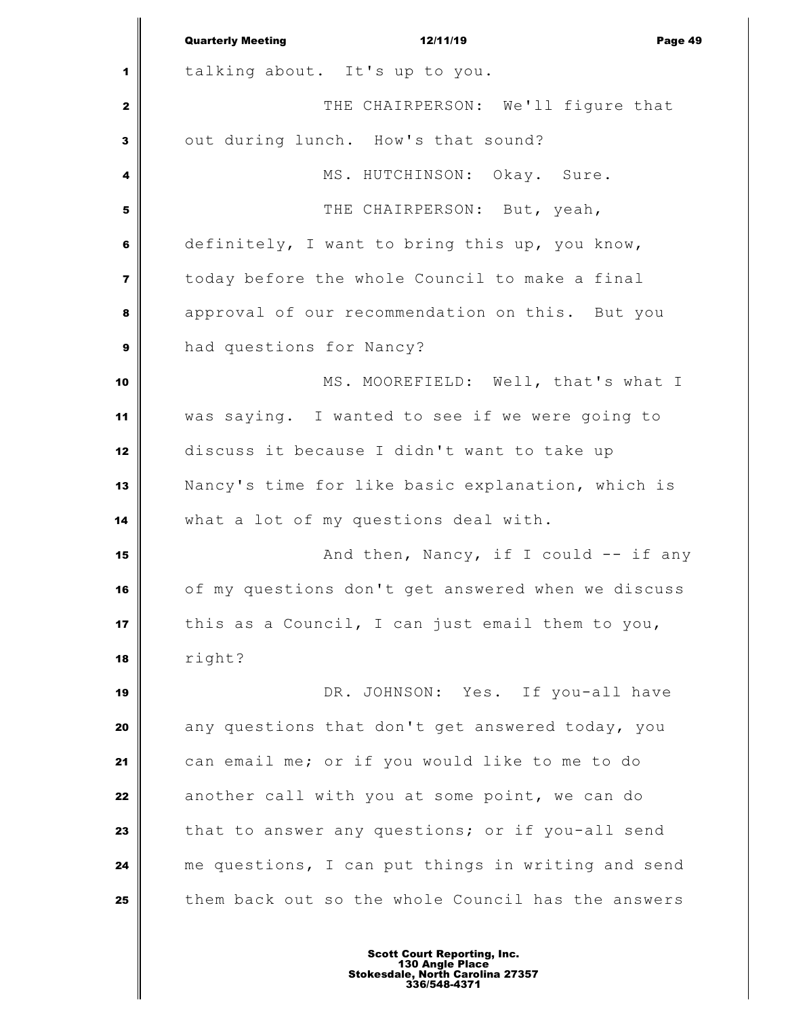|                | <b>Quarterly Meeting</b><br>12/11/19<br>Page 49    |
|----------------|----------------------------------------------------|
| 1              | talking about. It's up to you.                     |
| 2              | THE CHAIRPERSON: We'll figure that                 |
| 3              | out during lunch. How's that sound?                |
| 4              | MS. HUTCHINSON: Okay. Sure.                        |
| 5              | THE CHAIRPERSON: But, yeah,                        |
| 6              | definitely, I want to bring this up, you know,     |
| $\overline{7}$ | today before the whole Council to make a final     |
| 8              | approval of our recommendation on this. But you    |
| 9              | had questions for Nancy?                           |
| 10             | MS. MOOREFIELD: Well, that's what I                |
| 11             | was saying. I wanted to see if we were going to    |
| 12             | discuss it because I didn't want to take up        |
| 13             | Nancy's time for like basic explanation, which is  |
| 14             | what a lot of my questions deal with.              |
| 15             | And then, Nancy, if I could -- if any              |
| 16             | of my questions don't get answered when we discuss |
| 17             | this as a Council, I can just email them to you,   |
| 18             | right?                                             |
| 19             | DR. JOHNSON: Yes. If you-all have                  |
| 20             | any questions that don't get answered today, you   |
| 21             | can email me; or if you would like to me to do     |
| 22             | another call with you at some point, we can do     |
| 23             | that to answer any questions; or if you-all send   |
| 24             | me questions, I can put things in writing and send |
| 25             | them back out so the whole Council has the answers |
|                |                                                    |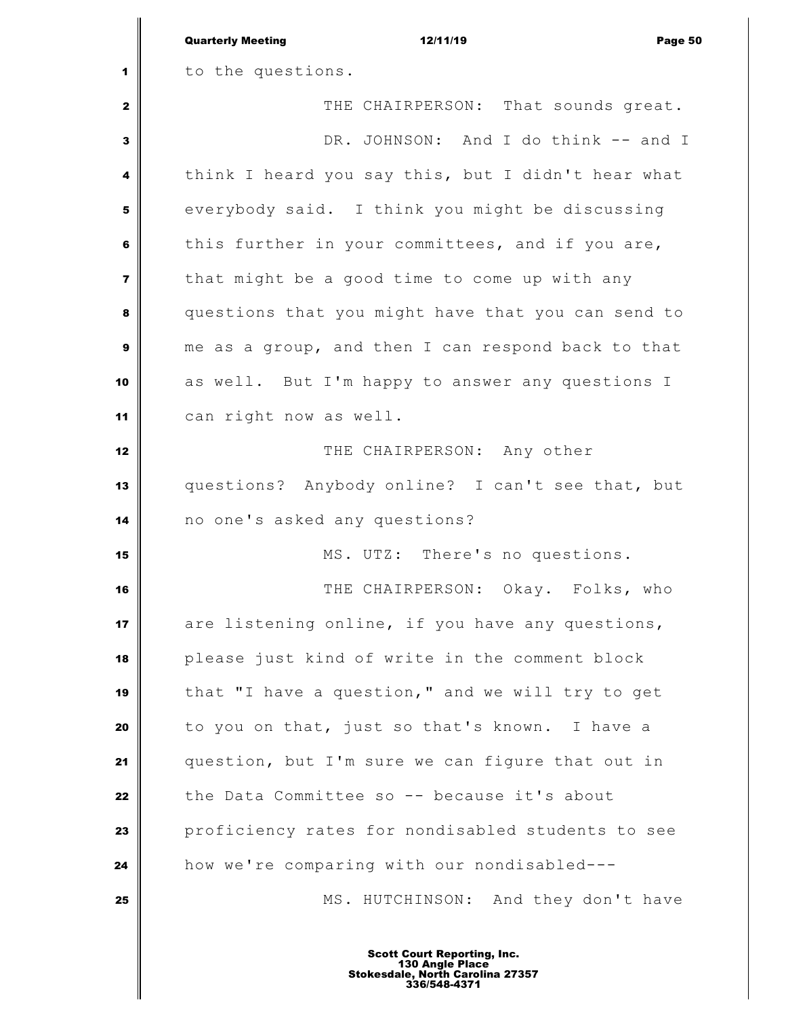|                         | <b>Quarterly Meeting</b><br>12/11/19<br>Page 50                                                                  |
|-------------------------|------------------------------------------------------------------------------------------------------------------|
| 1                       | to the questions.                                                                                                |
| $\mathbf{2}$            | THE CHAIRPERSON: That sounds great.                                                                              |
| 3                       | DR. JOHNSON: And I do think -- and I                                                                             |
| 4                       | think I heard you say this, but I didn't hear what                                                               |
| 5                       | everybody said. I think you might be discussing                                                                  |
| 6                       | this further in your committees, and if you are,                                                                 |
| $\overline{\mathbf{z}}$ | that might be a good time to come up with any                                                                    |
| 8                       | questions that you might have that you can send to                                                               |
| 9                       | me as a group, and then I can respond back to that                                                               |
| 10                      | as well. But I'm happy to answer any questions I                                                                 |
| 11                      | can right now as well.                                                                                           |
| 12                      | THE CHAIRPERSON: Any other                                                                                       |
| 13                      | questions? Anybody online? I can't see that, but                                                                 |
| 14                      | no one's asked any questions?                                                                                    |
| 15                      | MS. UTZ: There's no questions.                                                                                   |
| 16                      | THE CHAIRPERSON: Okay. Folks, who                                                                                |
| 17                      | are listening online, if you have any questions,                                                                 |
| 18                      | please just kind of write in the comment block                                                                   |
| 19                      | that "I have a question," and we will try to get                                                                 |
| 20                      | to you on that, just so that's known. I have a                                                                   |
| 21                      | question, but I'm sure we can figure that out in                                                                 |
| 22                      | the Data Committee so -- because it's about                                                                      |
| 23                      | proficiency rates for nondisabled students to see                                                                |
| 24                      | how we're comparing with our nondisabled---                                                                      |
| 25                      | MS. HUTCHINSON: And they don't have                                                                              |
|                         | <b>Scott Court Reporting, Inc.</b><br>130 Angle Place<br><b>Stokesdale, North Carolina 27357</b><br>336/548-4371 |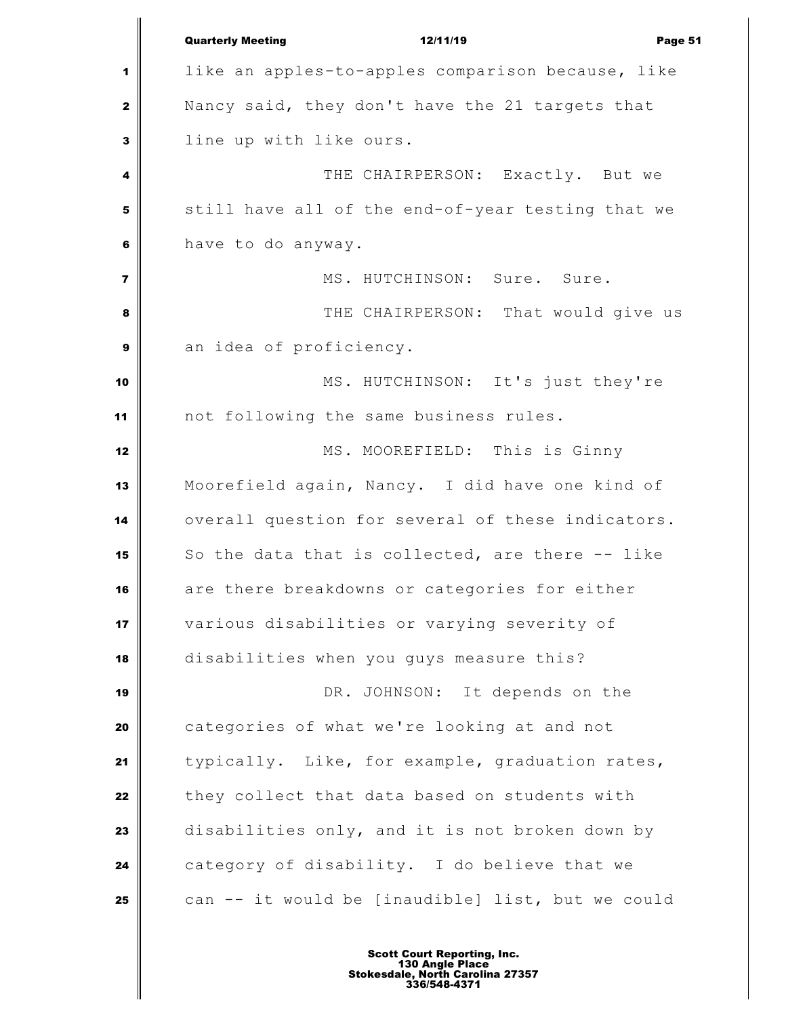Quarterly Meeting 12/11/19 Page 51 like an apples-to-apples comparison because, like Nancy said, they don't have the 21 targets that line up with like ours.  $\parallel$  THE CHAIRPERSON: Exactly. But we still have all of the end-of-year testing that we have to do anyway. MS. HUTCHINSON: Sure. Sure. **I** THE CHAIRPERSON: That would give us an idea of proficiency. MS. HUTCHINSON: It's just they're not following the same business rules. MS. MOOREFIELD: This is Ginny Moorefield again, Nancy. I did have one kind of overall question for several of these indicators. So the data that is collected, are there -- like are there breakdowns or categories for either various disabilities or varying severity of disabilities when you guys measure this? **DR.** JOHNSON: It depends on the categories of what we're looking at and not typically. Like, for example, graduation rates, | they collect that data based on students with disabilities only, and it is not broken down by category of disability. I do believe that we can -- it would be [inaudible] list, but we could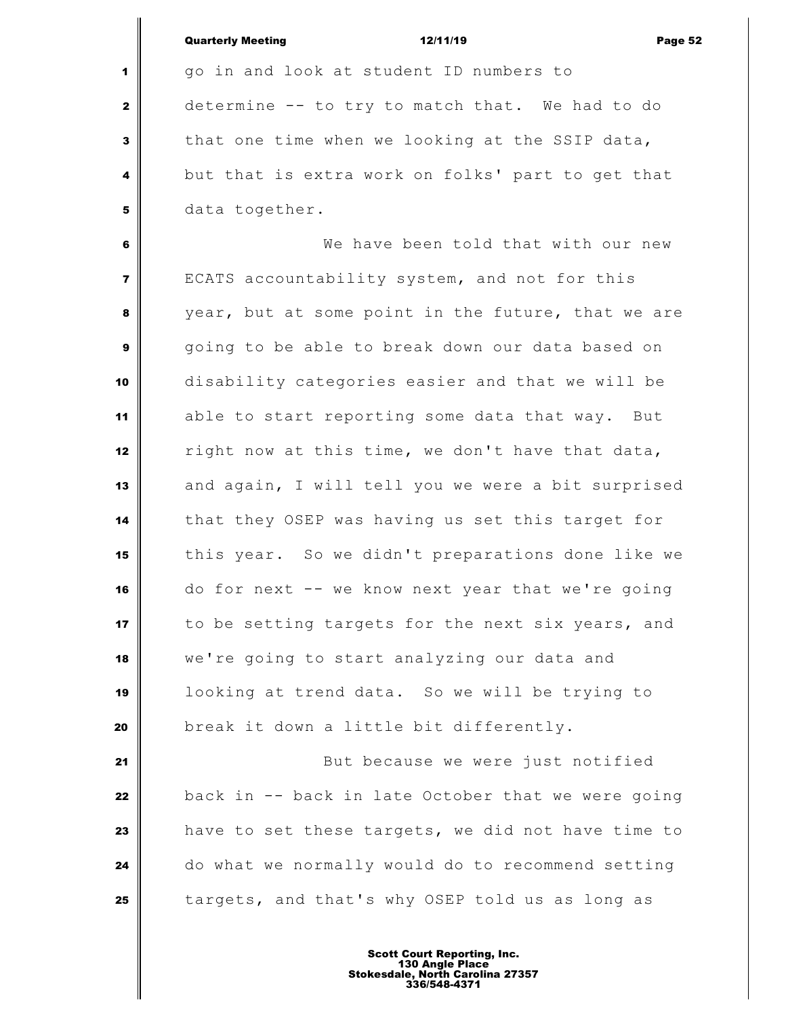|                | <b>Quarterly Meeting</b><br>12/11/19<br>Page 52    |
|----------------|----------------------------------------------------|
| 1              | go in and look at student ID numbers to            |
| $\mathbf{2}$   | determine -- to try to match that. We had to do    |
| 3              | that one time when we looking at the SSIP data,    |
| 4              | but that is extra work on folks' part to get that  |
| 5              | data together.                                     |
| 6              | We have been told that with our new                |
| $\overline{7}$ | ECATS accountability system, and not for this      |
| 8              | year, but at some point in the future, that we are |
| 9              | going to be able to break down our data based on   |
| 10             | disability categories easier and that we will be   |
| 11             | able to start reporting some data that way. But    |
| 12             | right now at this time, we don't have that data,   |
| 13             | and again, I will tell you we were a bit surprised |
| 14             | that they OSEP was having us set this target for   |
| 15             | this year. So we didn't preparations done like we  |
| 16             | do for next -- we know next year that we're going  |
| 17             | to be setting targets for the next six years, and  |
| 18             | we're going to start analyzing our data and        |
| 19             | looking at trend data. So we will be trying to     |
| 20             | break it down a little bit differently.            |
| 21             | But because we were just notified                  |
| 22             | back in -- back in late October that we were going |
| 23             | have to set these targets, we did not have time to |
| 24             | do what we normally would do to recommend setting  |
| 25             | targets, and that's why OSEP told us as long as    |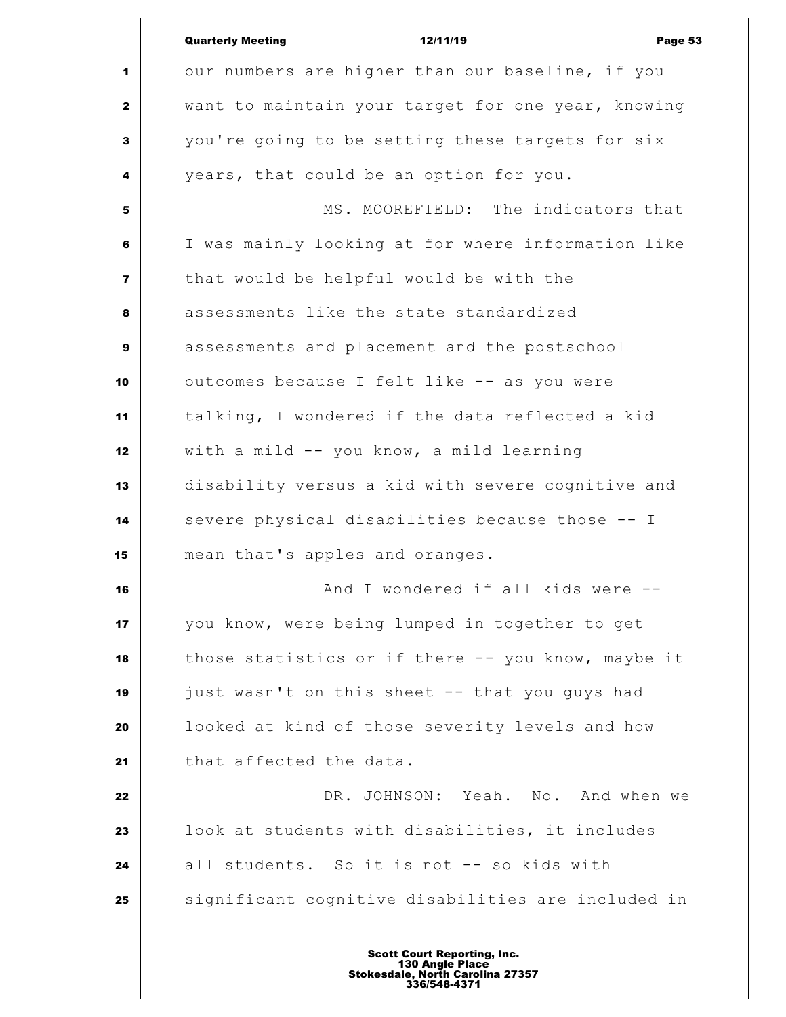|                | <b>Quarterly Meeting</b><br>12/11/19<br>Page 53    |
|----------------|----------------------------------------------------|
| 1              | our numbers are higher than our baseline, if you   |
| $\mathbf{2}$   | want to maintain your target for one year, knowing |
| 3              | you're going to be setting these targets for six   |
| 4              | years, that could be an option for you.            |
| 5              | MS. MOOREFIELD: The indicators that                |
| 6              | I was mainly looking at for where information like |
| $\overline{ }$ | that would be helpful would be with the            |
| 8              | assessments like the state standardized            |
| 9              | assessments and placement and the postschool       |
| 10             | outcomes because I felt like -- as you were        |
| 11             | talking, I wondered if the data reflected a kid    |
| 12             | with a mild -- you know, a mild learning           |
| 13             | disability versus a kid with severe cognitive and  |
| 14             | severe physical disabilities because those -- I    |
| 15             | mean that's apples and oranges.                    |
| 16             | And I wondered if all kids were                    |
| 17             | you know, were being lumped in together to get     |
| 18             | those statistics or if there -- you know, maybe it |
| 19             | just wasn't on this sheet -- that you guys had     |
| 20             | looked at kind of those severity levels and how    |
| 21             | that affected the data.                            |
| 22             | DR. JOHNSON: Yeah. No. And when we                 |
| 23             | look at students with disabilities, it includes    |
| 24             | all students. So it is not -- so kids with         |
| 25             | significant cognitive disabilities are included in |
|                |                                                    |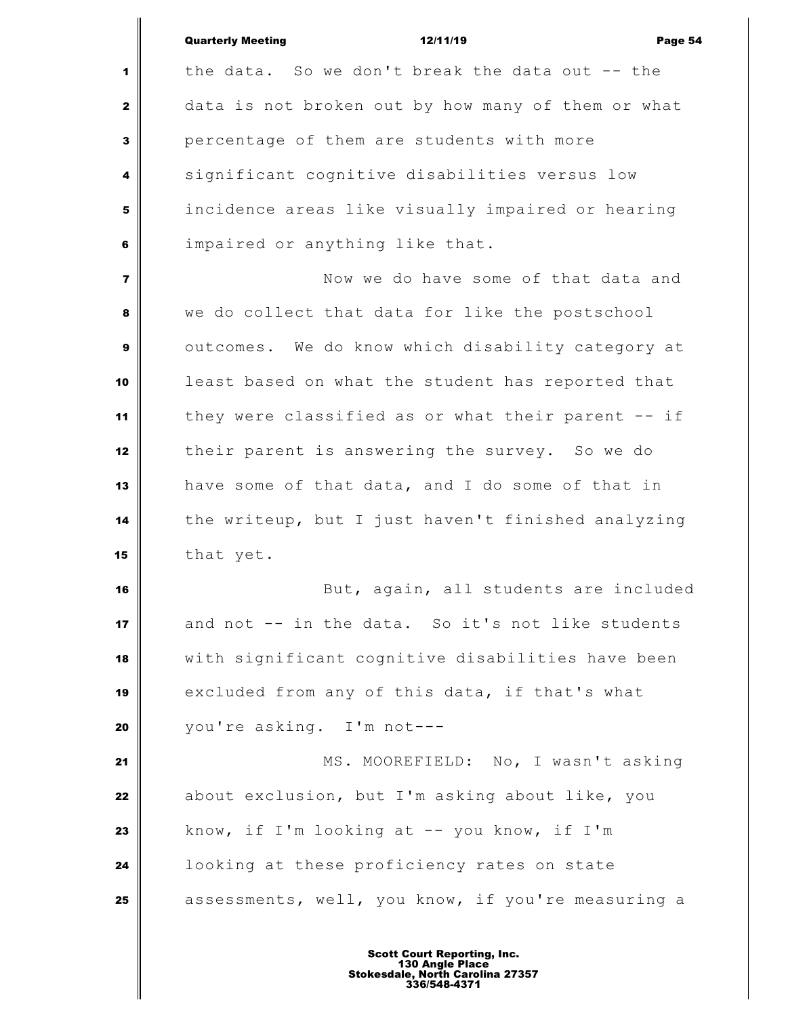|                         | <b>Quarterly Meeting</b><br>12/11/19<br>Page 54    |
|-------------------------|----------------------------------------------------|
| 1                       | the data. So we don't break the data out -- the    |
| $\mathbf{2}$            | data is not broken out by how many of them or what |
| $\overline{\mathbf{3}}$ | percentage of them are students with more          |
| 4                       | significant cognitive disabilities versus low      |
| 5                       | incidence areas like visually impaired or hearing  |
| 6                       | impaired or anything like that.                    |
| $\overline{7}$          | Now we do have some of that data and               |
| 8                       | we do collect that data for like the postschool    |
| 9                       | outcomes. We do know which disability category at  |
| 10                      | least based on what the student has reported that  |
| 11                      | they were classified as or what their parent -- if |
| 12                      | their parent is answering the survey. So we do     |
| 13                      | have some of that data, and I do some of that in   |
| 14                      | the writeup, but I just haven't finished analyzing |
| 15                      | that yet.                                          |
| 16                      | But, again, all students are included              |
| 17                      | and not -- in the data. So it's not like students  |
| 18                      | with significant cognitive disabilities have been  |
| 19                      | excluded from any of this data, if that's what     |
| 20                      | you're asking. I'm not---                          |
| 21                      | MS. MOOREFIELD: No, I wasn't asking                |
| 22                      | about exclusion, but I'm asking about like, you    |
| 23                      | know, if I'm looking at -- you know, if I'm        |
| 24                      | looking at these proficiency rates on state        |
| 25                      | assessments, well, you know, if you're measuring a |
|                         |                                                    |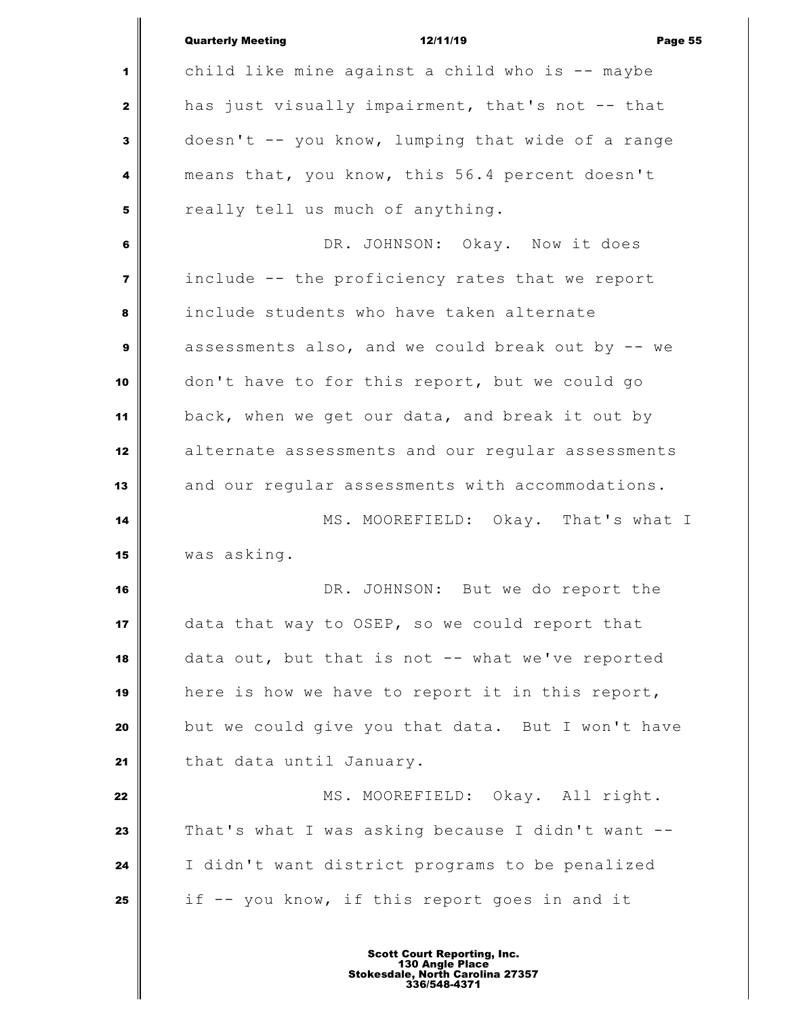|                         | <b>Quarterly Meeting</b><br>12/11/19<br>Page 55   |
|-------------------------|---------------------------------------------------|
| 1                       | child like mine against a child who is -- maybe   |
| $\mathbf{2}$            | has just visually impairment, that's not -- that  |
| 3                       | doesn't -- you know, lumping that wide of a range |
| 4                       | means that, you know, this 56.4 percent doesn't   |
| 5                       | really tell us much of anything.                  |
| 6                       | DR. JOHNSON: Okay. Now it does                    |
| $\overline{\mathbf{z}}$ | include -- the proficiency rates that we report   |
| 8                       | include students who have taken alternate         |
| 9                       | assessments also, and we could break out by -- we |
| 10                      | don't have to for this report, but we could go    |
| 11                      | back, when we get our data, and break it out by   |
| 12                      | alternate assessments and our regular assessments |
| 13                      | and our regular assessments with accommodations.  |
| 14                      | MS. MOOREFIELD: Okay. That's what I               |
| 15                      | was asking.                                       |
| 16                      | DR. JOHNSON: But we do report the                 |
| 17                      | data that way to OSEP, so we could report that    |
| 18                      | data out, but that is not -- what we've reported  |
| 19                      | here is how we have to report it in this report,  |
| 20                      | but we could give you that data. But I won't have |
| 21                      | that data until January.                          |
| 22                      | MS. MOOREFIELD: Okay. All right.                  |
| 23                      | That's what I was asking because I didn't want -- |
| 24                      | I didn't want district programs to be penalized   |
| 25                      | if -- you know, if this report goes in and it     |
|                         |                                                   |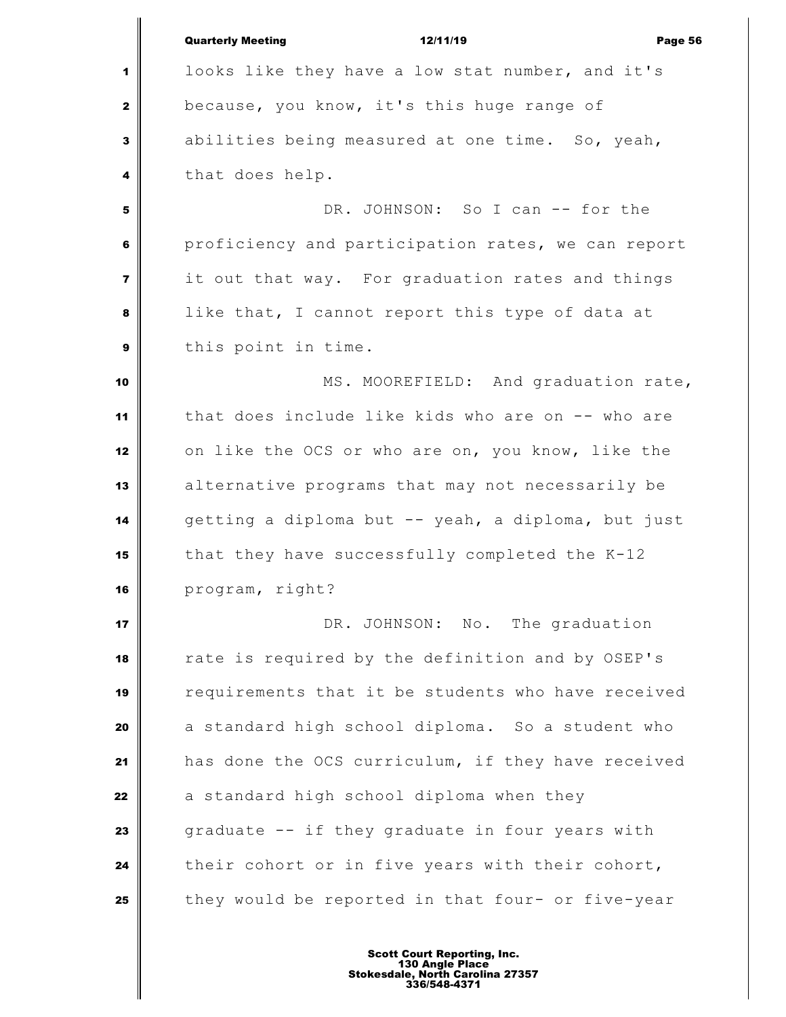|                         | <b>Quarterly Meeting</b><br>12/11/19<br>Page 56    |
|-------------------------|----------------------------------------------------|
| 1                       | looks like they have a low stat number, and it's   |
| 2                       | because, you know, it's this huge range of         |
| 3                       | abilities being measured at one time. So, yeah,    |
| 4                       | that does help.                                    |
| 5                       | DR. JOHNSON: So I can -- for the                   |
| 6                       | proficiency and participation rates, we can report |
| $\overline{\mathbf{z}}$ | it out that way. For graduation rates and things   |
| 8                       | like that, I cannot report this type of data at    |
| 9                       | this point in time.                                |
| 10                      | MS. MOOREFIELD: And graduation rate,               |
| 11                      | that does include like kids who are on -- who are  |
| 12                      | on like the OCS or who are on, you know, like the  |
| 13                      | alternative programs that may not necessarily be   |
| 14                      | getting a diploma but -- yeah, a diploma, but just |
| 15                      | that they have successfully completed the K-12     |
| 16                      | program, right?                                    |
| 17                      | DR. JOHNSON: No. The graduation                    |
| 18                      | rate is required by the definition and by OSEP's   |
| 19                      | requirements that it be students who have received |
| 20                      | a standard high school diploma. So a student who   |
| 21                      | has done the OCS curriculum, if they have received |
| 22                      | a standard high school diploma when they           |
| 23                      | graduate -- if they graduate in four years with    |
| 24                      | their cohort or in five years with their cohort,   |
| 25                      | they would be reported in that four- or five-year  |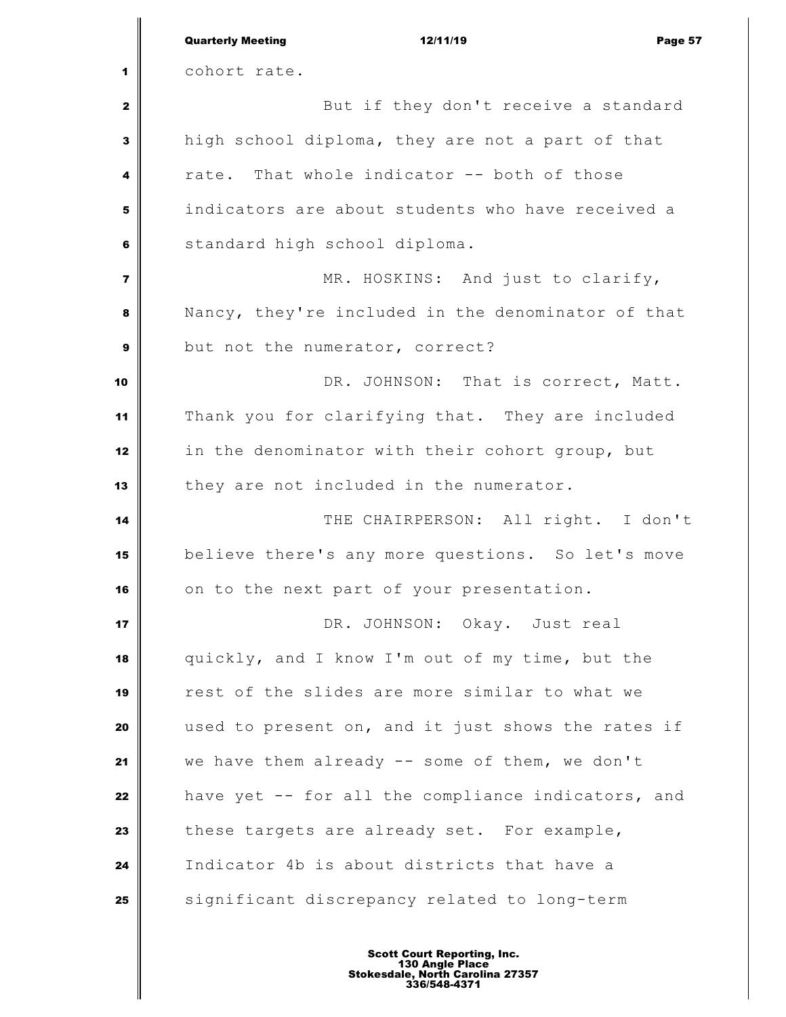|                         | <b>Quarterly Meeting</b><br>12/11/19<br>Page 57    |
|-------------------------|----------------------------------------------------|
| 1                       | cohort rate.                                       |
| $\mathbf{2}$            | But if they don't receive a standard               |
| 3                       | high school diploma, they are not a part of that   |
| 4                       | rate. That whole indicator -- both of those        |
| 5                       | indicators are about students who have received a  |
| 6                       | standard high school diploma.                      |
| $\overline{\mathbf{z}}$ | MR. HOSKINS: And just to clarify,                  |
| 8                       | Nancy, they're included in the denominator of that |
| 9                       | but not the numerator, correct?                    |
| 10                      | DR. JOHNSON: That is correct, Matt.                |
| 11                      | Thank you for clarifying that. They are included   |
| 12                      | in the denominator with their cohort group, but    |
| 13                      | they are not included in the numerator.            |
| 14                      | THE CHAIRPERSON: All right. I don't                |
| 15                      | believe there's any more questions. So let's move  |
| 16                      | on to the next part of your presentation.          |
| 17                      | DR. JOHNSON: Okay. Just real                       |
| 18                      | quickly, and I know I'm out of my time, but the    |
| 19                      | rest of the slides are more similar to what we     |
| 20                      | used to present on, and it just shows the rates if |
| 21                      | we have them already -- some of them, we don't     |
| 22                      | have yet -- for all the compliance indicators, and |
| 23                      | these targets are already set. For example,        |
| 24                      | Indicator 4b is about districts that have a        |
| 25                      | significant discrepancy related to long-term       |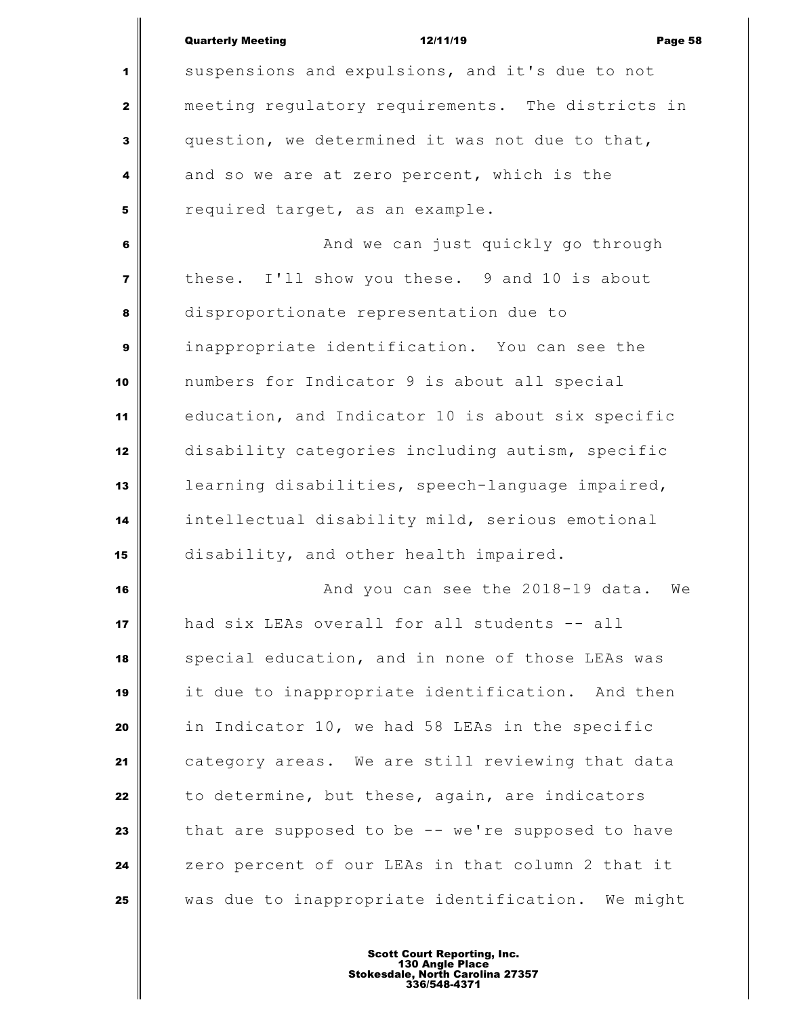|                         | <b>Quarterly Meeting</b><br>12/11/19<br>Page 58   |
|-------------------------|---------------------------------------------------|
| 1                       | suspensions and expulsions, and it's due to not   |
| $\mathbf{2}$            | meeting regulatory requirements. The districts in |
| 3                       | question, we determined it was not due to that,   |
| 4                       | and so we are at zero percent, which is the       |
| 5                       | required target, as an example.                   |
| 6                       | And we can just quickly go through                |
| $\overline{\mathbf{z}}$ | these. I'll show you these. 9 and 10 is about     |
| 8                       | disproportionate representation due to            |
| $\mathbf{9}$            | inappropriate identification. You can see the     |
| 10                      | numbers for Indicator 9 is about all special      |
| 11                      | education, and Indicator 10 is about six specific |
| 12                      | disability categories including autism, specific  |
| 13                      | learning disabilities, speech-language impaired,  |
| 14                      | intellectual disability mild, serious emotional   |
| 15                      | disability, and other health impaired.            |
| 16                      | And you can see the 2018-19 data. We              |
| 17                      | had six LEAs overall for all students -- all      |
| 18                      | special education, and in none of those LEAs was  |
| 19                      | it due to inappropriate identification. And then  |
| 20                      | in Indicator 10, we had 58 LEAs in the specific   |
| 21                      | category areas. We are still reviewing that data  |
| 22                      | to determine, but these, again, are indicators    |
| 23                      | that are supposed to be -- we're supposed to have |
| 24                      | zero percent of our LEAs in that column 2 that it |
| 25                      | was due to inappropriate identification. We might |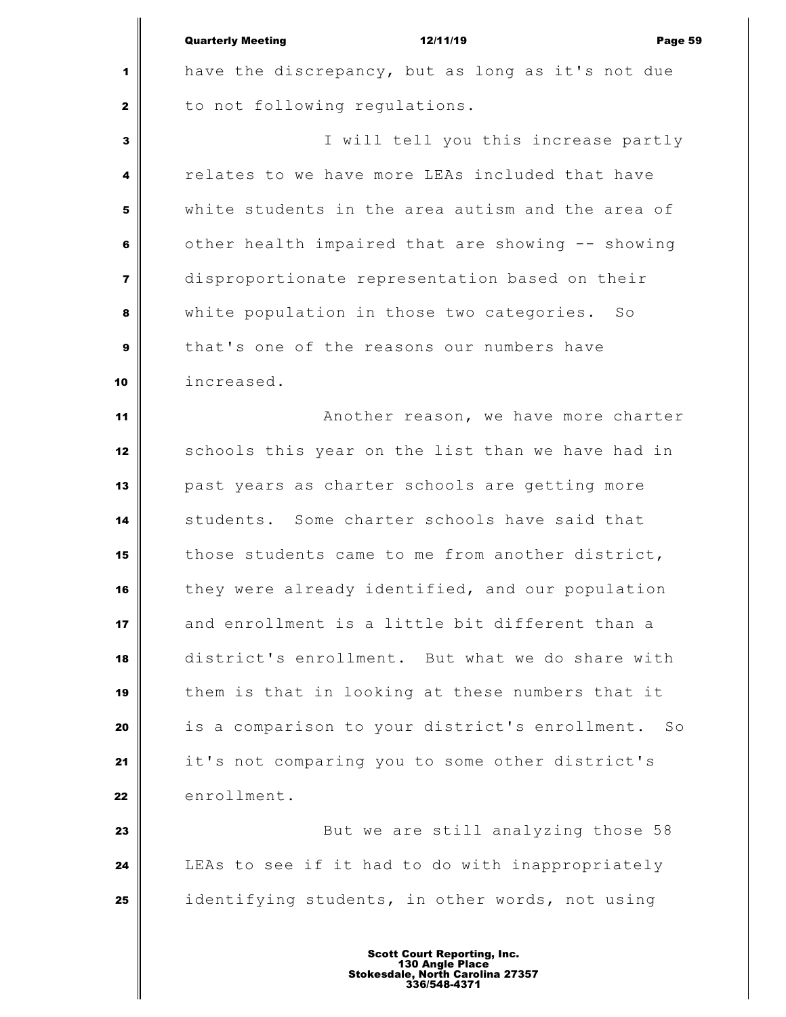Quarterly Meeting 12/11/19 Page 59 have the discrepancy, but as long as it's not due to not following regulations. I will tell you this increase partly relates to we have more LEAs included that have white students in the area autism and the area of other health impaired that are showing -- showing disproportionate representation based on their white population in those two categories. So that's one of the reasons our numbers have increased. **Another reason, we have more charter**  schools this year on the list than we have had in past years as charter schools are getting more students. Some charter schools have said that those students came to me from another district, they were already identified, and our population and enrollment is a little bit different than a district's enrollment. But what we do share with them is that in looking at these numbers that it is a comparison to your district's enrollment. So it's not comparing you to some other district's enrollment. But we are still analyzing those 58 LEAs to see if it had to do with inappropriately identifying students, in other words, not using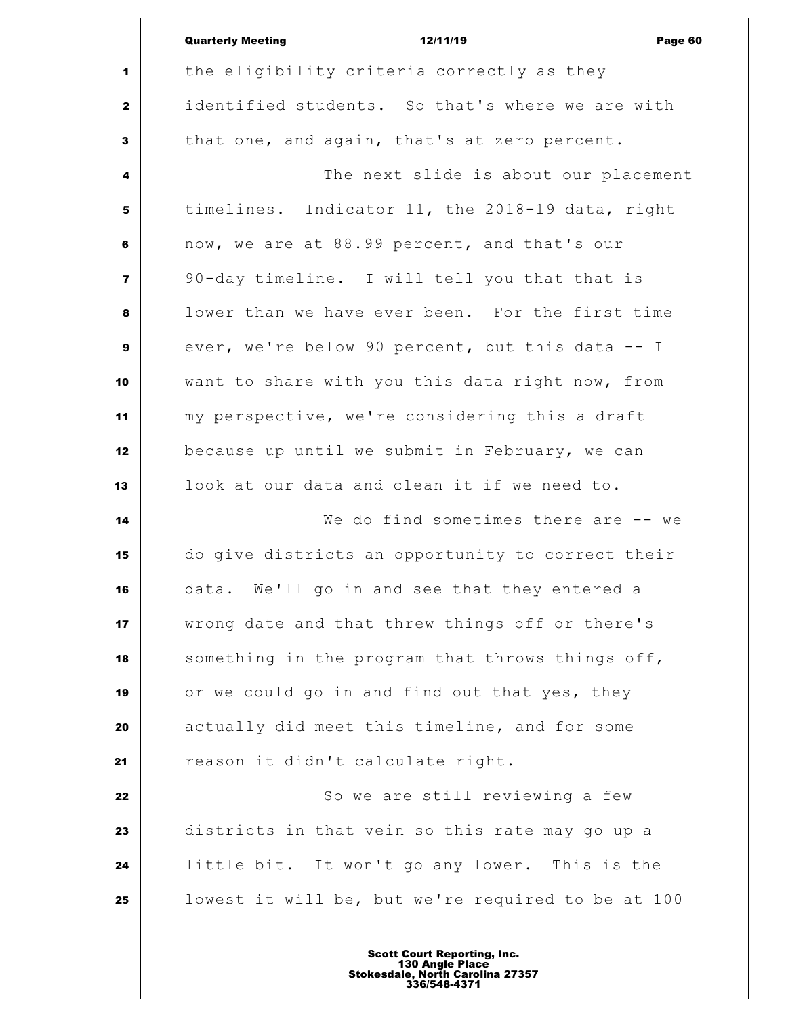|                         | <b>Quarterly Meeting</b><br>12/11/19<br>Page 60    |
|-------------------------|----------------------------------------------------|
| 1                       | the eligibility criteria correctly as they         |
| $\mathbf{2}$            | identified students. So that's where we are with   |
| 3                       | that one, and again, that's at zero percent.       |
| 4                       | The next slide is about our placement              |
| 5                       | timelines. Indicator 11, the 2018-19 data, right   |
| 6                       | now, we are at 88.99 percent, and that's our       |
| $\overline{\mathbf{z}}$ | 90-day timeline. I will tell you that that is      |
| 8                       | lower than we have ever been. For the first time   |
| 9                       | ever, we're below 90 percent, but this data -- I   |
| 10                      | want to share with you this data right now, from   |
| 11                      | my perspective, we're considering this a draft     |
| 12                      | because up until we submit in February, we can     |
| 13                      | look at our data and clean it if we need to.       |
| 14                      | We do find sometimes there are $-$ we              |
| 15                      | do give districts an opportunity to correct their  |
| 16                      | data. We'll go in and see that they entered a      |
| 17                      | wrong date and that threw things off or there's    |
| 18                      | something in the program that throws things off,   |
| 19                      | or we could go in and find out that yes, they      |
| 20                      | actually did meet this timeline, and for some      |
| 21                      | reason it didn't calculate right.                  |
| 22                      | So we are still reviewing a few                    |
| 23                      | districts in that vein so this rate may go up a    |
| 24                      | little bit. It won't go any lower. This is the     |
| 25                      | lowest it will be, but we're required to be at 100 |
|                         |                                                    |

 $\mathsf{l}$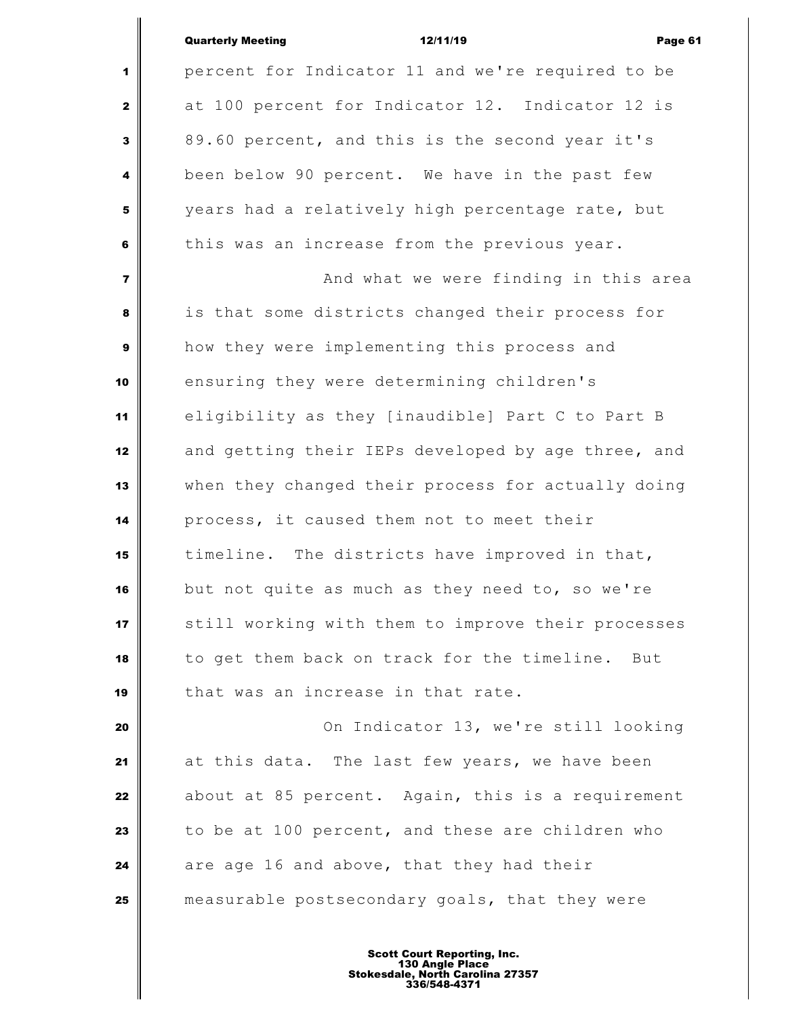|                         | <b>Quarterly Meeting</b><br>12/11/19<br>Page 61    |
|-------------------------|----------------------------------------------------|
| 1                       | percent for Indicator 11 and we're required to be  |
| $\mathbf{2}$            | at 100 percent for Indicator 12. Indicator 12 is   |
| $\overline{\mathbf{3}}$ | 89.60 percent, and this is the second year it's    |
| 4                       | been below 90 percent. We have in the past few     |
| 5                       | years had a relatively high percentage rate, but   |
| 6                       | this was an increase from the previous year.       |
| $\overline{\mathbf{z}}$ | And what we were finding in this area              |
| 8                       | is that some districts changed their process for   |
| 9                       | how they were implementing this process and        |
| 10                      | ensuring they were determining children's          |
| 11                      | eligibility as they [inaudible] Part C to Part B   |
| 12                      | and getting their IEPs developed by age three, and |
| 13                      | when they changed their process for actually doing |
| 14                      | process, it caused them not to meet their          |
| 15                      | timeline. The districts have improved in that,     |
| 16                      | but not quite as much as they need to, so we're    |
| 17                      | still working with them to improve their processes |
| 18                      | to get them back on track for the timeline. But    |
| 19                      | that was an increase in that rate.                 |
| 20                      | On Indicator 13, we're still looking               |
| 21                      | at this data. The last few years, we have been     |
| 22                      | about at 85 percent. Again, this is a requirement  |
| 23                      | to be at 100 percent, and these are children who   |
| 24                      | are age 16 and above, that they had their          |
| 25                      | measurable postsecondary goals, that they were     |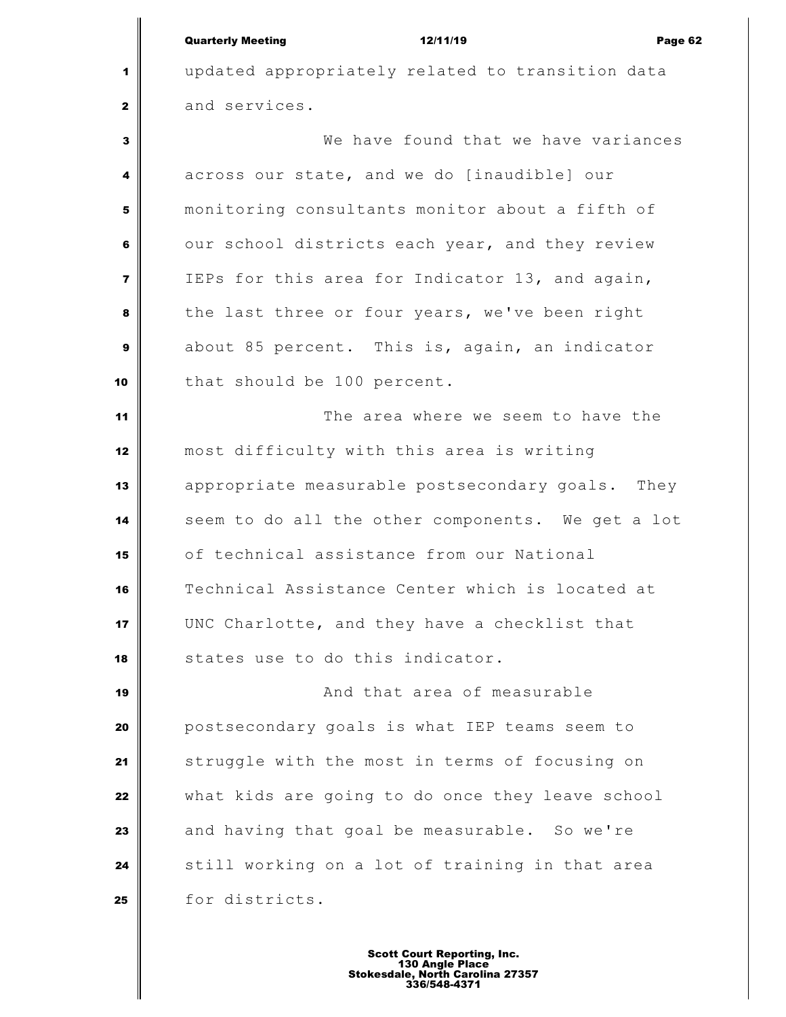| <b>Quarterly Meeting</b> |  |
|--------------------------|--|
|                          |  |

Quarterly Meeting 12/11/19 Page 62 updated appropriately related to transition data and services. We have found that we have variances across our state, and we do [inaudible] our monitoring consultants monitor about a fifth of our school districts each year, and they review IEPs for this area for Indicator 13, and again, the last three or four years, we've been right about 85 percent. This is, again, an indicator 10 that should be 100 percent. The area where we seem to have the most difficulty with this area is writing appropriate measurable postsecondary goals. They seem to do all the other components. We get a lot of technical assistance from our National Technical Assistance Center which is located at UNC Charlotte, and they have a checklist that states use to do this indicator. **And that area of measurable**  postsecondary goals is what IEP teams seem to struggle with the most in terms of focusing on what kids are going to do once they leave school and having that goal be measurable. So we're still working on a lot of training in that area 25 for districts.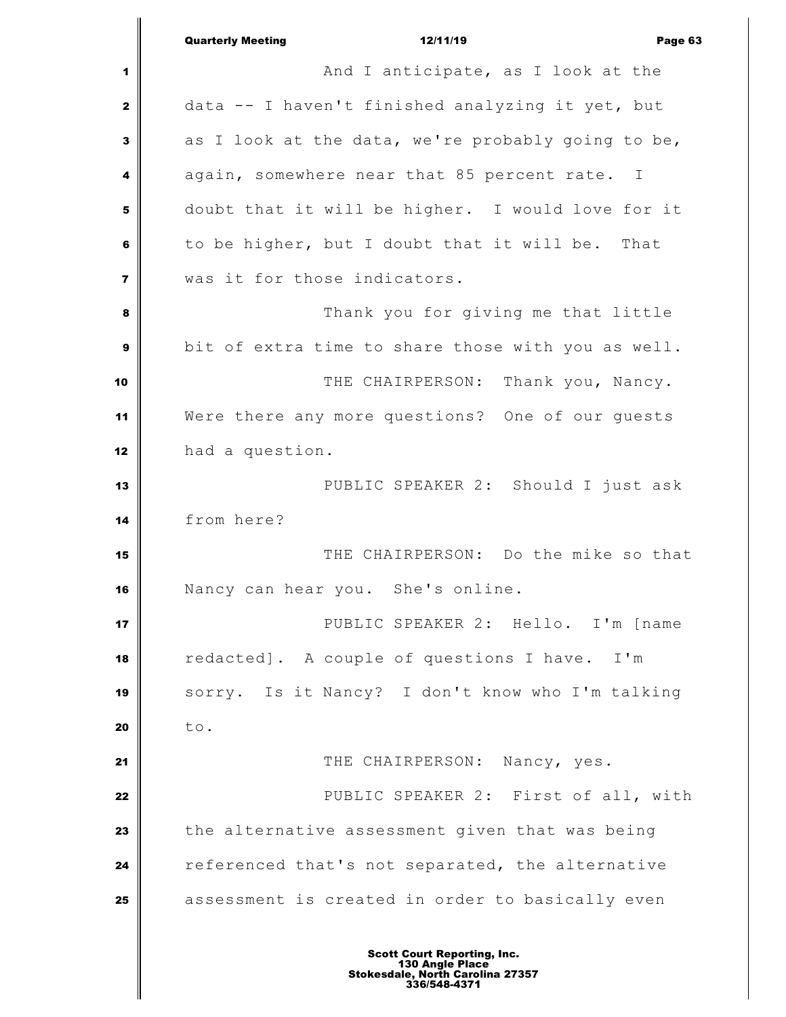|                         | <b>Quarterly Meeting</b><br>12/11/19<br>Page 63             |
|-------------------------|-------------------------------------------------------------|
| 1                       | And I anticipate, as I look at the                          |
| $\mathbf{2}$            | data -- I haven't finished analyzing it yet, but            |
| 3                       | as I look at the data, we're probably going to be,          |
| 4                       | again, somewhere near that 85 percent rate.<br>$\mathbb{I}$ |
| 5                       | doubt that it will be higher. I would love for it           |
| 6                       | to be higher, but I doubt that it will be. That             |
| $\overline{\mathbf{z}}$ | was it for those indicators.                                |
| 8                       | Thank you for giving me that little                         |
| 9                       | bit of extra time to share those with you as well.          |
| 10                      | THE CHAIRPERSON:<br>Thank you, Nancy.                       |
| 11                      | Were there any more questions? One of our guests            |
| 12                      | had a question.                                             |
| 13                      | PUBLIC SPEAKER 2: Should I just ask                         |
| 14                      | from here?                                                  |
| 15                      | THE CHAIRPERSON: Do the mike so that                        |
| 16                      | Nancy can hear you. She's online.                           |
| 17                      | PUBLIC SPEAKER 2: Hello. I'm [name                          |
| 18                      | redacted]. A couple of questions I have. I'm                |
| 19                      | sorry. Is it Nancy? I don't know who I'm talking            |
| 20                      | to.                                                         |
| 21                      | THE CHAIRPERSON: Nancy, yes.                                |
| 22                      | PUBLIC SPEAKER 2: First of all, with                        |
| 23                      | the alternative assessment given that was being             |
| 24                      | referenced that's not separated, the alternative            |
| 25                      | assessment is created in order to basically even            |
|                         |                                                             |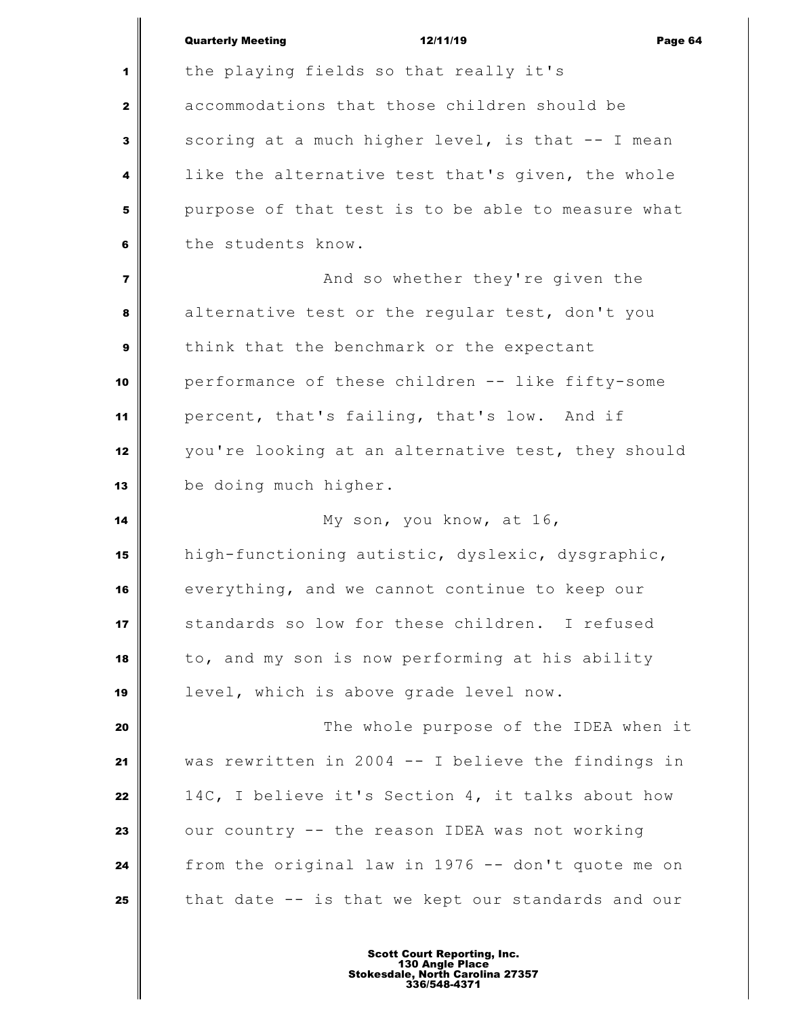|                         | <b>Quarterly Meeting</b><br>12/11/19<br>Page 64    |
|-------------------------|----------------------------------------------------|
| 1                       | the playing fields so that really it's             |
| $\mathbf{2}$            | accommodations that those children should be       |
| 3                       | scoring at a much higher level, is that -- I mean  |
| 4                       | like the alternative test that's given, the whole  |
| 5                       | purpose of that test is to be able to measure what |
| 6                       | the students know.                                 |
| $\overline{\mathbf{z}}$ | And so whether they're given the                   |
| 8                       | alternative test or the regular test, don't you    |
| 9                       | think that the benchmark or the expectant          |
| 10                      | performance of these children -- like fifty-some   |
| 11                      | percent, that's failing, that's low. And if        |
| 12                      | you're looking at an alternative test, they should |
| 13                      | be doing much higher.                              |
| 14                      | My son, you know, at 16,                           |
| 15                      | high-functioning autistic, dyslexic, dysgraphic,   |
| 16                      | everything, and we cannot continue to keep our     |
| 17                      | standards so low for these children. I refused     |
| 18                      | to, and my son is now performing at his ability    |
| 19                      | level, which is above grade level now.             |
| 20                      | The whole purpose of the IDEA when it              |
| 21                      | was rewritten in 2004 -- I believe the findings in |
| 22                      | 14C, I believe it's Section 4, it talks about how  |
| 23                      | our country -- the reason IDEA was not working     |
| 24                      | from the original law in 1976 -- don't quote me on |
| 25                      | that date -- is that we kept our standards and our |
|                         |                                                    |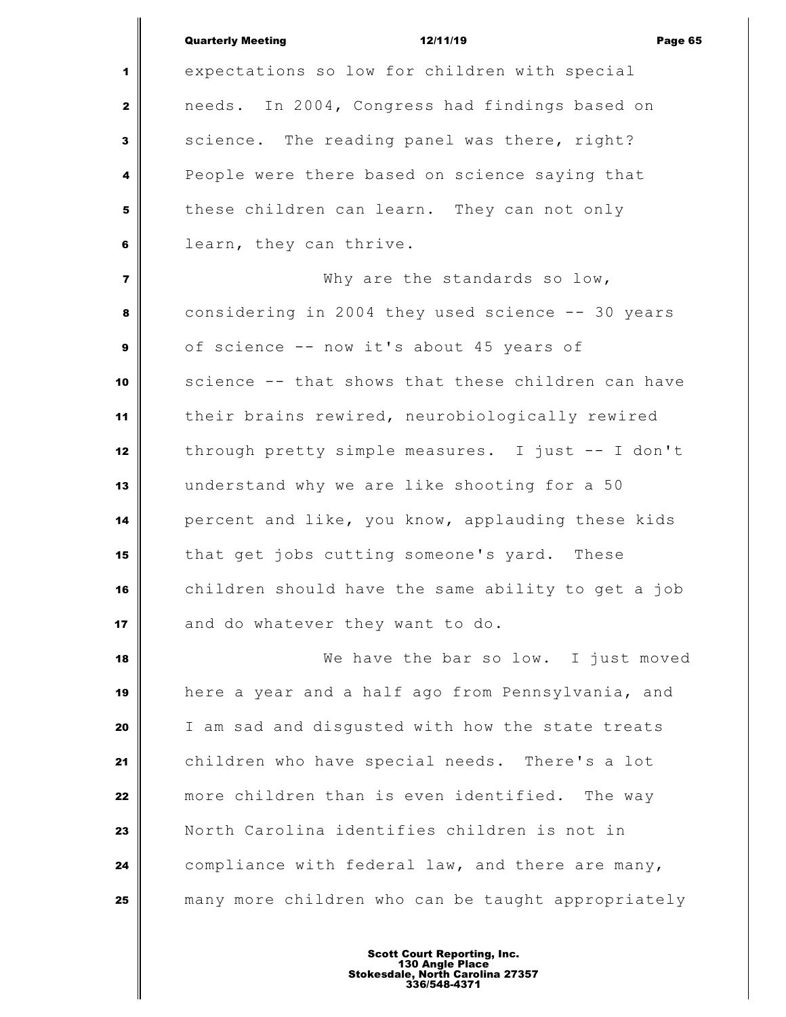|                         | <b>Quarterly Meeting</b><br>12/11/19<br>Page 65    |
|-------------------------|----------------------------------------------------|
| 1                       | expectations so low for children with special      |
| $\mathbf{2}$            | needs. In 2004, Congress had findings based on     |
| $\mathbf{3}$            | science. The reading panel was there, right?       |
| 4                       | People were there based on science saying that     |
| 5                       | these children can learn. They can not only        |
| 6                       | learn, they can thrive.                            |
| $\overline{\mathbf{z}}$ | Why are the standards so low,                      |
| 8                       | considering in 2004 they used science -- 30 years  |
| $\boldsymbol{9}$        | of science -- now it's about 45 years of           |
| 10                      | science -- that shows that these children can have |
| 11                      | their brains rewired, neurobiologically rewired    |
| 12                      | through pretty simple measures. I just -- I don't  |
| 13                      | understand why we are like shooting for a 50       |
| 14                      | percent and like, you know, applauding these kids  |
| 15                      | that get jobs cutting someone's yard. These        |
| 16                      | children should have the same ability to get a job |
| 17                      | and do whatever they want to do.                   |
| 18                      | We have the bar so low. I just moved               |
| 19                      | here a year and a half ago from Pennsylvania, and  |
| 20                      | I am sad and disgusted with how the state treats   |
| 21                      | children who have special needs. There's a lot     |
| 22                      | more children than is even identified. The way     |
| 23                      | North Carolina identifies children is not in       |
| 24                      | compliance with federal law, and there are many,   |
| 25                      | many more children who can be taught appropriately |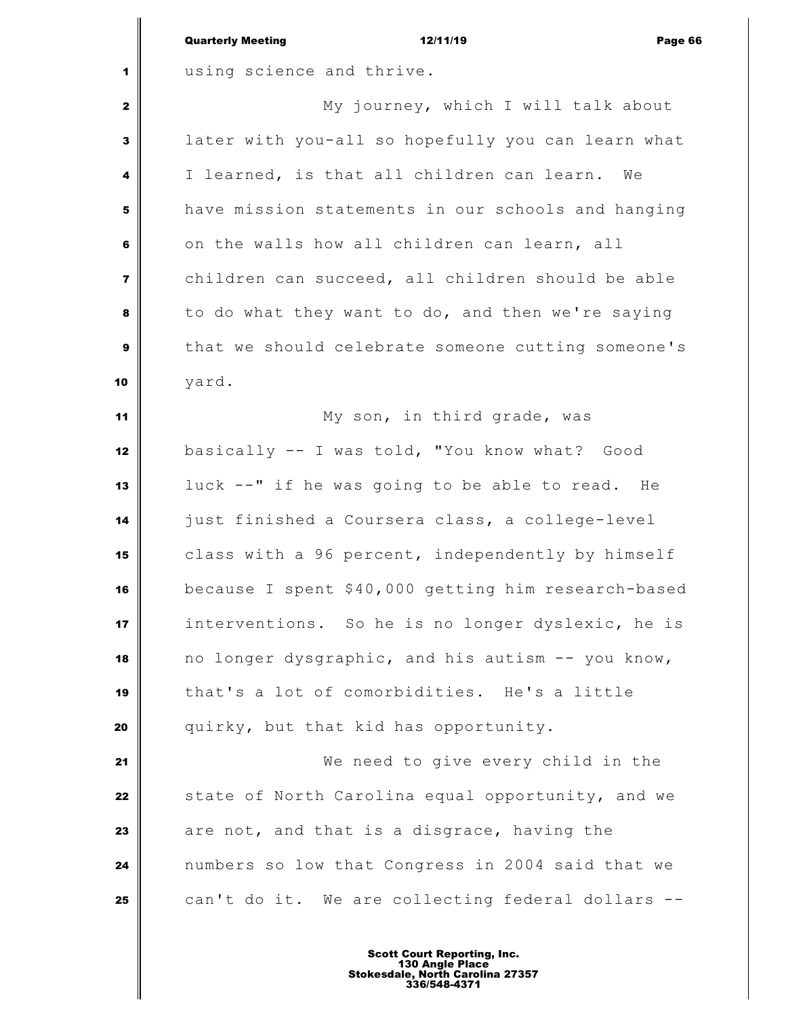|                         | <b>Quarterly Meeting</b><br>12/11/19<br>Page 66     |
|-------------------------|-----------------------------------------------------|
| 1                       | using science and thrive.                           |
| $\mathbf{2}$            | My journey, which I will talk about                 |
| 3                       | later with you-all so hopefully you can learn what  |
| 4                       | I learned, is that all children can learn.<br>We    |
| 5                       | have mission statements in our schools and hanging  |
| 6                       | on the walls how all children can learn, all        |
| $\overline{\mathbf{z}}$ | children can succeed, all children should be able   |
| 8                       | to do what they want to do, and then we're saying   |
| $\mathbf{9}$            | that we should celebrate someone cutting someone's  |
| 10                      | yard.                                               |
| 11                      | My son, in third grade, was                         |
| 12                      | basically -- I was told, "You know what? Good       |
| 13                      | luck --" if he was going to be able to read. He     |
| 14                      | just finished a Coursera class, a college-level     |
| 15                      | class with a 96 percent, independently by himself   |
| 16                      | because I spent \$40,000 getting him research-based |
| 17                      | interventions. So he is no longer dyslexic, he is   |
| 18                      | no longer dysgraphic, and his autism -- you know,   |
| 19                      | that's a lot of comorbidities. He's a little        |
| 20                      | quirky, but that kid has opportunity.               |
| 21                      | We need to give every child in the                  |
| 22                      | state of North Carolina equal opportunity, and we   |
| 23                      | are not, and that is a disgrace, having the         |
| 24                      | numbers so low that Congress in 2004 said that we   |
| 25                      | can't do it. We are collecting federal dollars --   |
|                         |                                                     |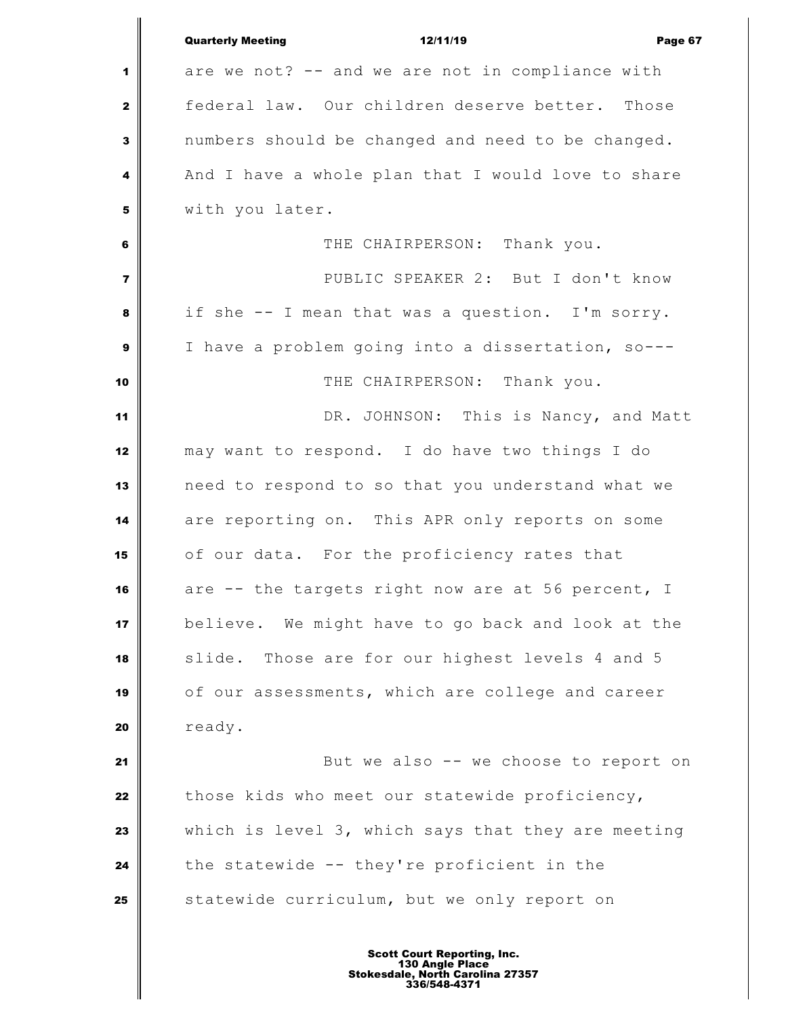|                         | <b>Quarterly Meeting</b><br>12/11/19<br>Page 67    |
|-------------------------|----------------------------------------------------|
| 1                       | are we not? -- and we are not in compliance with   |
| $\mathbf{2}$            | federal law. Our children deserve better. Those    |
| $\mathbf{3}$            | numbers should be changed and need to be changed.  |
| $\overline{\mathbf{4}}$ | And I have a whole plan that I would love to share |
| 5                       | with you later.                                    |
| 6                       | THE CHAIRPERSON: Thank you.                        |
| $\overline{7}$          | PUBLIC SPEAKER 2: But I don't know                 |
| 8                       | if she -- I mean that was a question. I'm sorry.   |
| $\mathbf{9}$            | I have a problem going into a dissertation, so---  |
| 10                      | THE CHAIRPERSON: Thank you.                        |
| 11                      | DR. JOHNSON: This is Nancy, and Matt               |
| 12                      | may want to respond. I do have two things I do     |
| 13                      | need to respond to so that you understand what we  |
| 14                      | are reporting on. This APR only reports on some    |
| 15                      | of our data. For the proficiency rates that        |
| 16                      | are -- the targets right now are at 56 percent, I  |
| 17                      | believe. We might have to go back and look at the  |
| 18                      | Those are for our highest levels 4 and 5<br>slide. |
| 19                      | of our assessments, which are college and career   |
| 20                      | ready.                                             |
| 21                      | But we also -- we choose to report on              |
| 22                      | those kids who meet our statewide proficiency,     |
| 23                      | which is level 3, which says that they are meeting |
| 24                      | the statewide -- they're proficient in the         |
| 25                      | statewide curriculum, but we only report on        |
|                         |                                                    |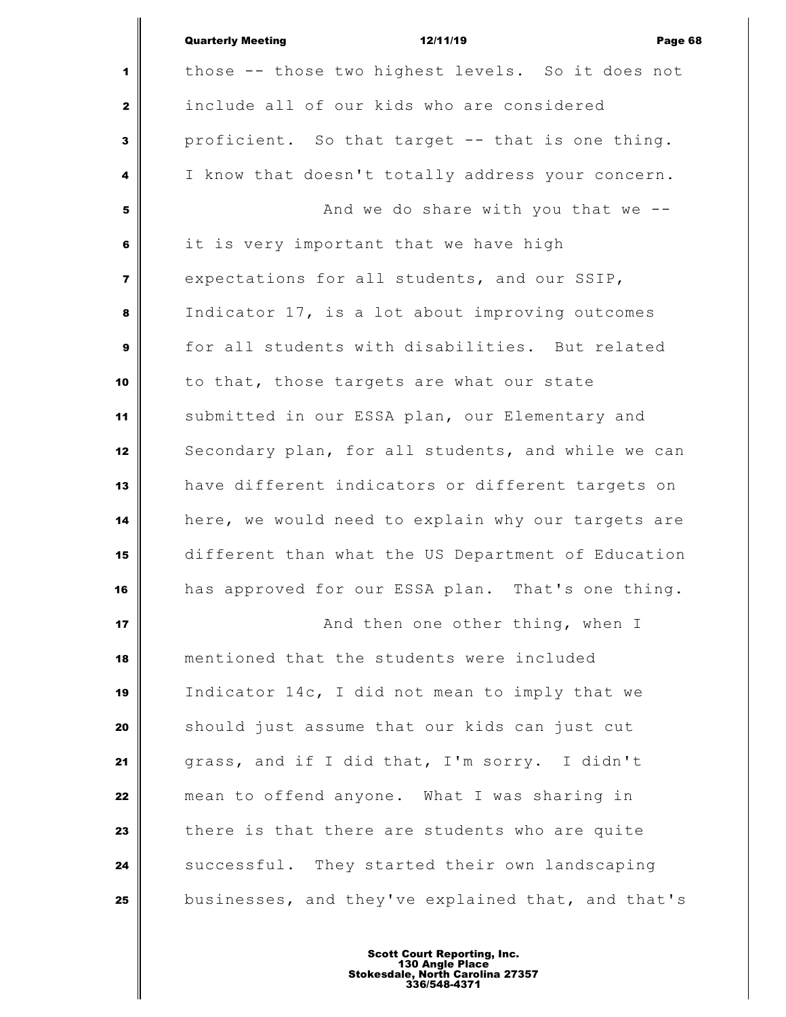|                | <b>Quarterly Meeting</b><br>12/11/19<br>Page 68    |
|----------------|----------------------------------------------------|
| 1              | those -- those two highest levels. So it does not  |
| $\mathbf{2}$   | include all of our kids who are considered         |
| 3              | proficient. So that target -- that is one thing.   |
| 4              | I know that doesn't totally address your concern.  |
| 5              | And we do share with you that we $-$ -             |
| 6              | it is very important that we have high             |
| $\overline{7}$ | expectations for all students, and our SSIP,       |
| 8              | Indicator 17, is a lot about improving outcomes    |
| $\mathbf{9}$   | for all students with disabilities. But related    |
| 10             | to that, those targets are what our state          |
| 11             | submitted in our ESSA plan, our Elementary and     |
| 12             | Secondary plan, for all students, and while we can |
| 13             | have different indicators or different targets on  |
| 14             | here, we would need to explain why our targets are |
| 15             | different than what the US Department of Education |
| 16             | has approved for our ESSA plan. That's one thing.  |
| 17             | And then one other thing, when I                   |
| 18             | mentioned that the students were included          |
| 19             | Indicator 14c, I did not mean to imply that we     |
| 20             | should just assume that our kids can just cut      |
| 21             | grass, and if I did that, I'm sorry. I didn't      |
| 22             | mean to offend anyone. What I was sharing in       |
| 23             | there is that there are students who are quite     |
| 24             | successful. They started their own landscaping     |
| 25             | businesses, and they've explained that, and that's |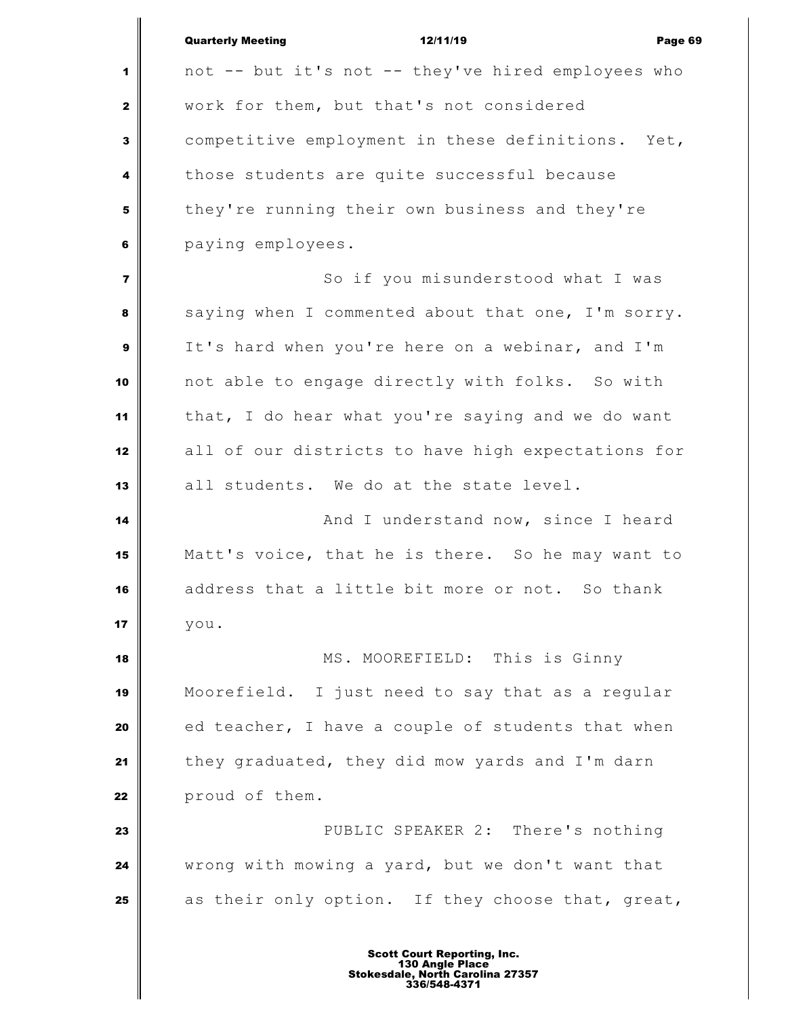|                         | <b>Quarterly Meeting</b><br>12/11/19<br>Page 69    |
|-------------------------|----------------------------------------------------|
| 1                       | not -- but it's not -- they've hired employees who |
| $\mathbf{z}$            | work for them, but that's not considered           |
| $\mathbf{3}$            | competitive employment in these definitions. Yet,  |
| 4                       | those students are quite successful because        |
| 5                       | they're running their own business and they're     |
| 6                       | paying employees.                                  |
| $\overline{\mathbf{z}}$ | So if you misunderstood what I was                 |
| 8                       | saying when I commented about that one, I'm sorry. |
| 9                       | It's hard when you're here on a webinar, and I'm   |
| 10                      | not able to engage directly with folks. So with    |
| 11                      | that, I do hear what you're saying and we do want  |
| 12                      | all of our districts to have high expectations for |
| 13                      | all students. We do at the state level.            |
| 14                      | And I understand now, since I heard                |
| 15                      | Matt's voice, that he is there. So he may want to  |
| 16                      | address that a little bit more or not. So thank    |
| 17                      | you.                                               |
| 18                      | MS. MOOREFIELD: This is Ginny                      |
| 19                      | Moorefield. I just need to say that as a regular   |
| 20                      | ed teacher, I have a couple of students that when  |
| 21                      | they graduated, they did mow yards and I'm darn    |
| 22                      | proud of them.                                     |
| 23                      | PUBLIC SPEAKER 2: There's nothing                  |
| 24                      | wrong with mowing a yard, but we don't want that   |
| 25                      | as their only option. If they choose that, great,  |
|                         |                                                    |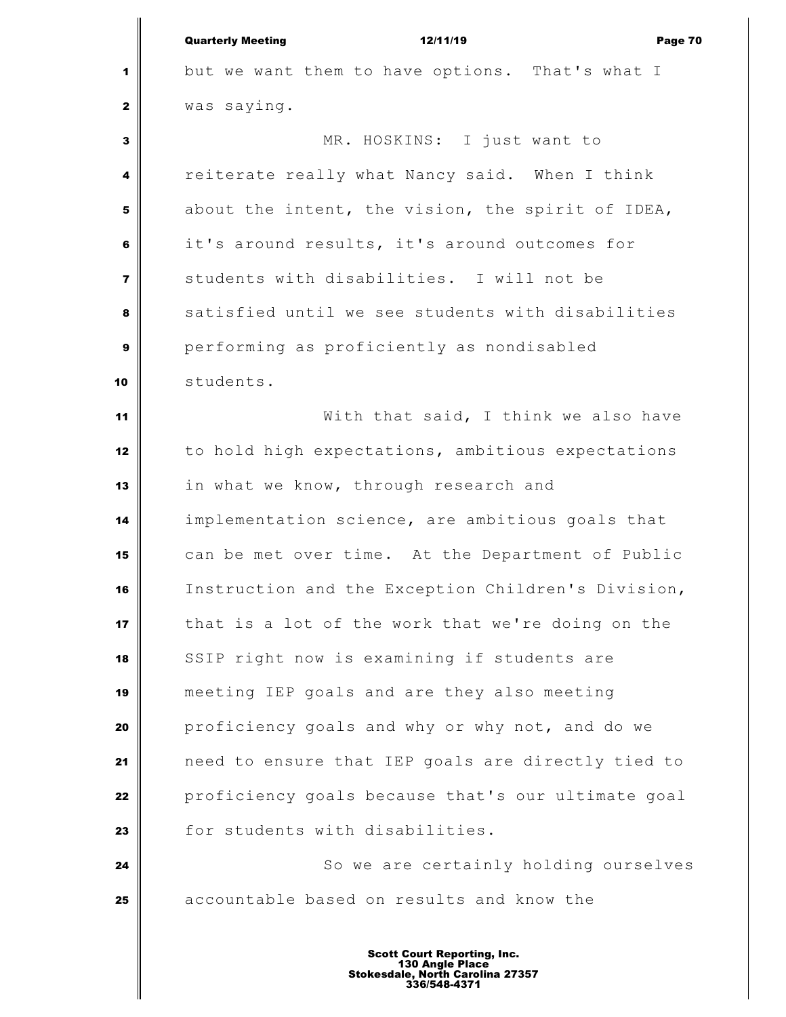|              | <b>Quarterly Meeting</b><br>12/11/19<br>Page 70    |
|--------------|----------------------------------------------------|
| 1            | but we want them to have options. That's what I    |
| $\mathbf{z}$ | was saying.                                        |
| 3            | MR. HOSKINS: I just want to                        |
| 4            | reiterate really what Nancy said. When I think     |
| 5            | about the intent, the vision, the spirit of IDEA,  |
| 6            | it's around results, it's around outcomes for      |
| 7            | students with disabilities. I will not be          |
| 8            | satisfied until we see students with disabilities  |
| 9            | performing as proficiently as nondisabled          |
| 10           | students.                                          |
| 11           | With that said, I think we also have               |
| 12           | to hold high expectations, ambitious expectations  |
| 13           | in what we know, through research and              |
| 14           | implementation science, are ambitious goals that   |
| 15           | can be met over time. At the Department of Public  |
| 16           | Instruction and the Exception Children's Division, |
| 17           | that is a lot of the work that we're doing on the  |
| 18           | SSIP right now is examining if students are        |
| 19           | meeting IEP goals and are they also meeting        |
| 20           | proficiency goals and why or why not, and do we    |
| 21           | need to ensure that IEP goals are directly tied to |
| 22           | proficiency goals because that's our ultimate goal |
| 23           | for students with disabilities.                    |
| 24           | So we are certainly holding ourselves              |
| 25           | accountable based on results and know the          |
|              |                                                    |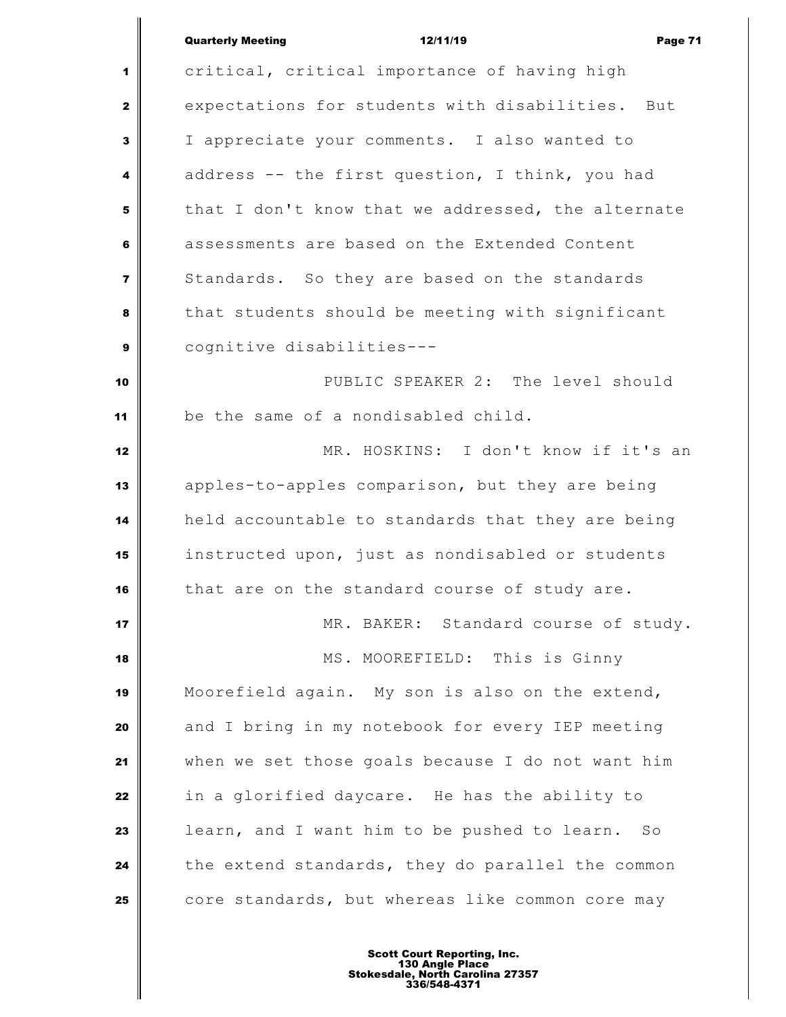|                         | <b>Quarterly Meeting</b><br>12/11/19<br>Page 71    |
|-------------------------|----------------------------------------------------|
| 1                       | critical, critical importance of having high       |
| $\mathbf{2}$            | expectations for students with disabilities. But   |
| 3                       | I appreciate your comments. I also wanted to       |
| 4                       | address -- the first question, I think, you had    |
| 5                       | that I don't know that we addressed, the alternate |
| 6                       | assessments are based on the Extended Content      |
| $\overline{\mathbf{z}}$ | Standards. So they are based on the standards      |
| 8                       | that students should be meeting with significant   |
| $\mathbf{9}$            | cognitive disabilities---                          |
| 10                      | PUBLIC SPEAKER 2: The level should                 |
| 11                      | be the same of a nondisabled child.                |
| 12                      | MR. HOSKINS: I don't know if it's an               |
| 13                      | apples-to-apples comparison, but they are being    |
| 14                      | held accountable to standards that they are being  |
| 15                      | instructed upon, just as nondisabled or students   |
| 16                      | that are on the standard course of study are.      |
| 17                      | MR. BAKER: Standard course of study.               |
| 18                      | MS. MOOREFIELD: This is Ginny                      |
| 19                      | Moorefield again. My son is also on the extend,    |
| 20                      | and I bring in my notebook for every IEP meeting   |
| 21                      | when we set those goals because I do not want him  |
| 22                      | in a glorified daycare. He has the ability to      |
| 23                      | learn, and I want him to be pushed to learn. So    |
| 24                      | the extend standards, they do parallel the common  |
| 25                      | core standards, but whereas like common core may   |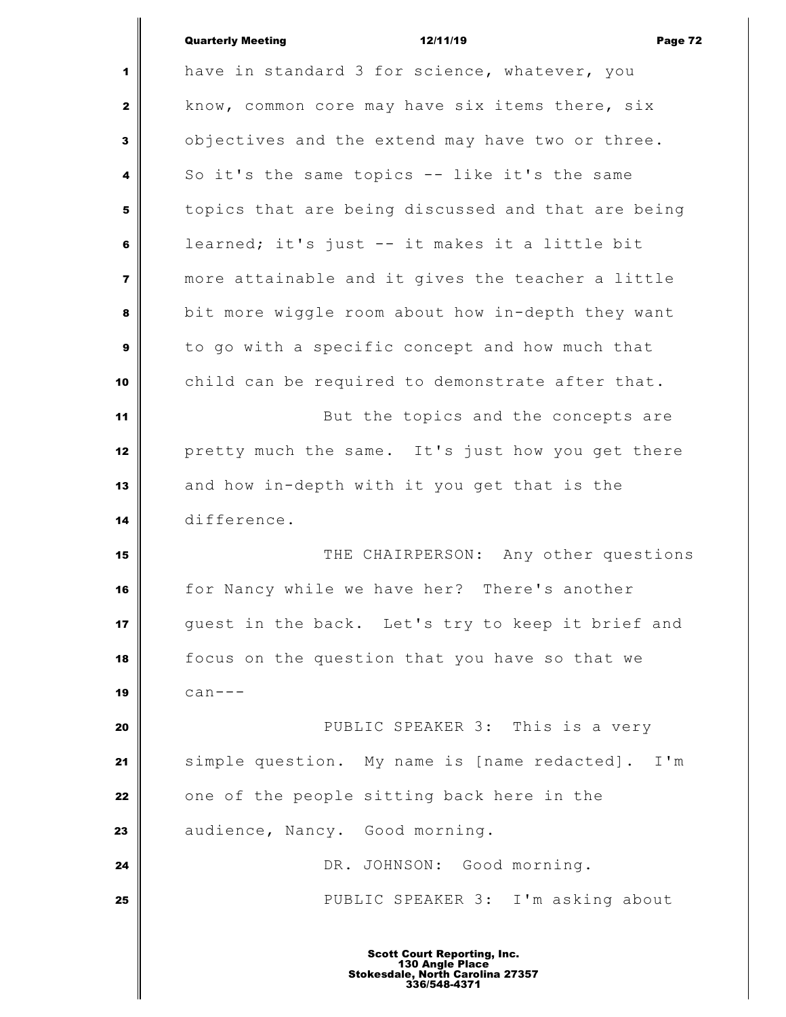## Quarterly Meeting **12/11/19 Constant Constant Orange 72**

 $\mathsf I$ 

| 1              | have in standard 3 for science, whatever, you          |
|----------------|--------------------------------------------------------|
| $\mathbf{2}$   | know, common core may have six items there, six        |
| 3              | objectives and the extend may have two or three.       |
| 4              | So it's the same topics -- like it's the same          |
| 5              | topics that are being discussed and that are being     |
| 6              | learned; it's just -- it makes it a little bit         |
| $\overline{7}$ | more attainable and it gives the teacher a little      |
| 8              | bit more wiggle room about how in-depth they want      |
| $\mathbf{9}$   | to go with a specific concept and how much that        |
| 10             | child can be required to demonstrate after that.       |
| 11             | But the topics and the concepts are                    |
| 12             | pretty much the same. It's just how you get there      |
| 13             | and how in-depth with it you get that is the           |
| 14             | difference.                                            |
| 15             | THE CHAIRPERSON: Any other questions                   |
| 16             | for Nancy while we have her? There's another           |
| 17             | quest in the back. Let's try to keep it brief and      |
| 18             | focus on the question that you have so that we         |
| 19             | $can--$                                                |
| 20             | PUBLIC SPEAKER 3: This is a very                       |
| 21             | simple question. My name is [name redacted].<br>$I'$ m |
| 22             | one of the people sitting back here in the             |
| 23             | audience, Nancy. Good morning.                         |
| 24             | DR. JOHNSON: Good morning.                             |
| 25             | PUBLIC SPEAKER 3: I'm asking about                     |
|                |                                                        |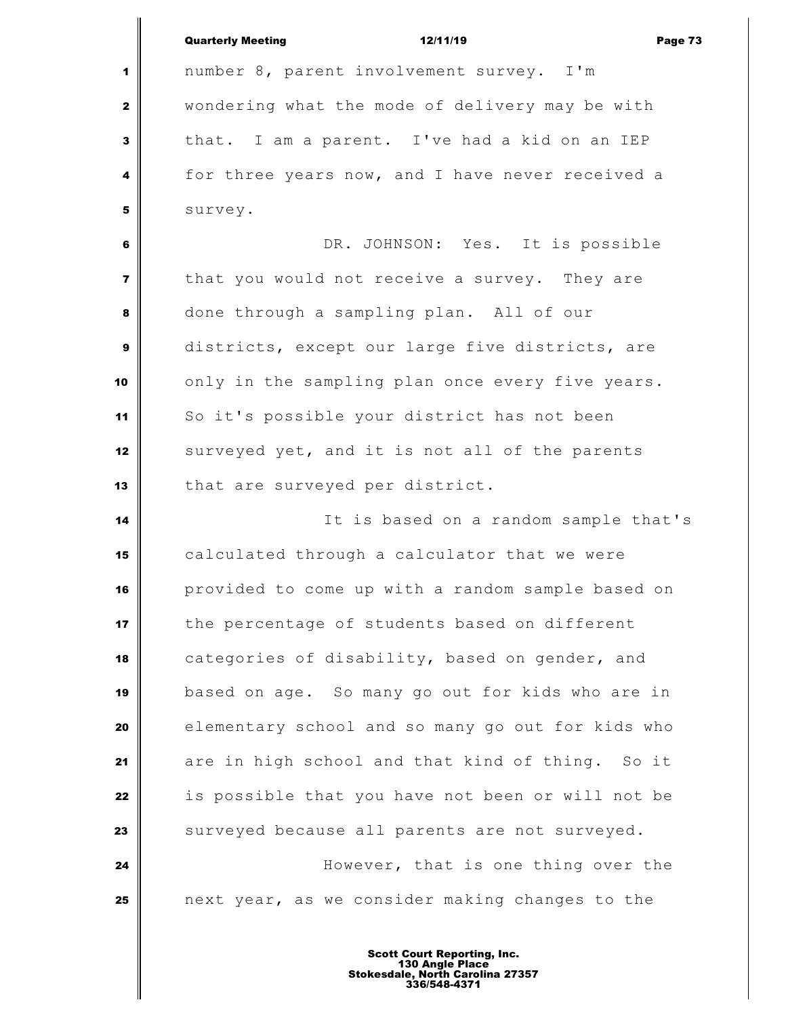|                         | <b>Quarterly Meeting</b><br>12/11/19<br>Page 73   |
|-------------------------|---------------------------------------------------|
| 1                       | number 8, parent involvement survey. I'm          |
|                         | wondering what the mode of delivery may be with   |
| $\mathbf{2}$            |                                                   |
| 3                       | that. I am a parent. I've had a kid on an IEP     |
| 4                       | for three years now, and I have never received a  |
| 5                       | survey.                                           |
| 6                       | DR. JOHNSON: Yes. It is possible                  |
| $\overline{\mathbf{z}}$ | that you would not receive a survey. They are     |
| 8                       | done through a sampling plan. All of our          |
| 9                       | districts, except our large five districts, are   |
| 10                      | only in the sampling plan once every five years.  |
| 11                      | So it's possible your district has not been       |
| 12                      | surveyed yet, and it is not all of the parents    |
| 13                      | that are surveyed per district.                   |
| 14                      | It is based on a random sample that's             |
| 15                      | calculated through a calculator that we were      |
| 16                      | provided to come up with a random sample based on |
| 17                      | the percentage of students based on different     |
| 18                      | categories of disability, based on gender, and    |
| 19                      | based on age. So many go out for kids who are in  |
| 20                      | elementary school and so many go out for kids who |
| 21                      | are in high school and that kind of thing. So it  |
| 22                      | is possible that you have not been or will not be |
| 23                      | surveyed because all parents are not surveyed.    |
| 24                      | However, that is one thing over the               |
| 25                      | next year, as we consider making changes to the   |
|                         |                                                   |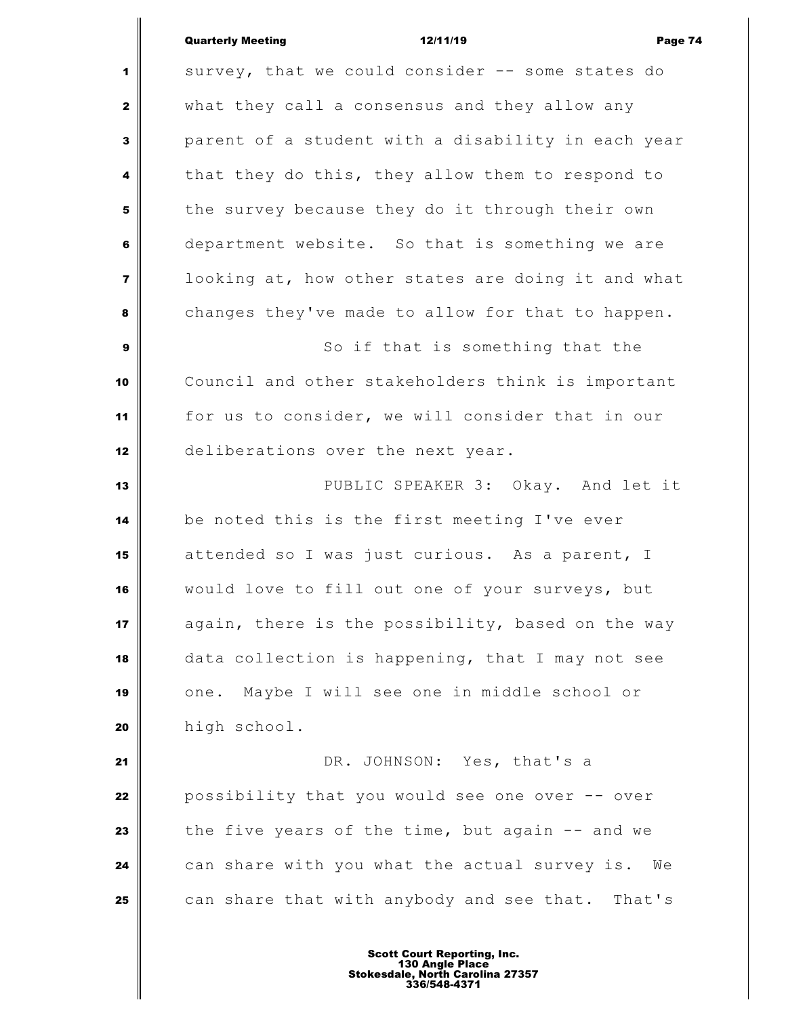# Quarterly Meeting 12/11/19 Page 74

 survey, that we could consider -- some states do what they call a consensus and they allow any parent of a student with a disability in each year that they do this, they allow them to respond to the survey because they do it through their own department website. So that is something we are looking at, how other states are doing it and what changes they've made to allow for that to happen. So if that is something that the Council and other stakeholders think is important for us to consider, we will consider that in our deliberations over the next year. PUBLIC SPEAKER 3: Okay. And let it be noted this is the first meeting I've ever attended so I was just curious. As a parent, I would love to fill out one of your surveys, but again, there is the possibility, based on the way data collection is happening, that I may not see one. Maybe I will see one in middle school or high school. DR. JOHNSON: Yes, that's a possibility that you would see one over -- over the five years of the time, but again -- and we can share with you what the actual survey is. We can share that with anybody and see that. That's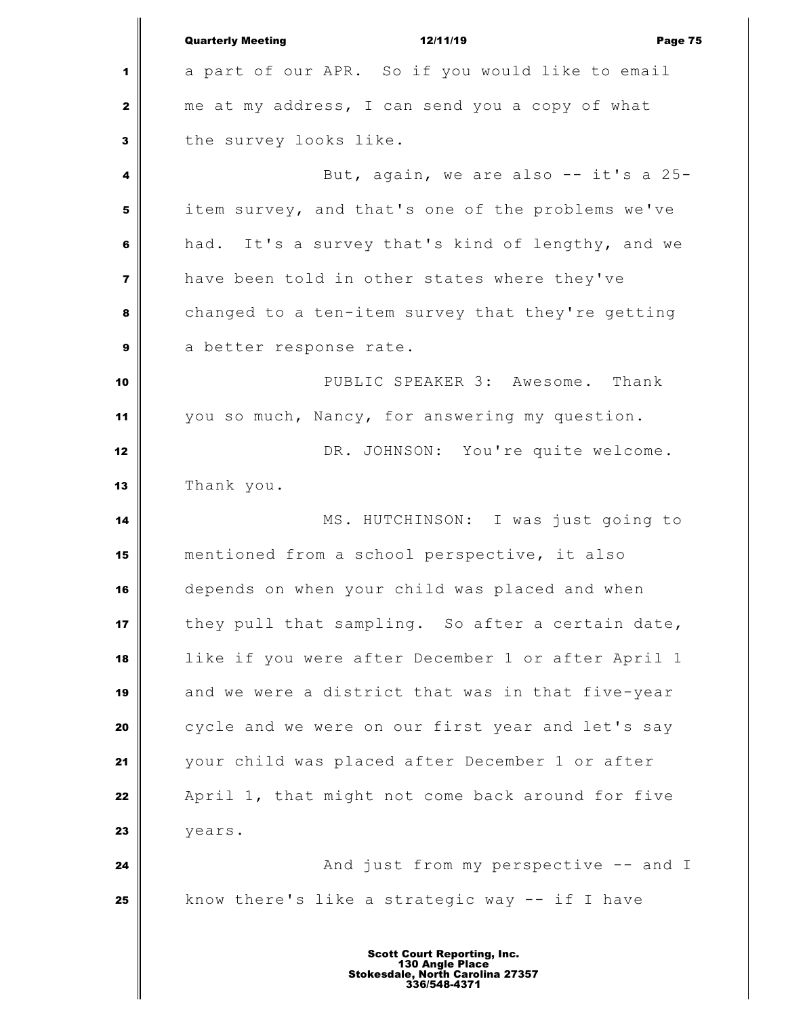|                         | <b>Quarterly Meeting</b><br>12/11/19<br>Page 75    |
|-------------------------|----------------------------------------------------|
| 1                       | a part of our APR. So if you would like to email   |
| $\mathbf{2}$            | me at my address, I can send you a copy of what    |
| 3                       | the survey looks like.                             |
| 4                       | But, again, we are also -- it's a 25-              |
| 5                       | item survey, and that's one of the problems we've  |
| 6                       | had. It's a survey that's kind of lengthy, and we  |
| $\overline{\mathbf{z}}$ | have been told in other states where they've       |
| 8                       | changed to a ten-item survey that they're getting  |
| 9                       | a better response rate.                            |
| 10                      | PUBLIC SPEAKER 3: Awesome. Thank                   |
| 11                      | you so much, Nancy, for answering my question.     |
| 12                      | DR. JOHNSON: You're quite welcome.                 |
| 13                      | Thank you.                                         |
| 14                      | MS. HUTCHINSON: I was just going to                |
| 15                      | mentioned from a school perspective, it also       |
| 16                      | depends on when your child was placed and when     |
| 17                      | they pull that sampling. So after a certain date,  |
| 18                      | like if you were after December 1 or after April 1 |
| 19                      | and we were a district that was in that five-year  |
| 20                      | cycle and we were on our first year and let's say  |
| 21                      | your child was placed after December 1 or after    |
| 22                      | April 1, that might not come back around for five  |
| 23                      | years.                                             |
| 24                      | And just from my perspective -- and I              |
| 25                      | know there's like a strategic way -- if I have     |
|                         |                                                    |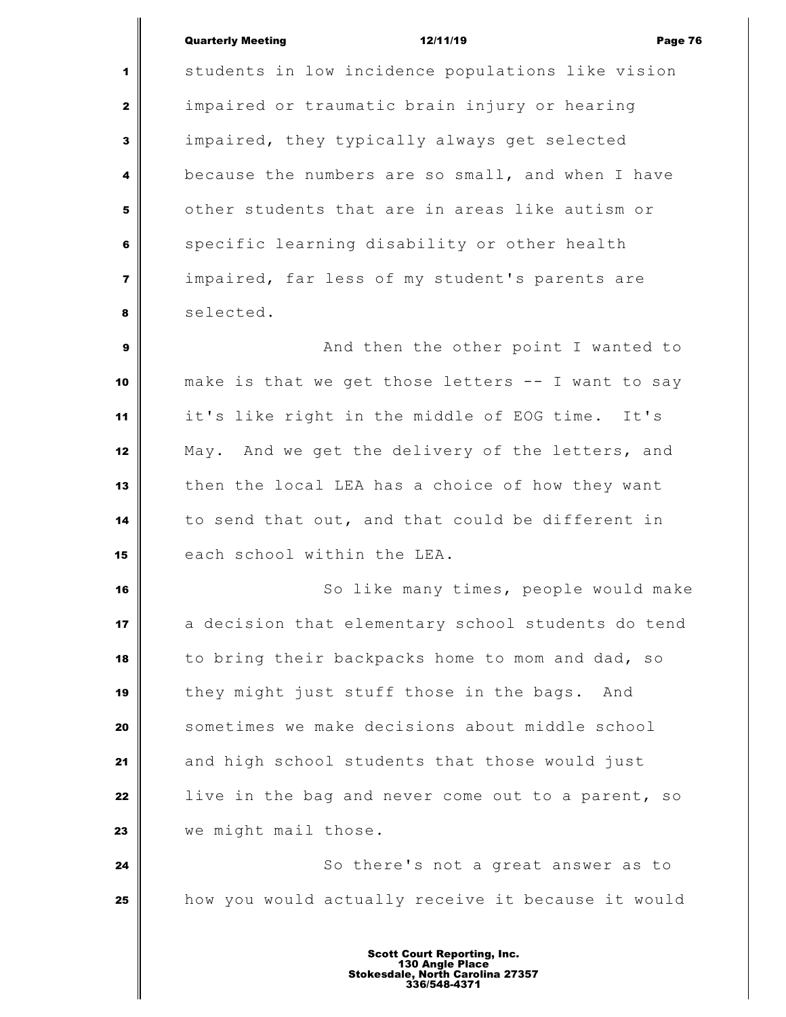## Quarterly Meeting 12/11/19 Page 76

 students in low incidence populations like vision impaired or traumatic brain injury or hearing impaired, they typically always get selected because the numbers are so small, and when I have other students that are in areas like autism or specific learning disability or other health impaired, far less of my student's parents are selected. And then the other point I wanted to make is that we get those letters -- I want to say it's like right in the middle of EOG time. It's

 May. And we get the delivery of the letters, and then the local LEA has a choice of how they want to send that out, and that could be different in each school within the LEA.

 So like many times, people would make a decision that elementary school students do tend to bring their backpacks home to mom and dad, so they might just stuff those in the bags. And sometimes we make decisions about middle school and high school students that those would just **li** live in the bag and never come out to a parent, so we might mail those.

 **So there's not a great answer as to** how you would actually receive it because it would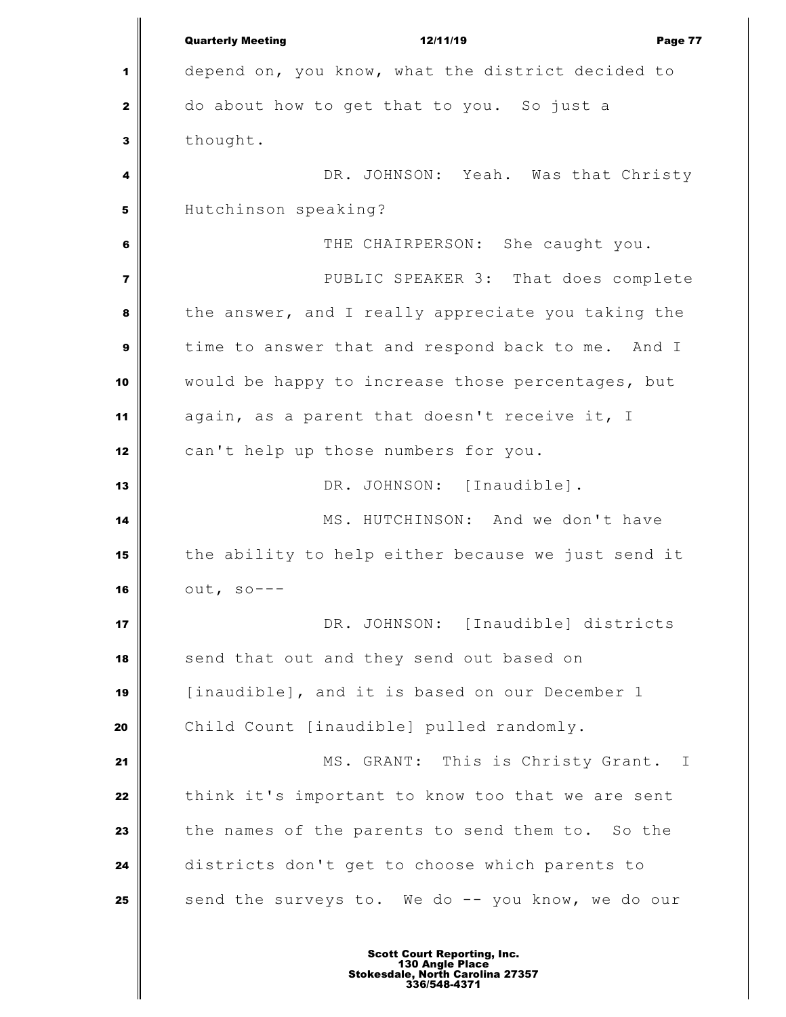Quarterly Meeting 12/11/19 Page 77 depend on, you know, what the district decided to do about how to get that to you. So just a thought. **DR.** JOHNSON: Yeah. Was that Christy Hutchinson speaking? THE CHAIRPERSON: She caught you. PUBLIC SPEAKER 3: That does complete the answer, and I really appreciate you taking the time to answer that and respond back to me. And I would be happy to increase those percentages, but again, as a parent that doesn't receive it, I can't help up those numbers for you. DR. JOHNSON: [Inaudible]. MS. HUTCHINSON: And we don't have the ability to help either because we just send it out, so--- DR. JOHNSON: [Inaudible] districts send that out and they send out based on [inaudible], and it is based on our December 1 Child Count [inaudible] pulled randomly. MS. GRANT: This is Christy Grant. I think it's important to know too that we are sent the names of the parents to send them to. So the districts don't get to choose which parents to send the surveys to. We do -- you know, we do our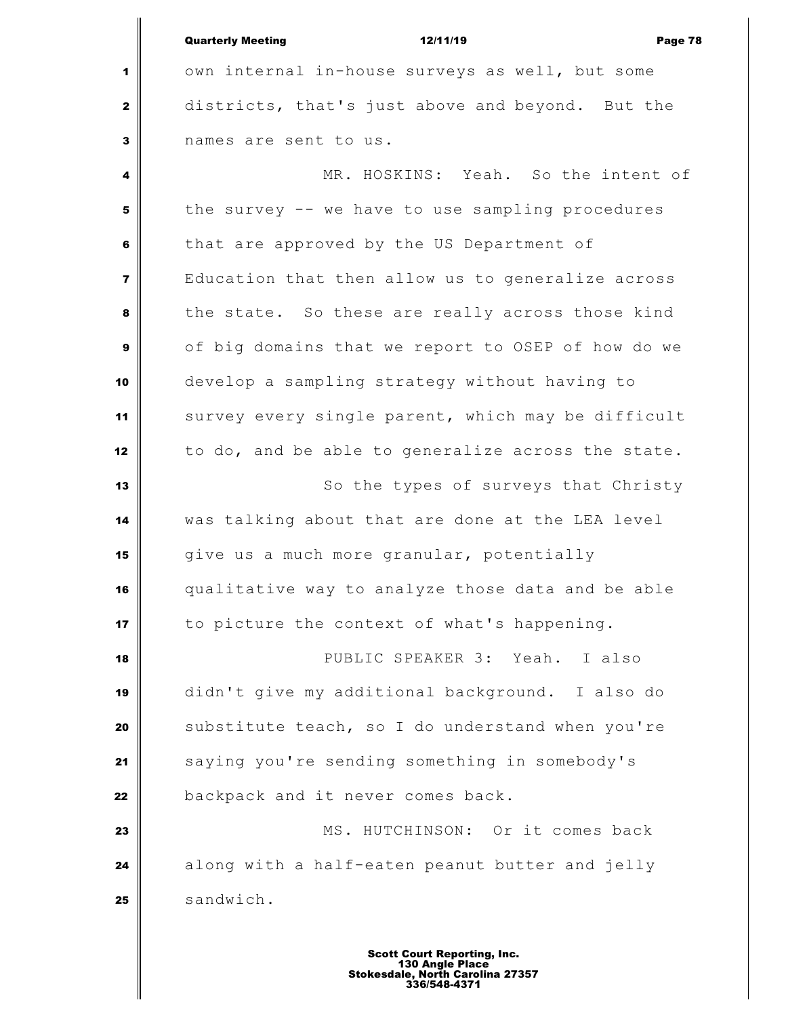| <b>Quarterly Meeting</b> | 12/11/19 | Page 78 |
|--------------------------|----------|---------|
|                          |          |         |

 own internal in-house surveys as well, but some districts, that's just above and beyond. But the names are sent to us.

 MR. HOSKINS: Yeah. So the intent of the survey -- we have to use sampling procedures that are approved by the US Department of Education that then allow us to generalize across the state. So these are really across those kind of big domains that we report to OSEP of how do we develop a sampling strategy without having to survey every single parent, which may be difficult 12 to do, and be able to generalize across the state. So the types of surveys that Christy was talking about that are done at the LEA level give us a much more granular, potentially qualitative way to analyze those data and be able to picture the context of what's happening. PUBLIC SPEAKER 3: Yeah. I also didn't give my additional background. I also do substitute teach, so I do understand when you're saying you're sending something in somebody's backpack and it never comes back. **MS.** HUTCHINSON: Or it comes back along with a half-eaten peanut butter and jelly 25 sandwich.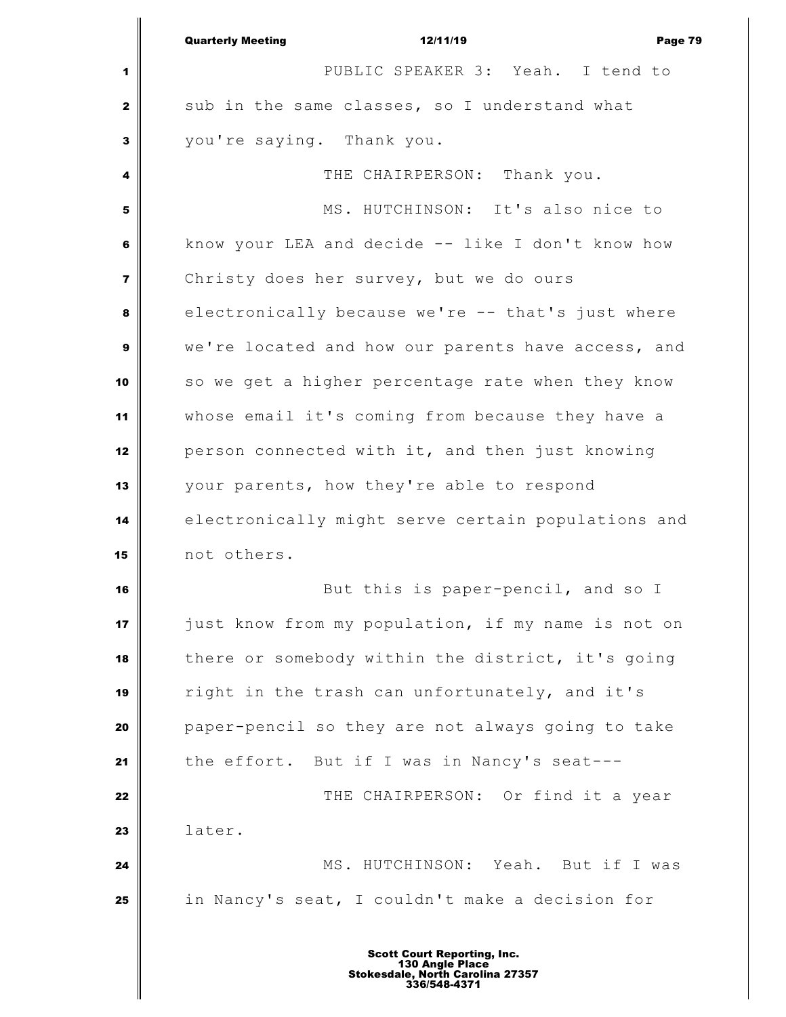|                | <b>Quarterly Meeting</b><br>12/11/19<br>Page 79    |
|----------------|----------------------------------------------------|
| 1              | PUBLIC SPEAKER 3: Yeah. I tend to                  |
| $\mathbf{2}$   | sub in the same classes, so I understand what      |
| 3              | you're saying. Thank you.                          |
| 4              | THE CHAIRPERSON: Thank you.                        |
| 5              | MS. HUTCHINSON: It's also nice to                  |
| 6              | know your LEA and decide -- like I don't know how  |
| $\overline{7}$ | Christy does her survey, but we do ours            |
| 8              | electronically because we're -- that's just where  |
| $\mathbf{9}$   | we're located and how our parents have access, and |
| 10             | so we get a higher percentage rate when they know  |
| 11             | whose email it's coming from because they have a   |
| 12             | person connected with it, and then just knowing    |
| 13             | your parents, how they're able to respond          |
| 14             | electronically might serve certain populations and |
| 15             | not others.                                        |
| 16             | But this is paper-pencil, and so I                 |
| 17             | just know from my population, if my name is not on |
| 18             | there or somebody within the district, it's going  |
| 19             | right in the trash can unfortunately, and it's     |
| 20             | paper-pencil so they are not always going to take  |
| 21             | the effort. But if I was in Nancy's seat---        |
| 22             | THE CHAIRPERSON: Or find it a year                 |
| 23             | later.                                             |
| 24             | MS. HUTCHINSON: Yeah. But if I was                 |
| 25             | in Nancy's seat, I couldn't make a decision for    |
|                |                                                    |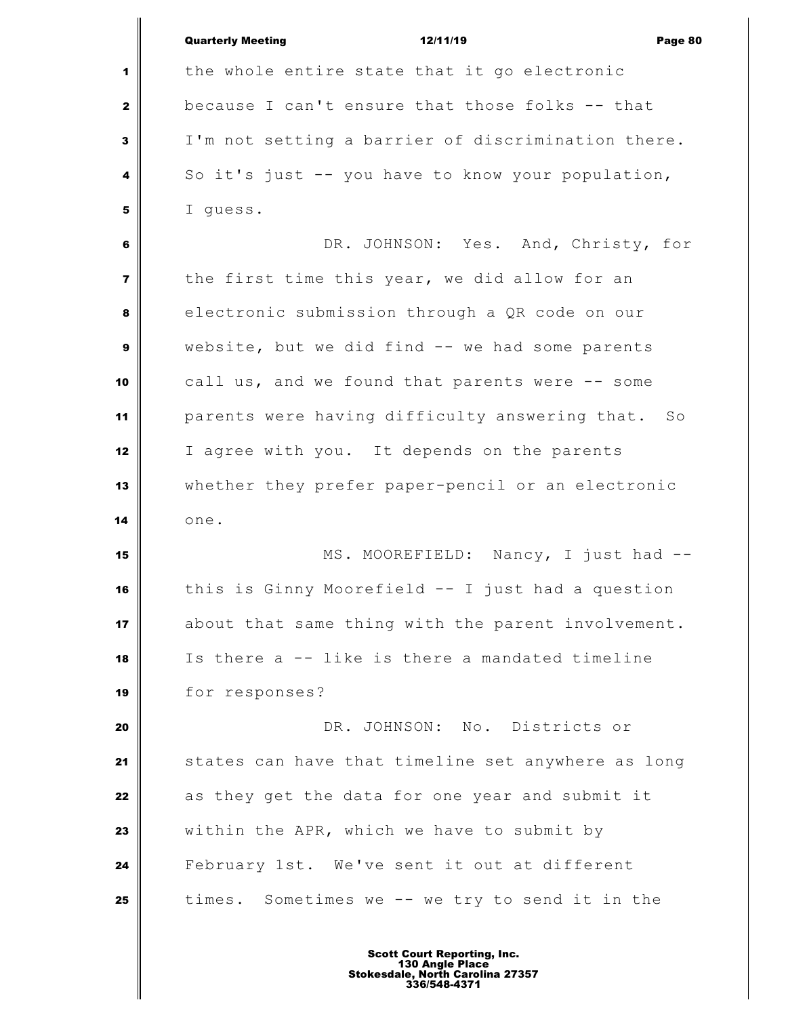|                         | <b>Quarterly Meeting</b><br>12/11/19<br>Page 80    |
|-------------------------|----------------------------------------------------|
| 1                       | the whole entire state that it go electronic       |
| 2                       | because I can't ensure that those folks -- that    |
| 3                       | I'm not setting a barrier of discrimination there. |
| 4                       | So it's just -- you have to know your population,  |
| 5                       | I guess.                                           |
| 6                       | DR. JOHNSON: Yes. And, Christy, for                |
| $\overline{\mathbf{z}}$ | the first time this year, we did allow for an      |
| 8                       | electronic submission through a QR code on our     |
| 9                       | website, but we did find -- we had some parents    |
| 10                      | call us, and we found that parents were -- some    |
| 11                      | parents were having difficulty answering that. So  |
| 12                      | I agree with you. It depends on the parents        |
| 13                      | whether they prefer paper-pencil or an electronic  |
| 14                      | one.                                               |
| 15                      | MS. MOOREFIELD: Nancy, I just had --               |
| 16                      | this is Ginny Moorefield -- I just had a question  |
| 17                      | about that same thing with the parent involvement. |
| 18                      | Is there a -- like is there a mandated timeline    |
| 19                      | for responses?                                     |
| 20                      | DR. JOHNSON: No. Districts or                      |
| 21                      | states can have that timeline set anywhere as long |
| 22                      | as they get the data for one year and submit it    |
| 23                      | within the APR, which we have to submit by         |
| 24                      | February 1st. We've sent it out at different       |
| 25                      | times. Sometimes we -- we try to send it in the    |
|                         |                                                    |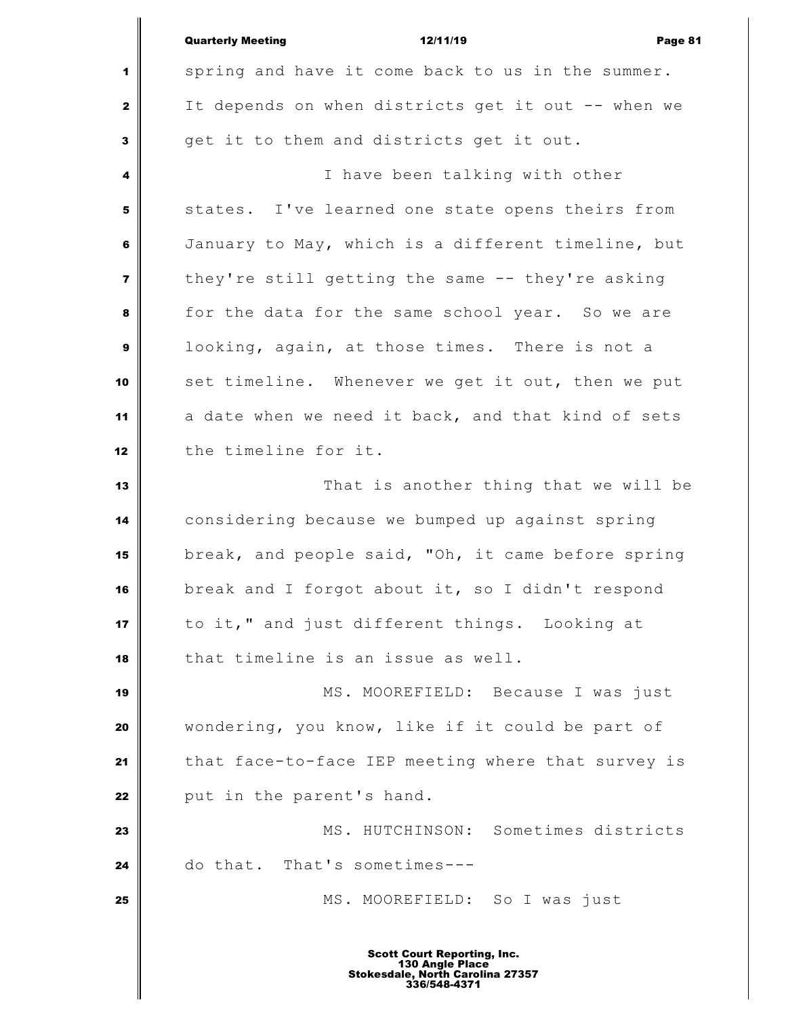|                         | <b>Quarterly Meeting</b><br>12/11/19<br>Page 81    |
|-------------------------|----------------------------------------------------|
| 1                       | spring and have it come back to us in the summer.  |
| $\mathbf{2}$            | It depends on when districts get it out -- when we |
| $\mathbf{3}$            | get it to them and districts get it out.           |
| 4                       | I have been talking with other                     |
| 5                       | states. I've learned one state opens theirs from   |
| 6                       | January to May, which is a different timeline, but |
| $\overline{\mathbf{z}}$ | they're still getting the same -- they're asking   |
| 8                       | for the data for the same school year. So we are   |
| 9                       | looking, again, at those times. There is not a     |
| 10                      | set timeline. Whenever we get it out, then we put  |
| 11                      | a date when we need it back, and that kind of sets |
| 12                      | the timeline for it.                               |
| 13                      | That is another thing that we will be              |
| 14                      | considering because we bumped up against spring    |
| 15                      | break, and people said, "Oh, it came before spring |
| 16                      | break and I forgot about it, so I didn't respond   |
| 17                      | to it," and just different things. Looking at      |
| 18                      | that timeline is an issue as well.                 |
| 19                      | MS. MOOREFIELD: Because I was just                 |
| 20                      | wondering, you know, like if it could be part of   |
| 21                      | that face-to-face IEP meeting where that survey is |
| 22                      | put in the parent's hand.                          |
| 23                      | MS. HUTCHINSON: Sometimes districts                |
| 24                      | do that. That's sometimes ---                      |
| 25                      | MS. MOOREFIELD: So I was just                      |
|                         | <b>Scott Court Reporting, Inc.</b>                 |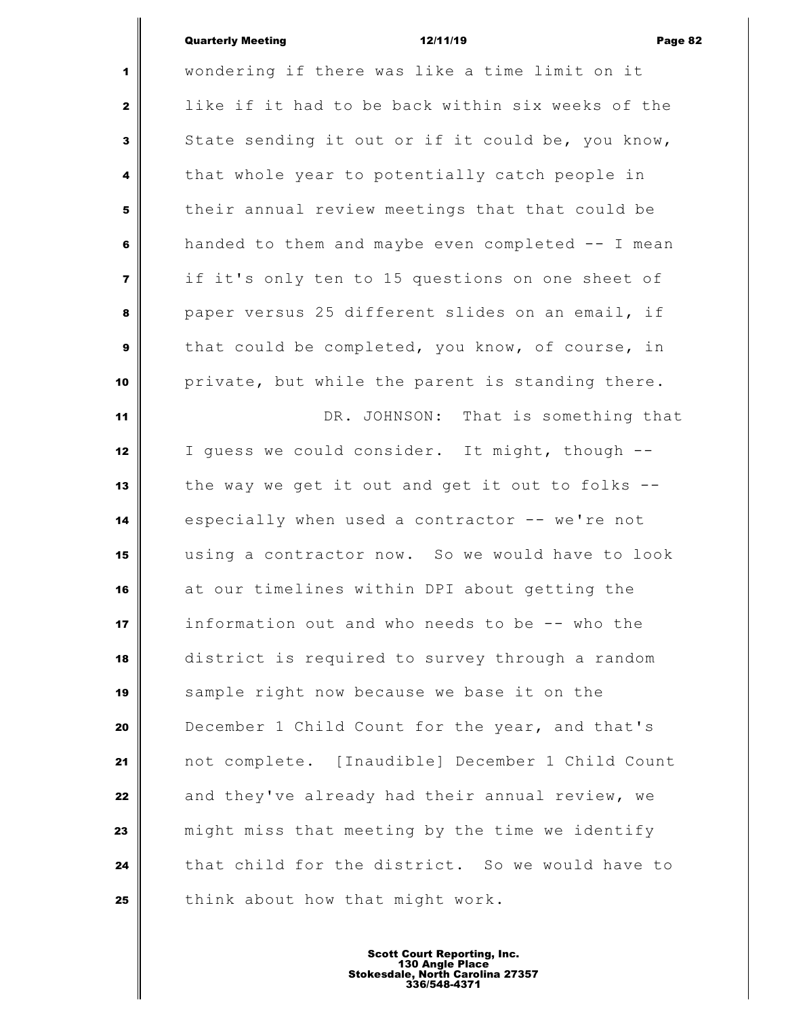## Quarterly Meeting 12/11/19 Page 82

 wondering if there was like a time limit on it like if it had to be back within six weeks of the State sending it out or if it could be, you know, that whole year to potentially catch people in their annual review meetings that that could be handed to them and maybe even completed -- I mean if it's only ten to 15 questions on one sheet of paper versus 25 different slides on an email, if that could be completed, you know, of course, in private, but while the parent is standing there. DR. JOHNSON: That is something that I guess we could consider. It might, though -- the way we get it out and get it out to folks -- especially when used a contractor -- we're not using a contractor now. So we would have to look at our timelines within DPI about getting the information out and who needs to be -- who the district is required to survey through a random sample right now because we base it on the December 1 Child Count for the year, and that's not complete. [Inaudible] December 1 Child Count and they've already had their annual review, we might miss that meeting by the time we identify that child for the district. So we would have to think about how that might work.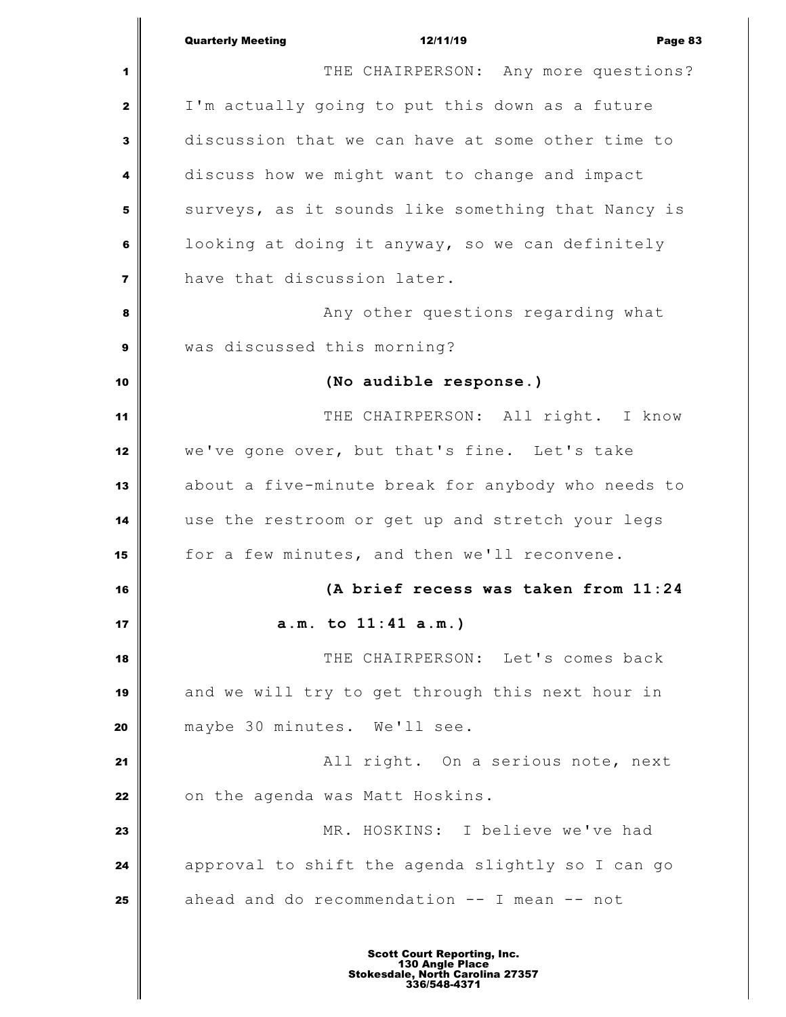|                         | <b>Quarterly Meeting</b><br>12/11/19<br>Page 83    |
|-------------------------|----------------------------------------------------|
| 1                       | THE CHAIRPERSON: Any more questions?               |
| 2                       | I'm actually going to put this down as a future    |
| 3                       | discussion that we can have at some other time to  |
| 4                       | discuss how we might want to change and impact     |
| 5                       | surveys, as it sounds like something that Nancy is |
| 6                       | looking at doing it anyway, so we can definitely   |
| $\overline{\mathbf{z}}$ | have that discussion later.                        |
| 8                       | Any other questions regarding what                 |
| 9                       | was discussed this morning?                        |
| 10                      | (No audible response.)                             |
| 11                      | THE CHAIRPERSON: All right. I know                 |
| 12                      | we've gone over, but that's fine. Let's take       |
| 13                      | about a five-minute break for anybody who needs to |
| 14                      | use the restroom or get up and stretch your legs   |
| 15                      | for a few minutes, and then we'll reconvene.       |
| 16                      | (A brief recess was taken from 11:24               |
| 17                      | a.m. to 11:41 a.m.)                                |
| 18                      | THE CHAIRPERSON: Let's comes back                  |
| 19                      | and we will try to get through this next hour in   |
| 20                      | maybe 30 minutes. We'll see.                       |
| 21                      | All right. On a serious note, next                 |
| 22                      | on the agenda was Matt Hoskins.                    |
| 23                      | MR. HOSKINS: I believe we've had                   |
| 24                      | approval to shift the agenda slightly so I can go  |
| 25                      | ahead and do recommendation -- I mean -- not       |
|                         |                                                    |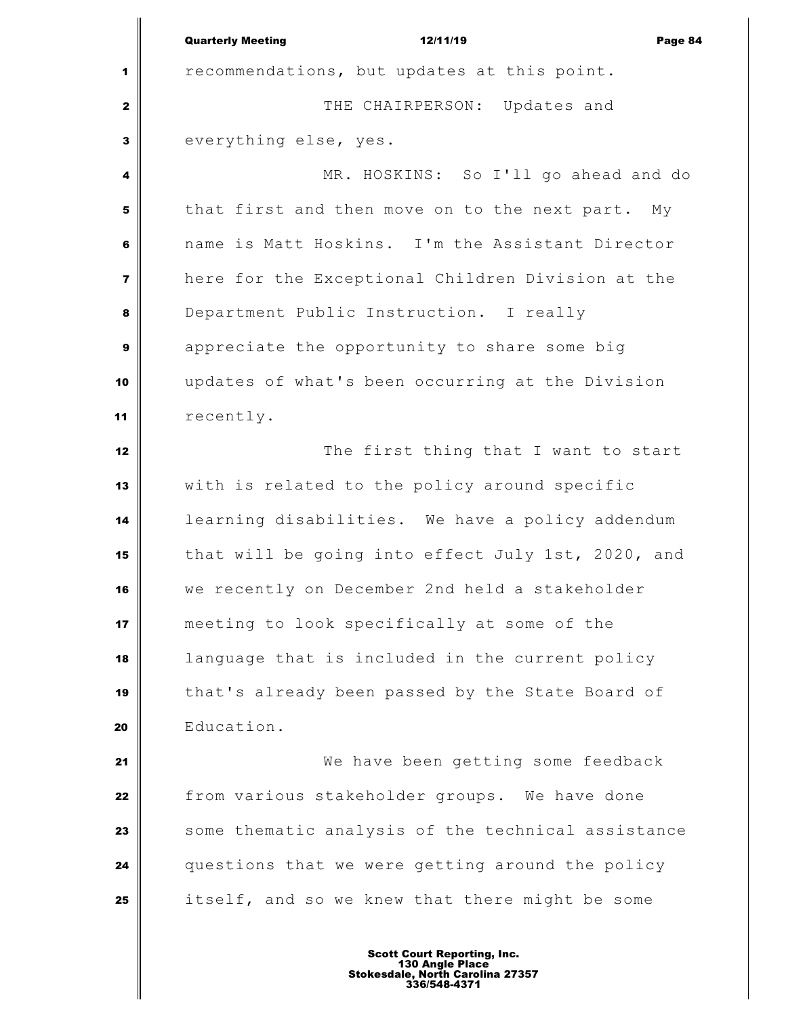Quarterly Meeting 12/11/19 Page 84 **1** recommendations, but updates at this point. THE CHAIRPERSON: Updates and everything else, yes. MR. HOSKINS: So I'll go ahead and do that first and then move on to the next part. My name is Matt Hoskins. I'm the Assistant Director here for the Exceptional Children Division at the Department Public Instruction. I really appreciate the opportunity to share some big updates of what's been occurring at the Division recently. The first thing that I want to start with is related to the policy around specific learning disabilities. We have a policy addendum that will be going into effect July 1st, 2020, and we recently on December 2nd held a stakeholder meeting to look specifically at some of the language that is included in the current policy that's already been passed by the State Board of Education. We have been getting some feedback from various stakeholder groups. We have done Some thematic analysis of the technical assistance questions that we were getting around the policy itself, and so we knew that there might be some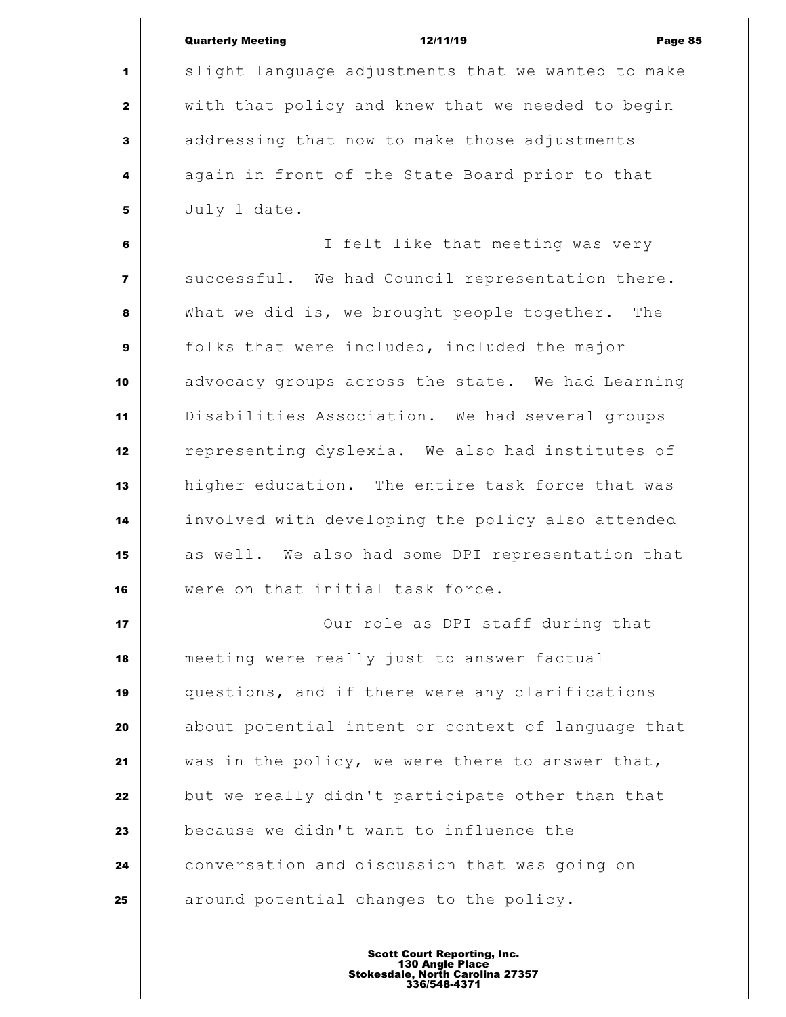|  | <b>Quarterly Meeting</b> | 12/11/19 | Page 85 |
|--|--------------------------|----------|---------|
|--|--------------------------|----------|---------|

 slight language adjustments that we wanted to make with that policy and knew that we needed to begin addressing that now to make those adjustments again in front of the State Board prior to that July 1 date.

 I felt like that meeting was very successful. We had Council representation there. What we did is, we brought people together. The folks that were included, included the major advocacy groups across the state. We had Learning Disabilities Association. We had several groups representing dyslexia. We also had institutes of higher education. The entire task force that was involved with developing the policy also attended as well. We also had some DPI representation that were on that initial task force.

 Our role as DPI staff during that meeting were really just to answer factual questions, and if there were any clarifications about potential intent or context of language that was in the policy, we were there to answer that, but we really didn't participate other than that because we didn't want to influence the conversation and discussion that was going on around potential changes to the policy.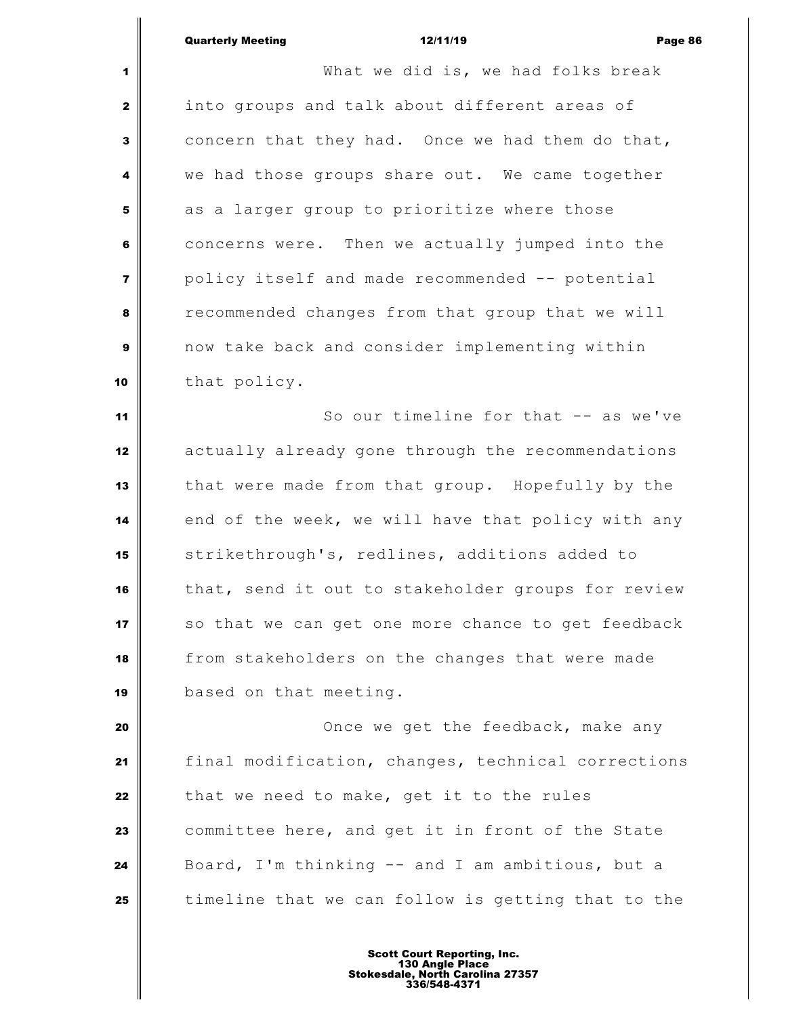# Quarterly Meeting 12/11/19 Page 86

 What we did is, we had folks break into groups and talk about different areas of concern that they had. Once we had them do that, we had those groups share out. We came together as a larger group to prioritize where those concerns were. Then we actually jumped into the policy itself and made recommended -- potential recommended changes from that group that we will now take back and consider implementing within 10 that policy. So our timeline for that -- as we've actually already gone through the recommendations that were made from that group. Hopefully by the end of the week, we will have that policy with any strikethrough's, redlines, additions added to that, send it out to stakeholder groups for review so that we can get one more chance to get feedback from stakeholders on the changes that were made based on that meeting. **Once we get the feedback, make any** 

 final modification, changes, technical corrections that we need to make, get it to the rules committee here, and get it in front of the State Board, I'm thinking -- and I am ambitious, but a | timeline that we can follow is getting that to the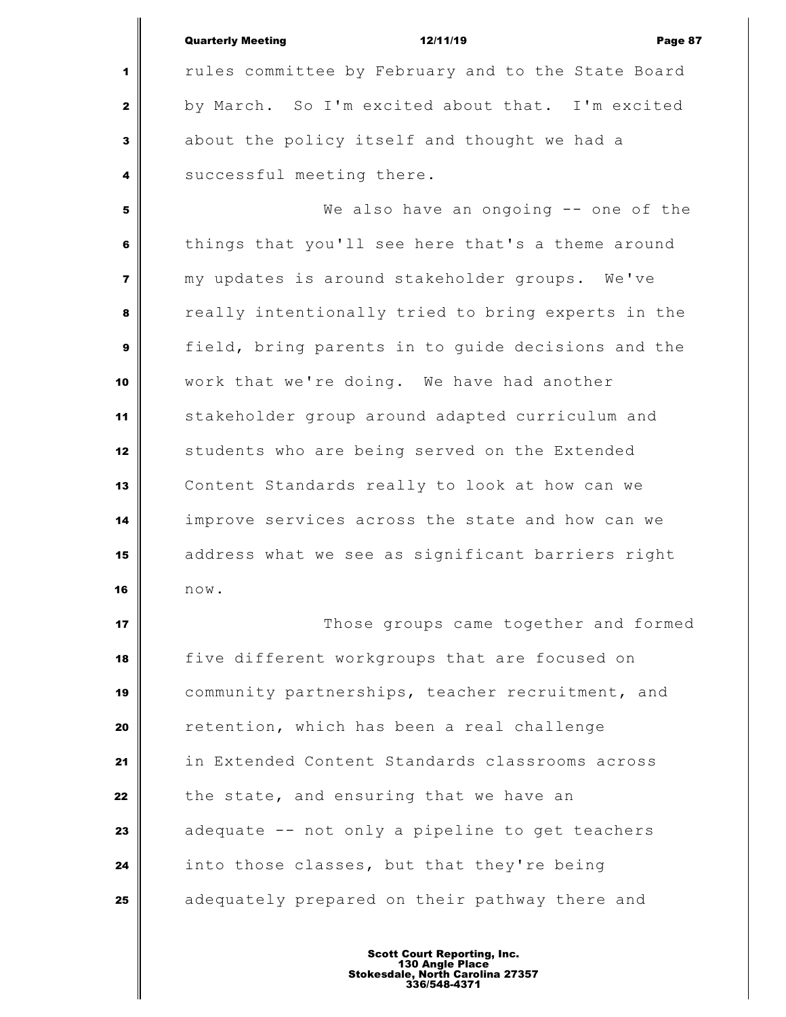Quarterly Meeting 12/11/19 Page 87 rules committee by February and to the State Board by March. So I'm excited about that. I'm excited about the policy itself and thought we had a successful meeting there. We also have an ongoing -- one of the things that you'll see here that's a theme around my updates is around stakeholder groups. We've really intentionally tried to bring experts in the field, bring parents in to guide decisions and the work that we're doing. We have had another stakeholder group around adapted curriculum and students who are being served on the Extended Content Standards really to look at how can we

 improve services across the state and how can we address what we see as significant barriers right now.

 **Those groups came together and formed**  five different workgroups that are focused on community partnerships, teacher recruitment, and retention, which has been a real challenge in Extended Content Standards classrooms across the state, and ensuring that we have an adequate -- not only a pipeline to get teachers into those classes, but that they're being adequately prepared on their pathway there and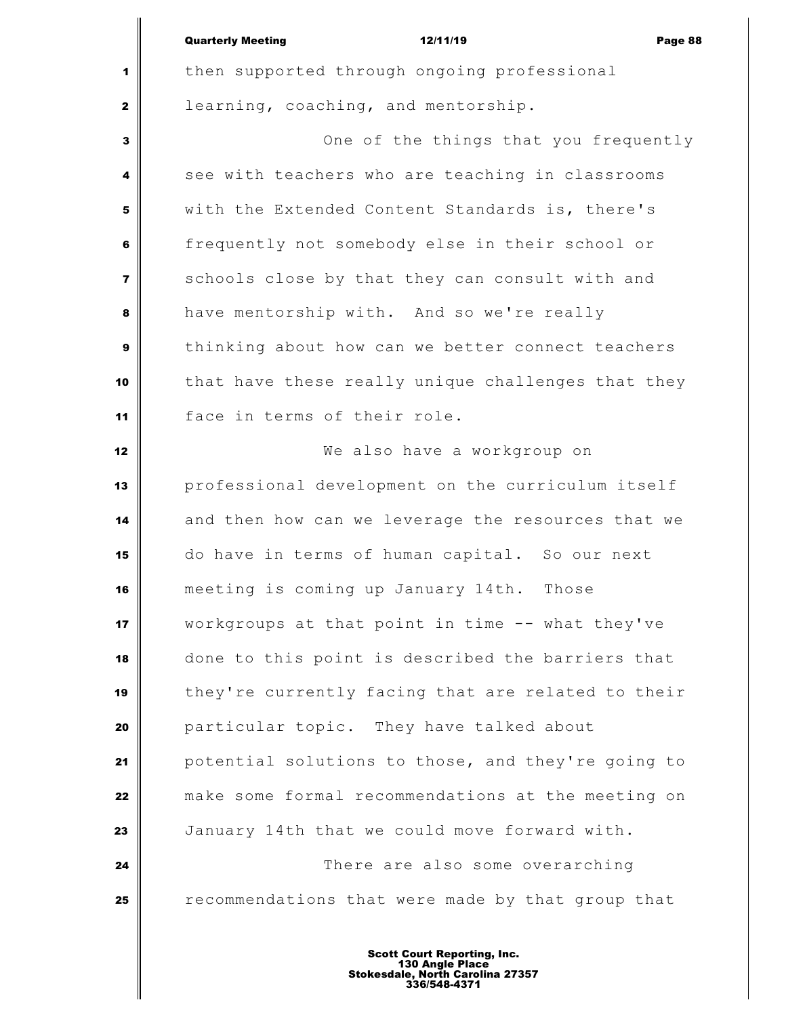|                | <b>Quarterly Meeting</b>                           | 12/11/19                              | Page 88 |
|----------------|----------------------------------------------------|---------------------------------------|---------|
| 1              | then supported through ongoing professional        |                                       |         |
| $\mathbf{2}$   | learning, coaching, and mentorship.                |                                       |         |
| 3              |                                                    | One of the things that you frequently |         |
| 4              | see with teachers who are teaching in classrooms   |                                       |         |
| 5              | with the Extended Content Standards is, there's    |                                       |         |
| 6              | frequently not somebody else in their school or    |                                       |         |
| $\overline{7}$ | schools close by that they can consult with and    |                                       |         |
| 8              | have mentorship with. And so we're really          |                                       |         |
| 9              | thinking about how can we better connect teachers  |                                       |         |
| 10             | that have these really unique challenges that they |                                       |         |
| 11             | face in terms of their role.                       |                                       |         |
| 12             |                                                    | We also have a workgroup on           |         |
| 13             | professional development on the curriculum itself  |                                       |         |
| 14             | and then how can we leverage the resources that we |                                       |         |
| 15             | do have in terms of human capital. So our next     |                                       |         |
| 16             | meeting is coming up January 14th. Those           |                                       |         |
| 17             | workgroups at that point in time -- what they've   |                                       |         |
| 18             | done to this point is described the barriers that  |                                       |         |
| 19             | they're currently facing that are related to their |                                       |         |
| 20             | particular topic. They have talked about           |                                       |         |
| 21             | potential solutions to those, and they're going to |                                       |         |
| 22             | make some formal recommendations at the meeting on |                                       |         |
| 23             | January 14th that we could move forward with.      |                                       |         |
| 24             |                                                    | There are also some overarching       |         |
| 25             | recommendations that were made by that group that  |                                       |         |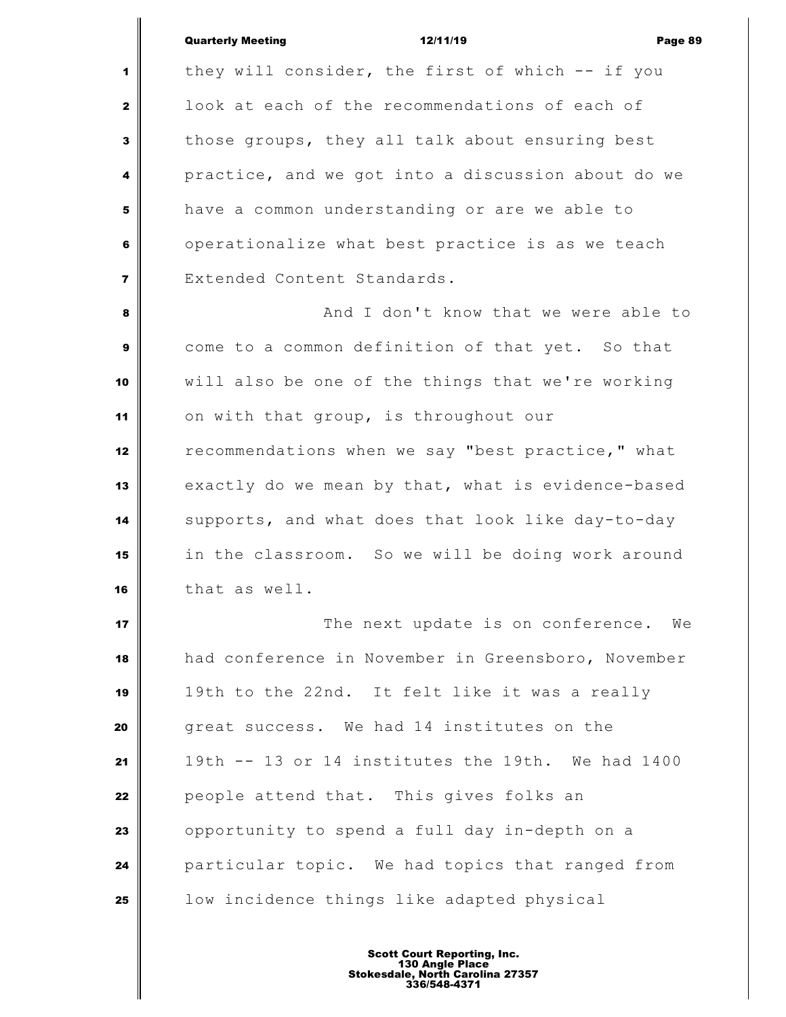|                | <b>Quarterly Meeting</b><br>12/11/19<br>Page 89    |
|----------------|----------------------------------------------------|
| $\mathbf{1}$   | they will consider, the first of which -- if you   |
| $\mathbf{2}$   | look at each of the recommendations of each of     |
| 3              | those groups, they all talk about ensuring best    |
| 4              | practice, and we got into a discussion about do we |
| 5              | have a common understanding or are we able to      |
| 6              | operationalize what best practice is as we teach   |
| $\overline{7}$ | Extended Content Standards.                        |
| 8              | And I don't know that we were able to              |
| 9              | come to a common definition of that yet. So that   |
| 10             | will also be one of the things that we're working  |
| 11             | on with that group, is throughout our              |
| 12             | recommendations when we say "best practice," what  |
| 13             | exactly do we mean by that, what is evidence-based |
| 14             | supports, and what does that look like day-to-day  |
| 15             | in the classroom. So we will be doing work around  |
| 16             | that as well.                                      |
| 17             | The next update is on conference. We               |
| 18             | had conference in November in Greensboro, November |
| 19             | 19th to the 22nd. It felt like it was a really     |
| 20             | great success. We had 14 institutes on the         |
| 21             | 19th -- 13 or 14 institutes the 19th. We had 1400  |
| 22             | people attend that. This gives folks an            |
| 23             | opportunity to spend a full day in-depth on a      |
| 24             | particular topic. We had topics that ranged from   |
| 25             | low incidence things like adapted physical         |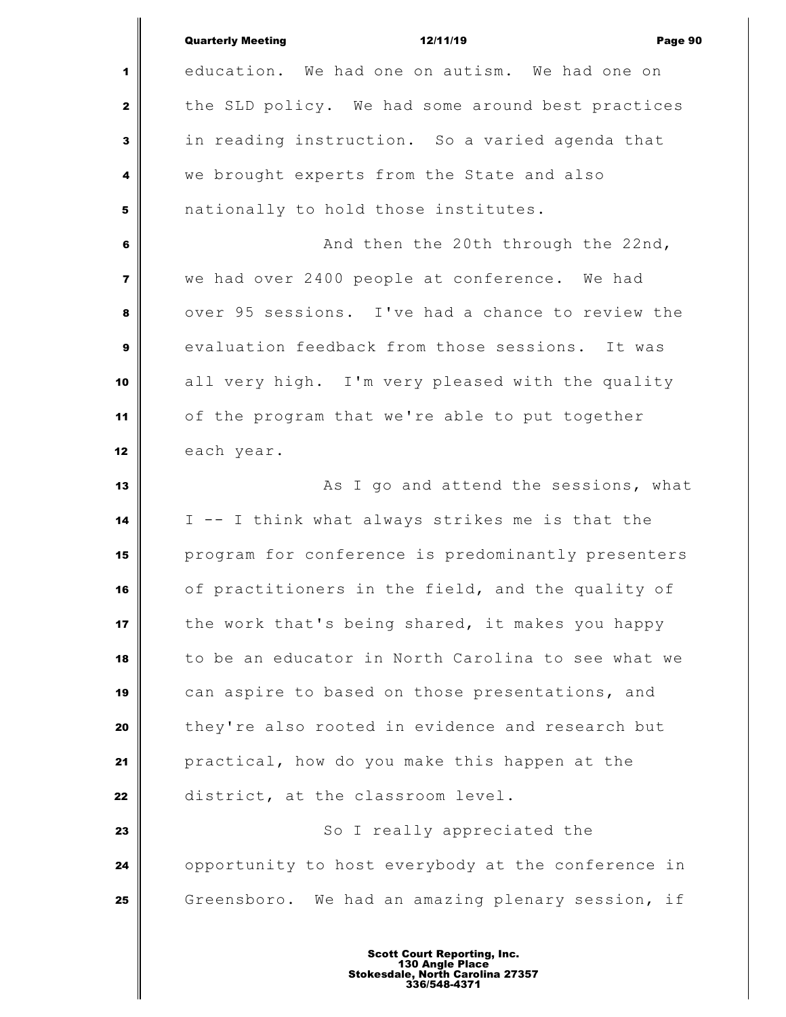| education. We had one on autism. We had one on<br>1<br>the SLD policy. We had some around best practices<br>$\mathbf{2}$<br>in reading instruction. So a varied agenda that<br>3<br>we brought experts from the State and also<br>4<br>nationally to hold those institutes.<br>5<br>And then the 20th through the 22nd,<br>6<br>we had over 2400 people at conference. We had<br>$\overline{\mathbf{z}}$<br>over 95 sessions. I've had a chance to review the<br>8<br>evaluation feedback from those sessions. It was<br>9<br>all very high. I'm very pleased with the quality<br>10<br>of the program that we're able to put together<br>11<br>each year.<br>12<br>As I go and attend the sessions, what<br>13 |  |
|-----------------------------------------------------------------------------------------------------------------------------------------------------------------------------------------------------------------------------------------------------------------------------------------------------------------------------------------------------------------------------------------------------------------------------------------------------------------------------------------------------------------------------------------------------------------------------------------------------------------------------------------------------------------------------------------------------------------|--|
|                                                                                                                                                                                                                                                                                                                                                                                                                                                                                                                                                                                                                                                                                                                 |  |
|                                                                                                                                                                                                                                                                                                                                                                                                                                                                                                                                                                                                                                                                                                                 |  |
|                                                                                                                                                                                                                                                                                                                                                                                                                                                                                                                                                                                                                                                                                                                 |  |
|                                                                                                                                                                                                                                                                                                                                                                                                                                                                                                                                                                                                                                                                                                                 |  |
|                                                                                                                                                                                                                                                                                                                                                                                                                                                                                                                                                                                                                                                                                                                 |  |
|                                                                                                                                                                                                                                                                                                                                                                                                                                                                                                                                                                                                                                                                                                                 |  |
|                                                                                                                                                                                                                                                                                                                                                                                                                                                                                                                                                                                                                                                                                                                 |  |
|                                                                                                                                                                                                                                                                                                                                                                                                                                                                                                                                                                                                                                                                                                                 |  |
|                                                                                                                                                                                                                                                                                                                                                                                                                                                                                                                                                                                                                                                                                                                 |  |
|                                                                                                                                                                                                                                                                                                                                                                                                                                                                                                                                                                                                                                                                                                                 |  |
|                                                                                                                                                                                                                                                                                                                                                                                                                                                                                                                                                                                                                                                                                                                 |  |
|                                                                                                                                                                                                                                                                                                                                                                                                                                                                                                                                                                                                                                                                                                                 |  |
|                                                                                                                                                                                                                                                                                                                                                                                                                                                                                                                                                                                                                                                                                                                 |  |
| I -- I think what always strikes me is that the<br>14                                                                                                                                                                                                                                                                                                                                                                                                                                                                                                                                                                                                                                                           |  |
| program for conference is predominantly presenters<br>15                                                                                                                                                                                                                                                                                                                                                                                                                                                                                                                                                                                                                                                        |  |
| of practitioners in the field, and the quality of<br>16                                                                                                                                                                                                                                                                                                                                                                                                                                                                                                                                                                                                                                                         |  |
| the work that's being shared, it makes you happy<br>17                                                                                                                                                                                                                                                                                                                                                                                                                                                                                                                                                                                                                                                          |  |
| to be an educator in North Carolina to see what we<br>18                                                                                                                                                                                                                                                                                                                                                                                                                                                                                                                                                                                                                                                        |  |
| can aspire to based on those presentations, and<br>19                                                                                                                                                                                                                                                                                                                                                                                                                                                                                                                                                                                                                                                           |  |
| they're also rooted in evidence and research but<br>20                                                                                                                                                                                                                                                                                                                                                                                                                                                                                                                                                                                                                                                          |  |
| practical, how do you make this happen at the<br>21                                                                                                                                                                                                                                                                                                                                                                                                                                                                                                                                                                                                                                                             |  |
| district, at the classroom level.<br>22                                                                                                                                                                                                                                                                                                                                                                                                                                                                                                                                                                                                                                                                         |  |
| So I really appreciated the<br>23                                                                                                                                                                                                                                                                                                                                                                                                                                                                                                                                                                                                                                                                               |  |
| opportunity to host everybody at the conference in<br>24                                                                                                                                                                                                                                                                                                                                                                                                                                                                                                                                                                                                                                                        |  |
| Greensboro. We had an amazing plenary session, if<br>25                                                                                                                                                                                                                                                                                                                                                                                                                                                                                                                                                                                                                                                         |  |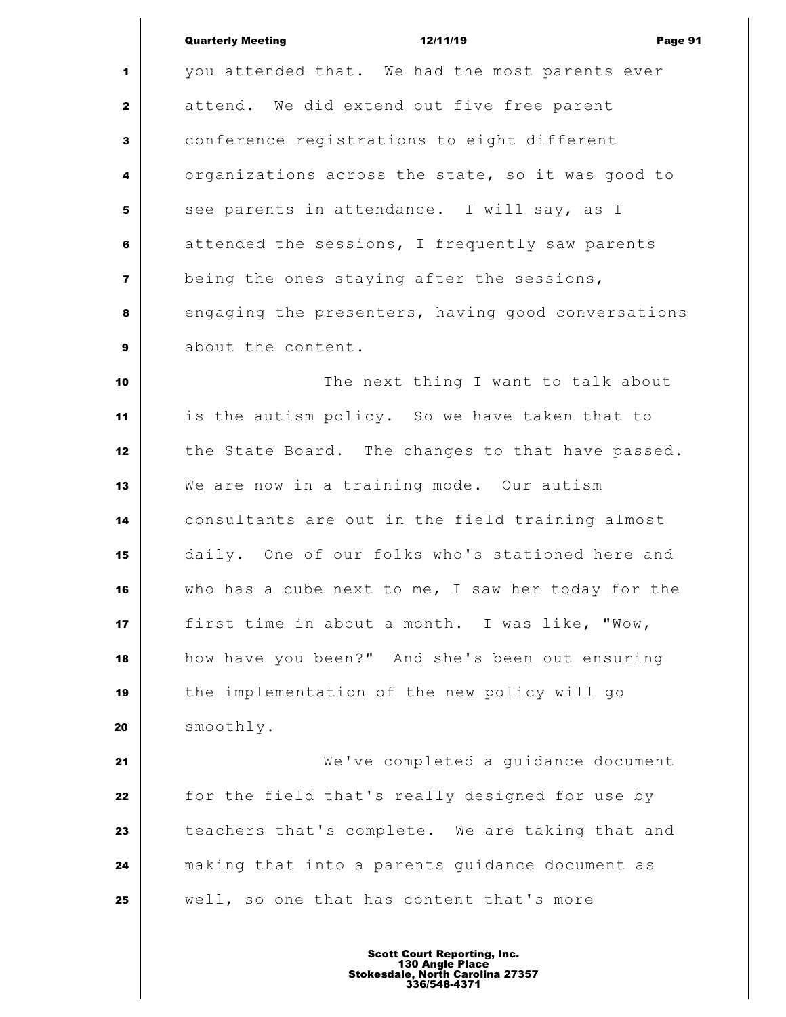Quarterly Meeting 12/11/19 Page 91

 you attended that. We had the most parents ever attend. We did extend out five free parent conference registrations to eight different organizations across the state, so it was good to see parents in attendance. I will say, as I attended the sessions, I frequently saw parents being the ones staying after the sessions, engaging the presenters, having good conversations about the content.

 The next thing I want to talk about is the autism policy. So we have taken that to 12 the State Board. The changes to that have passed. We are now in a training mode. Our autism consultants are out in the field training almost daily. One of our folks who's stationed here and who has a cube next to me, I saw her today for the first time in about a month. I was like, "Wow, how have you been?" And she's been out ensuring the implementation of the new policy will go smoothly.

 We've completed a guidance document for the field that's really designed for use by teachers that's complete. We are taking that and making that into a parents guidance document as well, so one that has content that's more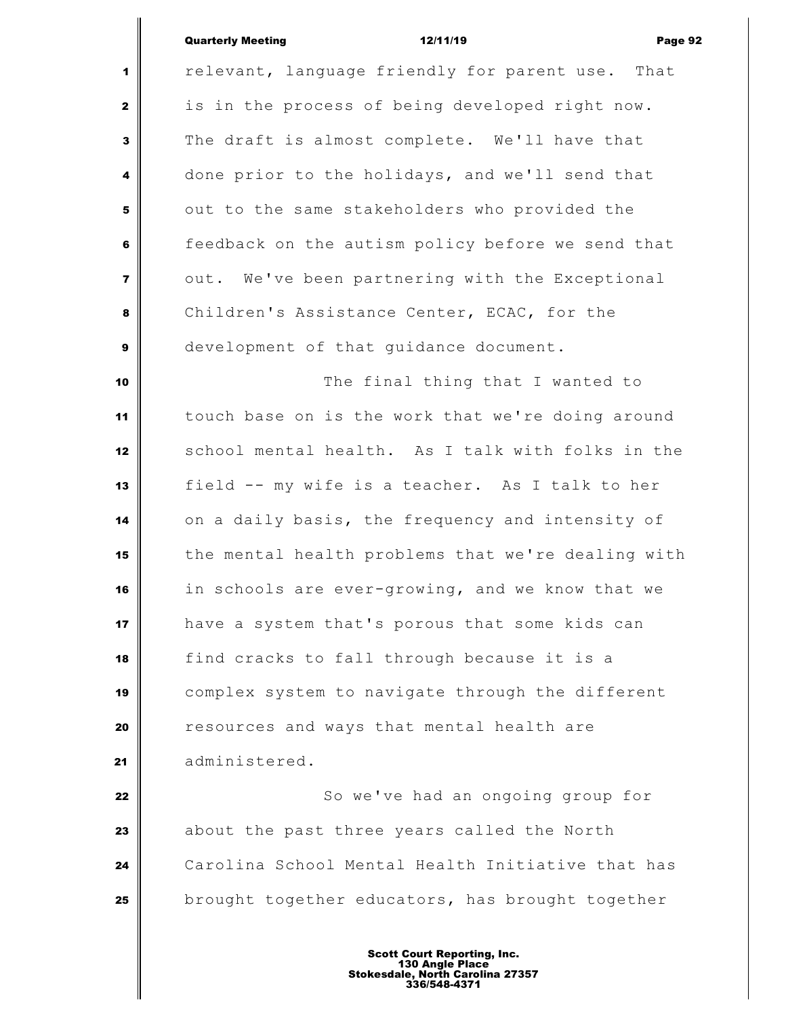# Quarterly Meeting **12/11/19 Constant Constant Orange 92**

∥

| 1                       | relevant, language friendly for parent use. That   |
|-------------------------|----------------------------------------------------|
| $\mathbf{2}$            | is in the process of being developed right now.    |
| $\mathbf{3}$            | The draft is almost complete. We'll have that      |
| 4                       | done prior to the holidays, and we'll send that    |
| ${\bf 5}$               | out to the same stakeholders who provided the      |
| 6                       | feedback on the autism policy before we send that  |
| $\overline{\mathbf{z}}$ | out. We've been partnering with the Exceptional    |
| 8                       | Children's Assistance Center, ECAC, for the        |
| $\boldsymbol{9}$        | development of that guidance document.             |
| 10                      | The final thing that I wanted to                   |
| 11                      | touch base on is the work that we're doing around  |
| 12                      | school mental health. As I talk with folks in the  |
| 13                      | field -- my wife is a teacher. As I talk to her    |
| 14                      | on a daily basis, the frequency and intensity of   |
| 15                      | the mental health problems that we're dealing with |
| 16                      | in schools are ever-growing, and we know that we   |
| 17                      | have a system that's porous that some kids can     |
| 18                      | find cracks to fall through because it is a        |
| 19                      | complex system to navigate through the different   |
| 20                      | resources and ways that mental health are          |
| 21                      | administered.                                      |
| 22                      | So we've had an ongoing group for                  |
| 23                      | about the past three years called the North        |
| 24                      | Carolina School Mental Health Initiative that has  |
| 25                      | brought together educators, has brought together   |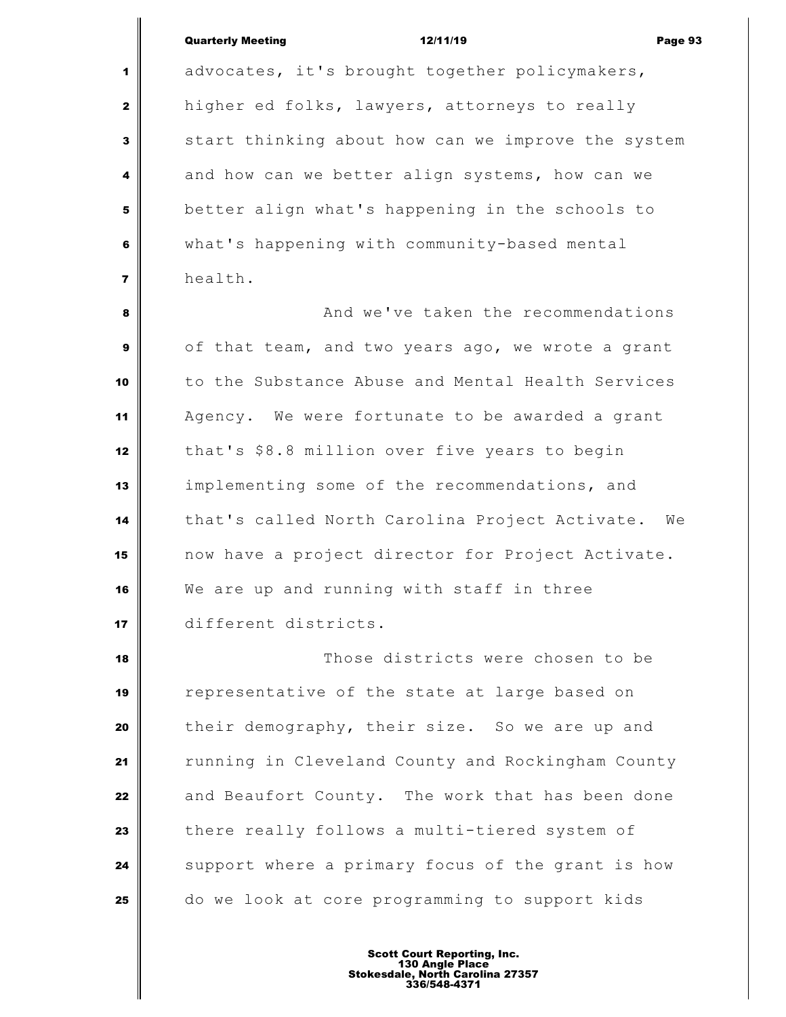| <b>Quarterly Meeting</b> | 12/11/19 | Page 93 |
|--------------------------|----------|---------|
|                          |          |         |

 advocates, it's brought together policymakers, higher ed folks, lawyers, attorneys to really start thinking about how can we improve the system and how can we better align systems, how can we better align what's happening in the schools to what's happening with community-based mental health. **a And we've taken the recommendations**  of that team, and two years ago, we wrote a grant to the Substance Abuse and Mental Health Services Agency. We were fortunate to be awarded a grant

that's \$8.8 million over five years to begin

implementing some of the recommendations, and

We are up and running with staff in three

different districts.

that's called North Carolina Project Activate. We

now have a project director for Project Activate.

Those districts were chosen to be

their demography, their size. So we are up and

running in Cleveland County and Rockingham County

and Beaufort County. The work that has been done

Support where a primary focus of the grant is how

there really follows a multi-tiered system of

do we look at core programming to support kids

representative of the state at large based on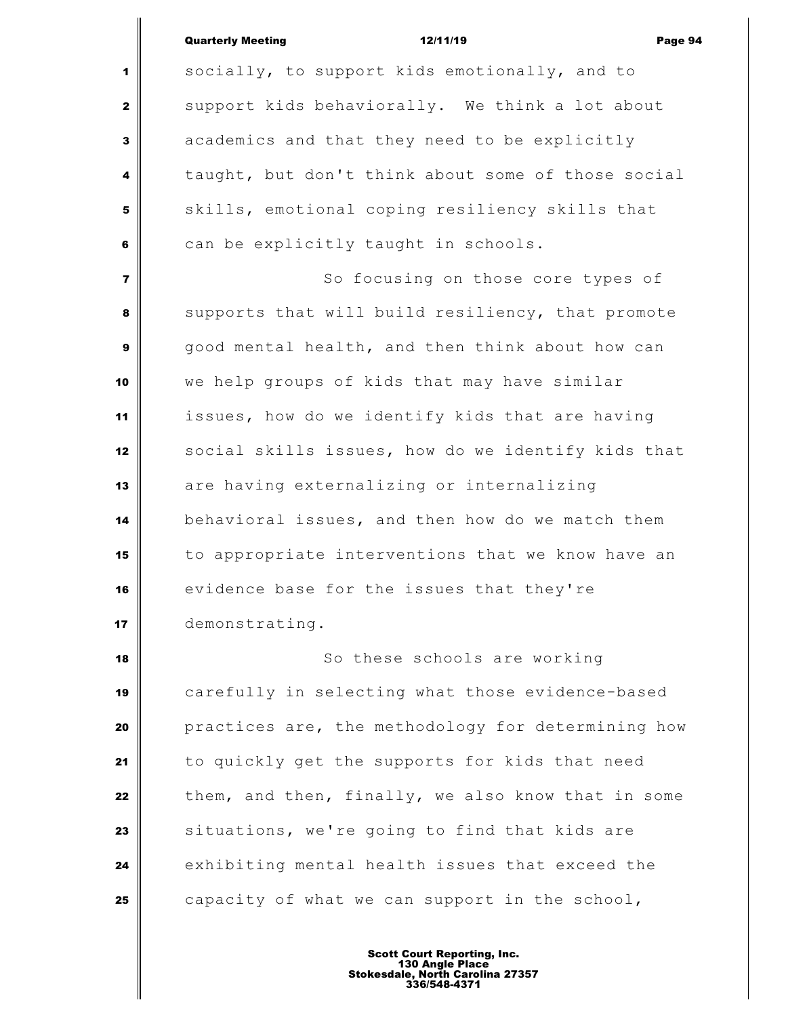| <b>Quarterly Meeting</b> | 12/11/19 | Page 94 |
|--------------------------|----------|---------|
|                          |          |         |

 socially, to support kids emotionally, and to support kids behaviorally. We think a lot about academics and that they need to be explicitly taught, but don't think about some of those social skills, emotional coping resiliency skills that can be explicitly taught in schools. So focusing on those core types of supports that will build resiliency, that promote good mental health, and then think about how can we help groups of kids that may have similar issues, how do we identify kids that are having social skills issues, how do we identify kids that are having externalizing or internalizing behavioral issues, and then how do we match them to appropriate interventions that we know have an evidence base for the issues that they're demonstrating. So these schools are working carefully in selecting what those evidence-based **practices are, the methodology for determining how**  to quickly get the supports for kids that need them, and then, finally, we also know that in some situations, we're going to find that kids are

capacity of what we can support in the school,

exhibiting mental health issues that exceed the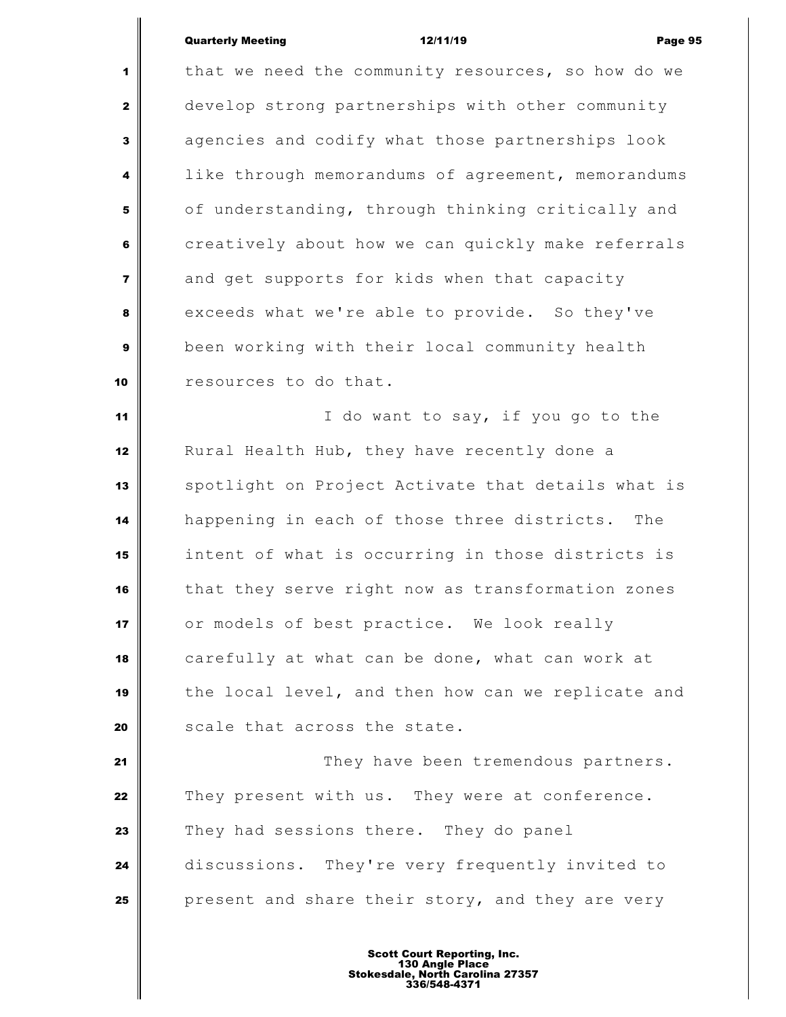## Quarterly Meeting 12/11/19 Page 95

 that we need the community resources, so how do we develop strong partnerships with other community agencies and codify what those partnerships look like through memorandums of agreement, memorandums of understanding, through thinking critically and creatively about how we can quickly make referrals and get supports for kids when that capacity exceeds what we're able to provide. So they've been working with their local community health **c** resources to do that. I do want to say, if you go to the Rural Health Hub, they have recently done a spotlight on Project Activate that details what is happening in each of those three districts. The intent of what is occurring in those districts is that they serve right now as transformation zones or models of best practice. We look really carefully at what can be done, what can work at the local level, and then how can we replicate and Scale that across the state. They have been tremendous partners. They present with us. They were at conference. They had sessions there. They do panel discussions. They're very frequently invited to present and share their story, and they are very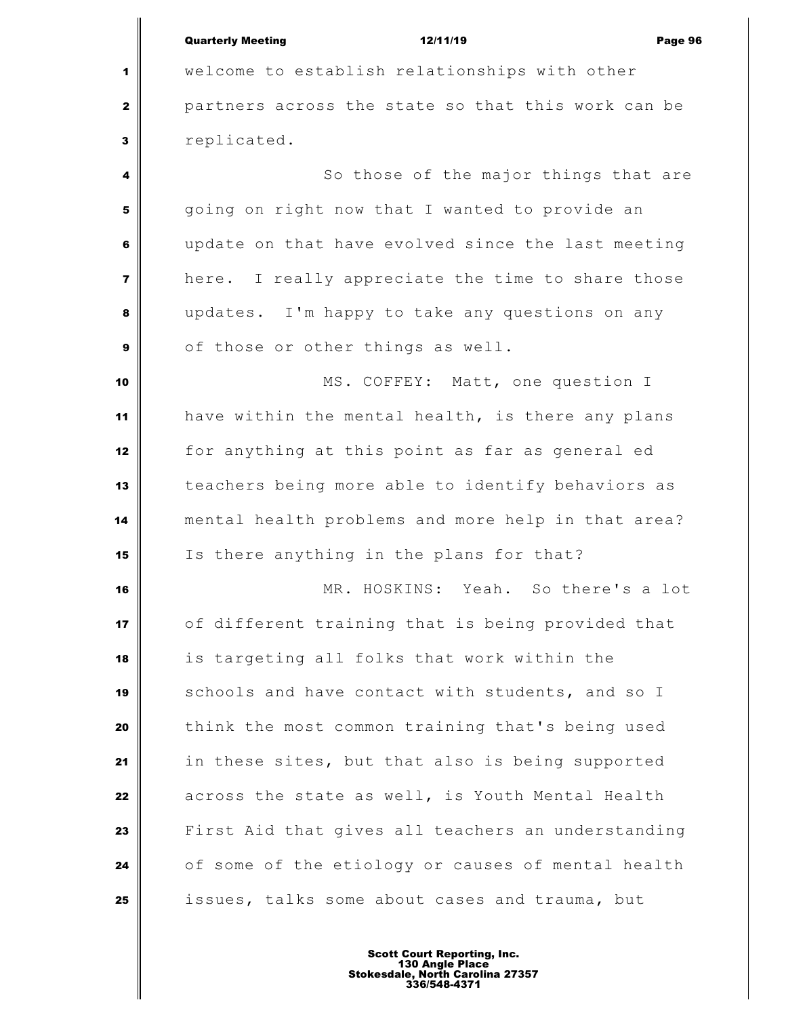|                         | <b>Quarterly Meeting</b><br>12/11/19<br>Page 96    |  |  |
|-------------------------|----------------------------------------------------|--|--|
| 1                       | welcome to establish relationships with other      |  |  |
| $\mathbf{z}$            | partners across the state so that this work can be |  |  |
| 3                       | replicated.                                        |  |  |
| 4                       | So those of the major things that are              |  |  |
| 5                       | going on right now that I wanted to provide an     |  |  |
| 6                       | update on that have evolved since the last meeting |  |  |
| $\overline{\mathbf{z}}$ | here. I really appreciate the time to share those  |  |  |
| 8                       | updates. I'm happy to take any questions on any    |  |  |
| $\mathbf{9}$            | of those or other things as well.                  |  |  |
| 10                      | MS. COFFEY: Matt, one question I                   |  |  |
| 11                      | have within the mental health, is there any plans  |  |  |
| 12                      | for anything at this point as far as general ed    |  |  |
| 13                      | teachers being more able to identify behaviors as  |  |  |
| 14                      | mental health problems and more help in that area? |  |  |
| 15                      | Is there anything in the plans for that?           |  |  |
| 16                      | MR. HOSKINS: Yeah. So there's a lot                |  |  |
| 17                      | of different training that is being provided that  |  |  |
| 18                      | is targeting all folks that work within the        |  |  |
| 19                      | schools and have contact with students, and so I   |  |  |
| 20                      | think the most common training that's being used   |  |  |
| 21                      | in these sites, but that also is being supported   |  |  |
| 22                      | across the state as well, is Youth Mental Health   |  |  |
| 23                      | First Aid that gives all teachers an understanding |  |  |
| 24                      | of some of the etiology or causes of mental health |  |  |
| 25                      | issues, talks some about cases and trauma, but     |  |  |
|                         |                                                    |  |  |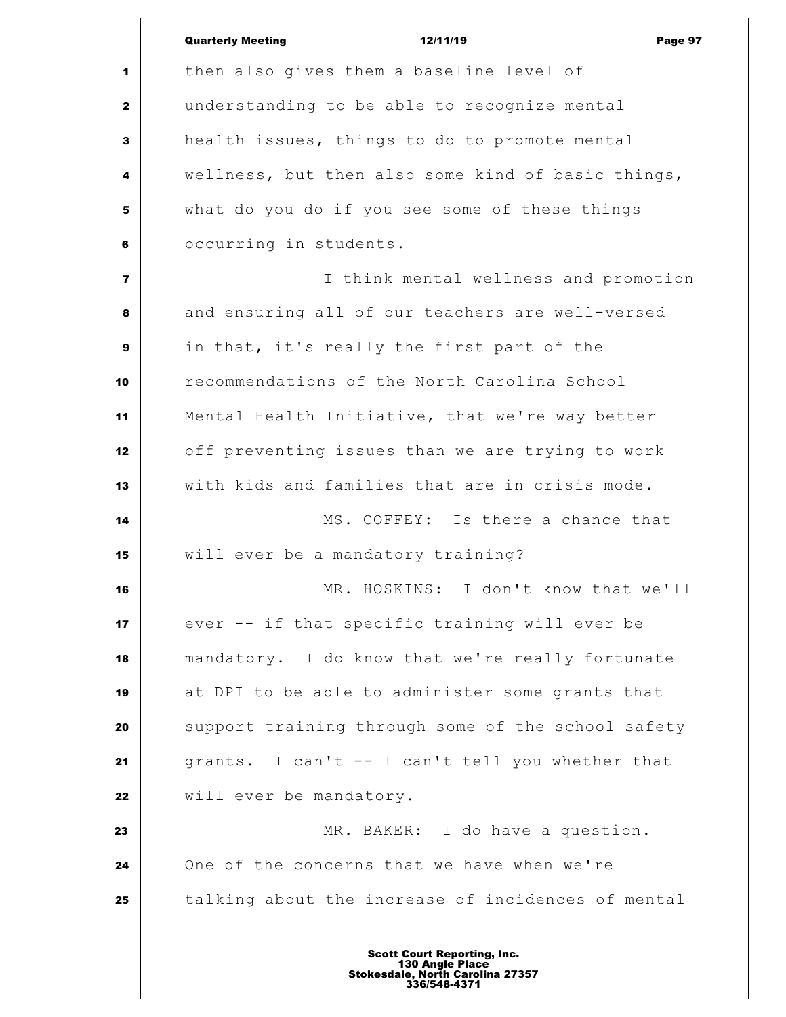|                | <b>Quarterly Meeting</b><br>12/11/19<br>Page 97    |
|----------------|----------------------------------------------------|
| 1              | then also gives them a baseline level of           |
| $\mathbf{2}$   | understanding to be able to recognize mental       |
| $\mathbf{3}$   | health issues, things to do to promote mental      |
| 4              | wellness, but then also some kind of basic things, |
| 5              | what do you do if you see some of these things     |
| 6              | occurring in students.                             |
| $\overline{7}$ | I think mental wellness and promotion              |
| 8              | and ensuring all of our teachers are well-versed   |
| $\mathbf{9}$   | in that, it's really the first part of the         |
| 10             | recommendations of the North Carolina School       |
| 11             | Mental Health Initiative, that we're way better    |
| 12             | off preventing issues than we are trying to work   |
| 13             | with kids and families that are in crisis mode.    |
| 14             | MS. COFFEY: Is there a chance that                 |
| 15             | will ever be a mandatory training?                 |
| 16             | MR. HOSKINS: I don't know that we'll               |
| 17             | ever -- if that specific training will ever be     |
| 18             | mandatory. I do know that we're really fortunate   |
| 19             | at DPI to be able to administer some grants that   |
| 20             | support training through some of the school safety |
| 21             | grants. I can't -- I can't tell you whether that   |
| 22             | will ever be mandatory.                            |
| 23             | MR. BAKER: I do have a question.                   |
| 24             | One of the concerns that we have when we're        |
| 25             | talking about the increase of incidences of mental |
|                |                                                    |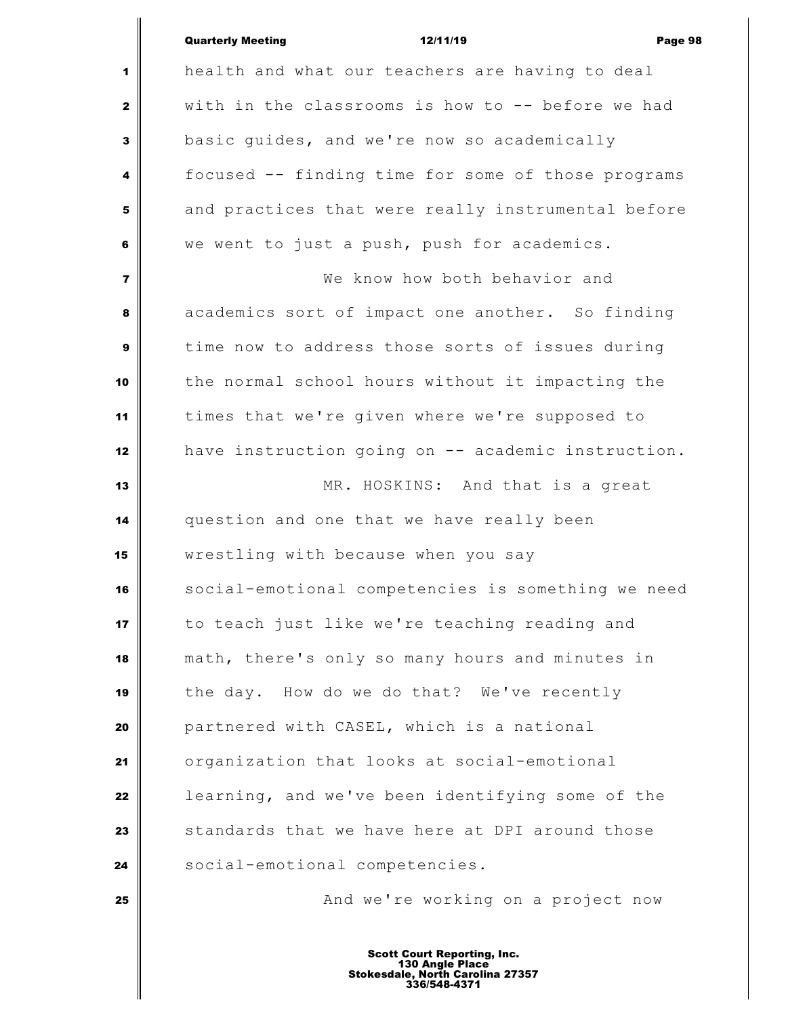|                | <b>Quarterly Meeting</b><br>12/11/19<br>Page 98    |
|----------------|----------------------------------------------------|
| 1              | health and what our teachers are having to deal    |
| 2              | with in the classrooms is how to -- before we had  |
| 3              | basic guides, and we're now so academically        |
| 4              | focused -- finding time for some of those programs |
| 5              | and practices that were really instrumental before |
| 6              | we went to just a push, push for academics.        |
| $\overline{7}$ | We know how both behavior and                      |
| 8              | academics sort of impact one another. So finding   |
| 9              | time now to address those sorts of issues during   |
| 10             | the normal school hours without it impacting the   |
| 11             | times that we're given where we're supposed to     |
| 12             | have instruction going on -- academic instruction. |
| 13             | MR. HOSKINS: And that is a great                   |
| 14             | question and one that we have really been          |
| 15             | wrestling with because when you say                |
| 16             | social-emotional competencies is something we need |
| 17             | to teach just like we're teaching reading and      |
| 18             | math, there's only so many hours and minutes in    |
| 19             | the day. How do we do that? We've recently         |
| 20             | partnered with CASEL, which is a national          |
| 21             | organization that looks at social-emotional        |
| 22             | learning, and we've been identifying some of the   |
| 23             | standards that we have here at DPI around those    |
| 24             | social-emotional competencies.                     |
| 25             | And we're working on a project now                 |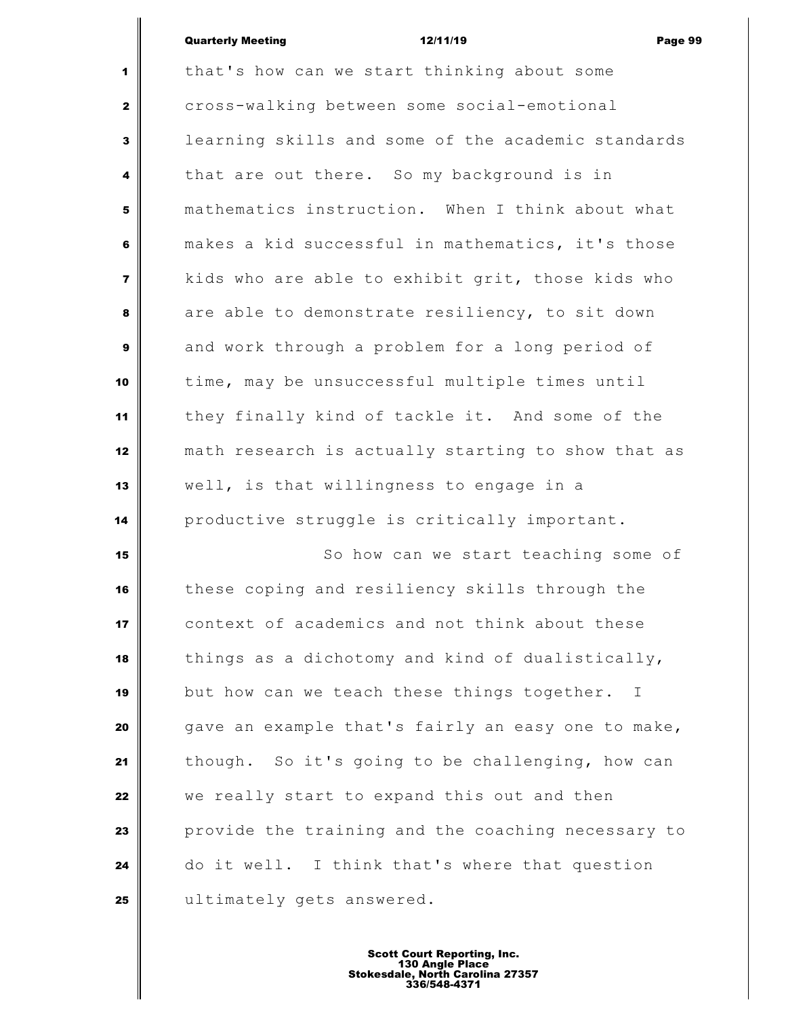| <b>Quarterly Meeting</b> | 12/11/19 | Page 99 |
|--------------------------|----------|---------|
|                          |          |         |

 $\parallel$ 

| $\mathbf{1}$            | that's how can we start thinking about some                 |
|-------------------------|-------------------------------------------------------------|
| $\mathbf{2}$            | cross-walking between some social-emotional                 |
| $\overline{\mathbf{3}}$ | learning skills and some of the academic standards          |
| $\overline{\mathbf{4}}$ | that are out there. So my background is in                  |
| 5                       | mathematics instruction. When I think about what            |
| 6                       | makes a kid successful in mathematics, it's those           |
| $\overline{7}$          | kids who are able to exhibit grit, those kids who           |
| 8                       | are able to demonstrate resiliency, to sit down             |
| $\boldsymbol{9}$        | and work through a problem for a long period of             |
| 10                      | time, may be unsuccessful multiple times until              |
| 11                      | they finally kind of tackle it. And some of the             |
| 12                      | math research is actually starting to show that as          |
| 13                      | well, is that willingness to engage in a                    |
| 14                      | productive struggle is critically important.                |
| 15                      | So how can we start teaching some of                        |
| 16                      | these coping and resiliency skills through the              |
| 17                      | context of academics and not think about these              |
| 18                      | things as a dichotomy and kind of dualistically,            |
| 19                      | but how can we teach these things together.<br>$\mathbf{I}$ |
| 20                      | gave an example that's fairly an easy one to make,          |
| 21                      | though. So it's going to be challenging, how can            |
| 22                      | we really start to expand this out and then                 |
| 23                      | provide the training and the coaching necessary to          |
| 24                      | do it well. I think that's where that question              |
| 25                      | ultimately gets answered.                                   |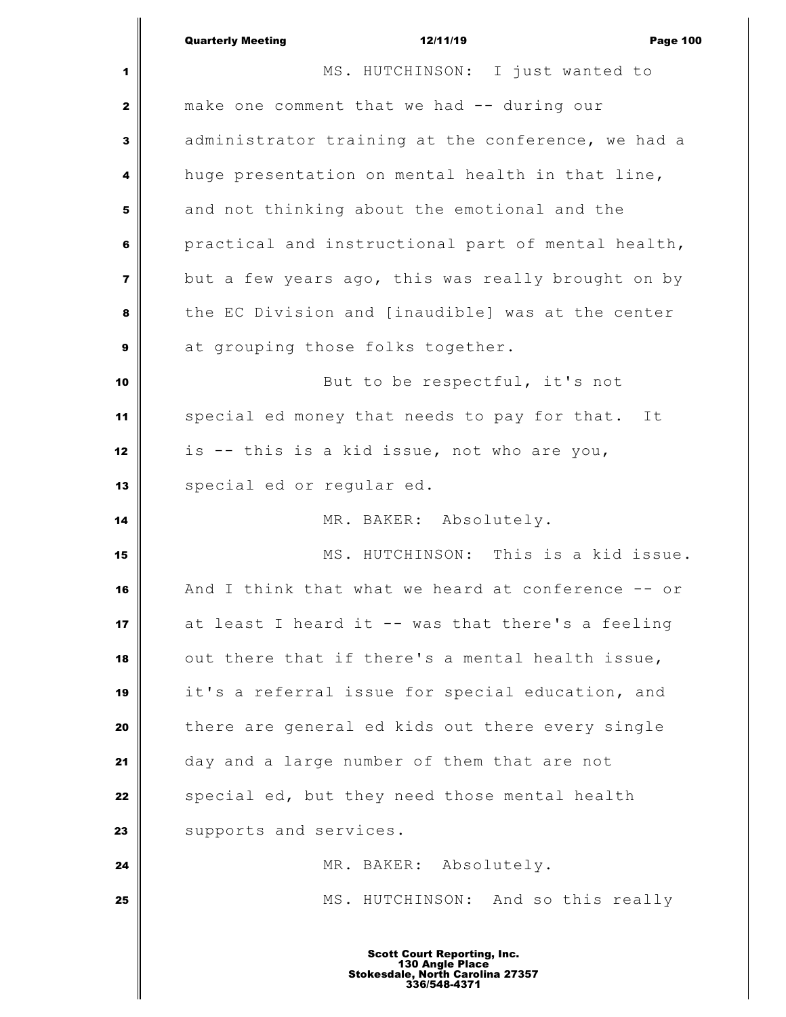|                | <b>Quarterly Meeting</b><br>12/11/19<br><b>Page 100</b> |  |  |
|----------------|---------------------------------------------------------|--|--|
| 1              | MS. HUTCHINSON: I just wanted to                        |  |  |
| $\mathbf{2}$   | make one comment that we had -- during our              |  |  |
| 3              | administrator training at the conference, we had a      |  |  |
| 4              | huge presentation on mental health in that line,        |  |  |
| 5              | and not thinking about the emotional and the            |  |  |
| 6              | practical and instructional part of mental health,      |  |  |
| $\overline{7}$ | but a few years ago, this was really brought on by      |  |  |
| 8              | the EC Division and [inaudible] was at the center       |  |  |
| 9              | at grouping those folks together.                       |  |  |
| 10             | But to be respectful, it's not                          |  |  |
| 11             | special ed money that needs to pay for that. It         |  |  |
| 12             | is -- this is a kid issue, not who are you,             |  |  |
| 13             | special ed or regular ed.                               |  |  |
| 14             | MR. BAKER: Absolutely.                                  |  |  |
| 15             | MS. HUTCHINSON: This is a kid issue.                    |  |  |
| 16             | And I think that what we heard at conference -- or      |  |  |
| 17             | at least I heard it -- was that there's a feeling       |  |  |
| 18             | out there that if there's a mental health issue,        |  |  |
| 19             | it's a referral issue for special education, and        |  |  |
| 20             | there are general ed kids out there every single        |  |  |
| 21             | day and a large number of them that are not             |  |  |
| 22             | special ed, but they need those mental health           |  |  |
| 23             | supports and services.                                  |  |  |
| 24             | MR. BAKER: Absolutely.                                  |  |  |
| 25             | MS. HUTCHINSON: And so this really                      |  |  |
|                |                                                         |  |  |
|                | <b>Scott Court Reporting, Inc.</b>                      |  |  |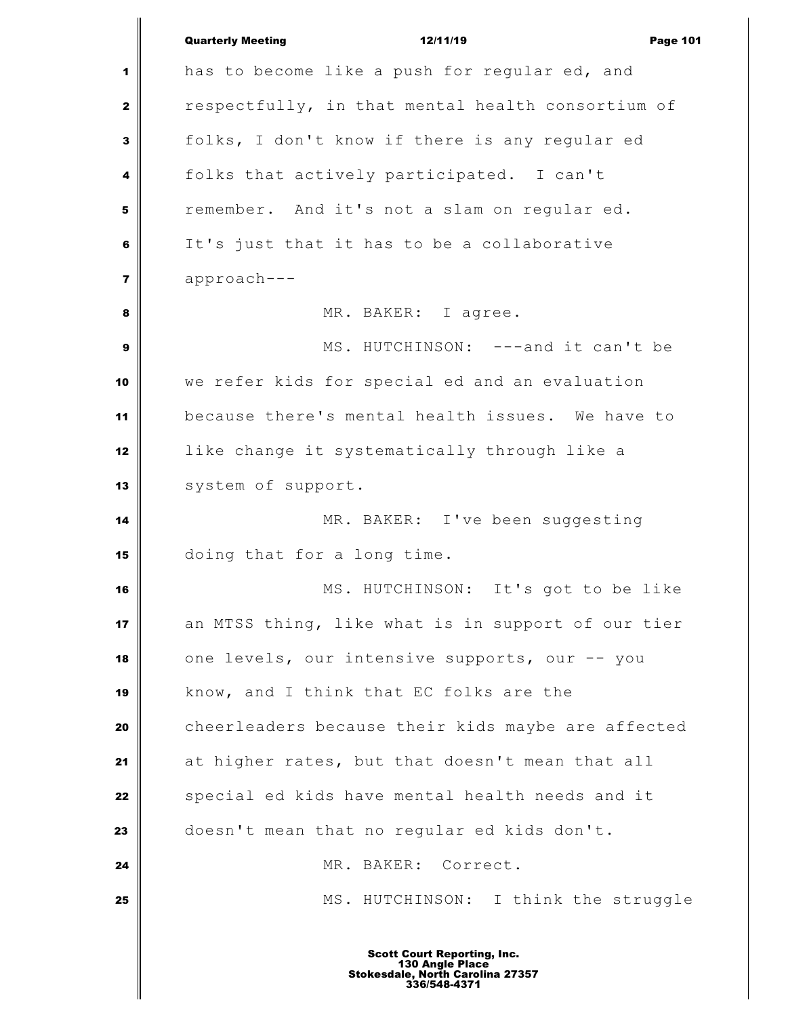|                         | <b>Quarterly Meeting</b><br>12/11/19<br><b>Page 101</b> |
|-------------------------|---------------------------------------------------------|
| 1                       | has to become like a push for regular ed, and           |
| $\mathbf{z}$            | respectfully, in that mental health consortium of       |
| 3                       | folks, I don't know if there is any regular ed          |
| 4                       | folks that actively participated. I can't               |
| 5                       | remember. And it's not a slam on regular ed.            |
| 6                       | It's just that it has to be a collaborative             |
| $\overline{\mathbf{z}}$ | approach---                                             |
| 8                       | MR. BAKER: I agree.                                     |
| 9                       | MS. HUTCHINSON: ---and it can't be                      |
| 10                      | we refer kids for special ed and an evaluation          |
| 11                      | because there's mental health issues. We have to        |
| 12                      | like change it systematically through like a            |
| 13                      | system of support.                                      |
| 14                      | MR. BAKER: I've been suggesting                         |
| 15                      | doing that for a long time.                             |
| 16                      | MS. HUTCHINSON: It's got to be like                     |
| 17                      | an MTSS thing, like what is in support of our tier      |
| 18                      | one levels, our intensive supports, our -- you          |
| 19                      | know, and I think that EC folks are the                 |
| 20                      | cheerleaders because their kids maybe are affected      |
| 21                      | at higher rates, but that doesn't mean that all         |
| 22                      | special ed kids have mental health needs and it         |
| 23                      | doesn't mean that no regular ed kids don't.             |
| 24                      | MR. BAKER: Correct.                                     |
| 25                      | MS. HUTCHINSON: I think the struggle                    |
|                         |                                                         |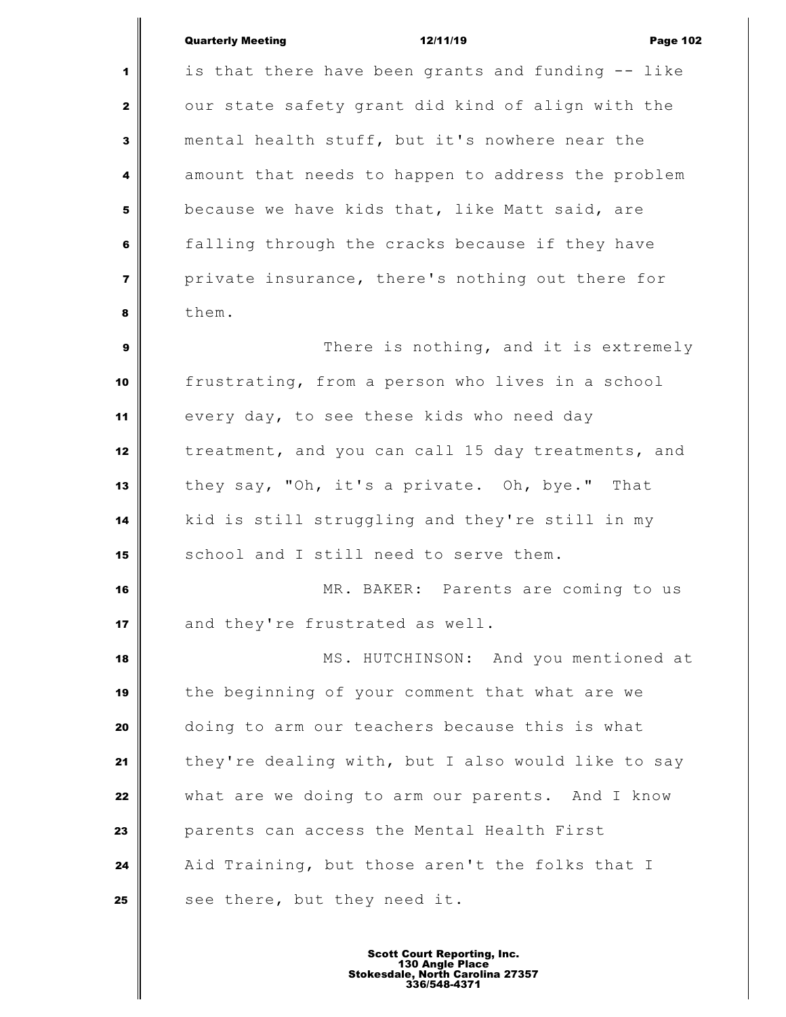## Quarterly Meeting **12/11/19** Page 102

 is that there have been grants and funding -- like our state safety grant did kind of align with the mental health stuff, but it's nowhere near the amount that needs to happen to address the problem because we have kids that, like Matt said, are **falling through the cracks because if they have**  private insurance, there's nothing out there for them. There is nothing, and it is extremely frustrating, from a person who lives in a school every day, to see these kids who need day treatment, and you can call 15 day treatments, and they say, "Oh, it's a private. Oh, bye." That kid is still struggling and they're still in my **S** school and I still need to serve them. MR. BAKER: Parents are coming to us and they're frustrated as well. MS. HUTCHINSON: And you mentioned at the beginning of your comment that what are we doing to arm our teachers because this is what they're dealing with, but I also would like to say what are we doing to arm our parents. And I know parents can access the Mental Health First Aid Training, but those aren't the folks that I see there, but they need it.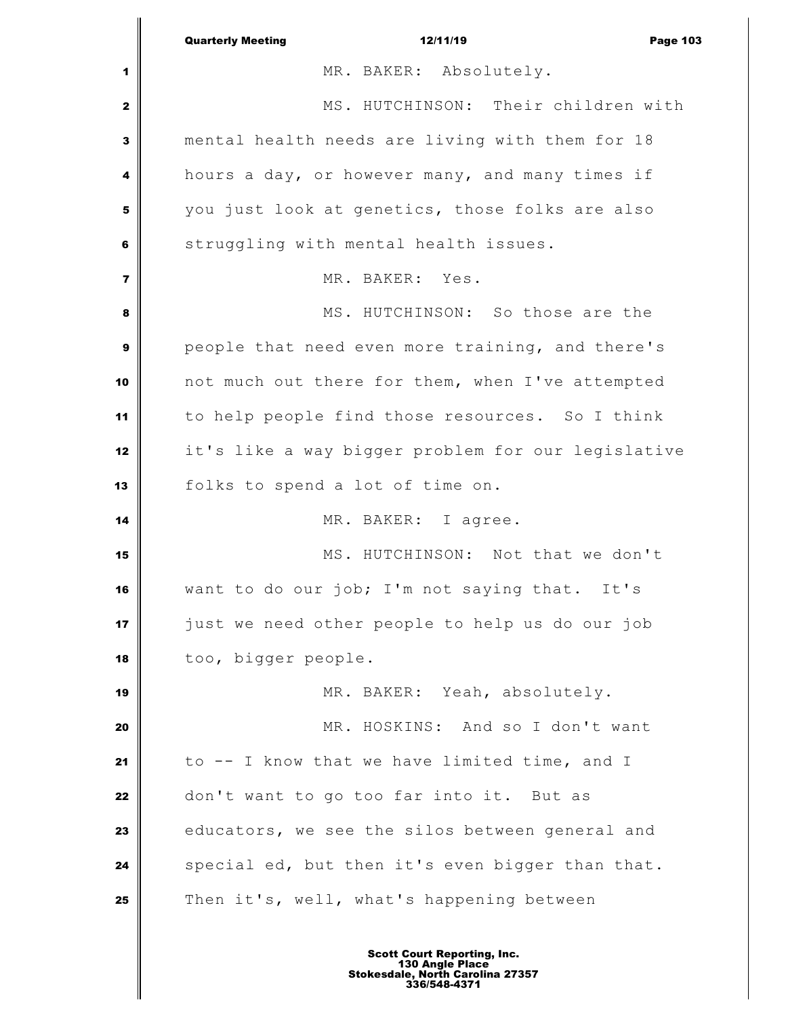|                | <b>Quarterly Meeting</b><br>12/11/19<br><b>Page 103</b> |
|----------------|---------------------------------------------------------|
| 1              | MR. BAKER: Absolutely.                                  |
| $\mathbf{2}$   | MS. HUTCHINSON: Their children with                     |
| 3              | mental health needs are living with them for 18         |
| 4              | hours a day, or however many, and many times if         |
| 5              | you just look at genetics, those folks are also         |
| 6              | struggling with mental health issues.                   |
| $\overline{7}$ | MR. BAKER: Yes.                                         |
| 8              | MS. HUTCHINSON: So those are the                        |
| 9              | people that need even more training, and there's        |
| 10             | not much out there for them, when I've attempted        |
| 11             | to help people find those resources. So I think         |
| 12             | it's like a way bigger problem for our legislative      |
| 13             | folks to spend a lot of time on.                        |
| 14             | MR. BAKER: I agree.                                     |
| 15             | MS. HUTCHINSON: Not that we don't                       |
| 16             | want to do our job; I'm not saying that. It's           |
| 17             | just we need other people to help us do our job         |
| 18             | too, bigger people.                                     |
| 19             | MR. BAKER: Yeah, absolutely.                            |
| 20             | MR. HOSKINS: And so I don't want                        |
| 21             | to -- I know that we have limited time, and I           |
| 22             | don't want to go too far into it. But as                |
| 23             | educators, we see the silos between general and         |
| 24             | special ed, but then it's even bigger than that.        |
| 25             | Then it's, well, what's happening between               |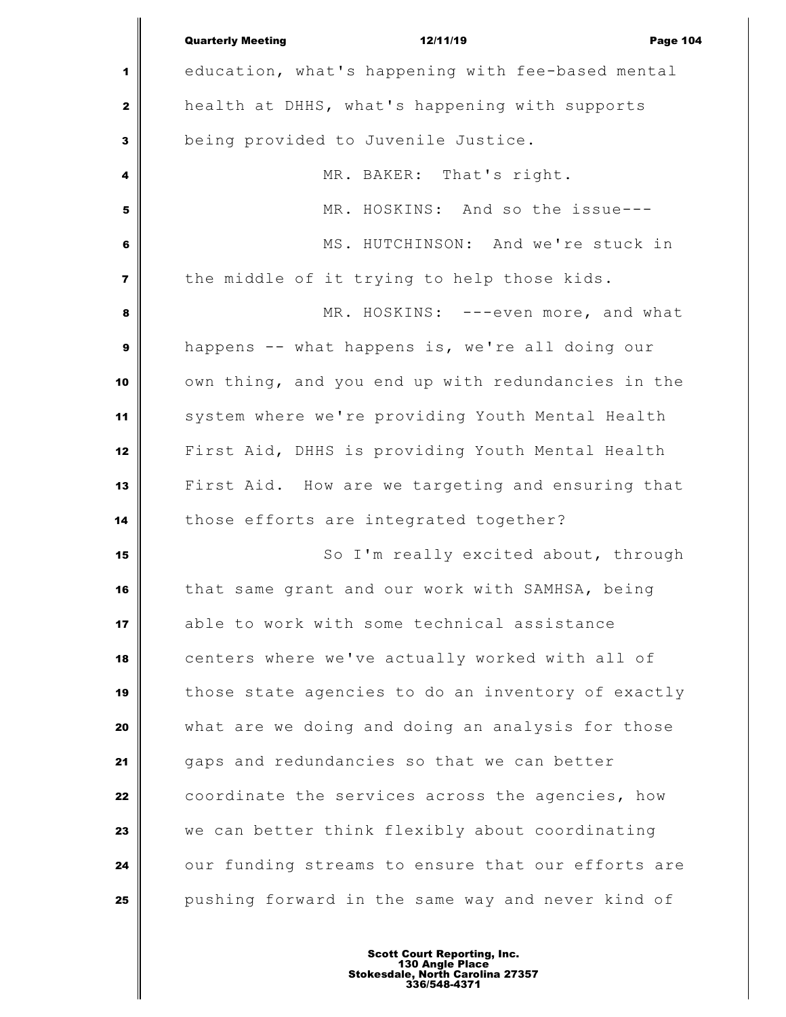|                         | <b>Quarterly Meeting</b><br>12/11/19<br><b>Page 104</b> |
|-------------------------|---------------------------------------------------------|
| 1                       | education, what's happening with fee-based mental       |
| $\mathbf{2}$            | health at DHHS, what's happening with supports          |
| 3                       | being provided to Juvenile Justice.                     |
| 4                       | MR. BAKER: That's right.                                |
| 5                       | MR. HOSKINS: And so the issue---                        |
| 6                       | MS. HUTCHINSON: And we're stuck in                      |
| $\overline{\mathbf{z}}$ | the middle of it trying to help those kids.             |
| 8                       | MR. HOSKINS: ---even more, and what                     |
| $\boldsymbol{9}$        | happens -- what happens is, we're all doing our         |
| 10                      | own thing, and you end up with redundancies in the      |
| 11                      | system where we're providing Youth Mental Health        |
| 12                      | First Aid, DHHS is providing Youth Mental Health        |
| 13                      | First Aid. How are we targeting and ensuring that       |
| 14                      | those efforts are integrated together?                  |
| 15                      | So I'm really excited about, through                    |
| 16                      | that same grant and our work with SAMHSA, being         |
| 17                      | able to work with some technical assistance             |
| 18                      | centers where we've actually worked with all of         |
| 19                      | those state agencies to do an inventory of exactly      |
| 20                      | what are we doing and doing an analysis for those       |
| 21                      | gaps and redundancies so that we can better             |
| 22                      | coordinate the services across the agencies, how        |
| 23                      | we can better think flexibly about coordinating         |
| 24                      | our funding streams to ensure that our efforts are      |
| 25                      | pushing forward in the same way and never kind of       |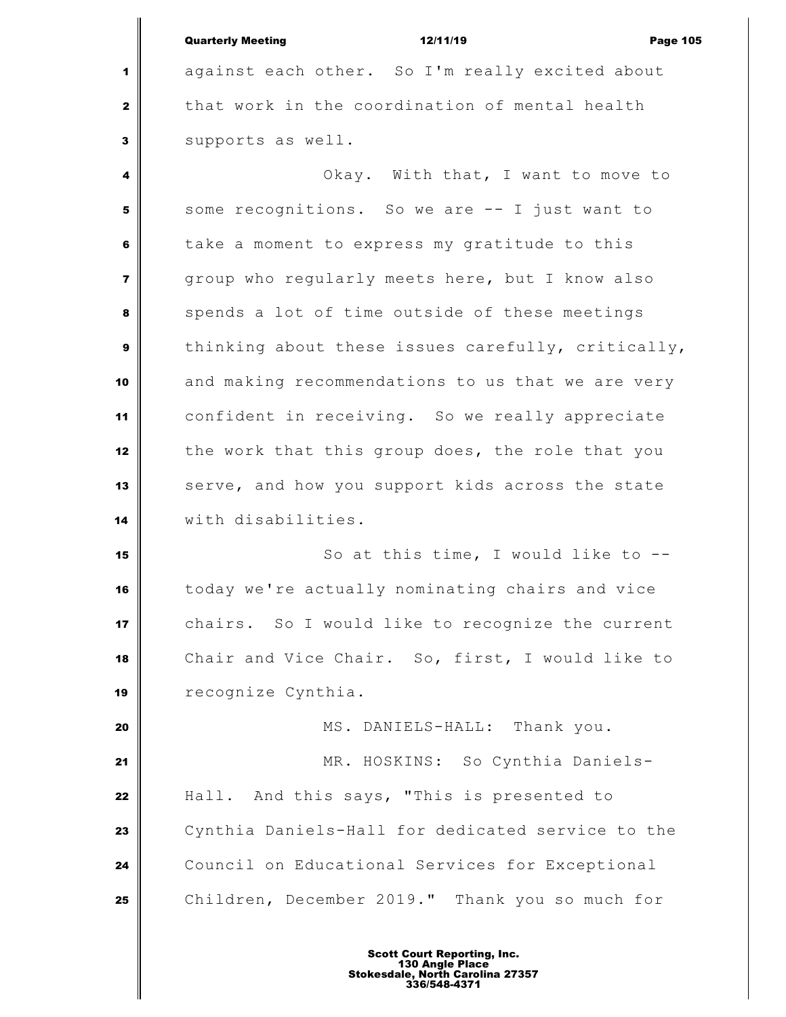| <b>Quarterly Meeting</b> | 12/11/19 | <b>Page 105</b> |
|--------------------------|----------|-----------------|

 against each other. So I'm really excited about that work in the coordination of mental health supports as well.

 Okay. With that, I want to move to Some recognitions. So we are -- I just want to take a moment to express my gratitude to this group who regularly meets here, but I know also spends a lot of time outside of these meetings thinking about these issues carefully, critically, and making recommendations to us that we are very confident in receiving. So we really appreciate the work that this group does, the role that you serve, and how you support kids across the state with disabilities.

 So at this time, I would like to -- today we're actually nominating chairs and vice chairs. So I would like to recognize the current Chair and Vice Chair. So, first, I would like to recognize Cynthia.

 MS. DANIELS-HALL: Thank you. MR. HOSKINS: So Cynthia Daniels- Hall. And this says, "This is presented to Cynthia Daniels-Hall for dedicated service to the Council on Educational Services for Exceptional Children, December 2019." Thank you so much for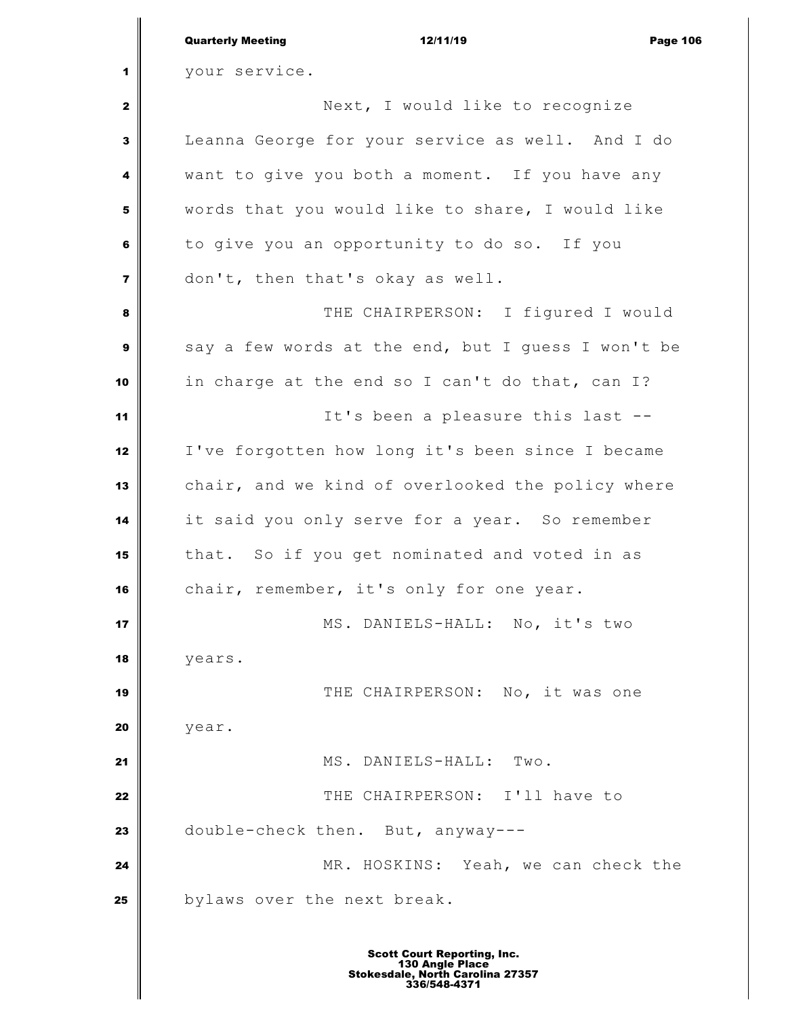|                | <b>Quarterly Meeting</b><br>12/11/19<br><b>Page 106</b> |
|----------------|---------------------------------------------------------|
| 1              | your service.                                           |
| 2              | Next, I would like to recognize                         |
| 3              | Leanna George for your service as well. And I do        |
| 4              | want to give you both a moment. If you have any         |
| 5              | words that you would like to share, I would like        |
| 6              | to give you an opportunity to do so. If you             |
| $\overline{7}$ | don't, then that's okay as well.                        |
| 8              | THE CHAIRPERSON: I figured I would                      |
| 9              | say a few words at the end, but I guess I won't be      |
| 10             | in charge at the end so I can't do that, can I?         |
| 11             | It's been a pleasure this last --                       |
| 12             | I've forgotten how long it's been since I became        |
| 13             | chair, and we kind of overlooked the policy where       |
| 14             | it said you only serve for a year. So remember          |
| 15             | that. So if you get nominated and voted in as           |
| 16             | chair, remember, it's only for one year.                |
| 17             | MS. DANIELS-HALL: No, it's two                          |
| 18             | years.                                                  |
| 19             | THE CHAIRPERSON: No, it was one                         |
| 20             | year.                                                   |
| 21             | MS. DANIELS-HALL: Two.                                  |
| 22             | THE CHAIRPERSON: I'll have to                           |
| 23             | double-check then. But, anyway---                       |
| 24             | MR. HOSKINS: Yeah, we can check the                     |
| 25             | bylaws over the next break.                             |
|                |                                                         |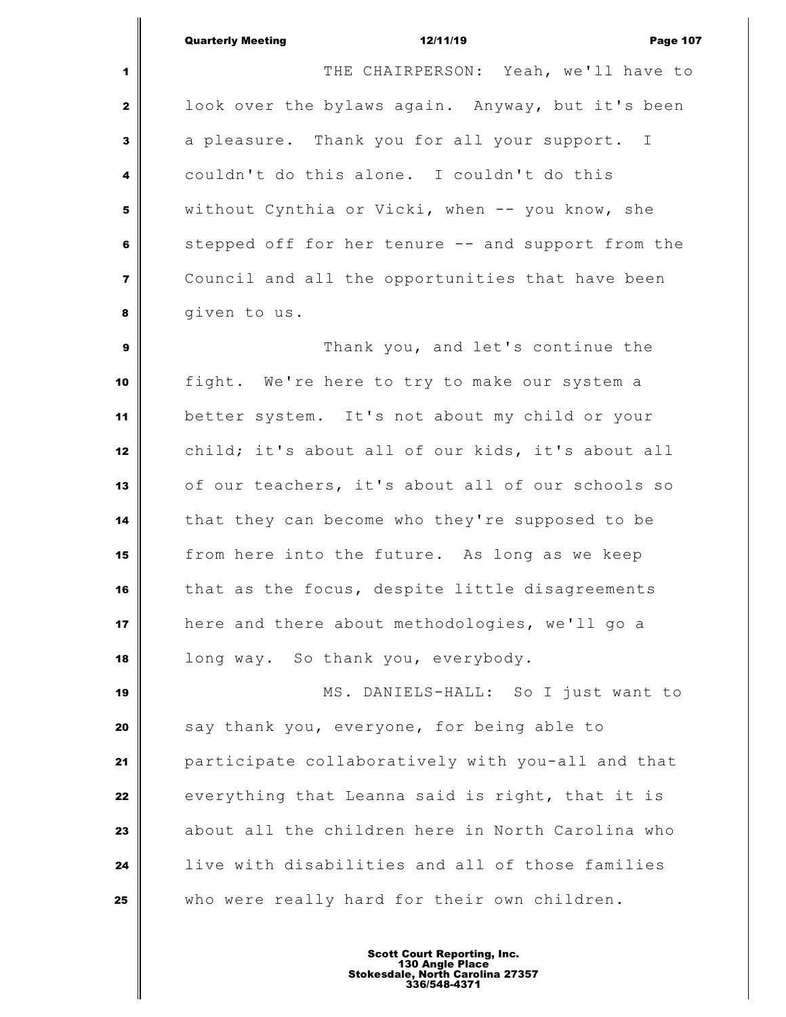THE CHAIRPERSON: Yeah, we'll have to | look over the bylaws again. Anyway, but it's been a pleasure. Thank you for all your support. I couldn't do this alone. I couldn't do this without Cynthia or Vicki, when -- you know, she stepped off for her tenure -- and support from the Council and all the opportunities that have been **d g d d g d d d d d e d d d e d e d e d e d e d e d e**  Thank you, and let's continue the fight. We're here to try to make our system a better system. It's not about my child or your child; it's about all of our kids, it's about all of our teachers, it's about all of our schools so that they can become who they're supposed to be from here into the future. As long as we keep that as the focus, despite little disagreements here and there about methodologies, we'll go a long way. So thank you, everybody. MS. DANIELS-HALL: So I just want to say thank you, everyone, for being able to participate collaboratively with you-all and that everything that Leanna said is right, that it is about all the children here in North Carolina who

who were really hard for their own children.

live with disabilities and all of those families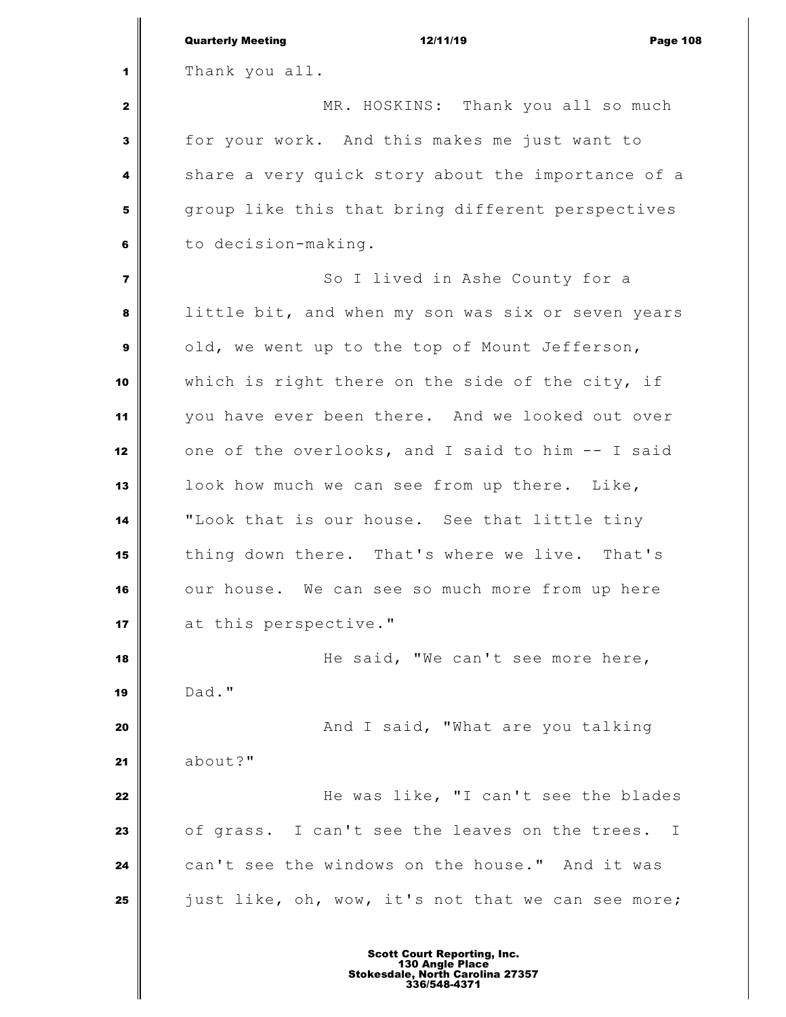|                         | <b>Quarterly Meeting</b><br>12/11/19<br><b>Page 108</b> |
|-------------------------|---------------------------------------------------------|
| 1                       | Thank you all.                                          |
| $\mathbf{2}$            | MR. HOSKINS: Thank you all so much                      |
| 3                       | for your work. And this makes me just want to           |
| 4                       | share a very quick story about the importance of a      |
| 5                       | group like this that bring different perspectives       |
| 6                       | to decision-making.                                     |
| $\overline{\mathbf{z}}$ | So I lived in Ashe County for a                         |
| 8                       | little bit, and when my son was six or seven years      |
| 9                       | old, we went up to the top of Mount Jefferson,          |
| 10                      | which is right there on the side of the city, if        |
| 11                      | you have ever been there. And we looked out over        |
| 12                      | one of the overlooks, and I said to him -- I said       |
| 13                      | look how much we can see from up there. Like,           |
| 14                      | "Look that is our house. See that little tiny           |
| 15                      | thing down there. That's where we live. That's          |
| 16                      | our house. We can see so much more from up here         |
| 17                      | at this perspective."                                   |
| 18                      | He said, "We can't see more here,                       |
| 19                      | Dad."                                                   |
| 20                      | And I said, "What are you talking                       |
| 21                      | about?"                                                 |
| 22                      | He was like, "I can't see the blades                    |
| 23                      | of grass. I can't see the leaves on the trees. I        |
| 24                      | can't see the windows on the house." And it was         |
| 25                      | just like, oh, wow, it's not that we can see more;      |
|                         |                                                         |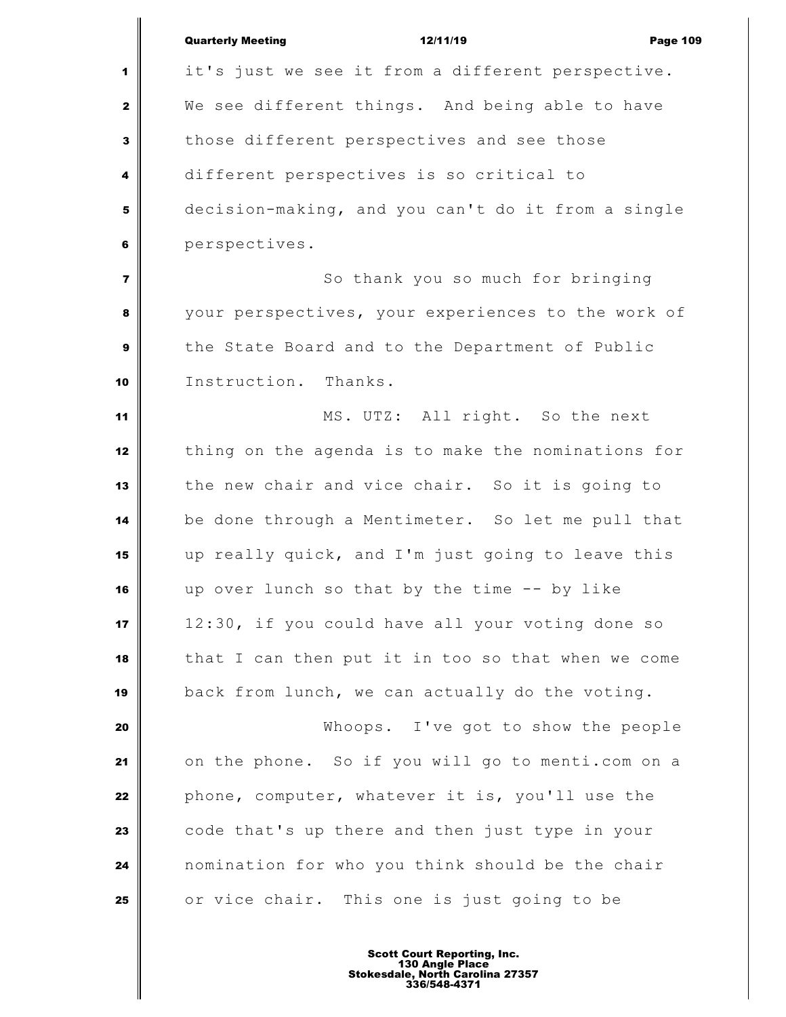|                | <b>Quarterly Meeting</b><br>12/11/19<br><b>Page 109</b> |
|----------------|---------------------------------------------------------|
| 1              | it's just we see it from a different perspective.       |
| $\mathbf{z}$   | We see different things. And being able to have         |
| 3              | those different perspectives and see those              |
| 4              | different perspectives is so critical to                |
| 5              | decision-making, and you can't do it from a single      |
| 6              | perspectives.                                           |
| $\overline{7}$ | So thank you so much for bringing                       |
| 8              | your perspectives, your experiences to the work of      |
| 9              | the State Board and to the Department of Public         |
| 10             | Instruction. Thanks.                                    |
| 11             | MS. UTZ: All right. So the next                         |
| 12             | thing on the agenda is to make the nominations for      |
| 13             | the new chair and vice chair. So it is going to         |
| 14             | be done through a Mentimeter. So let me pull that       |
| 15             | up really quick, and I'm just going to leave this       |
| 16             | up over lunch so that by the time -- by like            |
| 17             | 12:30, if you could have all your voting done so        |
| 18             | that I can then put it in too so that when we come      |
| 19             | back from lunch, we can actually do the voting.         |
| 20             | Whoops. I've got to show the people                     |
| 21             | on the phone. So if you will go to menti.com on a       |
| 22             | phone, computer, whatever it is, you'll use the         |
| 23             | code that's up there and then just type in your         |
| 24             | nomination for who you think should be the chair        |
| 25             | or vice chair. This one is just going to be             |
|                |                                                         |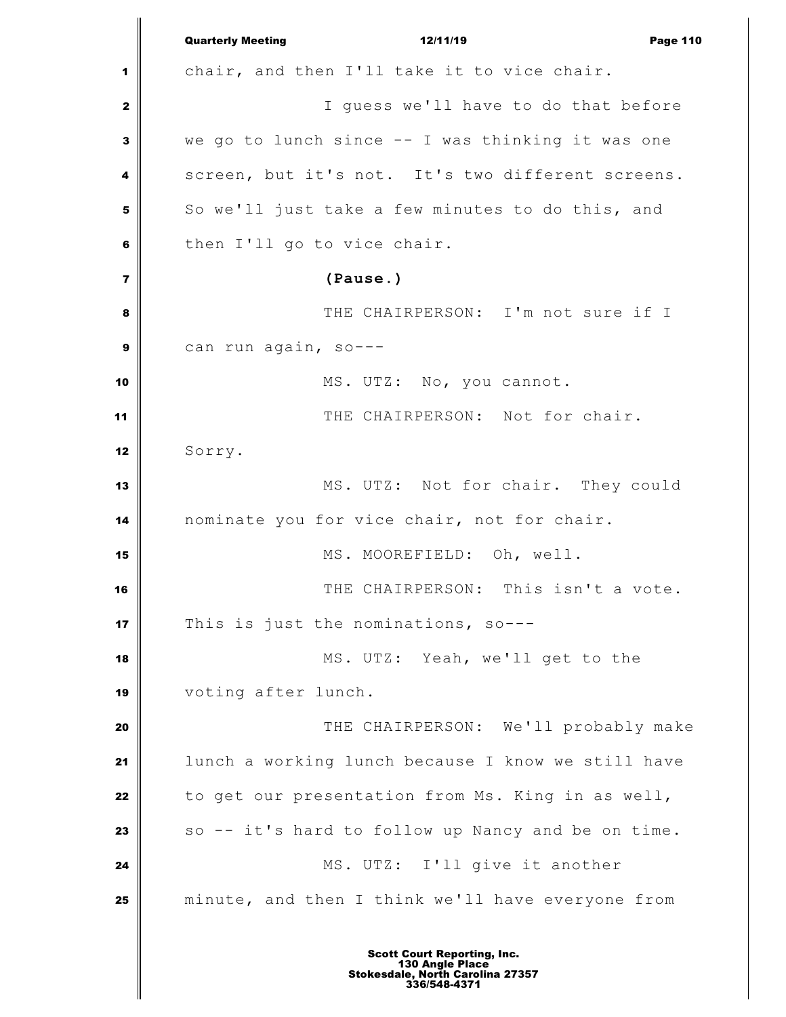|                | <b>Quarterly Meeting</b><br>12/11/19<br><b>Page 110</b> |
|----------------|---------------------------------------------------------|
| 1              | chair, and then I'll take it to vice chair.             |
| $\mathbf{2}$   | I guess we'll have to do that before                    |
| 3              | we go to lunch since -- I was thinking it was one       |
| 4              | screen, but it's not. It's two different screens.       |
| 5              | So we'll just take a few minutes to do this, and        |
| 6              | then I'll go to vice chair.                             |
| $\overline{7}$ | (Pause.)                                                |
| 8              | THE CHAIRPERSON: I'm not sure if I                      |
| 9              | can run again, so---                                    |
| 10             | MS. UTZ: No, you cannot.                                |
| 11             | THE CHAIRPERSON: Not for chair.                         |
| 12             | Sorry.                                                  |
| 13             | MS. UTZ: Not for chair. They could                      |
| 14             | nominate you for vice chair, not for chair.             |
| 15             | MS. MOOREFIELD: Oh, well.                               |
| 16             | THE CHAIRPERSON: This isn't a vote.                     |
| 17             | This is just the nominations, so---                     |
| 18             | MS. UTZ: Yeah, we'll get to the                         |
| 19             | voting after lunch.                                     |
| 20             | THE CHAIRPERSON: We'll probably make                    |
| 21             | lunch a working lunch because I know we still have      |
| 22             | to get our presentation from Ms. King in as well,       |
| 23             | so -- it's hard to follow up Nancy and be on time.      |
| 24             | MS. UTZ: I'll give it another                           |
| 25             | minute, and then I think we'll have everyone from       |
|                |                                                         |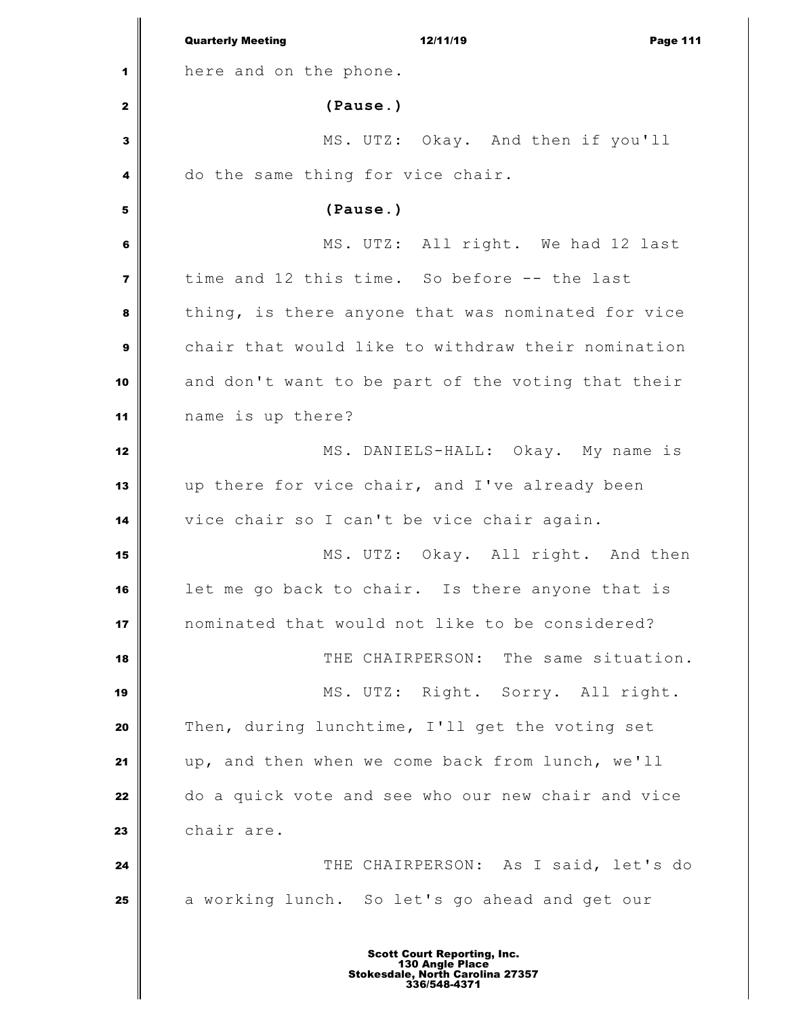|                | <b>Quarterly Meeting</b><br>12/11/19<br>Page 111   |
|----------------|----------------------------------------------------|
| 1              | here and on the phone.                             |
| $\mathbf{z}$   | (Pause.)                                           |
| $\mathbf{3}$   | MS. UTZ: Okay. And then if you'll                  |
| 4              | do the same thing for vice chair.                  |
| 5              | (Pause.)                                           |
| 6              | MS. UTZ: All right. We had 12 last                 |
| $\overline{7}$ | time and 12 this time. So before -- the last       |
| 8              | thing, is there anyone that was nominated for vice |
| $\mathbf{9}$   | chair that would like to withdraw their nomination |
| 10             | and don't want to be part of the voting that their |
| 11             | name is up there?                                  |
| 12             | MS. DANIELS-HALL: Okay. My name is                 |
| 13             | up there for vice chair, and I've already been     |
| 14             | vice chair so I can't be vice chair again.         |
| 15             | MS. UTZ: Okay. All right. And then                 |
| 16             | let me go back to chair. Is there anyone that is   |
| 17             | nominated that would not like to be considered?    |
| 18             | THE CHAIRPERSON: The same situation.               |
| 19             | MS. UTZ: Right. Sorry. All right.                  |
| 20             | Then, during lunchtime, I'll get the voting set    |
| 21             | up, and then when we come back from lunch, we'll   |
| 22             | do a quick vote and see who our new chair and vice |
| 23             | chair are.                                         |
| 24             | THE CHAIRPERSON: As I said, let's do               |
| 25             | a working lunch. So let's go ahead and get our     |
|                |                                                    |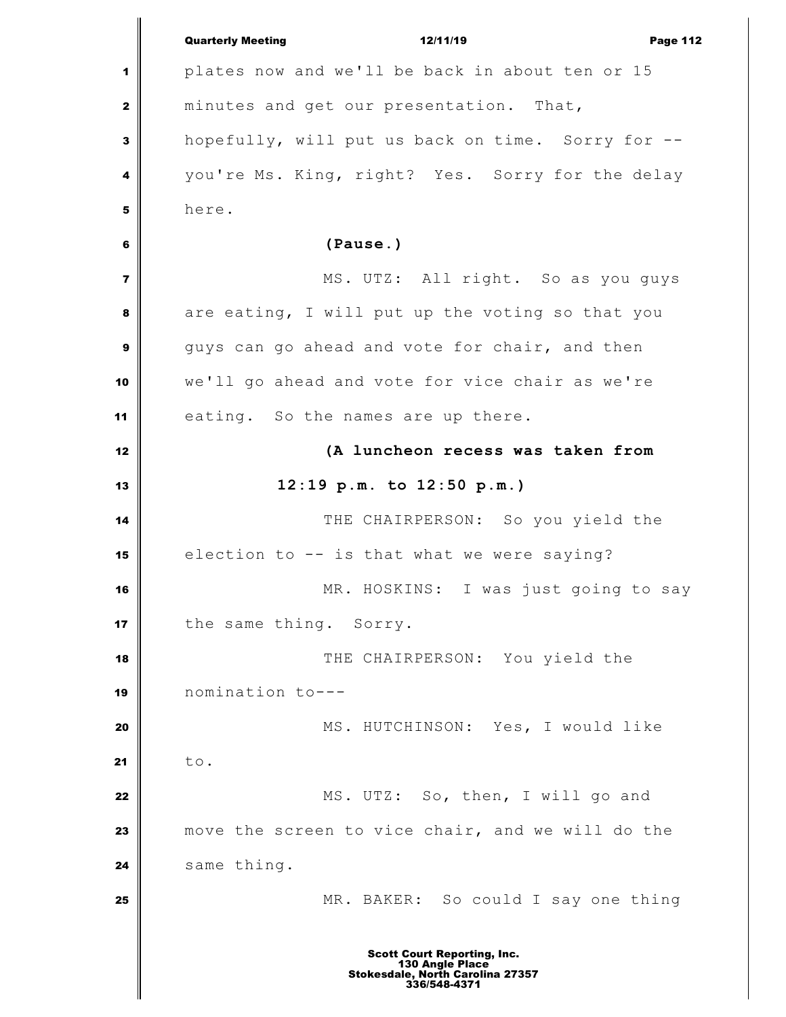|                         | <b>Quarterly Meeting</b><br>12/11/19<br><b>Page 112</b>                                                   |
|-------------------------|-----------------------------------------------------------------------------------------------------------|
| 1                       | plates now and we'll be back in about ten or 15                                                           |
| $\mathbf{2}$            | minutes and get our presentation. That,                                                                   |
| 3                       | hopefully, will put us back on time. Sorry for --                                                         |
| 4                       | you're Ms. King, right? Yes. Sorry for the delay                                                          |
| 5                       | here.                                                                                                     |
| 6                       | (Pause.)                                                                                                  |
| $\overline{\mathbf{z}}$ | MS. UTZ: All right. So as you guys                                                                        |
| 8                       | are eating, I will put up the voting so that you                                                          |
| 9                       | guys can go ahead and vote for chair, and then                                                            |
| 10                      | we'll go ahead and vote for vice chair as we're                                                           |
| 11                      | eating. So the names are up there.                                                                        |
| 12                      | (A luncheon recess was taken from                                                                         |
| 13                      | $12:19$ p.m. to $12:50$ p.m.)                                                                             |
| 14                      | THE CHAIRPERSON: So you yield the                                                                         |
| 15                      | election to -- is that what we were saying?                                                               |
| 16                      | MR. HOSKINS: I was just going to say                                                                      |
| 17                      | the same thing. Sorry.                                                                                    |
| 18                      | THE CHAIRPERSON: You yield the                                                                            |
| 19                      | nomination to---                                                                                          |
| 20                      | MS. HUTCHINSON: Yes, I would like                                                                         |
| 21                      | to.                                                                                                       |
| 22                      | MS. UTZ: So, then, I will go and                                                                          |
| 23                      | move the screen to vice chair, and we will do the                                                         |
| 24                      | same thing.                                                                                               |
| 25                      | MR. BAKER: So could I say one thing                                                                       |
|                         |                                                                                                           |
|                         | <b>Scott Court Reporting, Inc.</b><br>130 Angle Place<br>Stokesdale, North Carolina 27357<br>336/548-4371 |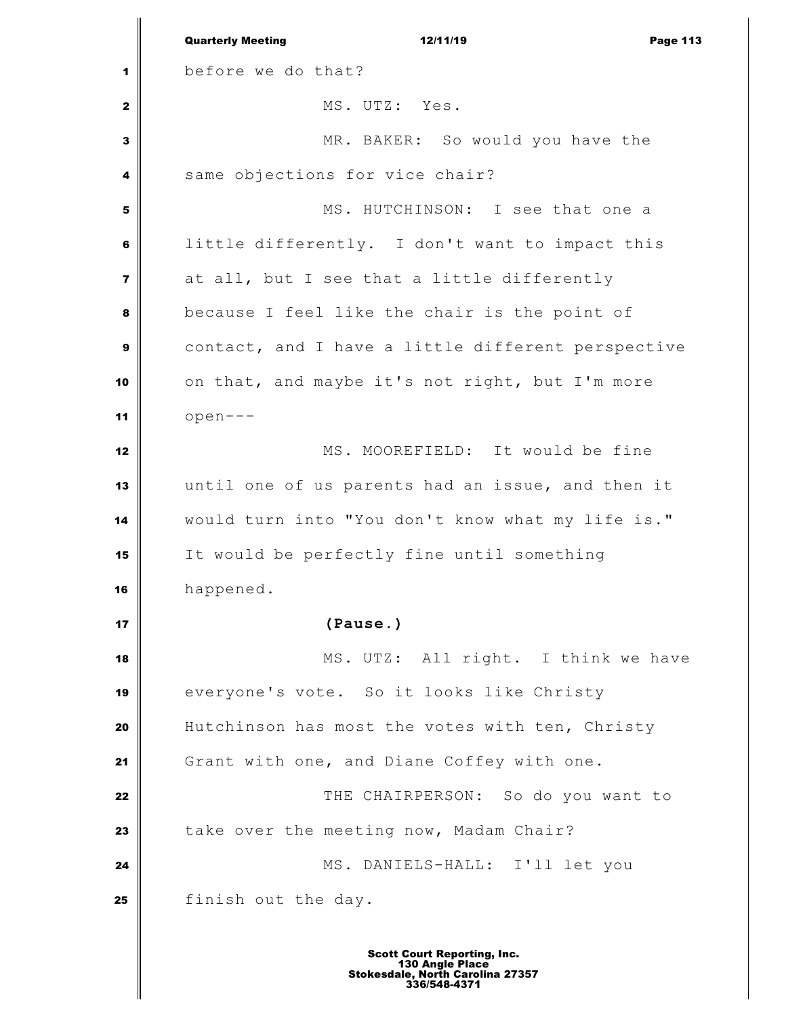|                         | <b>Quarterly Meeting</b><br>12/11/19<br><b>Page 113</b>                                                   |
|-------------------------|-----------------------------------------------------------------------------------------------------------|
| 1                       | before we do that?                                                                                        |
| $\mathbf{2}$            | MS. UTZ: Yes.                                                                                             |
| 3                       | MR. BAKER: So would you have the                                                                          |
| 4                       | same objections for vice chair?                                                                           |
| 5                       | MS. HUTCHINSON: I see that one a                                                                          |
| 6                       | little differently. I don't want to impact this                                                           |
| $\overline{\mathbf{z}}$ | at all, but I see that a little differently                                                               |
| 8                       | because I feel like the chair is the point of                                                             |
| $\boldsymbol{9}$        | contact, and I have a little different perspective                                                        |
| 10                      | on that, and maybe it's not right, but I'm more                                                           |
| 11                      | $open--$                                                                                                  |
| 12                      | MS. MOOREFIELD: It would be fine                                                                          |
| 13                      | until one of us parents had an issue, and then it                                                         |
| 14                      | would turn into "You don't know what my life is."                                                         |
| 15                      | It would be perfectly fine until something                                                                |
| 16                      | happened.                                                                                                 |
| 17                      | (Pause.)                                                                                                  |
| 18                      | MS. UTZ: All right. I think we have                                                                       |
| 19                      | everyone's vote. So it looks like Christy                                                                 |
| 20                      | Hutchinson has most the votes with ten, Christy                                                           |
| 21                      | Grant with one, and Diane Coffey with one.                                                                |
| 22                      | THE CHAIRPERSON: So do you want to                                                                        |
| 23                      | take over the meeting now, Madam Chair?                                                                   |
| 24                      | MS. DANIELS-HALL: I'll let you                                                                            |
| 25                      | finish out the day.                                                                                       |
|                         | <b>Scott Court Reporting, Inc.</b><br>130 Angle Place<br>Stokesdale, North Carolina 27357<br>336/548-4371 |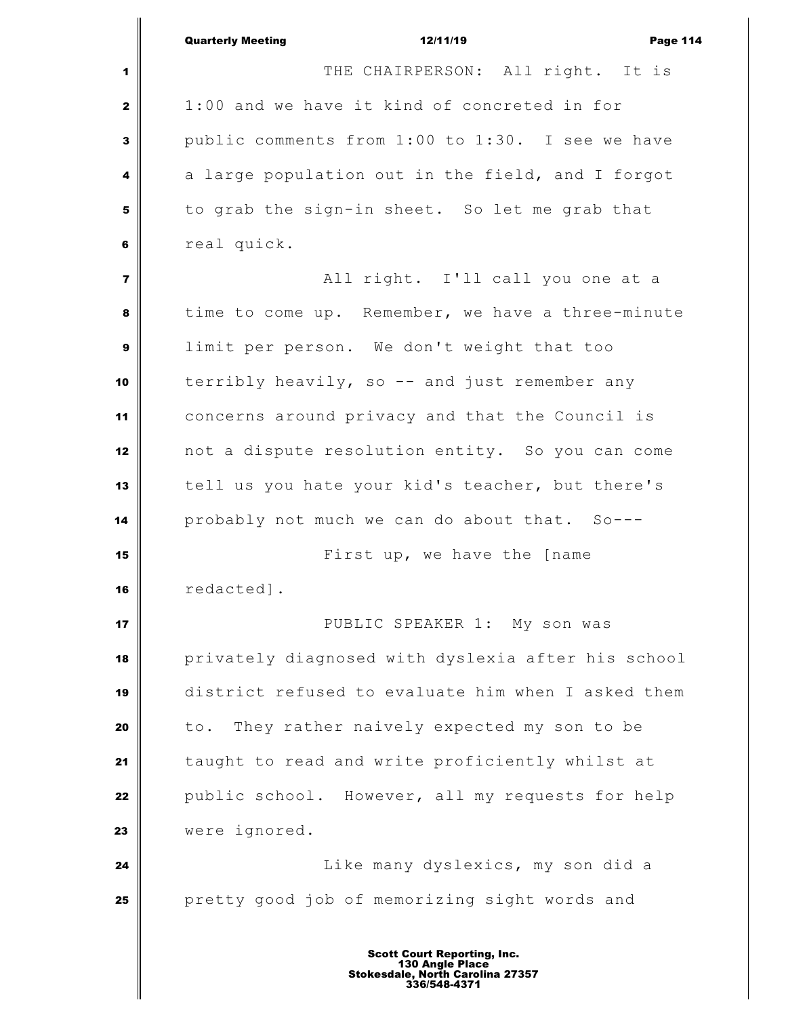|                         | <b>Quarterly Meeting</b><br>12/11/19<br><b>Page 114</b> |
|-------------------------|---------------------------------------------------------|
| 1                       | THE CHAIRPERSON: All right. It is                       |
| $\mathbf{2}$            | 1:00 and we have it kind of concreted in for            |
| 3                       | public comments from 1:00 to 1:30. I see we have        |
| 4                       | a large population out in the field, and I forgot       |
| 5                       | to grab the sign-in sheet. So let me grab that          |
| 6                       | real quick.                                             |
| $\overline{\mathbf{z}}$ | All right. I'll call you one at a                       |
| 8                       | time to come up. Remember, we have a three-minute       |
| 9                       | limit per person. We don't weight that too              |
| 10                      | terribly heavily, so -- and just remember any           |
| 11                      | concerns around privacy and that the Council is         |
| 12                      | not a dispute resolution entity. So you can come        |
| 13                      | tell us you hate your kid's teacher, but there's        |
| 14                      | probably not much we can do about that. So---           |
| 15                      | First up, we have the [name                             |
| 16                      | redacted].                                              |
| 17                      | PUBLIC SPEAKER 1: My son was                            |
| 18                      | privately diagnosed with dyslexia after his school      |
| 19                      | district refused to evaluate him when I asked them      |
| 20                      | They rather naively expected my son to be<br>to.        |
| 21                      | taught to read and write proficiently whilst at         |
| 22                      | public school. However, all my requests for help        |
| 23                      | were ignored.                                           |
| 24                      | Like many dyslexics, my son did a                       |
| 25                      | pretty good job of memorizing sight words and           |
|                         |                                                         |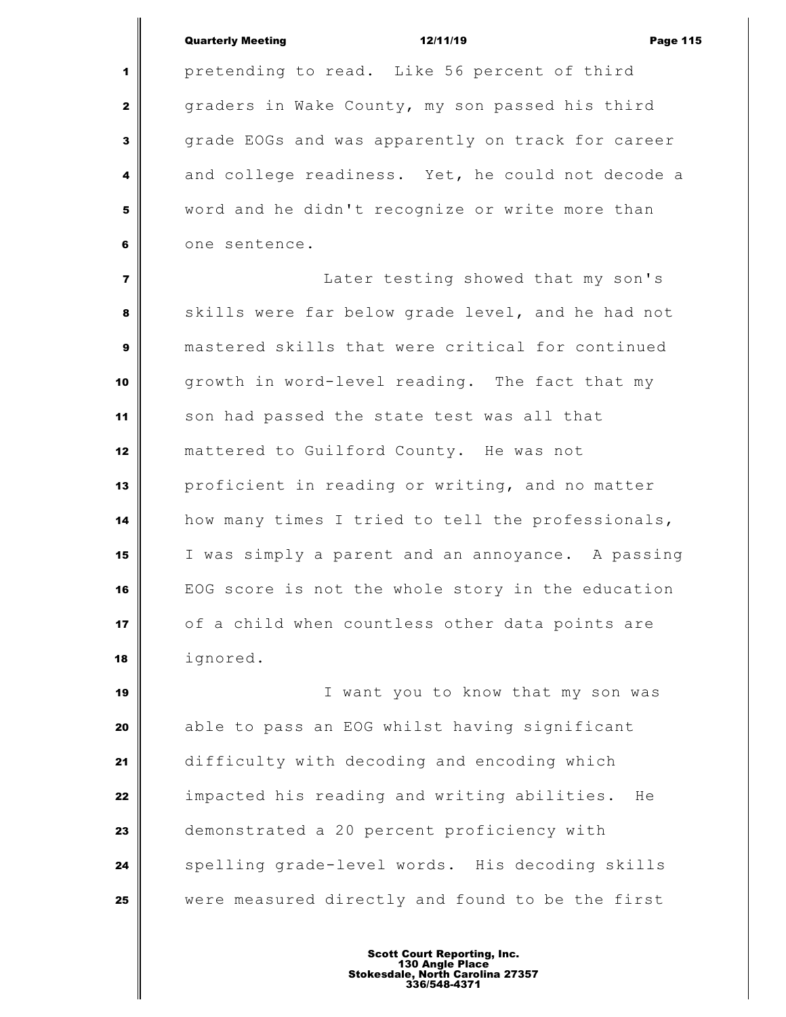Quarterly Meeting **12/11/19** Page 115 pretending to read. Like 56 percent of third graders in Wake County, my son passed his third grade EOGs and was apparently on track for career and college readiness. Yet, he could not decode a word and he didn't recognize or write more than one sentence. Later testing showed that my son's skills were far below grade level, and he had not mastered skills that were critical for continued growth in word-level reading. The fact that my son had passed the state test was all that mattered to Guilford County. He was not proficient in reading or writing, and no matter how many times I tried to tell the professionals, I was simply a parent and an annoyance. A passing EOG score is not the whole story in the education of a child when countless other data points are ignored. I want you to know that my son was able to pass an EOG whilst having significant difficulty with decoding and encoding which impacted his reading and writing abilities. He

 demonstrated a 20 percent proficiency with spelling grade-level words. His decoding skills were measured directly and found to be the first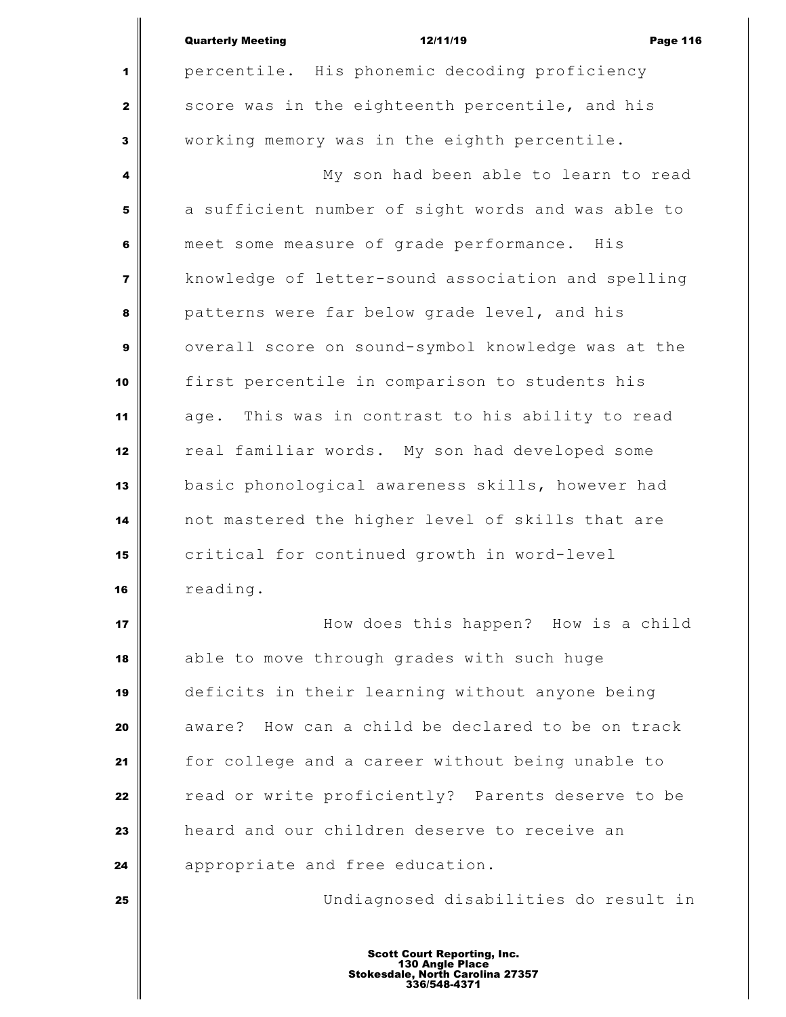|                | <b>Quarterly Meeting</b><br>12/11/19<br><b>Page 116</b> |
|----------------|---------------------------------------------------------|
| 1              | percentile. His phonemic decoding proficiency           |
| $\mathbf{2}$   | score was in the eighteenth percentile, and his         |
| 3              | working memory was in the eighth percentile.            |
| 4              | My son had been able to learn to read                   |
| 5              | a sufficient number of sight words and was able to      |
| 6              | meet some measure of grade performance. His             |
| $\overline{7}$ | knowledge of letter-sound association and spelling      |
| 8              | patterns were far below grade level, and his            |
| 9              | overall score on sound-symbol knowledge was at the      |
| 10             | first percentile in comparison to students his          |
| 11             | This was in contrast to his ability to read<br>age.     |
| 12             | real familiar words. My son had developed some          |
| 13             | basic phonological awareness skills, however had        |
| 14             | not mastered the higher level of skills that are        |
| 15             | critical for continued growth in word-level             |
| 16             | reading.                                                |
| 17             | How does this happen? How is a child                    |
| 18             | able to move through grades with such huge              |
| 19             | deficits in their learning without anyone being         |
| 20             | aware? How can a child be declared to be on track       |
| 21             | for college and a career without being unable to        |
| 22             | read or write proficiently? Parents deserve to be       |
| 23             | heard and our children deserve to receive an            |
| 24             | appropriate and free education.                         |
| 25             | Undiagnosed disabilities do result in                   |
|                |                                                         |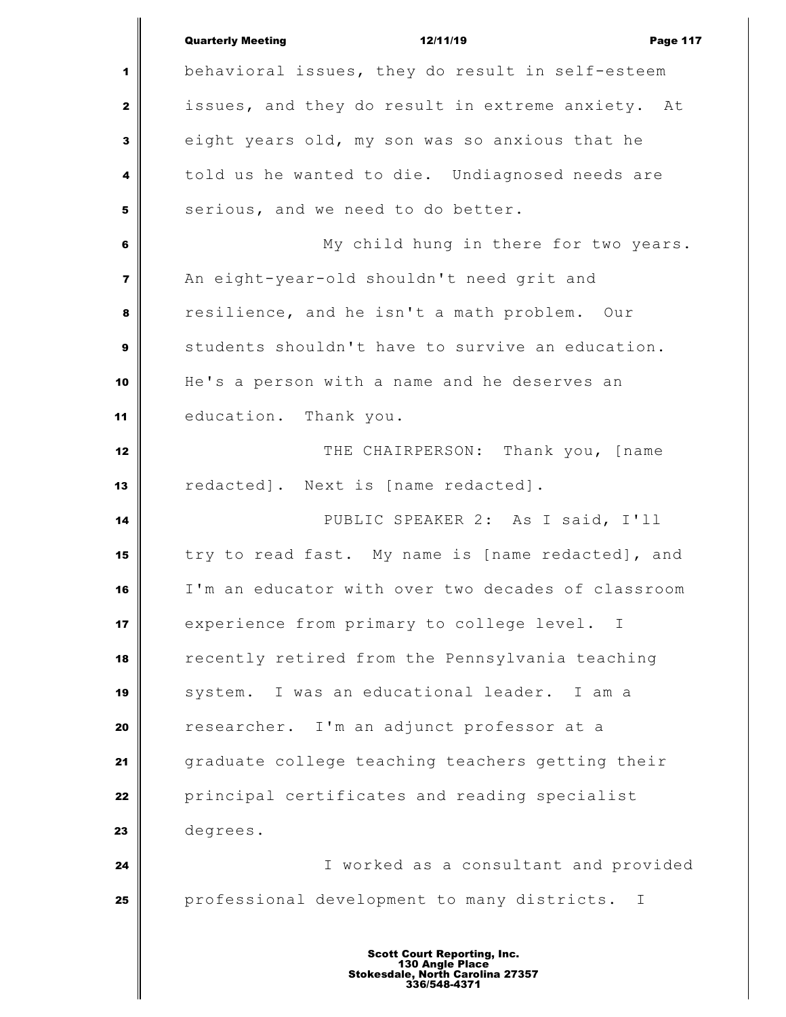|                         | <b>Quarterly Meeting</b><br>12/11/19<br><b>Page 117</b>     |
|-------------------------|-------------------------------------------------------------|
| 1                       | behavioral issues, they do result in self-esteem            |
| $\mathbf{2}$            | issues, and they do result in extreme anxiety. At           |
| 3                       | eight years old, my son was so anxious that he              |
| 4                       | told us he wanted to die. Undiagnosed needs are             |
| 5                       | serious, and we need to do better.                          |
| 6                       | My child hung in there for two years.                       |
| $\overline{\mathbf{z}}$ | An eight-year-old shouldn't need grit and                   |
| 8                       | resilience, and he isn't a math problem. Our                |
| $\boldsymbol{9}$        | students shouldn't have to survive an education.            |
| 10                      | He's a person with a name and he deserves an                |
| 11                      | education. Thank you.                                       |
| 12                      | THE CHAIRPERSON: Thank you, [name                           |
| 13                      | redacted]. Next is [name redacted].                         |
| 14                      | PUBLIC SPEAKER 2: As I said, I'll                           |
| 15                      | try to read fast. My name is [name redacted], and           |
| 16                      | I'm an educator with over two decades of classroom          |
| 17                      | experience from primary to college level.<br>$\mathbf{I}$   |
| 18                      | recently retired from the Pennsylvania teaching             |
| 19                      | system. I was an educational leader. I am a                 |
| 20                      | researcher. I'm an adjunct professor at a                   |
| 21                      | graduate college teaching teachers getting their            |
| 22                      | principal certificates and reading specialist               |
| 23                      | degrees.                                                    |
| 24                      | I worked as a consultant and provided                       |
| 25                      | professional development to many districts.<br>$\mathbb{I}$ |
|                         |                                                             |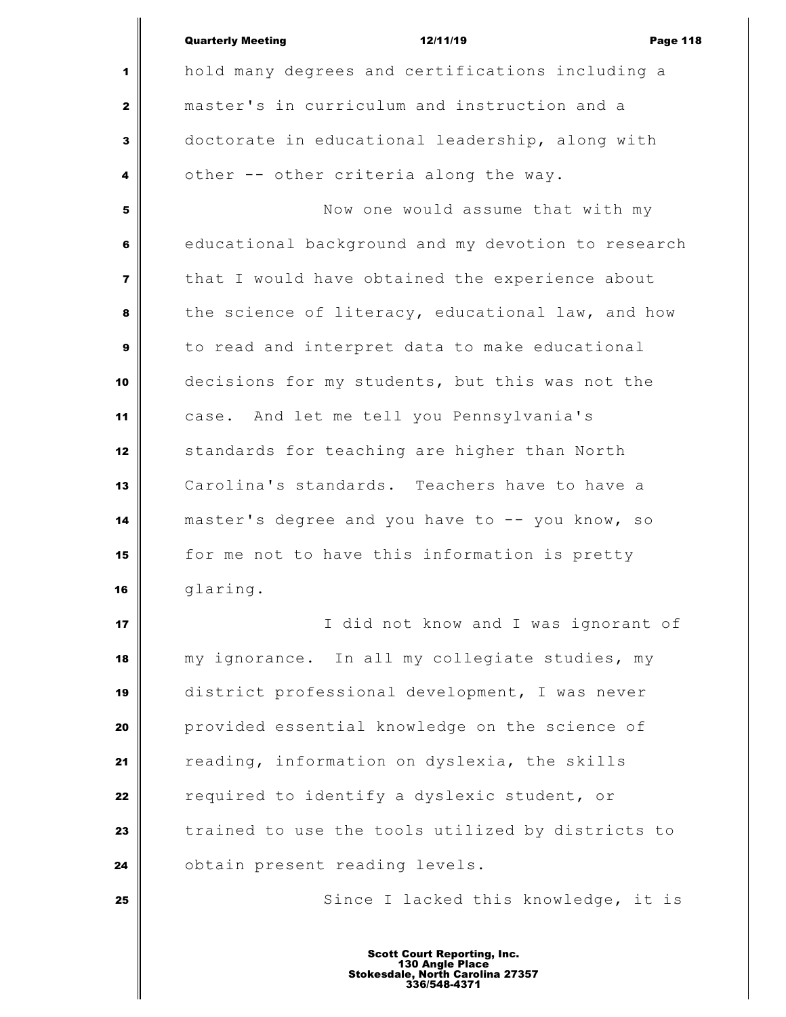|                | <b>Quarterly Meeting</b><br>12/11/19<br><b>Page 118</b> |
|----------------|---------------------------------------------------------|
| 1              | hold many degrees and certifications including a        |
| $\mathbf{2}$   | master's in curriculum and instruction and a            |
| 3              | doctorate in educational leadership, along with         |
| 4              | other -- other criteria along the way.                  |
| 5              | Now one would assume that with my                       |
| 6              | educational background and my devotion to research      |
| $\overline{7}$ | that I would have obtained the experience about         |
| 8              | the science of literacy, educational law, and how       |
| 9              | to read and interpret data to make educational          |
| 10             | decisions for my students, but this was not the         |
| 11             | case. And let me tell you Pennsylvania's                |
| 12             | standards for teaching are higher than North            |
| 13             | Carolina's standards. Teachers have to have a           |
| 14             | master's degree and you have to -- you know, so         |
|                |                                                         |
| 15             | for me not to have this information is pretty           |
| 16             | glaring.                                                |
| 17             | I did not know and I was ignorant of                    |
| 18             | my ignorance. In all my collegiate studies, my          |
| 19             | district professional development, I was never          |
| 20             | provided essential knowledge on the science of          |
| 21             | reading, information on dyslexia, the skills            |
| 22             | required to identify a dyslexic student, or             |
| 23             | trained to use the tools utilized by districts to       |
| 24             | obtain present reading levels.                          |
| 25             | Since I lacked this knowledge, it is                    |
|                |                                                         |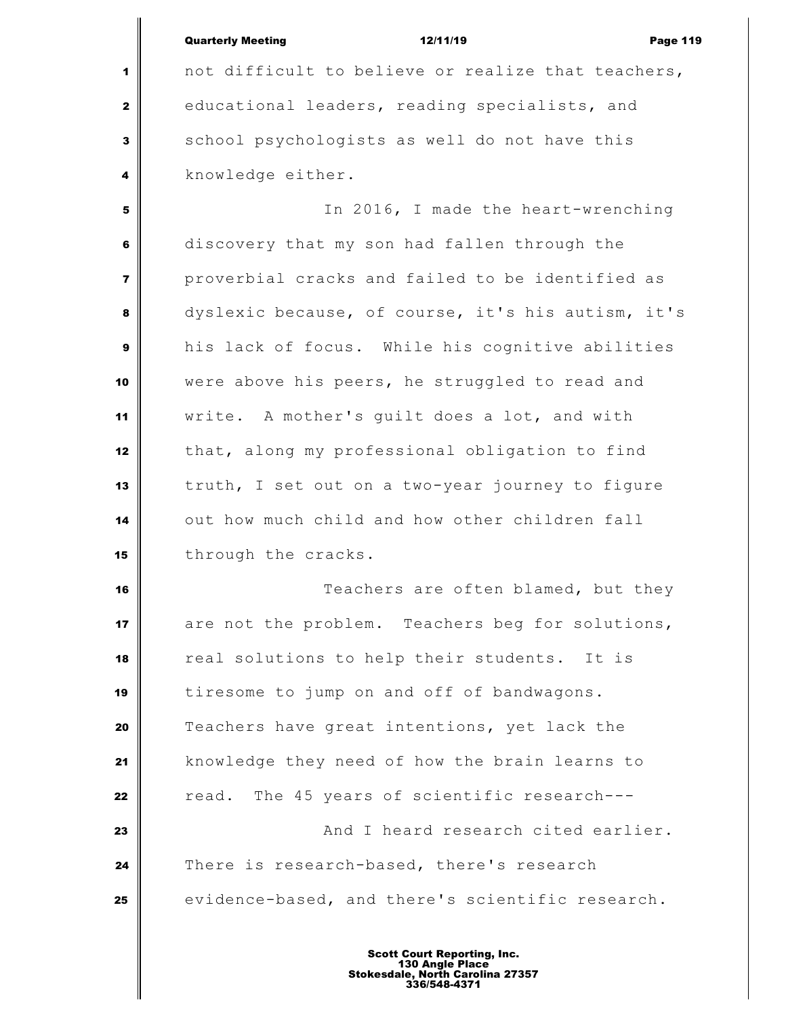|                | <b>Quarterly Meeting</b><br>12/11/19<br><b>Page 119</b> |
|----------------|---------------------------------------------------------|
| 1              | not difficult to believe or realize that teachers,      |
| $\mathbf{2}$   | educational leaders, reading specialists, and           |
| 3              | school psychologists as well do not have this           |
| 4              | knowledge either.                                       |
| 5              | In 2016, I made the heart-wrenching                     |
| 6              | discovery that my son had fallen through the            |
| $\overline{7}$ | proverbial cracks and failed to be identified as        |
| 8              | dyslexic because, of course, it's his autism, it's      |
| 9              | his lack of focus. While his cognitive abilities        |
| 10             | were above his peers, he struggled to read and          |
| 11             | write. A mother's guilt does a lot, and with            |
| 12             | that, along my professional obligation to find          |
| 13             | truth, I set out on a two-year journey to figure        |
| 14             | out how much child and how other children fall          |
| 15             | through the cracks.                                     |
| 16             | Teachers are often blamed, but they                     |
| 17             | are not the problem. Teachers beg for solutions,        |
| 18             | real solutions to help their students. It is            |
| 19             | tiresome to jump on and off of bandwagons.              |
| 20             | Teachers have great intentions, yet lack the            |
| 21             | knowledge they need of how the brain learns to          |
| 22             | The 45 years of scientific research---<br>read.         |
| 23             | And I heard research cited earlier.                     |
| 24             | There is research-based, there's research               |
| 25             | evidence-based, and there's scientific research.        |
|                |                                                         |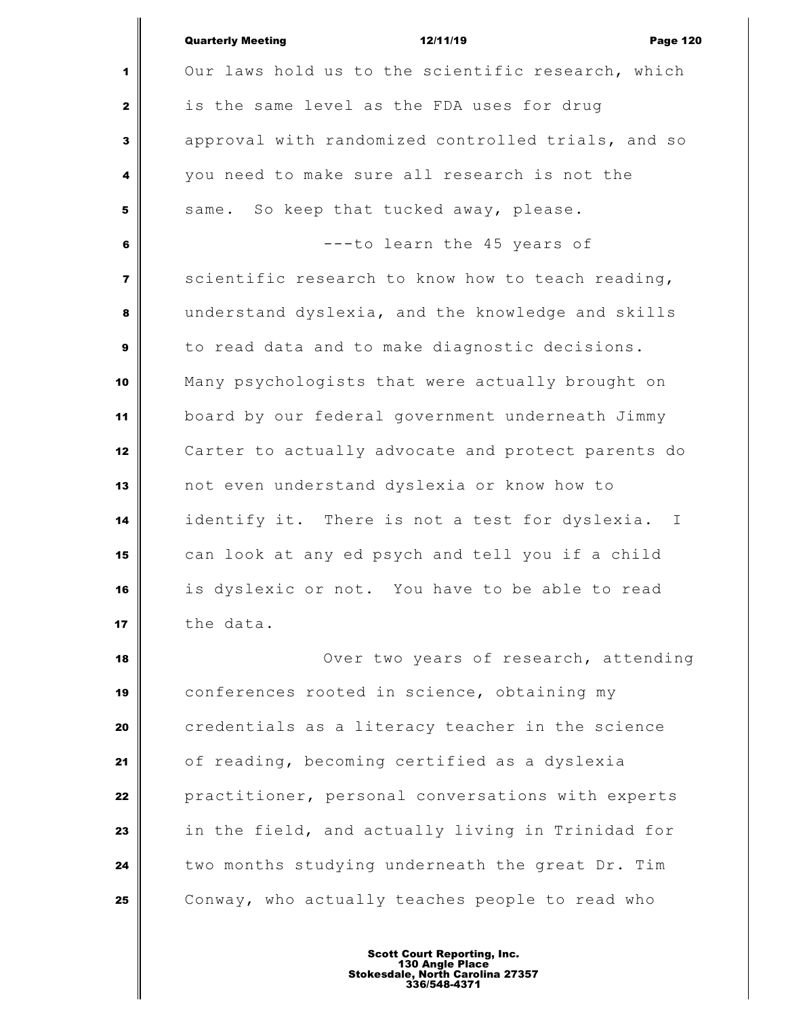|                         | <b>Quarterly Meeting</b><br>12/11/19<br><b>Page 120</b> |
|-------------------------|---------------------------------------------------------|
| 1                       | Our laws hold us to the scientific research, which      |
| $\mathbf{z}$            | is the same level as the FDA uses for drug              |
| 3                       | approval with randomized controlled trials, and so      |
| 4                       | you need to make sure all research is not the           |
| 5                       | same. So keep that tucked away, please.                 |
| 6                       | ---to learn the 45 years of                             |
| $\overline{\mathbf{z}}$ | scientific research to know how to teach reading,       |
| 8                       | understand dyslexia, and the knowledge and skills       |
| 9                       | to read data and to make diagnostic decisions.          |
| 10                      | Many psychologists that were actually brought on        |
| 11                      | board by our federal government underneath Jimmy        |
| 12                      | Carter to actually advocate and protect parents do      |
| 13                      | not even understand dyslexia or know how to             |
| 14                      | identify it. There is not a test for dyslexia. I        |
| 15                      | can look at any ed psych and tell you if a child        |
| 16                      | is dyslexic or not. You have to be able to read         |
| 17                      | the data.                                               |
| 18                      | Over two years of research, attending                   |
| 19                      | conferences rooted in science, obtaining my             |
| 20                      | credentials as a literacy teacher in the science        |
| 21                      | of reading, becoming certified as a dyslexia            |
| 22                      | practitioner, personal conversations with experts       |
| 23                      | in the field, and actually living in Trinidad for       |
| 24                      | two months studying underneath the great Dr. Tim        |
| 25                      | Conway, who actually teaches people to read who         |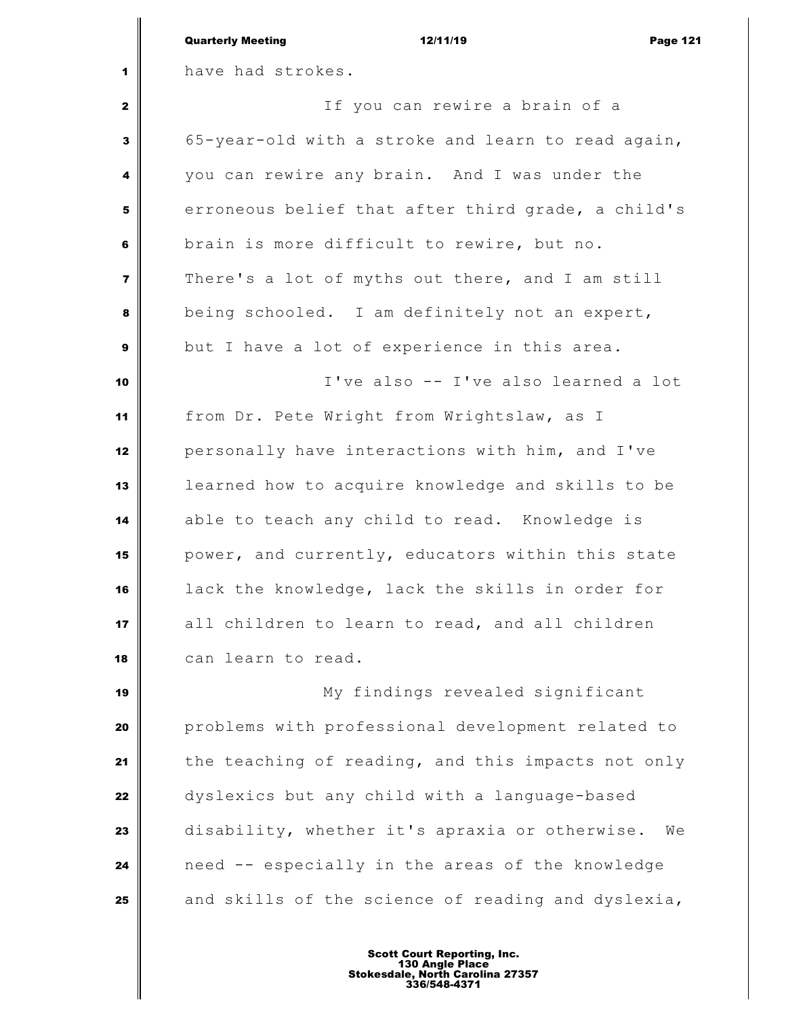|                         | <b>Quarterly Meeting</b><br>12/11/19<br><b>Page 121</b> |
|-------------------------|---------------------------------------------------------|
| 1                       | have had strokes.                                       |
| $\mathbf{2}$            | If you can rewire a brain of a                          |
| 3                       | 65-year-old with a stroke and learn to read again,      |
| 4                       | you can rewire any brain. And I was under the           |
| 5                       | erroneous belief that after third grade, a child's      |
| 6                       | brain is more difficult to rewire, but no.              |
| $\overline{\mathbf{z}}$ | There's a lot of myths out there, and I am still        |
| 8                       | being schooled. I am definitely not an expert,          |
| $\mathbf{9}$            | but I have a lot of experience in this area.            |
| 10                      | I've also -- I've also learned a lot                    |
| 11                      | from Dr. Pete Wright from Wrightslaw, as I              |
| 12                      | personally have interactions with him, and I've         |
| 13                      | learned how to acquire knowledge and skills to be       |
| 14                      | able to teach any child to read. Knowledge is           |
| 15                      | power, and currently, educators within this state       |
| 16                      | lack the knowledge, lack the skills in order for        |
| 17                      | all children to learn to read, and all children         |
| 18                      | can learn to read.                                      |
| 19                      | My findings revealed significant                        |
| 20                      | problems with professional development related to       |
| 21                      | the teaching of reading, and this impacts not only      |
| 22                      | dyslexics but any child with a language-based           |
| 23                      | disability, whether it's apraxia or otherwise.<br>We    |
| 24                      | need -- especially in the areas of the knowledge        |
| 25                      | and skills of the science of reading and dyslexia,      |
|                         |                                                         |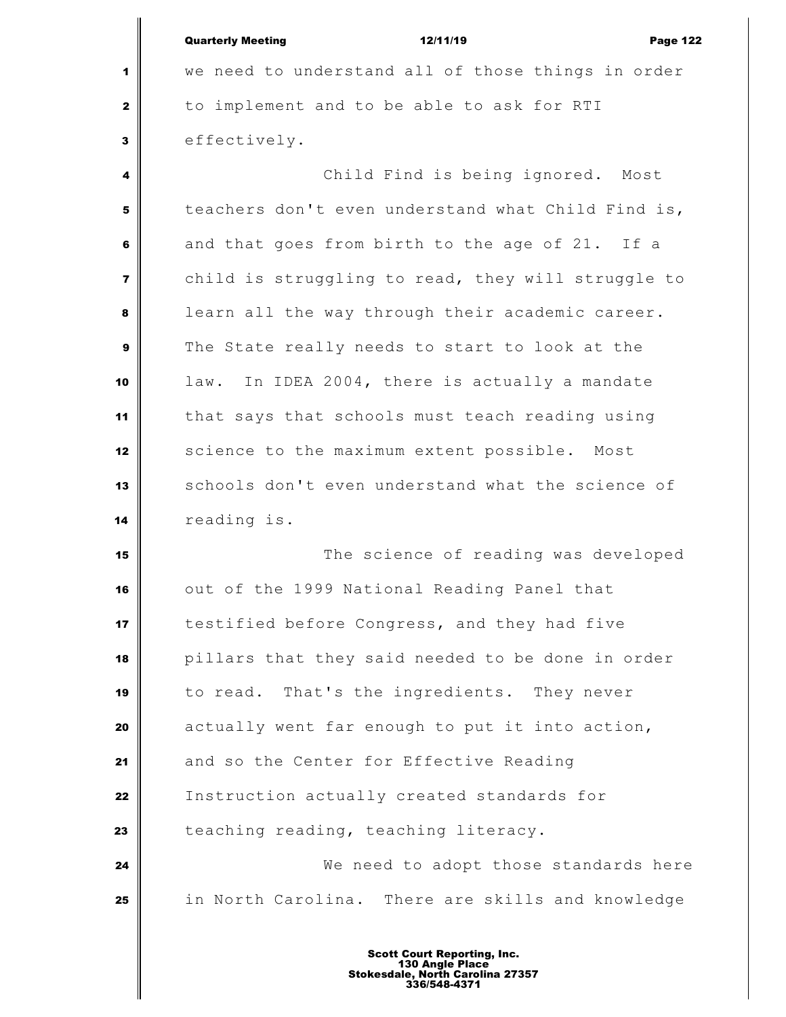|                | <b>Quarterly Meeting</b><br>12/11/19<br><b>Page 122</b> |
|----------------|---------------------------------------------------------|
| 1              | we need to understand all of those things in order      |
| $\mathbf{2}$   | to implement and to be able to ask for RTI              |
| 3              | effectively.                                            |
| 4              | Child Find is being ignored. Most                       |
| 5              | teachers don't even understand what Child Find is,      |
| 6              | and that goes from birth to the age of 21. If a         |
| $\overline{7}$ | child is struggling to read, they will struggle to      |
| 8              | learn all the way through their academic career.        |
| 9              | The State really needs to start to look at the          |
| 10             | law. In IDEA 2004, there is actually a mandate          |
| 11             | that says that schools must teach reading using         |
| 12             | science to the maximum extent possible. Most            |
| 13             | schools don't even understand what the science of       |
| 14             | reading is.                                             |
| 15             | The science of reading was developed                    |
| 16             | out of the 1999 National Reading Panel that             |
| 17             | testified before Congress, and they had five            |
| 18             | pillars that they said needed to be done in order       |
| 19             | to read. That's the ingredients. They never             |
| 20             | actually went far enough to put it into action,         |
| 21             | and so the Center for Effective Reading                 |
| 22             | Instruction actually created standards for              |
| 23             | teaching reading, teaching literacy.                    |
| 24             | We need to adopt those standards here                   |
| 25             | in North Carolina. There are skills and knowledge       |
|                |                                                         |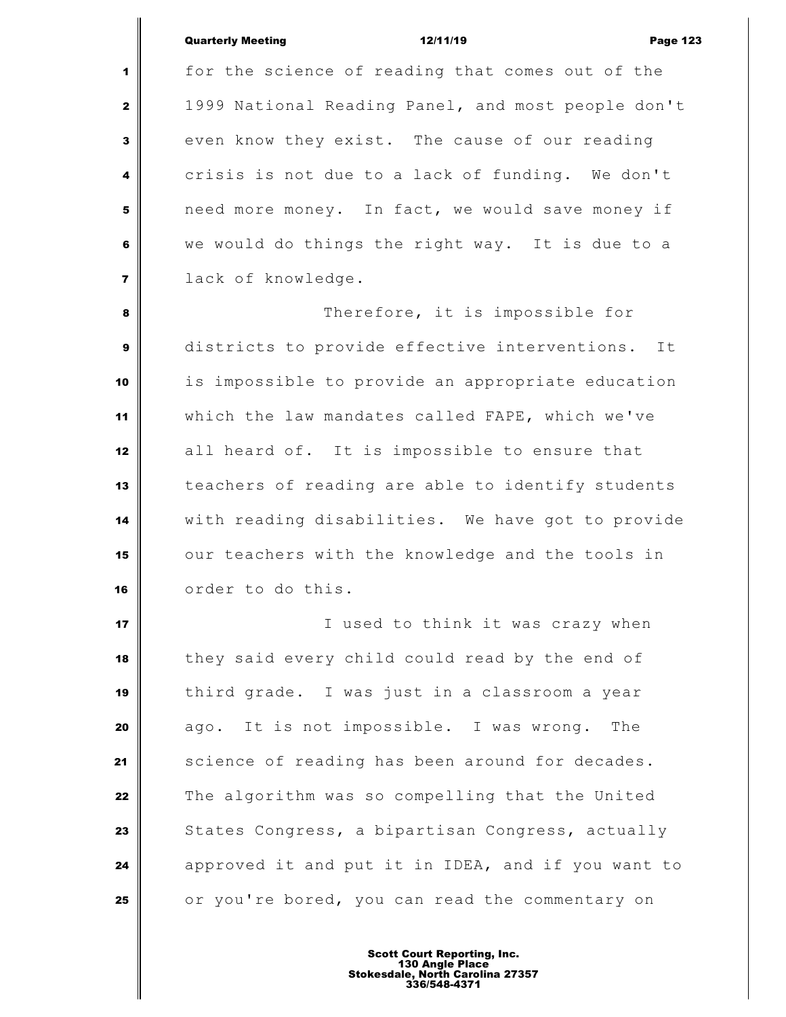## Quarterly Meeting **12/11/19 Page 123**

 for the science of reading that comes out of the 1999 National Reading Panel, and most people don't even know they exist. The cause of our reading crisis is not due to a lack of funding. We don't need more money. In fact, we would save money if we would do things the right way. It is due to a lack of knowledge.

 Therefore, it is impossible for districts to provide effective interventions. It is impossible to provide an appropriate education which the law mandates called FAPE, which we've all heard of. It is impossible to ensure that teachers of reading are able to identify students with reading disabilities. We have got to provide our teachers with the knowledge and the tools in order to do this.

 I used to think it was crazy when they said every child could read by the end of third grade. I was just in a classroom a year ago. It is not impossible. I was wrong. The 21 Science of reading has been around for decades. The algorithm was so compelling that the United States Congress, a bipartisan Congress, actually approved it and put it in IDEA, and if you want to or you're bored, you can read the commentary on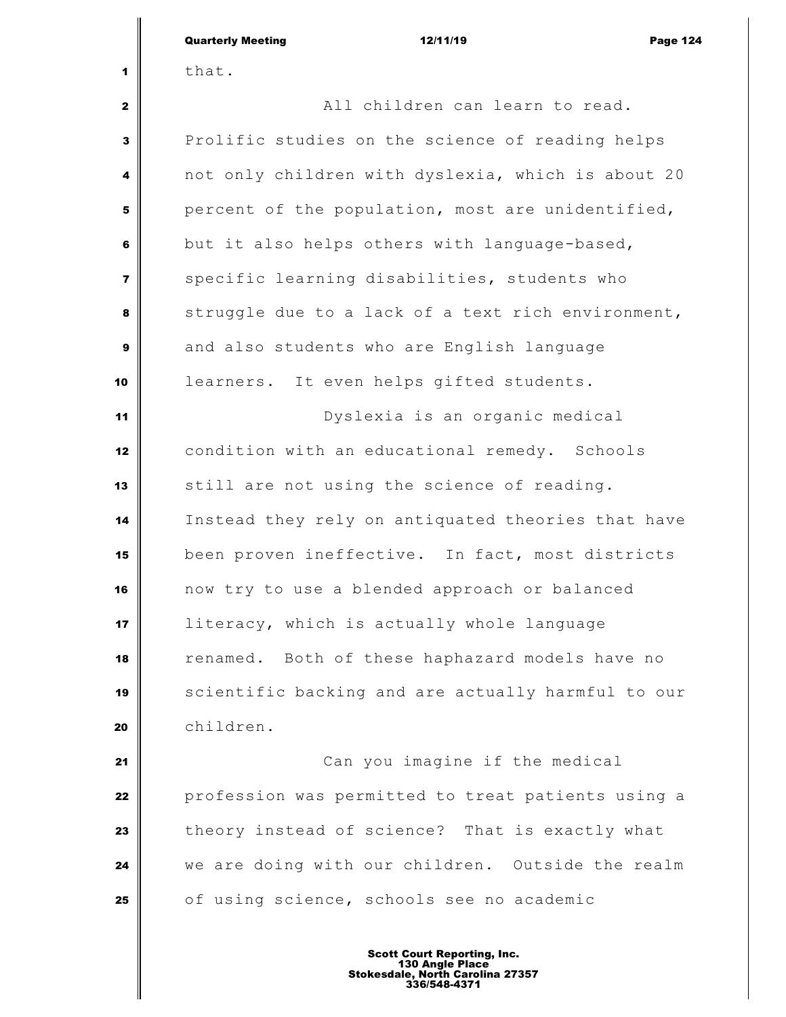|                | <b>Quarterly Meeting</b><br>12/11/19<br><b>Page 124</b> |
|----------------|---------------------------------------------------------|
| 1              | that.                                                   |
| $\mathbf{2}$   | All children can learn to read.                         |
| 3              | Prolific studies on the science of reading helps        |
| 4              | not only children with dyslexia, which is about 20      |
| 5              | percent of the population, most are unidentified,       |
| 6              | but it also helps others with language-based,           |
| $\overline{7}$ | specific learning disabilities, students who            |
| 8              | struggle due to a lack of a text rich environment,      |
| 9              | and also students who are English language              |
| 10             | learners. It even helps gifted students.                |
| 11             | Dyslexia is an organic medical                          |
| 12             | condition with an educational remedy. Schools           |
| 13             | still are not using the science of reading.             |
| 14             | Instead they rely on antiquated theories that have      |
| 15             | been proven ineffective. In fact, most districts        |
| 16             | now try to use a blended approach or balanced           |
| 17             | literacy, which is actually whole language              |
| 18             | renamed. Both of these haphazard models have no         |
| 19             | scientific backing and are actually harmful to our      |
| 20             | children.                                               |
| 21             | Can you imagine if the medical                          |
| 22             | profession was permitted to treat patients using a      |
| 23             | theory instead of science? That is exactly what         |
| 24             | we are doing with our children. Outside the realm       |
| 25             | of using science, schools see no academic               |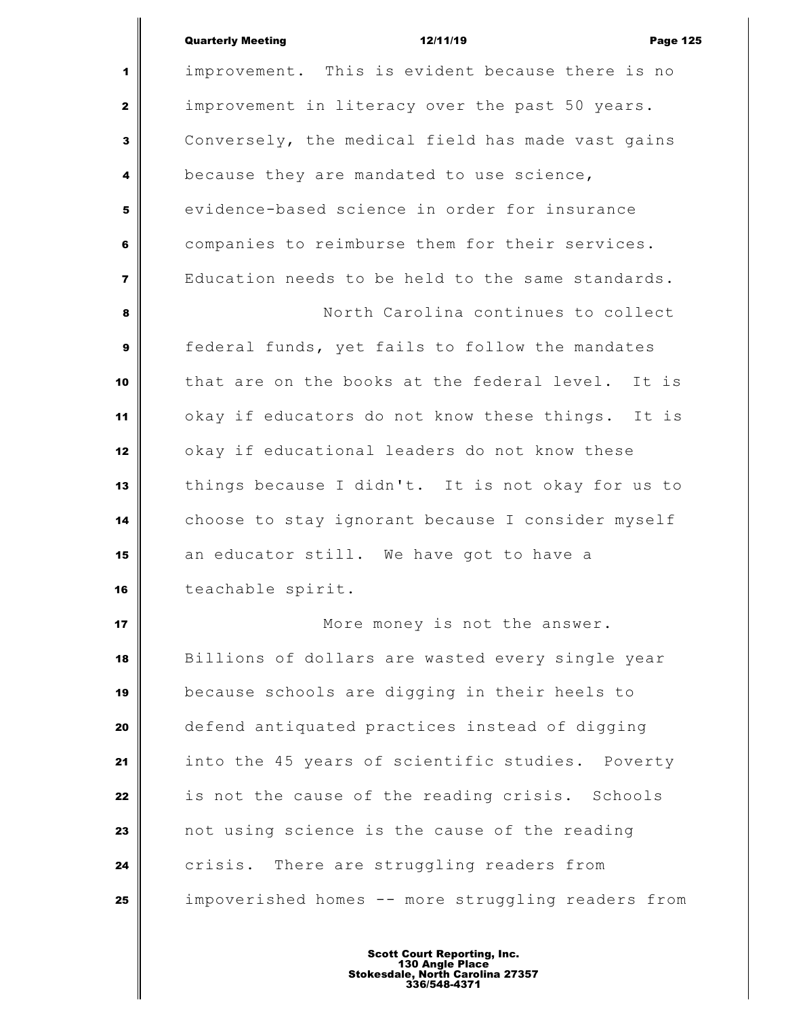|                         | <b>Quarterly Meeting</b><br>12/11/19<br><b>Page 125</b> |
|-------------------------|---------------------------------------------------------|
| 1                       | improvement. This is evident because there is no        |
| $\mathbf{2}$            | improvement in literacy over the past 50 years.         |
| 3                       | Conversely, the medical field has made vast gains       |
| 4                       | because they are mandated to use science,               |
| 5                       | evidence-based science in order for insurance           |
| 6                       | companies to reimburse them for their services.         |
| $\overline{\mathbf{z}}$ | Education needs to be held to the same standards.       |
| 8                       | North Carolina continues to collect                     |
| 9                       | federal funds, yet fails to follow the mandates         |
| 10                      | that are on the books at the federal level.<br>It is    |
| 11                      | okay if educators do not know these things. It is       |
| 12                      | okay if educational leaders do not know these           |
| 13                      | things because I didn't. It is not okay for us to       |
| 14                      | choose to stay ignorant because I consider myself       |
| 15                      | an educator still. We have got to have a                |
| 16                      | teachable spirit.                                       |
| 17                      | More money is not the answer.                           |
| 18                      | Billions of dollars are wasted every single year        |
| 19                      | because schools are digging in their heels to           |
| 20                      | defend antiquated practices instead of digging          |
| 21                      | into the 45 years of scientific studies. Poverty        |
| 22                      | is not the cause of the reading crisis. Schools         |
| 23                      | not using science is the cause of the reading           |
| 24                      | crisis. There are struggling readers from               |
| 25                      | impoverished homes -- more struggling readers from      |
|                         |                                                         |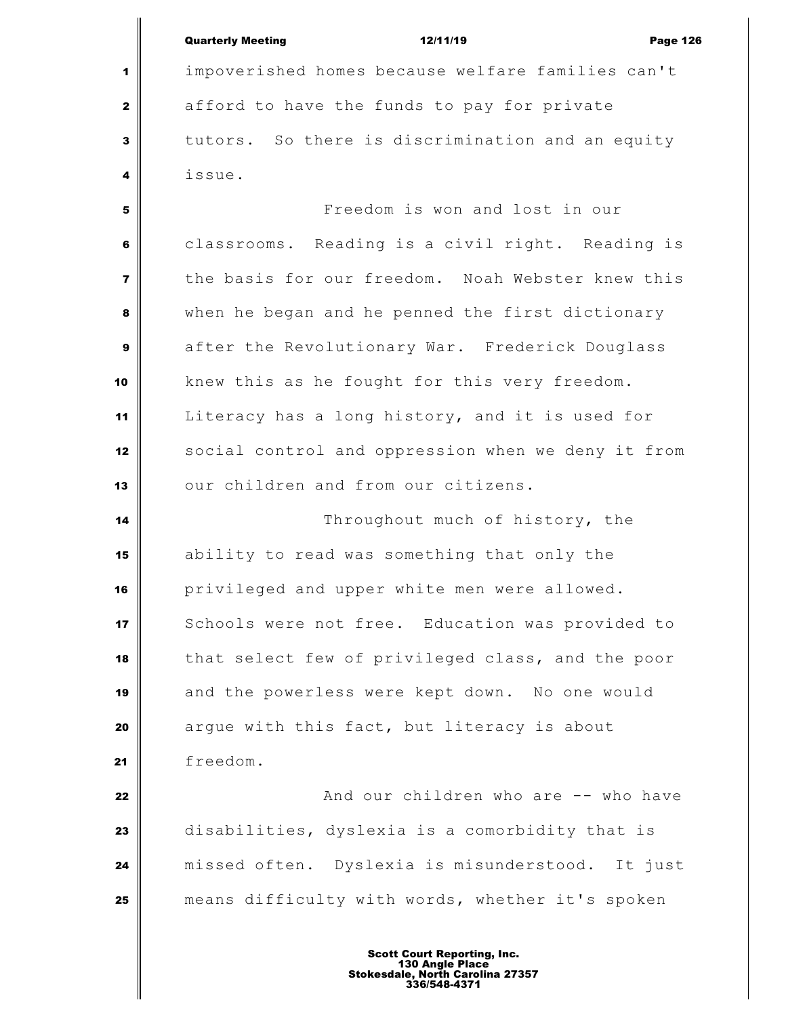|              | <b>Quarterly Meeting</b>                          | 12/11/19 | <b>Page 126</b> |
|--------------|---------------------------------------------------|----------|-----------------|
| $\mathbf{1}$ | impoverished homes because welfare families can't |          |                 |
| 2            | afford to have the funds to pay for private       |          |                 |
| 3            | tutors. So there is discrimination and an equity  |          |                 |

issue.

 Freedom is won and lost in our classrooms. Reading is a civil right. Reading is the basis for our freedom. Noah Webster knew this when he began and he penned the first dictionary after the Revolutionary War. Frederick Douglass knew this as he fought for this very freedom. Literacy has a long history, and it is used for social control and oppression when we deny it from 13 our children and from our citizens.

 Throughout much of history, the ability to read was something that only the privileged and upper white men were allowed. Schools were not free. Education was provided to that select few of privileged class, and the poor and the powerless were kept down. No one would argue with this fact, but literacy is about freedom.

  $\parallel$  **22**  $\parallel$  **22**  $\parallel$  **22**  $\parallel$  **22**  $\parallel$  **22**  $\parallel$  **22**  $\parallel$  **22**  $\parallel$  **22**  $\parallel$  **22**  $\parallel$  **22**  $\parallel$  **22**  $\parallel$  **22**  $\parallel$  **22**  $\parallel$  **22**  $\parallel$  **22**  $\parallel$  **22**  $\parallel$  **22**  $\parallel$  **22**  $\parallel$  **22**  $\parallel$  **22**  $\parallel$  **22**  $\parallel$  **2**  disabilities, dyslexia is a comorbidity that is missed often. Dyslexia is misunderstood. It just means difficulty with words, whether it's spoken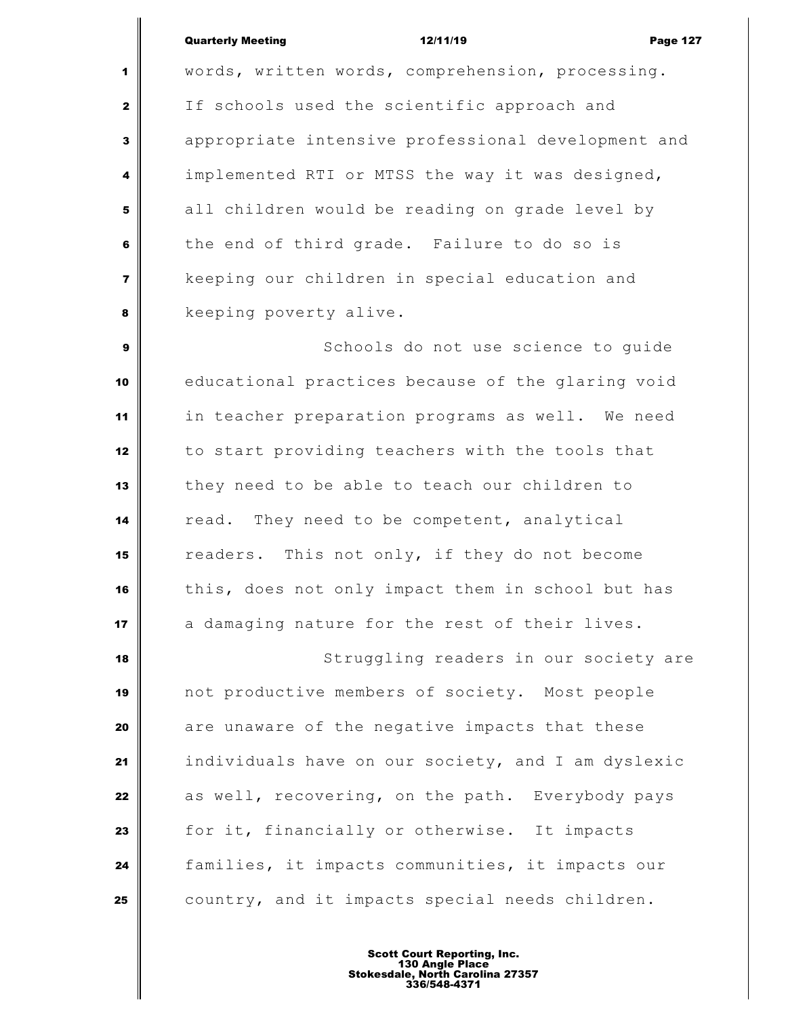## Quarterly Meeting **12/11/19** Page 127

 words, written words, comprehension, processing. If schools used the scientific approach and appropriate intensive professional development and implemented RTI or MTSS the way it was designed, all children would be reading on grade level by the end of third grade. Failure to do so is keeping our children in special education and **keeping poverty alive.** 

 Schools do not use science to quide educational practices because of the glaring void in teacher preparation programs as well. We need to start providing teachers with the tools that they need to be able to teach our children to read. They need to be competent, analytical readers. This not only, if they do not become this, does not only impact them in school but has a damaging nature for the rest of their lives.

 Struggling readers in our society are not productive members of society. Most people are unaware of the negative impacts that these individuals have on our society, and I am dyslexic as well, recovering, on the path. Everybody pays for it, financially or otherwise. It impacts families, it impacts communities, it impacts our **country, and it impacts special needs children.**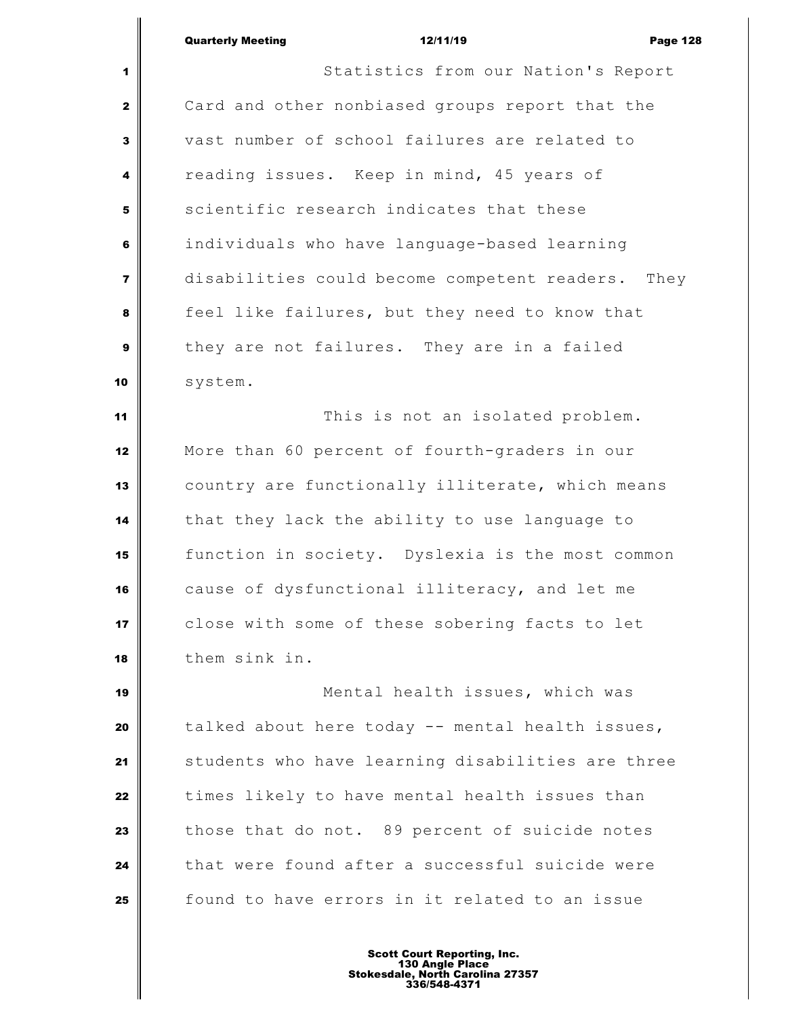| <b>Quarterly Meeting</b> | 12/11/19 | <b>Page 128</b> |
|--------------------------|----------|-----------------|

| $\blacksquare$ | Statistics from our Nation's Report               |
|----------------|---------------------------------------------------|
| $\mathbf{2}$   | Card and other nonbiased groups report that the   |
| 3              | vast number of school failures are related to     |
| 4              | reading issues. Keep in mind, 45 years of         |
| 5              | scientific research indicates that these          |
| 6              | individuals who have language-based learning      |
| $\overline{7}$ | disabilities could become competent readers. They |
| 8              | feel like failures, but they need to know that    |
| $\mathbf{9}$   | they are not failures. They are in a failed       |
| 10             | system.                                           |
| 11             | This is not an isolated problem.                  |
| 12             | More than 60 percent of fourth-graders in our     |
| 13             | country are functionally illiterate, which means  |
| 14             | that they lack the ability to use language to     |
| 15             | function in society. Dyslexia is the most common  |
| 16             | cause of dysfunctional illiteracy, and let me     |
| 17             | close with some of these sobering facts to let    |
| 18             | them sink in.                                     |
| 19             | Mental health issues, which was                   |
| 20             | talked about here today -- mental health issues,  |
| 21             | students who have learning disabilities are three |
| 22             | times likely to have mental health issues than    |
| 23             | those that do not. 89 percent of suicide notes    |
| 24             | that were found after a successful suicide were   |
| 25             | found to have errors in it related to an issue    |
|                |                                                   |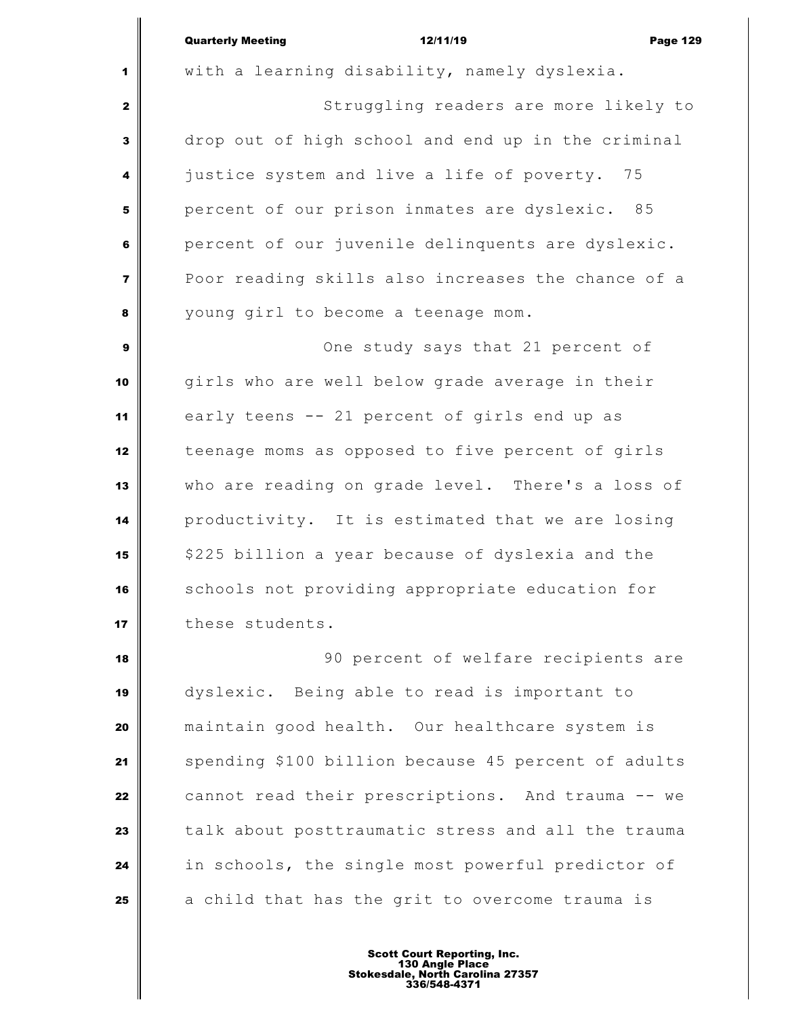|                | <b>Quarterly Meeting</b><br>12/11/19<br><b>Page 129</b> |
|----------------|---------------------------------------------------------|
| 1              | with a learning disability, namely dyslexia.            |
| $\mathbf{2}$   | Struggling readers are more likely to                   |
| 3              | drop out of high school and end up in the criminal      |
| 4              | justice system and live a life of poverty. 75           |
| 5              | percent of our prison inmates are dyslexic. 85          |
| 6              | percent of our juvenile delinquents are dyslexic.       |
| $\overline{7}$ | Poor reading skills also increases the chance of a      |
| 8              | young girl to become a teenage mom.                     |
| $\mathbf{9}$   | One study says that 21 percent of                       |
| 10             | girls who are well below grade average in their         |
| 11             | early teens -- 21 percent of girls end up as            |
| 12             | teenage moms as opposed to five percent of girls        |
| 13             | who are reading on grade level. There's a loss of       |
| 14             | productivity. It is estimated that we are losing        |
| 15             | \$225 billion a year because of dyslexia and the        |
| 16             | schools not providing appropriate education for         |
| 17             | these students.                                         |
| 18             | 90 percent of welfare recipients are                    |
| 19             | dyslexic. Being able to read is important to            |
| 20             | maintain good health. Our healthcare system is          |
| 21             | spending \$100 billion because 45 percent of adults     |
| 22             | cannot read their prescriptions. And trauma -- we       |
| 23             | talk about posttraumatic stress and all the trauma      |
| 24             | in schools, the single most powerful predictor of       |
| 25             | a child that has the grit to overcome trauma is         |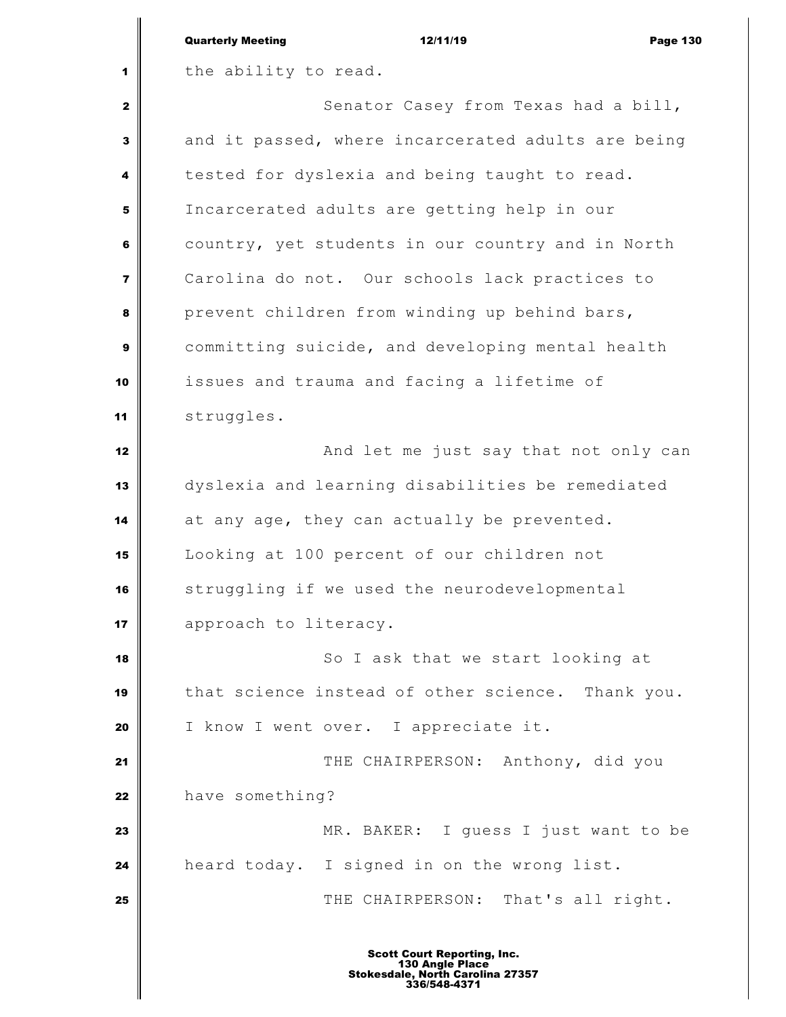|                         | <b>Quarterly Meeting</b><br>12/11/19<br><b>Page 130</b> |
|-------------------------|---------------------------------------------------------|
| 1                       | the ability to read.                                    |
| $\mathbf{2}$            | Senator Casey from Texas had a bill,                    |
| 3                       | and it passed, where incarcerated adults are being      |
| 4                       | tested for dyslexia and being taught to read.           |
| 5                       | Incarcerated adults are getting help in our             |
| 6                       | country, yet students in our country and in North       |
| $\overline{\mathbf{z}}$ | Carolina do not. Our schools lack practices to          |
| 8                       | prevent children from winding up behind bars,           |
| 9                       | committing suicide, and developing mental health        |
| 10                      | issues and trauma and facing a lifetime of              |
| 11                      | struggles.                                              |
| 12                      | And let me just say that not only can                   |
| 13                      | dyslexia and learning disabilities be remediated        |
| 14                      | at any age, they can actually be prevented.             |
| 15                      | Looking at 100 percent of our children not              |
| 16                      | struggling if we used the neurodevelopmental            |
| 17                      | approach to literacy.                                   |
| 18                      | So I ask that we start looking at                       |
| 19                      | that science instead of other science. Thank you.       |
| 20                      | I know I went over. I appreciate it.                    |
| 21                      | THE CHAIRPERSON: Anthony, did you                       |
| 22                      | have something?                                         |
| 23                      | MR. BAKER: I guess I just want to be                    |
| 24                      | heard today. I signed in on the wrong list.             |
| 25                      | THE CHAIRPERSON: That's all right.                      |
|                         | <b>Scott Court Reporting, Inc.</b><br>130 Angle Place   |

I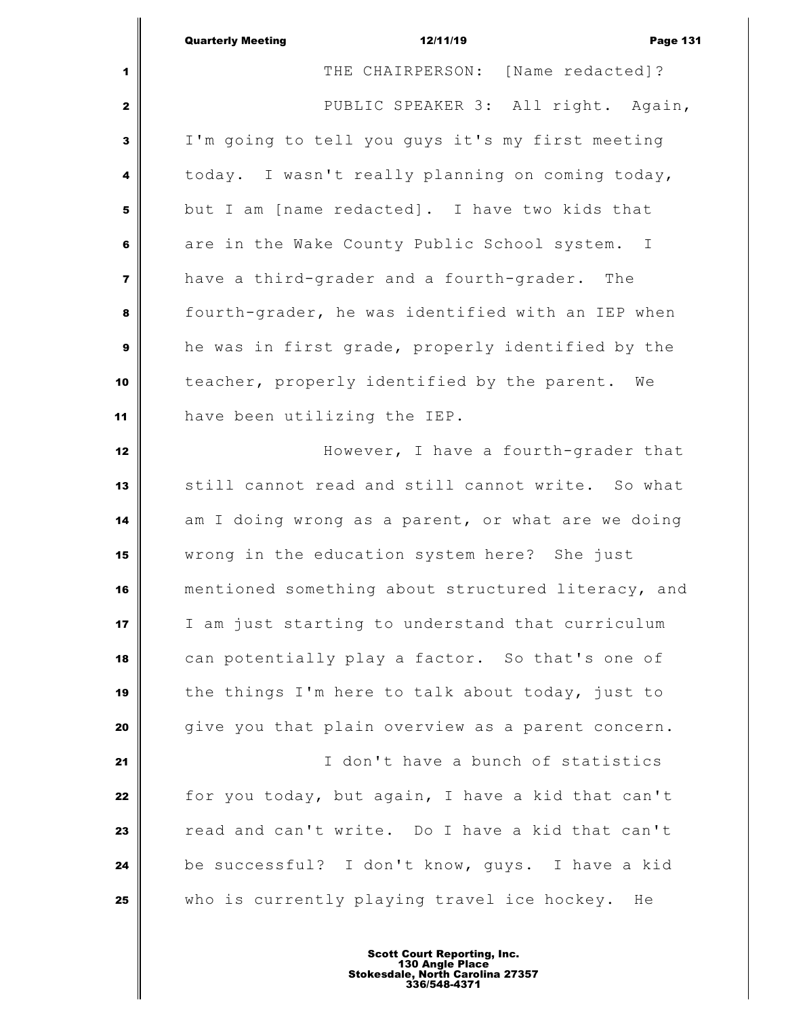|                         | <b>Quarterly Meeting</b><br>12/11/19<br><b>Page 131</b> |
|-------------------------|---------------------------------------------------------|
| 1                       | THE CHAIRPERSON: [Name redacted]?                       |
| $\mathbf{2}$            | PUBLIC SPEAKER 3: All right. Again,                     |
| 3                       | I'm going to tell you guys it's my first meeting        |
| 4                       | today. I wasn't really planning on coming today,        |
| 5                       | but I am [name redacted]. I have two kids that          |
| 6                       | are in the Wake County Public School system. I          |
| $\overline{\mathbf{z}}$ | have a third-grader and a fourth-grader. The            |
| 8                       | fourth-grader, he was identified with an IEP when       |
| 9                       | he was in first grade, properly identified by the       |
| 10                      | teacher, properly identified by the parent. We          |
| 11                      | have been utilizing the IEP.                            |
| 12                      | However, I have a fourth-grader that                    |
| 13                      | still cannot read and still cannot write. So what       |
| 14                      | am I doing wrong as a parent, or what are we doing      |
| 15                      | wrong in the education system here? She just            |
| 16                      | mentioned something about structured literacy, and      |
| 17                      | I am just starting to understand that curriculum        |
| 18                      | can potentially play a factor. So that's one of         |
| 19                      | the things I'm here to talk about today, just to        |
| 20                      | give you that plain overview as a parent concern.       |
| 21                      | I don't have a bunch of statistics                      |
| 22                      | for you today, but again, I have a kid that can't       |
| 23                      | read and can't write. Do I have a kid that can't        |
| 24                      | be successful? I don't know, guys. I have a kid         |
| 25                      | who is currently playing travel ice hockey.<br>He       |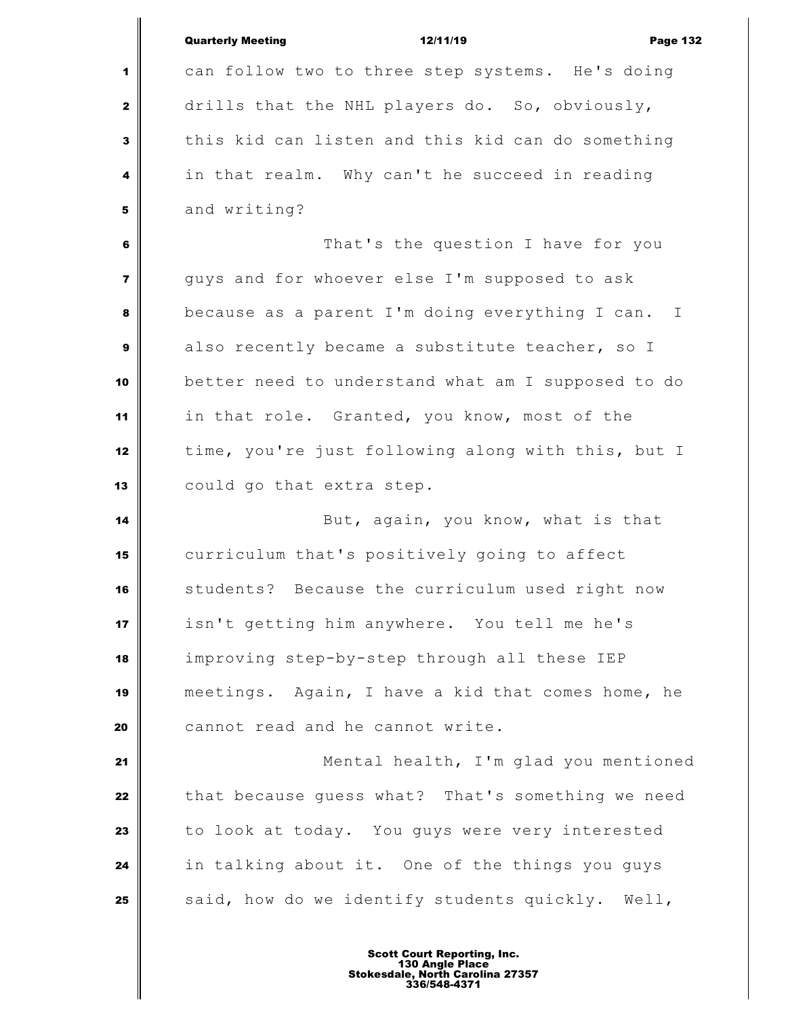|                | <b>Quarterly Meeting</b><br>12/11/19<br><b>Page 132</b>        |
|----------------|----------------------------------------------------------------|
| 1              | can follow two to three step systems. He's doing               |
| $\mathbf{2}$   | drills that the NHL players do. So, obviously,                 |
| 3              | this kid can listen and this kid can do something              |
| 4              | in that realm. Why can't he succeed in reading                 |
| 5              | and writing?                                                   |
| 6              | That's the question I have for you                             |
| $\overline{7}$ | guys and for whoever else I'm supposed to ask                  |
| 8              | because as a parent I'm doing everything I can.<br>$\mathbf I$ |
| 9              | also recently became a substitute teacher, so I                |
| 10             | better need to understand what am I supposed to do             |
| 11             | in that role. Granted, you know, most of the                   |
| 12             | time, you're just following along with this, but I             |
| 13             | could go that extra step.                                      |
| 14             | But, again, you know, what is that                             |
| 15             | curriculum that's positively going to affect                   |
| 16             | students? Because the curriculum used right now                |
| 17             | isn't getting him anywhere. You tell me he's                   |
| 18             | improving step-by-step through all these IEP                   |
| 19             | meetings. Again, I have a kid that comes home, he              |
| 20             | cannot read and he cannot write.                               |
| 21             | Mental health, I'm glad you mentioned                          |
| 22             | that because guess what? That's something we need              |
| 23             | to look at today. You guys were very interested                |
| 24             | in talking about it. One of the things you guys                |
| 25             | said, how do we identify students quickly. Well,               |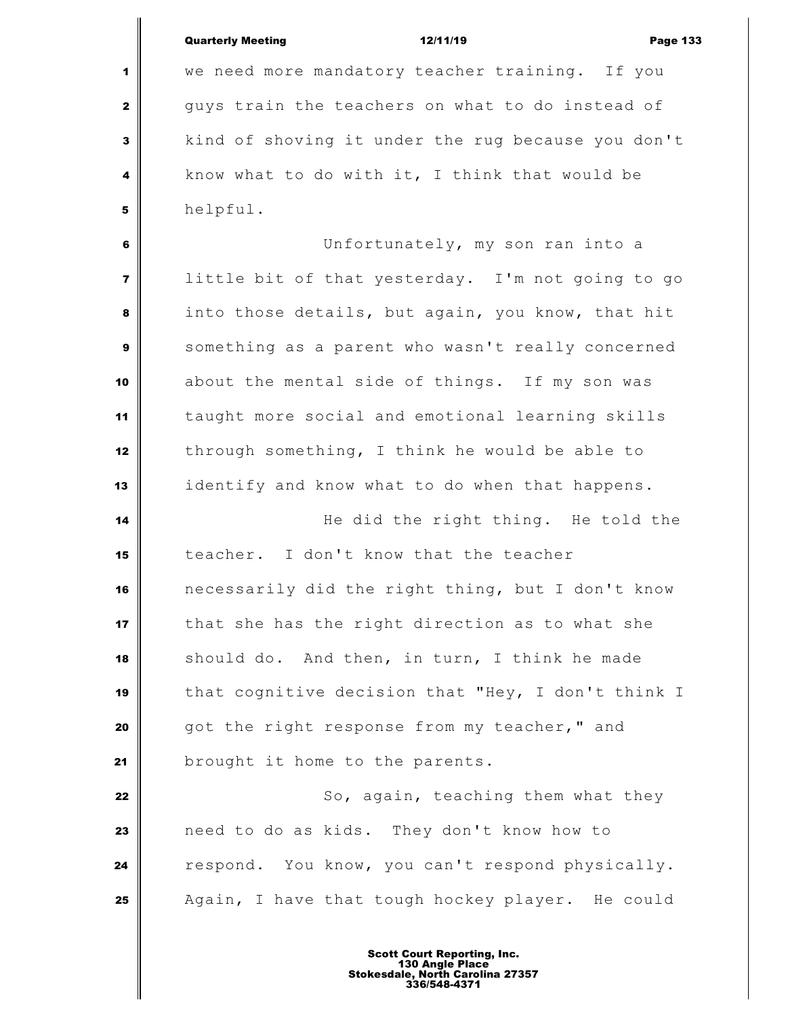Quarterly Meeting **12/11/19 Page 133**  we need more mandatory teacher training. If you guys train the teachers on what to do instead of kind of shoving it under the rug because you don't **know what to do with it, I think that would be**  helpful. Unfortunately, my son ran into a little bit of that yesterday. I'm not going to go into those details, but again, you know, that hit something as a parent who wasn't really concerned about the mental side of things. If my son was taught more social and emotional learning skills through something, I think he would be able to identify and know what to do when that happens. **He did the right thing.** He told the teacher. I don't know that the teacher necessarily did the right thing, but I don't know that she has the right direction as to what she should do. And then, in turn, I think he made that cognitive decision that "Hey, I don't think I got the right response from my teacher," and **brought it home to the parents.**  So, again, teaching them what they need to do as kids. They don't know how to **respond.** You know, you can't respond physically. Again, I have that tough hockey player. He could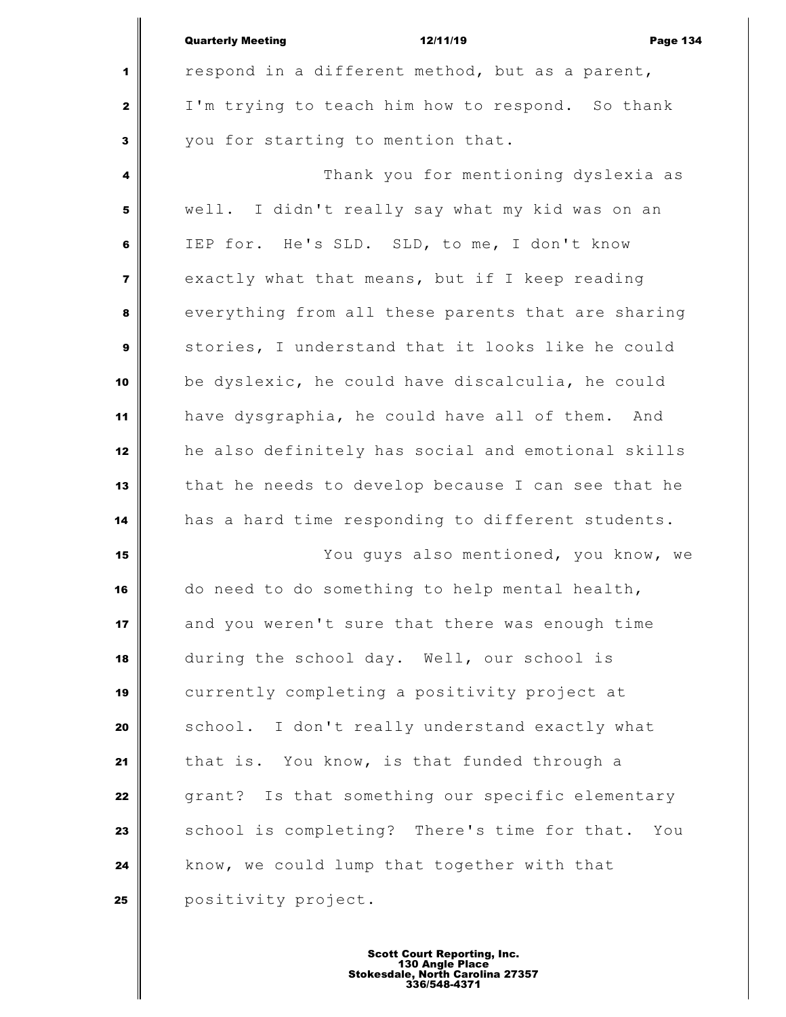|                         | <b>Quarterly Meeting</b><br>12/11/19<br><b>Page 134</b> |
|-------------------------|---------------------------------------------------------|
| 1                       | respond in a different method, but as a parent,         |
| $\mathbf{2}$            | I'm trying to teach him how to respond. So thank        |
| 3                       | you for starting to mention that.                       |
| 4                       | Thank you for mentioning dyslexia as                    |
| 5                       | well. I didn't really say what my kid was on an         |
| 6                       | IEP for. He's SLD. SLD, to me, I don't know             |
| $\overline{\mathbf{z}}$ | exactly what that means, but if I keep reading          |
| 8                       | everything from all these parents that are sharing      |
| $\mathbf{9}$            | stories, I understand that it looks like he could       |
| 10                      | be dyslexic, he could have discalculia, he could        |
| 11                      | have dysgraphia, he could have all of them. And         |
| 12                      | he also definitely has social and emotional skills      |
| 13                      | that he needs to develop because I can see that he      |
| 14                      | has a hard time responding to different students.       |
| 15                      | You guys also mentioned, you know, we                   |
| 16                      | do need to do something to help mental health,          |
| 17                      | and you weren't sure that there was enough time         |
| 18                      | during the school day. Well, our school is              |
| 19                      | currently completing a positivity project at            |
| 20                      | school. I don't really understand exactly what          |
| 21                      | that is. You know, is that funded through a             |
| 22                      | grant? Is that something our specific elementary        |
| 23                      | school is completing? There's time for that. You        |
| 24                      | know, we could lump that together with that             |
| 25                      | positivity project.                                     |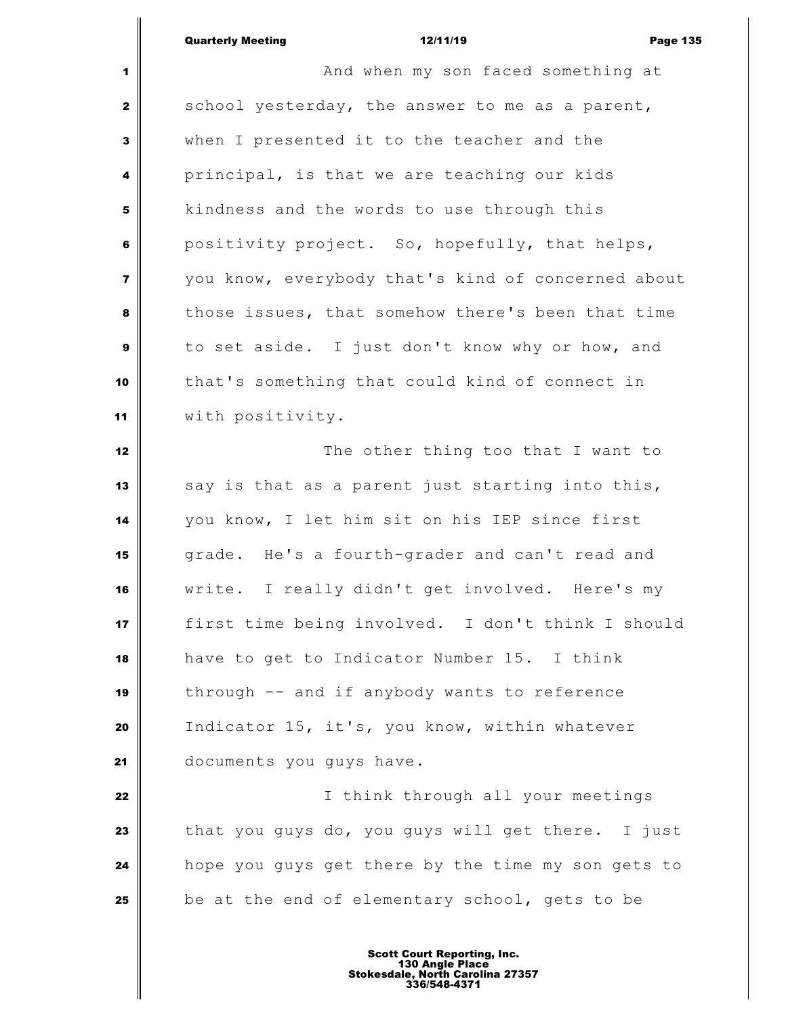| <b>Page 135</b> |
|-----------------|
|                 |

 **And when my son faced something at**  school yesterday, the answer to me as a parent, when I presented it to the teacher and the principal, is that we are teaching our kids kindness and the words to use through this positivity project. So, hopefully, that helps, you know, everybody that's kind of concerned about those issues, that somehow there's been that time to set aside. I just don't know why or how, and that's something that could kind of connect in with positivity. The other thing too that I want to say is that as a parent just starting into this, you know, I let him sit on his IEP since first grade. He's a fourth-grader and can't read and write. I really didn't get involved. Here's my first time being involved. I don't think I should have to get to Indicator Number 15. I think through -- and if anybody wants to reference Indicator 15, it's, you know, within whatever 21 documents you guys have. I think through all your meetings that you guys do, you guys will get there. I just hope you guys get there by the time my son gets to be at the end of elementary school, gets to be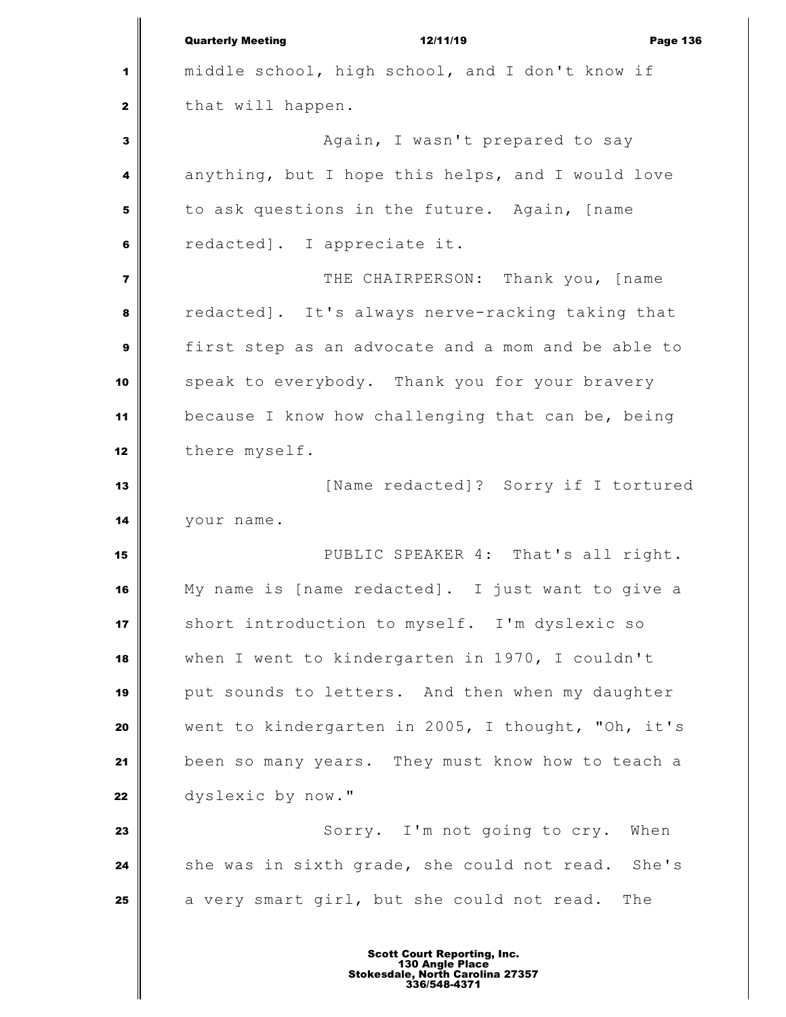Quarterly Meeting **12/11/19** Page 136 middle school, high school, and I don't know if that will happen. Again, I wasn't prepared to say anything, but I hope this helps, and I would love to ask questions in the future. Again, [name redacted]. I appreciate it. THE CHAIRPERSON: Thank you, [name redacted]. It's always nerve-racking taking that first step as an advocate and a mom and be able to speak to everybody. Thank you for your bravery because I know how challenging that can be, being there myself. [Name redacted]? Sorry if I tortured your name. PUBLIC SPEAKER 4: That's all right. My name is [name redacted]. I just want to give a short introduction to myself. I'm dyslexic so when I went to kindergarten in 1970, I couldn't **put sounds to letters.** And then when my daughter went to kindergarten in 2005, I thought, "Oh, it's been so many years. They must know how to teach a dyslexic by now."  $\parallel$  Sorry. I'm not going to cry. When she was in sixth grade, she could not read. She's a very smart girl, but she could not read. The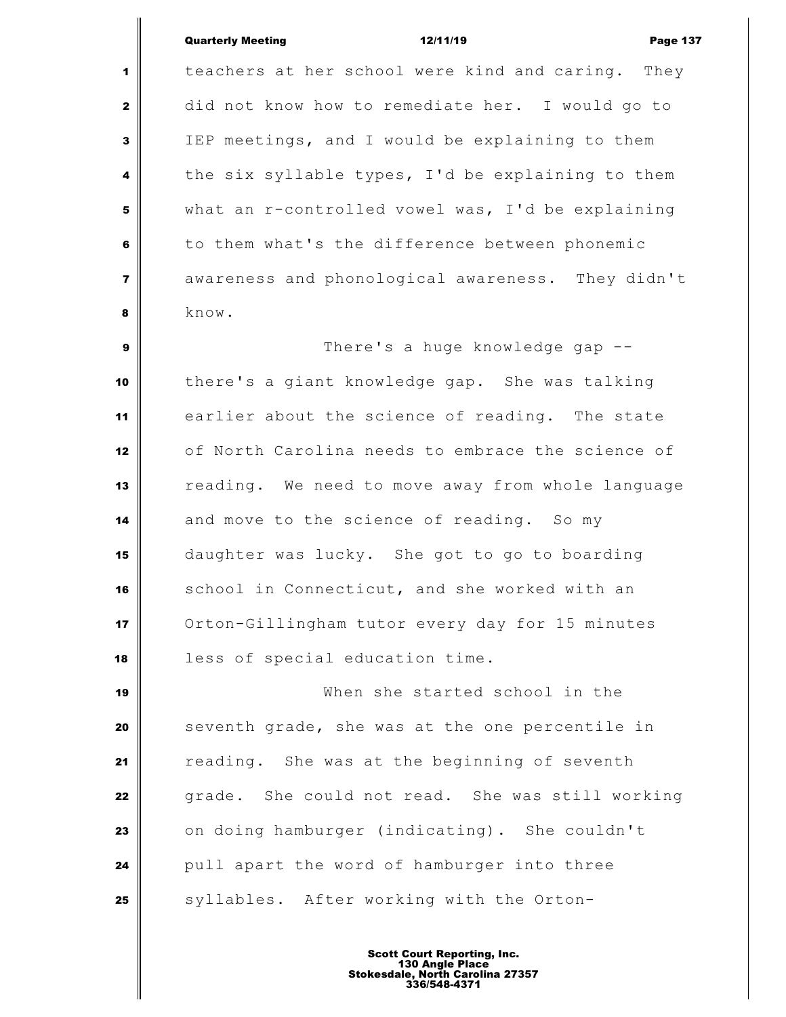## Quarterly Meeting **12/11/19 Page 137**

 teachers at her school were kind and caring. They did not know how to remediate her. I would go to IEP meetings, and I would be explaining to them the six syllable types, I'd be explaining to them what an r-controlled vowel was, I'd be explaining to them what's the difference between phonemic awareness and phonological awareness. They didn't know.

 There's a huge knowledge gap -- there's a giant knowledge gap. She was talking earlier about the science of reading. The state of North Carolina needs to embrace the science of reading. We need to move away from whole language and move to the science of reading. So my daughter was lucky. She got to go to boarding school in Connecticut, and she worked with an Orton-Gillingham tutor every day for 15 minutes less of special education time.

 When she started school in the Seventh grade, she was at the one percentile in reading. She was at the beginning of seventh grade. She could not read. She was still working on doing hamburger (indicating). She couldn't pull apart the word of hamburger into three syllables. After working with the Orton-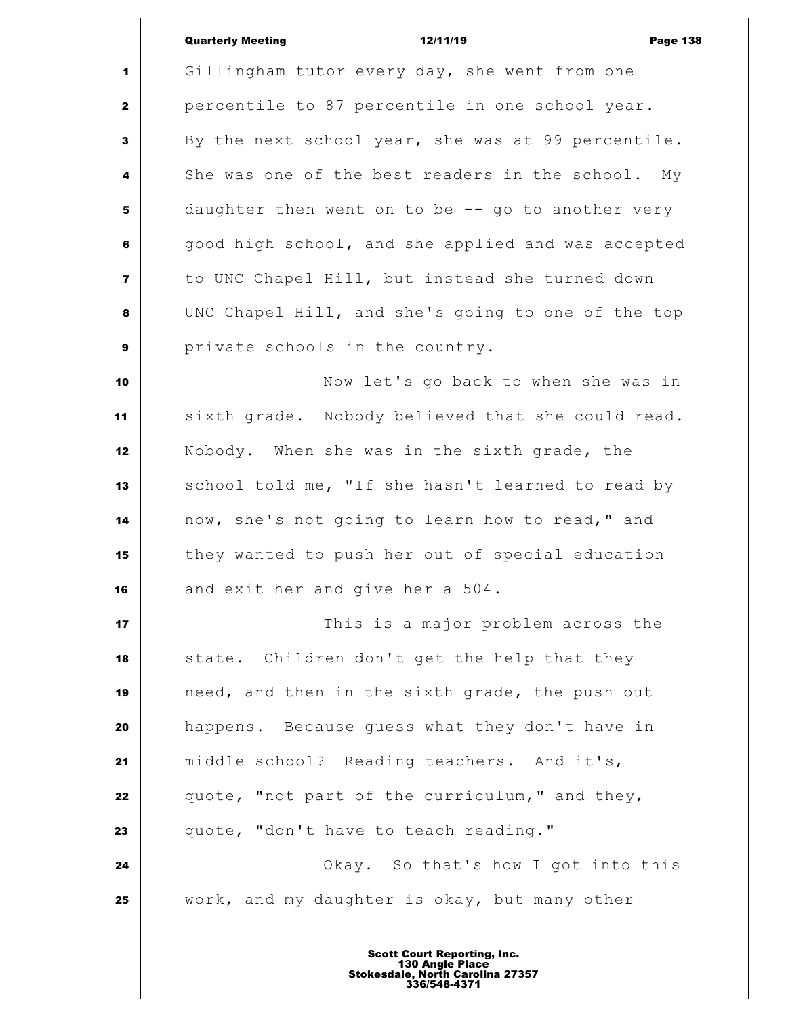## Quarterly Meeting **12/11/19** Page 138

 Gillingham tutor every day, she went from one percentile to 87 percentile in one school year. By the next school year, she was at 99 percentile. She was one of the best readers in the school. My daughter then went on to be -- go to another very good high school, and she applied and was accepted to UNC Chapel Hill, but instead she turned down UNC Chapel Hill, and she's going to one of the top private schools in the country. Now let's go back to when she was in sixth grade. Nobody believed that she could read. Nobody. When she was in the sixth grade, the 13 School told me, "If she hasn't learned to read by now, she's not going to learn how to read," and they wanted to push her out of special education and exit her and give her a 504. **This is a major problem across the**  state. Children don't get the help that they need, and then in the sixth grade, the push out happens. Because guess what they don't have in middle school? Reading teachers. And it's, quote, "not part of the curriculum," and they, quote, "don't have to teach reading." **Okay.** So that's how I got into this work, and my daughter is okay, but many other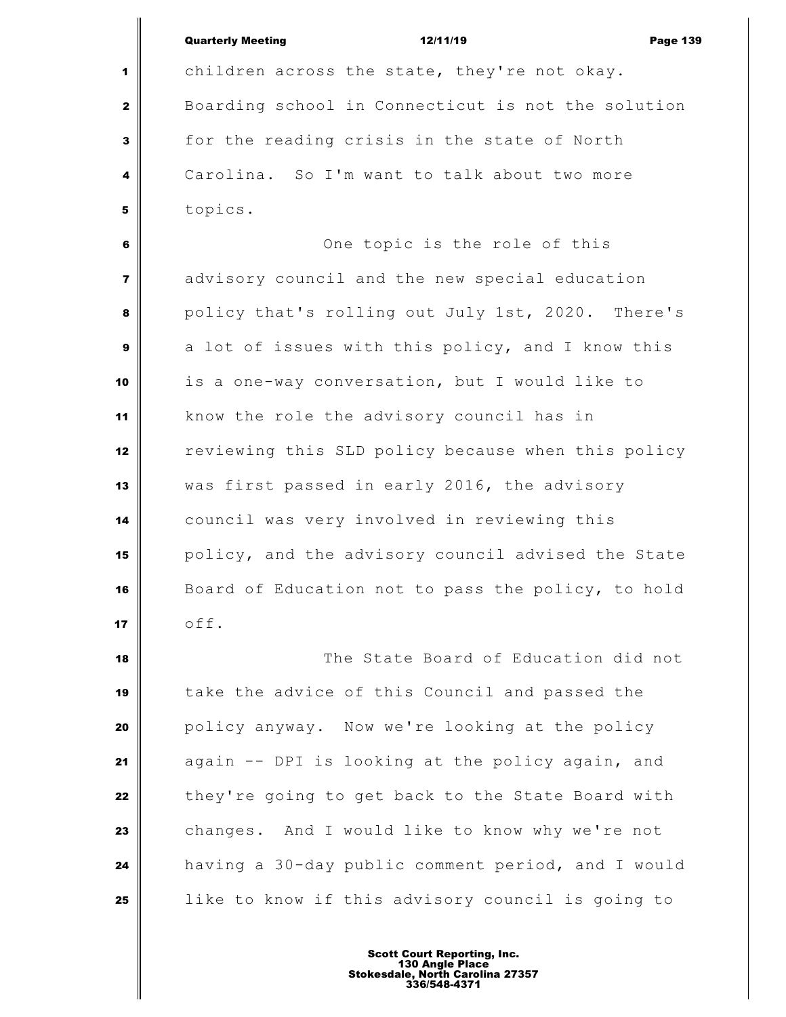|                         | <b>Quarterly Meeting</b><br>12/11/19               | <b>Page 139</b> |  |
|-------------------------|----------------------------------------------------|-----------------|--|
| 1                       | children across the state, they're not okay.       |                 |  |
| $\mathbf{z}$            | Boarding school in Connecticut is not the solution |                 |  |
| 3                       | for the reading crisis in the state of North       |                 |  |
| 4                       | Carolina. So I'm want to talk about two more       |                 |  |
| 5                       | topics.                                            |                 |  |
| 6                       | One topic is the role of this                      |                 |  |
| $\overline{\mathbf{z}}$ | advisory council and the new special education     |                 |  |
| 8                       | policy that's rolling out July 1st, 2020. There's  |                 |  |
| 9                       | a lot of issues with this policy, and I know this  |                 |  |
| 10                      | is a one-way conversation, but I would like to     |                 |  |
| 11                      | know the role the advisory council has in          |                 |  |
| 12                      | reviewing this SLD policy because when this policy |                 |  |
| 13                      | was first passed in early 2016, the advisory       |                 |  |
| 14                      | council was very involved in reviewing this        |                 |  |
| 15                      | policy, and the advisory council advised the State |                 |  |
| 16                      | Board of Education not to pass the policy, to hold |                 |  |
| 17                      | off.                                               |                 |  |
| 18                      | The State Board of Education did not               |                 |  |
|                         |                                                    |                 |  |

 take the advice of this Council and passed the policy anyway. Now we're looking at the policy again -- DPI is looking at the policy again, and they're going to get back to the State Board with changes. And I would like to know why we're not having a 30-day public comment period, and I would | like to know if this advisory council is going to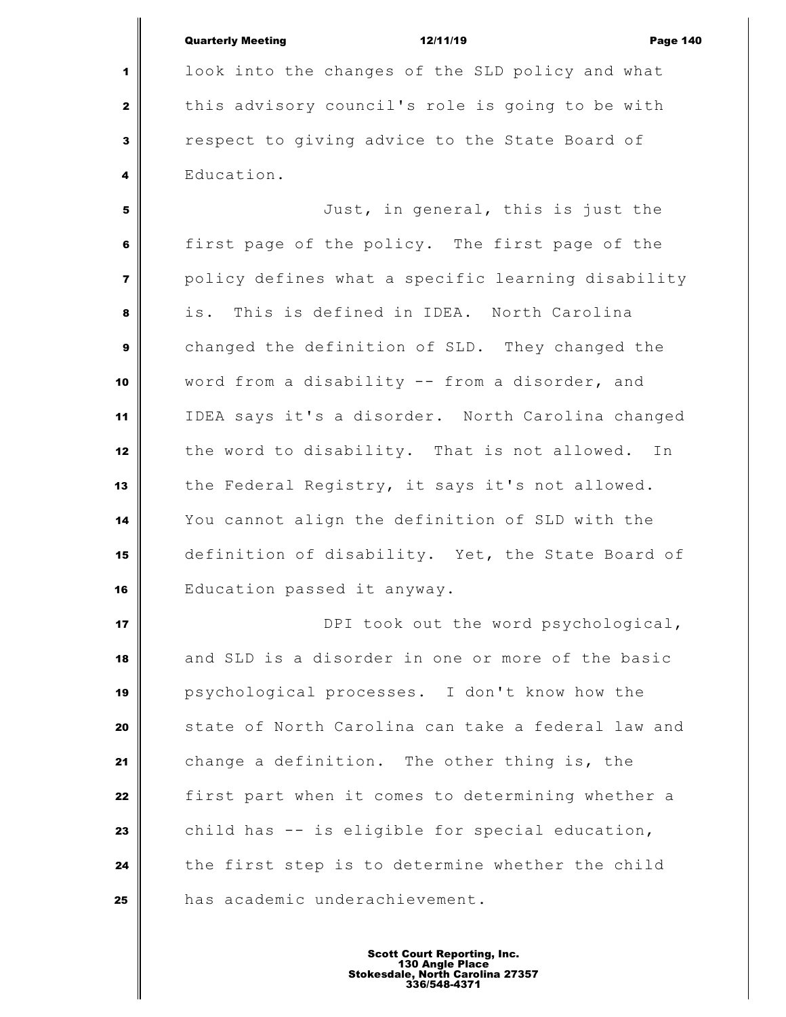Quarterly Meeting **12/11/19** Page 140 look into the changes of the SLD policy and what this advisory council's role is going to be with respect to giving advice to the State Board of Education. Just, in general, this is just the first page of the policy. The first page of the policy defines what a specific learning disability is. This is defined in IDEA. North Carolina changed the definition of SLD. They changed the word from a disability -- from a disorder, and IDEA says it's a disorder. North Carolina changed the word to disability. That is not allowed. In the Federal Registry, it says it's not allowed. You cannot align the definition of SLD with the definition of disability. Yet, the State Board of Education passed it anyway. **DPI** took out the word psychological,

 and SLD is a disorder in one or more of the basic psychological processes. I don't know how the State of North Carolina can take a federal law and change a definition. The other thing is, the first part when it comes to determining whether a child has -- is eligible for special education, the first step is to determine whether the child has academic underachievement.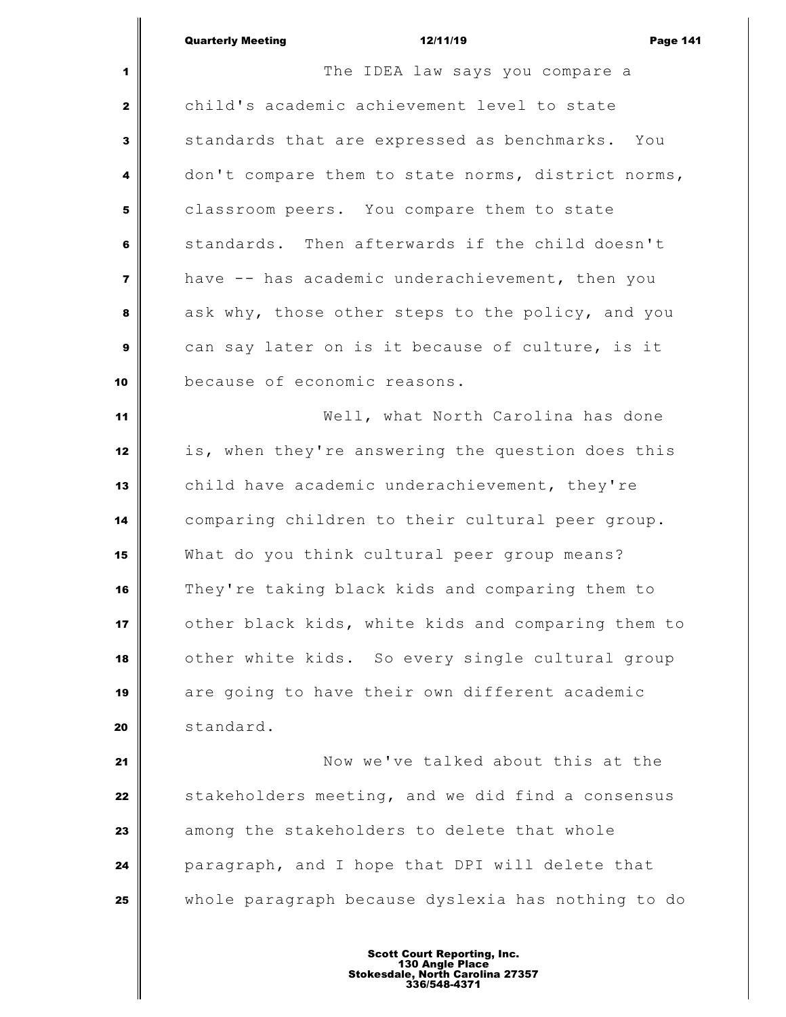|                         | <b>Quarterly Meeting</b><br>12/11/19<br><b>Page 141</b> |  |  |
|-------------------------|---------------------------------------------------------|--|--|
| 1                       | The IDEA law says you compare a                         |  |  |
| $\mathbf{2}$            | child's academic achievement level to state             |  |  |
| $\mathbf{3}$            | standards that are expressed as benchmarks. You         |  |  |
| 4                       | don't compare them to state norms, district norms,      |  |  |
| 5                       | classroom peers. You compare them to state              |  |  |
| 6                       | standards. Then afterwards if the child doesn't         |  |  |
| $\overline{\mathbf{z}}$ | have -- has academic underachievement, then you         |  |  |
| 8                       | ask why, those other steps to the policy, and you       |  |  |
| $\boldsymbol{9}$        | can say later on is it because of culture, is it        |  |  |
| 10                      | because of economic reasons.                            |  |  |
| 11                      | Well, what North Carolina has done                      |  |  |
| 12                      | is, when they're answering the question does this       |  |  |
| 13                      | child have academic underachievement, they're           |  |  |
| 14                      | comparing children to their cultural peer group.        |  |  |
| 15                      | What do you think cultural peer group means?            |  |  |
| 16                      | They're taking black kids and comparing them to         |  |  |
| 17                      | other black kids, white kids and comparing them to      |  |  |
| 18                      | other white kids. So every single cultural group        |  |  |
| 19                      | are going to have their own different academic          |  |  |
| 20                      | standard.                                               |  |  |
| 21                      | Now we've talked about this at the                      |  |  |
| 22                      | stakeholders meeting, and we did find a consensus       |  |  |
| 23                      | among the stakeholders to delete that whole             |  |  |
| 24                      | paragraph, and I hope that DPI will delete that         |  |  |

whole paragraph because dyslexia has nothing to do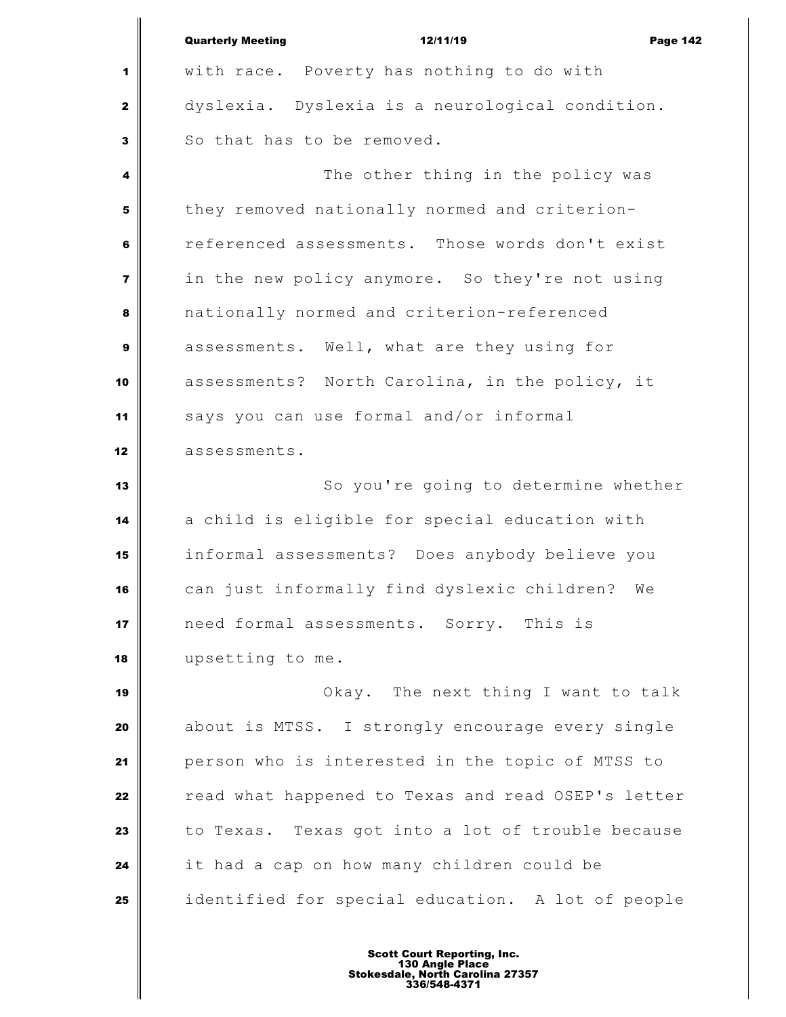|                | <b>Quarterly Meeting</b><br>12/11/19<br><b>Page 142</b> |  |
|----------------|---------------------------------------------------------|--|
| 1              | with race. Poverty has nothing to do with               |  |
| $\mathbf{2}$   | dyslexia. Dyslexia is a neurological condition.         |  |
| $\mathbf{3}$   | So that has to be removed.                              |  |
| 4              | The other thing in the policy was                       |  |
| 5              | they removed nationally normed and criterion-           |  |
| 6              | referenced assessments. Those words don't exist         |  |
| $\overline{7}$ | in the new policy anymore. So they're not using         |  |
| 8              | nationally normed and criterion-referenced              |  |
| 9              | assessments. Well, what are they using for              |  |
| 10             | assessments? North Carolina, in the policy, it          |  |
| 11             | says you can use formal and/or informal                 |  |
| 12             | assessments.                                            |  |
| 13             | So you're going to determine whether                    |  |
| 14             | a child is eligible for special education with          |  |
| 15             | informal assessments? Does anybody believe you          |  |
| 16             | can just informally find dyslexic children? We          |  |
| 17             | need formal assessments. Sorry. This is                 |  |
| 18             | upsetting to me.                                        |  |
| 19             | Okay. The next thing I want to talk                     |  |
| 20             | about is MTSS. I strongly encourage every single        |  |
| 21             | person who is interested in the topic of MTSS to        |  |
| 22             | read what happened to Texas and read OSEP's letter      |  |
| 23             | to Texas. Texas got into a lot of trouble because       |  |
| 24             | it had a cap on how many children could be              |  |
| 25             | identified for special education. A lot of people       |  |
|                |                                                         |  |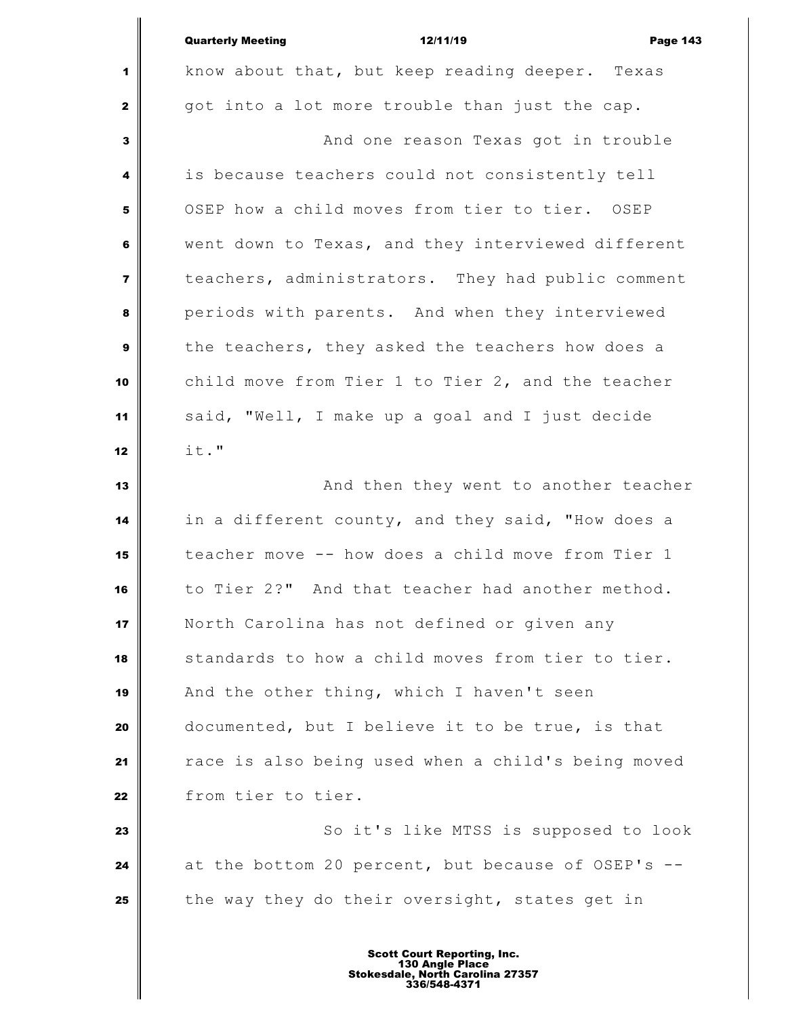|                         | <b>Quarterly Meeting</b><br>12/11/19<br><b>Page 143</b> |  |  |
|-------------------------|---------------------------------------------------------|--|--|
| 1                       | know about that, but keep reading deeper. Texas         |  |  |
| $\mathbf{z}$            | got into a lot more trouble than just the cap.          |  |  |
| 3                       | And one reason Texas got in trouble                     |  |  |
| 4                       | is because teachers could not consistently tell         |  |  |
| 5                       | OSEP how a child moves from tier to tier. OSEP          |  |  |
| 6                       | went down to Texas, and they interviewed different      |  |  |
| $\overline{\mathbf{z}}$ | teachers, administrators. They had public comment       |  |  |
| 8                       | periods with parents. And when they interviewed         |  |  |
| $\mathbf{9}$            | the teachers, they asked the teachers how does a        |  |  |
| 10                      | child move from Tier 1 to Tier 2, and the teacher       |  |  |
| 11                      | said, "Well, I make up a goal and I just decide         |  |  |
| 12                      | it."                                                    |  |  |
| 13                      | And then they went to another teacher                   |  |  |
| 14                      | in a different county, and they said, "How does a       |  |  |
| 15                      | teacher move -- how does a child move from Tier 1       |  |  |
| 16                      | to Tier 2?" And that teacher had another method.        |  |  |
| 17                      | North Carolina has not defined or given any             |  |  |
| 18                      | standards to how a child moves from tier to tier.       |  |  |
| 19                      | And the other thing, which I haven't seen               |  |  |
| 20                      | documented, but I believe it to be true, is that        |  |  |
| 21                      | race is also being used when a child's being moved      |  |  |
| 22                      | from tier to tier.                                      |  |  |
| 23                      | So it's like MTSS is supposed to look                   |  |  |
| 24                      | at the bottom 20 percent, but because of OSEP's --      |  |  |
| 25                      | the way they do their oversight, states get in          |  |  |
|                         |                                                         |  |  |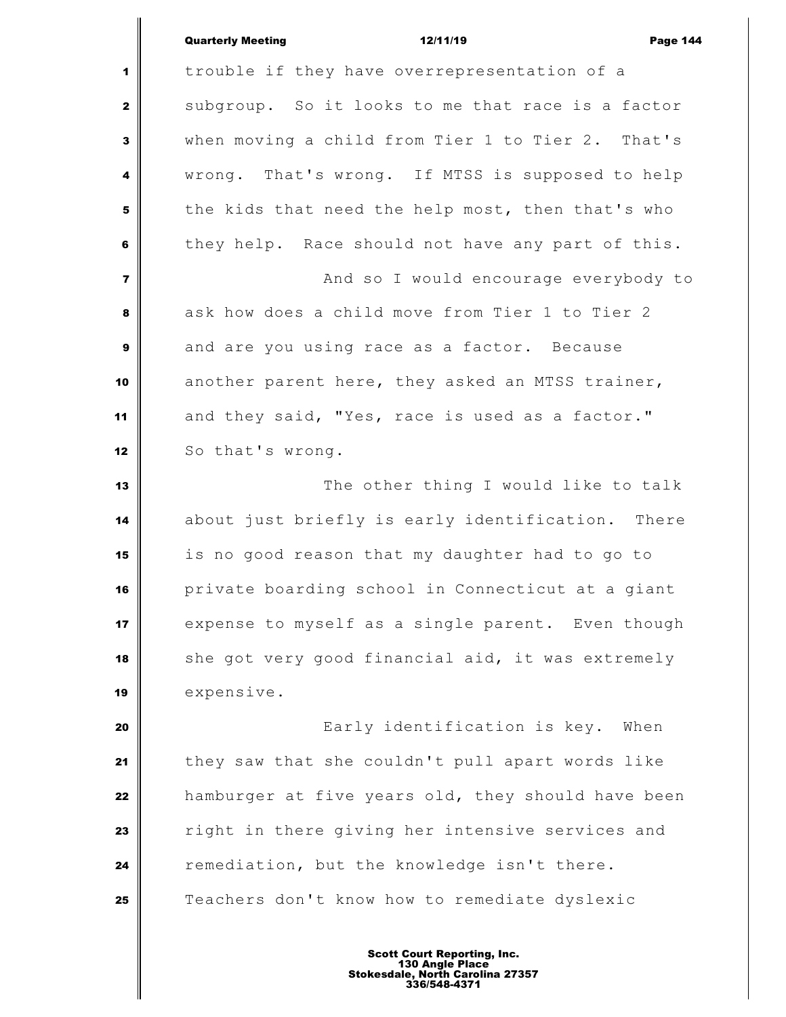| <b>Quarterly Meeting</b> | 12/11/19 | <b>Page 144</b> |
|--------------------------|----------|-----------------|
|                          |          |                 |

 trouble if they have overrepresentation of a subgroup. So it looks to me that race is a factor when moving a child from Tier 1 to Tier 2. That's wrong. That's wrong. If MTSS is supposed to help the kids that need the help most, then that's who they help. Race should not have any part of this.  $\parallel$  **And so I would encourage everybody to**  ask how does a child move from Tier 1 to Tier 2 and are you using race as a factor. Because another parent here, they asked an MTSS trainer, 11 and they said, "Yes, race is used as a factor." 12 So that's wrong. The other thing I would like to talk about just briefly is early identification. There is no good reason that my daughter had to go to private boarding school in Connecticut at a giant expense to myself as a single parent. Even though she got very good financial aid, it was extremely expensive. **Early** identification is key. When they saw that she couldn't pull apart words like hamburger at five years old, they should have been right in there giving her intensive services and remediation, but the knowledge isn't there.

Teachers don't know how to remediate dyslexic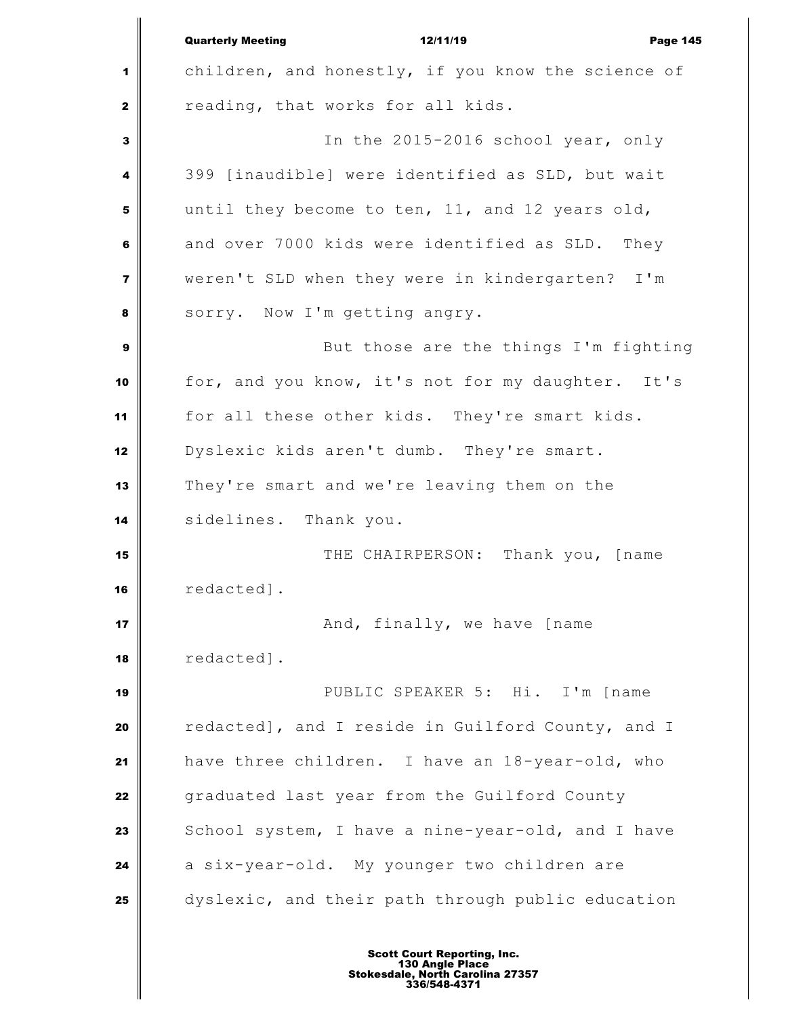|                         | <b>Quarterly Meeting</b><br>12/11/19<br><b>Page 145</b> |
|-------------------------|---------------------------------------------------------|
| 1                       | children, and honestly, if you know the science of      |
| $\mathbf{z}$            | reading, that works for all kids.                       |
| $\mathbf{3}$            | In the 2015-2016 school year, only                      |
| 4                       | 399 [inaudible] were identified as SLD, but wait        |
| 5                       | until they become to ten, 11, and 12 years old,         |
| 6                       | and over 7000 kids were identified as SLD. They         |
| $\overline{\mathbf{z}}$ | weren't SLD when they were in kindergarten? I'm         |
| 8                       | sorry. Now I'm getting angry.                           |
| 9                       | But those are the things I'm fighting                   |
| 10                      | for, and you know, it's not for my daughter. It's       |
| 11                      | for all these other kids. They're smart kids.           |
| 12                      | Dyslexic kids aren't dumb. They're smart.               |
| 13                      | They're smart and we're leaving them on the             |
| 14                      | sidelines. Thank you.                                   |
| 15                      | THE CHAIRPERSON: Thank you, [name                       |
| 16                      | redacted].                                              |
| 17                      | And, finally, we have [name                             |
| 18                      | redacted].                                              |
| 19                      | PUBLIC SPEAKER 5: Hi. I'm [name                         |
| 20                      | redacted], and I reside in Guilford County, and I       |
| 21                      | have three children. I have an 18-year-old, who         |
| 22                      | graduated last year from the Guilford County            |
| 23                      | School system, I have a nine-year-old, and I have       |
| 24                      | a six-year-old. My younger two children are             |
| 25                      | dyslexic, and their path through public education       |
|                         |                                                         |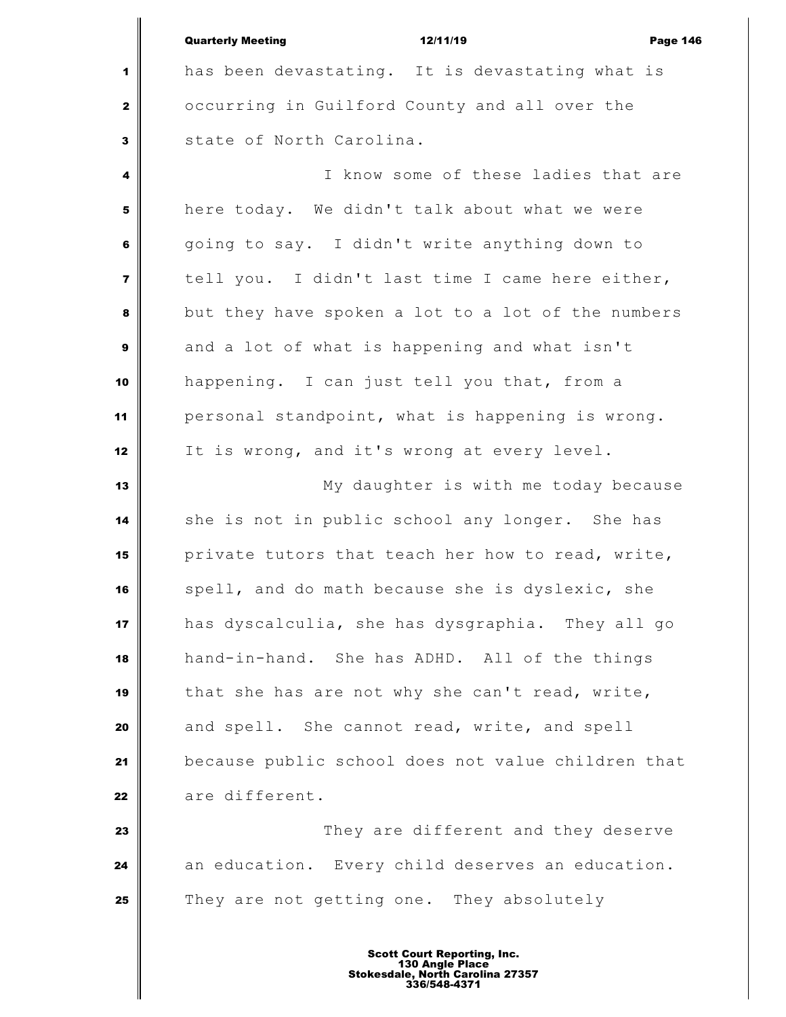| <b>Quarterly Meeting</b> | 12/11/19 | <b>Page 146</b> |
|--------------------------|----------|-----------------|
|                          |          |                 |

 has been devastating. It is devastating what is occurring in Guilford County and all over the State of North Carolina.

 I know some of these ladies that are here today. We didn't talk about what we were going to say. I didn't write anything down to tell you. I didn't last time I came here either, but they have spoken a lot to a lot of the numbers and a lot of what is happening and what isn't happening. I can just tell you that, from a personal standpoint, what is happening is wrong. It is wrong, and it's wrong at every level.

 My daughter is with me today because she is not in public school any longer. She has private tutors that teach her how to read, write, spell, and do math because she is dyslexic, she has dyscalculia, she has dysgraphia. They all go hand-in-hand. She has ADHD. All of the things that she has are not why she can't read, write, and spell. She cannot read, write, and spell because public school does not value children that are different.

 They are different and they deserve an education. Every child deserves an education. They are not getting one. They absolutely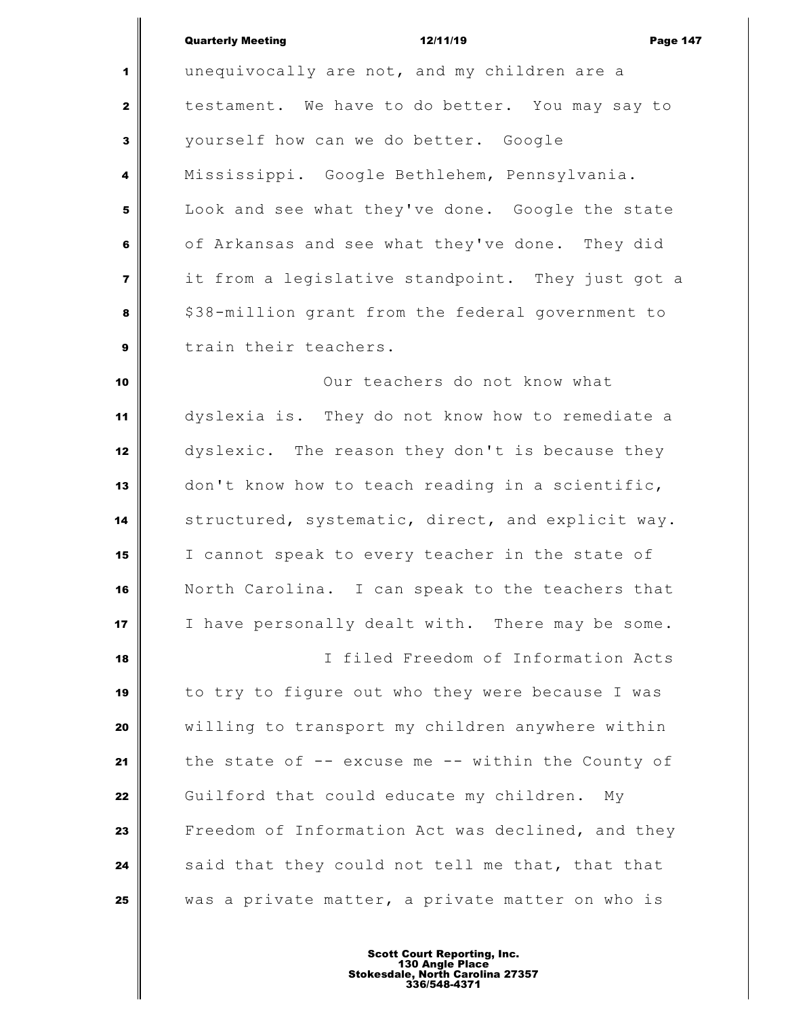| <b>Quarterly Meeting</b> | 12/11/19 | <b>Page 147</b> |
|--------------------------|----------|-----------------|

 unequivocally are not, and my children are a testament. We have to do better. You may say to yourself how can we do better. Google Mississippi. Google Bethlehem, Pennsylvania. Look and see what they've done. Google the state of Arkansas and see what they've done. They did it from a legislative standpoint. They just got a \$38-million grant from the federal government to train their teachers. Our teachers do not know what

 dyslexia is. They do not know how to remediate a dyslexic. The reason they don't is because they don't know how to teach reading in a scientific, structured, systematic, direct, and explicit way. I cannot speak to every teacher in the state of North Carolina. I can speak to the teachers that I have personally dealt with. There may be some. I filed Freedom of Information Acts to try to figure out who they were because I was willing to transport my children anywhere within the state of -- excuse me -- within the County of Guilford that could educate my children. My

 Freedom of Information Act was declined, and they said that they could not tell me that, that that was a private matter, a private matter on who is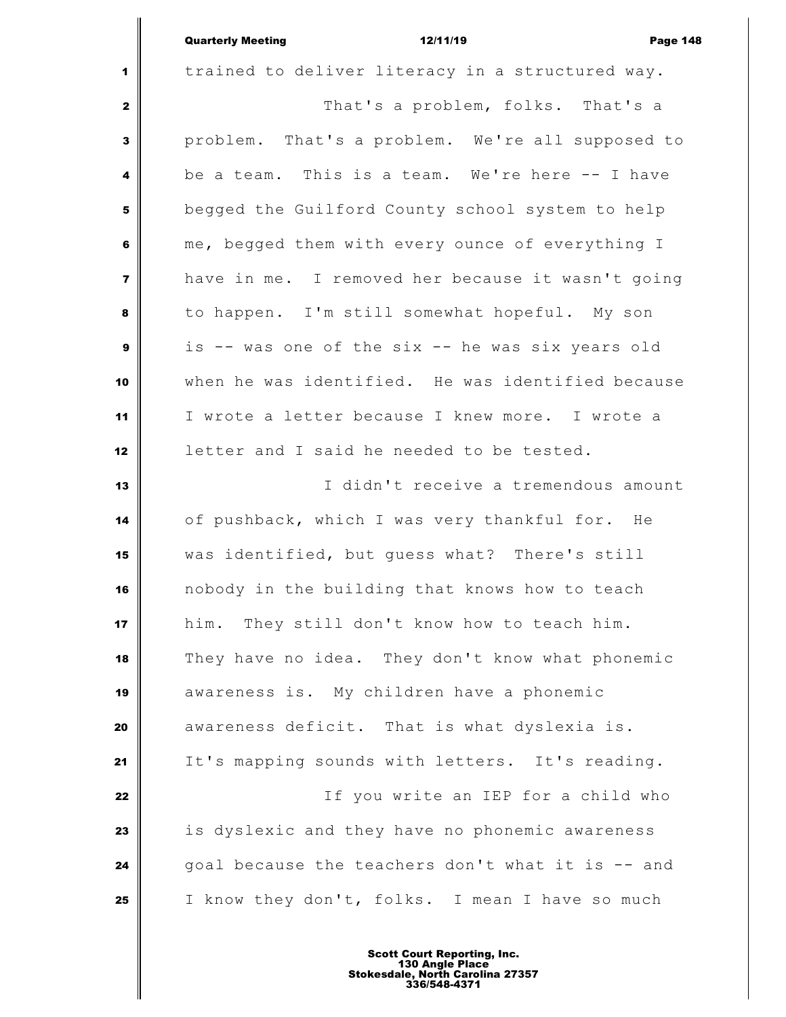|                | <b>Quarterly Meeting</b> | 12/11/19                                         | <b>Page 148</b> |
|----------------|--------------------------|--------------------------------------------------|-----------------|
| $1 \parallel$  |                          | trained to deliver literacy in a structured way. |                 |
| 2 <sup>1</sup> |                          | That's a problem, folks. That's a                |                 |

 $\mathbf{I}$ 

 problem. That's a problem. We're all supposed to be a team. This is a team. We're here -- I have begged the Guilford County school system to help me, begged them with every ounce of everything I have in me. I removed her because it wasn't going to happen. I'm still somewhat hopeful. My son is -- was one of the six -- he was six years old when he was identified. He was identified because I wrote a letter because I knew more. I wrote a letter and I said he needed to be tested.

 I didn't receive a tremendous amount of pushback, which I was very thankful for. He was identified, but guess what? There's still nobody in the building that knows how to teach him. They still don't know how to teach him. They have no idea. They don't know what phonemic awareness is. My children have a phonemic awareness deficit. That is what dyslexia is. 21 It's mapping sounds with letters. It's reading. If you write an IEP for a child who is dyslexic and they have no phonemic awareness goal because the teachers don't what it is -- and I know they don't, folks. I mean I have so much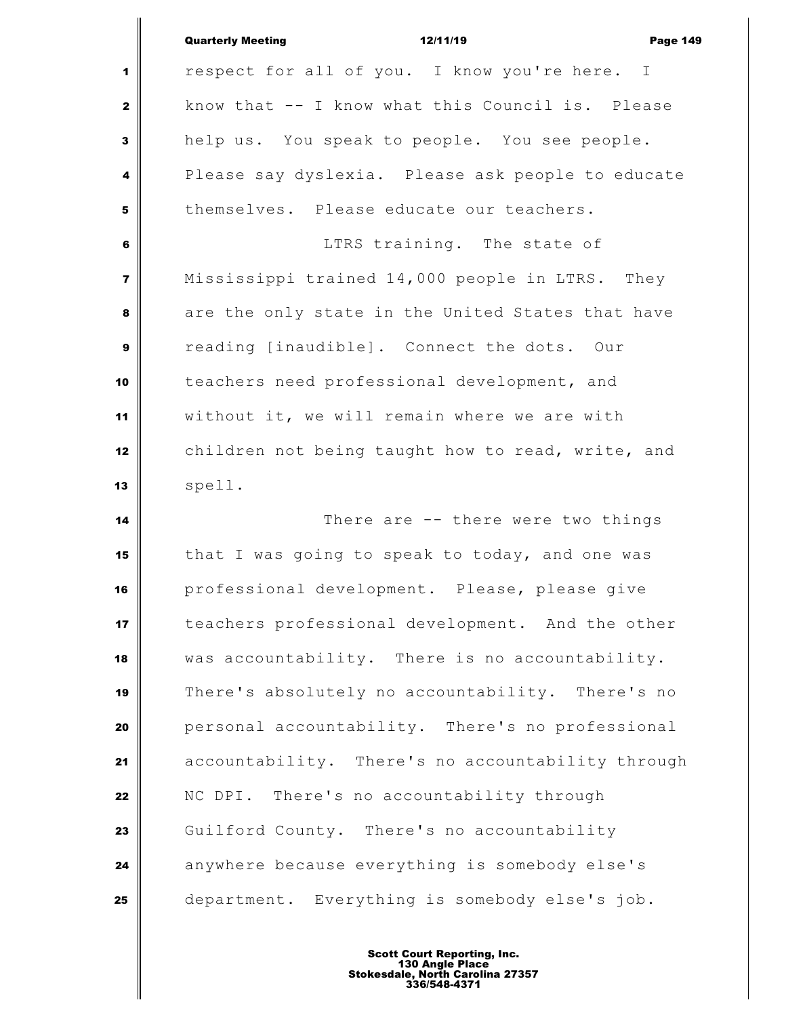|                         | <b>Quarterly Meeting</b><br><b>Page 149</b><br>12/11/19 |
|-------------------------|---------------------------------------------------------|
| 1                       | respect for all of you. I know you're here. I           |
| $\mathbf{2}$            | know that -- I know what this Council is. Please        |
| $\mathbf{3}$            | help us. You speak to people. You see people.           |
| 4                       | Please say dyslexia. Please ask people to educate       |
| 5                       | themselves. Please educate our teachers.                |
| $\bf 6$                 | LTRS training. The state of                             |
| $\overline{\mathbf{z}}$ | Mississippi trained 14,000 people in LTRS. They         |
| 8                       | are the only state in the United States that have       |
| $\mathbf{9}$            | reading [inaudible]. Connect the dots. Our              |
| 10                      | teachers need professional development, and             |
| 11                      | without it, we will remain where we are with            |
| 12                      | children not being taught how to read, write, and       |
| 13                      | spell.                                                  |
| 14                      | There are -- there were two things                      |
| 15                      | that I was going to speak to today, and one was         |
| 16                      | professional development. Please, please give           |
| 17                      | teachers professional development. And the other        |
| 18                      | was accountability. There is no accountability.         |
| 19                      | There's absolutely no accountability. There's no        |
| 20                      | personal accountability. There's no professional        |
| 21                      | accountability. There's no accountability through       |
| 22                      | NC DPI. There's no accountability through               |
| 23                      | Guilford County. There's no accountability              |
| 24                      | anywhere because everything is somebody else's          |
| 25                      | department. Everything is somebody else's job.          |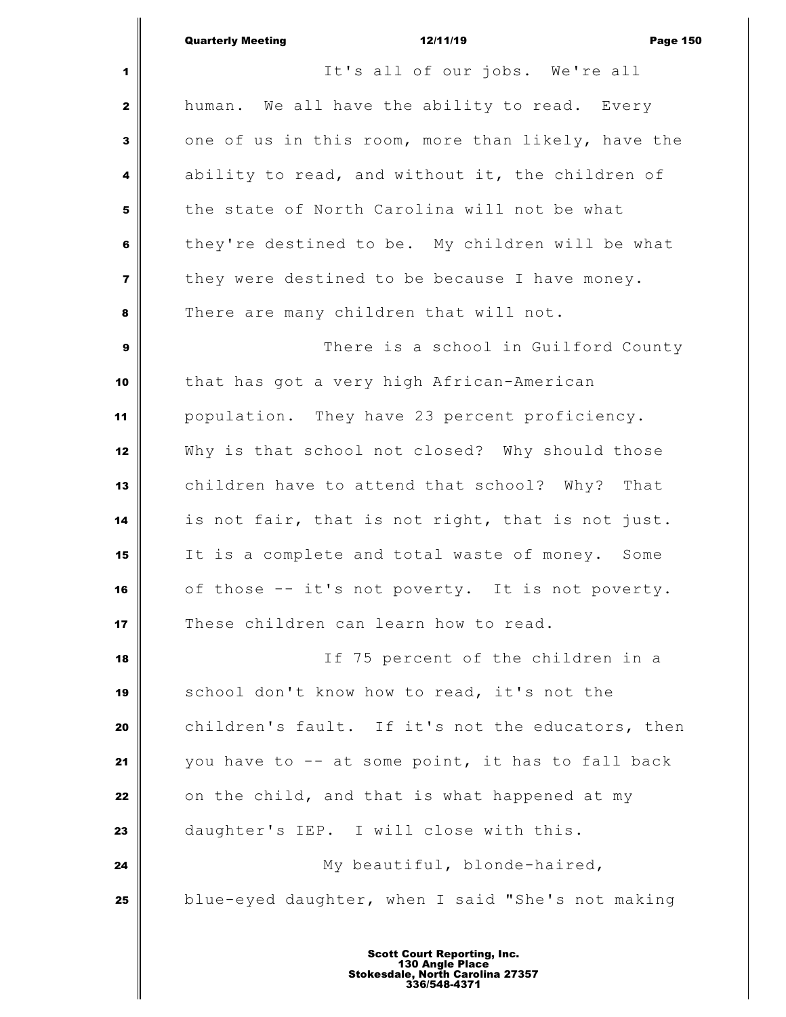## Quarterly Meeting **12/11/19** Page 150

 It's all of our jobs. We're all human. We all have the ability to read. Every one of us in this room, more than likely, have the ability to read, and without it, the children of the state of North Carolina will not be what they're destined to be. My children will be what they were destined to be because I have money. There are many children that will not. There is a school in Guilford County that has got a very high African-American population. They have 23 percent proficiency. Why is that school not closed? Why should those children have to attend that school? Why? That is not fair, that is not right, that is not just. It is a complete and total waste of money. Some of those -- it's not poverty. It is not poverty. These children can learn how to read. If 75 percent of the children in a school don't know how to read, it's not the children's fault. If it's not the educators, then you have to -- at some point, it has to fall back on the child, and that is what happened at my daughter's IEP. I will close with this. My beautiful, blonde-haired, blue-eyed daughter, when I said "She's not making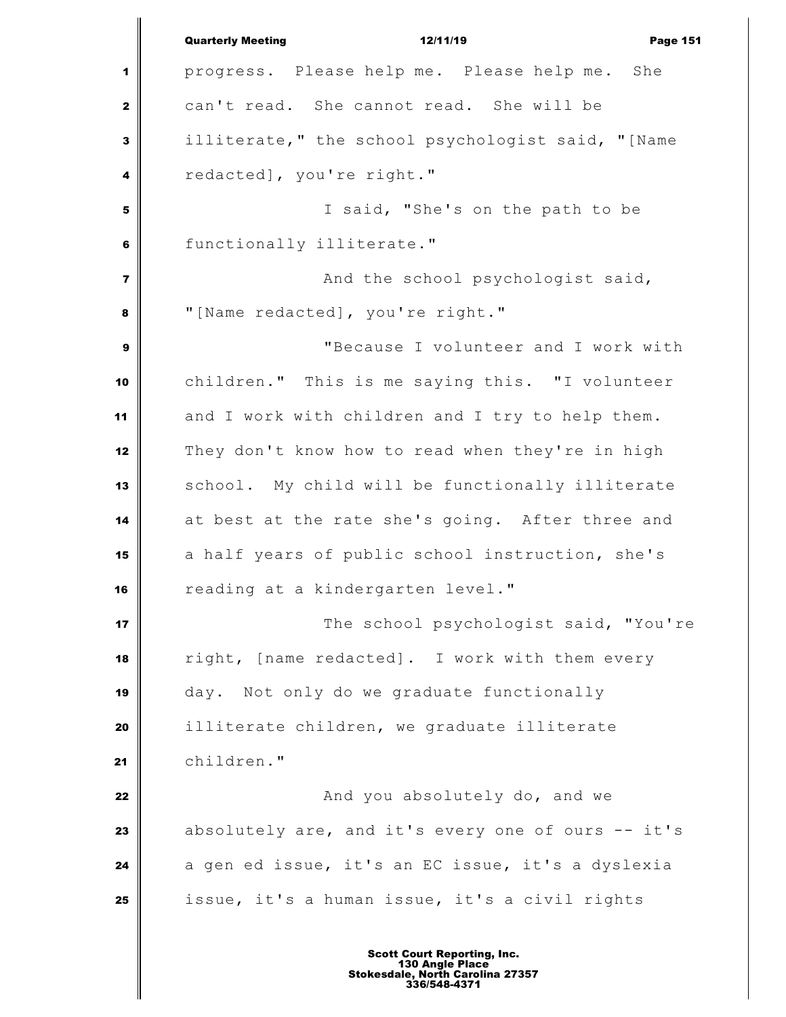Quarterly Meeting **12/11/19** Page 151 progress. Please help me. Please help me. She can't read. She cannot read. She will be illiterate," the school psychologist said, "[Name redacted], you're right." I said, "She's on the path to be functionally illiterate." **And the school psychologist said,**  "[Name redacted], you're right." "Because I volunteer and I work with children." This is me saying this. "I volunteer and I work with children and I try to help them. They don't know how to read when they're in high school. My child will be functionally illiterate at best at the rate she's going. After three and a half years of public school instruction, she's reading at a kindergarten level." The school psychologist said, "You're right, [name redacted]. I work with them every day. Not only do we graduate functionally illiterate children, we graduate illiterate children." **And you absolutely do, and we**  absolutely are, and it's every one of ours -- it's a gen ed issue, it's an EC issue, it's a dyslexia issue, it's a human issue, it's a civil rights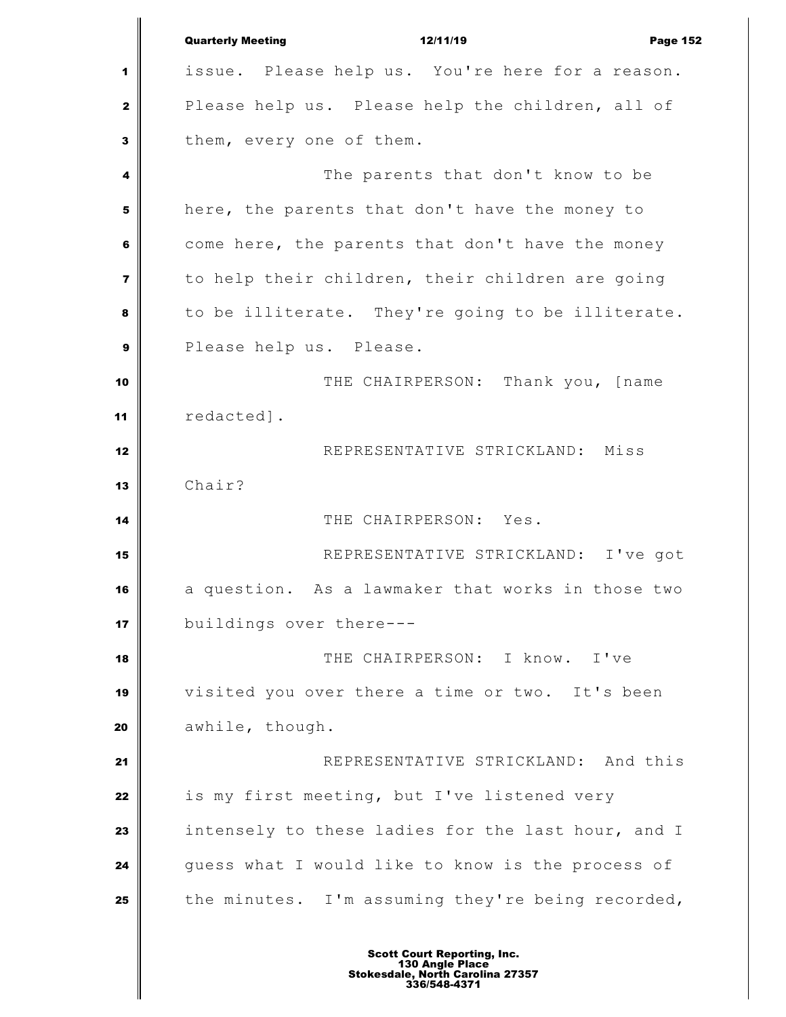Quarterly Meeting **12/11/19** Page 152 issue. Please help us. You're here for a reason. Please help us. Please help the children, all of them, every one of them. **The parents that don't know to be**  here, the parents that don't have the money to come here, the parents that don't have the money to help their children, their children are going to be illiterate. They're going to be illiterate. Please help us. Please. THE CHAIRPERSON: Thank you, [name redacted]. **||** REPRESENTATIVE STRICKLAND: Miss Chair? THE CHAIRPERSON: Yes. REPRESENTATIVE STRICKLAND: I've got a question. As a lawmaker that works in those two buildings over there--- THE CHAIRPERSON: I know. I've visited you over there a time or two. It's been **awhile**, though. **All 21 REPRESENTATIVE STRICKLAND:** And this is my first meeting, but I've listened very intensely to these ladies for the last hour, and I guess what I would like to know is the process of the minutes. I'm assuming they're being recorded,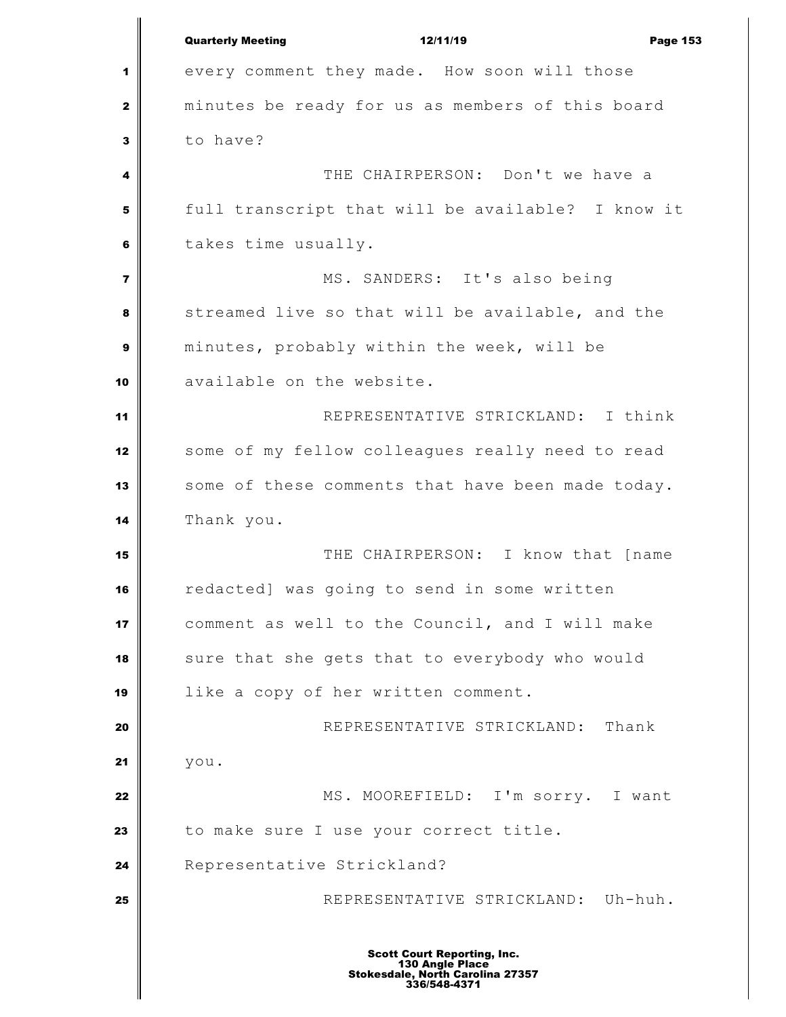Quarterly Meeting **12/11/19 Page 153** 1 every comment they made. How soon will those minutes be ready for us as members of this board to have? **I** THE CHAIRPERSON: Don't we have a full transcript that will be available? I know it takes time usually. MS. SANDERS: It's also being Streamed live so that will be available, and the minutes, probably within the week, will be available on the website. REPRESENTATIVE STRICKLAND: I think some of my fellow colleagues really need to read 13 some of these comments that have been made today. Thank you. THE CHAIRPERSON: I know that [name redacted] was going to send in some written comment as well to the Council, and I will make sure that she gets that to everybody who would like a copy of her written comment. REPRESENTATIVE STRICKLAND: Thank you. MS. MOOREFIELD: I'm sorry. I want 23 to make sure I use your correct title. Representative Strickland? 25 | REPRESENTATIVE STRICKLAND: Uh-huh. Scott Court Reporting, Inc. 130 Angle Place Stokesdale, North Carolina 27357 336/548-4371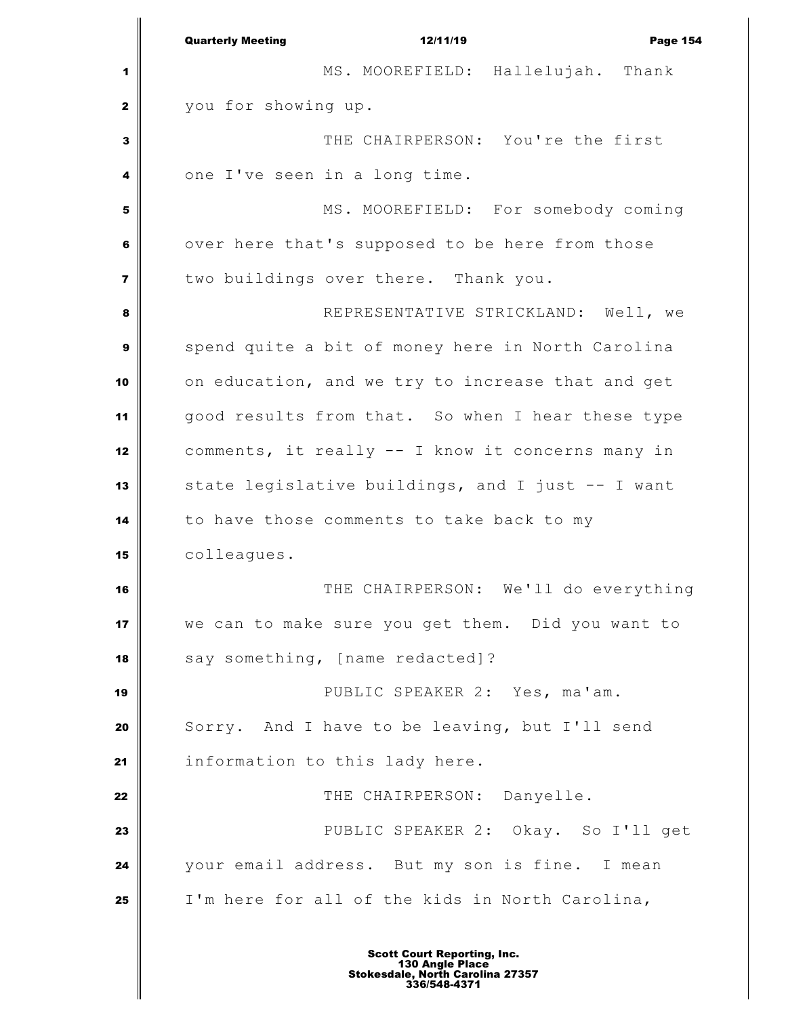|                         | <b>Quarterly Meeting</b><br>12/11/19<br>Page 154  |
|-------------------------|---------------------------------------------------|
| 1                       | MS. MOOREFIELD: Hallelujah. Thank                 |
| $\mathbf{2}$            | you for showing up.                               |
| 3                       | THE CHAIRPERSON: You're the first                 |
| 4                       | one I've seen in a long time.                     |
| 5                       | MS. MOOREFIELD: For somebody coming               |
| 6                       | over here that's supposed to be here from those   |
| $\overline{\mathbf{z}}$ | two buildings over there. Thank you.              |
| 8                       | REPRESENTATIVE STRICKLAND: Well, we               |
| 9                       | spend quite a bit of money here in North Carolina |
| 10                      | on education, and we try to increase that and get |
| 11                      | good results from that. So when I hear these type |
| 12                      | comments, it really -- I know it concerns many in |
| 13                      | state legislative buildings, and I just -- I want |
| 14                      | to have those comments to take back to my         |
| 15                      | colleagues.                                       |
| 16                      | THE CHAIRPERSON: We'll do everything              |
| 17                      | we can to make sure you get them. Did you want to |
| 18                      | say something, [name redacted]?                   |
| 19                      | PUBLIC SPEAKER 2: Yes, ma'am.                     |
| 20                      | Sorry. And I have to be leaving, but I'll send    |
| 21                      | information to this lady here.                    |
| 22                      | THE CHAIRPERSON: Danyelle.                        |
| 23                      | PUBLIC SPEAKER 2: Okay. So I'll get               |
| 24                      | your email address. But my son is fine. I mean    |
| 25                      | I'm here for all of the kids in North Carolina,   |
|                         |                                                   |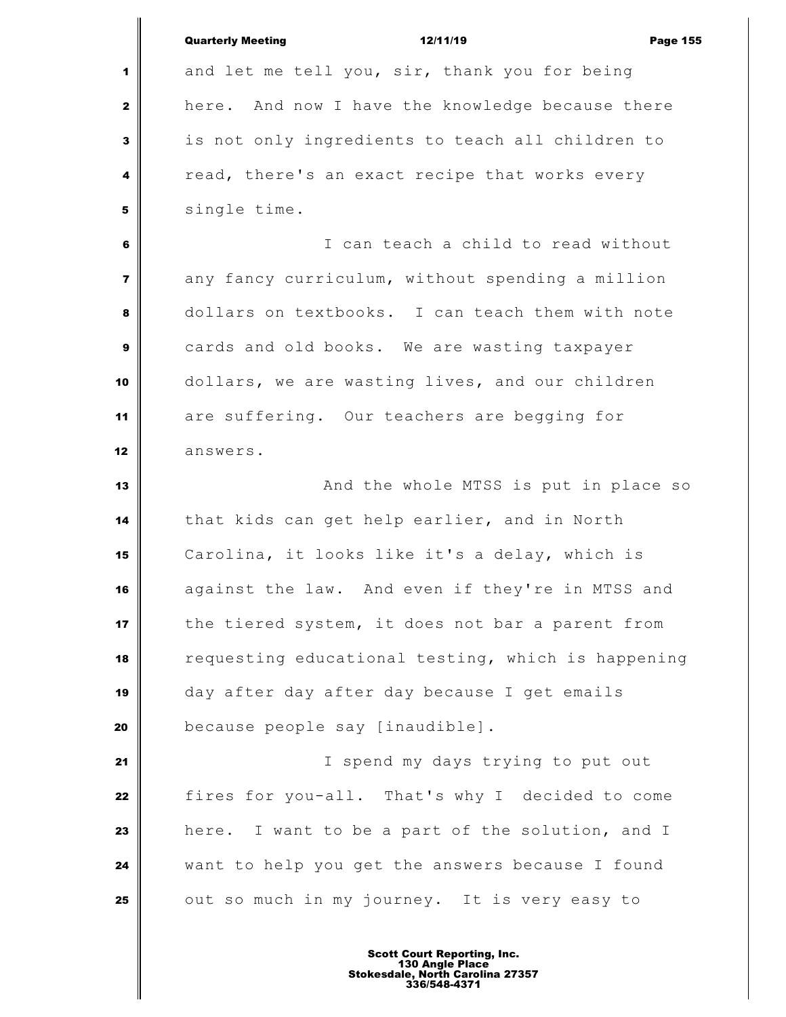| 1                       | and let me tell you, sir, thank you for being      |
|-------------------------|----------------------------------------------------|
| $\mathbf{2}$            | here. And now I have the knowledge because there   |
| 3                       | is not only ingredients to teach all children to   |
| 4                       | read, there's an exact recipe that works every     |
| 5                       | single time.                                       |
| 6                       | I can teach a child to read without                |
| $\overline{\mathbf{z}}$ | any fancy curriculum, without spending a million   |
| 8                       | dollars on textbooks. I can teach them with note   |
| 9                       | cards and old books. We are wasting taxpayer       |
| 10                      | dollars, we are wasting lives, and our children    |
| 11                      | are suffering. Our teachers are begging for        |
| 12                      | answers.                                           |
| 13                      | And the whole MTSS is put in place so              |
| 14                      | that kids can get help earlier, and in North       |
| 15                      | Carolina, it looks like it's a delay, which is     |
| 16                      | against the law. And even if they're in MTSS and   |
| 17                      | the tiered system, it does not bar a parent from   |
| 18                      | requesting educational testing, which is happening |
| 19                      | day after day after day because I get emails       |
| 20                      | because people say [inaudible].                    |
| 21                      | I spend my days trying to put out                  |
| 22                      | fires for you-all. That's why I decided to come    |
| 23                      | here. I want to be a part of the solution, and I   |
| 24                      | want to help you get the answers because I found   |
| 25                      | out so much in my journey. It is very easy to      |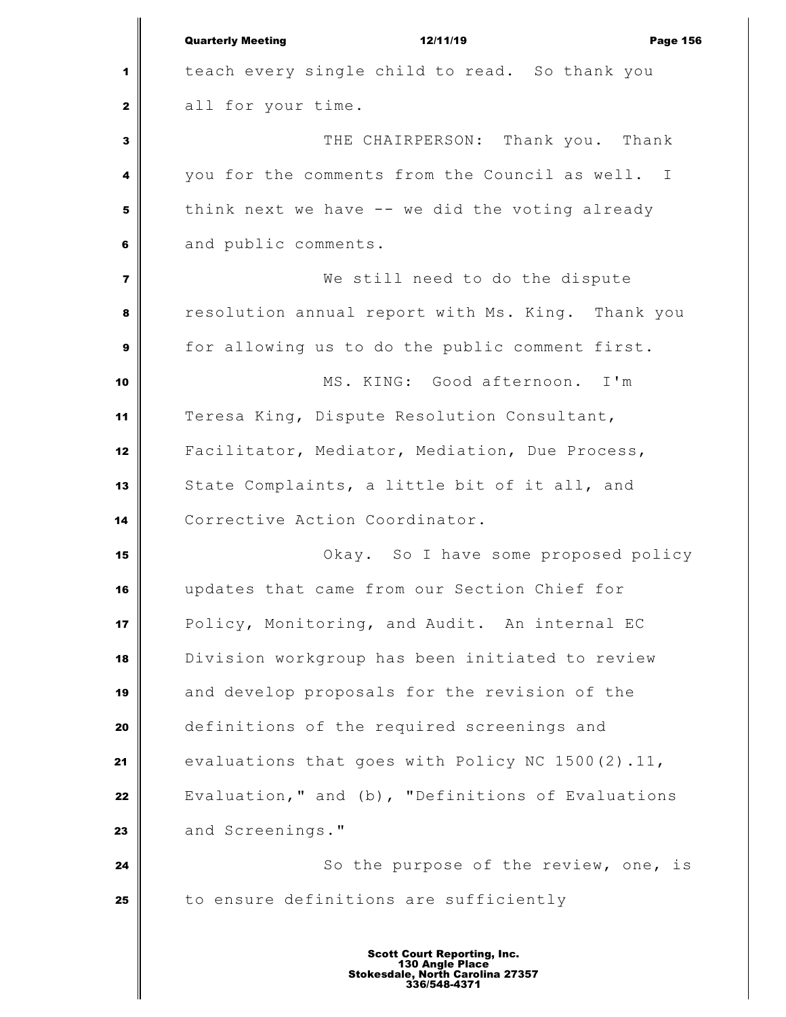|                  | <b>Quarterly Meeting</b><br>12/11/19<br><b>Page 156</b> |
|------------------|---------------------------------------------------------|
| 1                | teach every single child to read. So thank you          |
| $\mathbf{z}$     | all for your time.                                      |
| 3                | THE CHAIRPERSON: Thank you. Thank                       |
| 4                | you for the comments from the Council as well. I        |
| 5                | think next we have -- we did the voting already         |
| 6                | and public comments.                                    |
| $\overline{7}$   | We still need to do the dispute                         |
| 8                | resolution annual report with Ms. King. Thank you       |
| $\boldsymbol{9}$ | for allowing us to do the public comment first.         |
| 10               | MS. KING: Good afternoon. I'm                           |
| 11               | Teresa King, Dispute Resolution Consultant,             |
| 12               | Facilitator, Mediator, Mediation, Due Process,          |
| 13               | State Complaints, a little bit of it all, and           |
| 14               | Corrective Action Coordinator.                          |
| 15               | Okay. So I have some proposed policy                    |
| 16               | updates that came from our Section Chief for            |
| 17               | Policy, Monitoring, and Audit. An internal EC           |
| 18               | Division workgroup has been initiated to review         |
| 19               | and develop proposals for the revision of the           |
| 20               | definitions of the required screenings and              |
| 21               | evaluations that goes with Policy NC 1500(2).11,        |
| 22               | Evaluation," and (b), "Definitions of Evaluations       |
| 23               | and Screenings."                                        |
| 24               | So the purpose of the review, one, is                   |
| 25               | to ensure definitions are sufficiently                  |
|                  |                                                         |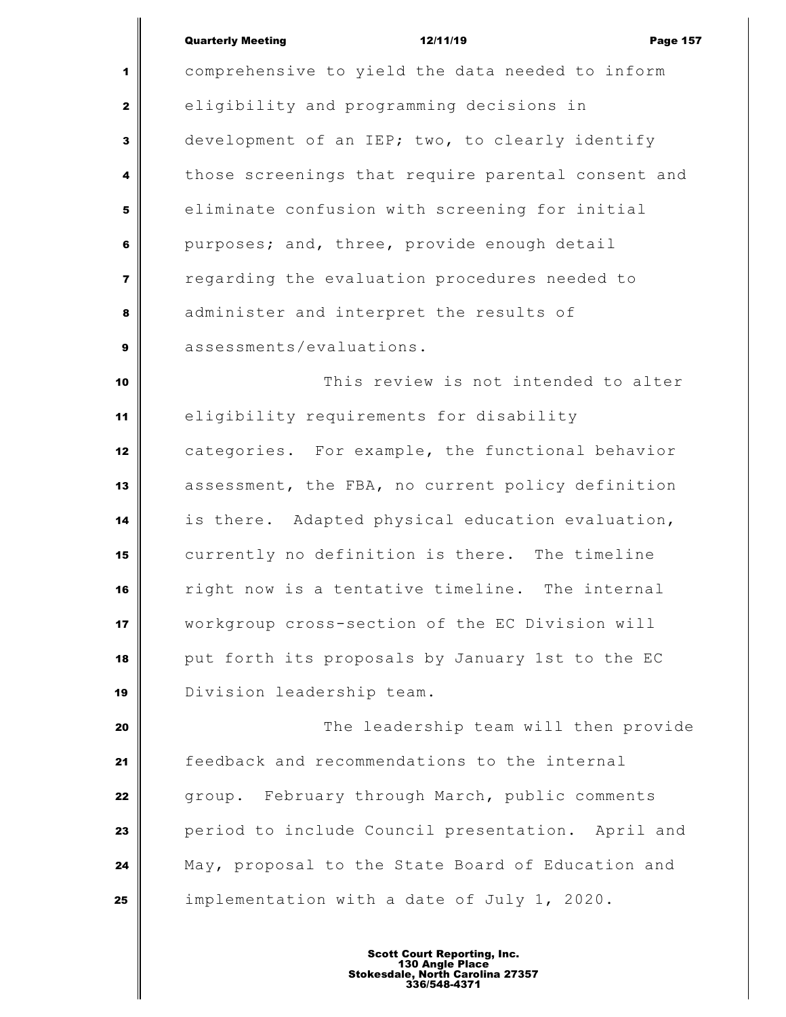## Quarterly Meeting **12/11/19** Page 157

 comprehensive to yield the data needed to inform eligibility and programming decisions in development of an IEP; two, to clearly identify those screenings that require parental consent and eliminate confusion with screening for initial purposes; and, three, provide enough detail regarding the evaluation procedures needed to administer and interpret the results of assessments/evaluations. This review is not intended to alter eligibility requirements for disability categories. For example, the functional behavior assessment, the FBA, no current policy definition is there. Adapted physical education evaluation, currently no definition is there. The timeline right now is a tentative timeline. The internal workgroup cross-section of the EC Division will put forth its proposals by January 1st to the EC Division leadership team. The leadership team will then provide feedback and recommendations to the internal group. February through March, public comments **period to include Council presentation.** April and May, proposal to the State Board of Education and

implementation with a date of July 1, 2020.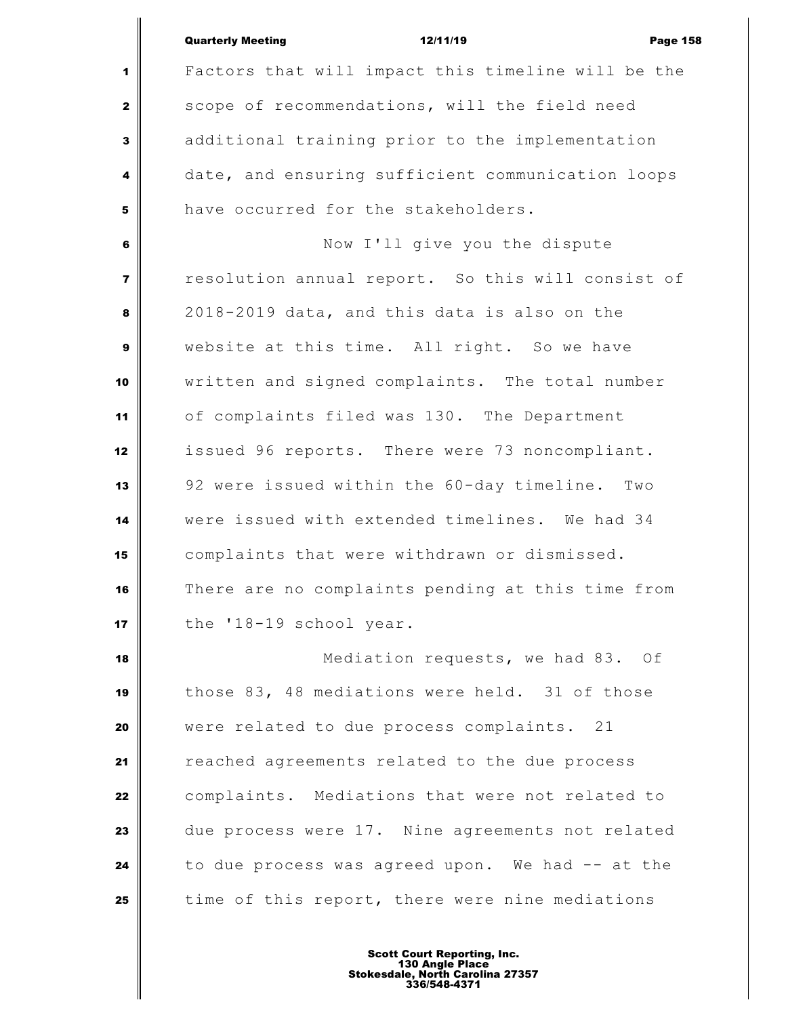|                         | <b>Quarterly Meeting</b><br>12/11/19<br><b>Page 158</b> |
|-------------------------|---------------------------------------------------------|
| 1                       | Factors that will impact this timeline will be the      |
| $\mathbf{2}$            | scope of recommendations, will the field need           |
|                         |                                                         |
| 3                       | additional training prior to the implementation         |
| $\overline{\mathbf{4}}$ | date, and ensuring sufficient communication loops       |
| 5                       | have occurred for the stakeholders.                     |
| 6                       | Now I'll give you the dispute                           |
| $\overline{7}$          | resolution annual report. So this will consist of       |
| 8                       | 2018-2019 data, and this data is also on the            |
| $\mathbf{9}$            | website at this time. All right. So we have             |
| 10                      | written and signed complaints. The total number         |
| 11                      | of complaints filed was 130. The Department             |
| 12                      | issued 96 reports. There were 73 noncompliant.          |
| 13                      | 92 were issued within the 60-day timeline.<br>Two       |
| 14                      | were issued with extended timelines. We had 34          |
| 15                      | complaints that were withdrawn or dismissed.            |
| 16                      | There are no complaints pending at this time from       |
| 17                      | the '18-19 school year.                                 |
| 18                      | Mediation requests, we had 83. Of                       |
| 19                      | those 83, 48 mediations were held. 31 of those          |
| 20                      | were related to due process complaints. 21              |
| 21                      | reached agreements related to the due process           |
| 22                      | complaints. Mediations that were not related to         |
| 23                      | due process were 17. Nine agreements not related        |
| 24                      | to due process was agreed upon. We had -- at the        |
| 25                      | time of this report, there were nine mediations         |
|                         |                                                         |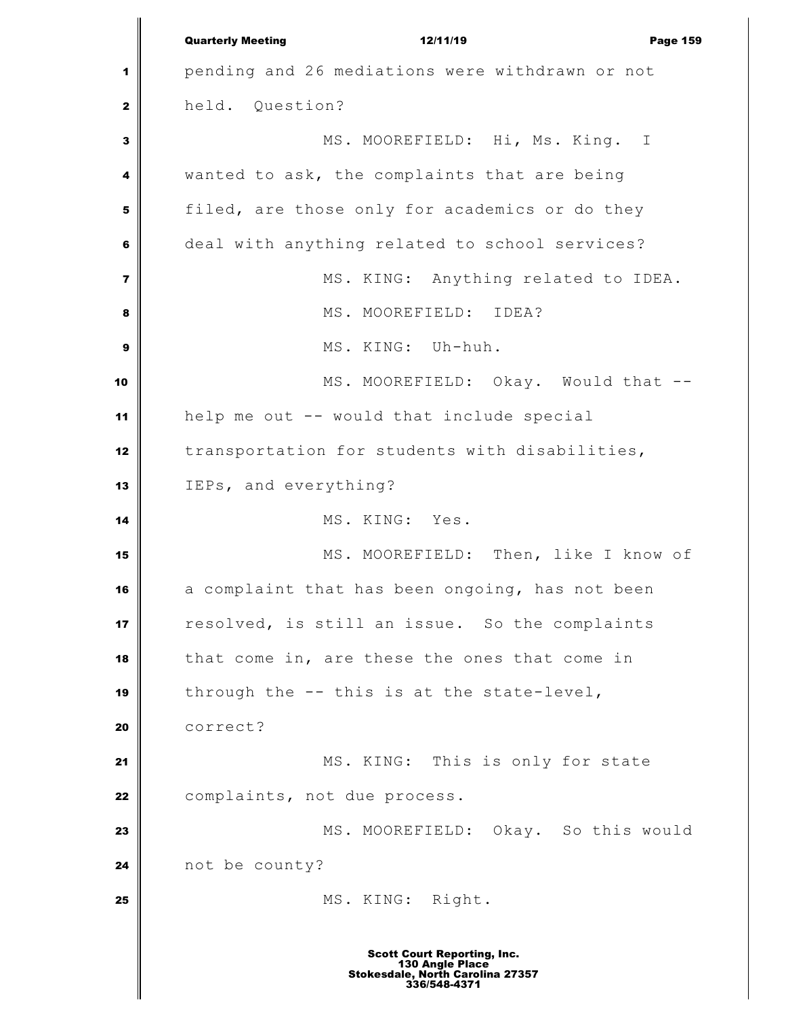|                         | <b>Quarterly Meeting</b><br>12/11/19<br><b>Page 159</b>             |
|-------------------------|---------------------------------------------------------------------|
| 1                       | pending and 26 mediations were withdrawn or not                     |
| $\mathbf{2}$            | held. Question?                                                     |
| 3                       | MS. MOOREFIELD: Hi, Ms. King. I                                     |
| 4                       | wanted to ask, the complaints that are being                        |
| 5                       | filed, are those only for academics or do they                      |
| 6                       | deal with anything related to school services?                      |
| $\overline{\mathbf{z}}$ | MS. KING: Anything related to IDEA.                                 |
| 8                       | MS. MOOREFIELD: IDEA?                                               |
| 9                       | MS. KING: Uh-huh.                                                   |
| 10                      | MS. MOOREFIELD: Okay. Would that --                                 |
| 11                      | help me out -- would that include special                           |
| 12                      | transportation for students with disabilities,                      |
| 13                      | IEPs, and everything?                                               |
| 14                      | MS. KING: Yes.                                                      |
| 15                      | MS. MOOREFIELD: Then, like I know of                                |
| 16                      | a complaint that has been ongoing, has not been                     |
| 17                      | resolved, is still an issue. So the complaints                      |
| 18                      | that come in, are these the ones that come in                       |
| 19                      | through the -- this is at the state-level,                          |
| 20                      | correct?                                                            |
| 21                      | MS. KING: This is only for state                                    |
| 22                      | complaints, not due process.                                        |
| 23                      | MS. MOOREFIELD: Okay. So this would                                 |
| 24                      | not be county?                                                      |
| 25                      | MS. KING: Right.                                                    |
|                         | <b>Scott Court Reporting, Inc.</b>                                  |
|                         | 130 Angle Place<br>Stokesdale, North Carolina 27357<br>336/548-4371 |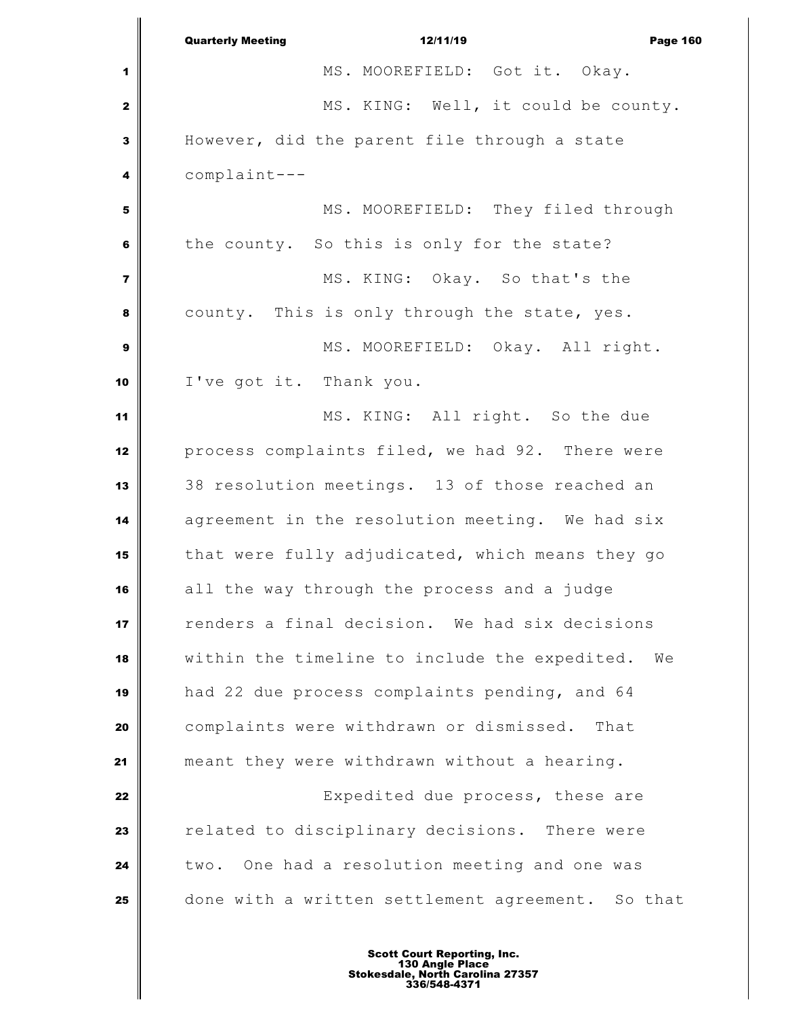|                | <b>Quarterly Meeting</b><br>12/11/19<br><b>Page 160</b> |
|----------------|---------------------------------------------------------|
| 1              | MS. MOOREFIELD: Got it. Okay.                           |
| 2              | MS. KING: Well, it could be county.                     |
| 3              | However, did the parent file through a state            |
| 4              | complaint---                                            |
| 5              | MS. MOOREFIELD: They filed through                      |
| 6              | the county. So this is only for the state?              |
| $\overline{7}$ | MS. KING: Okay. So that's the                           |
| 8              | county. This is only through the state, yes.            |
| 9              | MS. MOOREFIELD: Okay. All right.                        |
| 10             | I've got it. Thank you.                                 |
| 11             | MS. KING: All right. So the due                         |
| 12             | process complaints filed, we had 92. There were         |
| 13             | 38 resolution meetings. 13 of those reached an          |
| 14             | agreement in the resolution meeting. We had six         |
| 15             | that were fully adjudicated, which means they go        |
| 16             | all the way through the process and a judge             |
| 17             | renders a final decision. We had six decisions          |
| 18             | within the timeline to include the expedited.<br>We     |
| 19             | had 22 due process complaints pending, and 64           |
| 20             | complaints were withdrawn or dismissed.<br>That         |
| 21             | meant they were withdrawn without a hearing.            |
| 22             | Expedited due process, these are                        |
| 23             | related to disciplinary decisions. There were           |
| 24             | two. One had a resolution meeting and one was           |
| 25             | done with a written settlement agreement. So that       |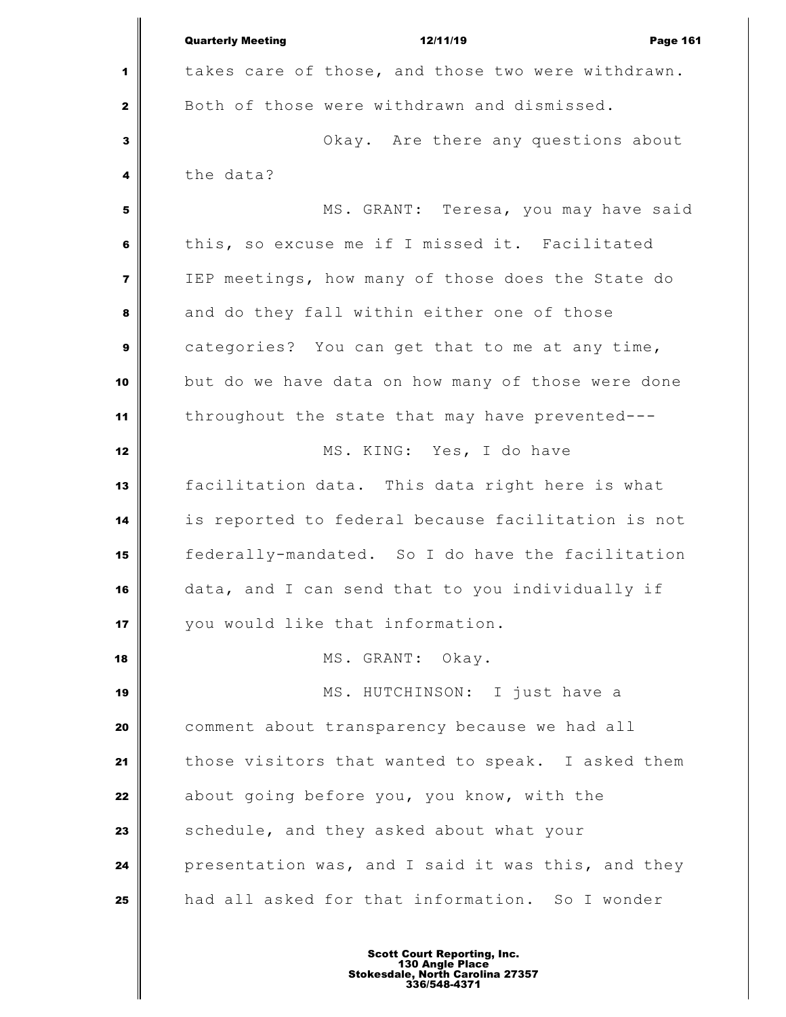|                         | <b>Quarterly Meeting</b><br>12/11/19<br><b>Page 161</b> |
|-------------------------|---------------------------------------------------------|
| 1                       | takes care of those, and those two were withdrawn.      |
| $\mathbf{2}$            | Both of those were withdrawn and dismissed.             |
| $\overline{\mathbf{3}}$ | Okay. Are there any questions about                     |
| 4                       | the data?                                               |
| 5                       | MS. GRANT: Teresa, you may have said                    |
| 6                       | this, so excuse me if I missed it. Facilitated          |
| $\overline{7}$          | IEP meetings, how many of those does the State do       |
| 8                       | and do they fall within either one of those             |
| $\mathbf{9}$            | categories? You can get that to me at any time,         |
| 10                      | but do we have data on how many of those were done      |
| 11                      | throughout the state that may have prevented---         |
| 12                      | MS. KING: Yes, I do have                                |
| 13                      | facilitation data. This data right here is what         |
| 14                      | is reported to federal because facilitation is not      |
| 15                      | federally-mandated. So I do have the facilitation       |
| 16                      | data, and I can send that to you individually if        |
| 17                      | you would like that information.                        |
| 18                      | MS. GRANT: Okay.                                        |
| 19                      | MS. HUTCHINSON: I just have a                           |
| 20                      | comment about transparency because we had all           |
| 21                      | those visitors that wanted to speak. I asked them       |
| 22                      | about going before you, you know, with the              |
| 23                      | schedule, and they asked about what your                |
| 24                      | presentation was, and I said it was this, and they      |
| 25                      | had all asked for that information. So I wonder         |
|                         |                                                         |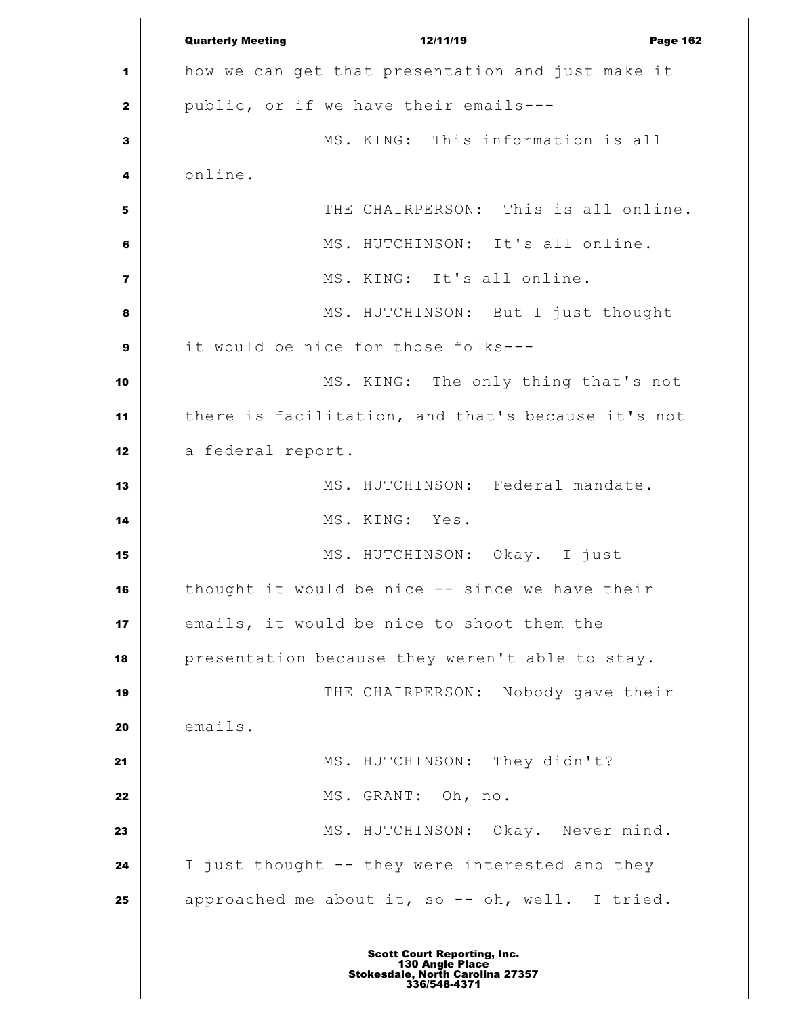Quarterly Meeting **12/11/19** Page 162 how we can get that presentation and just make it public, or if we have their emails--- MS. KING: This information is all online. THE CHAIRPERSON: This is all online. | MS. HUTCHINSON: It's all online. MS. KING: It's all online. MS. HUTCHINSON: But I just thought it would be nice for those folks--- MS. KING: The only thing that's not there is facilitation, and that's because it's not 12 | a federal report. 13 || MS. HUTCHINSON: Federal mandate. MS. KING: Yes. MS. HUTCHINSON: Okay. I just thought it would be nice -- since we have their emails, it would be nice to shoot them the presentation because they weren't able to stay. THE CHAIRPERSON: Nobody gave their 20 emails. MS. HUTCHINSON: They didn't? MS. GRANT: Oh, no. MS. HUTCHINSON: Okay. Never mind. I just thought -- they were interested and they approached me about it, so -- oh, well. I tried.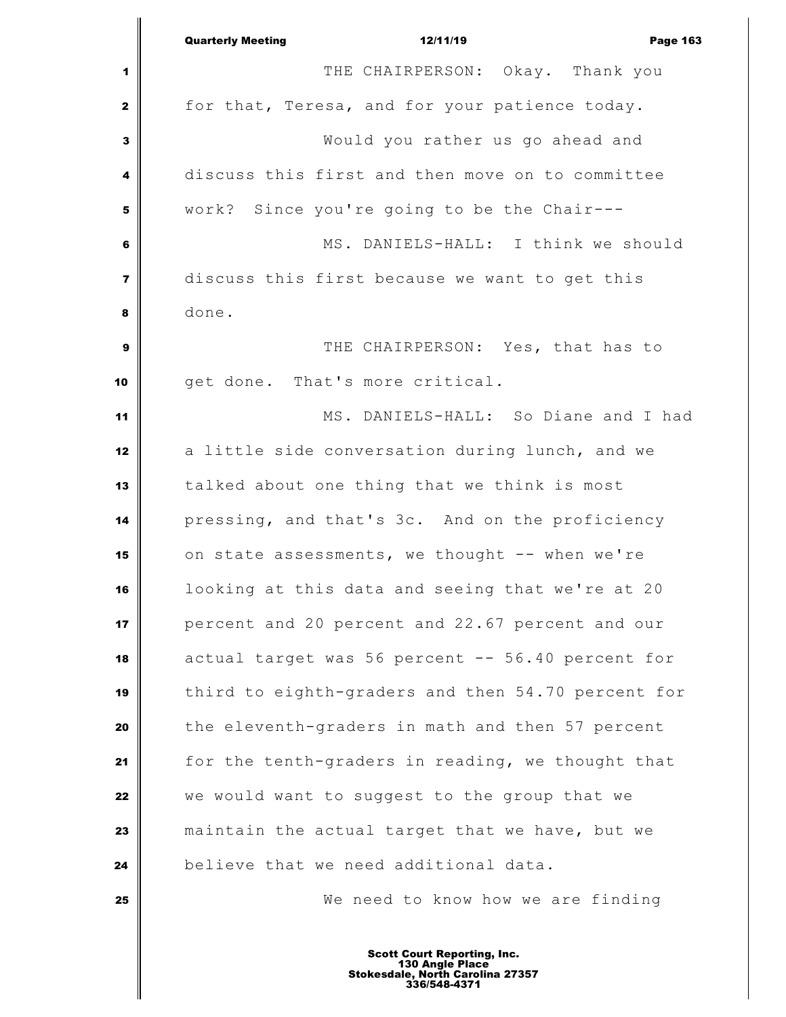|                         | <b>Quarterly Meeting</b><br>12/11/19<br><b>Page 163</b> |
|-------------------------|---------------------------------------------------------|
| 1                       | THE CHAIRPERSON: Okay. Thank you                        |
| $\mathbf 2$             | for that, Teresa, and for your patience today.          |
| $\mathbf 3$             | Would you rather us go ahead and                        |
| 4                       | discuss this first and then move on to committee        |
| 5                       | work? Since you're going to be the Chair---             |
| 6                       | MS. DANIELS-HALL: I think we should                     |
| $\overline{\mathbf{z}}$ | discuss this first because we want to get this          |
| 8                       | done.                                                   |
| $\boldsymbol{9}$        | THE CHAIRPERSON: Yes, that has to                       |
| 10                      | get done. That's more critical.                         |
| 11                      | MS. DANIELS-HALL: So Diane and I had                    |
| 12                      | a little side conversation during lunch, and we         |
| 13                      | talked about one thing that we think is most            |
| 14                      | pressing, and that's 3c. And on the proficiency         |
| 15                      | on state assessments, we thought -- when we're          |
| 16                      | looking at this data and seeing that we're at 20        |
| 17                      | percent and 20 percent and 22.67 percent and our        |
| 18                      | actual target was 56 percent -- 56.40 percent for       |
| 19                      | third to eighth-graders and then 54.70 percent for      |
| 20                      | the eleventh-graders in math and then 57 percent        |
| 21                      | for the tenth-graders in reading, we thought that       |
| 22                      | we would want to suggest to the group that we           |
| 23                      | maintain the actual target that we have, but we         |
| 24                      | believe that we need additional data.                   |
| 25                      | We need to know how we are finding                      |
|                         |                                                         |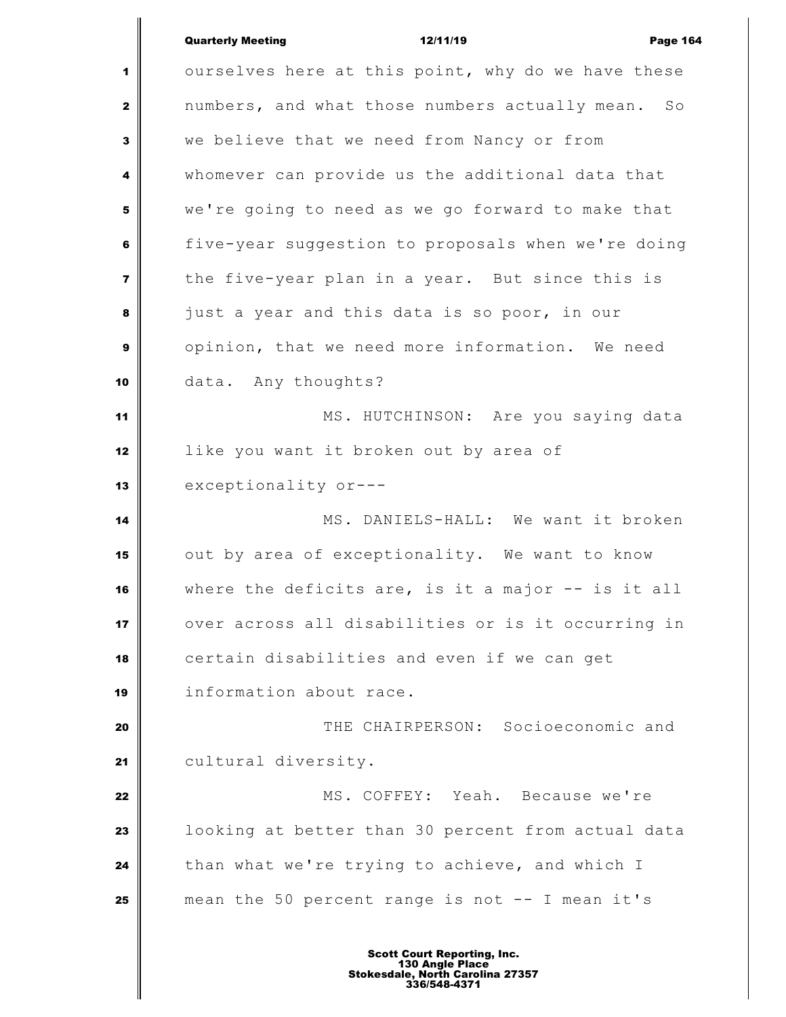|                         | <b>Quarterly Meeting</b><br>12/11/19<br><b>Page 164</b> |
|-------------------------|---------------------------------------------------------|
| 1                       | ourselves here at this point, why do we have these      |
| $\mathbf{2}$            | numbers, and what those numbers actually mean.<br>SO    |
| $\mathbf{3}$            | we believe that we need from Nancy or from              |
| 4                       | whomever can provide us the additional data that        |
| 5                       | we're going to need as we go forward to make that       |
| 6                       | five-year suggestion to proposals when we're doing      |
| $\overline{\mathbf{z}}$ | the five-year plan in a year. But since this is         |
| 8                       | just a year and this data is so poor, in our            |
| 9                       | opinion, that we need more information. We need         |
| 10                      | data. Any thoughts?                                     |
| 11                      | MS. HUTCHINSON: Are you saying data                     |
| 12                      | like you want it broken out by area of                  |
| 13                      | exceptionality or---                                    |
| 14                      | MS. DANIELS-HALL: We want it broken                     |
| 15                      | out by area of exceptionality. We want to know          |
| 16                      | where the deficits are, is it a major $-$ is it all     |
| 17                      | over across all disabilities or is it occurring in      |
| 18                      | certain disabilities and even if we can get             |
| 19                      | information about race.                                 |
| 20                      | THE CHAIRPERSON: Socioeconomic and                      |
| 21                      | cultural diversity.                                     |
| 22                      | MS. COFFEY: Yeah. Because we're                         |
| 23                      | looking at better than 30 percent from actual data      |
| 24                      | than what we're trying to achieve, and which I          |
| 25                      | mean the 50 percent range is not -- I mean it's         |
|                         | <b>Scott Court Reporting, Inc.</b><br>130 Angle Place   |

I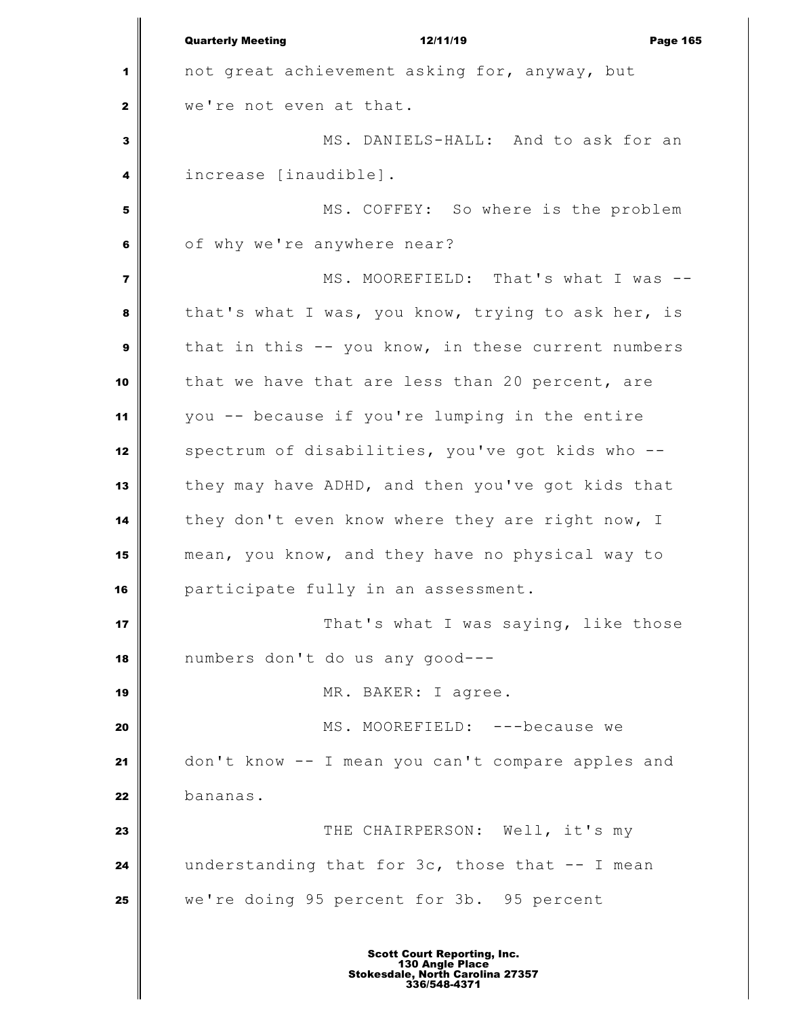Quarterly Meeting **12/11/19** Page 165 not great achievement asking for, anyway, but we're not even at that. MS. DANIELS-HALL: And to ask for an increase [inaudible]. MS. COFFEY: So where is the problem of why we're anywhere near? MS. MOOREFIELD: That's what I was -- that's what I was, you know, trying to ask her, is that in this -- you know, in these current numbers that we have that are less than 20 percent, are you -- because if you're lumping in the entire spectrum of disabilities, you've got kids who -- they may have ADHD, and then you've got kids that they don't even know where they are right now, I mean, you know, and they have no physical way to participate fully in an assessment. **That's what I was saying, like those**  numbers don't do us any good--- MR. BAKER: I agree. MS. MOOREFIELD: ---because we don't know -- I mean you can't compare apples and bananas. **THE CHAIRPERSON:** Well, it's my understanding that for 3c, those that -- I mean we're doing 95 percent for 3b. 95 percent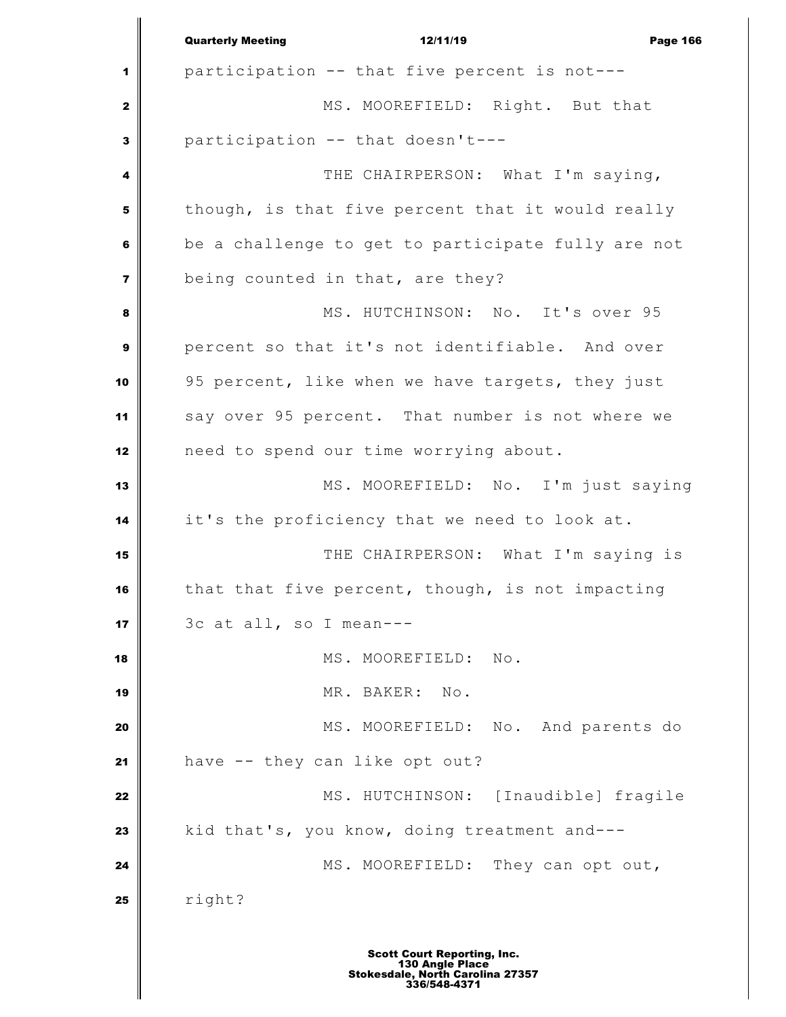|                         | <b>Quarterly Meeting</b><br>12/11/19<br><b>Page 166</b> |
|-------------------------|---------------------------------------------------------|
| 1                       | participation -- that five percent is not---            |
| $\mathbf{z}$            | MS. MOOREFIELD: Right. But that                         |
| 3                       | participation -- that doesn't---                        |
| 4                       | THE CHAIRPERSON: What I'm saying,                       |
| 5                       | though, is that five percent that it would really       |
| 6                       | be a challenge to get to participate fully are not      |
| $\overline{\mathbf{z}}$ | being counted in that, are they?                        |
| 8                       | MS. HUTCHINSON: No. It's over 95                        |
| $\mathbf{9}$            | percent so that it's not identifiable. And over         |
| 10                      | 95 percent, like when we have targets, they just        |
| 11                      | say over 95 percent. That number is not where we        |
| 12                      | need to spend our time worrying about.                  |
| 13                      | MS. MOOREFIELD: No. I'm just saying                     |
| 14                      | it's the proficiency that we need to look at.           |
| 15                      | THE CHAIRPERSON: What I'm saying is                     |
| 16                      | that that five percent, though, is not impacting        |
| 17                      | 3c at all, so I mean---                                 |
| 18                      | MS. MOOREFIELD:<br>$\mathbb{N} \circ$ .                 |
| 19                      | MR. BAKER:<br>$\mathop{\rm No}\nolimits$ .              |
| 20                      | MS. MOOREFIELD: No. And parents do                      |
| 21                      | have -- they can like opt out?                          |
| 22                      | MS. HUTCHINSON: [Inaudible] fragile                     |
| 23                      | kid that's, you know, doing treatment and---            |
| 24                      | MS. MOOREFIELD: They can opt out,                       |
| 25                      | right?                                                  |
|                         |                                                         |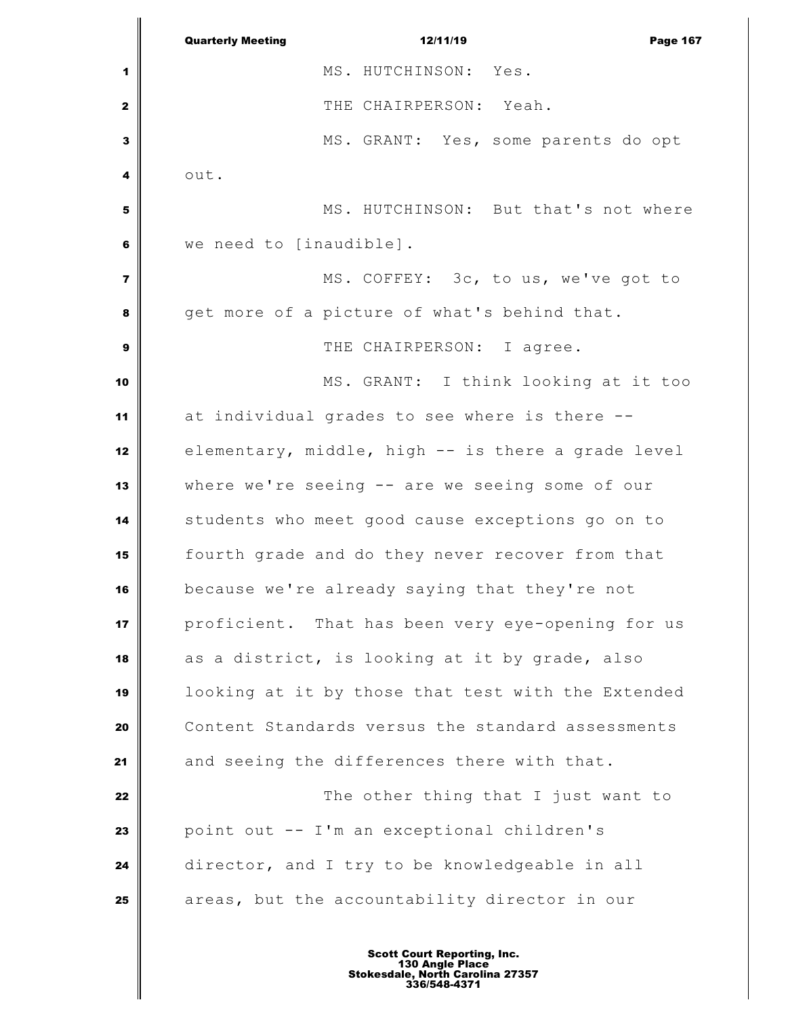Quarterly Meeting **12/11/19** Page 167 MS. HUTCHINSON: Yes. THE CHAIRPERSON: Yeah. MS. GRANT: Yes, some parents do opt out. MS. HUTCHINSON: But that's not where we need to [inaudible].  $\parallel$  MS. COFFEY: 3c, to us, we've got to get more of a picture of what's behind that.  $\parallel$  THE CHAIRPERSON: I agree. MS. GRANT: I think looking at it too at individual grades to see where is there -- elementary, middle, high -- is there a grade level where we're seeing -- are we seeing some of our students who meet good cause exceptions go on to fourth grade and do they never recover from that because we're already saying that they're not proficient. That has been very eye-opening for us as a district, is looking at it by grade, also looking at it by those that test with the Extended Content Standards versus the standard assessments 21 and seeing the differences there with that. **The other thing that I just want to**  point out -- I'm an exceptional children's director, and I try to be knowledgeable in all areas, but the accountability director in our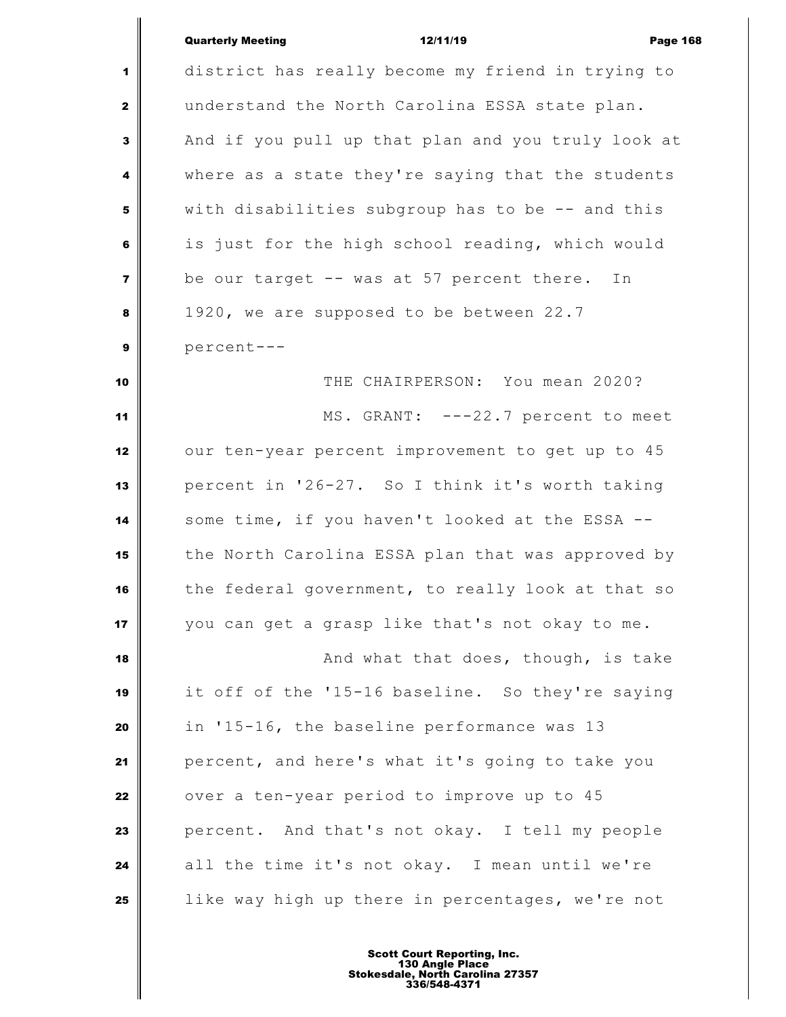| <b>Quarterly Meeting</b> |  |
|--------------------------|--|
|                          |  |

Quarterly Meeting 12/11/19 Page 168 district has really become my friend in trying to understand the North Carolina ESSA state plan. And if you pull up that plan and you truly look at where as a state they're saying that the students with disabilities subgroup has to be -- and this is just for the high school reading, which would be our target -- was at 57 percent there. In 1920, we are supposed to be between 22.7 percent--- THE CHAIRPERSON: You mean 2020? MS. GRANT: ---22.7 percent to meet our ten-year percent improvement to get up to 45 percent in '26-27. So I think it's worth taking some time, if you haven't looked at the ESSA -- the North Carolina ESSA plan that was approved by the federal government, to really look at that so you can get a grasp like that's not okay to me. **And what that does, though, is take**  it off of the '15-16 baseline. So they're saying in '15-16, the baseline performance was 13 percent, and here's what it's going to take you over a ten-year period to improve up to 45 percent. And that's not okay. I tell my people all the time it's not okay. I mean until we're like way high up there in percentages, we're not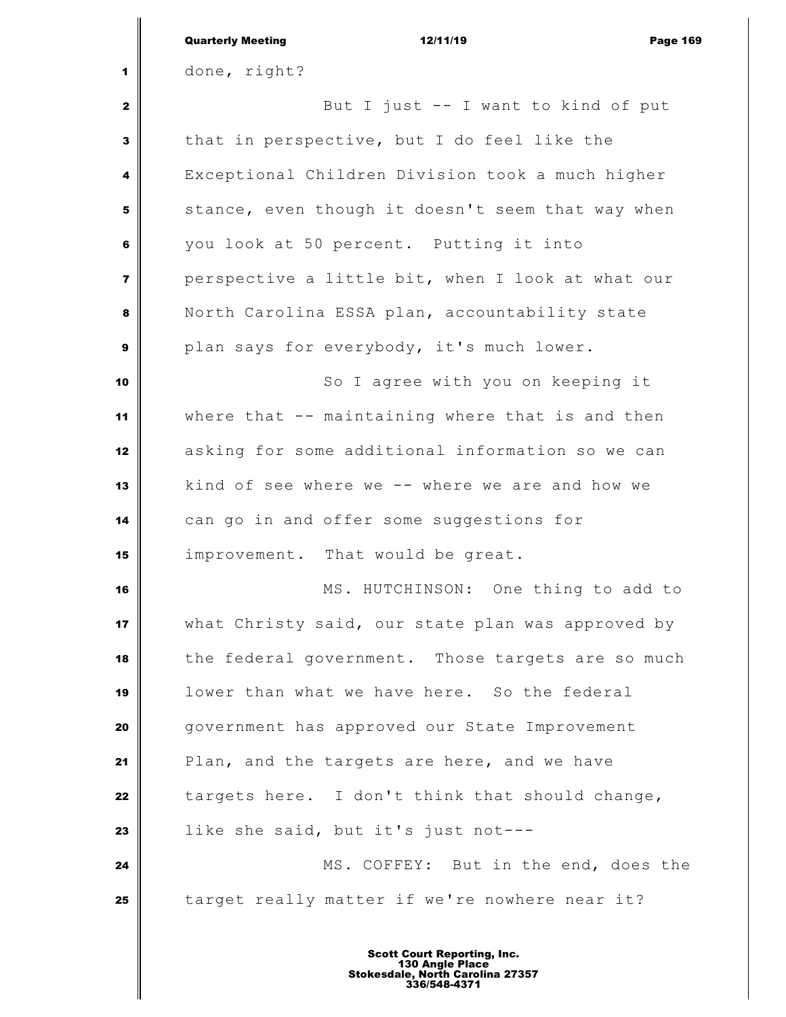|                         | <b>Quarterly Meeting</b><br>12/11/19<br><b>Page 169</b> |
|-------------------------|---------------------------------------------------------|
| 1                       | done, right?                                            |
| $\mathbf{z}$            | But I just -- I want to kind of put                     |
| 3                       | that in perspective, but I do feel like the             |
| 4                       | Exceptional Children Division took a much higher        |
| 5                       | stance, even though it doesn't seem that way when       |
| 6                       | you look at 50 percent. Putting it into                 |
| $\overline{\mathbf{z}}$ | perspective a little bit, when I look at what our       |
| 8                       | North Carolina ESSA plan, accountability state          |
| $\mathbf{9}$            | plan says for everybody, it's much lower.               |
| 10                      | So I agree with you on keeping it                       |
| 11                      | where that -- maintaining where that is and then        |
| 12                      | asking for some additional information so we can        |
| 13                      | kind of see where we -- where we are and how we         |
| 14                      | can go in and offer some suggestions for                |
| 15                      | improvement. That would be great.                       |
| 16                      | MS. HUTCHINSON: One thing to add to                     |
| 17                      | what Christy said, our state plan was approved by       |
| 18                      | the federal government. Those targets are so much       |
| 19                      | lower than what we have here. So the federal            |
| 20                      | government has approved our State Improvement           |
| 21                      | Plan, and the targets are here, and we have             |
| 22                      | targets here. I don't think that should change,         |
| 23                      | like she said, but it's just not---                     |
| 24                      | MS. COFFEY: But in the end, does the                    |
| 25                      | target really matter if we're nowhere near it?          |
|                         |                                                         |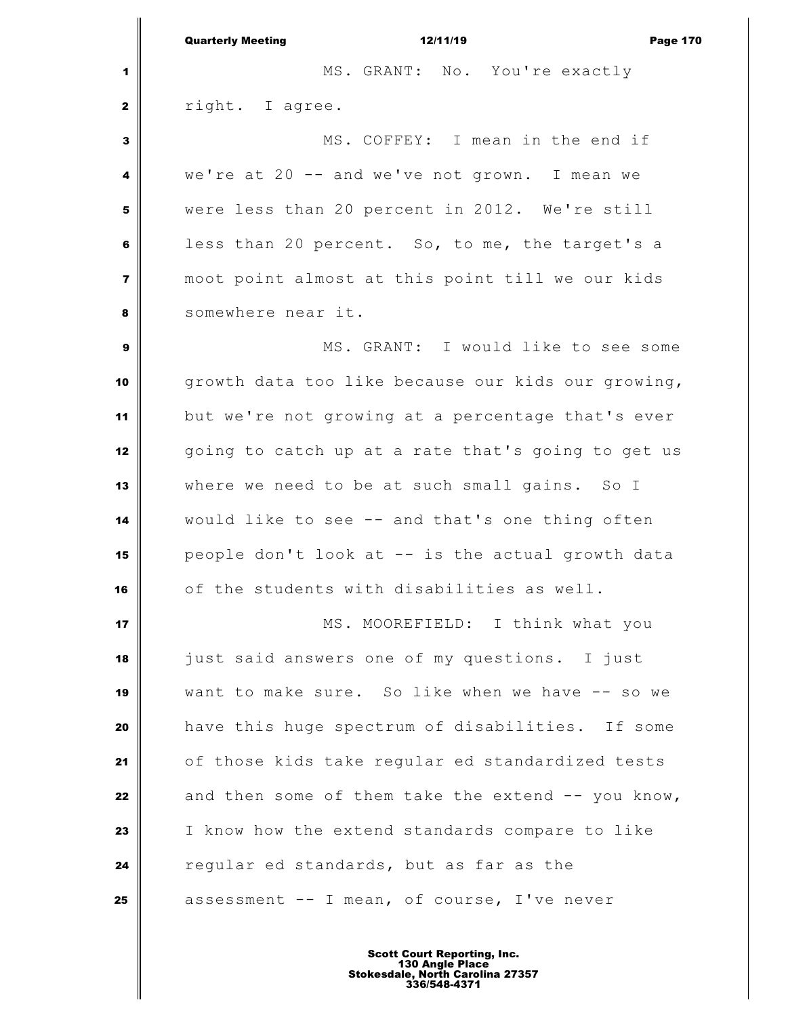Quarterly Meeting 12/11/19 Page 170 MS. GRANT: No. You're exactly **d** right. I agree. MS. COFFEY: I mean in the end if we're at 20 -- and we've not grown. I mean we were less than 20 percent in 2012. We're still less than 20 percent. So, to me, the target's a moot point almost at this point till we our kids Somewhere near it. MS. GRANT: I would like to see some growth data too like because our kids our growing, but we're not growing at a percentage that's ever going to catch up at a rate that's going to get us where we need to be at such small gains. So I would like to see -- and that's one thing often people don't look at -- is the actual growth data of the students with disabilities as well. MS. MOOREFIELD: I think what you just said answers one of my questions. I just want to make sure. So like when we have -- so we have this huge spectrum of disabilities. If some of those kids take regular ed standardized tests and then some of them take the extend -- you know, I know how the extend standards compare to like regular ed standards, but as far as the assessment -- I mean, of course, I've never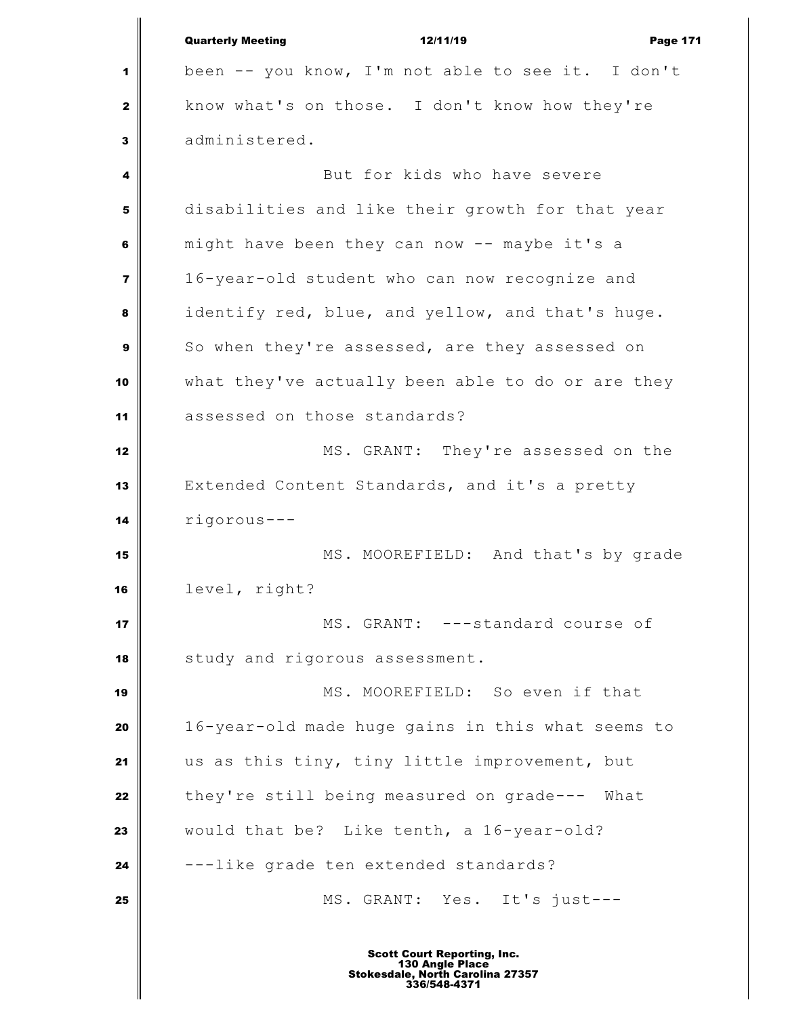|                         | <b>Quarterly Meeting</b><br>12/11/19<br><b>Page 171</b> |
|-------------------------|---------------------------------------------------------|
| 1                       | been -- you know, I'm not able to see it. I don't       |
| 2                       | know what's on those. I don't know how they're          |
| 3                       | administered.                                           |
| 4                       | But for kids who have severe                            |
| 5                       | disabilities and like their growth for that year        |
| 6                       | might have been they can now -- maybe it's a            |
| $\overline{\mathbf{z}}$ | 16-year-old student who can now recognize and           |
| 8                       | identify red, blue, and yellow, and that's huge.        |
| 9                       | So when they're assessed, are they assessed on          |
| 10                      | what they've actually been able to do or are they       |
| 11                      | assessed on those standards?                            |
| 12                      | MS. GRANT: They're assessed on the                      |
| 13                      | Extended Content Standards, and it's a pretty           |
| 14                      | rigorous---                                             |
| 15                      | MS. MOOREFIELD: And that's by grade                     |
| 16                      | level, right?                                           |
| 17                      | MS. GRANT: ---standard course of                        |
| 18                      | study and rigorous assessment.                          |
| 19                      | MS. MOOREFIELD: So even if that                         |
| 20                      | 16-year-old made huge gains in this what seems to       |
| 21                      | us as this tiny, tiny little improvement, but           |
| 22                      | they're still being measured on grade--- What           |
| 23                      | would that be? Like tenth, a 16-year-old?               |
| 24                      | ---like grade ten extended standards?                   |
| 25                      | MS. GRANT: Yes. It's just---                            |
|                         |                                                         |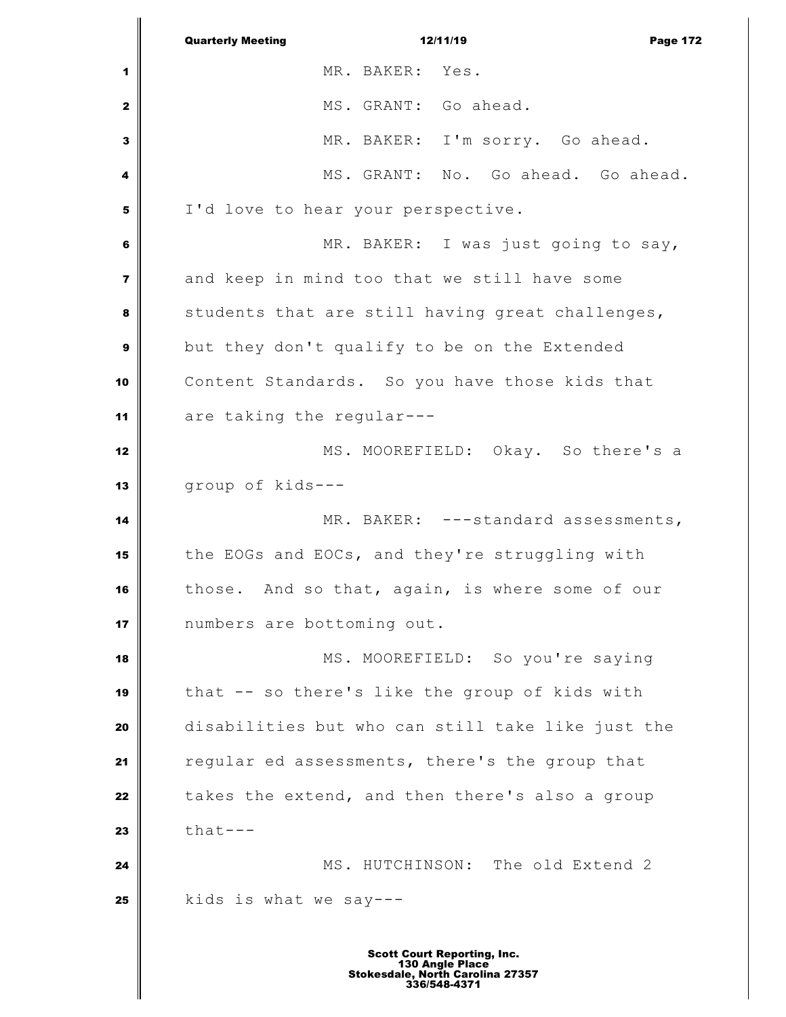Quarterly Meeting **12/11/19** Page 172 MR. BAKER: Yes. MS. GRANT: Go ahead. MR. BAKER: I'm sorry. Go ahead. MS. GRANT: No. Go ahead. Go ahead. I'd love to hear your perspective. MR. BAKER: I was just going to say, and keep in mind too that we still have some students that are still having great challenges, but they don't qualify to be on the Extended Content Standards. So you have those kids that are taking the regular--- MS. MOOREFIELD: Okay. So there's a group of kids--- MR. BAKER: ---standard assessments, the EOGs and EOCs, and they're struggling with those. And so that, again, is where some of our numbers are bottoming out. MS. MOOREFIELD: So you're saying that -- so there's like the group of kids with disabilities but who can still take like just the regular ed assessments, there's the group that takes the extend, and then there's also a group  $\parallel$  that--- **M**S. HUTCHINSON: The old Extend 2 **kids** is what we say---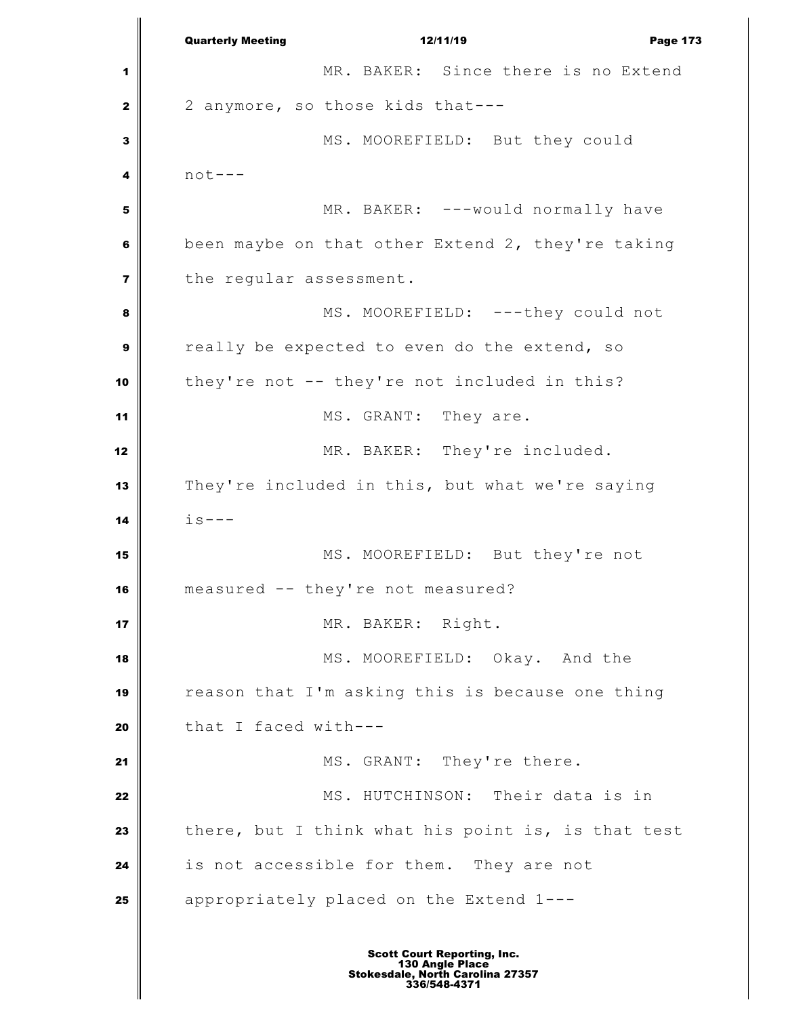Quarterly Meeting **12/11/19 Page 173**  MR. BAKER: Since there is no Extend 2 anymore, so those kids that--- MS. MOOREFIELD: But they could not--- MR. BAKER: ---would normally have been maybe on that other Extend 2, they're taking the regular assessment. MS. MOOREFIELD: ---they could not really be expected to even do the extend, so they're not -- they're not included in this? MS. GRANT: They are. MR. BAKER: They're included. They're included in this, but what we're saying  $\mathbf{i} s ---$  MS. MOOREFIELD: But they're not measured -- they're not measured? MR. BAKER: Right. MS. MOOREFIELD: Okay. And the reason that I'm asking this is because one thing that I faced with--- MS. GRANT: They're there. MS. HUTCHINSON: Their data is in there, but I think what his point is, is that test is not accessible for them. They are not appropriately placed on the Extend 1---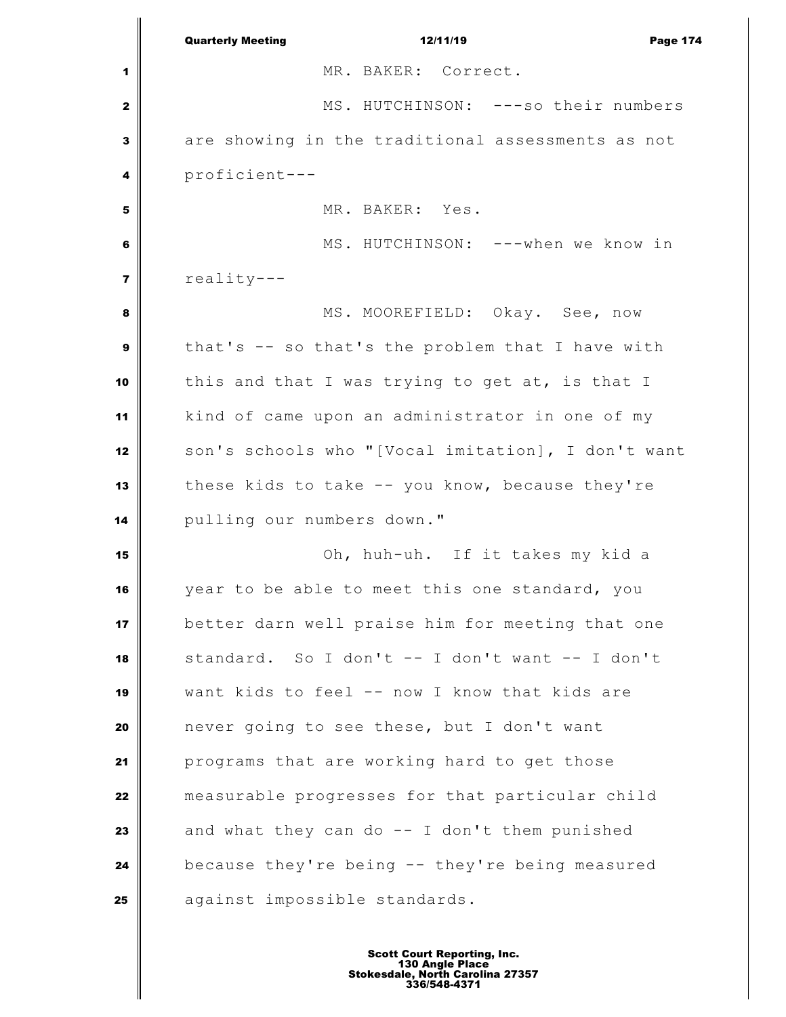|                         | <b>Quarterly Meeting</b><br>12/11/19<br><b>Page 174</b> |
|-------------------------|---------------------------------------------------------|
| 1                       | MR. BAKER: Correct.                                     |
| 2                       | MS. HUTCHINSON: ---so their numbers                     |
| 3                       | are showing in the traditional assessments as not       |
| 4                       | proficient---                                           |
| 5                       | MR. BAKER: Yes.                                         |
| 6                       | MS. HUTCHINSON: ---when we know in                      |
| $\overline{\mathbf{z}}$ | reality---                                              |
| 8                       | MS. MOOREFIELD: Okay. See, now                          |
| 9                       | that's -- so that's the problem that I have with        |
| 10                      | this and that I was trying to get at, is that I         |
| 11                      | kind of came upon an administrator in one of my         |
| 12                      | son's schools who "[Vocal imitation], I don't want      |
| 13                      | these kids to take -- you know, because they're         |
| 14                      | pulling our numbers down."                              |
| 15                      | Oh, huh-uh. If it takes my kid a                        |
| 16                      | year to be able to meet this one standard, you          |
| 17                      | better darn well praise him for meeting that one        |
| 18                      | standard. So I don't -- I don't want -- I don't         |
| 19                      | want kids to feel -- now I know that kids are           |
| 20                      | never going to see these, but I don't want              |
| 21                      | programs that are working hard to get those             |
| 22                      | measurable progresses for that particular child         |
| 23                      | and what they can do -- I don't them punished           |
| 24                      | because they're being -- they're being measured         |
| 25                      | against impossible standards.                           |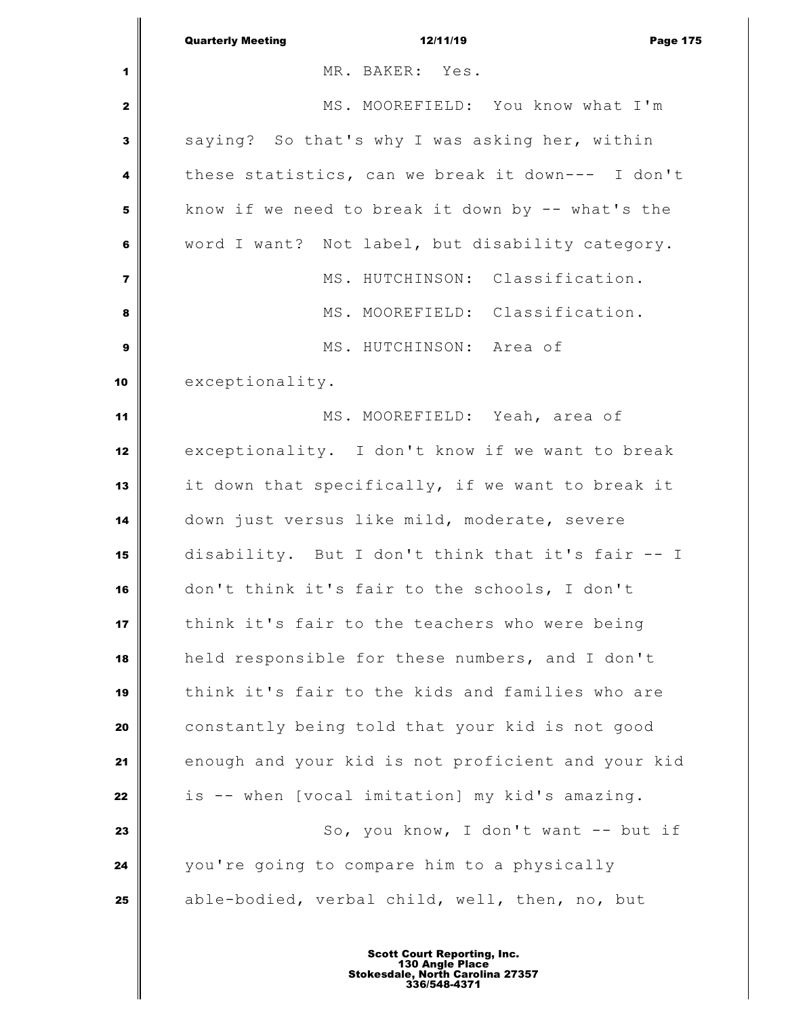|                         | <b>Quarterly Meeting</b><br>12/11/19<br><b>Page 175</b> |
|-------------------------|---------------------------------------------------------|
| 1                       | MR. BAKER: Yes.                                         |
| $\mathbf{z}$            | MS. MOOREFIELD: You know what I'm                       |
| 3                       | saying? So that's why I was asking her, within          |
| 4                       | these statistics, can we break it down--- I don't       |
| 5                       | know if we need to break it down by -- what's the       |
| 6                       | word I want? Not label, but disability category.        |
| $\overline{\mathbf{z}}$ | MS. HUTCHINSON: Classification.                         |
| 8                       | MS. MOOREFIELD: Classification.                         |
| 9                       | MS. HUTCHINSON: Area of                                 |
| 10                      | exceptionality.                                         |
| 11                      | MS. MOOREFIELD: Yeah, area of                           |
| 12                      | exceptionality. I don't know if we want to break        |
| 13                      | it down that specifically, if we want to break it       |
| 14                      | down just versus like mild, moderate, severe            |
| 15                      | disability. But I don't think that it's fair -- I       |
| 16                      | don't think it's fair to the schools, I don't           |
| 17                      | think it's fair to the teachers who were being          |
| 18                      | held responsible for these numbers, and I don't         |
| 19                      | think it's fair to the kids and families who are        |
| 20                      | constantly being told that your kid is not good         |
| 21                      | enough and your kid is not proficient and your kid      |
| 22                      | is -- when [vocal imitation] my kid's amazing.          |
| 23                      | So, you know, I don't want -- but if                    |
| 24                      | you're going to compare him to a physically             |
| 25                      | able-bodied, verbal child, well, then, no, but          |
|                         |                                                         |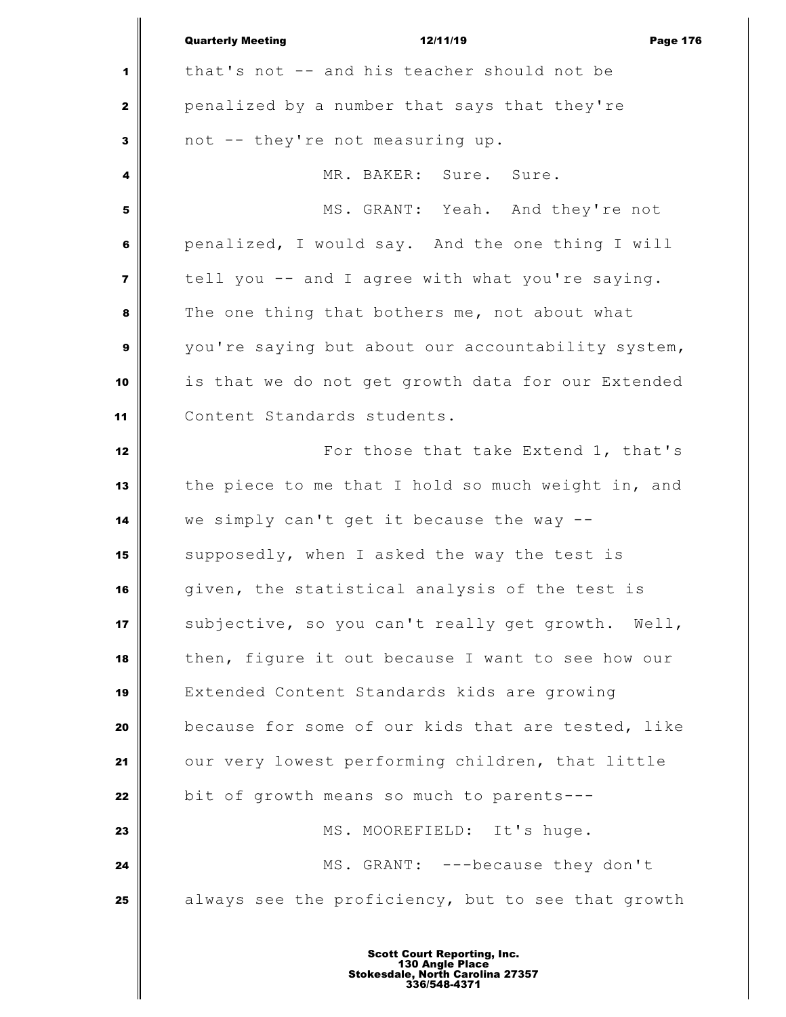|                         | <b>Quarterly Meeting</b><br>12/11/19<br><b>Page 176</b> |
|-------------------------|---------------------------------------------------------|
| 1                       | that's not -- and his teacher should not be             |
| $\mathbf{2}$            | penalized by a number that says that they're            |
| 3                       | not -- they're not measuring up.                        |
| 4                       | MR. BAKER: Sure. Sure.                                  |
| 5                       | MS. GRANT: Yeah. And they're not                        |
| 6                       | penalized, I would say. And the one thing I will        |
| $\overline{\mathbf{z}}$ | tell you -- and I agree with what you're saying.        |
| 8                       | The one thing that bothers me, not about what           |
| 9                       | you're saying but about our accountability system,      |
| 10                      | is that we do not get growth data for our Extended      |
| 11                      | Content Standards students.                             |
| 12                      | For those that take Extend 1, that's                    |
| 13                      | the piece to me that I hold so much weight in, and      |
| 14                      | we simply can't get it because the way --               |
| 15                      | supposedly, when I asked the way the test is            |
| 16                      | given, the statistical analysis of the test is          |
| 17                      | subjective, so you can't really get growth. Well,       |
| 18                      | then, figure it out because I want to see how our       |
| 19                      | Extended Content Standards kids are growing             |
| 20                      | because for some of our kids that are tested, like      |
| 21                      | our very lowest performing children, that little        |
| 22                      | bit of growth means so much to parents---               |
| 23                      | MS. MOOREFIELD: It's huge.                              |
| 24                      | MS. GRANT: ---because they don't                        |
| 25                      | always see the proficiency, but to see that growth      |
|                         |                                                         |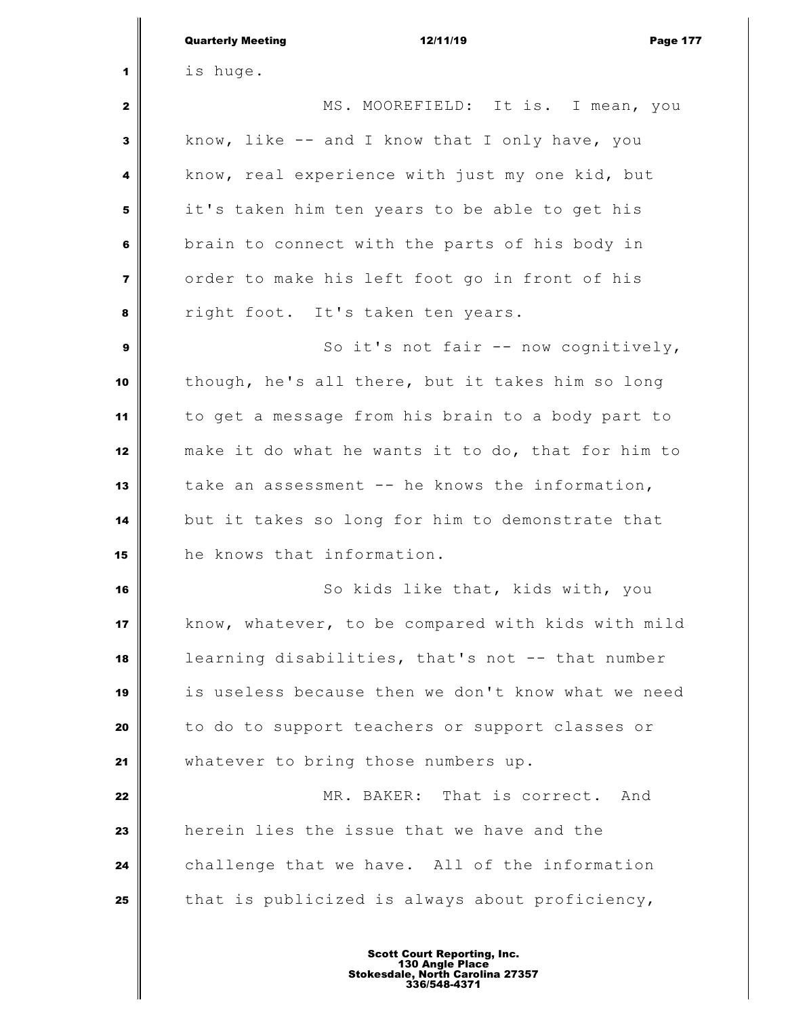|                         | <b>Quarterly Meeting</b><br>12/11/19<br><b>Page 177</b> |
|-------------------------|---------------------------------------------------------|
| 1                       | is huge.                                                |
| 2                       | MS. MOOREFIELD: It is. I mean, you                      |
| 3                       | know, like -- and I know that I only have, you          |
| 4                       | know, real experience with just my one kid, but         |
| 5                       | it's taken him ten years to be able to get his          |
| 6                       | brain to connect with the parts of his body in          |
| $\overline{\mathbf{z}}$ | order to make his left foot go in front of his          |
| 8                       | right foot. It's taken ten years.                       |
| 9                       | So it's not fair -- now cognitively,                    |
| 10                      | though, he's all there, but it takes him so long        |
| 11                      | to get a message from his brain to a body part to       |
| 12                      | make it do what he wants it to do, that for him to      |
| 13                      | take an assessment -- he knows the information,         |
| 14                      | but it takes so long for him to demonstrate that        |
| 15                      | he knows that information.                              |
| 16                      | So kids like that, kids with, you                       |
| 17                      | know, whatever, to be compared with kids with mild      |
| 18                      | learning disabilities, that's not -- that number        |
| 19                      | is useless because then we don't know what we need      |
| 20                      | to do to support teachers or support classes or         |
| 21                      | whatever to bring those numbers up.                     |
| 22                      | MR. BAKER: That is correct. And                         |
| 23                      | herein lies the issue that we have and the              |
| 24                      | challenge that we have. All of the information          |
| 25                      | that is publicized is always about proficiency,         |
|                         |                                                         |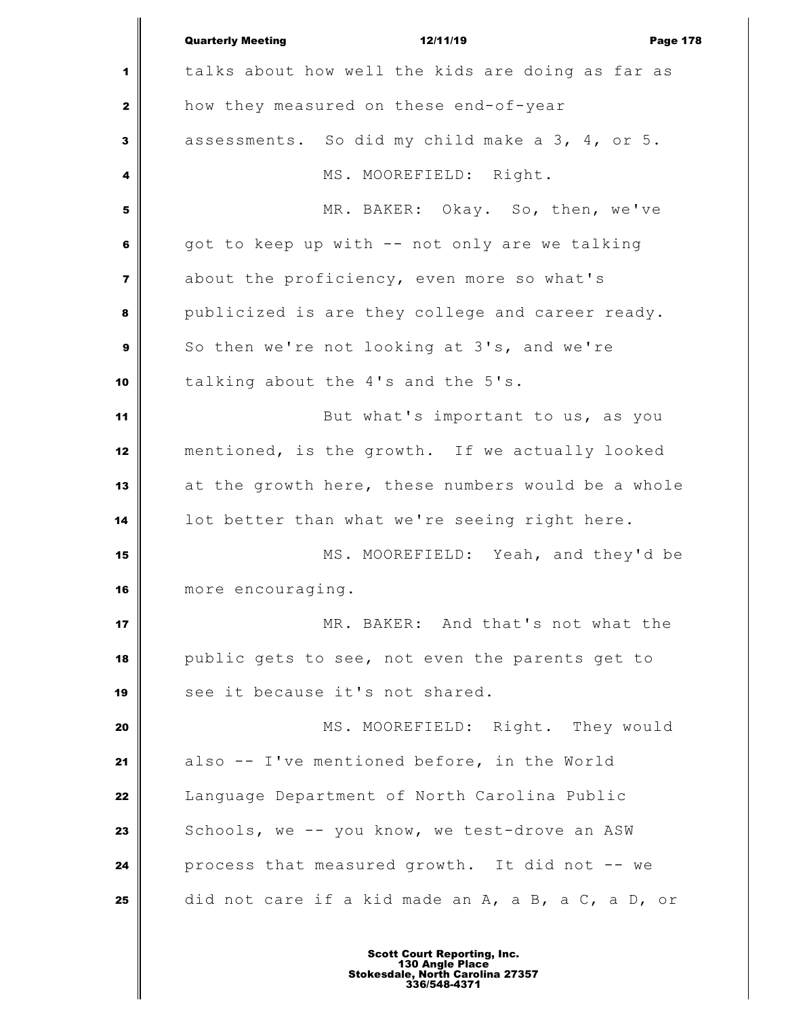|              | <b>Quarterly Meeting</b><br>12/11/19<br><b>Page 178</b> |
|--------------|---------------------------------------------------------|
| 1            | talks about how well the kids are doing as far as       |
| $\mathbf{z}$ | how they measured on these end-of-year                  |
| 3            | assessments. So did my child make a 3, 4, or 5.         |
| 4            | MS. MOOREFIELD: Right.                                  |
| 5            | MR. BAKER: Okay. So, then, we've                        |
| 6            | got to keep up with -- not only are we talking          |
| 7            | about the proficiency, even more so what's              |
| 8            | publicized is are they college and career ready.        |
| 9            | So then we're not looking at 3's, and we're             |
| 10           | talking about the 4's and the 5's.                      |
| 11           | But what's important to us, as you                      |
| 12           | mentioned, is the growth. If we actually looked         |
| 13           | at the growth here, these numbers would be a whole      |
| 14           | lot better than what we're seeing right here.           |
| 15           | MS. MOOREFIELD: Yeah, and they'd be                     |
| 16           | more encouraging.                                       |
| 17           | MR. BAKER: And that's not what the                      |
| 18           | public gets to see, not even the parents get to         |
| 19           | see it because it's not shared.                         |
| 20           | MS. MOOREFIELD: Right. They would                       |
| 21           | also -- I've mentioned before, in the World             |
| 22           | Language Department of North Carolina Public            |
| 23           | Schools, we -- you know, we test-drove an ASW           |
| 24           | process that measured growth. It did not -- we          |
| 25           | did not care if a kid made an A, a B, a C, a D, or      |
|              |                                                         |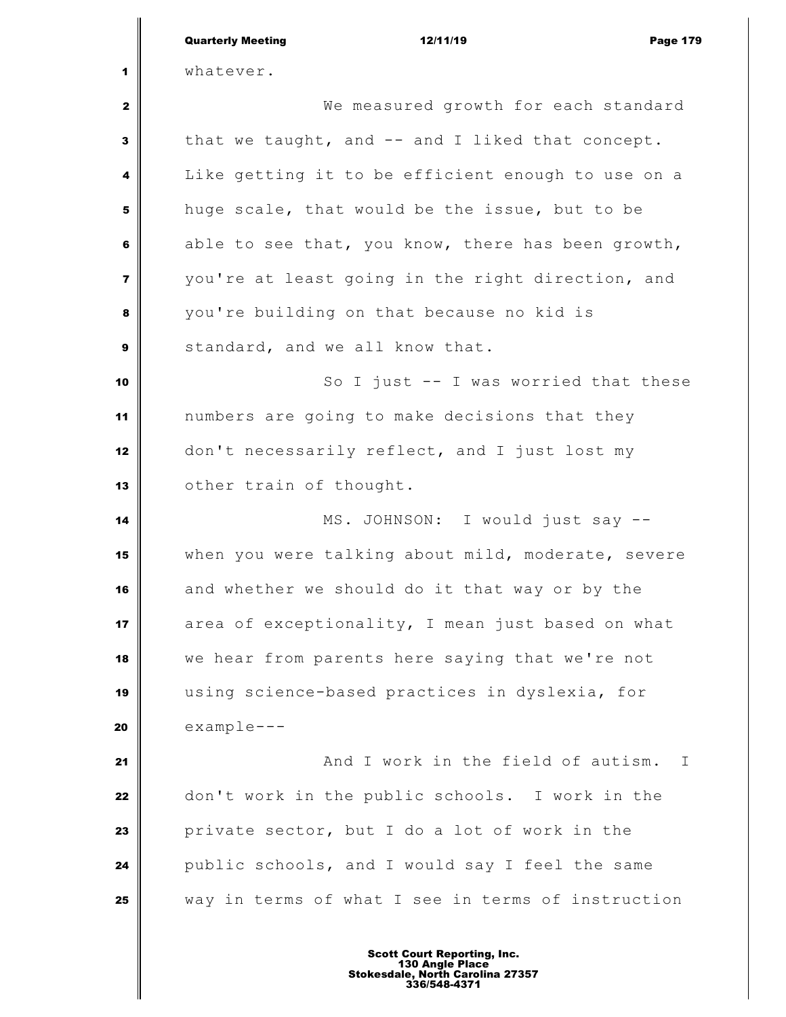|                         | <b>Quarterly Meeting</b><br>12/11/19<br><b>Page 179</b> |
|-------------------------|---------------------------------------------------------|
| 1                       | whatever.                                               |
| 2                       | We measured growth for each standard                    |
| 3                       | that we taught, and -- and I liked that concept.        |
| 4                       | Like getting it to be efficient enough to use on a      |
| 5                       | huge scale, that would be the issue, but to be          |
| 6                       | able to see that, you know, there has been growth,      |
| $\overline{\mathbf{z}}$ | you're at least going in the right direction, and       |
| 8                       | you're building on that because no kid is               |
| $\boldsymbol{9}$        | standard, and we all know that.                         |
| 10                      | So I just -- I was worried that these                   |
| 11                      | numbers are going to make decisions that they           |
| 12                      | don't necessarily reflect, and I just lost my           |
| 13                      | other train of thought.                                 |
| 14                      | MS. JOHNSON: I would just say --                        |
| 15                      | when you were talking about mild, moderate, severe      |
| 16                      | and whether we should do it that way or by the          |
| 17                      | area of exceptionality, I mean just based on what       |
| 18                      | we hear from parents here saying that we're not         |
| 19                      | using science-based practices in dyslexia, for          |
| 20                      | $example--$                                             |
| 21                      | And I work in the field of autism.<br>$\mathbf{I}$      |
| 22                      | don't work in the public schools. I work in the         |
| 23                      | private sector, but I do a lot of work in the           |
| 24                      | public schools, and I would say I feel the same         |
| 25                      | way in terms of what I see in terms of instruction      |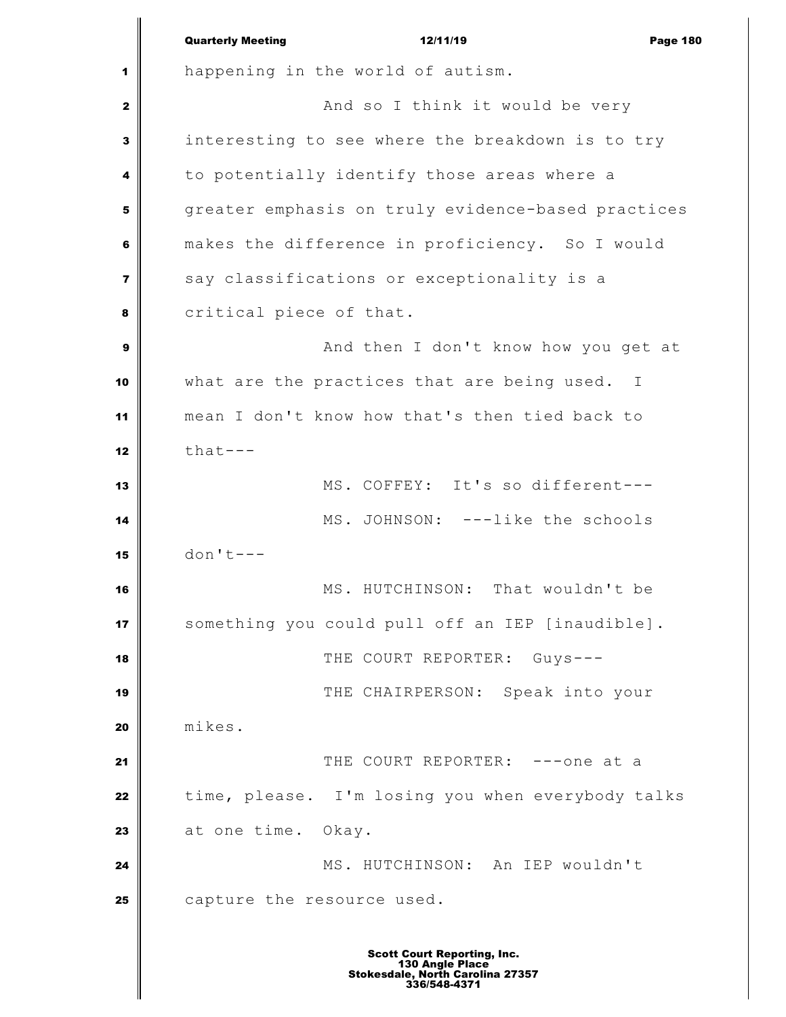Quarterly Meeting 12/11/19 **Page 180**  happening in the world of autism. And so I think it would be very interesting to see where the breakdown is to try to potentially identify those areas where a greater emphasis on truly evidence-based practices makes the difference in proficiency. So I would say classifications or exceptionality is a critical piece of that. And then I don't know how you get at what are the practices that are being used. I mean I don't know how that's then tied back to  $\parallel$  that--- MS. COFFEY: It's so different--- MS. JOHNSON: ---like the schools don't--- MS. HUTCHINSON: That wouldn't be something you could pull off an IEP [inaudible]. THE COURT REPORTER: Guys--- **THE CHAIRPERSON:** Speak into your mikes. THE COURT REPORTER: ---one at a time, please. I'm losing you when everybody talks 23 at one time. Okay. MS. HUTCHINSON: An IEP wouldn't capture the resource used.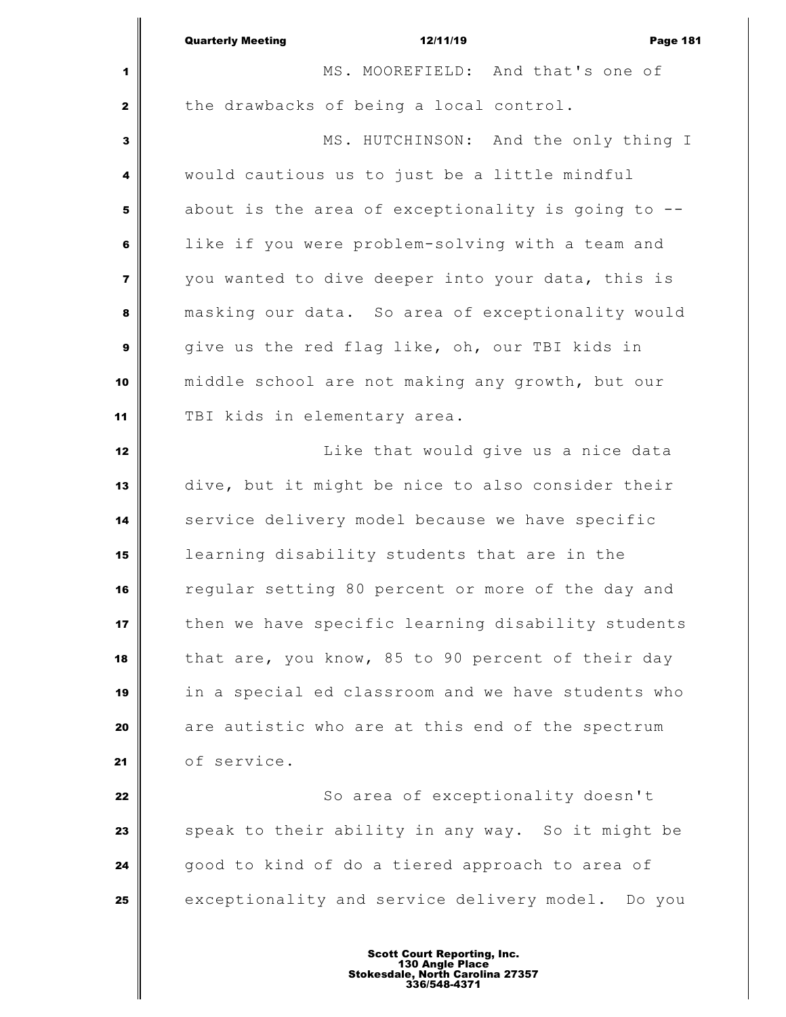|                | <b>Quarterly Meeting</b><br>12/11/19<br><b>Page 181</b> |  |
|----------------|---------------------------------------------------------|--|
| 1              | MS. MOOREFIELD: And that's one of                       |  |
| $\mathbf{z}$   | the drawbacks of being a local control.                 |  |
| $\mathbf{3}$   | MS. HUTCHINSON: And the only thing I                    |  |
| 4              | would cautious us to just be a little mindful           |  |
| 5              | about is the area of exceptionality is going to --      |  |
| 6              | like if you were problem-solving with a team and        |  |
| $\overline{7}$ | you wanted to dive deeper into your data, this is       |  |
| 8              | masking our data. So area of exceptionality would       |  |
| $\mathbf{9}$   | give us the red flag like, oh, our TBI kids in          |  |
| 10             | middle school are not making any growth, but our        |  |
| 11             | TBI kids in elementary area.                            |  |
| 12             | Like that would give us a nice data                     |  |
| 13             | dive, but it might be nice to also consider their       |  |
| 14             | service delivery model because we have specific         |  |
| 15             | learning disability students that are in the            |  |
| 16             | regular setting 80 percent or more of the day and       |  |
| 17             | then we have specific learning disability students      |  |
| 18             | that are, you know, 85 to 90 percent of their day       |  |
| 19             | in a special ed classroom and we have students who      |  |
| 20             | are autistic who are at this end of the spectrum        |  |
| 21             | of service.                                             |  |
| 22             | So area of exceptionality doesn't                       |  |
| 23             | speak to their ability in any way. So it might be       |  |
| 24             | good to kind of do a tiered approach to area of         |  |
| 25             | exceptionality and service delivery model. Do you       |  |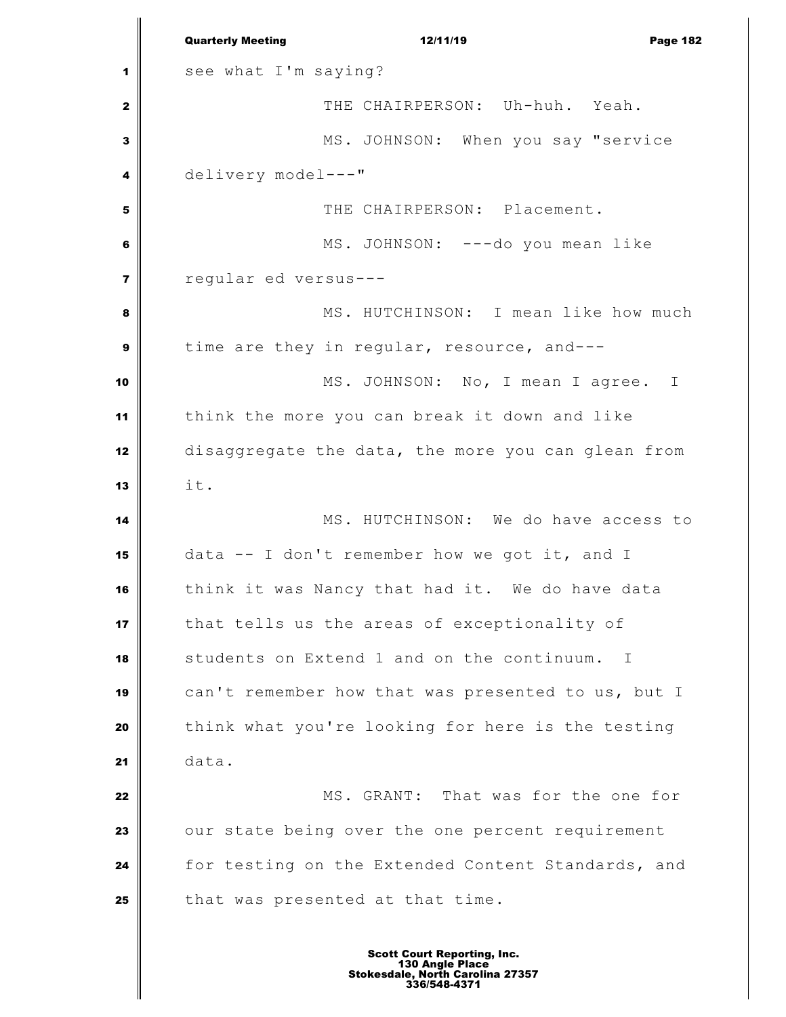|                         | <b>Quarterly Meeting</b><br>12/11/19<br><b>Page 182</b> |
|-------------------------|---------------------------------------------------------|
| 1                       | see what I'm saying?                                    |
| $\mathbf{z}$            | THE CHAIRPERSON: Uh-huh. Yeah.                          |
| 3                       | MS. JOHNSON: When you say "service                      |
| 4                       | delivery model---"                                      |
| 5                       | THE CHAIRPERSON: Placement.                             |
| 6                       | MS. JOHNSON: ---do you mean like                        |
| $\overline{\mathbf{z}}$ | reqular ed versus---                                    |
| 8                       | MS. HUTCHINSON: I mean like how much                    |
| $\mathbf{9}$            | time are they in regular, resource, and---              |
| 10                      | MS. JOHNSON: No, I mean I agree. I                      |
| 11                      | think the more you can break it down and like           |
| 12                      | disaggregate the data, the more you can glean from      |
| 13                      | it.                                                     |
| 14                      | MS. HUTCHINSON: We do have access to                    |
| 15                      | data -- I don't remember how we got it, and I           |
| 16                      | think it was Nancy that had it. We do have data         |
| 17                      | that tells us the areas of exceptionality of            |
| 18                      | students on Extend 1 and on the continuum.<br>$\perp$   |
| 19                      | can't remember how that was presented to us, but I      |
| 20                      | think what you're looking for here is the testing       |
| 21                      | data.                                                   |
| 22                      | MS. GRANT: That was for the one for                     |
| 23                      | our state being over the one percent requirement        |
| 24                      | for testing on the Extended Content Standards, and      |
| 25                      | that was presented at that time.                        |
|                         |                                                         |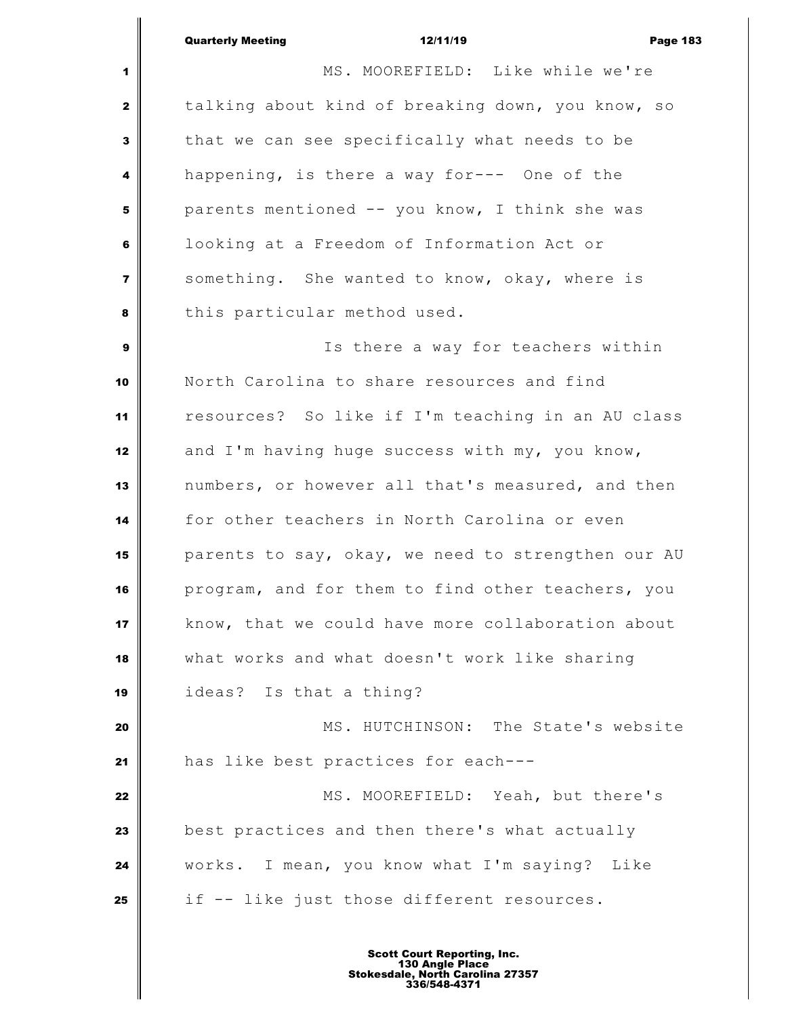| <b>Quarterly Meeting</b> | 12/11/19 | <b>Page 183</b> |
|--------------------------|----------|-----------------|

 $\mathsf I$ 

| $\mathbf{1}$            | MS. MOOREFIELD: Like while we're                   |  |
|-------------------------|----------------------------------------------------|--|
| $\mathbf{2}$            | talking about kind of breaking down, you know, so  |  |
| 3                       | that we can see specifically what needs to be      |  |
| 4                       | happening, is there a way for--- One of the        |  |
| 5                       | parents mentioned -- you know, I think she was     |  |
| 6                       | looking at a Freedom of Information Act or         |  |
| $\overline{\mathbf{z}}$ | something. She wanted to know, okay, where is      |  |
| 8                       | this particular method used.                       |  |
| $\boldsymbol{9}$        | Is there a way for teachers within                 |  |
| 10                      | North Carolina to share resources and find         |  |
| 11                      | resources? So like if I'm teaching in an AU class  |  |
| 12                      | and I'm having huge success with my, you know,     |  |
| 13                      | numbers, or however all that's measured, and then  |  |
| 14                      | for other teachers in North Carolina or even       |  |
| 15                      | parents to say, okay, we need to strengthen our AU |  |
| 16                      | program, and for them to find other teachers, you  |  |
| 17                      | know, that we could have more collaboration about  |  |
| 18                      | what works and what doesn't work like sharing      |  |
| 19                      | ideas? Is that a thing?                            |  |
| 20                      | MS. HUTCHINSON: The State's website                |  |
| 21                      | has like best practices for each---                |  |
| 22                      | MS. MOOREFIELD: Yeah, but there's                  |  |
| 23                      | best practices and then there's what actually      |  |
| 24                      | works. I mean, you know what I'm saying? Like      |  |
| 25                      | if -- like just those different resources.         |  |
|                         |                                                    |  |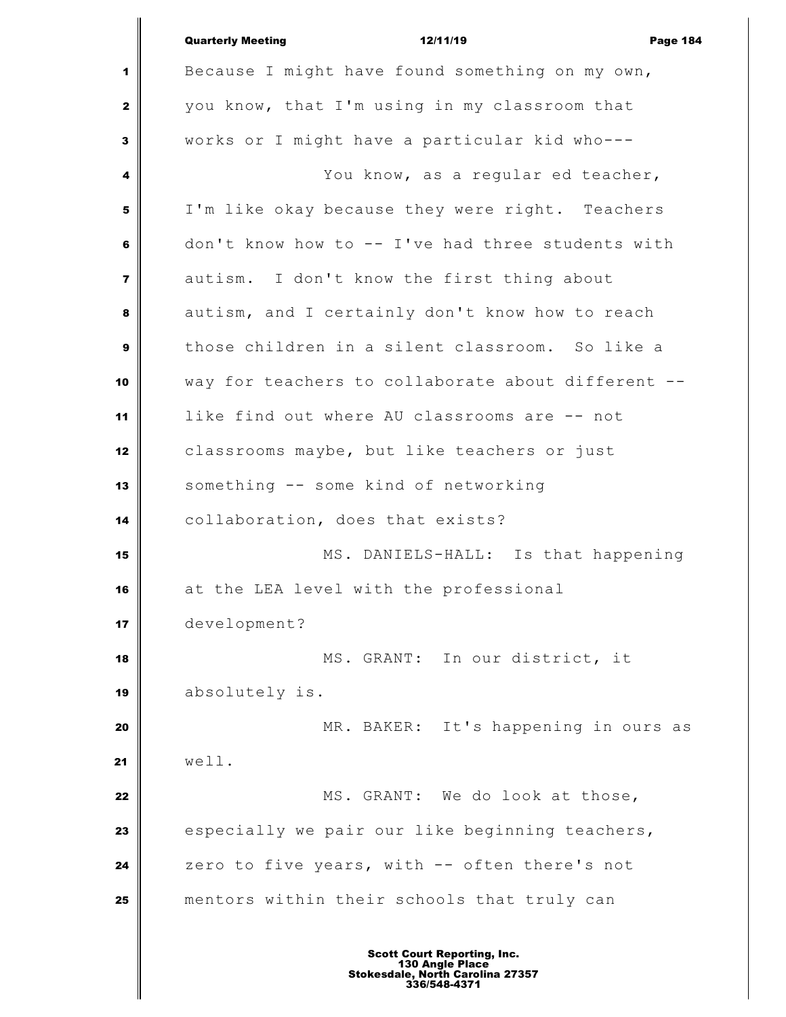|                         | <b>Quarterly Meeting</b><br>12/11/19<br><b>Page 184</b>                                                   |  |
|-------------------------|-----------------------------------------------------------------------------------------------------------|--|
| 1                       | Because I might have found something on my own,                                                           |  |
| $\mathbf{2}$            | you know, that I'm using in my classroom that                                                             |  |
| 3                       | works or I might have a particular kid who---                                                             |  |
| 4                       | You know, as a regular ed teacher,                                                                        |  |
| 5                       | I'm like okay because they were right. Teachers                                                           |  |
| 6                       | don't know how to $--$ I've had three students with                                                       |  |
| $\overline{\mathbf{z}}$ | autism. I don't know the first thing about                                                                |  |
| 8                       | autism, and I certainly don't know how to reach                                                           |  |
| 9                       | those children in a silent classroom. So like a                                                           |  |
| 10                      | way for teachers to collaborate about different --                                                        |  |
| 11                      | like find out where AU classrooms are -- not                                                              |  |
| 12                      | classrooms maybe, but like teachers or just                                                               |  |
| 13                      | something -- some kind of networking                                                                      |  |
| 14                      | collaboration, does that exists?                                                                          |  |
| 15                      | MS. DANIELS-HALL: Is that happening                                                                       |  |
| 16                      | at the LEA level with the professional                                                                    |  |
| 17                      | development?                                                                                              |  |
| 18                      | MS. GRANT: In our district, it                                                                            |  |
| 19                      | absolutely is.                                                                                            |  |
| 20                      | MR. BAKER: It's happening in ours as                                                                      |  |
| 21                      | well.                                                                                                     |  |
| 22                      | MS. GRANT: We do look at those,                                                                           |  |
| 23                      | especially we pair our like beginning teachers,                                                           |  |
| 24                      | zero to five years, with -- often there's not                                                             |  |
| 25                      | mentors within their schools that truly can                                                               |  |
|                         | <b>Scott Court Reporting, Inc.</b><br>130 Angle Place<br>Stokesdale, North Carolina 27357<br>336/548-4371 |  |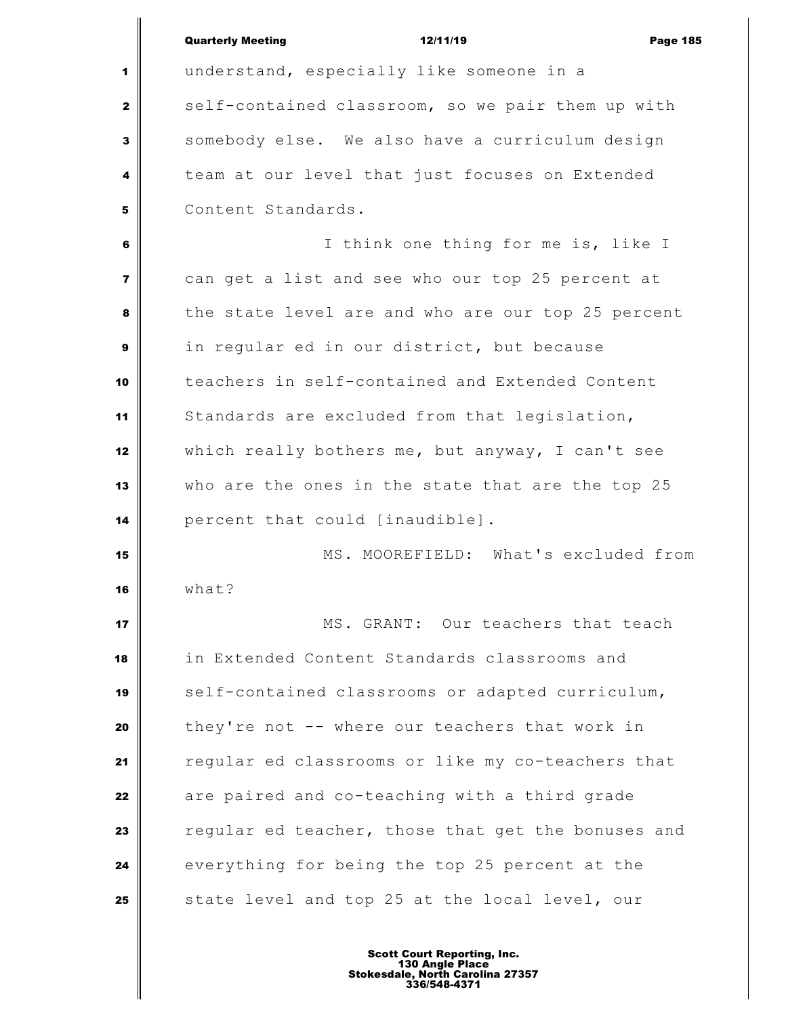|                         | <b>Quarterly Meeting</b><br>12/11/19<br><b>Page 185</b> |
|-------------------------|---------------------------------------------------------|
| 1                       | understand, especially like someone in a                |
| $\mathbf{z}$            | self-contained classroom, so we pair them up with       |
| 3                       | somebody else. We also have a curriculum design         |
| 4                       | team at our level that just focuses on Extended         |
| 5                       | Content Standards.                                      |
| 6                       | I think one thing for me is, like I                     |
| $\overline{\mathbf{z}}$ | can get a list and see who our top 25 percent at        |
| 8                       | the state level are and who are our top 25 percent      |
| $\mathbf{9}$            | in regular ed in our district, but because              |
| 10                      | teachers in self-contained and Extended Content         |
| 11                      | Standards are excluded from that legislation,           |
| 12                      | which really bothers me, but anyway, I can't see        |
| 13                      | who are the ones in the state that are the top 25       |
| 14                      | percent that could [inaudible].                         |
| 15                      | MS. MOOREFIELD: What's excluded from                    |
| 16                      | what?                                                   |
| 17                      | MS. GRANT: Our teachers that teach                      |
| 18                      | in Extended Content Standards classrooms and            |
| 19                      | self-contained classrooms or adapted curriculum,        |
| 20                      | they're not -- where our teachers that work in          |
| 21                      | regular ed classrooms or like my co-teachers that       |
| 22                      | are paired and co-teaching with a third grade           |
| 23                      | regular ed teacher, those that get the bonuses and      |
| 24                      | everything for being the top 25 percent at the          |
| 25                      | state level and top 25 at the local level, our          |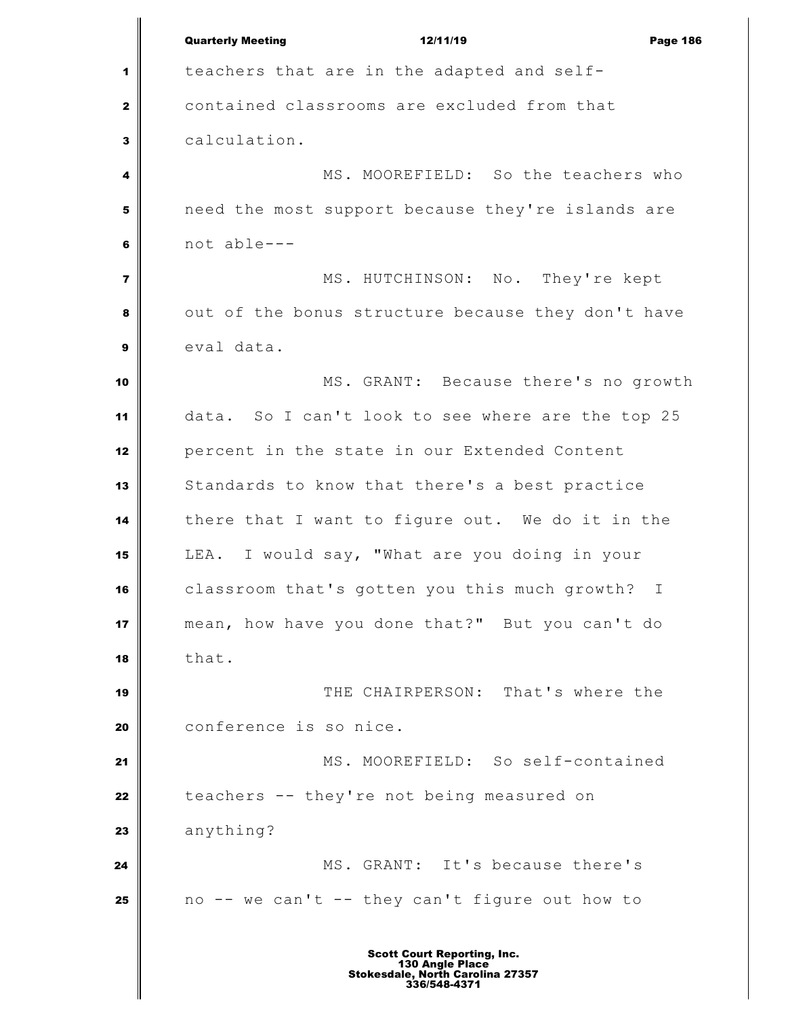|                         | <b>Quarterly Meeting</b><br>12/11/19<br><b>Page 186</b> |
|-------------------------|---------------------------------------------------------|
| 1                       | teachers that are in the adapted and self-              |
| $\mathbf{2}$            | contained classrooms are excluded from that             |
| 3                       | calculation.                                            |
| 4                       | MS. MOOREFIELD: So the teachers who                     |
| 5                       | need the most support because they're islands are       |
| 6                       | not able---                                             |
| $\overline{\mathbf{z}}$ | MS. HUTCHINSON: No. They're kept                        |
| 8                       | out of the bonus structure because they don't have      |
| 9                       | eval data.                                              |
| 10                      | MS. GRANT: Because there's no growth                    |
| 11                      | data. So I can't look to see where are the top 25       |
| 12                      | percent in the state in our Extended Content            |
| 13                      | Standards to know that there's a best practice          |
| 14                      | there that I want to figure out. We do it in the        |
| 15                      | LEA. I would say, "What are you doing in your           |
| 16                      | classroom that's gotten you this much growth? I         |
| 17                      | mean, how have you done that?" But you can't do         |
| 18                      | that.                                                   |
| 19                      | THE CHAIRPERSON: That's where the                       |
| 20                      | conference is so nice.                                  |
| 21                      | MS. MOOREFIELD: So self-contained                       |
| 22                      | teachers -- they're not being measured on               |
| 23                      | anything?                                               |
| 24                      | MS. GRANT: It's because there's                         |
| 25                      | no -- we can't -- they can't figure out how to          |
|                         | Caurt Danartina In                                      |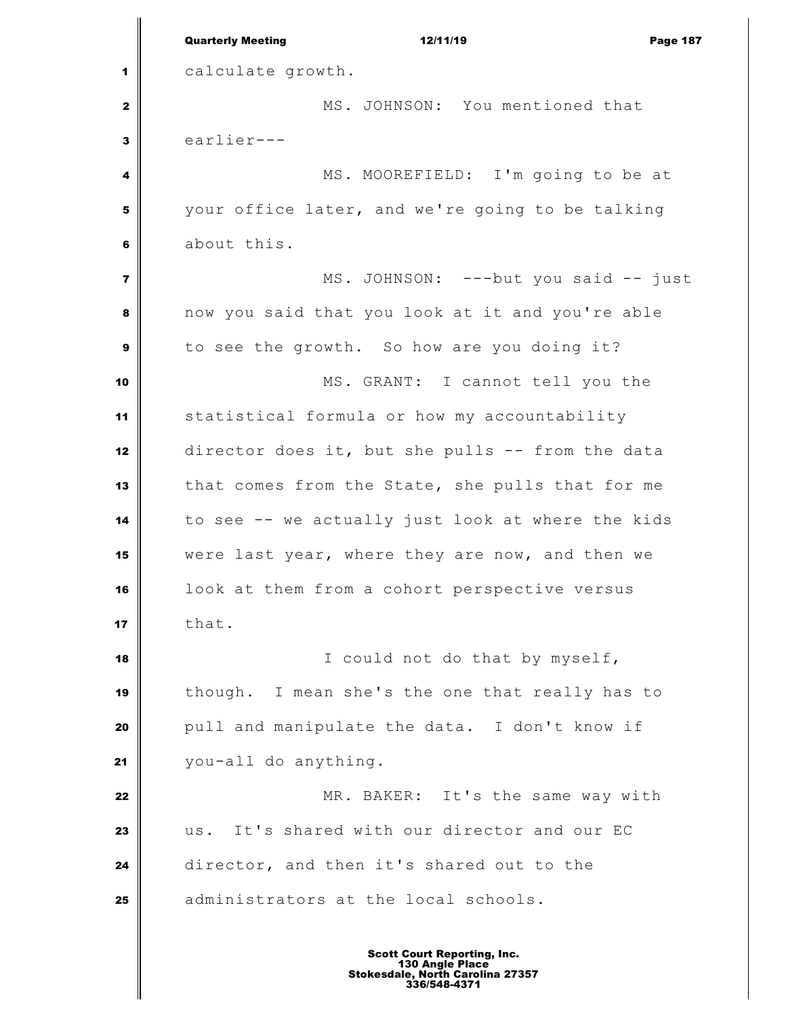Quarterly Meeting **12/11/19** Page 187 calculate growth. MS. JOHNSON: You mentioned that  $\mathbf{3}$  earlier--- MS. MOOREFIELD: I'm going to be at your office later, and we're going to be talking about this. MS. JOHNSON: ---but you said -- just now you said that you look at it and you're able to see the growth. So how are you doing it? MS. GRANT: I cannot tell you the statistical formula or how my accountability director does it, but she pulls -- from the data that comes from the State, she pulls that for me to see -- we actually just look at where the kids were last year, where they are now, and then we look at them from a cohort perspective versus  $\parallel$  that. I could not do that by myself, though. I mean she's the one that really has to pull and manipulate the data. I don't know if you-all do anything. MR. BAKER: It's the same way with us. It's shared with our director and our EC director, and then it's shared out to the | administrators at the local schools. Scott Court Reporting, Inc. 130 Angle Place Stokesdale, North Carolina 27357 336/548-4371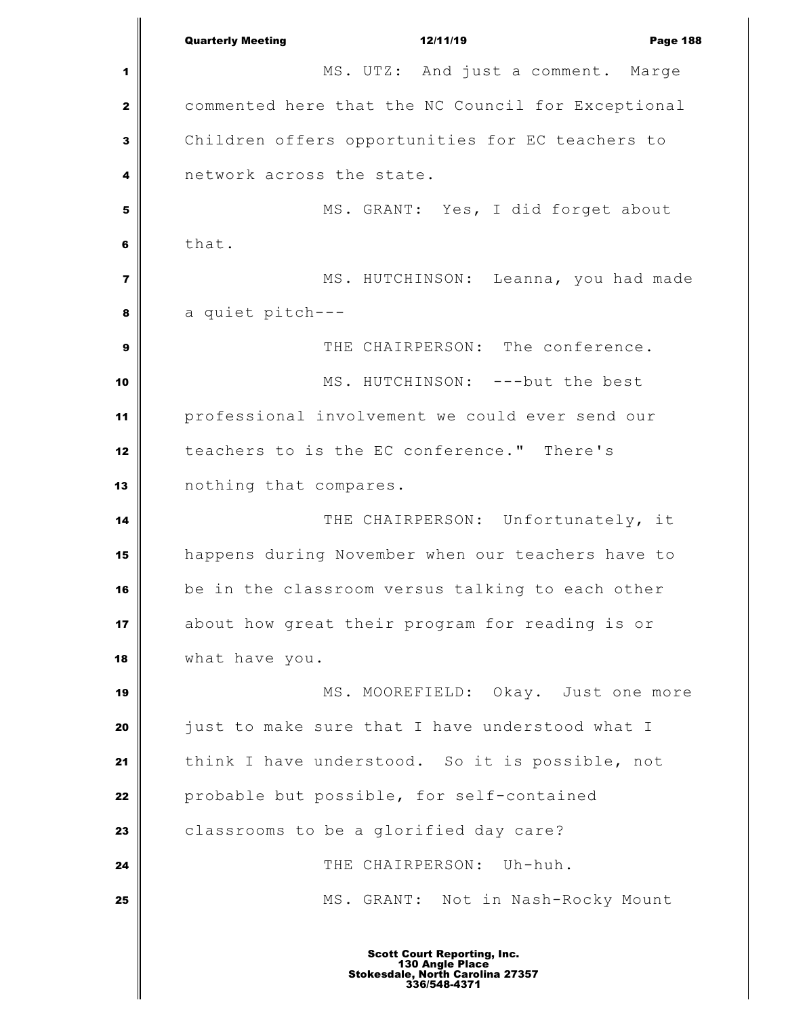Quarterly Meeting **12/11/19** Page 188 MS. UTZ: And just a comment. Marge commented here that the NC Council for Exceptional Children offers opportunities for EC teachers to network across the state. MS. GRANT: Yes, I did forget about that. MS. HUTCHINSON: Leanna, you had made a quiet pitch---  $\parallel$  THE CHAIRPERSON: The conference. MS. HUTCHINSON: ---but the best professional involvement we could ever send our teachers to is the EC conference." There's nothing that compares. **I** THE CHAIRPERSON: Unfortunately, it happens during November when our teachers have to be in the classroom versus talking to each other about how great their program for reading is or what have you. MS. MOOREFIELD: Okay. Just one more just to make sure that I have understood what I think I have understood. So it is possible, not probable but possible, for self-contained **classrooms** to be a glorified day care? THE CHAIRPERSON: Uh-huh. MS. GRANT: Not in Nash-Rocky Mount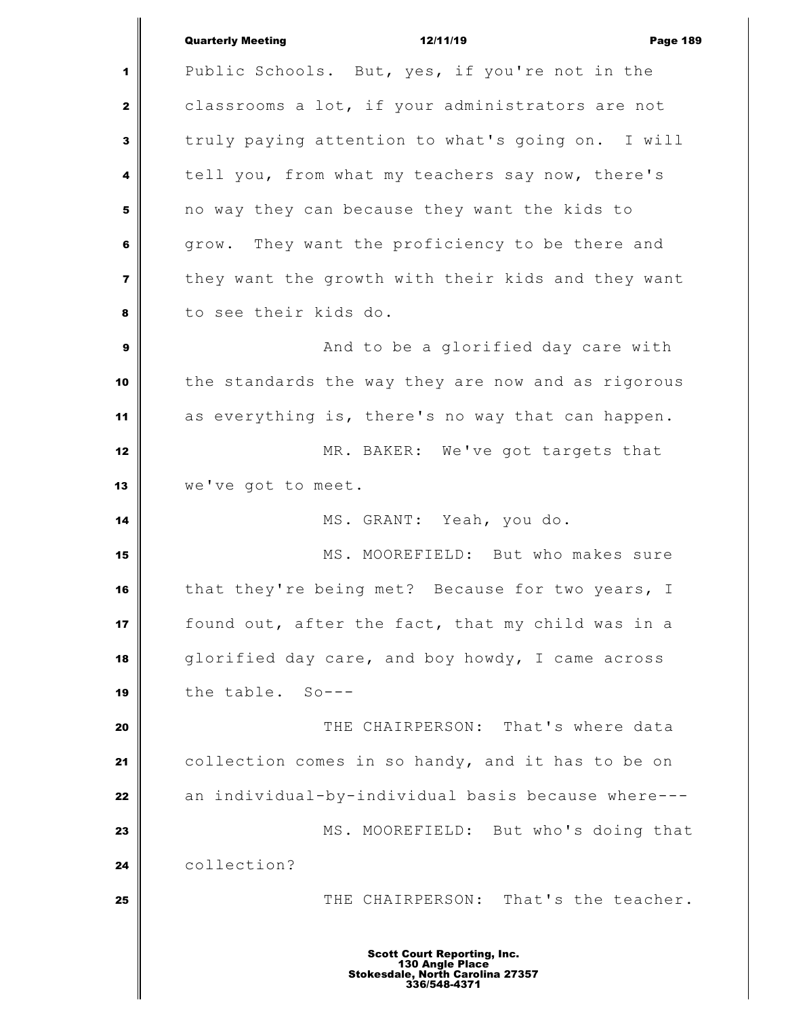|                         | <b>Quarterly Meeting</b><br>12/11/19<br><b>Page 189</b>                                                   |
|-------------------------|-----------------------------------------------------------------------------------------------------------|
| 1                       | Public Schools. But, yes, if you're not in the                                                            |
| $\mathbf{2}$            | classrooms a lot, if your administrators are not                                                          |
| 3                       | truly paying attention to what's going on. I will                                                         |
| 4                       | tell you, from what my teachers say now, there's                                                          |
| 5                       | no way they can because they want the kids to                                                             |
| 6                       | grow. They want the proficiency to be there and                                                           |
| $\overline{\mathbf{z}}$ | they want the growth with their kids and they want                                                        |
| 8                       | to see their kids do.                                                                                     |
| 9                       | And to be a glorified day care with                                                                       |
| 10                      | the standards the way they are now and as rigorous                                                        |
| 11                      | as everything is, there's no way that can happen.                                                         |
| 12                      | MR. BAKER: We've got targets that                                                                         |
| 13                      | we've got to meet.                                                                                        |
| 14                      | MS. GRANT: Yeah, you do.                                                                                  |
| 15                      | MS. MOOREFIELD: But who makes sure                                                                        |
| 16                      | that they're being met? Because for two years, I                                                          |
| 17                      | found out, after the fact, that my child was in a                                                         |
| 18                      | glorified day care, and boy howdy, I came across                                                          |
| 19                      | the table. So---                                                                                          |
| 20                      | THE CHAIRPERSON: That's where data                                                                        |
| 21                      | collection comes in so handy, and it has to be on                                                         |
| 22                      | an individual-by-individual basis because where---                                                        |
| 23                      | MS. MOOREFIELD: But who's doing that                                                                      |
| 24                      | collection?                                                                                               |
| 25                      | THE CHAIRPERSON: That's the teacher.                                                                      |
|                         |                                                                                                           |
|                         | <b>Scott Court Reporting, Inc.</b><br>130 Angle Place<br>Stokesdale, North Carolina 27357<br>336/548-4371 |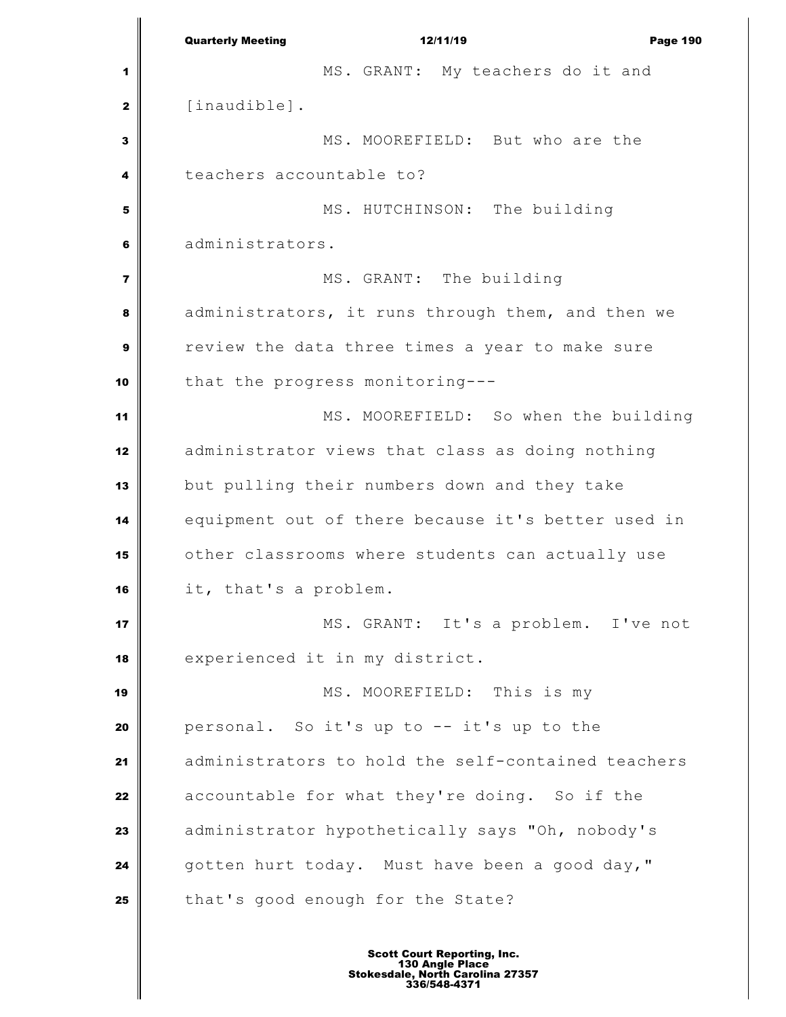Quarterly Meeting **12/11/19** Page 190 MS. GRANT: My teachers do it and [inaudible]. MS. MOOREFIELD: But who are the teachers accountable to? MS. HUTCHINSON: The building administrators. MS. GRANT: The building administrators, it runs through them, and then we review the data three times a year to make sure that the progress monitoring--- MS. MOOREFIELD: So when the building administrator views that class as doing nothing but pulling their numbers down and they take equipment out of there because it's better used in other classrooms where students can actually use it, that's a problem. MS. GRANT: It's a problem. I've not experienced it in my district. **MS. MOOREFIELD:** This is my personal. So it's up to -- it's up to the administrators to hold the self-contained teachers accountable for what they're doing. So if the administrator hypothetically says "Oh, nobody's gotten hurt today. Must have been a good day," that's good enough for the State?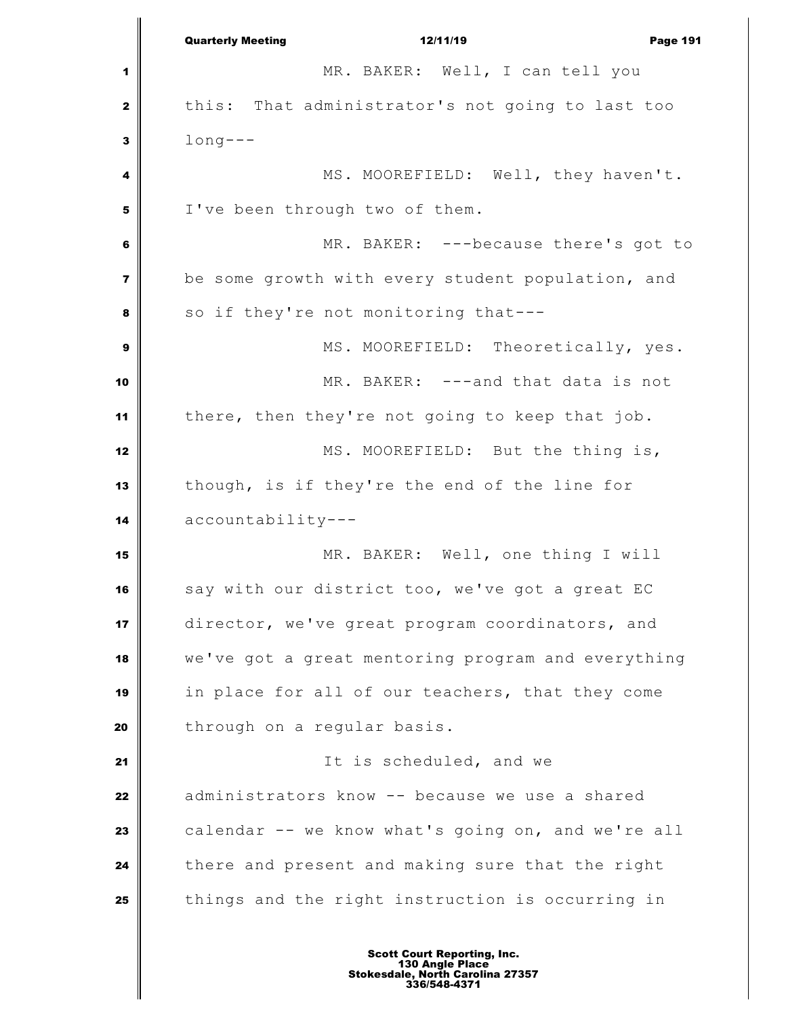Quarterly Meeting 12/11/19 Page 191 MR. BAKER: Well, I can tell you this: That administrator's not going to last too long--- MS. MOOREFIELD: Well, they haven't. I've been through two of them. MR. BAKER: ---because there's got to be some growth with every student population, and so if they're not monitoring that--- MS. MOOREFIELD: Theoretically, yes. MR. BAKER: ---and that data is not there, then they're not going to keep that job. MS. MOOREFIELD: But the thing is, though, is if they're the end of the line for accountability--- 15 MR. BAKER: Well, one thing I will say with our district too, we've got a great EC director, we've great program coordinators, and we've got a great mentoring program and everything in place for all of our teachers, that they come through on a regular basis. It is scheduled, and we administrators know -- because we use a shared **calendar** -- we know what's going on, and we're all there and present and making sure that the right things and the right instruction is occurring in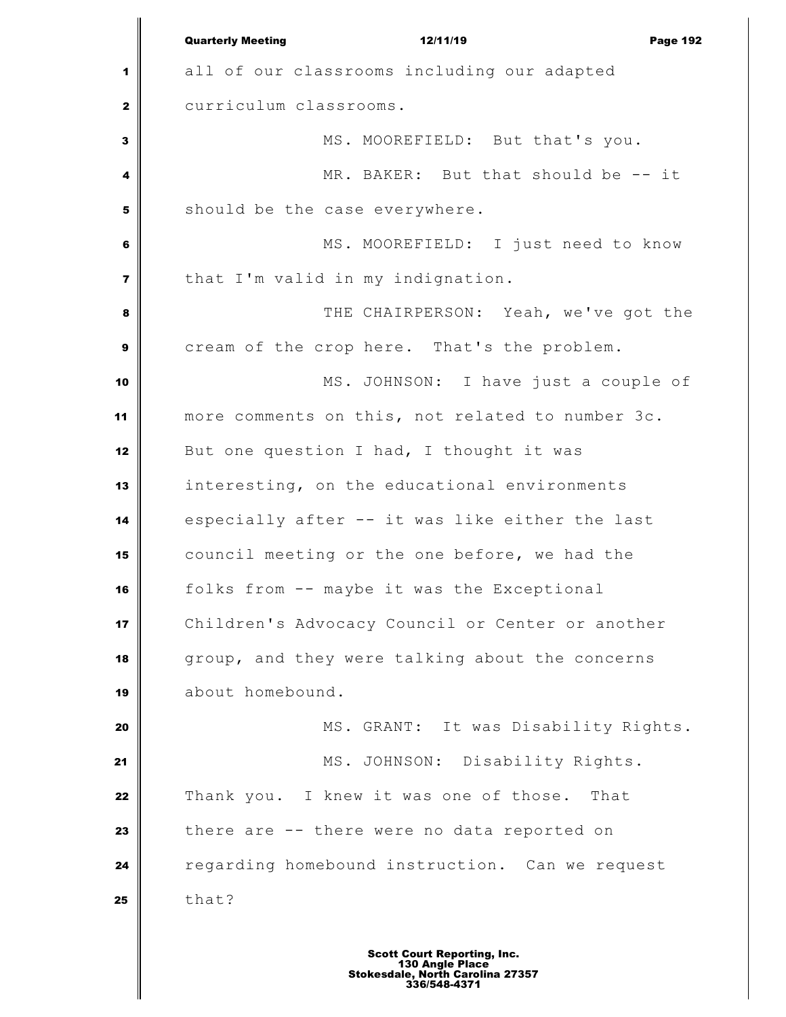|              | <b>Quarterly Meeting</b><br>12/11/19<br><b>Page 192</b> |
|--------------|---------------------------------------------------------|
| 1            | all of our classrooms including our adapted             |
| $\mathbf{z}$ | curriculum classrooms.                                  |
| 3            | MS. MOOREFIELD: But that's you.                         |
| 4            | MR. BAKER: But that should be -- it                     |
| 5            | should be the case everywhere.                          |
| 6            | MS. MOOREFIELD: I just need to know                     |
| 7            | that I'm valid in my indignation.                       |
| 8            | THE CHAIRPERSON: Yeah, we've got the                    |
| 9            | cream of the crop here. That's the problem.             |
| 10           | MS. JOHNSON: I have just a couple of                    |
| 11           | more comments on this, not related to number 3c.        |
| 12           | But one question I had, I thought it was                |
| 13           | interesting, on the educational environments            |
| 14           | especially after -- it was like either the last         |
| 15           | council meeting or the one before, we had the           |
| 16           | folks from -- maybe it was the Exceptional              |
| 17           | Children's Advocacy Council or Center or another        |
| 18           | group, and they were talking about the concerns         |
| 19           | about homebound.                                        |
| 20           | MS. GRANT: It was Disability Rights.                    |
| 21           | MS. JOHNSON: Disability Rights.                         |
| 22           | Thank you. I knew it was one of those. That             |
| 23           | there are -- there were no data reported on             |
| 24           | regarding homebound instruction. Can we request         |
| 25           | that?                                                   |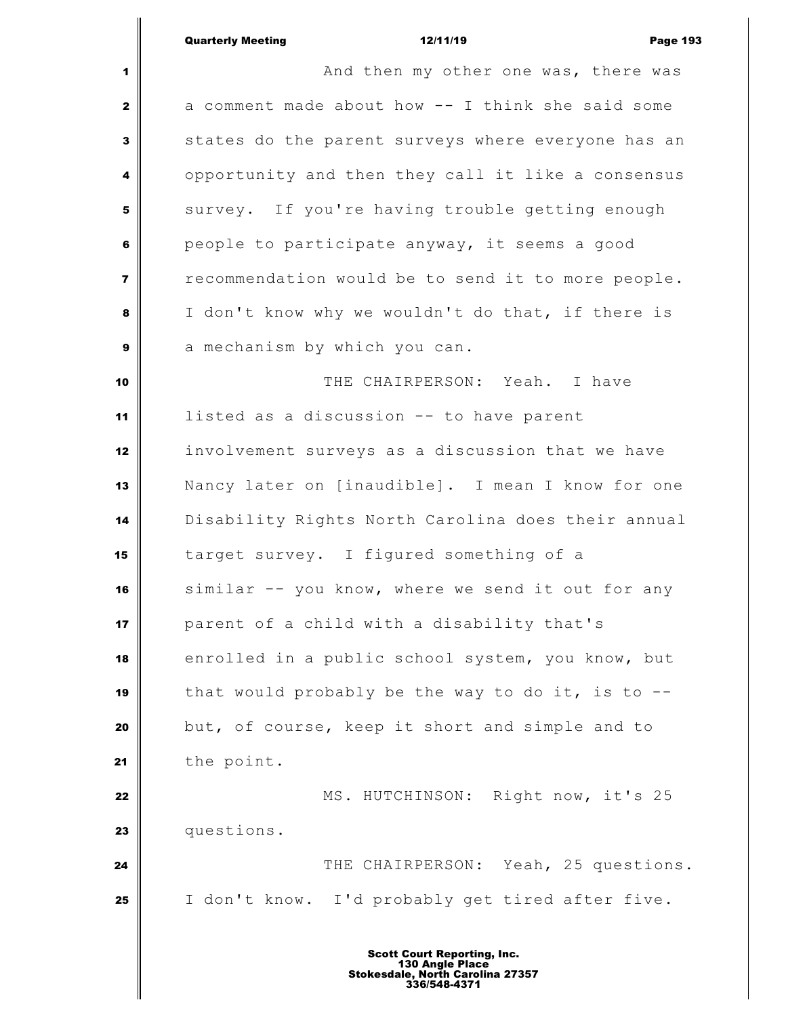|                         | <b>Quarterly Meeting</b><br>12/11/19<br><b>Page 193</b> |
|-------------------------|---------------------------------------------------------|
| 1                       | And then my other one was, there was                    |
| $\mathbf{2}$            | a comment made about how -- I think she said some       |
| $\mathbf{3}$            | states do the parent surveys where everyone has an      |
| $\overline{\mathbf{4}}$ | opportunity and then they call it like a consensus      |
| 5                       | survey. If you're having trouble getting enough         |
| 6                       | people to participate anyway, it seems a good           |
| $\overline{\mathbf{z}}$ | recommendation would be to send it to more people.      |
| 8                       | I don't know why we wouldn't do that, if there is       |
| $\boldsymbol{9}$        | a mechanism by which you can.                           |
| 10                      | THE CHAIRPERSON: Yeah. I have                           |
| 11                      | listed as a discussion -- to have parent                |
| 12                      | involvement surveys as a discussion that we have        |
| 13                      | Nancy later on [inaudible]. I mean I know for one       |
| 14                      | Disability Rights North Carolina does their annual      |
| 15                      | target survey. I figured something of a                 |
| 16                      | similar -- you know, where we send it out for any       |
| 17                      | parent of a child with a disability that's              |
| 18                      | enrolled in a public school system, you know, but       |
| 19                      | that would probably be the way to do it, is to $-$ -    |
| 20                      | but, of course, keep it short and simple and to         |
| 21                      | the point.                                              |
| 22                      | MS. HUTCHINSON: Right now, it's 25                      |
| 23                      | questions.                                              |
| 24                      | THE CHAIRPERSON: Yeah, 25 questions.                    |
| 25                      | I don't know. I'd probably get tired after five.        |
|                         |                                                         |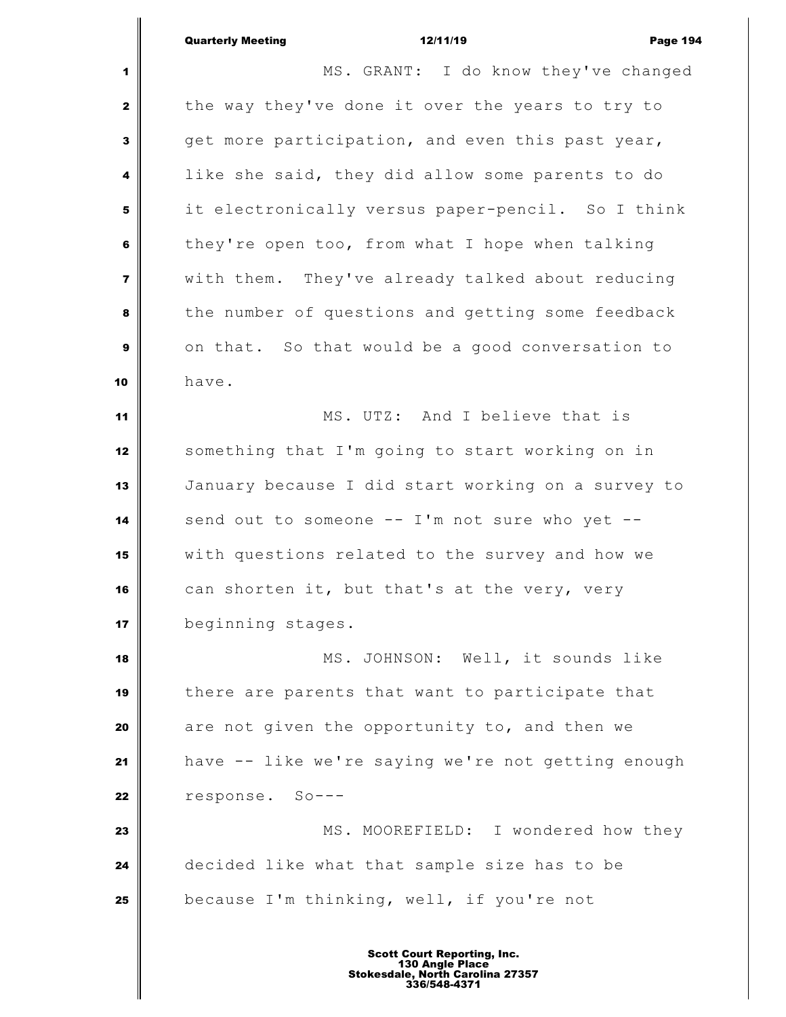| <b>Quarterly Meeting</b> | 12/11/19 | <b>Page 194</b> |
|--------------------------|----------|-----------------|

 MS. GRANT: I do know they've changed the way they've done it over the years to try to get more participation, and even this past year, like she said, they did allow some parents to do it electronically versus paper-pencil. So I think they're open too, from what I hope when talking with them. They've already talked about reducing the number of questions and getting some feedback on that. So that would be a good conversation to have. MS. UTZ: And I believe that is something that I'm going to start working on in January because I did start working on a survey to send out to someone -- I'm not sure who yet -- with questions related to the survey and how we can shorten it, but that's at the very, very beginning stages. MS. JOHNSON: Well, it sounds like there are parents that want to participate that are not given the opportunity to, and then we have -- like we're saying we're not getting enough response. So--- **MS.** MOOREFIELD: I wondered how they decided like what that sample size has to be because I'm thinking, well, if you're not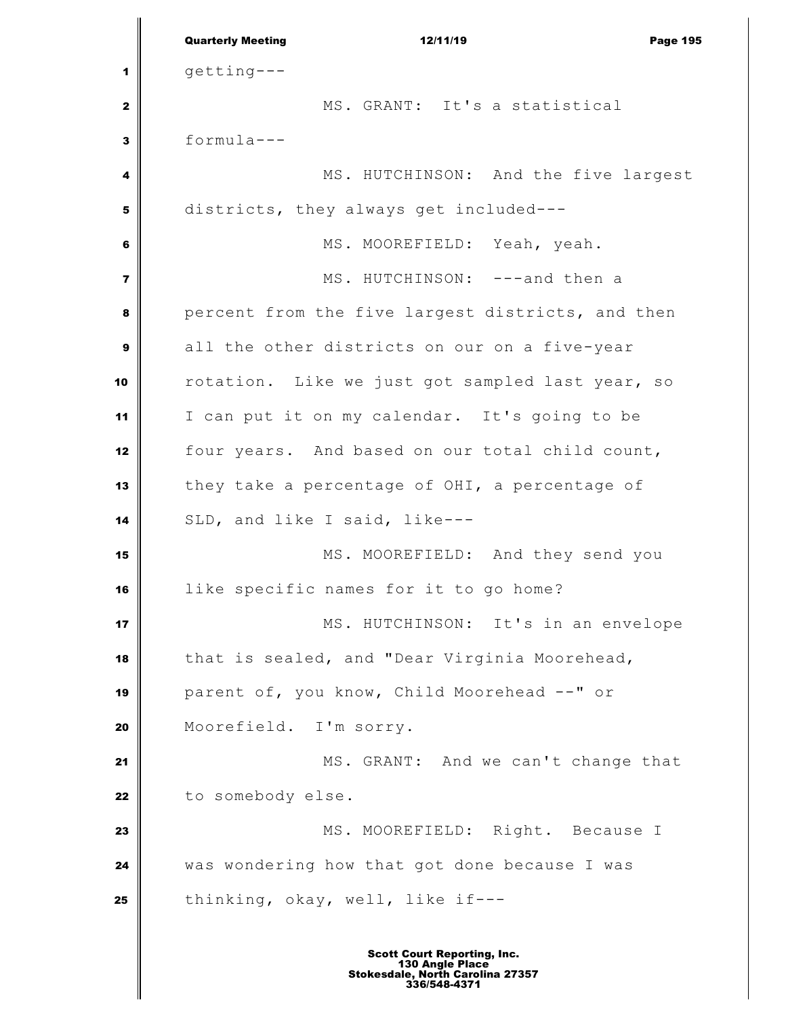Quarterly Meeting **12/11/19** Page 195  $q$ etting--- MS. GRANT: It's a statistical formula--- MS. HUTCHINSON: And the five largest districts, they always get included--- MS. MOOREFIELD: Yeah, yeah. MS. HUTCHINSON: ---and then a percent from the five largest districts, and then all the other districts on our on a five-year rotation. Like we just got sampled last year, so I can put it on my calendar. It's going to be four years. And based on our total child count, they take a percentage of OHI, a percentage of SLD, and like I said, like--- MS. MOOREFIELD: And they send you like specific names for it to go home? MS. HUTCHINSON: It's in an envelope that is sealed, and "Dear Virginia Moorehead, parent of, you know, Child Moorehead --" or Moorefield. I'm sorry. MS. GRANT: And we can't change that to somebody else. **MS. MOOREFIELD:** Right. Because I was wondering how that got done because I was thinking, okay, well, like if---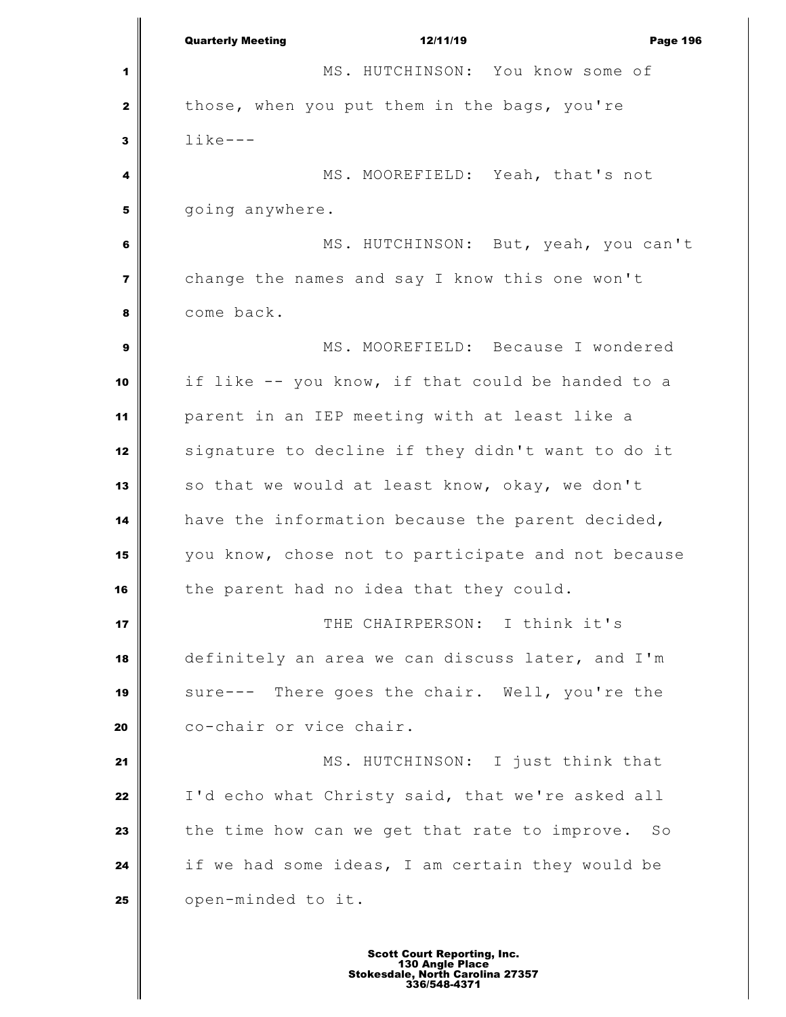Quarterly Meeting **12/11/19** Page 196 MS. HUTCHINSON: You know some of those, when you put them in the bags, you're like--- MS. MOOREFIELD: Yeah, that's not | qoing anywhere. MS. HUTCHINSON: But, yeah, you can't change the names and say I know this one won't come back. MS. MOOREFIELD: Because I wondered if like -- you know, if that could be handed to a parent in an IEP meeting with at least like a signature to decline if they didn't want to do it 13 | so that we would at least know, okay, we don't have the information because the parent decided, you know, chose not to participate and not because the parent had no idea that they could. **I** THE CHAIRPERSON: I think it's definitely an area we can discuss later, and I'm sure--- There goes the chair. Well, you're the co-chair or vice chair. MS. HUTCHINSON: I just think that I'd echo what Christy said, that we're asked all the time how can we get that rate to improve. So if we had some ideas, I am certain they would be | open-minded to it.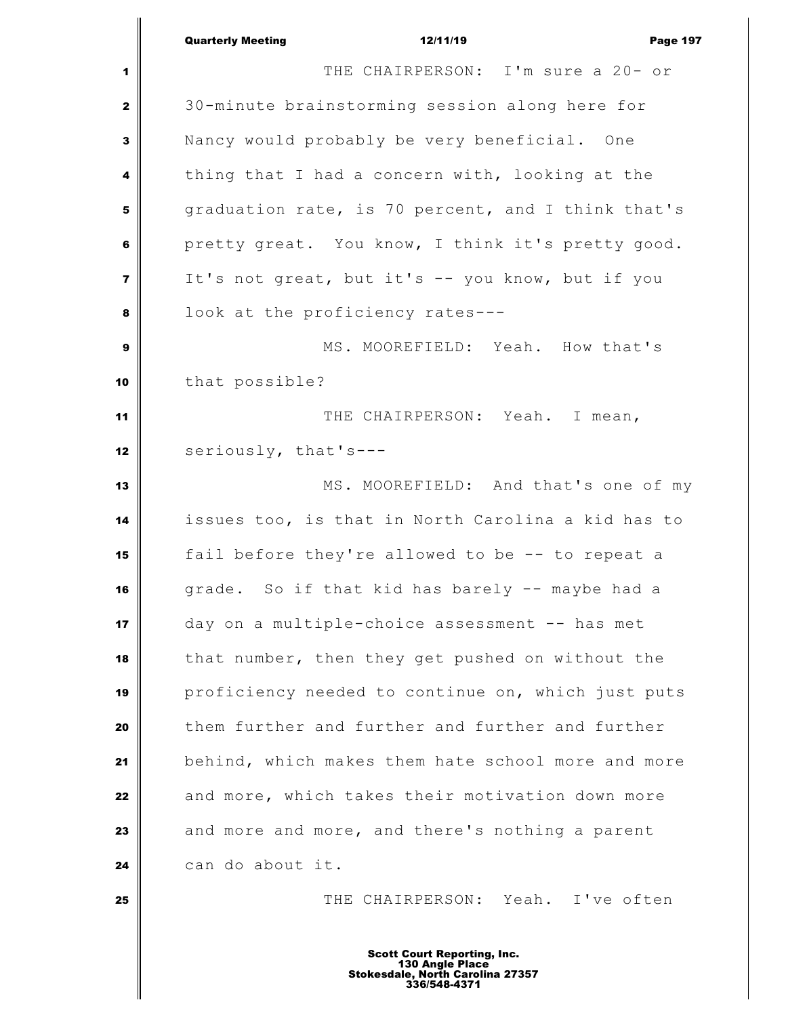|                         | <b>Quarterly Meeting</b><br>12/11/19<br><b>Page 197</b>                                                   |  |
|-------------------------|-----------------------------------------------------------------------------------------------------------|--|
| 1                       | THE CHAIRPERSON: I'm sure a 20- or                                                                        |  |
| $\mathbf{2}$            | 30-minute brainstorming session along here for                                                            |  |
| 3                       | Nancy would probably be very beneficial. One                                                              |  |
| 4                       | thing that I had a concern with, looking at the                                                           |  |
| 5                       | graduation rate, is 70 percent, and I think that's                                                        |  |
| 6                       | pretty great. You know, I think it's pretty good.                                                         |  |
| $\overline{\mathbf{z}}$ | It's not great, but it's -- you know, but if you                                                          |  |
| 8                       | look at the proficiency rates---                                                                          |  |
| 9                       | MS. MOOREFIELD: Yeah. How that's                                                                          |  |
| 10                      | that possible?                                                                                            |  |
| 11                      | THE CHAIRPERSON: Yeah. I mean,                                                                            |  |
| 12                      | seriously, that's---                                                                                      |  |
| 13                      | MS. MOOREFIELD: And that's one of my                                                                      |  |
| 14                      | issues too, is that in North Carolina a kid has to                                                        |  |
| 15                      | fail before they're allowed to be -- to repeat a                                                          |  |
| 16                      | grade. So if that kid has barely -- maybe had a                                                           |  |
| 17                      | day on a multiple-choice assessment -- has met                                                            |  |
| 18                      | that number, then they get pushed on without the                                                          |  |
| 19                      | proficiency needed to continue on, which just puts                                                        |  |
| 20                      | them further and further and further and further                                                          |  |
| 21                      | behind, which makes them hate school more and more                                                        |  |
| 22                      | and more, which takes their motivation down more                                                          |  |
| 23                      | and more and more, and there's nothing a parent                                                           |  |
| 24                      | can do about it.                                                                                          |  |
| 25                      | THE CHAIRPERSON: Yeah. I've often                                                                         |  |
|                         | <b>Scott Court Reporting, Inc.</b><br>130 Angle Place<br>Stokesdale, North Carolina 27357<br>336/548-4371 |  |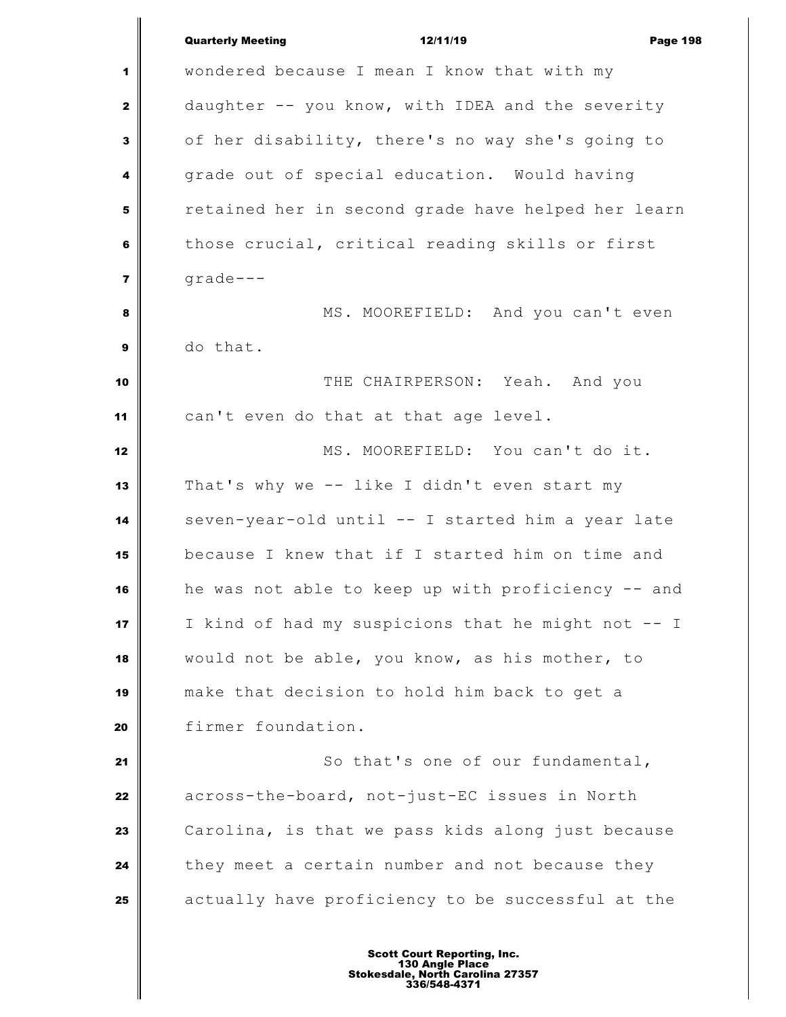|                         | <b>Quarterly Meeting</b><br>12/11/19<br><b>Page 198</b> |
|-------------------------|---------------------------------------------------------|
| 1                       | wondered because I mean I know that with my             |
| 2                       | daughter -- you know, with IDEA and the severity        |
| 3                       | of her disability, there's no way she's going to        |
| 4                       | grade out of special education. Would having            |
| 5                       | retained her in second grade have helped her learn      |
| 6                       | those crucial, critical reading skills or first         |
| $\overline{\mathbf{z}}$ | $grade -- -$                                            |
| 8                       | MS. MOOREFIELD: And you can't even                      |
| $\boldsymbol{9}$        | do that.                                                |
| 10                      | THE CHAIRPERSON: Yeah. And you                          |
| 11                      | can't even do that at that age level.                   |
| 12                      | MS. MOOREFIELD: You can't do it.                        |
| 13                      | That's why we -- like I didn't even start my            |
| 14                      | seven-year-old until -- I started him a year late       |
| 15                      | because I knew that if I started him on time and        |
| 16                      | he was not able to keep up with proficiency -- and      |
| 17                      | I kind of had my suspicions that he might not -- I      |
| 18                      | would not be able, you know, as his mother, to          |
| 19                      | make that decision to hold him back to get a            |
| 20                      | firmer foundation.                                      |
| 21                      | So that's one of our fundamental,                       |
| 22                      | across-the-board, not-just-EC issues in North           |
| 23                      | Carolina, is that we pass kids along just because       |
| 24                      | they meet a certain number and not because they         |
| 25                      | actually have proficiency to be successful at the       |
|                         |                                                         |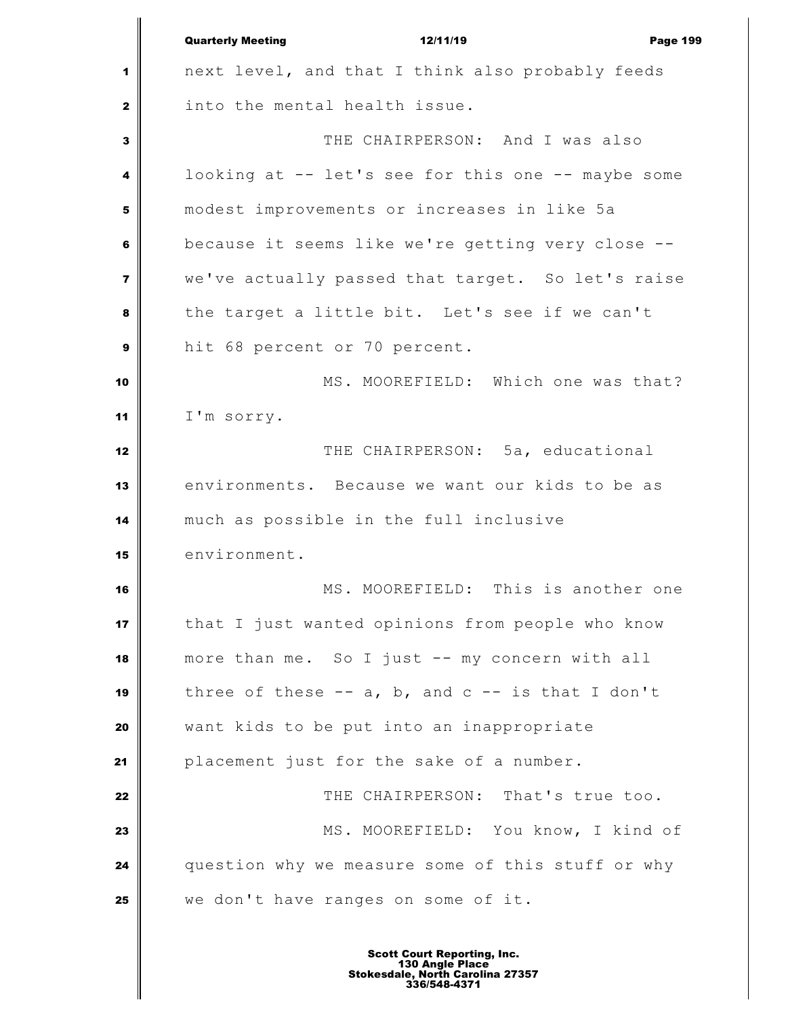|                         | <b>Quarterly Meeting</b><br>12/11/19<br><b>Page 199</b> |
|-------------------------|---------------------------------------------------------|
| 1                       | next level, and that I think also probably feeds        |
| $\mathbf{2}$            | into the mental health issue.                           |
| $\mathbf{3}$            | THE CHAIRPERSON: And I was also                         |
| 4                       | looking at -- let's see for this one -- maybe some      |
| 5                       | modest improvements or increases in like 5a             |
| 6                       | because it seems like we're getting very close --       |
| $\overline{\mathbf{z}}$ | we've actually passed that target. So let's raise       |
| 8                       | the target a little bit. Let's see if we can't          |
| 9                       | hit 68 percent or 70 percent.                           |
| 10                      | MS. MOOREFIELD: Which one was that?                     |
| 11                      | I'm sorry.                                              |
| 12                      | THE CHAIRPERSON: 5a, educational                        |
| 13                      | environments. Because we want our kids to be as         |
| 14                      | much as possible in the full inclusive                  |
| 15                      | environment.                                            |
| 16                      | MS. MOOREFIELD: This is another one                     |
| 17                      | that I just wanted opinions from people who know        |
| 18                      | more than me. So I just -- my concern with all          |
| 19                      | three of these $-$ a, b, and $c$ $-$ is that I don't    |
| 20                      | want kids to be put into an inappropriate               |
| 21                      | placement just for the sake of a number.                |
| 22                      | THE CHAIRPERSON: That's true too.                       |
| 23                      | MS. MOOREFIELD: You know, I kind of                     |
| 24                      | question why we measure some of this stuff or why       |
| 25                      | we don't have ranges on some of it.                     |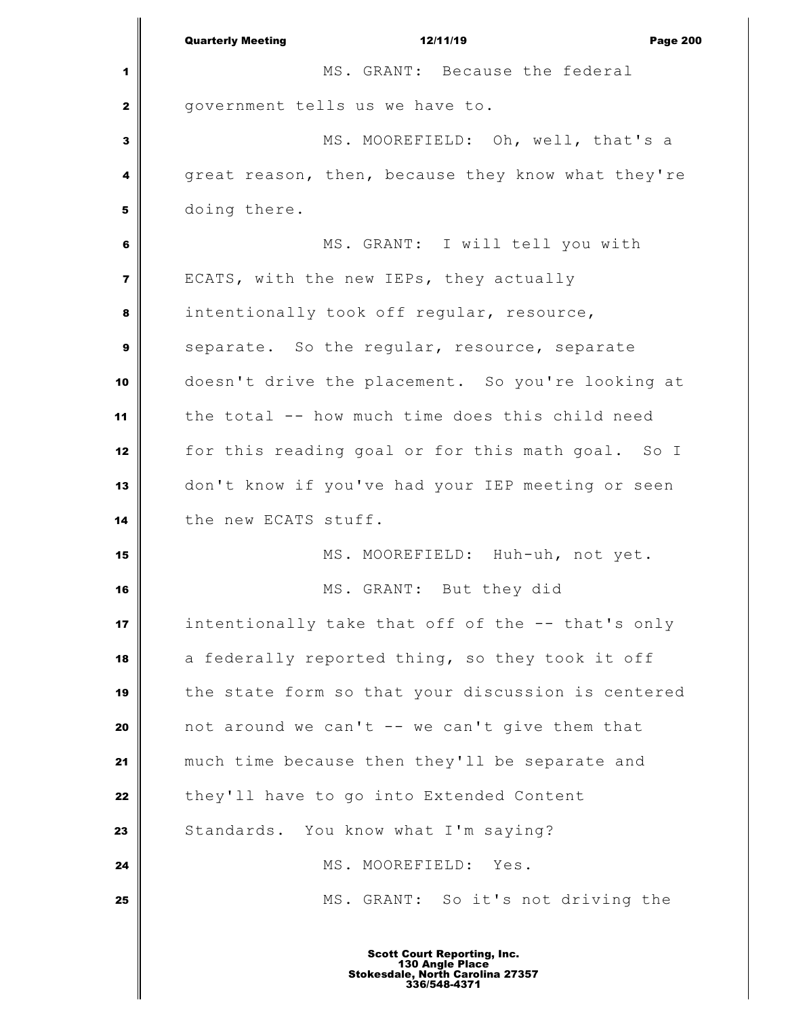|                | 12/11/19<br><b>Quarterly Meeting</b><br><b>Page 200</b> |
|----------------|---------------------------------------------------------|
| 1              | MS. GRANT: Because the federal                          |
| $\mathbf{2}$   | government tells us we have to.                         |
| 3              | MS. MOOREFIELD: Oh, well, that's a                      |
| 4              | great reason, then, because they know what they're      |
| 5              | doing there.                                            |
| 6              | MS. GRANT: I will tell you with                         |
| $\overline{7}$ | ECATS, with the new IEPs, they actually                 |
| 8              | intentionally took off regular, resource,               |
| 9              | separate. So the regular, resource, separate            |
| 10             | doesn't drive the placement. So you're looking at       |
| 11             | the total -- how much time does this child need         |
| 12             | for this reading goal or for this math goal. So I       |
| 13             | don't know if you've had your IEP meeting or seen       |
| 14             | the new ECATS stuff.                                    |
| 15             | MS. MOOREFIELD: Huh-uh, not yet.                        |
| 16             | MS. GRANT: But they did                                 |
| 17             | intentionally take that off of the -- that's only       |
| 18             | a federally reported thing, so they took it off         |
| 19             | the state form so that your discussion is centered      |
| 20             | not around we can't -- we can't give them that          |
| 21             | much time because then they'll be separate and          |
| 22             | they'll have to go into Extended Content                |
| 23             | Standards. You know what I'm saying?                    |
| 24             | MS. MOOREFIELD: Yes.                                    |
| 25             | MS. GRANT: So it's not driving the                      |
|                |                                                         |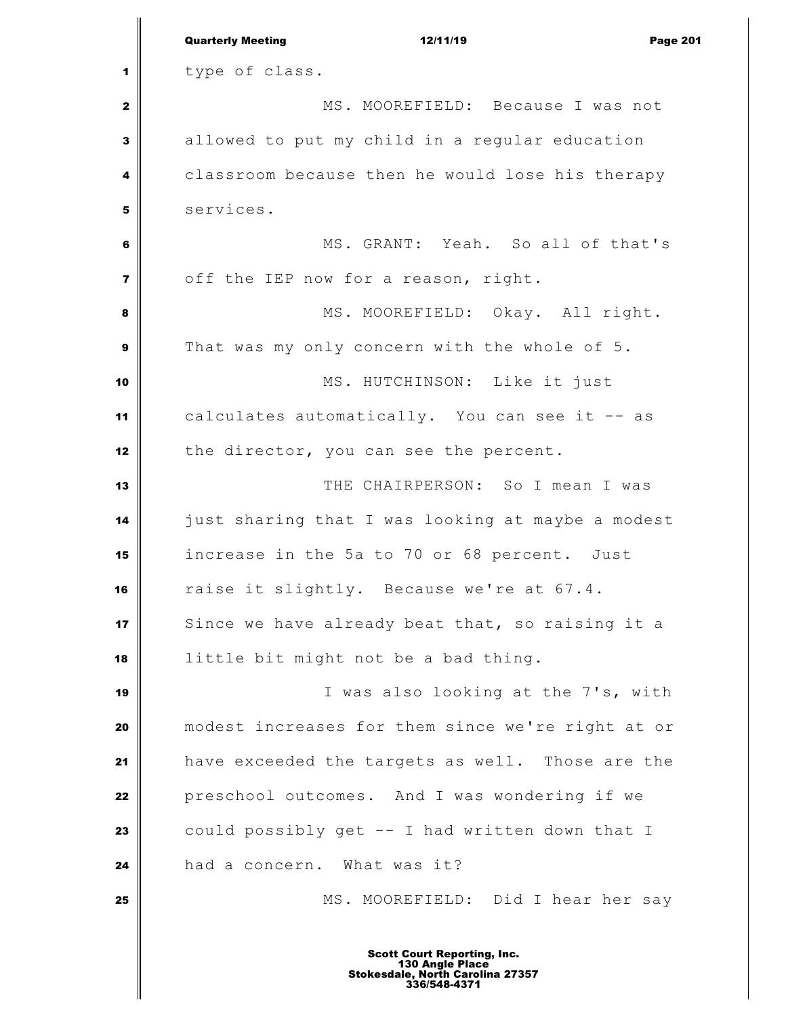|                         | <b>Quarterly Meeting</b><br>12/11/19<br><b>Page 201</b>                                                   |
|-------------------------|-----------------------------------------------------------------------------------------------------------|
| 1                       | type of class.                                                                                            |
| $\mathbf{2}$            | MS. MOOREFIELD: Because I was not                                                                         |
| $\mathbf{3}$            | allowed to put my child in a regular education                                                            |
| 4                       | classroom because then he would lose his therapy                                                          |
| 5                       | services.                                                                                                 |
| 6                       | MS. GRANT: Yeah. So all of that's                                                                         |
| $\overline{\mathbf{z}}$ | off the IEP now for a reason, right.                                                                      |
| 8                       | MS. MOOREFIELD: Okay. All right.                                                                          |
| 9                       | That was my only concern with the whole of 5.                                                             |
| 10                      | MS. HUTCHINSON: Like it just                                                                              |
| 11                      | calculates automatically. You can see it -- as                                                            |
| 12                      | the director, you can see the percent.                                                                    |
| 13                      | THE CHAIRPERSON: So I mean I was                                                                          |
| 14                      | just sharing that I was looking at maybe a modest                                                         |
| 15                      | increase in the 5a to 70 or 68 percent. Just                                                              |
| 16                      | raise it slightly. Because we're at 67.4.                                                                 |
| 17                      | Since we have already beat that, so raising it a                                                          |
| 18                      | little bit might not be a bad thing.                                                                      |
| 19                      | I was also looking at the 7's, with                                                                       |
| 20                      | modest increases for them since we're right at or                                                         |
| 21                      | have exceeded the targets as well. Those are the                                                          |
| 22                      | preschool outcomes. And I was wondering if we                                                             |
| 23                      | could possibly get -- I had written down that I                                                           |
| 24                      | had a concern. What was it?                                                                               |
| 25                      | MS. MOOREFIELD: Did I hear her say                                                                        |
|                         | <b>Scott Court Reporting, Inc.</b><br>130 Angle Place<br>Stokesdale, North Carolina 27357<br>336/548-4371 |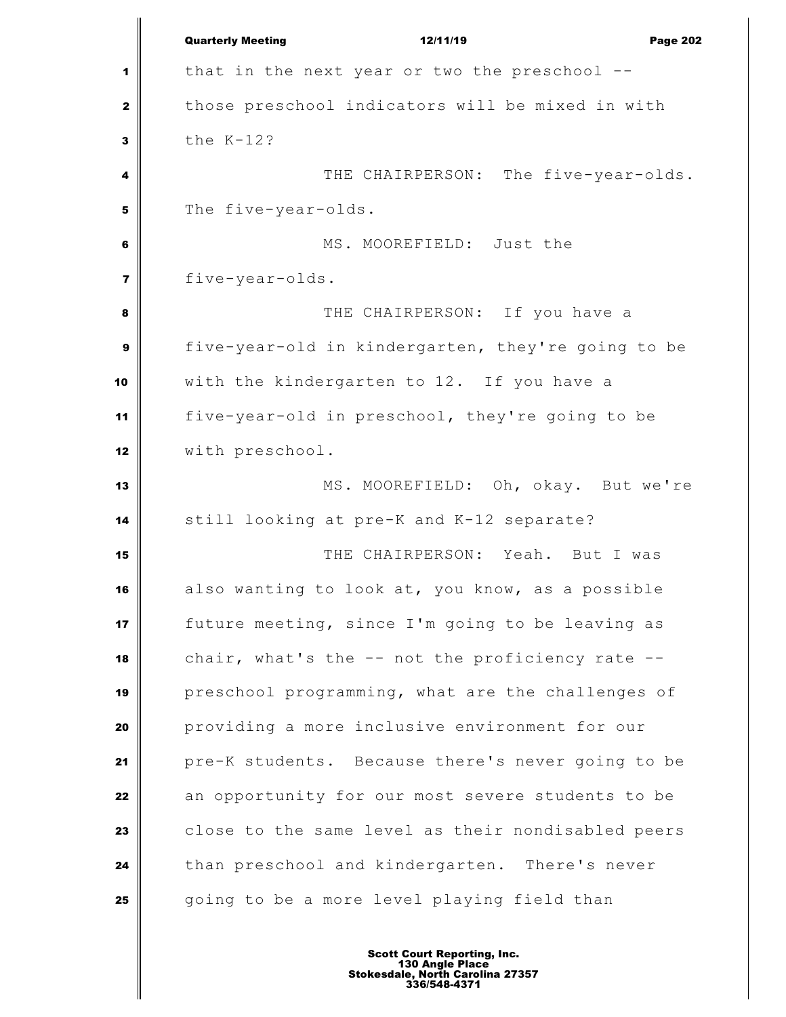|                 | <b>Quarterly Meeting</b><br>12/11/19<br><b>Page 202</b> |
|-----------------|---------------------------------------------------------|
| 1               | that in the next year or two the preschool $-$ -        |
| $\mathbf{2}$    | those preschool indicators will be mixed in with        |
| $\mathbf{3}$    | the $K-12$ ?                                            |
| 4               | THE CHAIRPERSON: The five-year-olds.                    |
| 5               | The five-year-olds.                                     |
| $6\phantom{1}6$ | MS. MOOREFIELD: Just the                                |
| $\overline{7}$  | five-year-olds.                                         |
| 8               | THE CHAIRPERSON: If you have a                          |
| 9               | five-year-old in kindergarten, they're going to be      |
| 10              | with the kindergarten to 12. If you have a              |
| 11              | five-year-old in preschool, they're going to be         |
| 12              | with preschool.                                         |
| 13              | MS. MOOREFIELD: Oh, okay. But we're                     |
| 14              | still looking at pre-K and K-12 separate?               |
| 15              | THE CHAIRPERSON: Yeah. But I was                        |
| 16              | also wanting to look at, you know, as a possible        |
| 17              | future meeting, since I'm going to be leaving as        |
| 18              | chair, what's the $--$ not the proficiency rate $--$    |
| 19              | preschool programming, what are the challenges of       |
| 20              | providing a more inclusive environment for our          |
| 21              | pre-K students. Because there's never going to be       |
| 22              | an opportunity for our most severe students to be       |
| 23              | close to the same level as their nondisabled peers      |
| 24              | than preschool and kindergarten. There's never          |
| 25              | going to be a more level playing field than             |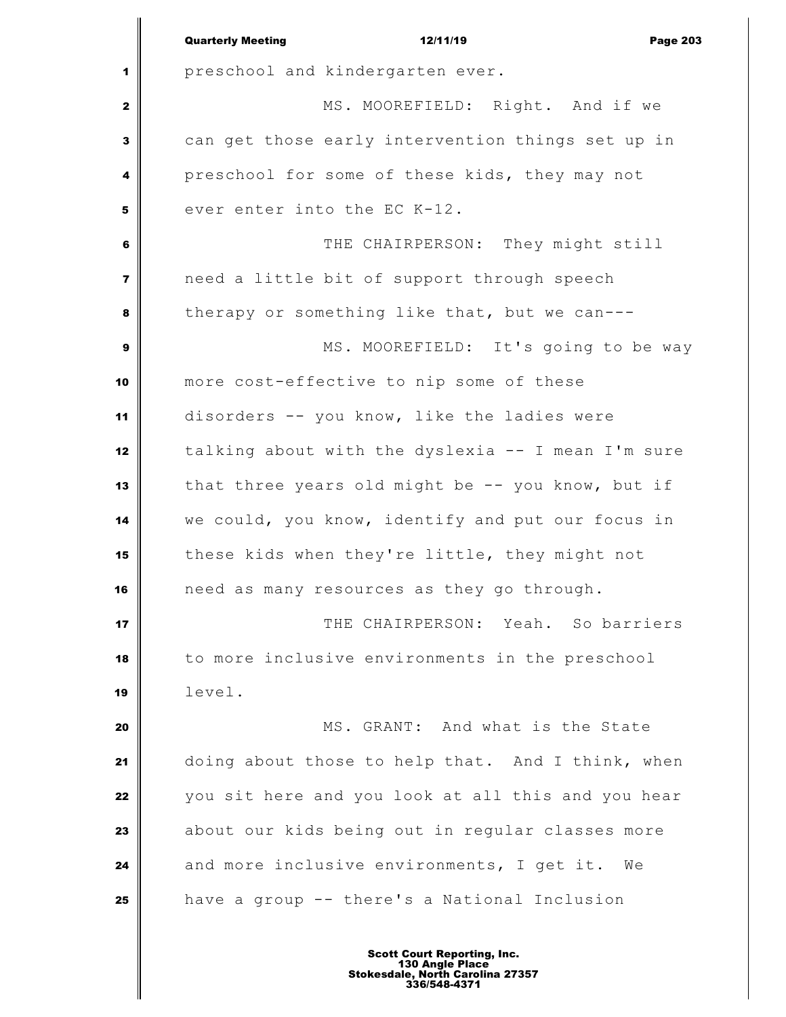|                         | <b>Quarterly Meeting</b><br>12/11/19<br><b>Page 203</b> |
|-------------------------|---------------------------------------------------------|
| 1                       | preschool and kindergarten ever.                        |
| $\mathbf{2}$            | MS. MOOREFIELD: Right. And if we                        |
| 3                       | can get those early intervention things set up in       |
| 4                       | preschool for some of these kids, they may not          |
| 5                       | ever enter into the EC K-12.                            |
| 6                       | THE CHAIRPERSON: They might still                       |
| $\overline{\mathbf{z}}$ | need a little bit of support through speech             |
| 8                       | therapy or something like that, but we can---           |
| $\boldsymbol{9}$        | MS. MOOREFIELD: It's going to be way                    |
| 10                      | more cost-effective to nip some of these                |
| 11                      | disorders -- you know, like the ladies were             |
| 12                      | talking about with the dyslexia -- I mean I'm sure      |
| 13                      | that three years old might be -- you know, but if       |
| 14                      | we could, you know, identify and put our focus in       |
| 15                      | these kids when they're little, they might not          |
| 16                      | need as many resources as they go through.              |
| 17                      | THE CHAIRPERSON:<br>Yeah. So barriers                   |
| 18                      | to more inclusive environments in the preschool         |
| 19                      | level.                                                  |
| 20                      | MS. GRANT: And what is the State                        |
| 21                      | doing about those to help that. And I think, when       |
| 22                      | you sit here and you look at all this and you hear      |
| 23                      | about our kids being out in regular classes more        |
| 24                      | and more inclusive environments, I get it. We           |
| 25                      | have a group -- there's a National Inclusion            |
|                         |                                                         |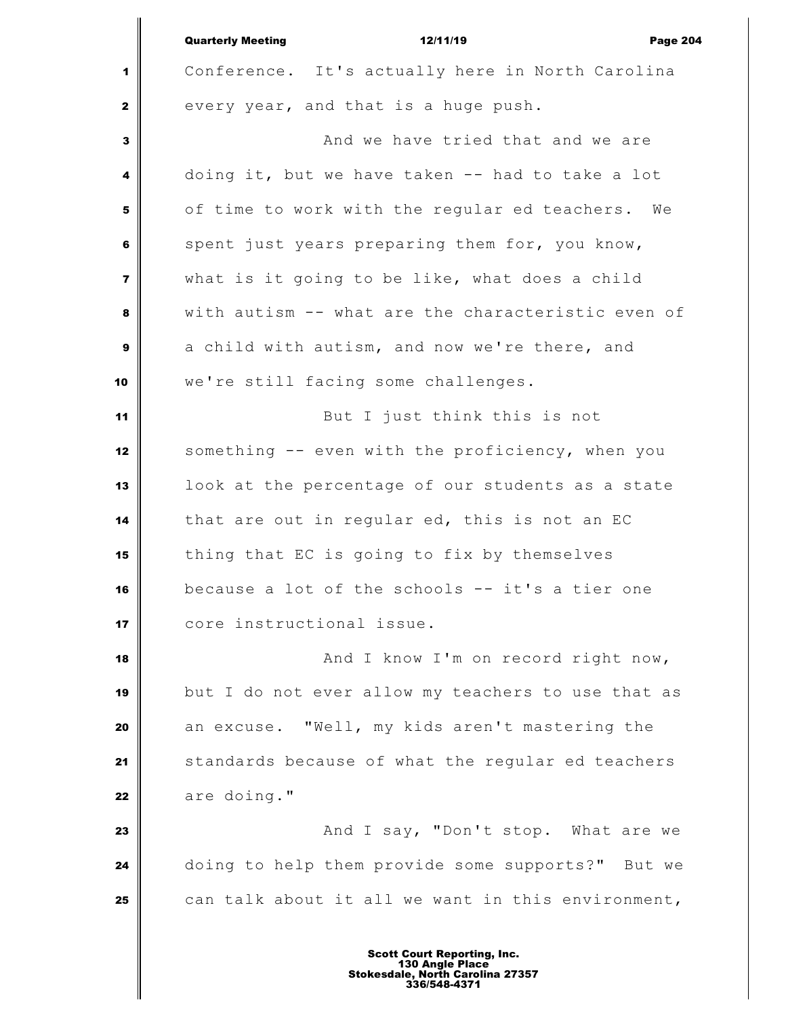|                         | <b>Quarterly Meeting</b><br>12/11/19<br><b>Page 204</b> |
|-------------------------|---------------------------------------------------------|
| 1                       | Conference. It's actually here in North Carolina        |
| $\mathbf{2}$            | every year, and that is a huge push.                    |
| 3                       | And we have tried that and we are                       |
| 4                       | doing it, but we have taken -- had to take a lot        |
| 5                       | of time to work with the regular ed teachers. We        |
| 6                       | spent just years preparing them for, you know,          |
| $\overline{\mathbf{z}}$ | what is it going to be like, what does a child          |
| 8                       | with autism -- what are the characteristic even of      |
| 9                       | a child with autism, and now we're there, and           |
| 10                      | we're still facing some challenges.                     |
| 11                      | But I just think this is not                            |
| 12                      | something -- even with the proficiency, when you        |
| 13                      | look at the percentage of our students as a state       |
| 14                      | that are out in regular ed, this is not an EC           |
| 15                      | thing that EC is going to fix by themselves             |
| 16                      | because a lot of the schools -- it's a tier one         |
| 17                      | core instructional issue.                               |
| 18                      | And I know I'm on record right now,                     |
| 19                      | but I do not ever allow my teachers to use that as      |
| 20                      | an excuse. "Well, my kids aren't mastering the          |
| 21                      | standards because of what the regular ed teachers       |
| 22                      | are doing."                                             |
| 23                      | And I say, "Don't stop. What are we                     |
| 24                      | doing to help them provide some supports?" But we       |
| 25                      | can talk about it all we want in this environment,      |
|                         |                                                         |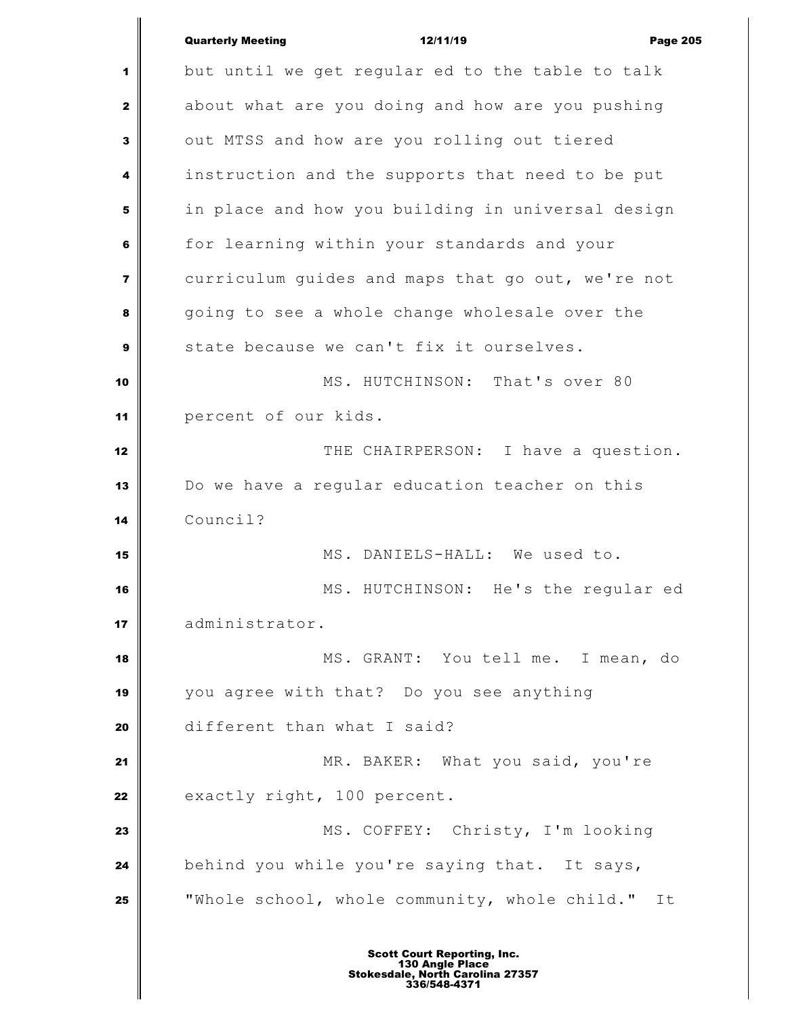|    | <b>Quarterly Meeting</b><br>12/11/19<br><b>Page 205</b> |
|----|---------------------------------------------------------|
| 1  | but until we get regular ed to the table to talk        |
| 2  | about what are you doing and how are you pushing        |
| 3  | out MTSS and how are you rolling out tiered             |
| 4  | instruction and the supports that need to be put        |
| 5  | in place and how you building in universal design       |
| 6  | for learning within your standards and your             |
| 7  | curriculum guides and maps that go out, we're not       |
| 8  | going to see a whole change wholesale over the          |
| 9  | state because we can't fix it ourselves.                |
| 10 | MS. HUTCHINSON: That's over 80                          |
| 11 | percent of our kids.                                    |
| 12 | THE CHAIRPERSON: I have a question.                     |
| 13 | Do we have a regular education teacher on this          |
| 14 | Council?                                                |
| 15 | MS. DANIELS-HALL: We used to.                           |
| 16 | MS. HUTCHINSON: He's the regular ed                     |
| 17 | administrator.                                          |
| 18 | MS. GRANT: You tell me. I mean, do                      |
| 19 | you agree with that? Do you see anything                |
| 20 | different than what I said?                             |
| 21 | MR. BAKER: What you said, you're                        |
| 22 | exactly right, 100 percent.                             |
| 23 | MS. COFFEY: Christy, I'm looking                        |
| 24 | behind you while you're saying that. It says,           |
| 25 | "Whole school, whole community, whole child."<br>It     |
|    |                                                         |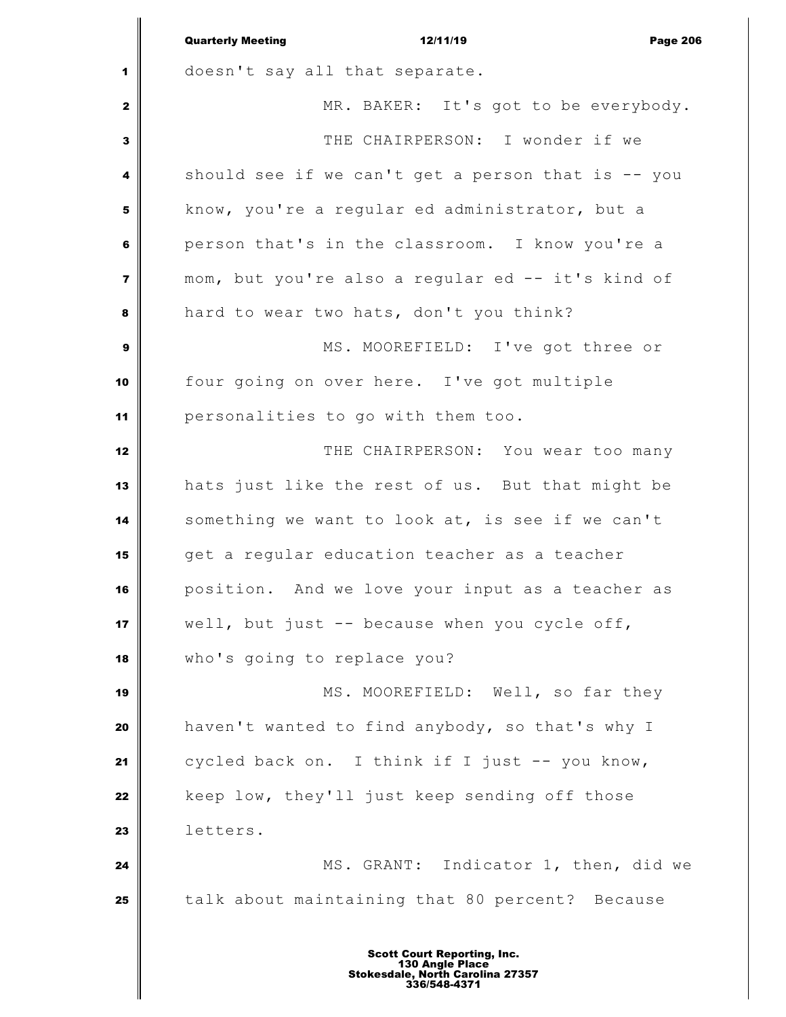|                | <b>Quarterly Meeting</b><br>12/11/19<br><b>Page 206</b> |
|----------------|---------------------------------------------------------|
| 1              | doesn't say all that separate.                          |
| $\mathbf{2}$   | MR. BAKER: It's got to be everybody.                    |
| $\mathbf{3}$   | THE CHAIRPERSON: I wonder if we                         |
| 4              | should see if we can't get a person that is -- you      |
| 5              | know, you're a regular ed administrator, but a          |
| 6              | person that's in the classroom. I know you're a         |
| $\overline{7}$ | mom, but you're also a regular ed -- it's kind of       |
| 8              | hard to wear two hats, don't you think?                 |
| $\mathbf{9}$   | MS. MOOREFIELD: I've got three or                       |
| 10             | four going on over here. I've got multiple              |
| 11             | personalities to go with them too.                      |
| 12             | THE CHAIRPERSON: You wear too many                      |
| 13             | hats just like the rest of us. But that might be        |
| 14             | something we want to look at, is see if we can't        |
| 15             | get a regular education teacher as a teacher            |
| 16             | position. And we love your input as a teacher as        |
| 17             | well, but just -- because when you cycle off,           |
| 18             | who's going to replace you?                             |
| 19             | MS. MOOREFIELD: Well, so far they                       |
| 20             | haven't wanted to find anybody, so that's why I         |
| 21             | cycled back on. I think if I just -- you know,          |
| 22             | keep low, they'll just keep sending off those           |
| 23             | letters.                                                |
| 24             | MS. GRANT: Indicator 1, then, did we                    |
| 25             | talk about maintaining that 80 percent? Because         |
|                |                                                         |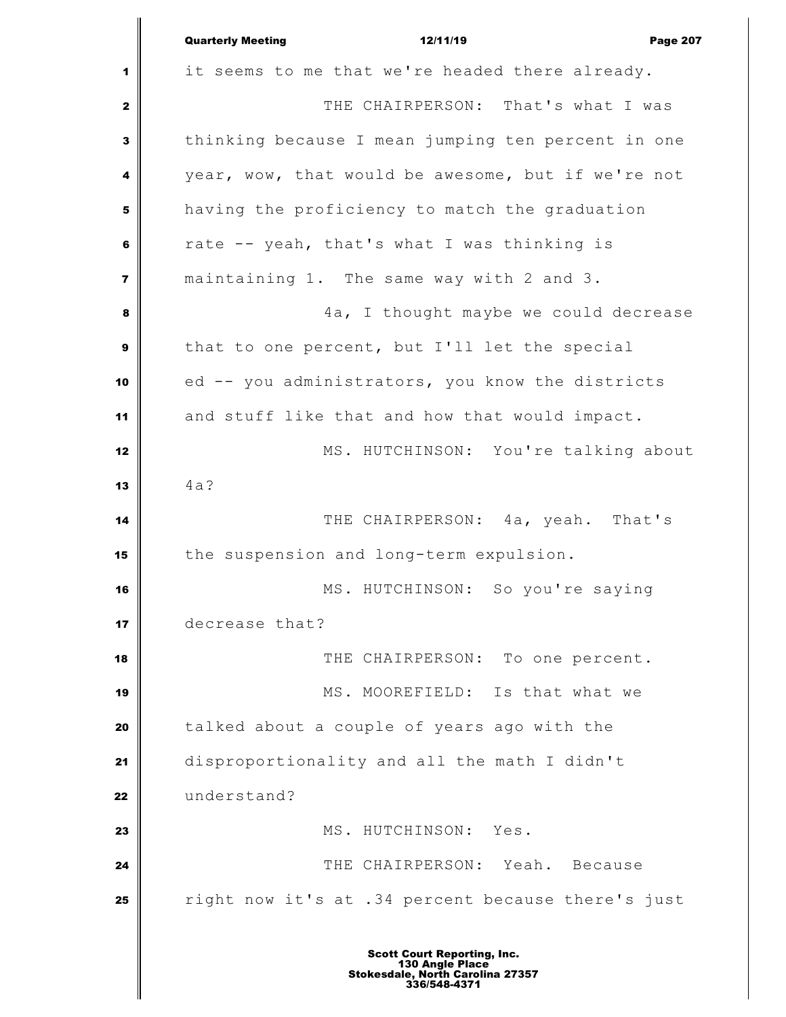|                         | <b>Quarterly Meeting</b><br>12/11/19<br><b>Page 207</b> |
|-------------------------|---------------------------------------------------------|
| 1                       | it seems to me that we're headed there already.         |
| $\mathbf{2}$            | THE CHAIRPERSON: That's what I was                      |
| 3                       | thinking because I mean jumping ten percent in one      |
| 4                       | year, wow, that would be awesome, but if we're not      |
| 5                       | having the proficiency to match the graduation          |
| 6                       | rate -- yeah, that's what I was thinking is             |
| $\overline{\mathbf{z}}$ | maintaining 1. The same way with 2 and 3.               |
| 8                       | 4a, I thought maybe we could decrease                   |
| $\boldsymbol{9}$        | that to one percent, but I'll let the special           |
| 10                      | ed -- you administrators, you know the districts        |
| 11                      | and stuff like that and how that would impact.          |
| 12                      | MS. HUTCHINSON: You're talking about                    |
| 13                      | 4a?                                                     |
| 14                      | THE CHAIRPERSON: 4a, yeah. That's                       |
| 15                      | the suspension and long-term expulsion.                 |
| 16                      | MS. HUTCHINSON: So you're saying                        |
| 17                      | decrease that?                                          |
| 18                      | THE CHAIRPERSON: To one percent.                        |
| 19                      | MS. MOOREFIELD: Is that what we                         |
| 20                      | talked about a couple of years ago with the             |
| 21                      | disproportionality and all the math I didn't            |
| 22                      | understand?                                             |
| 23                      | MS. HUTCHINSON: Yes.                                    |
| 24                      | THE CHAIRPERSON: Yeah. Because                          |
| 25                      | right now it's at .34 percent because there's just      |
|                         |                                                         |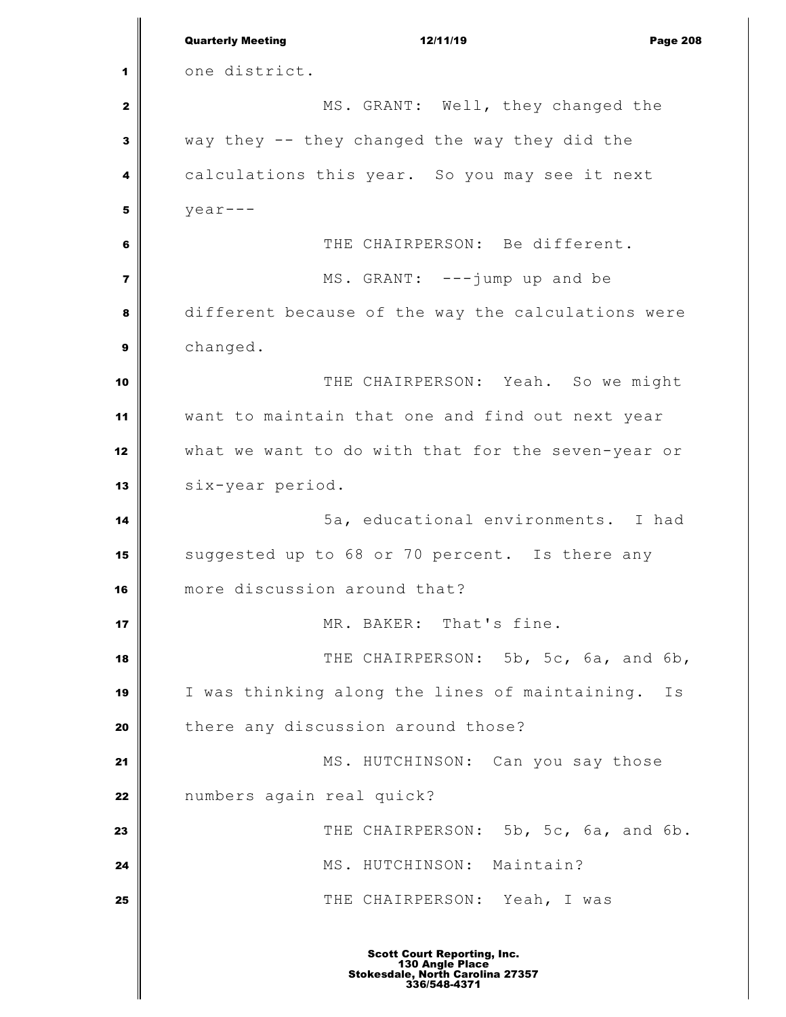|                         | <b>Quarterly Meeting</b><br>12/11/19<br><b>Page 208</b> |
|-------------------------|---------------------------------------------------------|
| 1                       | one district.                                           |
| 2                       | MS. GRANT: Well, they changed the                       |
| 3                       | way they -- they changed the way they did the           |
| 4                       | calculations this year. So you may see it next          |
| 5                       | $year--$                                                |
| 6                       | THE CHAIRPERSON: Be different.                          |
| $\overline{\mathbf{z}}$ | MS. GRANT: ---jump up and be                            |
| 8                       | different because of the way the calculations were      |
| 9                       | changed.                                                |
| 10                      | THE CHAIRPERSON: Yeah. So we might                      |
| 11                      | want to maintain that one and find out next year        |
| 12                      | what we want to do with that for the seven-year or      |
| 13                      | six-year period.                                        |
| 14                      | 5a, educational environments. I had                     |
| 15                      | suggested up to 68 or 70 percent. Is there any          |
| 16                      | more discussion around that?                            |
| 17                      | MR. BAKER: That's fine.                                 |
| 18                      | THE CHAIRPERSON: 5b, 5c, 6a, and 6b,                    |
| 19                      | I was thinking along the lines of maintaining.<br>Is    |
| 20                      | there any discussion around those?                      |
| 21                      | MS. HUTCHINSON: Can you say those                       |
| 22                      | numbers again real quick?                               |
| 23                      | THE CHAIRPERSON: 5b, 5c, 6a, and 6b.                    |
| 24                      | MS. HUTCHINSON: Maintain?                               |
| 25                      | THE CHAIRPERSON: Yeah, I was                            |
|                         |                                                         |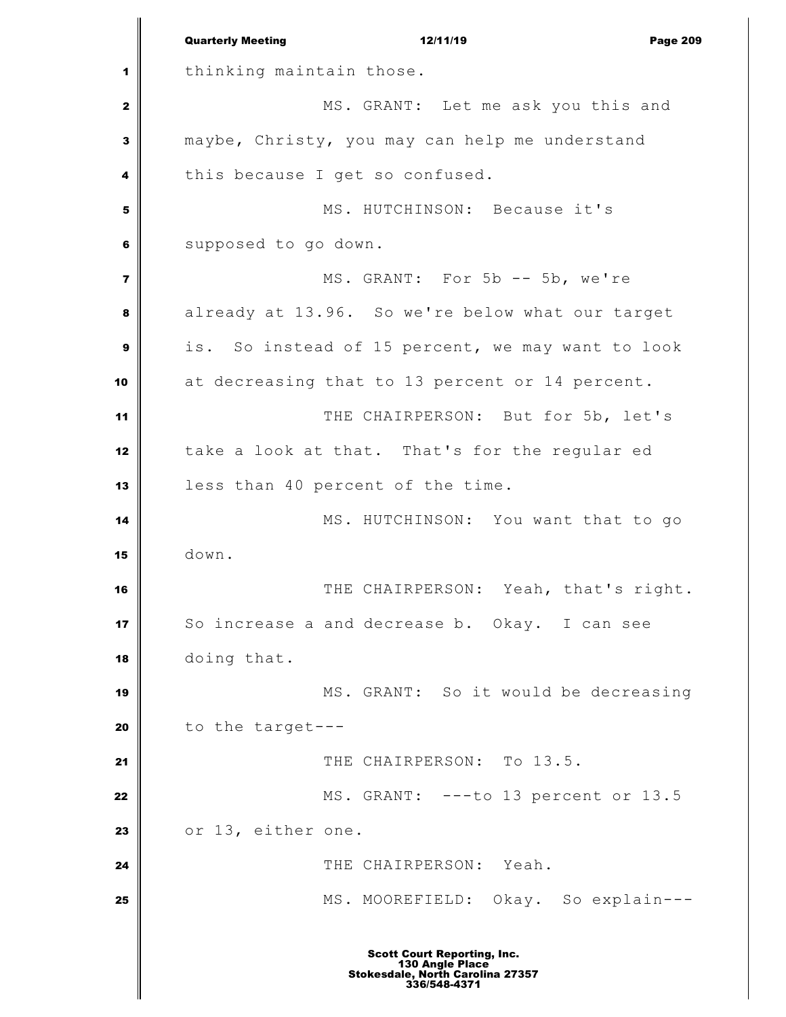Quarterly Meeting 12/11/19 Page 209 thinking maintain those. MS. GRANT: Let me ask you this and maybe, Christy, you may can help me understand this because I get so confused. MS. HUTCHINSON: Because it's supposed to go down. MS. GRANT: For 5b -- 5b, we're already at 13.96. So we're below what our target is. So instead of 15 percent, we may want to look at decreasing that to 13 percent or 14 percent. THE CHAIRPERSON: But for 5b, let's take a look at that. That's for the regular ed less than 40 percent of the time. MS. HUTCHINSON: You want that to go down. THE CHAIRPERSON: Yeah, that's right. So increase a and decrease b. Okay. I can see doing that. MS. GRANT: So it would be decreasing to the target--- THE CHAIRPERSON: To 13.5. MS. GRANT: ---to 13 percent or 13.5 23 or 13, either one. THE CHAIRPERSON: Yeah. MS. MOOREFIELD: Okay. So explain---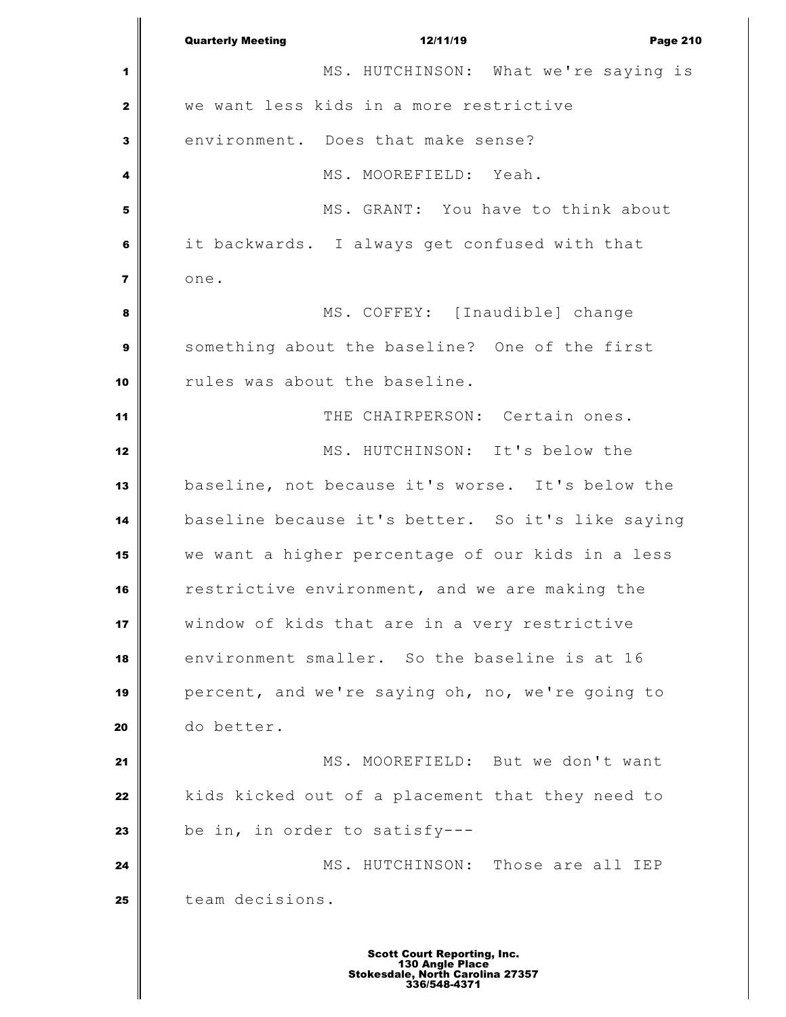Quarterly Meeting 12/11/19 Page 210 MS. HUTCHINSON: What we're saying is we want less kids in a more restrictive environment. Does that make sense?  $\parallel$  MS. MOOREFIELD: Yeah. | MS. GRANT: You have to think about it backwards. I always get confused with that one. MS. COFFEY: [Inaudible] change something about the baseline? One of the first rules was about the baseline. THE CHAIRPERSON: Certain ones. MS. HUTCHINSON: It's below the baseline, not because it's worse. It's below the baseline because it's better. So it's like saying we want a higher percentage of our kids in a less restrictive environment, and we are making the window of kids that are in a very restrictive environment smaller. So the baseline is at 16 percent, and we're saying oh, no, we're going to do better. 21 | MS. MOOREFIELD: But we don't want kids kicked out of a placement that they need to be in, in order to satisfy--- MS. HUTCHINSON: Those are all IEP team decisions.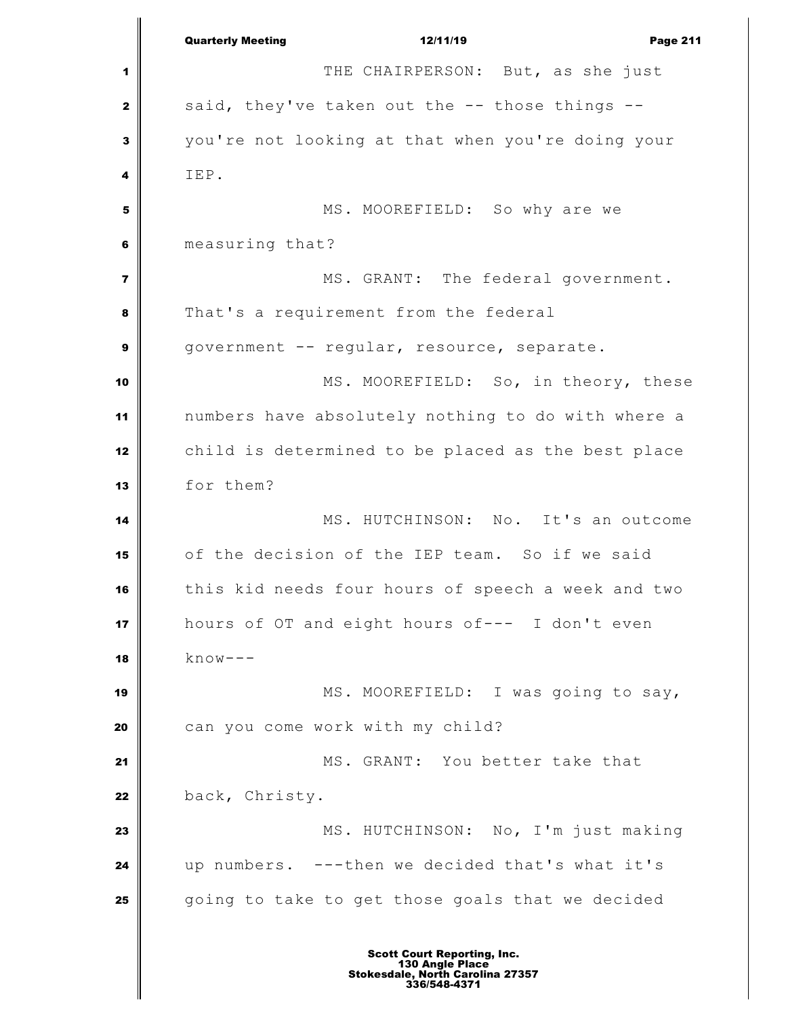Quarterly Meeting 12/11/19 Page 211 THE CHAIRPERSON: But, as she just said, they've taken out the -- those things -- you're not looking at that when you're doing your IEP. MS. MOOREFIELD: So why are we measuring that? MS. GRANT: The federal government. That's a requirement from the federal government -- reqular, resource, separate. MS. MOOREFIELD: So, in theory, these numbers have absolutely nothing to do with where a child is determined to be placed as the best place for them? MS. HUTCHINSON: No. It's an outcome of the decision of the IEP team. So if we said this kid needs four hours of speech a week and two hours of OT and eight hours of--- I don't even know--- MS. MOOREFIELD: I was going to say, can you come work with my child? MS. GRANT: You better take that 22 back, Christy. MS. HUTCHINSON: No, I'm just making up numbers. ---then we decided that's what it's going to take to get those goals that we decided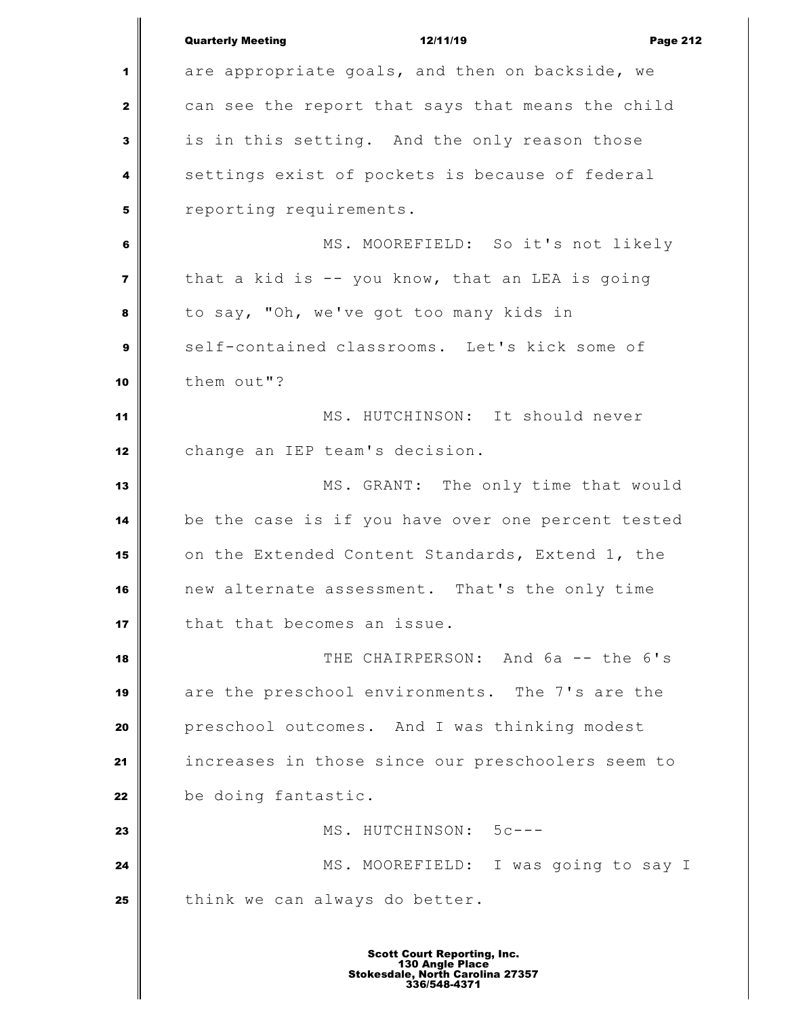|                         | <b>Quarterly Meeting</b><br>12/11/19<br><b>Page 212</b> |
|-------------------------|---------------------------------------------------------|
| 1                       | are appropriate goals, and then on backside, we         |
| $\mathbf{z}$            | can see the report that says that means the child       |
| 3                       | is in this setting. And the only reason those           |
| 4                       | settings exist of pockets is because of federal         |
| 5                       | reporting requirements.                                 |
| 6                       | MS. MOOREFIELD: So it's not likely                      |
| $\overline{\mathbf{z}}$ | that a kid is $-$ you know, that an LEA is going        |
| 8                       | to say, "Oh, we've got too many kids in                 |
| 9                       | self-contained classrooms. Let's kick some of           |
| 10                      | them out"?                                              |
| 11                      | MS. HUTCHINSON: It should never                         |
| 12                      | change an IEP team's decision.                          |
| 13                      | MS. GRANT: The only time that would                     |
| 14                      | be the case is if you have over one percent tested      |
| 15                      | on the Extended Content Standards, Extend 1, the        |
| 16                      | new alternate assessment. That's the only time          |
| 17                      | that that becomes an issue.                             |
| 18                      | THE CHAIRPERSON: And 6a -- the 6's                      |
| 19                      | are the preschool environments. The 7's are the         |
| 20                      | preschool outcomes. And I was thinking modest           |
| 21                      | increases in those since our preschoolers seem to       |
| 22                      | be doing fantastic.                                     |
| 23                      | MS. HUTCHINSON: 5c---                                   |
| 24                      | MS. MOOREFIELD: I was going to say I                    |
| 25                      | think we can always do better.                          |
|                         |                                                         |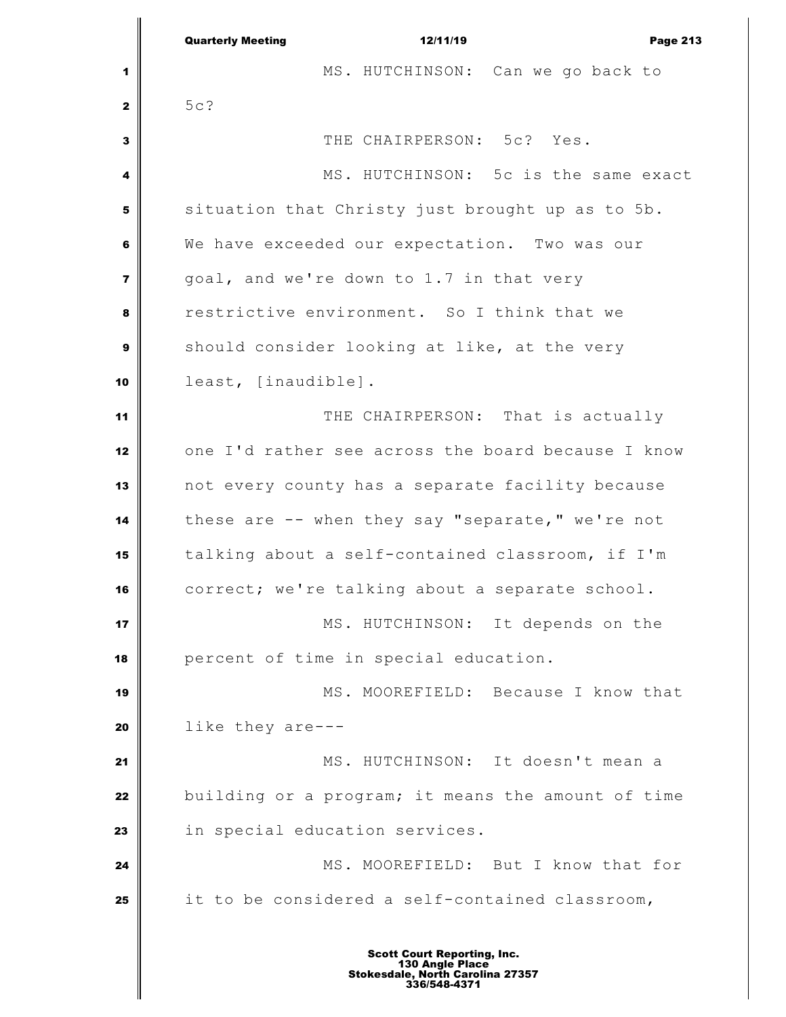|                  | <b>Quarterly Meeting</b><br>12/11/19<br><b>Page 213</b> |
|------------------|---------------------------------------------------------|
| 1                | MS. HUTCHINSON: Can we go back to                       |
| $\mathbf{2}$     | 5c?                                                     |
| $\mathbf{3}$     | THE CHAIRPERSON: 5c? Yes.                               |
| 4                | MS. HUTCHINSON: 5c is the same exact                    |
| 5                | situation that Christy just brought up as to 5b.        |
| 6                | We have exceeded our expectation. Two was our           |
| $\overline{7}$   | goal, and we're down to 1.7 in that very                |
| 8                | restrictive environment. So I think that we             |
| $\boldsymbol{9}$ | should consider looking at like, at the very            |
| 10               | least, [inaudible].                                     |
| 11               | THE CHAIRPERSON: That is actually                       |
| 12               | one I'd rather see across the board because I know      |
| 13               | not every county has a separate facility because        |
| 14               | these are -- when they say "separate," we're not        |
| 15               | talking about a self-contained classroom, if I'm        |
| 16               | correct; we're talking about a separate school.         |
| 17               | MS. HUTCHINSON: It depends on the                       |
| 18               | percent of time in special education.                   |
| 19               | MS. MOOREFIELD: Because I know that                     |
| 20               | like they are---                                        |
| 21               | MS. HUTCHINSON: It doesn't mean a                       |
| 22               | building or a program; it means the amount of time      |
| 23               | in special education services.                          |
| 24               | MS. MOOREFIELD: But I know that for                     |
| 25               | it to be considered a self-contained classroom,         |
|                  |                                                         |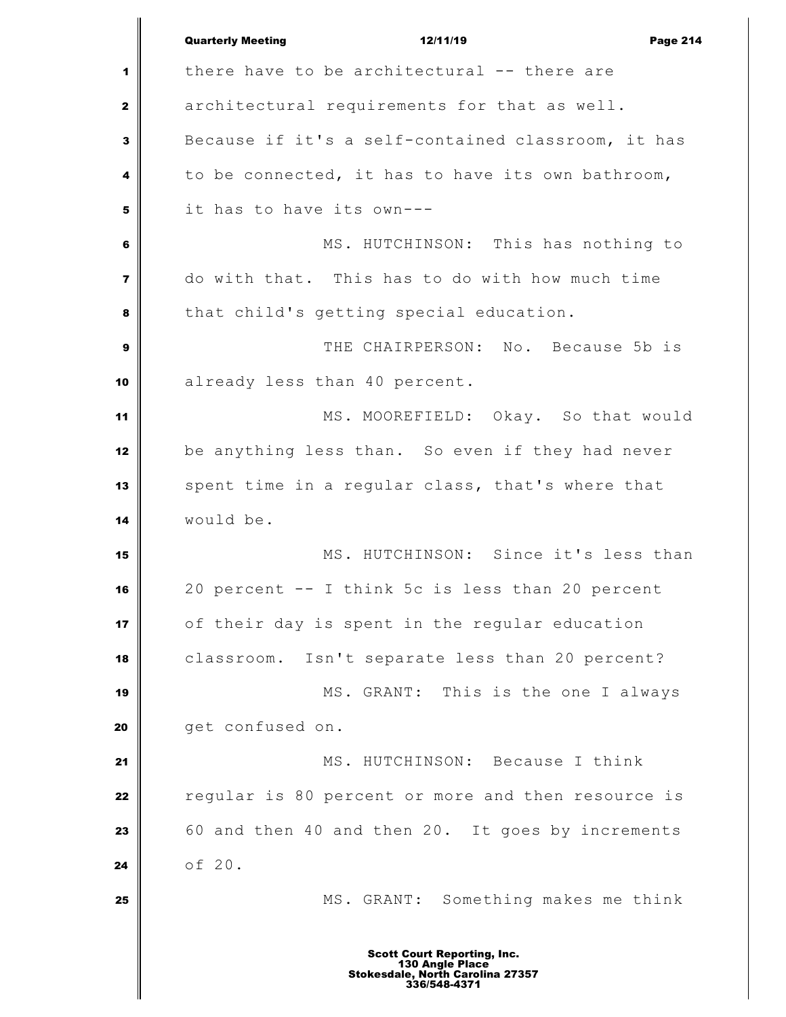Quarterly Meeting **12/11/19** Page 214 1<sup>1</sup> there have to be architectural -- there are architectural requirements for that as well. Because if it's a self-contained classroom, it has to be connected, it has to have its own bathroom, it has to have its own--- MS. HUTCHINSON: This has nothing to do with that. This has to do with how much time that child's getting special education. THE CHAIRPERSON: No. Because 5b is already less than 40 percent. MS. MOOREFIELD: Okay. So that would be anything less than. So even if they had never spent time in a regular class, that's where that would be. MS. HUTCHINSON: Since it's less than 20 percent -- I think 5c is less than 20 percent of their day is spent in the regular education classroom. Isn't separate less than 20 percent? MS. GRANT: This is the one I always **get confused on.**  MS. HUTCHINSON: Because I think reqular is 80 percent or more and then resource is 60 and then 40 and then 20. It goes by increments of 20. MS. GRANT: Something makes me think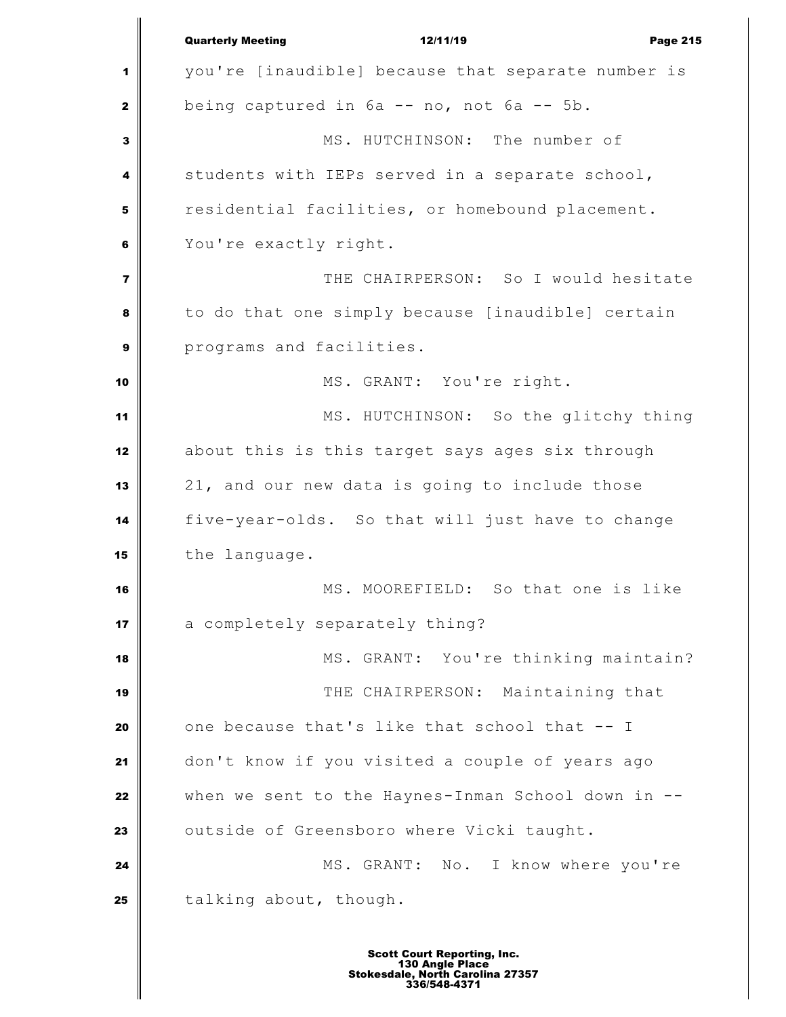Quarterly Meeting **12/11/19** Page 215 you're [inaudible] because that separate number is being captured in  $6a - n$ , not  $6a - 5b$ . MS. HUTCHINSON: The number of students with IEPs served in a separate school, residential facilities, or homebound placement. You're exactly right. THE CHAIRPERSON: So I would hesitate to do that one simply because [inaudible] certain programs and facilities. MS. GRANT: You're right. MS. HUTCHINSON: So the glitchy thing about this is this target says ages six through 21, and our new data is going to include those five-year-olds. So that will just have to change the language. MS. MOOREFIELD: So that one is like a completely separately thing? MS. GRANT: You're thinking maintain? THE CHAIRPERSON: Maintaining that one because that's like that school that -- I don't know if you visited a couple of years ago when we sent to the Haynes-Inman School down in -- outside of Greensboro where Vicki taught. MS. GRANT: No. I know where you're talking about, though.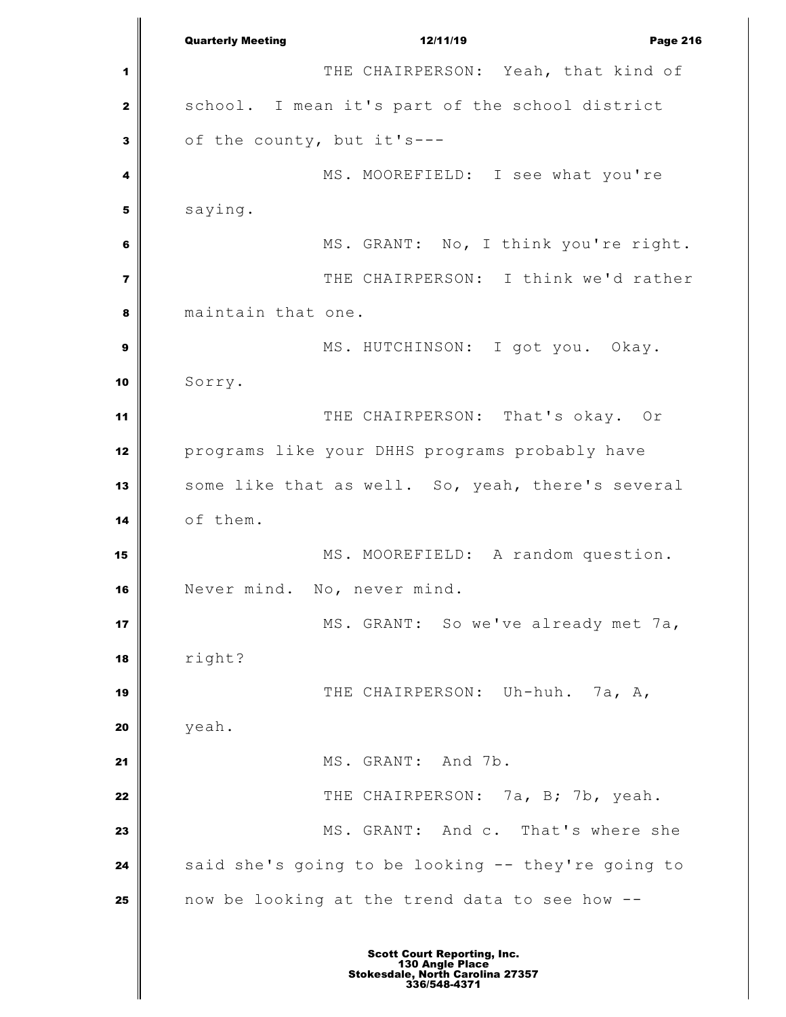Quarterly Meeting **12/11/19** Page 216 THE CHAIRPERSON: Yeah, that kind of 2 school. I mean it's part of the school district of the county, but it's--- MS. MOOREFIELD: I see what you're saying. MS. GRANT: No, I think you're right. THE CHAIRPERSON: I think we'd rather maintain that one. MS. HUTCHINSON: I got you. Okay. Sorry. THE CHAIRPERSON: That's okay. Or programs like your DHHS programs probably have some like that as well. So, yeah, there's several of them. MS. MOOREFIELD: A random question. Never mind. No, never mind. MS. GRANT: So we've already met 7a, right? THE CHAIRPERSON: Uh-huh. 7a, A, yeah. MS. GRANT: And 7b. THE CHAIRPERSON: 7a, B; 7b, yeah. MS. GRANT: And c. That's where she said she's going to be looking -- they're going to now be looking at the trend data to see how --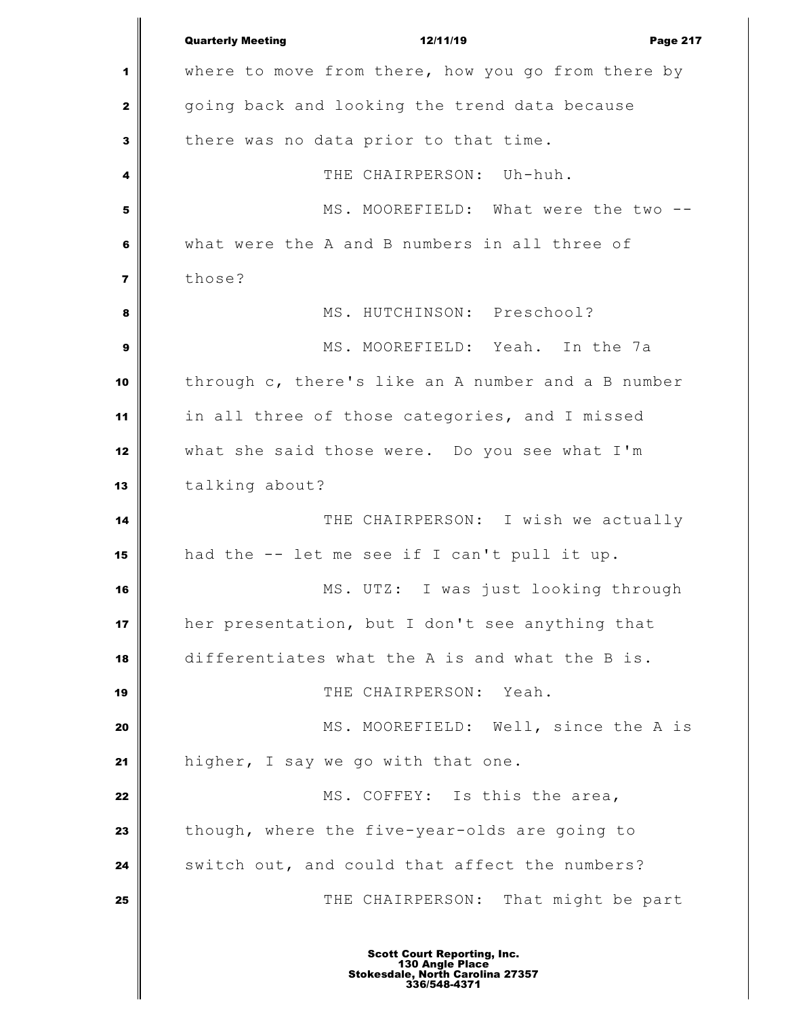Quarterly Meeting **12/11/19** Page 217 where to move from there, how you go from there by going back and looking the trend data because there was no data prior to that time. THE CHAIRPERSON: Uh-huh. MS. MOOREFIELD: What were the two -- what were the A and B numbers in all three of **those?**  MS. HUTCHINSON: Preschool? MS. MOOREFIELD: Yeah. In the 7a through c, there's like an A number and a B number in all three of those categories, and I missed what she said those were. Do you see what I'm talking about? THE CHAIRPERSON: I wish we actually had the -- let me see if I can't pull it up. MS. UTZ: I was just looking through her presentation, but I don't see anything that differentiates what the A is and what the B is. THE CHAIRPERSON: Yeah. MS. MOOREFIELD: Well, since the A is higher, I say we go with that one. MS. COFFEY: Is this the area, though, where the five-year-olds are going to switch out, and could that affect the numbers?  $\parallel$  **THE CHAIRPERSON:** That might be part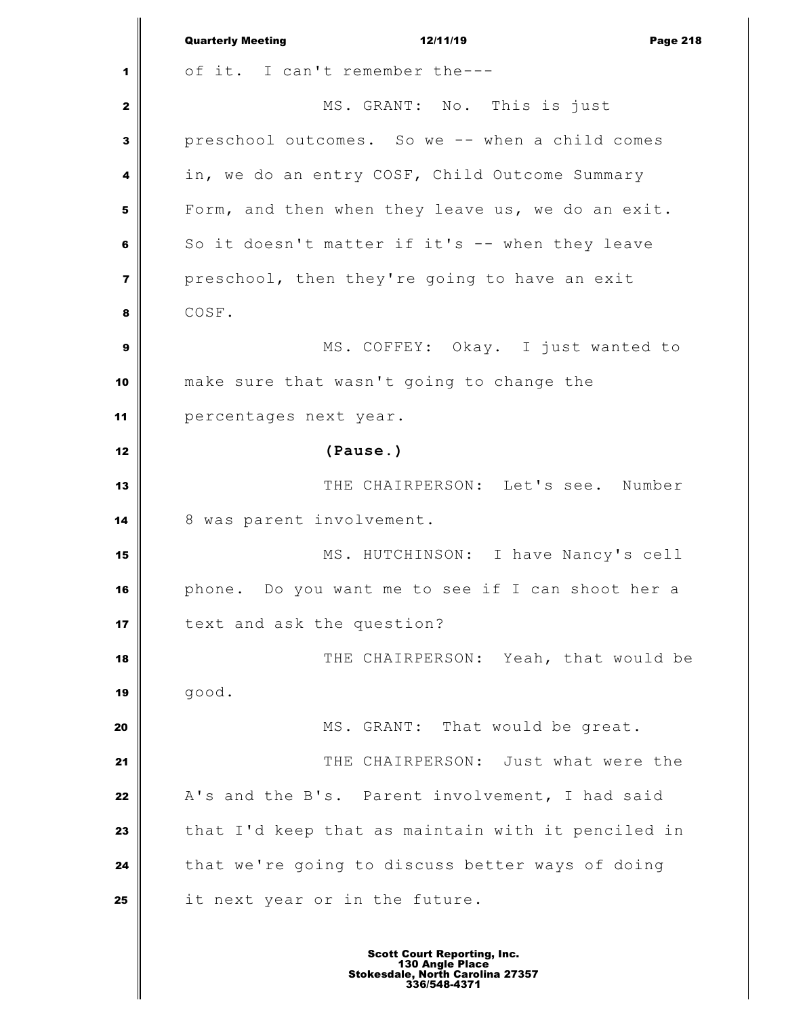|                         | <b>Quarterly Meeting</b><br>12/11/19<br><b>Page 218</b> |
|-------------------------|---------------------------------------------------------|
| 1                       | of it. I can't remember the---                          |
| 2                       | MS. GRANT: No. This is just                             |
| 3                       | preschool outcomes. So we -- when a child comes         |
| 4                       | in, we do an entry COSF, Child Outcome Summary          |
| 5                       | Form, and then when they leave us, we do an exit.       |
| 6                       | So it doesn't matter if it's -- when they leave         |
| $\overline{\mathbf{z}}$ | preschool, then they're going to have an exit           |
| 8                       | COSF.                                                   |
| 9                       | MS. COFFEY: Okay. I just wanted to                      |
| 10                      | make sure that wasn't going to change the               |
| 11                      | percentages next year.                                  |
| 12                      | (Pause.)                                                |
| 13                      | THE CHAIRPERSON: Let's see. Number                      |
| 14                      | 8 was parent involvement.                               |
| 15                      | MS. HUTCHINSON: I have Nancy's cell                     |
| 16                      | phone. Do you want me to see if I can shoot her a       |
| 17                      | text and ask the question?                              |
| 18                      | THE CHAIRPERSON: Yeah, that would be                    |
| 19                      | good.                                                   |
| 20                      | MS. GRANT: That would be great.                         |
| 21                      | THE CHAIRPERSON: Just what were the                     |
| 22                      | A's and the B's. Parent involvement, I had said         |
| 23                      | that I'd keep that as maintain with it penciled in      |
| 24                      | that we're going to discuss better ways of doing        |
| 25                      | it next year or in the future.                          |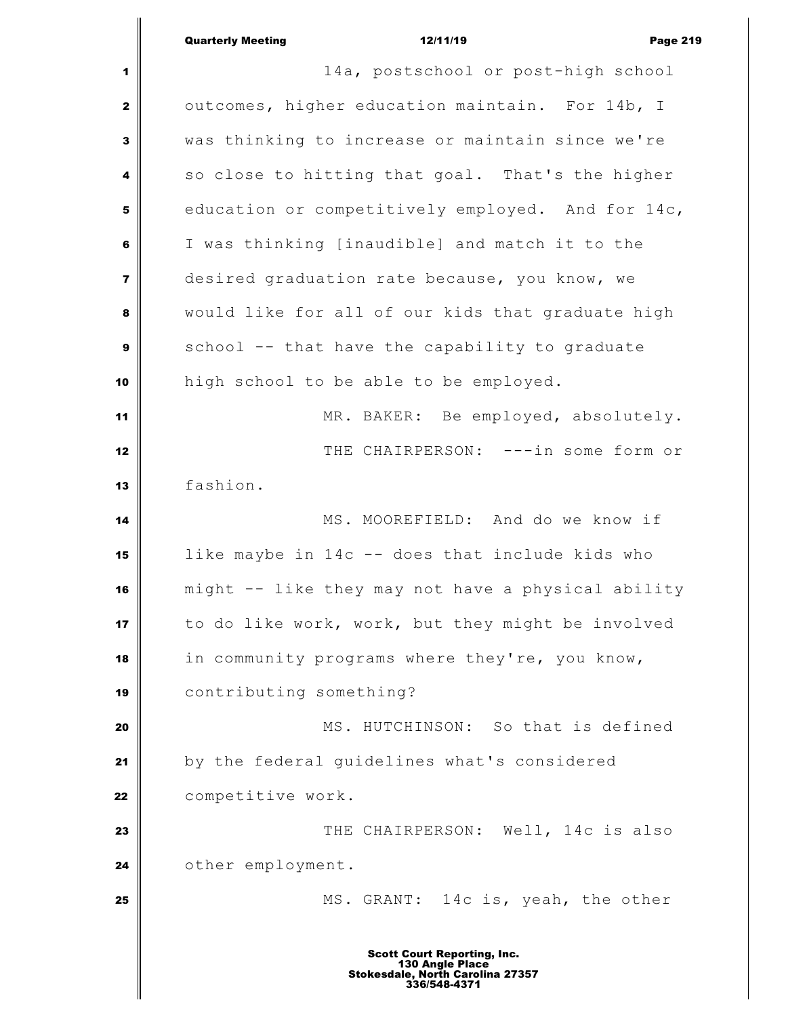|                         | <b>Quarterly Meeting</b><br>12/11/19<br><b>Page 219</b>                                                   |
|-------------------------|-----------------------------------------------------------------------------------------------------------|
| 1                       | 14a, postschool or post-high school                                                                       |
| 2                       | outcomes, higher education maintain. For 14b, I                                                           |
| 3                       | was thinking to increase or maintain since we're                                                          |
| 4                       | so close to hitting that goal. That's the higher                                                          |
| 5                       | education or competitively employed. And for 14c,                                                         |
| 6                       | I was thinking [inaudible] and match it to the                                                            |
| $\overline{\mathbf{z}}$ | desired graduation rate because, you know, we                                                             |
| 8                       | would like for all of our kids that graduate high                                                         |
| 9                       | school -- that have the capability to graduate                                                            |
| 10                      | high school to be able to be employed.                                                                    |
| 11                      | MR. BAKER: Be employed, absolutely.                                                                       |
| 12                      | THE CHAIRPERSON: ---in some form or                                                                       |
| 13                      | fashion.                                                                                                  |
| 14                      | MS. MOOREFIELD: And do we know if                                                                         |
| 15                      | like maybe in 14c -- does that include kids who                                                           |
| 16                      | might -- like they may not have a physical ability                                                        |
| 17                      | to do like work, work, but they might be involved                                                         |
| 18                      | in community programs where they're, you know,                                                            |
| 19                      | contributing something?                                                                                   |
| 20                      | MS. HUTCHINSON: So that is defined                                                                        |
| 21                      | by the federal guidelines what's considered                                                               |
| 22                      | competitive work.                                                                                         |
| 23                      | THE CHAIRPERSON: Well, 14c is also                                                                        |
| 24                      | other employment.                                                                                         |
| 25                      | MS. GRANT: 14c is, yeah, the other                                                                        |
|                         | <b>Scott Court Reporting, Inc.</b><br>130 Angle Place<br>Stokesdale, North Carolina 27357<br>336/548-4371 |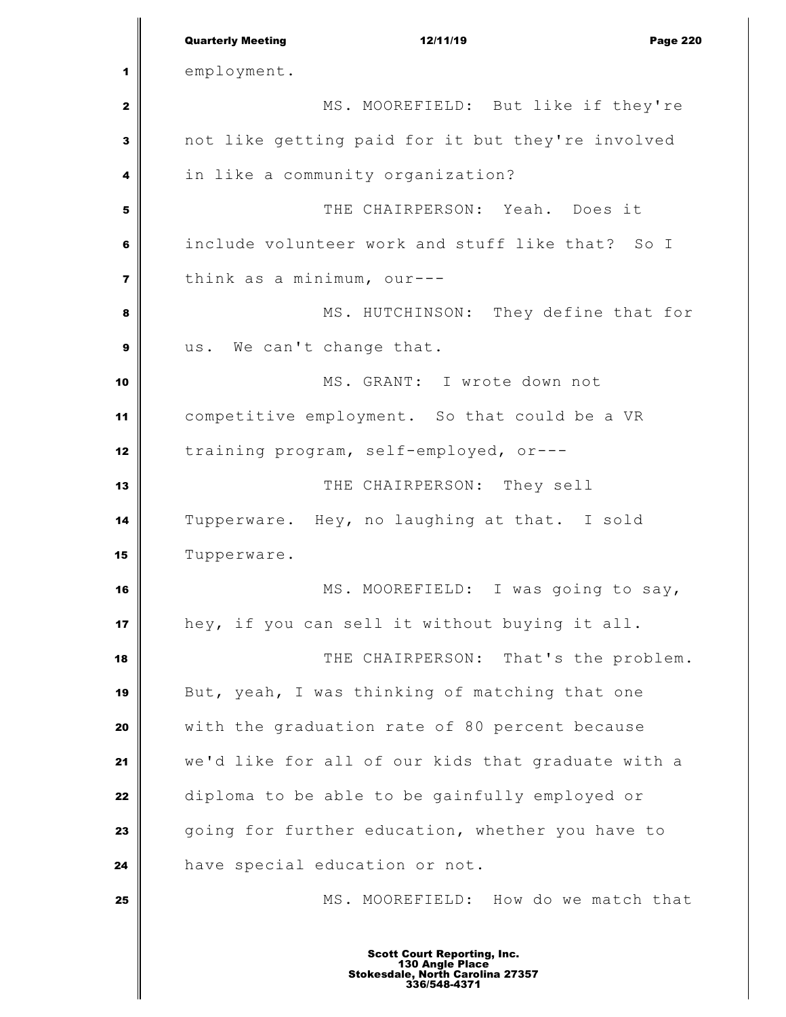|                         | <b>Quarterly Meeting</b><br>12/11/19<br><b>Page 220</b>                                                   |
|-------------------------|-----------------------------------------------------------------------------------------------------------|
| 1                       | employment.                                                                                               |
| 2                       | MS. MOOREFIELD: But like if they're                                                                       |
| 3                       | not like getting paid for it but they're involved                                                         |
| 4                       | in like a community organization?                                                                         |
| 5                       | THE CHAIRPERSON: Yeah. Does it                                                                            |
| 6                       | include volunteer work and stuff like that? So I                                                          |
| $\overline{\mathbf{z}}$ | think as a minimum, our---                                                                                |
| 8                       | MS. HUTCHINSON: They define that for                                                                      |
| 9                       | us. We can't change that.                                                                                 |
| 10                      | MS. GRANT: I wrote down not                                                                               |
| 11                      | competitive employment. So that could be a VR                                                             |
| 12                      | training program, self-employed, or---                                                                    |
| 13                      | THE CHAIRPERSON: They sell                                                                                |
| 14                      | Tupperware. Hey, no laughing at that. I sold                                                              |
| 15                      | Tupperware.                                                                                               |
| 16                      | MS. MOOREFIELD: I was going to say,                                                                       |
| 17                      | hey, if you can sell it without buying it all.                                                            |
| 18                      | THE CHAIRPERSON: That's the problem.                                                                      |
| 19                      | But, yeah, I was thinking of matching that one                                                            |
| 20                      | with the graduation rate of 80 percent because                                                            |
| 21                      | we'd like for all of our kids that graduate with a                                                        |
| 22                      | diploma to be able to be gainfully employed or                                                            |
| 23                      | going for further education, whether you have to                                                          |
| 24                      | have special education or not.                                                                            |
| 25                      | MS. MOOREFIELD: How do we match that                                                                      |
|                         | <b>Scott Court Reporting, Inc.</b><br>130 Angle Place<br>Stokesdale, North Carolina 27357<br>336/548-4371 |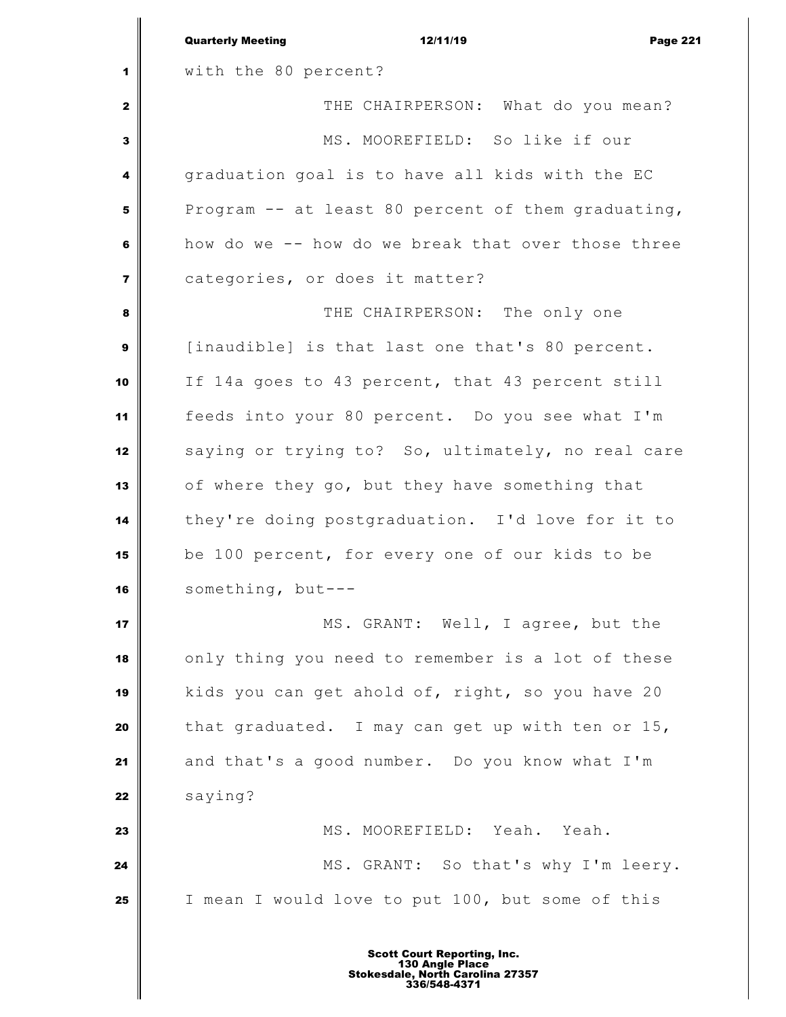|                         | <b>Quarterly Meeting</b><br>12/11/19<br><b>Page 221</b> |
|-------------------------|---------------------------------------------------------|
| 1                       | with the 80 percent?                                    |
| $\mathbf{2}$            | THE CHAIRPERSON: What do you mean?                      |
| 3                       | MS. MOOREFIELD: So like if our                          |
| 4                       | graduation goal is to have all kids with the EC         |
| 5                       | Program -- at least 80 percent of them graduating,      |
| 6                       | how do we -- how do we break that over those three      |
| $\overline{\mathbf{z}}$ | categories, or does it matter?                          |
| 8                       | THE CHAIRPERSON: The only one                           |
| 9                       | [inaudible] is that last one that's 80 percent.         |
| 10                      | If 14a goes to 43 percent, that 43 percent still        |
| 11                      | feeds into your 80 percent. Do you see what I'm         |
| 12                      | saying or trying to? So, ultimately, no real care       |
| 13                      | of where they go, but they have something that          |
| 14                      | they're doing postgraduation. I'd love for it to        |
| 15                      | be 100 percent, for every one of our kids to be         |
| 16                      | something, but-                                         |
| 17                      | MS. GRANT: Well, I agree, but the                       |
| 18                      | only thing you need to remember is a lot of these       |
| 19                      | kids you can get ahold of, right, so you have 20        |
| 20                      | that graduated. I may can get up with ten or 15,        |
| 21                      | and that's a good number. Do you know what I'm          |
| 22                      | saying?                                                 |
| 23                      | MS. MOOREFIELD: Yeah. Yeah.                             |
| 24                      | MS. GRANT: So that's why I'm leery.                     |
| 25                      | I mean I would love to put 100, but some of this        |
|                         |                                                         |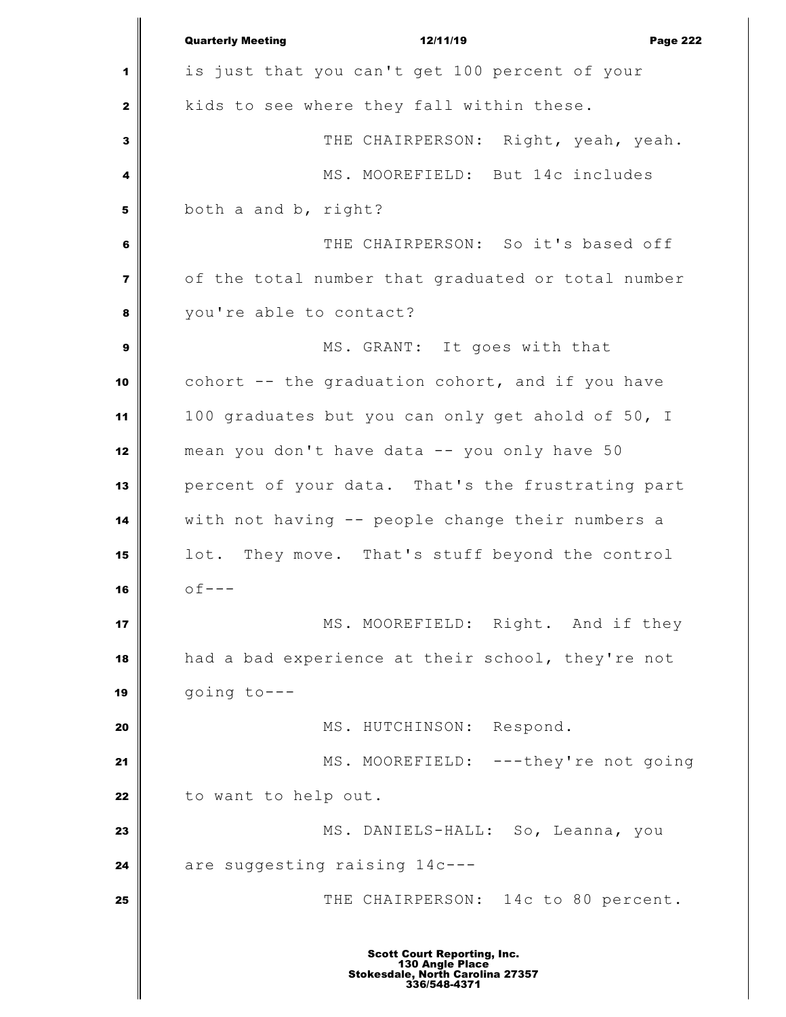|                         | <b>Quarterly Meeting</b><br>12/11/19<br><b>Page 222</b>                                                   |
|-------------------------|-----------------------------------------------------------------------------------------------------------|
| 1                       | is just that you can't get 100 percent of your                                                            |
| 2                       | kids to see where they fall within these.                                                                 |
| 3                       | THE CHAIRPERSON: Right, yeah, yeah.                                                                       |
| 4                       | MS. MOOREFIELD: But 14c includes                                                                          |
| 5                       | both a and b, right?                                                                                      |
| 6                       | THE CHAIRPERSON: So it's based off                                                                        |
| $\overline{\mathbf{z}}$ | of the total number that graduated or total number                                                        |
| 8                       | you're able to contact?                                                                                   |
| $\mathbf{9}$            | MS. GRANT: It goes with that                                                                              |
| 10                      | cohort -- the graduation cohort, and if you have                                                          |
| 11                      | 100 graduates but you can only get ahold of 50, I                                                         |
| 12                      | mean you don't have data -- you only have 50                                                              |
| 13                      | percent of your data. That's the frustrating part                                                         |
| 14                      | with not having -- people change their numbers a                                                          |
| 15                      | lot. They move. That's stuff beyond the control                                                           |
| 16                      | $of ---$                                                                                                  |
| 17                      | MS. MOOREFIELD: Right. And if they                                                                        |
| 18                      | had a bad experience at their school, they're not                                                         |
| 19                      | going to---                                                                                               |
| 20                      | MS. HUTCHINSON: Respond.                                                                                  |
| 21                      | MS. MOOREFIELD: ---they're not going                                                                      |
| 22                      | to want to help out.                                                                                      |
| 23                      | MS. DANIELS-HALL: So, Leanna, you                                                                         |
| 24                      | are suggesting raising 14c---                                                                             |
| 25                      | THE CHAIRPERSON: 14c to 80 percent.                                                                       |
|                         | <b>Scott Court Reporting, Inc.</b><br>130 Angle Place<br>Stokesdale, North Carolina 27357<br>336/548-4371 |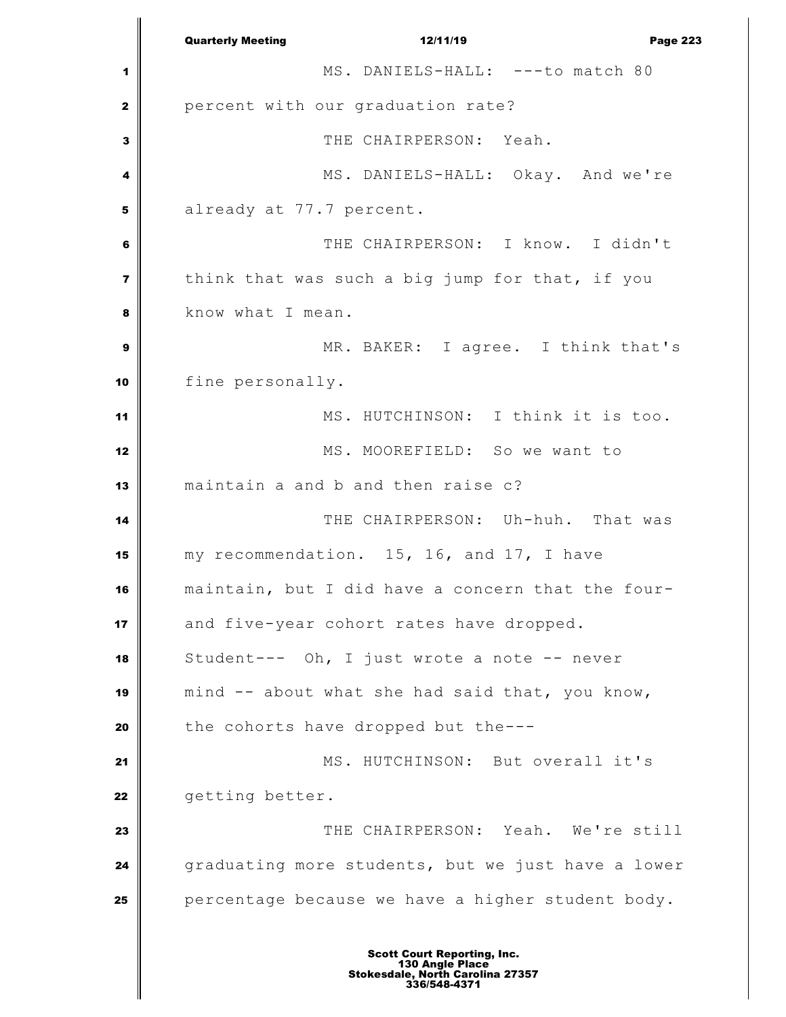Quarterly Meeting **12/11/19 Page 223**  MS. DANIELS-HALL: ---to match 80 percent with our graduation rate? THE CHAIRPERSON: Yeah. MS. DANIELS-HALL: Okay. And we're already at 77.7 percent. THE CHAIRPERSON: I know. I didn't think that was such a big jump for that, if you **b** know what I mean. MR. BAKER: I agree. I think that's fine personally. MS. HUTCHINSON: I think it is too. MS. MOOREFIELD: So we want to maintain a and b and then raise c? THE CHAIRPERSON: Uh-huh. That was my recommendation. 15, 16, and 17, I have maintain, but I did have a concern that the four-17 and five-year cohort rates have dropped. Student--- Oh, I just wrote a note -- never mind -- about what she had said that, you know, the cohorts have dropped but the--- MS. HUTCHINSON: But overall it's **getting better.**  THE CHAIRPERSON: Yeah. We're still graduating more students, but we just have a lower **percentage because we have a higher student body.**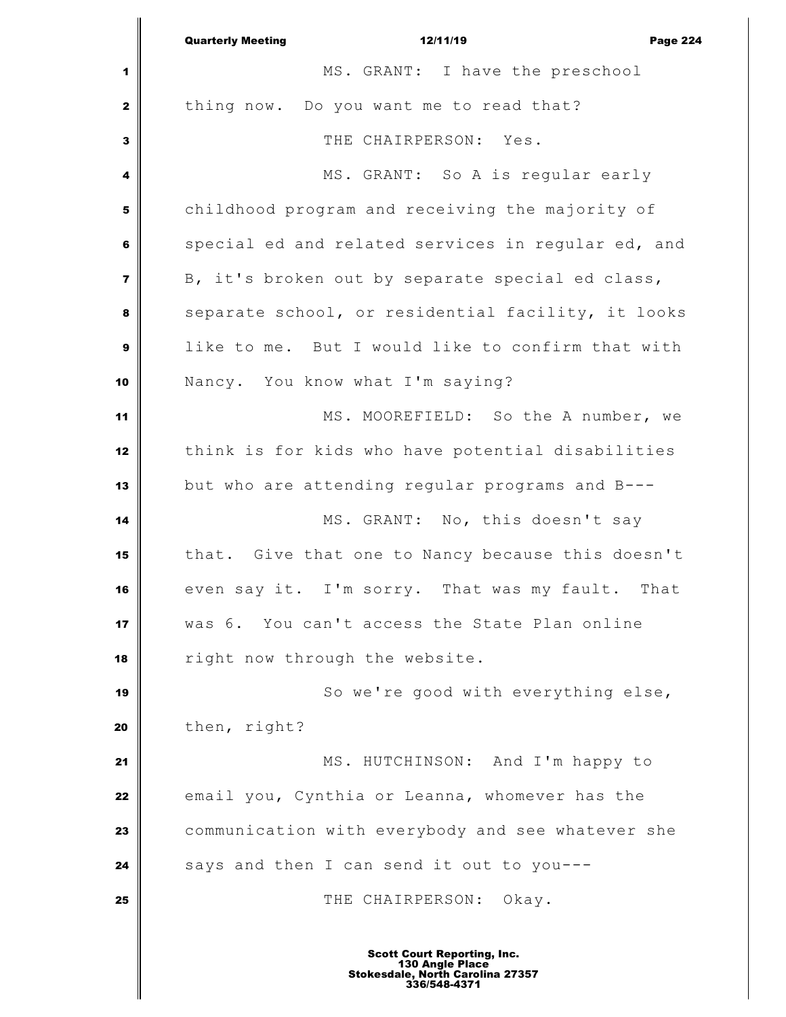|                | <b>Quarterly Meeting</b><br>12/11/19<br><b>Page 224</b> |
|----------------|---------------------------------------------------------|
| 1              | MS. GRANT: I have the preschool                         |
| $\mathbf{2}$   | thing now. Do you want me to read that?                 |
| $\mathbf{3}$   | THE CHAIRPERSON: Yes.                                   |
| 4              | MS. GRANT: So A is regular early                        |
| 5              | childhood program and receiving the majority of         |
| 6              | special ed and related services in regular ed, and      |
| $\overline{7}$ | B, it's broken out by separate special ed class,        |
| 8              | separate school, or residential facility, it looks      |
| $\mathbf{9}$   | like to me. But I would like to confirm that with       |
| 10             | Nancy. You know what I'm saying?                        |
| 11             | MS. MOOREFIELD: So the A number, we                     |
| 12             | think is for kids who have potential disabilities       |
| 13             | but who are attending regular programs and B---         |
| 14             | MS. GRANT: No, this doesn't say                         |
| 15             | that. Give that one to Nancy because this doesn't       |
| 16             | even say it. I'm sorry. That was my fault. That         |
| 17             | was 6. You can't access the State Plan online           |
| 18             | right now through the website.                          |
| 19             | So we're good with everything else,                     |
| 20             | then, right?                                            |
| 21             | MS. HUTCHINSON: And I'm happy to                        |
| 22             | email you, Cynthia or Leanna, whomever has the          |
| 23             | communication with everybody and see whatever she       |
| 24             | says and then I can send it out to you---               |
| 25             | THE CHAIRPERSON: Okay.                                  |
|                |                                                         |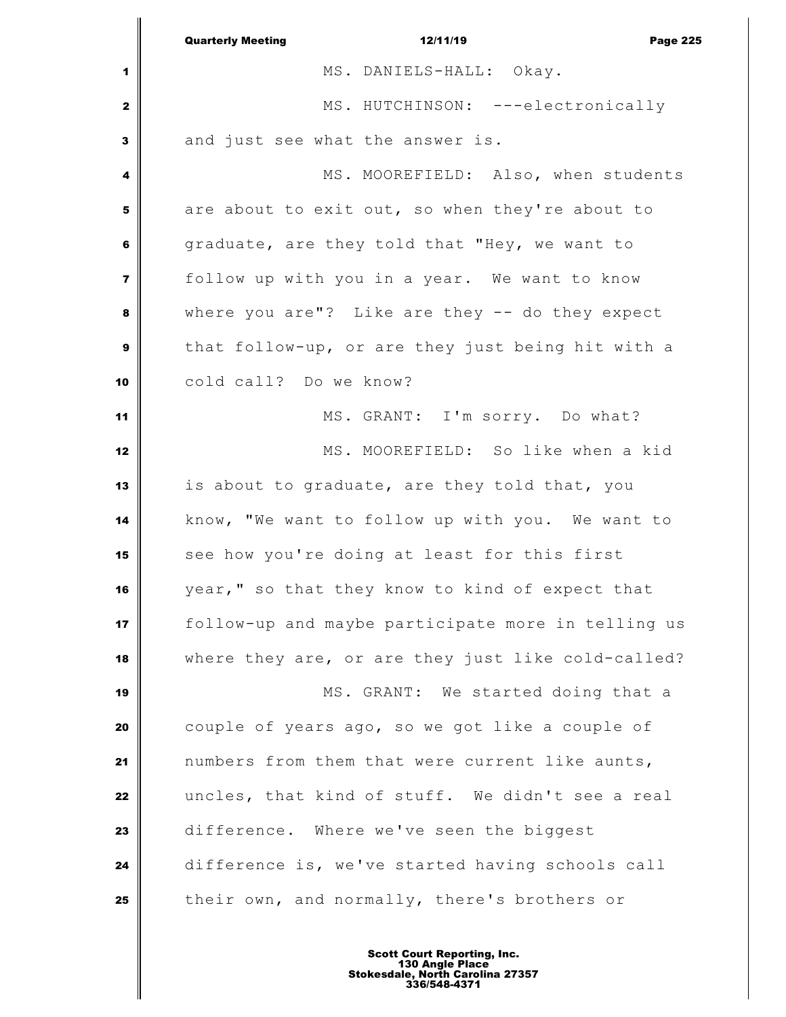|                         | <b>Quarterly Meeting</b><br>12/11/19<br><b>Page 225</b> |
|-------------------------|---------------------------------------------------------|
| 1                       | MS. DANIELS-HALL: Okay.                                 |
| 2                       | MS. HUTCHINSON: ---electronically                       |
| 3                       | and just see what the answer is.                        |
| 4                       | MS. MOOREFIELD: Also, when students                     |
| 5                       | are about to exit out, so when they're about to         |
| 6                       | graduate, are they told that "Hey, we want to           |
| $\overline{\mathbf{z}}$ | follow up with you in a year. We want to know           |
| 8                       | where you are"? Like are they $-$ do they expect        |
| $\mathbf{9}$            | that follow-up, or are they just being hit with a       |
| 10                      | cold call? Do we know?                                  |
| 11                      | MS. GRANT: I'm sorry. Do what?                          |
| 12                      | MS. MOOREFIELD: So like when a kid                      |
| 13                      | is about to graduate, are they told that, you           |
| 14                      | know, "We want to follow up with you. We want to        |
| 15                      | see how you're doing at least for this first            |
| 16                      | year," so that they know to kind of expect that         |
| 17                      | follow-up and maybe participate more in telling us      |
| 18                      | where they are, or are they just like cold-called?      |
| 19                      | MS. GRANT: We started doing that a                      |
| 20                      | couple of years ago, so we got like a couple of         |
| 21                      | numbers from them that were current like aunts,         |
| 22                      | uncles, that kind of stuff. We didn't see a real        |
| 23                      | difference. Where we've seen the biggest                |
| 24                      | difference is, we've started having schools call        |
| 25                      | their own, and normally, there's brothers or            |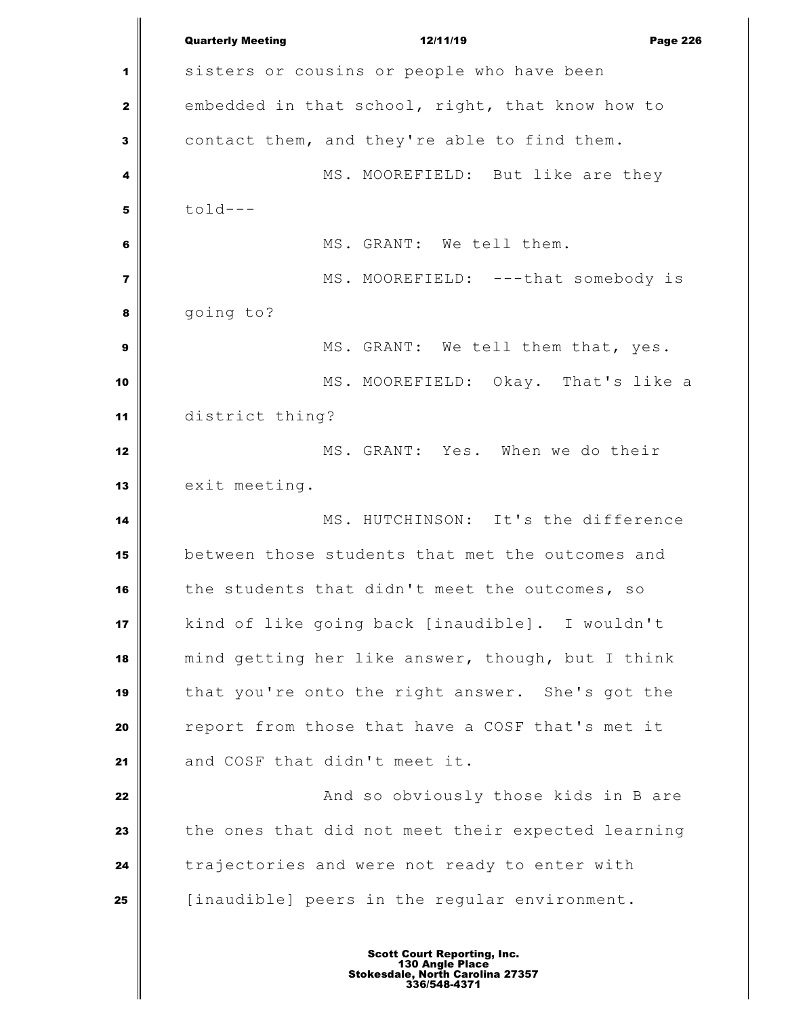Quarterly Meeting 12/11/19 Page 226 1 sisters or cousins or people who have been embedded in that school, right, that know how to contact them, and they're able to find them. MS. MOOREFIELD: But like are they  $\mathbf{5}$  told--- MS. GRANT: We tell them. MS. MOOREFIELD: ---that somebody is going to? MS. GRANT: We tell them that, yes. MS. MOOREFIELD: Okay. That's like a district thing? MS. GRANT: Yes. When we do their 13 exit meeting. MS. HUTCHINSON: It's the difference between those students that met the outcomes and the students that didn't meet the outcomes, so kind of like going back [inaudible]. I wouldn't mind getting her like answer, though, but I think that you're onto the right answer. She's got the report from those that have a COSF that's met it and COSF that didn't meet it. **And so obviously those kids in B are**  the ones that did not meet their expected learning **trajectories and were not ready to enter with** [inaudible] peers in the regular environment.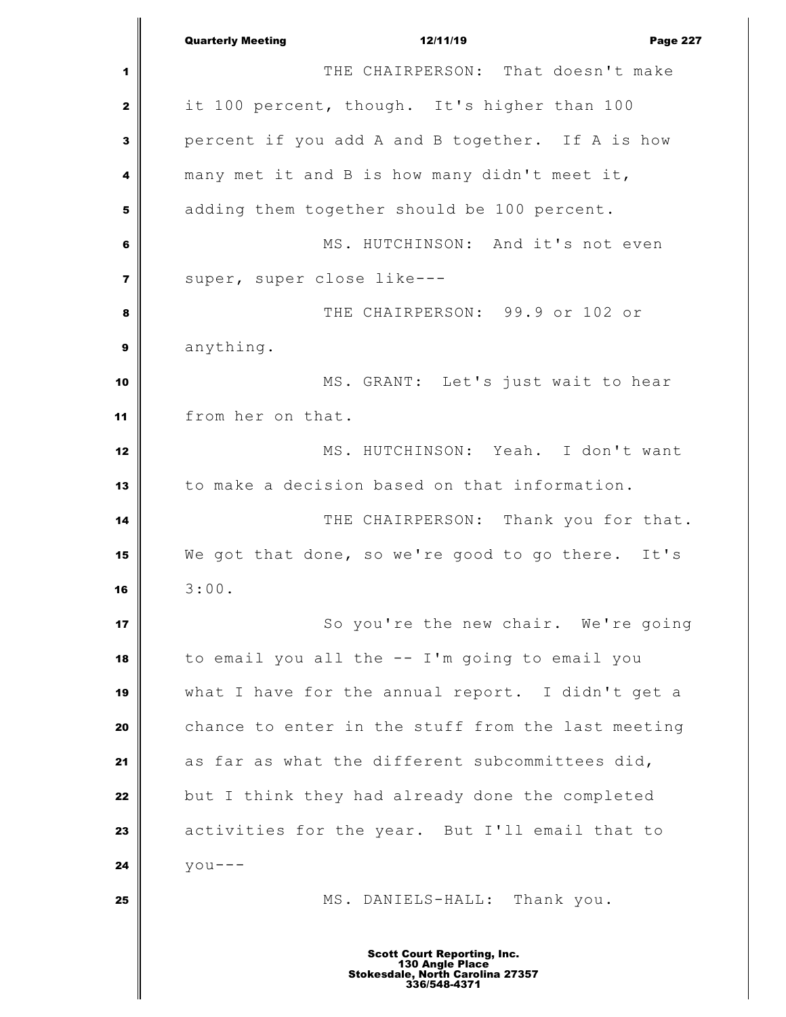Quarterly Meeting 12/11/19 Page 227 THE CHAIRPERSON: That doesn't make it 100 percent, though. It's higher than 100 percent if you add A and B together. If A is how many met it and B is how many didn't meet it, adding them together should be 100 percent. MS. HUTCHINSON: And it's not even Super, super close like--- THE CHAIRPERSON: 99.9 or 102 or anything. MS. GRANT: Let's just wait to hear from her on that. MS. HUTCHINSON: Yeah. I don't want to make a decision based on that information. THE CHAIRPERSON: Thank you for that. We got that done, so we're good to go there. It's 3:00. So you're the new chair. We're going to email you all the -- I'm going to email you what I have for the annual report. I didn't get a chance to enter in the stuff from the last meeting as far as what the different subcommittees did, but I think they had already done the completed activities for the year. But I'll email that to  $\vert$  you--- **MS.** DANIELS-HALL: Thank you. Scott Court Reporting, Inc. 130 Angle Place Stokesdale, North Carolina 27357 336/548-4371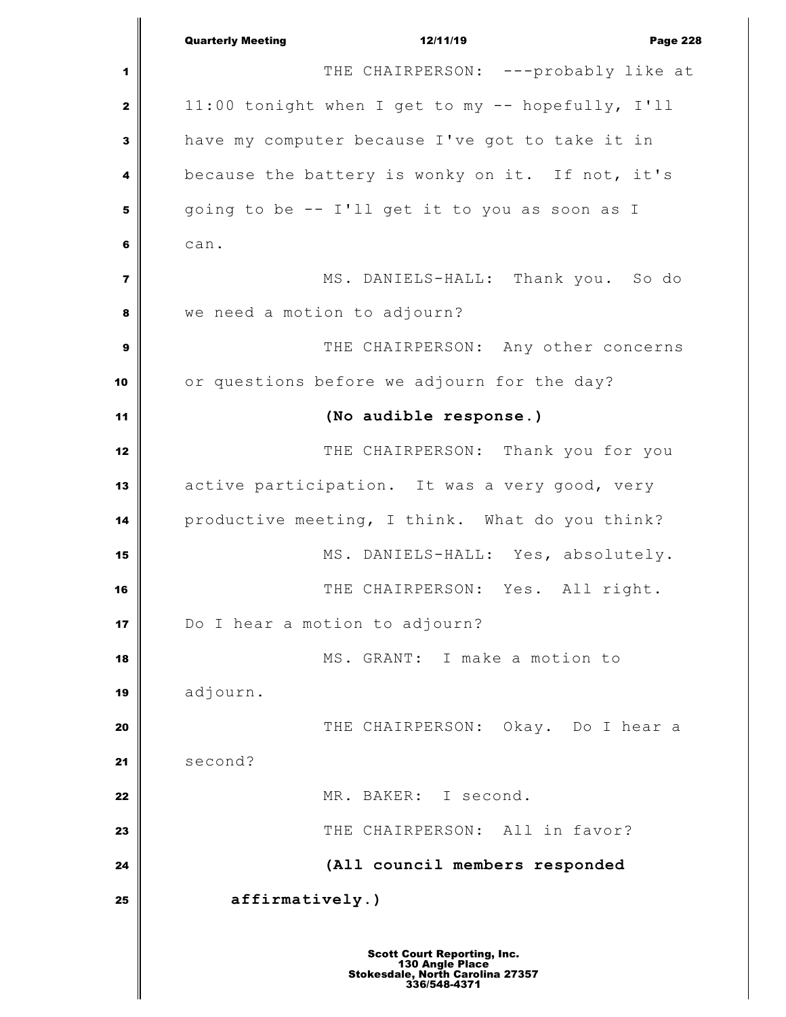Quarterly Meeting 12/11/19 Page 228 THE CHAIRPERSON: ---probably like at 11:00 tonight when I get to my -- hopefully, I'll have my computer because I've got to take it in because the battery is wonky on it. If not, it's going to be -- I'll get it to you as soon as I can. NS. DANIELS-HALL: Thank you. So do we need a motion to adjourn? THE CHAIRPERSON: Any other concerns or questions before we adjourn for the day? **(No audible response.)** THE CHAIRPERSON: Thank you for you active participation. It was a very good, very productive meeting, I think. What do you think? MS. DANIELS-HALL: Yes, absolutely. THE CHAIRPERSON: Yes. All right. Do I hear a motion to adjourn? MS. GRANT: I make a motion to adjourn. THE CHAIRPERSON: Okay. Do I hear a **Second?**  MR. BAKER: I second. **I** THE CHAIRPERSON: All in favor? **(All council members responded affirmatively.)**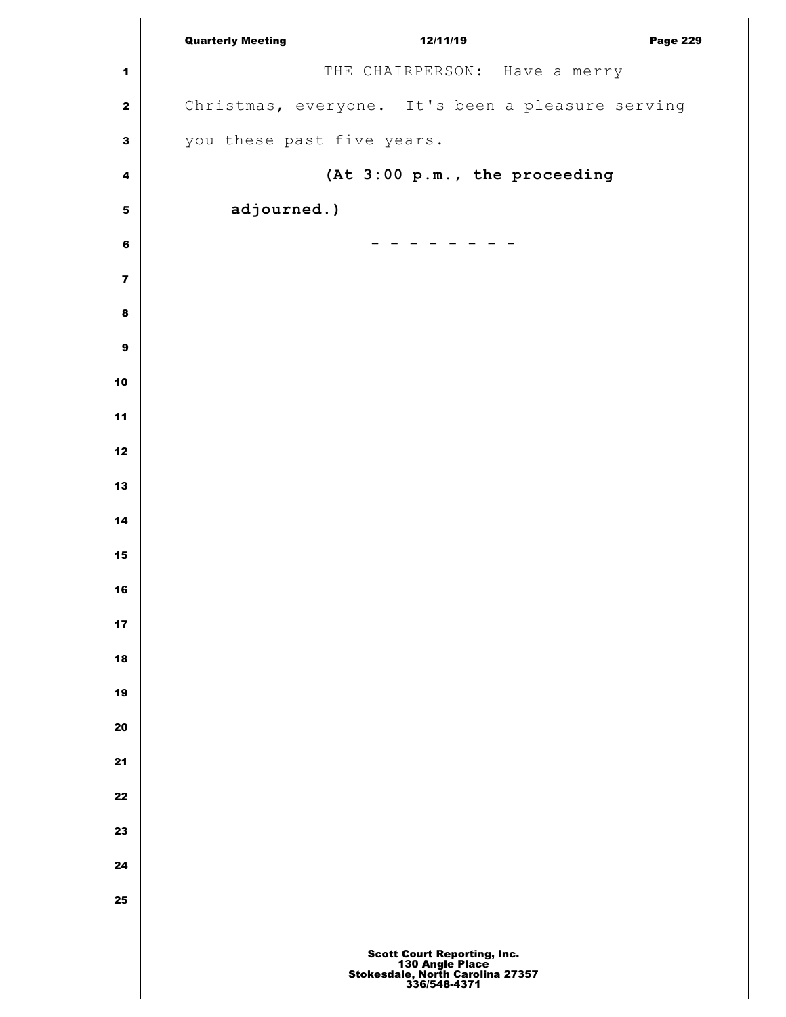|                         | <b>Quarterly Meeting</b><br>12/11/19<br><b>Page 229</b>                                            |
|-------------------------|----------------------------------------------------------------------------------------------------|
| $\mathbf 1$             | THE CHAIRPERSON: Have a merry                                                                      |
| $\bf{2}$                | Christmas, everyone. It's been a pleasure serving                                                  |
| $\overline{\mathbf{3}}$ | you these past five years.                                                                         |
| 4                       | (At 3:00 p.m., the proceeding                                                                      |
| 5                       | adjourned.)                                                                                        |
| 6                       |                                                                                                    |
| $\overline{\mathbf{7}}$ |                                                                                                    |
| 8                       |                                                                                                    |
| $\boldsymbol{9}$        |                                                                                                    |
| 10                      |                                                                                                    |
| 11                      |                                                                                                    |
| 12                      |                                                                                                    |
| 13                      |                                                                                                    |
| 14                      |                                                                                                    |
| 15                      |                                                                                                    |
| 16                      |                                                                                                    |
| 17                      |                                                                                                    |
| 18                      |                                                                                                    |
| 19                      |                                                                                                    |
| 20                      |                                                                                                    |
| 21                      |                                                                                                    |
| 22                      |                                                                                                    |
| 23                      |                                                                                                    |
| 24                      |                                                                                                    |
| 25                      |                                                                                                    |
|                         |                                                                                                    |
|                         | Scott Court Reporting, Inc.<br>130 Angle Place<br>Stokesdale, North Carolina 27357<br>336/548-4371 |